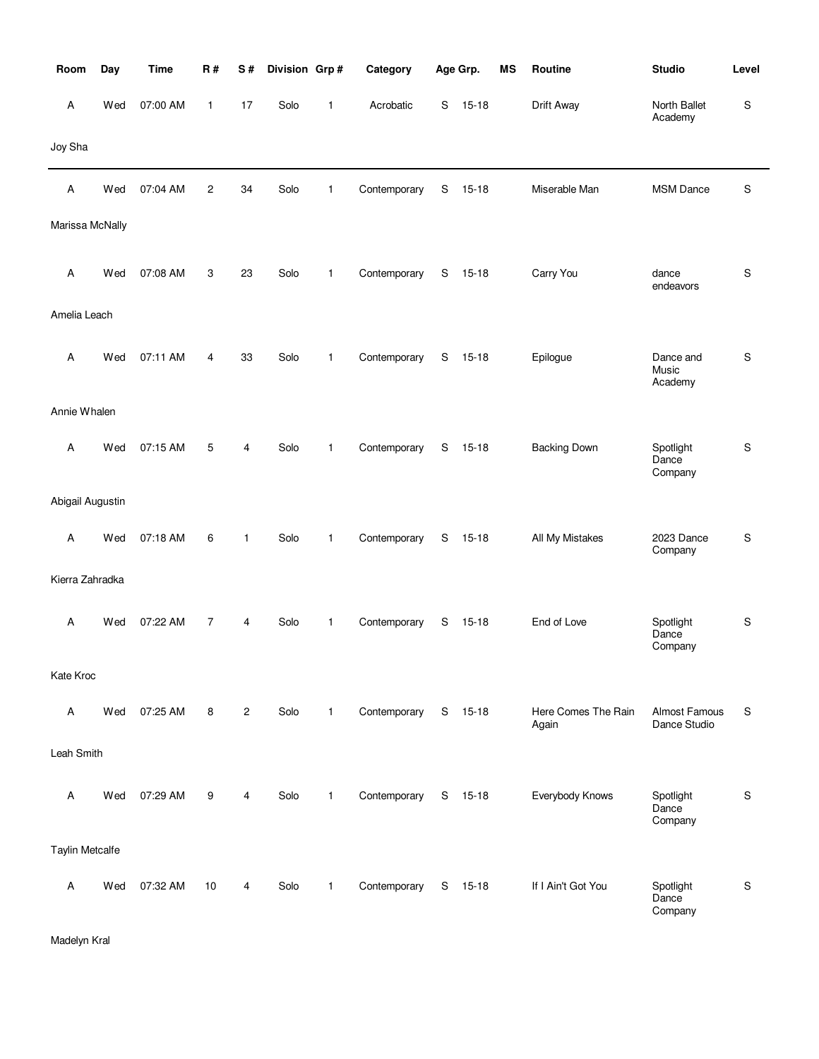| Room             | Day | <b>Time</b> | R#             | S#             | Division Grp# |              | Category     |   | Age Grp.  | MS | Routine                      | <b>Studio</b>                 | Level       |
|------------------|-----|-------------|----------------|----------------|---------------|--------------|--------------|---|-----------|----|------------------------------|-------------------------------|-------------|
| Α                | Wed | 07:00 AM    | $\mathbf{1}$   | 17             | Solo          | 1            | Acrobatic    | S | $15 - 18$ |    | Drift Away                   | North Ballet<br>Academy       | S           |
| Joy Sha          |     |             |                |                |               |              |              |   |           |    |                              |                               |             |
| Α                | Wed | 07:04 AM    | $\overline{c}$ | 34             | Solo          | 1            | Contemporary | S | $15 - 18$ |    | Miserable Man                | <b>MSM Dance</b>              | S           |
| Marissa McNally  |     |             |                |                |               |              |              |   |           |    |                              |                               |             |
| Α                | Wed | 07:08 AM    | 3              | 23             | Solo          | $\mathbf{1}$ | Contemporary | S | $15 - 18$ |    | Carry You                    | dance<br>endeavors            | S           |
| Amelia Leach     |     |             |                |                |               |              |              |   |           |    |                              |                               |             |
| Α                | Wed | 07:11 AM    | 4              | 33             | Solo          | 1            | Contemporary | S | $15 - 18$ |    | Epilogue                     | Dance and<br>Music<br>Academy | S           |
| Annie Whalen     |     |             |                |                |               |              |              |   |           |    |                              |                               |             |
| Α                | Wed | 07:15 AM    | 5              | 4              | Solo          | $\mathbf{1}$ | Contemporary | S | $15 - 18$ |    | <b>Backing Down</b>          | Spotlight<br>Dance<br>Company | S           |
| Abigail Augustin |     |             |                |                |               |              |              |   |           |    |                              |                               |             |
| Α                | Wed | 07:18 AM    | 6              | 1              | Solo          | 1            | Contemporary | S | $15 - 18$ |    | All My Mistakes              | 2023 Dance<br>Company         | S           |
| Kierra Zahradka  |     |             |                |                |               |              |              |   |           |    |                              |                               |             |
| Α                | Wed | 07:22 AM    | $\overline{7}$ | 4              | Solo          | $\mathbf{1}$ | Contemporary | S | $15 - 18$ |    | End of Love                  | Spotlight<br>Dance<br>Company | S           |
| Kate Kroc        |     |             |                |                |               |              |              |   |           |    |                              |                               |             |
| Α                | Wed | 07:25 AM    | 8              | $\overline{c}$ | Solo          | $\mathbf{1}$ | Contemporary |   | $S$ 15-18 |    | Here Comes The Rain<br>Again | Almost Famous<br>Dance Studio | S           |
| Leah Smith       |     |             |                |                |               |              |              |   |           |    |                              |                               |             |
| Α                | Wed | 07:29 AM    | 9              | 4              | Solo          | $\mathbf{1}$ | Contemporary |   | $S$ 15-18 |    | Everybody Knows              | Spotlight<br>Dance<br>Company | S           |
| Taylin Metcalfe  |     |             |                |                |               |              |              |   |           |    |                              |                               |             |
| Α                | Wed | 07:32 AM    | 10             | 4              | Solo          | $\mathbf{1}$ | Contemporary |   | $S$ 15-18 |    | If I Ain't Got You           | Spotlight<br>Dance<br>Company | $\mathbf S$ |

Madelyn Kral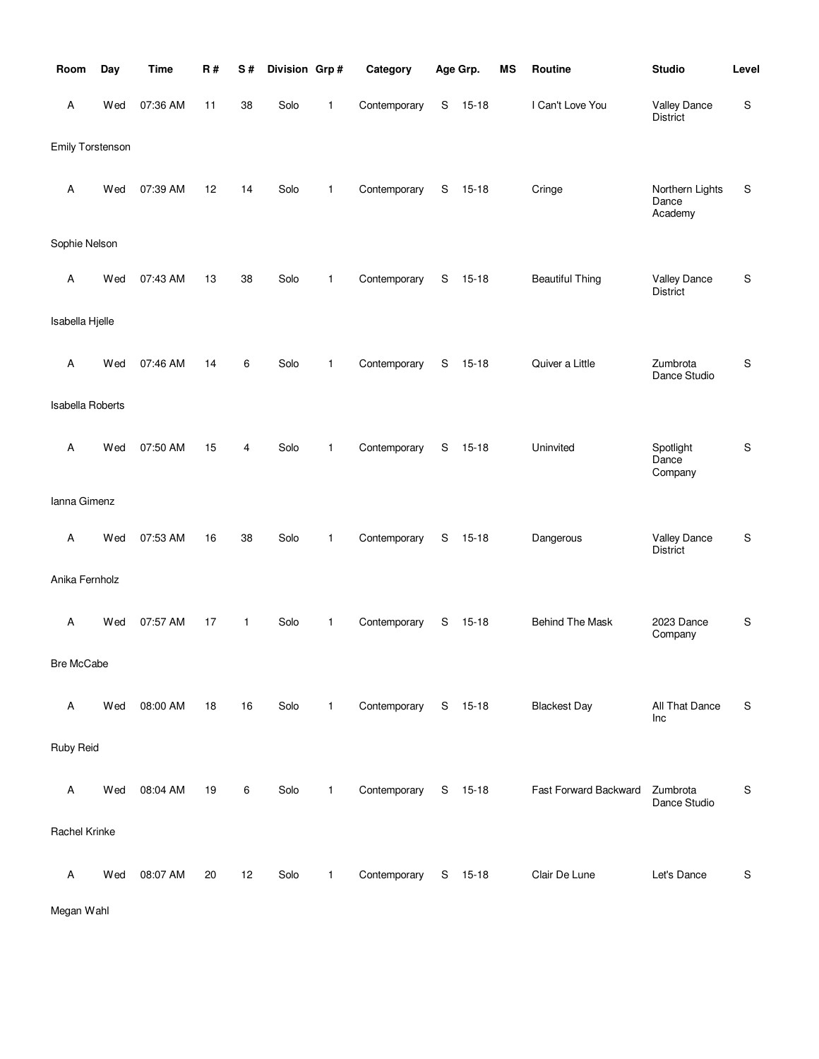| Room             | Day | <b>Time</b> | R# | S# | Division Grp# |              | Category     |             | Age Grp.  | <b>MS</b> | Routine                | <b>Studio</b>                          | Level       |
|------------------|-----|-------------|----|----|---------------|--------------|--------------|-------------|-----------|-----------|------------------------|----------------------------------------|-------------|
| Α                | Wed | 07:36 AM    | 11 | 38 | Solo          | 1            | Contemporary | S           | $15 - 18$ |           | I Can't Love You       | <b>Valley Dance</b><br>District        | S           |
| Emily Torstenson |     |             |    |    |               |              |              |             |           |           |                        |                                        |             |
| Α                | Wed | 07:39 AM    | 12 | 14 | Solo          | 1            | Contemporary | S           | $15 - 18$ |           | Cringe                 | Northern Lights<br>Dance<br>Academy    | S           |
| Sophie Nelson    |     |             |    |    |               |              |              |             |           |           |                        |                                        |             |
| Α                | Wed | 07:43 AM    | 13 | 38 | Solo          | 1            | Contemporary | S           | $15 - 18$ |           | <b>Beautiful Thing</b> | <b>Valley Dance</b><br><b>District</b> | S           |
| Isabella Hjelle  |     |             |    |    |               |              |              |             |           |           |                        |                                        |             |
| Α                | Wed | 07:46 AM    | 14 | 6  | Solo          | 1            | Contemporary | S           | $15 - 18$ |           | Quiver a Little        | Zumbrota<br>Dance Studio               | $\mathsf S$ |
| Isabella Roberts |     |             |    |    |               |              |              |             |           |           |                        |                                        |             |
| Α                | Wed | 07:50 AM    | 15 | 4  | Solo          | $\mathbf{1}$ | Contemporary | $\mathbf S$ | $15 - 18$ |           | Uninvited              | Spotlight<br>Dance<br>Company          | $\mathsf S$ |
| Ianna Gimenz     |     |             |    |    |               |              |              |             |           |           |                        |                                        |             |
| Α                | Wed | 07:53 AM    | 16 | 38 | Solo          | $\mathbf{1}$ | Contemporary | S           | $15 - 18$ |           | Dangerous              | <b>Valley Dance</b><br><b>District</b> | $\mathbb S$ |
| Anika Fernholz   |     |             |    |    |               |              |              |             |           |           |                        |                                        |             |
| A                | Wed | 07:57 AM    | 17 | 1  | Solo          | $\mathbf{1}$ | Contemporary | S           | $15 - 18$ |           | <b>Behind The Mask</b> | 2023 Dance<br>Company                  | $\mathbb S$ |
| Bre McCabe       |     |             |    |    |               |              |              |             |           |           |                        |                                        |             |
| Α                | Wed | 08:00 AM    | 18 | 16 | Solo          | $\mathbf{1}$ | Contemporary |             | S 15-18   |           | <b>Blackest Day</b>    | All That Dance<br>Inc                  | S           |
| Ruby Reid        |     |             |    |    |               |              |              |             |           |           |                        |                                        |             |
| Α                | Wed | 08:04 AM    | 19 | 6  | Solo          | $\mathbf{1}$ | Contemporary |             | S 15-18   |           | Fast Forward Backward  | Zumbrota<br>Dance Studio               | S           |
| Rachel Krinke    |     |             |    |    |               |              |              |             |           |           |                        |                                        |             |
| Α                | Wed | 08:07 AM    | 20 | 12 | Solo          | $\mathbf{1}$ | Contemporary |             | S 15-18   |           | Clair De Lune          | Let's Dance                            | S           |

Megan Wahl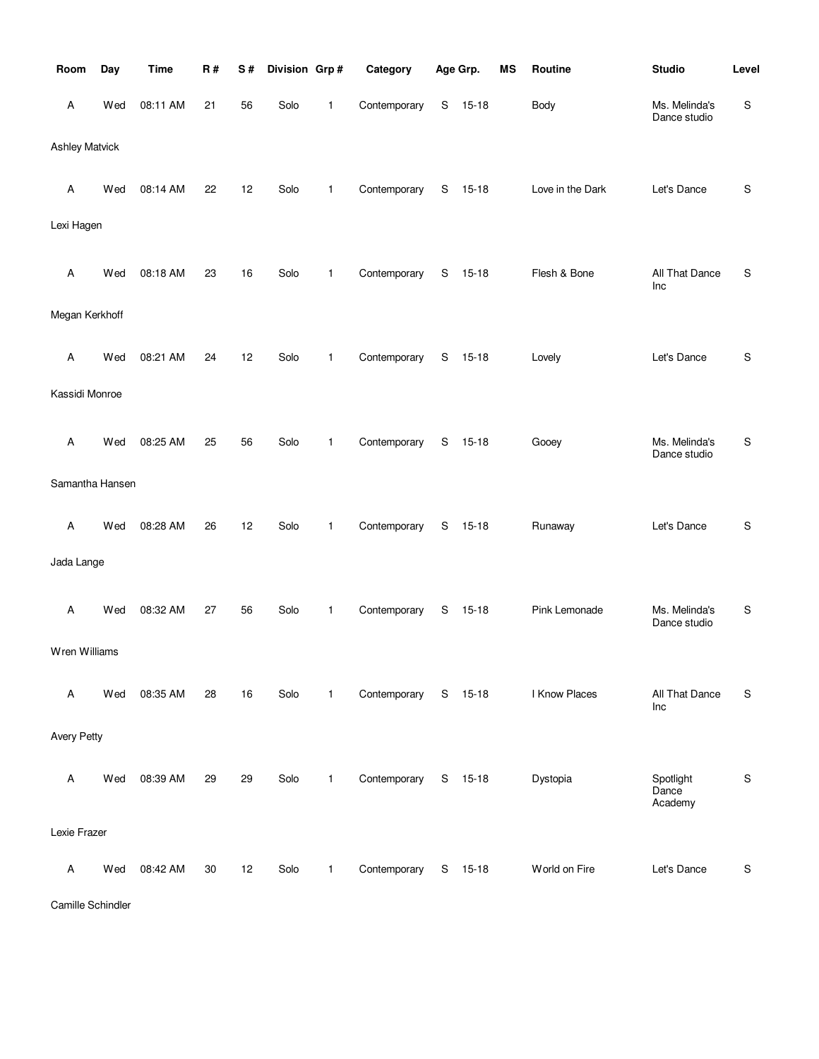| Room                  | Day | <b>Time</b> | <b>R#</b> | S# | Division Grp# |              | Category     |               | Age Grp.  | <b>MS</b> | Routine          | <b>Studio</b>                 | Level       |
|-----------------------|-----|-------------|-----------|----|---------------|--------------|--------------|---------------|-----------|-----------|------------------|-------------------------------|-------------|
| Α                     | Wed | 08:11 AM    | 21        | 56 | Solo          | 1            | Contemporary | ${\mathsf S}$ | $15 - 18$ |           | <b>Body</b>      | Ms. Melinda's<br>Dance studio | S           |
| <b>Ashley Matvick</b> |     |             |           |    |               |              |              |               |           |           |                  |                               |             |
| Α                     | Wed | 08:14 AM    | 22        | 12 | Solo          | 1            | Contemporary | S             | $15 - 18$ |           | Love in the Dark | Let's Dance                   | S           |
| Lexi Hagen            |     |             |           |    |               |              |              |               |           |           |                  |                               |             |
| Α                     | Wed | 08:18 AM    | 23        | 16 | Solo          | 1            | Contemporary | S             | $15 - 18$ |           | Flesh & Bone     | All That Dance<br>Inc         | S           |
| Megan Kerkhoff        |     |             |           |    |               |              |              |               |           |           |                  |                               |             |
| Α                     | Wed | 08:21 AM    | 24        | 12 | Solo          | 1            | Contemporary | S             | $15 - 18$ |           | Lovely           | Let's Dance                   | S           |
| Kassidi Monroe        |     |             |           |    |               |              |              |               |           |           |                  |                               |             |
| Α                     | Wed | 08:25 AM    | 25        | 56 | Solo          | 1            | Contemporary | S             | $15 - 18$ |           | Gooey            | Ms. Melinda's<br>Dance studio | S           |
| Samantha Hansen       |     |             |           |    |               |              |              |               |           |           |                  |                               |             |
| Α                     | Wed | 08:28 AM    | 26        | 12 | Solo          | 1            | Contemporary | S             | $15 - 18$ |           | Runaway          | Let's Dance                   | S           |
| Jada Lange            |     |             |           |    |               |              |              |               |           |           |                  |                               |             |
| Α                     | Wed | 08:32 AM    | 27        | 56 | Solo          | 1            | Contemporary | ${\mathsf S}$ | $15 - 18$ |           | Pink Lemonade    | Ms. Melinda's<br>Dance studio | S           |
| Wren Williams         |     |             |           |    |               |              |              |               |           |           |                  |                               |             |
| Α                     | Wed | 08:35 AM    | 28        | 16 | Solo          | $\mathbf{1}$ | Contemporary | S             | $15 - 18$ |           | I Know Places    | All That Dance<br>Inc         | S           |
| <b>Avery Petty</b>    |     |             |           |    |               |              |              |               |           |           |                  |                               |             |
| Α                     | Wed | 08:39 AM    | 29        | 29 | Solo          | $\mathbf{1}$ | Contemporary |               | S 15-18   |           | Dystopia         | Spotlight<br>Dance<br>Academy | $\mathbb S$ |
| Lexie Frazer          |     |             |           |    |               |              |              |               |           |           |                  |                               |             |
| Α                     | Wed | 08:42 AM    | 30        | 12 | Solo          | 1            | Contemporary | S             | $15 - 18$ |           | World on Fire    | Let's Dance                   | $\mathbb S$ |

Camille Schindler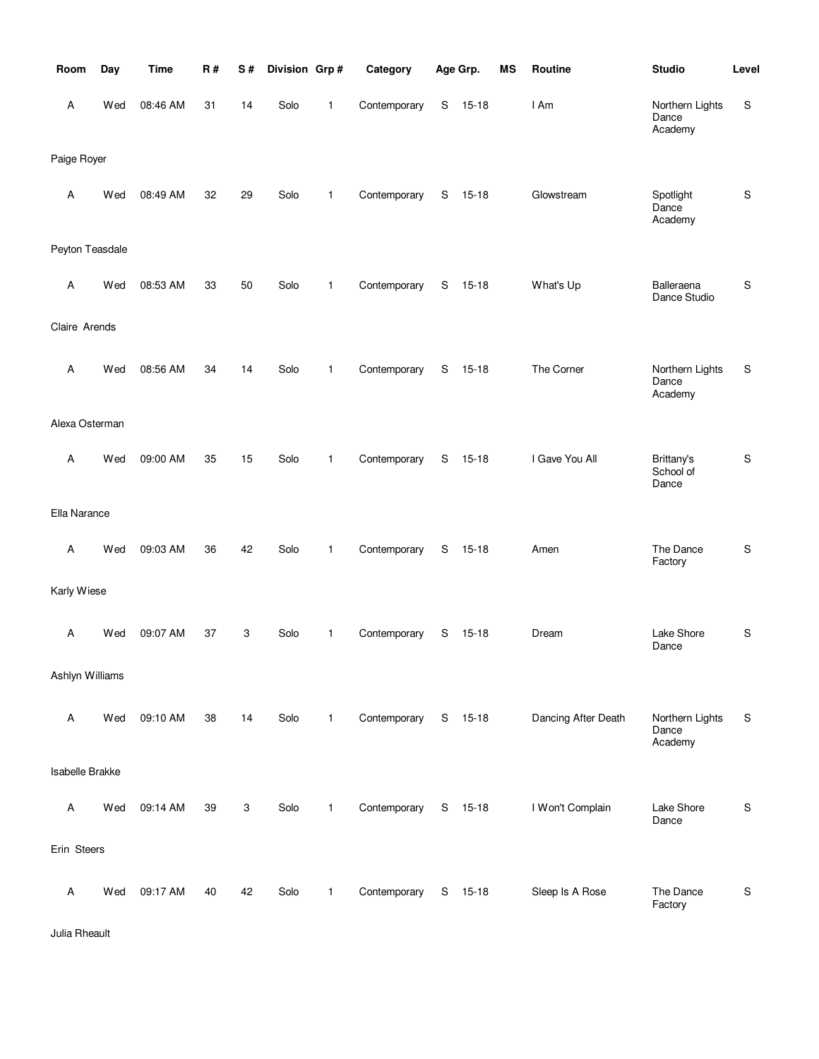| Room            | Day | <b>Time</b> | <b>R#</b> | S# | Division Grp# |              | Category     |   | Age Grp.  | <b>MS</b> | Routine             | <b>Studio</b>                       | Level         |
|-----------------|-----|-------------|-----------|----|---------------|--------------|--------------|---|-----------|-----------|---------------------|-------------------------------------|---------------|
| Α               | Wed | 08:46 AM    | 31        | 14 | Solo          | $\mathbf{1}$ | Contemporary | S | $15 - 18$ |           | I Am                | Northern Lights<br>Dance<br>Academy | ${\mathbb S}$ |
| Paige Royer     |     |             |           |    |               |              |              |   |           |           |                     |                                     |               |
| A               | Wed | 08:49 AM    | 32        | 29 | Solo          | $\mathbf{1}$ | Contemporary | S | $15 - 18$ |           | Glowstream          | Spotlight<br>Dance<br>Academy       | $\mathsf S$   |
| Peyton Teasdale |     |             |           |    |               |              |              |   |           |           |                     |                                     |               |
| Α               | Wed | 08:53 AM    | 33        | 50 | Solo          | $\mathbf{1}$ | Contemporary | S | $15 - 18$ |           | What's Up           | Balleraena<br>Dance Studio          | S             |
| Claire Arends   |     |             |           |    |               |              |              |   |           |           |                     |                                     |               |
| Α               | Wed | 08:56 AM    | 34        | 14 | Solo          | $\mathbf{1}$ | Contemporary | S | $15 - 18$ |           | The Corner          | Northern Lights<br>Dance<br>Academy | S             |
| Alexa Osterman  |     |             |           |    |               |              |              |   |           |           |                     |                                     |               |
| Α               | Wed | 09:00 AM    | 35        | 15 | Solo          | $\mathbf{1}$ | Contemporary | S | $15 - 18$ |           | I Gave You All      | Brittany's<br>School of<br>Dance    | ${\sf S}$     |
| Ella Narance    |     |             |           |    |               |              |              |   |           |           |                     |                                     |               |
| Α               | Wed | 09:03 AM    | 36        | 42 | Solo          | $\mathbf{1}$ | Contemporary | S | $15 - 18$ |           | Amen                | The Dance<br>Factory                | $\mathbb S$   |
| Karly Wiese     |     |             |           |    |               |              |              |   |           |           |                     |                                     |               |
| Α               | Wed | 09:07 AM    | 37        | 3  | Solo          | $\mathbf{1}$ | Contemporary | S | $15 - 18$ |           | Dream               | Lake Shore<br>Dance                 | ${\sf S}$     |
| Ashlyn Williams |     |             |           |    |               |              |              |   |           |           |                     |                                     |               |
| Α               | Wed | 09:10 AM    | 38        | 14 | Solo          | $\mathbf{1}$ | Contemporary |   | S 15-18   |           | Dancing After Death | Northern Lights<br>Dance<br>Academy | S             |
| Isabelle Brakke |     |             |           |    |               |              |              |   |           |           |                     |                                     |               |
| Α               | Wed | 09:14 AM    | 39        | 3  | Solo          | $\mathbf{1}$ | Contemporary |   | S 15-18   |           | I Won't Complain    | Lake Shore<br>Dance                 | S             |
| Erin Steers     |     |             |           |    |               |              |              |   |           |           |                     |                                     |               |
| Α               | Wed | 09:17 AM    | 40        | 42 | Solo          | $\mathbf{1}$ | Contemporary |   | S 15-18   |           | Sleep Is A Rose     | The Dance<br>Factory                | S             |

Julia Rheault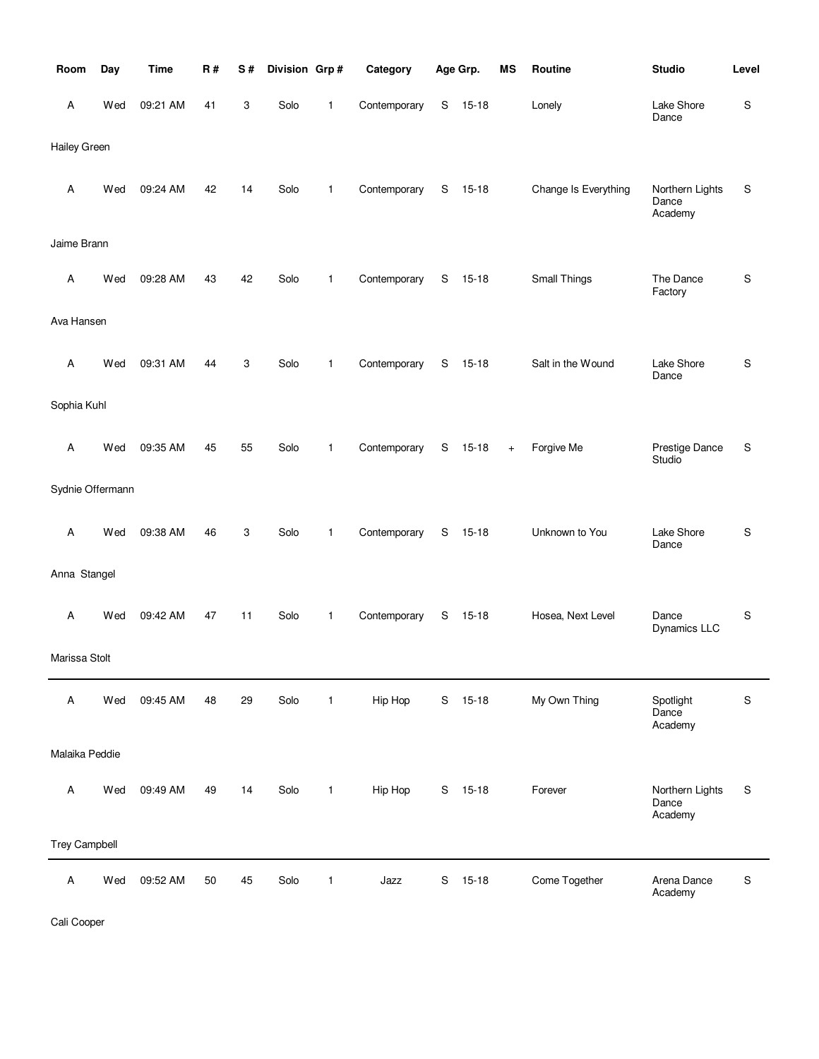| Room                 | Day | <b>Time</b> | R# | S# | Division Grp# |              | Category     |               | Age Grp.  | MS  | Routine              | <b>Studio</b>                       | Level |
|----------------------|-----|-------------|----|----|---------------|--------------|--------------|---------------|-----------|-----|----------------------|-------------------------------------|-------|
| Α                    | Wed | 09:21 AM    | 41 | 3  | Solo          | 1            | Contemporary | S             | $15 - 18$ |     | Lonely               | Lake Shore<br>Dance                 | S     |
| Hailey Green         |     |             |    |    |               |              |              |               |           |     |                      |                                     |       |
| Α                    | Wed | 09:24 AM    | 42 | 14 | Solo          | 1            | Contemporary | S             | $15 - 18$ |     | Change Is Everything | Northern Lights<br>Dance<br>Academy | S     |
| Jaime Brann          |     |             |    |    |               |              |              |               |           |     |                      |                                     |       |
| А                    | Wed | 09:28 AM    | 43 | 42 | Solo          | 1            | Contemporary | S             | $15 - 18$ |     | Small Things         | The Dance<br>Factory                | S     |
| Ava Hansen           |     |             |    |    |               |              |              |               |           |     |                      |                                     |       |
| А                    | Wed | 09:31 AM    | 44 | 3  | Solo          | 1            | Contemporary | S             | $15 - 18$ |     | Salt in the Wound    | Lake Shore<br>Dance                 | S     |
| Sophia Kuhl          |     |             |    |    |               |              |              |               |           |     |                      |                                     |       |
| Α                    | Wed | 09:35 AM    | 45 | 55 | Solo          | 1            | Contemporary | S             | $15 - 18$ | $+$ | Forgive Me           | Prestige Dance<br>Studio            | S     |
| Sydnie Offermann     |     |             |    |    |               |              |              |               |           |     |                      |                                     |       |
| А                    | Wed | 09:38 AM    | 46 | 3  | Solo          | 1            | Contemporary | S             | $15 - 18$ |     | Unknown to You       | Lake Shore<br>Dance                 | S     |
| Anna Stangel         |     |             |    |    |               |              |              |               |           |     |                      |                                     |       |
| Α                    | Wed | 09:42 AM    | 47 | 11 | Solo          | 1            | Contemporary | S             | 15-18     |     | Hosea, Next Level    | Dance<br><b>Dynamics LLC</b>        | S     |
| Marissa Stolt        |     |             |    |    |               |              |              |               |           |     |                      |                                     |       |
| Α                    | Wed | 09:45 AM    | 48 | 29 | Solo          | $\mathbf{1}$ | Hip Hop      |               | S 15-18   |     | My Own Thing         | Spotlight<br>Dance<br>Academy       | S     |
| Malaika Peddie       |     |             |    |    |               |              |              |               |           |     |                      |                                     |       |
| Α                    | Wed | 09:49 AM    | 49 | 14 | Solo          | $\mathbf{1}$ | Hip Hop      |               | S 15-18   |     | Forever              | Northern Lights<br>Dance<br>Academy | S     |
| <b>Trey Campbell</b> |     |             |    |    |               |              |              |               |           |     |                      |                                     |       |
| Α                    | Wed | 09:52 AM    | 50 | 45 | Solo          | 1            | Jazz         | ${\mathsf S}$ | $15 - 18$ |     | Come Together        | Arena Dance<br>Academy              | S     |

Cali Cooper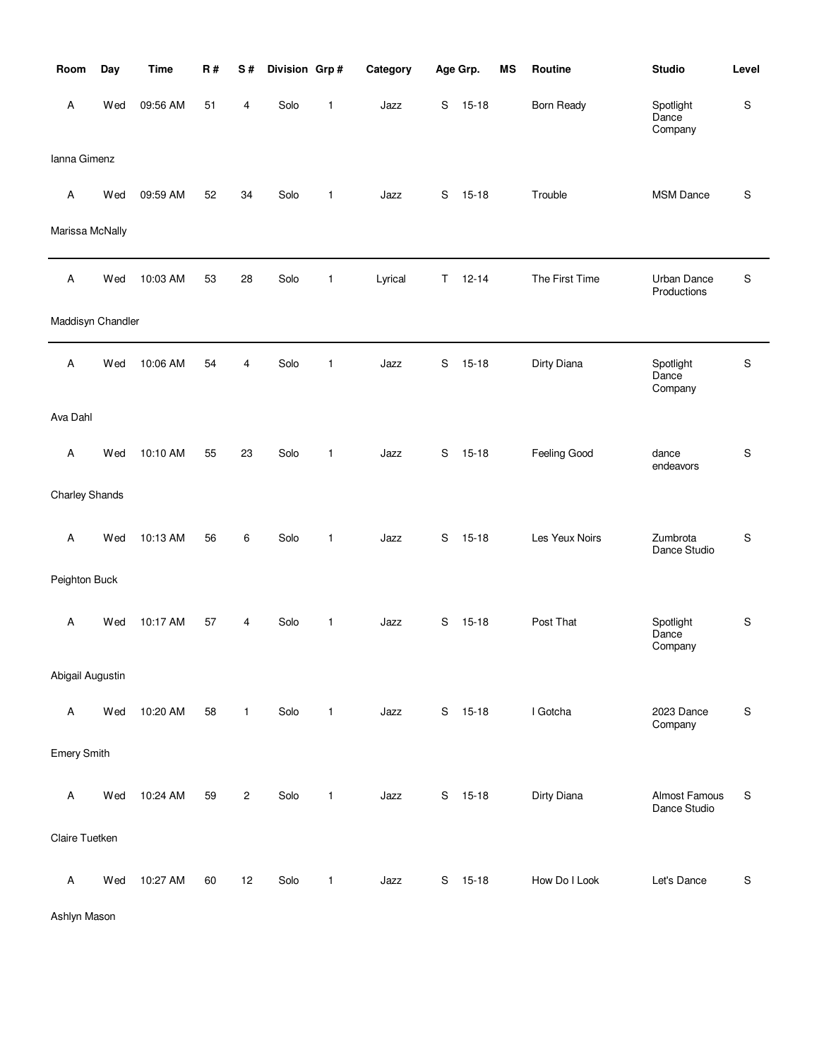| Room               | Day | <b>Time</b> | R# | S#             | Division Grp# |              | Category |   | Age Grp.  | MS | Routine           | <b>Studio</b>                 | Level     |
|--------------------|-----|-------------|----|----------------|---------------|--------------|----------|---|-----------|----|-------------------|-------------------------------|-----------|
| Α                  | Wed | 09:56 AM    | 51 | 4              | Solo          | $\mathbf{1}$ | Jazz     | S | $15 - 18$ |    | <b>Born Ready</b> | Spotlight<br>Dance<br>Company | S         |
| Ianna Gimenz       |     |             |    |                |               |              |          |   |           |    |                   |                               |           |
| Α                  | Wed | 09:59 AM    | 52 | 34             | Solo          | $\mathbf{1}$ | Jazz     | S | $15 - 18$ |    | Trouble           | MSM Dance                     | S         |
| Marissa McNally    |     |             |    |                |               |              |          |   |           |    |                   |                               |           |
| $\mathsf A$        | Wed | 10:03 AM    | 53 | 28             | Solo          | 1            | Lyrical  | Τ | $12 - 14$ |    | The First Time    | Urban Dance<br>Productions    | S         |
| Maddisyn Chandler  |     |             |    |                |               |              |          |   |           |    |                   |                               |           |
| Α                  | Wed | 10:06 AM    | 54 | 4              | Solo          | $\mathbf{1}$ | Jazz     | S | $15 - 18$ |    | Dirty Diana       | Spotlight<br>Dance<br>Company | S         |
| Ava Dahl           |     |             |    |                |               |              |          |   |           |    |                   |                               |           |
| Α                  | Wed | 10:10 AM    | 55 | 23             | Solo          | $\mathbf{1}$ | Jazz     | S | $15 - 18$ |    | Feeling Good      | dance<br>endeavors            | S         |
| Charley Shands     |     |             |    |                |               |              |          |   |           |    |                   |                               |           |
| Α                  | Wed | 10:13 AM    | 56 | 6              | Solo          | $\mathbf{1}$ | Jazz     | S | $15 - 18$ |    | Les Yeux Noirs    | Zumbrota<br>Dance Studio      | S         |
| Peighton Buck      |     |             |    |                |               |              |          |   |           |    |                   |                               |           |
| Α                  | Wed | 10:17 AM    | 57 | 4              | Solo          | $\mathbf{1}$ | Jazz     | S | $15 - 18$ |    | Post That         | Spotlight<br>Dance<br>Company | ${\sf S}$ |
| Abigail Augustin   |     |             |    |                |               |              |          |   |           |    |                   |                               |           |
| $\mathsf A$        | Wed | 10:20 AM    | 58 | $\mathbf{1}$   | Solo          | $\mathbf{1}$ | Jazz     |   | S 15-18   |    | I Gotcha          | 2023 Dance<br>Company         | ${\sf S}$ |
| <b>Emery Smith</b> |     |             |    |                |               |              |          |   |           |    |                   |                               |           |
| Α                  | Wed | 10:24 AM    | 59 | $\overline{c}$ | Solo          | $\mathbf{1}$ | Jazz     | S | $15 - 18$ |    | Dirty Diana       | Almost Famous<br>Dance Studio | S         |
| Claire Tuetken     |     |             |    |                |               |              |          |   |           |    |                   |                               |           |
| $\mathsf A$        | Wed | 10:27 AM    | 60 | 12             | Solo          | 1            | Jazz     | S | $15 - 18$ |    | How Do I Look     | Let's Dance                   | ${\sf S}$ |

Ashlyn Mason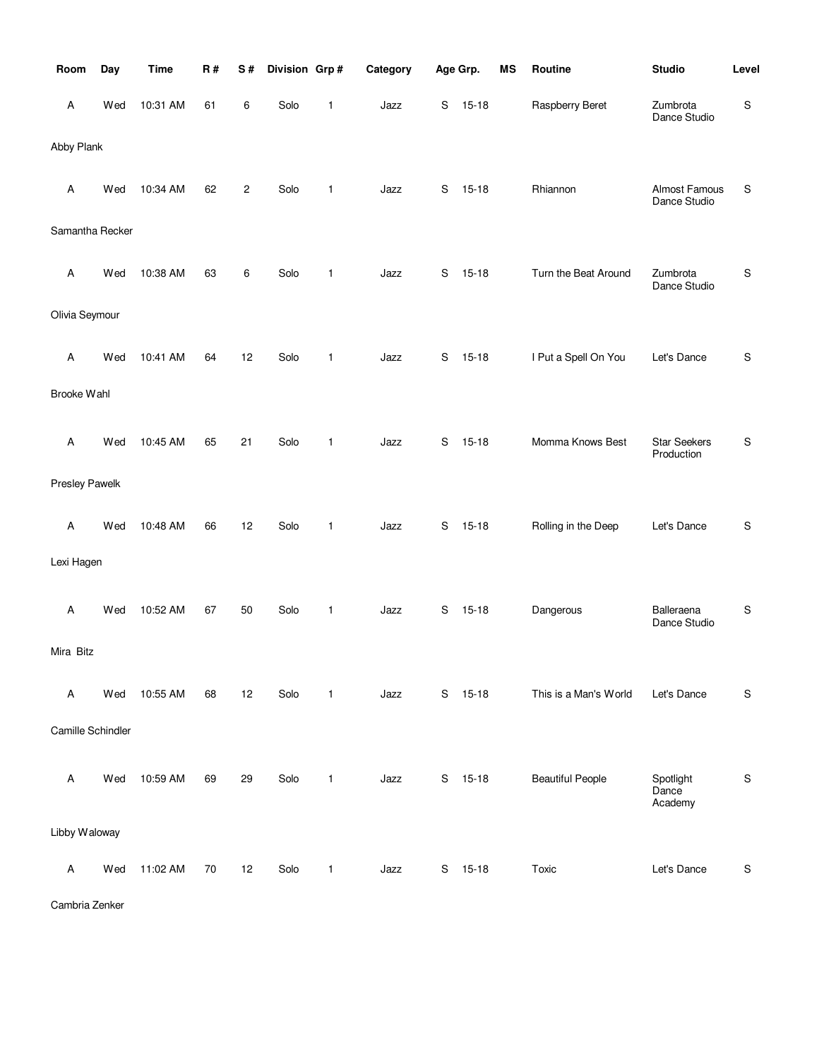| Room              | Day | <b>Time</b> | R# | S#             | Division Grp# |              | Category |   | Age Grp.  | <b>MS</b> | Routine                 | <b>Studio</b>                     | Level       |
|-------------------|-----|-------------|----|----------------|---------------|--------------|----------|---|-----------|-----------|-------------------------|-----------------------------------|-------------|
| Α                 | Wed | 10:31 AM    | 61 | 6              | Solo          | 1            | Jazz     | S | $15 - 18$ |           | Raspberry Beret         | Zumbrota<br>Dance Studio          | ${\sf S}$   |
| Abby Plank        |     |             |    |                |               |              |          |   |           |           |                         |                                   |             |
| Α                 | Wed | 10:34 AM    | 62 | $\overline{c}$ | Solo          | 1            | Jazz     | S | $15 - 18$ |           | Rhiannon                | Almost Famous<br>Dance Studio     | S           |
| Samantha Recker   |     |             |    |                |               |              |          |   |           |           |                         |                                   |             |
| Α                 | Wed | 10:38 AM    | 63 | 6              | Solo          | 1            | Jazz     | S | $15 - 18$ |           | Turn the Beat Around    | Zumbrota<br>Dance Studio          | $\mathbb S$ |
| Olivia Seymour    |     |             |    |                |               |              |          |   |           |           |                         |                                   |             |
| Α                 | Wed | 10:41 AM    | 64 | 12             | Solo          | 1            | Jazz     | S | $15 - 18$ |           | I Put a Spell On You    | Let's Dance                       | ${\sf S}$   |
| Brooke Wahl       |     |             |    |                |               |              |          |   |           |           |                         |                                   |             |
| Α                 | Wed | 10:45 AM    | 65 | 21             | Solo          | 1            | Jazz     | S | $15 - 18$ |           | Momma Knows Best        | <b>Star Seekers</b><br>Production | ${\sf S}$   |
| Presley Pawelk    |     |             |    |                |               |              |          |   |           |           |                         |                                   |             |
| Α                 | Wed | 10:48 AM    | 66 | 12             | Solo          | 1            | Jazz     | S | $15 - 18$ |           | Rolling in the Deep     | Let's Dance                       | ${\sf S}$   |
| Lexi Hagen        |     |             |    |                |               |              |          |   |           |           |                         |                                   |             |
| Α                 | Wed | 10:52 AM    | 67 | 50             | Solo          | 1            | Jazz     | S | $15 - 18$ |           | Dangerous               | Balleraena<br>Dance Studio        | S           |
| Mira Bitz         |     |             |    |                |               |              |          |   |           |           |                         |                                   |             |
| Α                 | Wed | 10:55 AM    | 68 | 12             | Solo          | $\mathbf{1}$ | Jazz     | S | $15 - 18$ |           | This is a Man's World   | Let's Dance                       | ${\sf S}$   |
| Camille Schindler |     |             |    |                |               |              |          |   |           |           |                         |                                   |             |
| Α                 | Wed | 10:59 AM    | 69 | 29             | Solo          | 1            | Jazz     | S | $15 - 18$ |           | <b>Beautiful People</b> | Spotlight<br>Dance<br>Academy     | ${\sf S}$   |
| Libby Waloway     |     |             |    |                |               |              |          |   |           |           |                         |                                   |             |
| Α                 | Wed | 11:02 AM    | 70 | 12             | Solo          | 1            | Jazz     | S | $15 - 18$ |           | Toxic                   | Let's Dance                       | ${\sf S}$   |

Cambria Zenker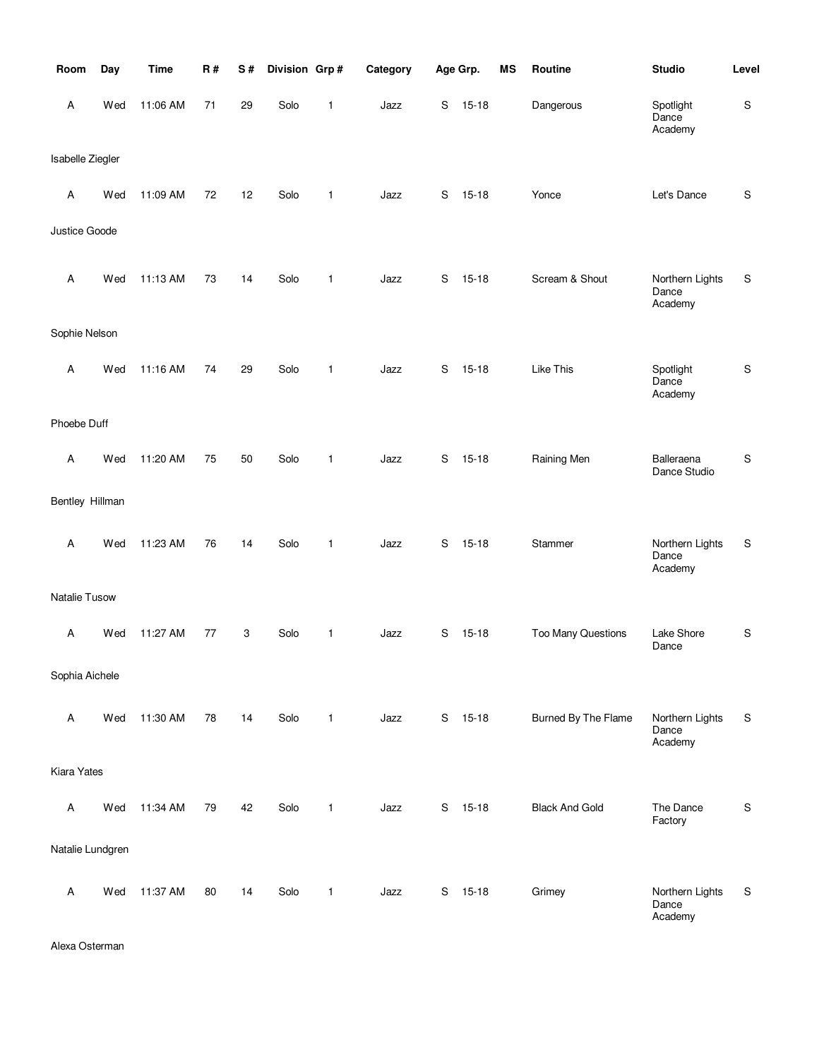| Room             | Day | <b>Time</b> | <b>R#</b> | S# | Division Grp# |              | Category |   | Age Grp.  | <b>MS</b> | Routine               | <b>Studio</b>                       | Level       |
|------------------|-----|-------------|-----------|----|---------------|--------------|----------|---|-----------|-----------|-----------------------|-------------------------------------|-------------|
| Α                | Wed | 11:06 AM    | 71        | 29 | Solo          | 1            | Jazz     | S | $15 - 18$ |           | Dangerous             | Spotlight<br>Dance<br>Academy       | $\mathsf S$ |
| Isabelle Ziegler |     |             |           |    |               |              |          |   |           |           |                       |                                     |             |
| Α                | Wed | 11:09 AM    | 72        | 12 | Solo          | 1            | Jazz     | S | $15 - 18$ |           | Yonce                 | Let's Dance                         | $\mathsf S$ |
| Justice Goode    |     |             |           |    |               |              |          |   |           |           |                       |                                     |             |
| Α                | Wed | 11:13 AM    | 73        | 14 | Solo          | $\mathbf{1}$ | Jazz     | S | $15 - 18$ |           | Scream & Shout        | Northern Lights<br>Dance<br>Academy | ${\sf S}$   |
| Sophie Nelson    |     |             |           |    |               |              |          |   |           |           |                       |                                     |             |
| A                | Wed | 11:16 AM    | 74        | 29 | Solo          | $\mathbf{1}$ | Jazz     | S | $15 - 18$ |           | Like This             | Spotlight<br>Dance<br>Academy       | ${\sf S}$   |
| Phoebe Duff      |     |             |           |    |               |              |          |   |           |           |                       |                                     |             |
| Α                | Wed | 11:20 AM    | 75        | 50 | Solo          | $\mathbf{1}$ | Jazz     | S | $15 - 18$ |           | Raining Men           | Balleraena<br>Dance Studio          | $\mathbb S$ |
| Bentley Hillman  |     |             |           |    |               |              |          |   |           |           |                       |                                     |             |
| Α                | Wed | 11:23 AM    | 76        | 14 | Solo          | $\mathbf{1}$ | Jazz     | S | $15 - 18$ |           | Stammer               | Northern Lights<br>Dance<br>Academy | ${\sf S}$   |
| Natalie Tusow    |     |             |           |    |               |              |          |   |           |           |                       |                                     |             |
| Α                | Wed | 11:27 AM    | 77        | 3  | Solo          | 1            | Jazz     | S | $15 - 18$ |           | Too Many Questions    | Lake Shore<br>Dance                 | ${\sf S}$   |
| Sophia Aichele   |     |             |           |    |               |              |          |   |           |           |                       |                                     |             |
| Α                | Wed | 11:30 AM    | 78        | 14 | Solo          | $\mathbf{1}$ | Jazz     | S | $15 - 18$ |           | Burned By The Flame   | Northern Lights<br>Dance<br>Academy | S           |
| Kiara Yates      |     |             |           |    |               |              |          |   |           |           |                       |                                     |             |
| A                | Wed | 11:34 AM    | 79        | 42 | Solo          | $\mathbf{1}$ | Jazz     | S | $15 - 18$ |           | <b>Black And Gold</b> | The Dance<br>Factory                | ${\sf S}$   |
| Natalie Lundgren |     |             |           |    |               |              |          |   |           |           |                       |                                     |             |
| $\mathsf A$      | Wed | 11:37 AM    | 80        | 14 | Solo          | $\mathbf{1}$ | Jazz     | S | $15 - 18$ |           | Grimey                | Northern Lights<br>Dance<br>Academy | ${\sf S}$   |

Alexa Osterman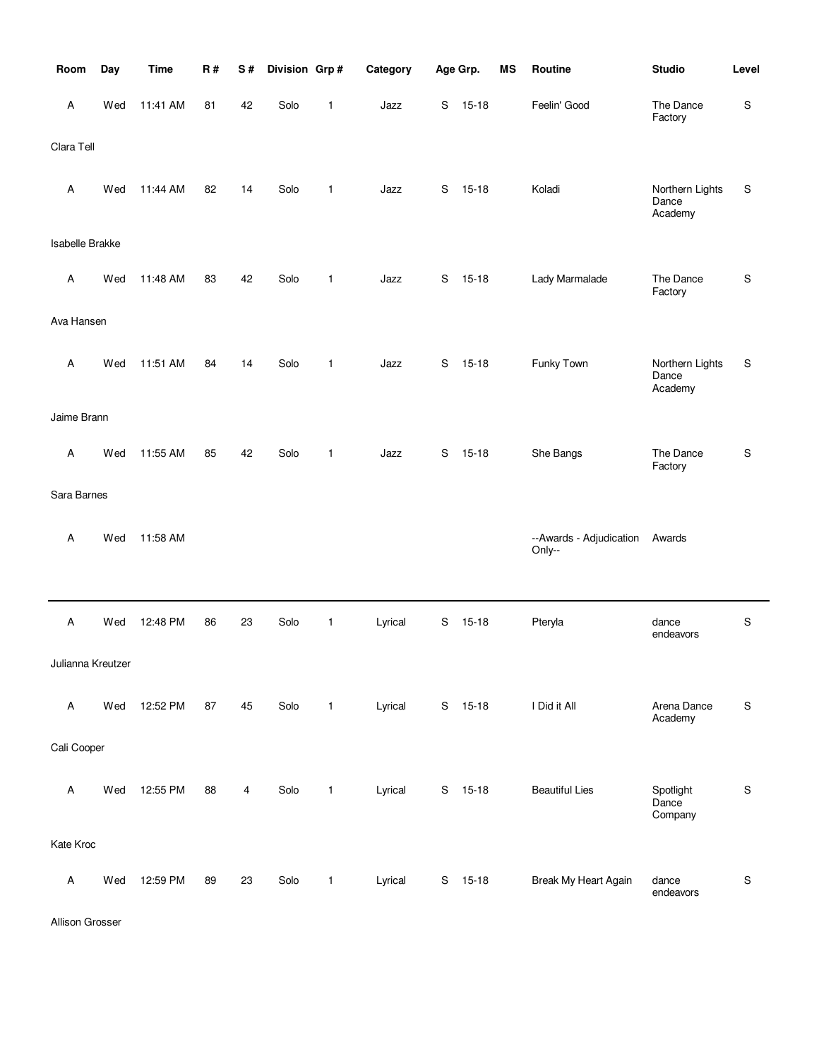| Room              | Day | <b>Time</b> | R# | $\mathbf S$ # | Division Grp# |              | Category |   | Age Grp.  | <b>MS</b> | Routine                           | <b>Studio</b>                       | Level       |
|-------------------|-----|-------------|----|---------------|---------------|--------------|----------|---|-----------|-----------|-----------------------------------|-------------------------------------|-------------|
| Α                 | Wed | 11:41 AM    | 81 | 42            | Solo          | 1            | Jazz     | S | $15 - 18$ |           | Feelin' Good                      | The Dance<br>Factory                | S           |
| Clara Tell        |     |             |    |               |               |              |          |   |           |           |                                   |                                     |             |
| Α                 | Wed | 11:44 AM    | 82 | 14            | Solo          | $\mathbf{1}$ | Jazz     | S | $15 - 18$ |           | Koladi                            | Northern Lights<br>Dance<br>Academy | S           |
| Isabelle Brakke   |     |             |    |               |               |              |          |   |           |           |                                   |                                     |             |
| Α                 | Wed | 11:48 AM    | 83 | 42            | Solo          | $\mathbf{1}$ | Jazz     | S | $15 - 18$ |           | Lady Marmalade                    | The Dance<br>Factory                | S           |
| Ava Hansen        |     |             |    |               |               |              |          |   |           |           |                                   |                                     |             |
| Α                 | Wed | 11:51 AM    | 84 | 14            | Solo          | $\mathbf{1}$ | Jazz     | S | $15 - 18$ |           | Funky Town                        | Northern Lights<br>Dance<br>Academy | S           |
| Jaime Brann       |     |             |    |               |               |              |          |   |           |           |                                   |                                     |             |
| Α                 | Wed | 11:55 AM    | 85 | 42            | Solo          | $\mathbf{1}$ | Jazz     | S | $15 - 18$ |           | She Bangs                         | The Dance<br>Factory                | $\mathsf S$ |
| Sara Barnes       |     |             |    |               |               |              |          |   |           |           |                                   |                                     |             |
| Α                 | Wed | 11:58 AM    |    |               |               |              |          |   |           |           | --Awards - Adjudication<br>Only-- | Awards                              |             |
|                   |     |             |    |               |               |              |          |   |           |           |                                   |                                     |             |
| Α                 | Wed | 12:48 PM    | 86 | 23            | Solo          | $\mathbf{1}$ | Lyrical  | S | $15 - 18$ |           | Pteryla                           | dance<br>endeavors                  | S           |
| Julianna Kreutzer |     |             |    |               |               |              |          |   |           |           |                                   |                                     |             |
| A                 | Wed | 12:52 PM    | 87 | 45            | Solo          | $\mathbf{1}$ | Lyrical  |   | S 15-18   |           | I Did it All                      | Arena Dance<br>Academy              | S           |
| Cali Cooper       |     |             |    |               |               |              |          |   |           |           |                                   |                                     |             |
| Α                 | Wed | 12:55 PM    | 88 | 4             | Solo          | $\mathbf{1}$ | Lyrical  | S | $15 - 18$ |           | <b>Beautiful Lies</b>             | Spotlight<br>Dance<br>Company       | ${\sf S}$   |
| Kate Kroc         |     |             |    |               |               |              |          |   |           |           |                                   |                                     |             |
| Α                 | Wed | 12:59 PM    | 89 | 23            | Solo          | $\mathbf{1}$ | Lyrical  | S | $15 - 18$ |           | Break My Heart Again              | dance<br>endeavors                  | ${\sf S}$   |

Allison Grosser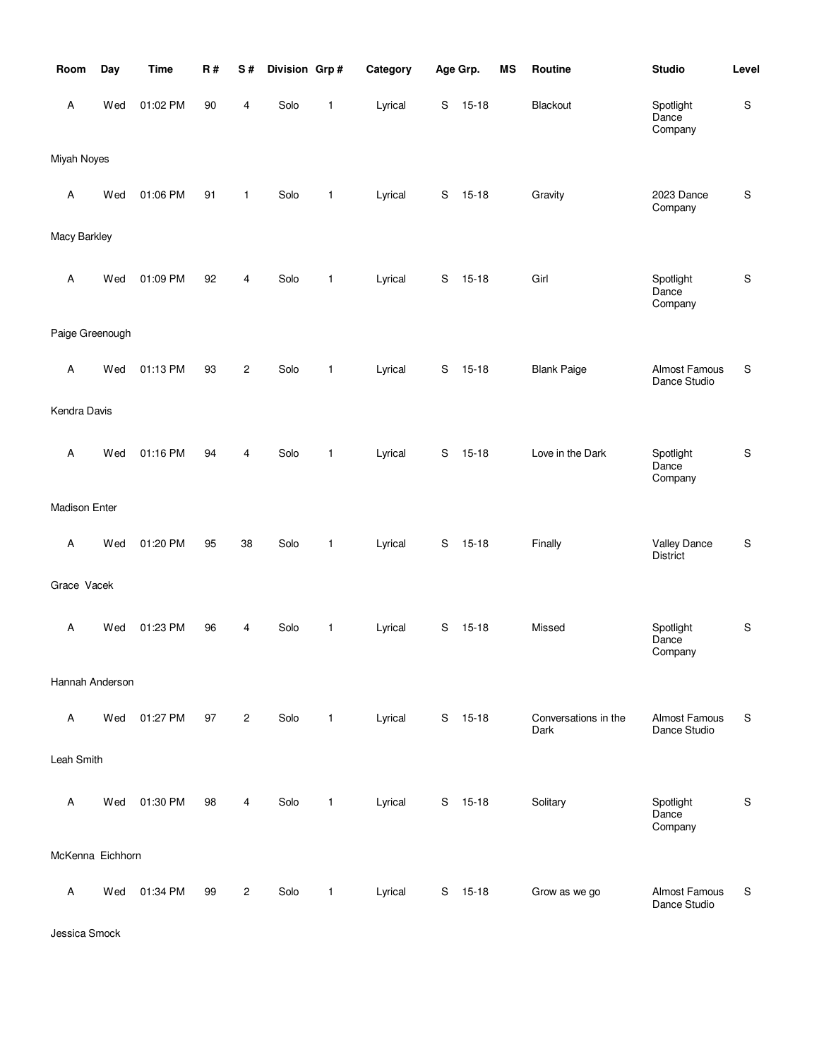| Room                 | Day | <b>Time</b> | R# | S#             | Division Grp# |              | Category |             | Age Grp.  | <b>MS</b> | Routine                      | <b>Studio</b>                 | Level       |
|----------------------|-----|-------------|----|----------------|---------------|--------------|----------|-------------|-----------|-----------|------------------------------|-------------------------------|-------------|
| Α                    | Wed | 01:02 PM    | 90 | 4              | Solo          | 1            | Lyrical  | S           | $15 - 18$ |           | Blackout                     | Spotlight<br>Dance<br>Company | ${\sf S}$   |
| Miyah Noyes          |     |             |    |                |               |              |          |             |           |           |                              |                               |             |
| Α                    | Wed | 01:06 PM    | 91 | $\mathbf{1}$   | Solo          | $\mathbf{1}$ | Lyrical  | S           | $15 - 18$ |           | Gravity                      | 2023 Dance<br>Company         | ${\sf S}$   |
| Macy Barkley         |     |             |    |                |               |              |          |             |           |           |                              |                               |             |
| Α                    | Wed | 01:09 PM    | 92 | 4              | Solo          | $\mathbf{1}$ | Lyrical  | S           | $15 - 18$ |           | Girl                         | Spotlight<br>Dance<br>Company | ${\sf S}$   |
| Paige Greenough      |     |             |    |                |               |              |          |             |           |           |                              |                               |             |
| Α                    | Wed | 01:13 PM    | 93 | $\overline{c}$ | Solo          | $\mathbf{1}$ | Lyrical  | $\mathbf S$ | $15 - 18$ |           | <b>Blank Paige</b>           | Almost Famous<br>Dance Studio | S           |
| Kendra Davis         |     |             |    |                |               |              |          |             |           |           |                              |                               |             |
| A                    | Wed | 01:16 PM    | 94 | 4              | Solo          | 1            | Lyrical  | S           | $15 - 18$ |           | Love in the Dark             | Spotlight<br>Dance<br>Company | ${\sf S}$   |
| <b>Madison Enter</b> |     |             |    |                |               |              |          |             |           |           |                              |                               |             |
| Α                    | Wed | 01:20 PM    | 95 | 38             | Solo          | $\mathbf{1}$ | Lyrical  | S           | $15 - 18$ |           | Finally                      | Valley Dance<br>District      | $\mathsf S$ |
| Grace Vacek          |     |             |    |                |               |              |          |             |           |           |                              |                               |             |
| Α                    | Wed | 01:23 PM    | 96 | 4              | Solo          | $\mathbf{1}$ | Lyrical  | S           | $15 - 18$ |           | Missed                       | Spotlight<br>Dance<br>Company | $\mathsf S$ |
| Hannah Anderson      |     |             |    |                |               |              |          |             |           |           |                              |                               |             |
| Α                    | Wed | 01:27 PM    | 97 | $\overline{2}$ | Solo          | $\mathbf{1}$ | Lyrical  | S           | $15 - 18$ |           | Conversations in the<br>Dark | Almost Famous<br>Dance Studio | S           |
| Leah Smith           |     |             |    |                |               |              |          |             |           |           |                              |                               |             |
| Α                    | Wed | 01:30 PM    | 98 | 4              | Solo          | $\mathbf{1}$ | Lyrical  | S           | $15 - 18$ |           | Solitary                     | Spotlight<br>Dance<br>Company | ${\sf S}$   |
| McKenna Eichhorn     |     |             |    |                |               |              |          |             |           |           |                              |                               |             |
| Α                    | Wed | 01:34 PM    | 99 | $\overline{c}$ | Solo          | 1            | Lyrical  |             | S 15-18   |           | Grow as we go                | Almost Famous<br>Dance Studio | S           |

Jessica Smock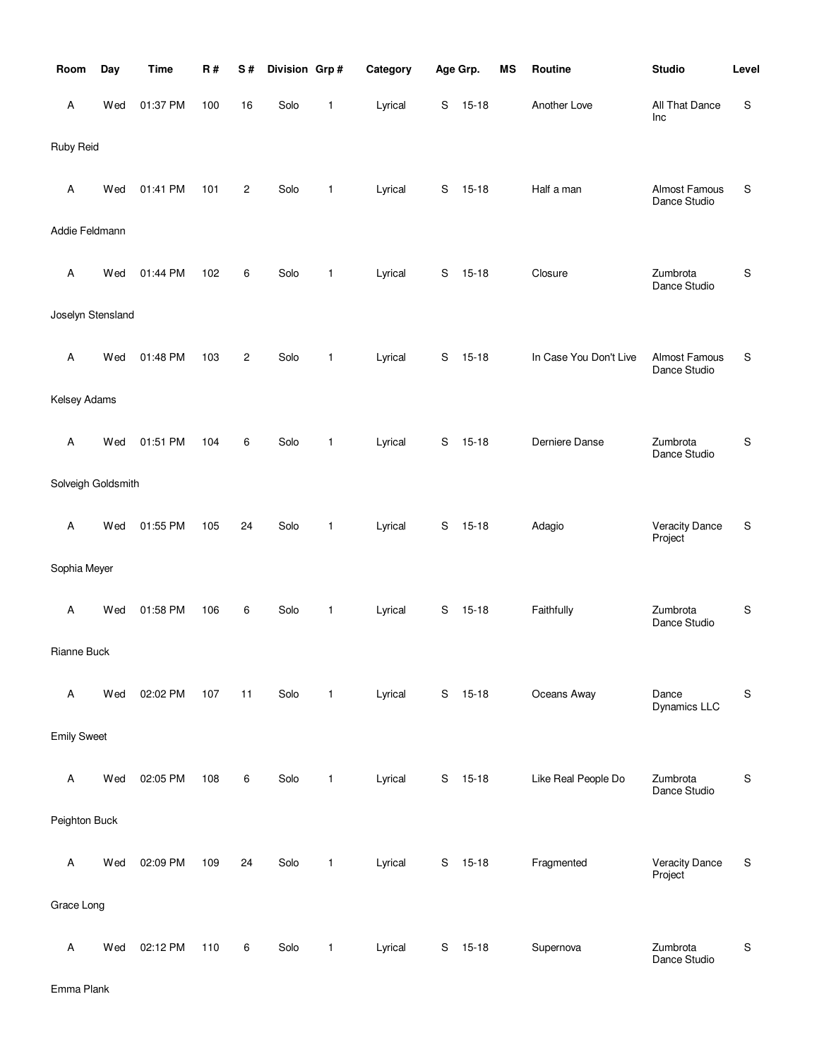| Room               | Day | <b>Time</b> | <b>R#</b> | S#             | Division Grp# |              | Category |             | Age Grp.  | MS | Routine                | <b>Studio</b>                        | Level       |
|--------------------|-----|-------------|-----------|----------------|---------------|--------------|----------|-------------|-----------|----|------------------------|--------------------------------------|-------------|
| Α                  | Wed | 01:37 PM    | 100       | 16             | Solo          | 1            | Lyrical  | S           | $15 - 18$ |    | Another Love           | All That Dance<br>Inc                | S           |
| Ruby Reid          |     |             |           |                |               |              |          |             |           |    |                        |                                      |             |
| Α                  | Wed | 01:41 PM    | 101       | $\overline{c}$ | Solo          | 1            | Lyrical  | $\mathbb S$ | $15 - 18$ |    | Half a man             | Almost Famous<br>Dance Studio        | S           |
| Addie Feldmann     |     |             |           |                |               |              |          |             |           |    |                        |                                      |             |
| A                  | Wed | 01:44 PM    | 102       | 6              | Solo          | 1            | Lyrical  | S           | $15 - 18$ |    | Closure                | Zumbrota<br>Dance Studio             | S           |
| Joselyn Stensland  |     |             |           |                |               |              |          |             |           |    |                        |                                      |             |
| Α                  | Wed | 01:48 PM    | 103       | $\overline{c}$ | Solo          | 1            | Lyrical  | S           | $15 - 18$ |    | In Case You Don't Live | <b>Almost Famous</b><br>Dance Studio | S           |
| Kelsey Adams       |     |             |           |                |               |              |          |             |           |    |                        |                                      |             |
| Α                  | Wed | 01:51 PM    | 104       | 6              | Solo          | 1            | Lyrical  | S           | $15 - 18$ |    | Derniere Danse         | Zumbrota<br>Dance Studio             | S           |
| Solveigh Goldsmith |     |             |           |                |               |              |          |             |           |    |                        |                                      |             |
| Α                  | Wed | 01:55 PM    | 105       | 24             | Solo          | $\mathbf{1}$ | Lyrical  | $\mathbb S$ | $15 - 18$ |    | Adagio                 | <b>Veracity Dance</b><br>Project     | S           |
| Sophia Meyer       |     |             |           |                |               |              |          |             |           |    |                        |                                      |             |
| A                  | Wed | 01:58 PM    | 106       | 6              | Solo          | 1            | Lyrical  | S           | $15 - 18$ |    | Faithfully             | Zumbrota<br>Dance Studio             | S           |
| Rianne Buck        |     |             |           |                |               |              |          |             |           |    |                        |                                      |             |
| Α                  | Wed | 02:02 PM    | 107       | 11             | Solo          | $\mathbf{1}$ | Lyrical  | $\mathbf S$ | $15 - 18$ |    | Oceans Away            | Dance<br>Dynamics LLC                | S           |
| <b>Emily Sweet</b> |     |             |           |                |               |              |          |             |           |    |                        |                                      |             |
| Α                  | Wed | 02:05 PM    | 108       | 6              | Solo          | $\mathbf{1}$ | Lyrical  | S           | $15 - 18$ |    | Like Real People Do    | Zumbrota<br>Dance Studio             | S           |
| Peighton Buck      |     |             |           |                |               |              |          |             |           |    |                        |                                      |             |
| Α                  | Wed | 02:09 PM    | 109       | 24             | Solo          | 1            | Lyrical  | S           | $15 - 18$ |    | Fragmented             | <b>Veracity Dance</b><br>Project     | S           |
| Grace Long         |     |             |           |                |               |              |          |             |           |    |                        |                                      |             |
| A                  | Wed | 02:12 PM    | 110       | 6              | Solo          | 1            | Lyrical  | S           | $15 - 18$ |    | Supernova              | Zumbrota<br>Dance Studio             | $\mathbb S$ |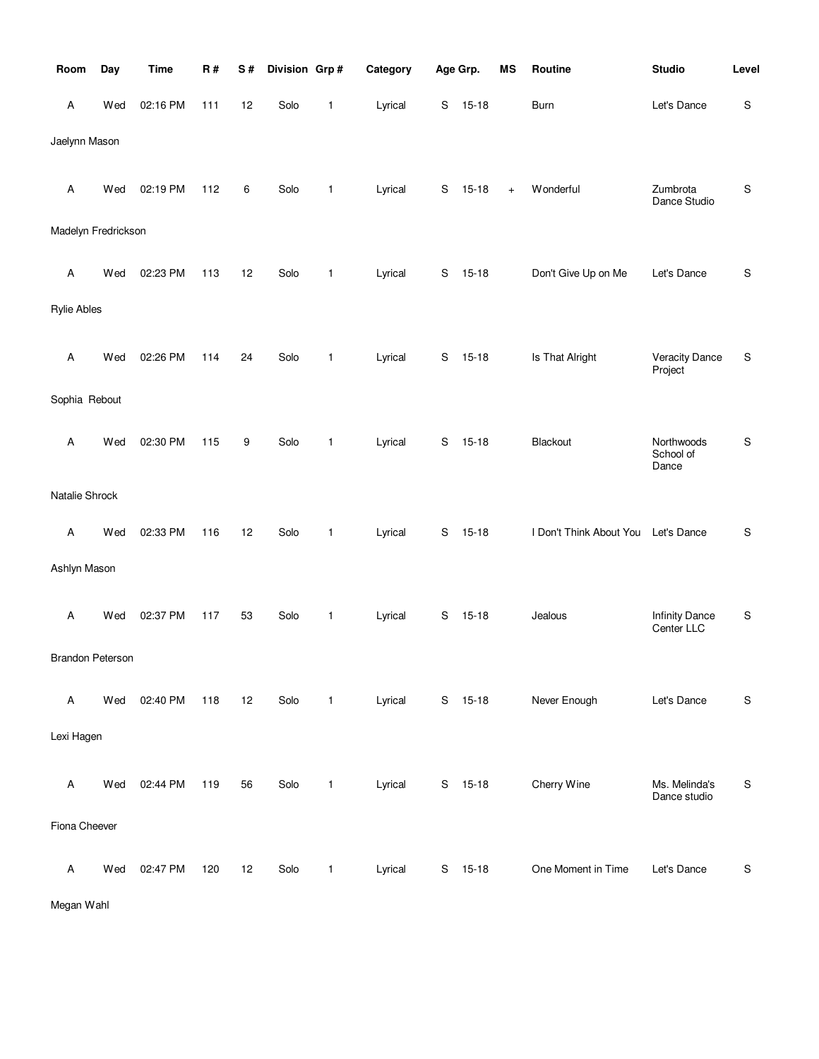| Room                    | Day | <b>Time</b> | R#  | S# | Division Grp# |              | Category |             | Age Grp.  | <b>MS</b> | Routine                 | <b>Studio</b>                       | Level         |
|-------------------------|-----|-------------|-----|----|---------------|--------------|----------|-------------|-----------|-----------|-------------------------|-------------------------------------|---------------|
| Α                       | Wed | 02:16 PM    | 111 | 12 | Solo          | 1            | Lyrical  | S           | $15 - 18$ |           | Burn                    | Let's Dance                         | ${\mathsf S}$ |
| Jaelynn Mason           |     |             |     |    |               |              |          |             |           |           |                         |                                     |               |
| Α                       | Wed | 02:19 PM    | 112 | 6  | Solo          | 1            | Lyrical  | S           | $15 - 18$ | $\ddot{}$ | Wonderful               | Zumbrota<br>Dance Studio            | $\mathsf S$   |
| Madelyn Fredrickson     |     |             |     |    |               |              |          |             |           |           |                         |                                     |               |
| Α                       | Wed | 02:23 PM    | 113 | 12 | Solo          | $\mathbf{1}$ | Lyrical  | S           | $15 - 18$ |           | Don't Give Up on Me     | Let's Dance                         | $\mathsf S$   |
| <b>Rylie Ables</b>      |     |             |     |    |               |              |          |             |           |           |                         |                                     |               |
| Α                       | Wed | 02:26 PM    | 114 | 24 | Solo          | 1            | Lyrical  | S           | $15 - 18$ |           | Is That Alright         | Veracity Dance<br>Project           | S             |
| Sophia Rebout           |     |             |     |    |               |              |          |             |           |           |                         |                                     |               |
| Α                       | Wed | 02:30 PM    | 115 | 9  | Solo          | 1            | Lyrical  | S           | $15 - 18$ |           | Blackout                | Northwoods<br>School of<br>Dance    | $\mathsf S$   |
| Natalie Shrock          |     |             |     |    |               |              |          |             |           |           |                         |                                     |               |
| A                       | Wed | 02:33 PM    | 116 | 12 | Solo          | 1            | Lyrical  | S           | $15 - 18$ |           | I Don't Think About You | Let's Dance                         | ${\sf S}$     |
| Ashlyn Mason            |     |             |     |    |               |              |          |             |           |           |                         |                                     |               |
| Α                       | Wed | 02:37 PM    | 117 | 53 | Solo          | 1            | Lyrical  | S           | $15 - 18$ |           | Jealous                 | <b>Infinity Dance</b><br>Center LLC | $\mathbb S$   |
| <b>Brandon Peterson</b> |     |             |     |    |               |              |          |             |           |           |                         |                                     |               |
| A                       | Wed | 02:40 PM    | 118 | 12 | Solo          | $\mathbf{1}$ | Lyrical  | S           | $15 - 18$ |           | Never Enough            | Let's Dance                         | $\mathsf S$   |
| Lexi Hagen              |     |             |     |    |               |              |          |             |           |           |                         |                                     |               |
| Α                       | Wed | 02:44 PM    | 119 | 56 | Solo          | $\mathbf{1}$ | Lyrical  | $\mathbf S$ | $15 - 18$ |           | Cherry Wine             | Ms. Melinda's<br>Dance studio       | S             |
| Fiona Cheever           |     |             |     |    |               |              |          |             |           |           |                         |                                     |               |
| A                       | Wed | 02:47 PM    | 120 | 12 | Solo          | 1            | Lyrical  | S           | $15 - 18$ |           | One Moment in Time      | Let's Dance                         | $\mathsf S$   |

Megan Wahl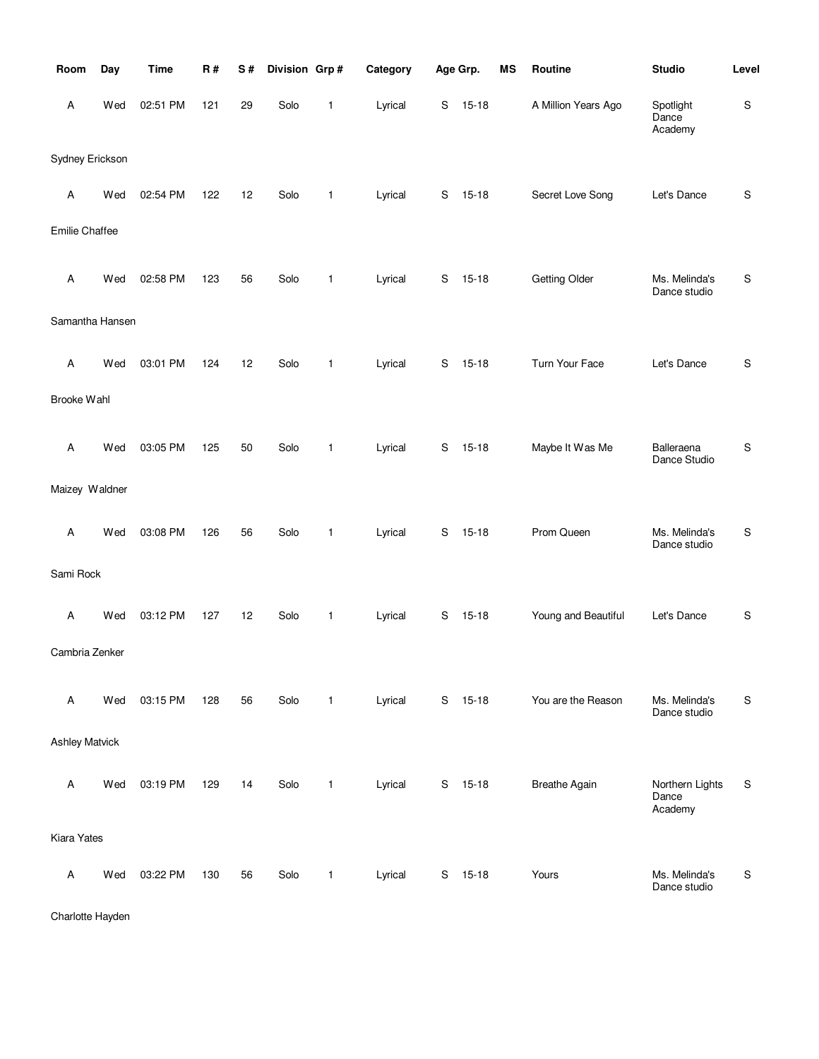| Room                  | Day | <b>Time</b> | <b>R#</b> | S# | Division Grp# |              | Category |   | Age Grp.  | <b>MS</b> | Routine              | <b>Studio</b>                       | Level         |
|-----------------------|-----|-------------|-----------|----|---------------|--------------|----------|---|-----------|-----------|----------------------|-------------------------------------|---------------|
| Α                     | Wed | 02:51 PM    | 121       | 29 | Solo          | 1            | Lyrical  | S | $15 - 18$ |           | A Million Years Ago  | Spotlight<br>Dance<br>Academy       | ${\sf S}$     |
| Sydney Erickson       |     |             |           |    |               |              |          |   |           |           |                      |                                     |               |
| Α                     | Wed | 02:54 PM    | 122       | 12 | Solo          | 1            | Lyrical  | S | $15 - 18$ |           | Secret Love Song     | Let's Dance                         | $\mathsf S$   |
| Emilie Chaffee        |     |             |           |    |               |              |          |   |           |           |                      |                                     |               |
| Α                     | Wed | 02:58 PM    | 123       | 56 | Solo          | 1            | Lyrical  | S | $15 - 18$ |           | <b>Getting Older</b> | Ms. Melinda's<br>Dance studio       | S             |
| Samantha Hansen       |     |             |           |    |               |              |          |   |           |           |                      |                                     |               |
| Α                     | Wed | 03:01 PM    | 124       | 12 | Solo          | 1            | Lyrical  | S | $15 - 18$ |           | Turn Your Face       | Let's Dance                         | S             |
| Brooke Wahl           |     |             |           |    |               |              |          |   |           |           |                      |                                     |               |
| Α                     | Wed | 03:05 PM    | 125       | 50 | Solo          | 1            | Lyrical  | S | $15 - 18$ |           | Maybe It Was Me      | Balleraena<br>Dance Studio          | S             |
| Maizey Waldner        |     |             |           |    |               |              |          |   |           |           |                      |                                     |               |
| Α                     | Wed | 03:08 PM    | 126       | 56 | Solo          | 1            | Lyrical  | S | $15 - 18$ |           | Prom Queen           | Ms. Melinda's<br>Dance studio       | ${\mathbb S}$ |
| Sami Rock             |     |             |           |    |               |              |          |   |           |           |                      |                                     |               |
| Α                     | Wed | 03:12 PM    | 127       | 12 | Solo          | 1            | Lyrical  | S | $15 - 18$ |           | Young and Beautiful  | Let's Dance                         | S             |
| Cambria Zenker        |     |             |           |    |               |              |          |   |           |           |                      |                                     |               |
| Α                     | Wed | 03:15 PM    | 128       | 56 | Solo          | $\mathbf{1}$ | Lyrical  | S | $15 - 18$ |           | You are the Reason   | Ms. Melinda's<br>Dance studio       | S             |
| <b>Ashley Matvick</b> |     |             |           |    |               |              |          |   |           |           |                      |                                     |               |
| Α                     | Wed | 03:19 PM    | 129       | 14 | Solo          | 1            | Lyrical  | S | $15 - 18$ |           | <b>Breathe Again</b> | Northern Lights<br>Dance<br>Academy | S             |
| Kiara Yates           |     |             |           |    |               |              |          |   |           |           |                      |                                     |               |
| Α                     | Wed | 03:22 PM    | 130       | 56 | Solo          | 1            | Lyrical  | S | $15 - 18$ |           | Yours                | Ms. Melinda's<br>Dance studio       | $\mathsf S$   |

Charlotte Hayden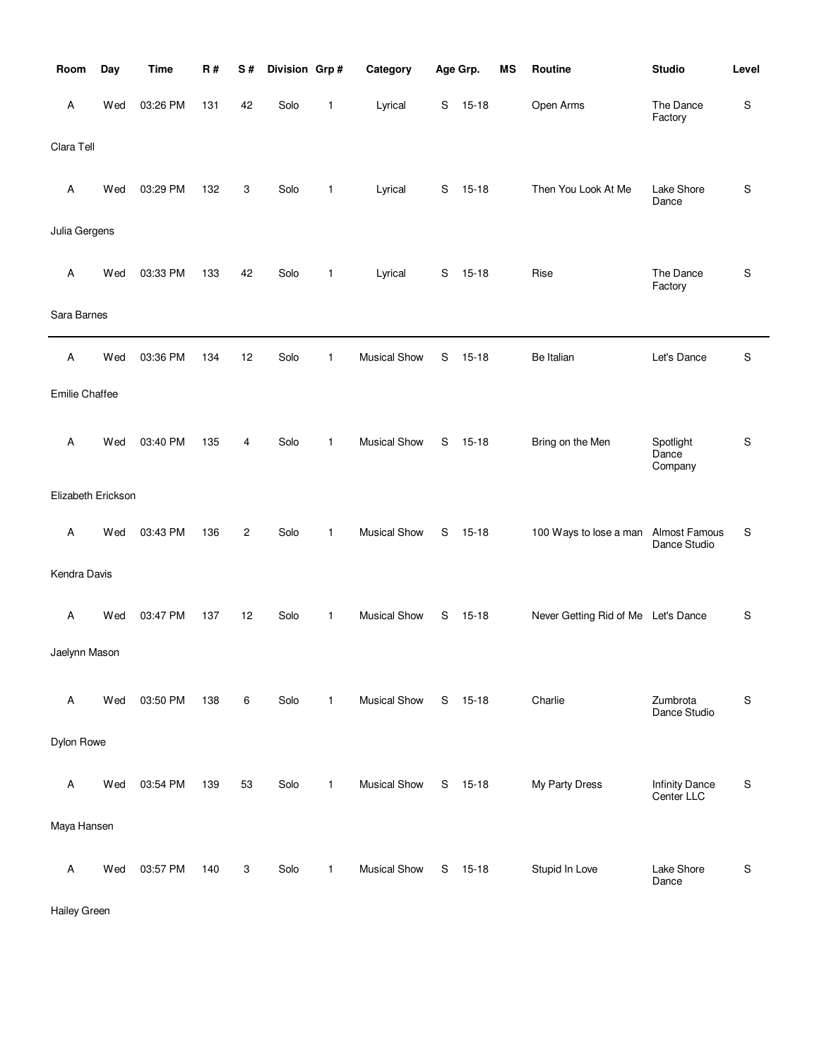| Room               | Day | <b>Time</b> | R#  | S# | Division Grp# |              | Category            |   | Age Grp.  | <b>MS</b> | Routine                             | <b>Studio</b>                       | Level |
|--------------------|-----|-------------|-----|----|---------------|--------------|---------------------|---|-----------|-----------|-------------------------------------|-------------------------------------|-------|
| Α                  | Wed | 03:26 PM    | 131 | 42 | Solo          | 1            | Lyrical             | S | $15 - 18$ |           | Open Arms                           | The Dance<br>Factory                | S     |
| Clara Tell         |     |             |     |    |               |              |                     |   |           |           |                                     |                                     |       |
| Α                  | Wed | 03:29 PM    | 132 | 3  | Solo          | 1            | Lyrical             | S | $15 - 18$ |           | Then You Look At Me                 | Lake Shore<br>Dance                 | S     |
| Julia Gergens      |     |             |     |    |               |              |                     |   |           |           |                                     |                                     |       |
| Α                  | Wed | 03:33 PM    | 133 | 42 | Solo          | 1            | Lyrical             | S | $15 - 18$ |           | Rise                                | The Dance<br>Factory                | S     |
| Sara Barnes        |     |             |     |    |               |              |                     |   |           |           |                                     |                                     |       |
| Α                  | Wed | 03:36 PM    | 134 | 12 | Solo          | 1            | <b>Musical Show</b> | S | $15 - 18$ |           | Be Italian                          | Let's Dance                         | S     |
| Emilie Chaffee     |     |             |     |    |               |              |                     |   |           |           |                                     |                                     |       |
| A                  | Wed | 03:40 PM    | 135 | 4  | Solo          | $\mathbf{1}$ | <b>Musical Show</b> | S | $15 - 18$ |           | Bring on the Men                    | Spotlight<br>Dance<br>Company       | S     |
| Elizabeth Erickson |     |             |     |    |               |              |                     |   |           |           |                                     |                                     |       |
| Α                  | Wed | 03:43 PM    | 136 | 2  | Solo          | 1            | <b>Musical Show</b> | S | $15 - 18$ |           | 100 Ways to lose a man              | Almost Famous<br>Dance Studio       | S     |
| Kendra Davis       |     |             |     |    |               |              |                     |   |           |           |                                     |                                     |       |
| Α                  | Wed | 03:47 PM    | 137 | 12 | Solo          | 1            | <b>Musical Show</b> | S | $15 - 18$ |           | Never Getting Rid of Me Let's Dance |                                     | S     |
| Jaelynn Mason      |     |             |     |    |               |              |                     |   |           |           |                                     |                                     |       |
| Α                  | Wed | 03:50 PM    | 138 | 6  | Solo          | $\mathbf{1}$ | <b>Musical Show</b> | S | $15 - 18$ |           | Charlie                             | Zumbrota<br>Dance Studio            | S     |
| Dylon Rowe         |     |             |     |    |               |              |                     |   |           |           |                                     |                                     |       |
| Α                  | Wed | 03:54 PM    | 139 | 53 | Solo          | 1            | <b>Musical Show</b> | S | $15 - 18$ |           | My Party Dress                      | <b>Infinity Dance</b><br>Center LLC | S     |
| Maya Hansen        |     |             |     |    |               |              |                     |   |           |           |                                     |                                     |       |
| Α                  | Wed | 03:57 PM    | 140 | 3  | Solo          | 1            | <b>Musical Show</b> | S | $15 - 18$ |           | Stupid In Love                      | Lake Shore<br>Dance                 | S     |

Hailey Green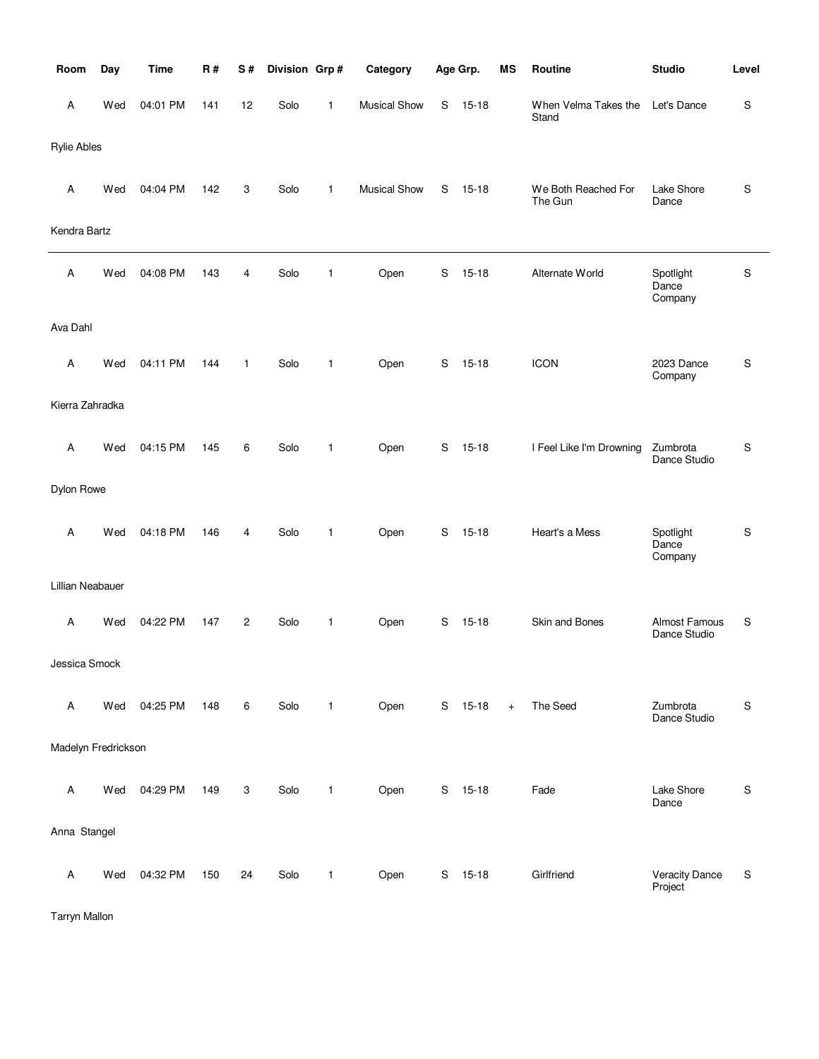| Room                | Day | <b>Time</b> | R#  | S#             | Division Grp# |              | Category            |   | Age Grp.  | <b>MS</b> | Routine                        | <b>Studio</b>                    | Level       |
|---------------------|-----|-------------|-----|----------------|---------------|--------------|---------------------|---|-----------|-----------|--------------------------------|----------------------------------|-------------|
| A                   | Wed | 04:01 PM    | 141 | 12             | Solo          | 1            | <b>Musical Show</b> | S | $15 - 18$ |           | When Velma Takes the<br>Stand  | Let's Dance                      | S           |
| <b>Rylie Ables</b>  |     |             |     |                |               |              |                     |   |           |           |                                |                                  |             |
| Α                   | Wed | 04:04 PM    | 142 | 3              | Solo          | $\mathbf{1}$ | <b>Musical Show</b> | S | $15 - 18$ |           | We Both Reached For<br>The Gun | Lake Shore<br>Dance              | S           |
| Kendra Bartz        |     |             |     |                |               |              |                     |   |           |           |                                |                                  |             |
| A                   | Wed | 04:08 PM    | 143 | 4              | Solo          | 1            | Open                | S | $15 - 18$ |           | Alternate World                | Spotlight<br>Dance<br>Company    | S           |
| Ava Dahl            |     |             |     |                |               |              |                     |   |           |           |                                |                                  |             |
| A                   | Wed | 04:11 PM    | 144 | $\mathbf{1}$   | Solo          | 1            | Open                | S | $15 - 18$ |           | <b>ICON</b>                    | 2023 Dance<br>Company            | S           |
| Kierra Zahradka     |     |             |     |                |               |              |                     |   |           |           |                                |                                  |             |
| A                   | Wed | 04:15 PM    | 145 | 6              | Solo          | 1            | Open                | S | $15 - 18$ |           | I Feel Like I'm Drowning       | Zumbrota<br>Dance Studio         | S           |
| Dylon Rowe          |     |             |     |                |               |              |                     |   |           |           |                                |                                  |             |
| Α                   | Wed | 04:18 PM    | 146 | 4              | Solo          | 1            | Open                | S | $15 - 18$ |           | Heart's a Mess                 | Spotlight<br>Dance<br>Company    | S           |
| Lillian Neabauer    |     |             |     |                |               |              |                     |   |           |           |                                |                                  |             |
| Α                   | Wed | 04:22 PM    | 147 | $\overline{c}$ | Solo          | $\mathbf{1}$ | Open                | S | $15 - 18$ |           | Skin and Bones                 | Almost Famous<br>Dance Studio    | S           |
| Jessica Smock       |     |             |     |                |               |              |                     |   |           |           |                                |                                  |             |
| Α                   | Wed | 04:25 PM    | 148 | 6              | Solo          | $\mathbf{1}$ | Open                |   | S 15-18   | $+$       | The Seed                       | Zumbrota<br>Dance Studio         | S           |
| Madelyn Fredrickson |     |             |     |                |               |              |                     |   |           |           |                                |                                  |             |
| Α                   | Wed | 04:29 PM    | 149 | 3              | Solo          | $\mathbf{1}$ | Open                |   | S 15-18   |           | Fade                           | Lake Shore<br>Dance              | $\mathbf S$ |
| Anna Stangel        |     |             |     |                |               |              |                     |   |           |           |                                |                                  |             |
| Α                   | Wed | 04:32 PM    | 150 | 24             | Solo          | 1            | Open                |   | S 15-18   |           | Girlfriend                     | <b>Veracity Dance</b><br>Project | S           |

Tarryn Mallon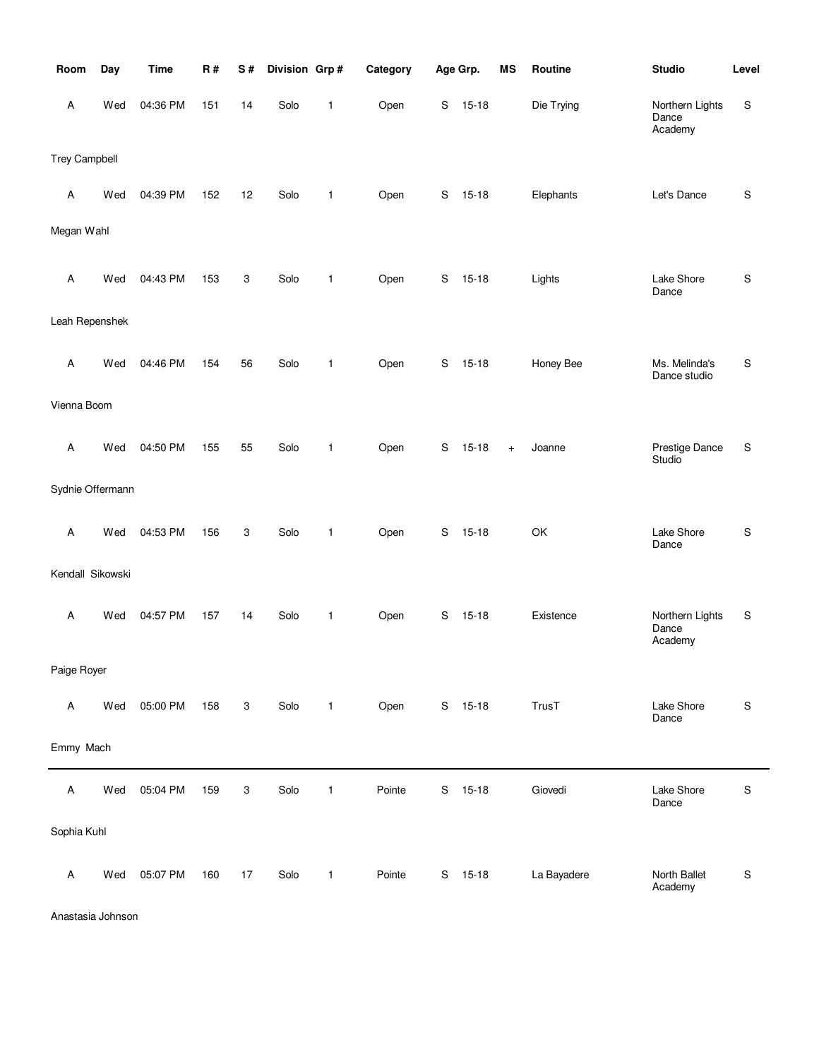| Room                 | Day | <b>Time</b> | R#  | S#                        | Division Grp# |              | Category |             | Age Grp.  | <b>MS</b> | Routine     | <b>Studio</b>                       | Level       |
|----------------------|-----|-------------|-----|---------------------------|---------------|--------------|----------|-------------|-----------|-----------|-------------|-------------------------------------|-------------|
| Α                    | Wed | 04:36 PM    | 151 | 14                        | Solo          | $\mathbf{1}$ | Open     | S           | $15 - 18$ |           | Die Trying  | Northern Lights<br>Dance<br>Academy | S           |
| <b>Trey Campbell</b> |     |             |     |                           |               |              |          |             |           |           |             |                                     |             |
| Α                    | Wed | 04:39 PM    | 152 | 12                        | Solo          | $\mathbf{1}$ | Open     | S           | $15 - 18$ |           | Elephants   | Let's Dance                         | S           |
| Megan Wahl           |     |             |     |                           |               |              |          |             |           |           |             |                                     |             |
| Α                    | Wed | 04:43 PM    | 153 | 3                         | Solo          | $\mathbf{1}$ | Open     | S           | $15 - 18$ |           | Lights      | Lake Shore<br>Dance                 | S           |
| Leah Repenshek       |     |             |     |                           |               |              |          |             |           |           |             |                                     |             |
| Α                    | Wed | 04:46 PM    | 154 | 56                        | Solo          | $\mathbf{1}$ | Open     | S           | $15 - 18$ |           | Honey Bee   | Ms. Melinda's<br>Dance studio       | S           |
| Vienna Boom          |     |             |     |                           |               |              |          |             |           |           |             |                                     |             |
| A                    | Wed | 04:50 PM    | 155 | 55                        | Solo          | $\mathbf{1}$ | Open     | S           | $15 - 18$ | $+$       | Joanne      | Prestige Dance<br>Studio            | S           |
| Sydnie Offermann     |     |             |     |                           |               |              |          |             |           |           |             |                                     |             |
| Α                    | Wed | 04:53 PM    | 156 | 3                         | Solo          | $\mathbf{1}$ | Open     | S           | $15 - 18$ |           | OK          | Lake Shore<br>Dance                 | ${\sf S}$   |
| Kendall Sikowski     |     |             |     |                           |               |              |          |             |           |           |             |                                     |             |
| Α                    | Wed | 04:57 PM    | 157 | 14                        | Solo          | $\mathbf{1}$ | Open     | S           | $15 - 18$ |           | Existence   | Northern Lights<br>Dance<br>Academy | S           |
| Paige Royer          |     |             |     |                           |               |              |          |             |           |           |             |                                     |             |
| Α                    | Wed | 05:00 PM    | 158 | $\ensuremath{\mathsf{3}}$ | Solo          | $\mathbf{1}$ | Open     | $\mathbb S$ | $15 - 18$ |           | TrusT       | Lake Shore<br>Dance                 | $\mathsf S$ |
| Emmy Mach            |     |             |     |                           |               |              |          |             |           |           |             |                                     |             |
| Α                    | Wed | 05:04 PM    | 159 | 3                         | Solo          | $\mathbf{1}$ | Pointe   | S           | $15 - 18$ |           | Giovedi     | Lake Shore<br>Dance                 | $\mathsf S$ |
| Sophia Kuhl          |     |             |     |                           |               |              |          |             |           |           |             |                                     |             |
| A                    | Wed | 05:07 PM    | 160 | 17                        | Solo          | $\mathbf{1}$ | Pointe   | S           | $15 - 18$ |           | La Bayadere | North Ballet<br>Academy             | $\mathsf S$ |

Anastasia Johnson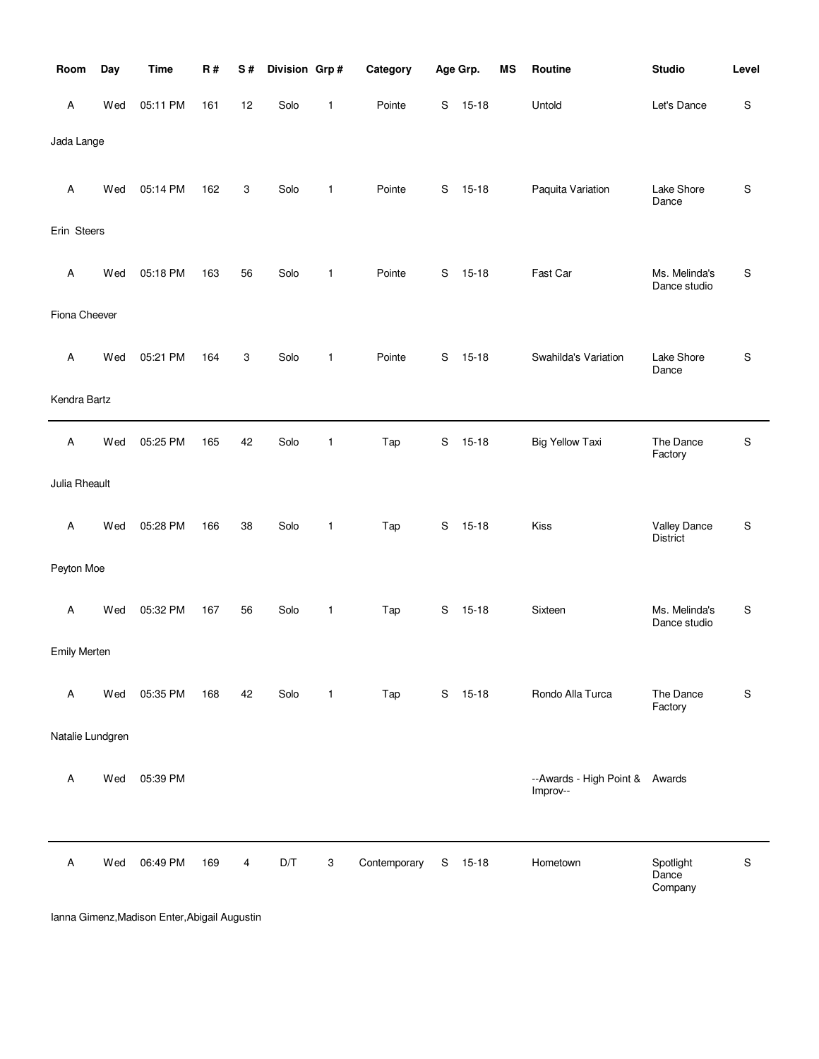| Room                | Day | <b>Time</b> | R#  | S# | Division Grp# |              | Category     |             | Age Grp.  | <b>MS</b> | Routine                                    | <b>Studio</b>                   | Level       |
|---------------------|-----|-------------|-----|----|---------------|--------------|--------------|-------------|-----------|-----------|--------------------------------------------|---------------------------------|-------------|
| Α                   | Wed | 05:11 PM    | 161 | 12 | Solo          | 1            | Pointe       | S           | $15 - 18$ |           | Untold                                     | Let's Dance                     | S           |
| Jada Lange          |     |             |     |    |               |              |              |             |           |           |                                            |                                 |             |
| Α                   | Wed | 05:14 PM    | 162 | 3  | Solo          | $\mathbf{1}$ | Pointe       | S           | $15 - 18$ |           | Paquita Variation                          | Lake Shore<br>Dance             | S           |
| Erin Steers         |     |             |     |    |               |              |              |             |           |           |                                            |                                 |             |
| Α                   | Wed | 05:18 PM    | 163 | 56 | Solo          | 1            | Pointe       | S           | $15 - 18$ |           | Fast Car                                   | Ms. Melinda's<br>Dance studio   | S           |
| Fiona Cheever       |     |             |     |    |               |              |              |             |           |           |                                            |                                 |             |
| Α                   | Wed | 05:21 PM    | 164 | 3  | Solo          | $\mathbf{1}$ | Pointe       | S           | $15 - 18$ |           | Swahilda's Variation                       | Lake Shore<br>Dance             | S           |
| Kendra Bartz        |     |             |     |    |               |              |              |             |           |           |                                            |                                 |             |
| Α                   | Wed | 05:25 PM    | 165 | 42 | Solo          | 1            | Tap          | $\mathsf S$ | $15 - 18$ |           | <b>Big Yellow Taxi</b>                     | The Dance<br>Factory            | S           |
| Julia Rheault       |     |             |     |    |               |              |              |             |           |           |                                            |                                 |             |
| Α                   | Wed | 05:28 PM    | 166 | 38 | Solo          | 1            | Tap          | S           | $15 - 18$ |           | Kiss                                       | Valley Dance<br><b>District</b> | S           |
| Peyton Moe          |     |             |     |    |               |              |              |             |           |           |                                            |                                 |             |
| Α                   | Wed | 05:32 PM    | 167 | 56 | Solo          | 1            | Tap          | S           | $15 - 18$ |           | Sixteen                                    | Ms. Melinda's<br>Dance studio   | S           |
| <b>Emily Merten</b> |     |             |     |    |               |              |              |             |           |           |                                            |                                 |             |
| Α                   | Wed | 05:35 PM    | 168 | 42 | Solo          | $\mathbf{1}$ | Tap          |             | S 15-18   |           | Rondo Alla Turca                           | The Dance<br>Factory            | S           |
| Natalie Lundgren    |     |             |     |    |               |              |              |             |           |           |                                            |                                 |             |
| Α                   | Wed | 05:39 PM    |     |    |               |              |              |             |           |           | --Awards - High Point & Awards<br>Improv-- |                                 |             |
| Α                   | Wed | 06:49 PM    | 169 | 4  | D/T           | 3            | Contemporary | S           | $15 - 18$ |           | Hometown                                   | Spotlight<br>Dance<br>Company   | $\mathbf S$ |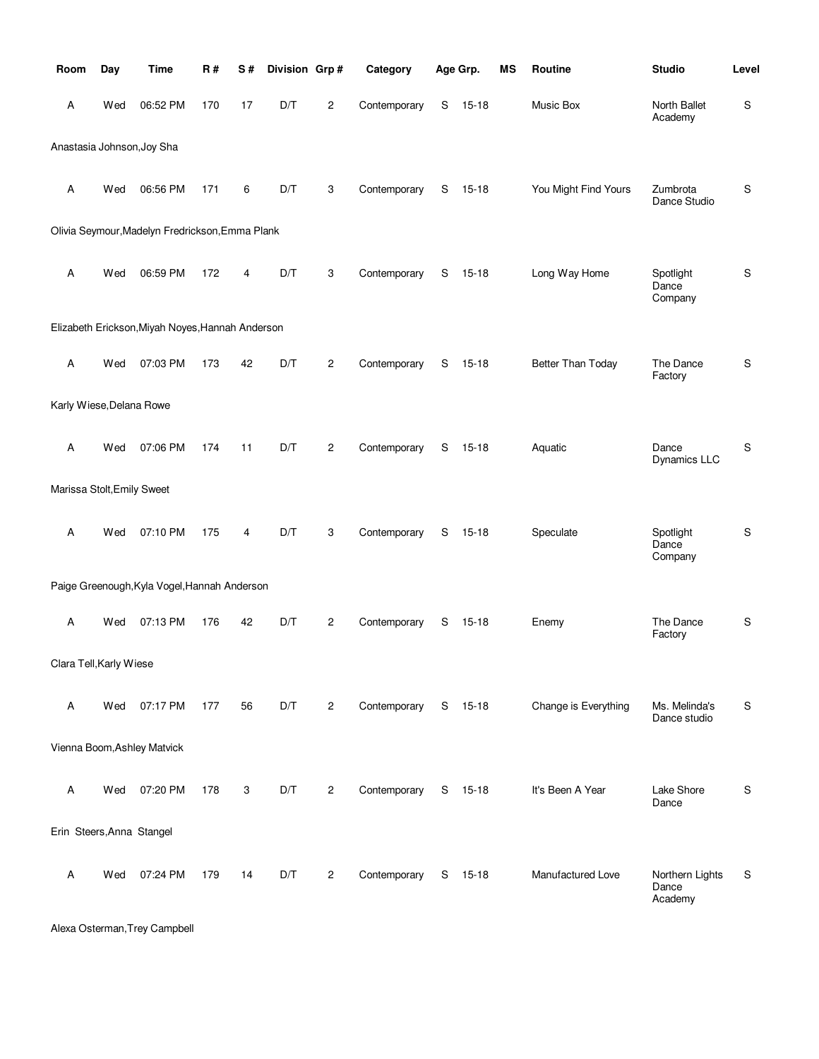| Room                       | Day | <b>Time</b>                                      | <b>R#</b> | S# | Division Grp# |                | Category     |   | Age Grp.  | <b>MS</b> | Routine              | <b>Studio</b>                       | Level         |
|----------------------------|-----|--------------------------------------------------|-----------|----|---------------|----------------|--------------|---|-----------|-----------|----------------------|-------------------------------------|---------------|
| Α                          | Wed | 06:52 PM                                         | 170       | 17 | D/T           | $\overline{c}$ | Contemporary | S | $15 - 18$ |           | Music Box            | North Ballet<br>Academy             | ${\mathsf S}$ |
|                            |     | Anastasia Johnson, Joy Sha                       |           |    |               |                |              |   |           |           |                      |                                     |               |
| Α                          | Wed | 06:56 PM                                         | 171       | 6  | D/T           | 3              | Contemporary | S | $15 - 18$ |           | You Might Find Yours | Zumbrota<br>Dance Studio            | $\mathbb S$   |
|                            |     | Olivia Seymour, Madelyn Fredrickson, Emma Plank  |           |    |               |                |              |   |           |           |                      |                                     |               |
| Α                          | Wed | 06:59 PM                                         | 172       | 4  | D/T           | 3              | Contemporary | S | $15 - 18$ |           | Long Way Home        | Spotlight<br>Dance<br>Company       | ${\mathbb S}$ |
|                            |     | Elizabeth Erickson, Miyah Noyes, Hannah Anderson |           |    |               |                |              |   |           |           |                      |                                     |               |
| Α                          | Wed | 07:03 PM                                         | 173       | 42 | D/T           | $\mathbf{2}$   | Contemporary | S | $15 - 18$ |           | Better Than Today    | The Dance<br>Factory                | $\mathbb S$   |
| Karly Wiese, Delana Rowe   |     |                                                  |           |    |               |                |              |   |           |           |                      |                                     |               |
| Α                          | Wed | 07:06 PM                                         | 174       | 11 | D/T           | $\overline{c}$ | Contemporary | S | $15 - 18$ |           | Aquatic              | Dance<br>Dynamics LLC               | ${\mathbb S}$ |
| Marissa Stolt, Emily Sweet |     |                                                  |           |    |               |                |              |   |           |           |                      |                                     |               |
| A                          | Wed | 07:10 PM                                         | 175       | 4  | D/T           | 3              | Contemporary | S | $15 - 18$ |           | Speculate            | Spotlight<br>Dance<br>Company       | ${\mathbb S}$ |
|                            |     | Paige Greenough, Kyla Vogel, Hannah Anderson     |           |    |               |                |              |   |           |           |                      |                                     |               |
| Α                          | Wed | 07:13 PM                                         | 176       | 42 | D/T           | $\mathbf{2}$   | Contemporary | S | $15 - 18$ |           | Enemy                | The Dance<br>Factory                | S             |
| Clara Tell, Karly Wiese    |     |                                                  |           |    |               |                |              |   |           |           |                      |                                     |               |
| Α                          | Wed | 07:17 PM                                         | 177       | 56 | D/T           | $\mathbf{2}$   | Contemporary |   | S 15-18   |           | Change is Everything | Ms. Melinda's<br>Dance studio       | S             |
|                            |     | Vienna Boom, Ashley Matvick                      |           |    |               |                |              |   |           |           |                      |                                     |               |
| Α                          | Wed | 07:20 PM                                         | 178       | 3  | D/T           | $\mathbf{2}$   | Contemporary |   | $S$ 15-18 |           | It's Been A Year     | Lake Shore<br>Dance                 | S             |
| Erin Steers, Anna Stangel  |     |                                                  |           |    |               |                |              |   |           |           |                      |                                     |               |
| Α                          | Wed | 07:24 PM                                         | 179       | 14 | D/T           | $\overline{c}$ | Contemporary | S | 15-18     |           | Manufactured Love    | Northern Lights<br>Dance<br>Academy | S             |

Alexa Osterman,Trey Campbell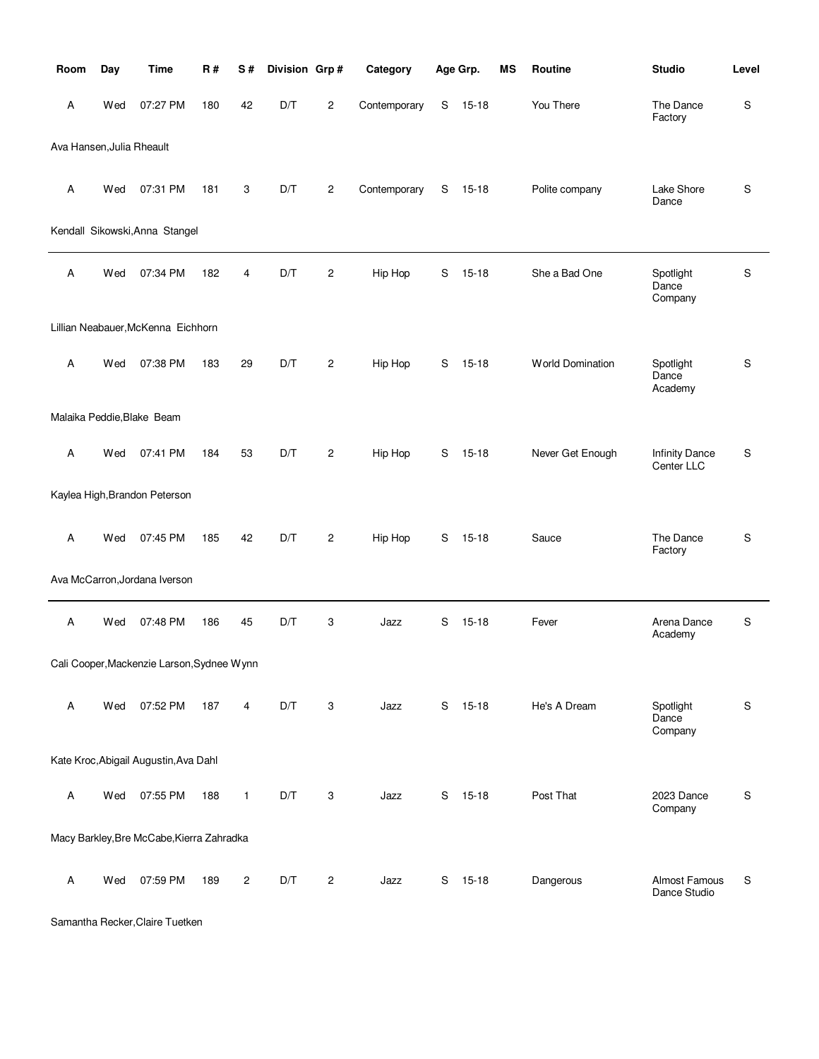| Room                      | Day | <b>Time</b>                                | <b>R#</b> | S#             | Division Grp# |                | Category     |             | Age Grp.  | <b>MS</b> | Routine                 | <b>Studio</b>                       | Level |
|---------------------------|-----|--------------------------------------------|-----------|----------------|---------------|----------------|--------------|-------------|-----------|-----------|-------------------------|-------------------------------------|-------|
| Α                         | Wed | 07:27 PM                                   | 180       | 42             | D/T           | $\overline{c}$ | Contemporary | S           | $15 - 18$ |           | You There               | The Dance<br>Factory                | S     |
| Ava Hansen, Julia Rheault |     |                                            |           |                |               |                |              |             |           |           |                         |                                     |       |
| Α                         | Wed | 07:31 PM                                   | 181       | 3              | D/T           | $\overline{c}$ | Contemporary | S           | $15 - 18$ |           | Polite company          | Lake Shore<br>Dance                 | S     |
|                           |     | Kendall Sikowski, Anna Stangel             |           |                |               |                |              |             |           |           |                         |                                     |       |
| Α                         | Wed | 07:34 PM                                   | 182       | 4              | D/T           | 2              | Hip Hop      | S           | $15 - 18$ |           | She a Bad One           | Spotlight<br>Dance<br>Company       | S     |
|                           |     | Lillian Neabauer, McKenna Eichhorn         |           |                |               |                |              |             |           |           |                         |                                     |       |
| Α                         | Wed | 07:38 PM                                   | 183       | 29             | D/T           | $\overline{c}$ | Hip Hop      | S           | $15 - 18$ |           | <b>World Domination</b> | Spotlight<br>Dance<br>Academy       | S     |
|                           |     | Malaika Peddie, Blake Beam                 |           |                |               |                |              |             |           |           |                         |                                     |       |
| A                         | Wed | 07:41 PM                                   | 184       | 53             | D/T           | $\mathbf{2}$   | Hip Hop      | S           | $15 - 18$ |           | Never Get Enough        | <b>Infinity Dance</b><br>Center LLC | S     |
|                           |     | Kaylea High, Brandon Peterson              |           |                |               |                |              |             |           |           |                         |                                     |       |
| Α                         | Wed | 07:45 PM                                   | 185       | 42             | D/T           | $\overline{c}$ | Hip Hop      | S           | $15 - 18$ |           | Sauce                   | The Dance<br>Factory                | S     |
|                           |     | Ava McCarron, Jordana Iverson              |           |                |               |                |              |             |           |           |                         |                                     |       |
| Α                         | Wed | 07:48 PM                                   | 186       | 45             | D/T           | 3              | Jazz         | $\mathbf S$ | $15 - 18$ |           | Fever                   | Arena Dance<br>Academy              | S     |
|                           |     | Cali Cooper, Mackenzie Larson, Sydnee Wynn |           |                |               |                |              |             |           |           |                         |                                     |       |
| Α                         | Wed | 07:52 PM                                   | 187       | 4              | D/T           | 3              | Jazz         | S           | $15 - 18$ |           | He's A Dream            | Spotlight<br>Dance<br>Company       | S     |
|                           |     | Kate Kroc, Abigail Augustin, Ava Dahl      |           |                |               |                |              |             |           |           |                         |                                     |       |
| Α                         | Wed | 07:55 PM                                   | 188       | $\mathbf{1}$   | D/T           | 3              | Jazz         | S           | 15-18     |           | Post That               | 2023 Dance<br>Company               | S     |
|                           |     | Macy Barkley, Bre McCabe, Kierra Zahradka  |           |                |               |                |              |             |           |           |                         |                                     |       |
| Α                         | Wed | 07:59 PM                                   | 189       | $\overline{c}$ | D/T           | $\overline{c}$ | Jazz         | S           | $15 - 18$ |           | Dangerous               | Almost Famous<br>Dance Studio       | S     |

Samantha Recker,Claire Tuetken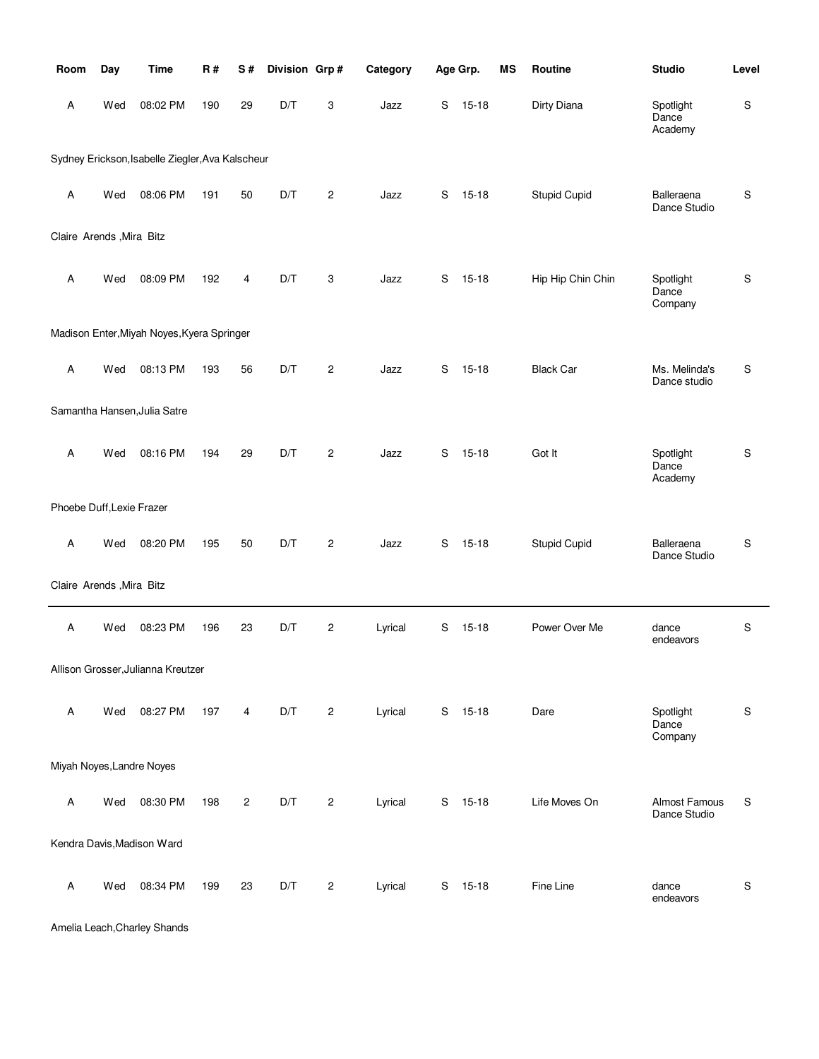| Room                      | Day | <b>Time</b>                                      | <b>R#</b> | S#             | Division Grp# |                | Category |   | Age Grp.  | MS | Routine             | <b>Studio</b>                 | Level       |
|---------------------------|-----|--------------------------------------------------|-----------|----------------|---------------|----------------|----------|---|-----------|----|---------------------|-------------------------------|-------------|
| Α                         | Wed | 08:02 PM                                         | 190       | 29             | D/T           | 3              | Jazz     | S | $15 - 18$ |    | Dirty Diana         | Spotlight<br>Dance<br>Academy | S           |
|                           |     | Sydney Erickson, Isabelle Ziegler, Ava Kalscheur |           |                |               |                |          |   |           |    |                     |                               |             |
| Α                         | Wed | 08:06 PM                                         | 191       | 50             | D/T           | $\overline{c}$ | Jazz     | S | $15 - 18$ |    | <b>Stupid Cupid</b> | Balleraena<br>Dance Studio    | S           |
| Claire Arends , Mira Bitz |     |                                                  |           |                |               |                |          |   |           |    |                     |                               |             |
| Α                         | Wed | 08:09 PM                                         | 192       | 4              | D/T           | 3              | Jazz     | S | $15 - 18$ |    | Hip Hip Chin Chin   | Spotlight<br>Dance<br>Company | S           |
|                           |     | Madison Enter, Miyah Noyes, Kyera Springer       |           |                |               |                |          |   |           |    |                     |                               |             |
| A                         | Wed | 08:13 PM                                         | 193       | 56             | D/T           | $\overline{c}$ | Jazz     | S | $15 - 18$ |    | <b>Black Car</b>    | Ms. Melinda's<br>Dance studio | S           |
|                           |     | Samantha Hansen, Julia Satre                     |           |                |               |                |          |   |           |    |                     |                               |             |
| Α                         | Wed | 08:16 PM                                         | 194       | 29             | D/T           | $\overline{2}$ | Jazz     | S | $15 - 18$ |    | Got It              | Spotlight<br>Dance<br>Academy | S           |
| Phoebe Duff, Lexie Frazer |     |                                                  |           |                |               |                |          |   |           |    |                     |                               |             |
| A                         | Wed | 08:20 PM                                         | 195       | 50             | D/T           | $\overline{c}$ | Jazz     | S | $15 - 18$ |    | <b>Stupid Cupid</b> | Balleraena<br>Dance Studio    | S           |
| Claire Arends , Mira Bitz |     |                                                  |           |                |               |                |          |   |           |    |                     |                               |             |
| A                         | Wed | 08:23 PM                                         | 196       | 23             | D/T           | $\overline{c}$ | Lyrical  | S | $15 - 18$ |    | Power Over Me       | dance<br>endeavors            | $\mathsf S$ |
|                           |     | Allison Grosser, Julianna Kreutzer               |           |                |               |                |          |   |           |    |                     |                               |             |
| A                         | Wed | 08:27 PM                                         | 197       | 4              | D/T           | $\overline{c}$ | Lyrical  |   | S 15-18   |    | Dare                | Spotlight<br>Dance<br>Company | S           |
| Miyah Noyes, Landre Noyes |     |                                                  |           |                |               |                |          |   |           |    |                     |                               |             |
| A                         | Wed | 08:30 PM                                         | 198       | $\overline{c}$ | D/T           | 2              | Lyrical  | S | $15 - 18$ |    | Life Moves On       | Almost Famous<br>Dance Studio | S           |
|                           |     | Kendra Davis, Madison Ward                       |           |                |               |                |          |   |           |    |                     |                               |             |
| Α                         | Wed | 08:34 PM                                         | 199       | 23             | D/T           | $\overline{c}$ | Lyrical  | S | $15 - 18$ |    | Fine Line           | dance<br>endeavors            | $\mathbf S$ |

Amelia Leach,Charley Shands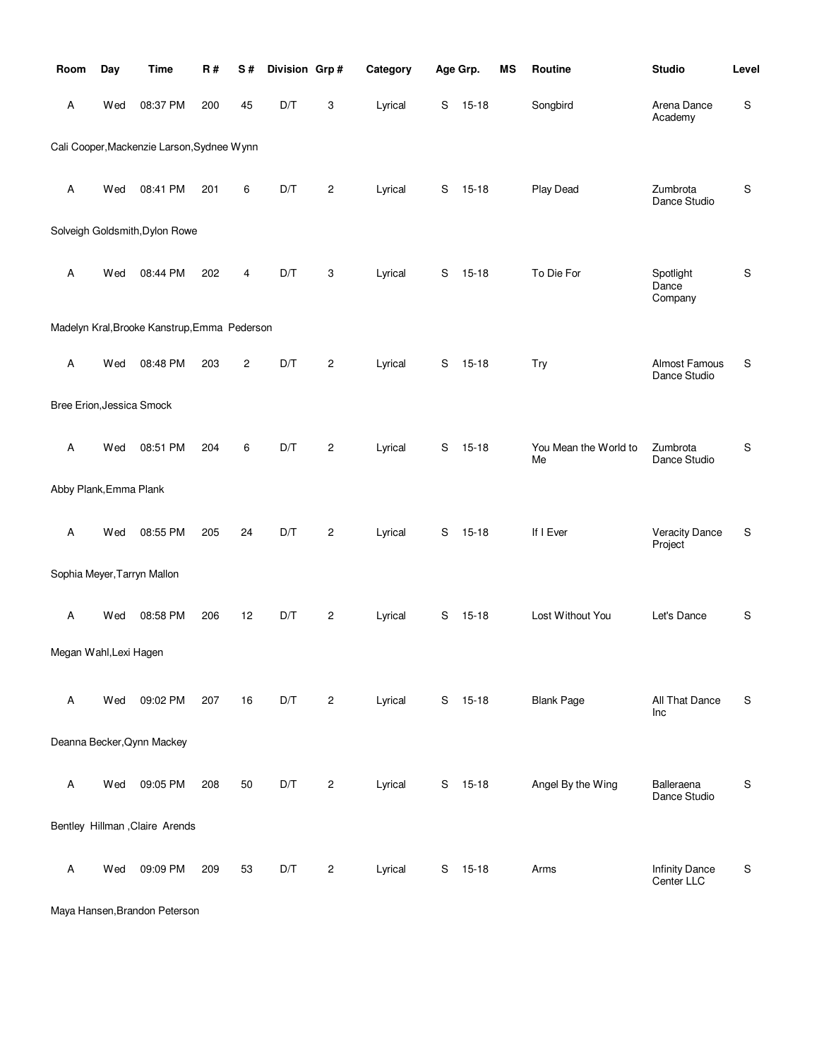| Room                      | Day | <b>Time</b>                                  | <b>R#</b> | S#             | Division Grp# |                | Category |   | Age Grp.  | <b>MS</b> | Routine                     | <b>Studio</b>                       | Level         |
|---------------------------|-----|----------------------------------------------|-----------|----------------|---------------|----------------|----------|---|-----------|-----------|-----------------------------|-------------------------------------|---------------|
| Α                         | Wed | 08:37 PM                                     | 200       | 45             | D/T           | 3              | Lyrical  | S | $15 - 18$ |           | Songbird                    | Arena Dance<br>Academy              | $\mathbb S$   |
|                           |     | Cali Cooper, Mackenzie Larson, Sydnee Wynn   |           |                |               |                |          |   |           |           |                             |                                     |               |
| Α                         | Wed | 08:41 PM                                     | 201       | 6              | D/T           | $\overline{c}$ | Lyrical  | S | $15 - 18$ |           | Play Dead                   | Zumbrota<br>Dance Studio            | $\mathbb S$   |
|                           |     | Solveigh Goldsmith, Dylon Rowe               |           |                |               |                |          |   |           |           |                             |                                     |               |
| Α                         | Wed | 08:44 PM                                     | 202       | 4              | D/T           | 3              | Lyrical  | S | $15 - 18$ |           | To Die For                  | Spotlight<br>Dance<br>Company       | ${\sf S}$     |
|                           |     | Madelyn Kral, Brooke Kanstrup, Emma Pederson |           |                |               |                |          |   |           |           |                             |                                     |               |
| Α                         | Wed | 08:48 PM                                     | 203       | $\overline{c}$ | D/T           | $\overline{c}$ | Lyrical  | S | $15 - 18$ |           | <b>Try</b>                  | Almost Famous<br>Dance Studio       | S             |
| Bree Erion, Jessica Smock |     |                                              |           |                |               |                |          |   |           |           |                             |                                     |               |
| Α                         | Wed | 08:51 PM                                     | 204       | 6              | D/T           | $\overline{c}$ | Lyrical  | S | $15 - 18$ |           | You Mean the World to<br>Me | Zumbrota<br>Dance Studio            | S             |
| Abby Plank, Emma Plank    |     |                                              |           |                |               |                |          |   |           |           |                             |                                     |               |
| Α                         | Wed | 08:55 PM                                     | 205       | 24             | D/T           | $\mathbf{2}$   | Lyrical  | S | $15 - 18$ |           | If I Ever                   | <b>Veracity Dance</b><br>Project    | S             |
|                           |     | Sophia Meyer, Tarryn Mallon                  |           |                |               |                |          |   |           |           |                             |                                     |               |
| Α                         | Wed | 08:58 PM                                     | 206       | 12             | D/T           | $\overline{c}$ | Lyrical  | S | $15 - 18$ |           | Lost Without You            | Let's Dance                         | ${\mathbb S}$ |
| Megan Wahl, Lexi Hagen    |     |                                              |           |                |               |                |          |   |           |           |                             |                                     |               |
| Α                         | Wed | 09:02 PM                                     | 207       | 16             | D/T           | $\overline{c}$ | Lyrical  | S | $15 - 18$ |           | <b>Blank Page</b>           | All That Dance<br>Inc               | S             |
|                           |     | Deanna Becker, Qynn Mackey                   |           |                |               |                |          |   |           |           |                             |                                     |               |
| Α                         | Wed | 09:05 PM                                     | 208       | 50             | D/T           | $\overline{c}$ | Lyrical  | S | $15 - 18$ |           | Angel By the Wing           | Balleraena<br>Dance Studio          | ${\mathbb S}$ |
|                           |     | Bentley Hillman , Claire Arends              |           |                |               |                |          |   |           |           |                             |                                     |               |
| Α                         | Wed | 09:09 PM                                     | 209       | 53             | D/T           | $\overline{c}$ | Lyrical  | S | $15 - 18$ |           | Arms                        | <b>Infinity Dance</b><br>Center LLC | S             |

Maya Hansen,Brandon Peterson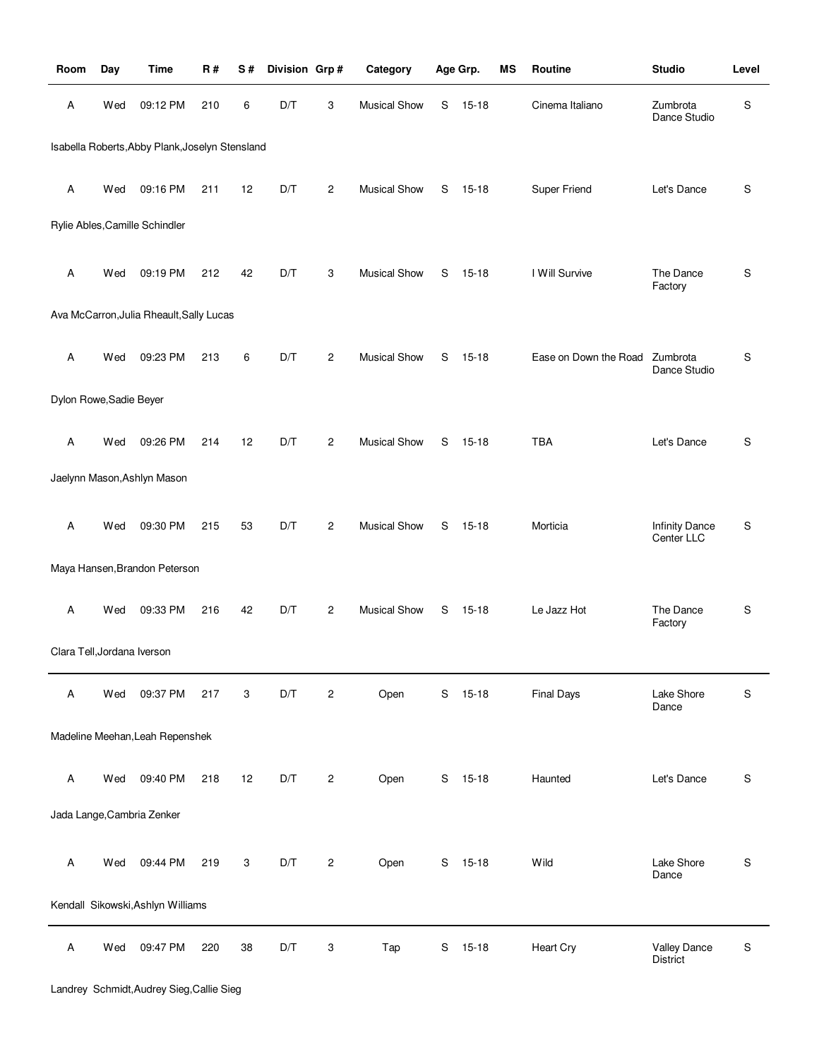| Room                        | Day | <b>Time</b>                                     | <b>R#</b> | S# | Division Grp# |                | Category            |   | Age Grp.  | ΜS | Routine               | <b>Studio</b>                       | Level         |
|-----------------------------|-----|-------------------------------------------------|-----------|----|---------------|----------------|---------------------|---|-----------|----|-----------------------|-------------------------------------|---------------|
| Α                           | Wed | 09:12 PM                                        | 210       | 6  | D/T           | 3              | <b>Musical Show</b> | S | $15 - 18$ |    | Cinema Italiano       | Zumbrota<br>Dance Studio            | S             |
|                             |     | Isabella Roberts, Abby Plank, Joselyn Stensland |           |    |               |                |                     |   |           |    |                       |                                     |               |
| Α                           | Wed | 09:16 PM                                        | 211       | 12 | D/T           | 2              | <b>Musical Show</b> | S | $15 - 18$ |    | Super Friend          | Let's Dance                         | S             |
|                             |     | Rylie Ables, Camille Schindler                  |           |    |               |                |                     |   |           |    |                       |                                     |               |
| Α                           | Wed | 09:19 PM                                        | 212       | 42 | D/T           | 3              | <b>Musical Show</b> | S | $15 - 18$ |    | I Will Survive        | The Dance<br>Factory                | S             |
|                             |     | Ava McCarron, Julia Rheault, Sally Lucas        |           |    |               |                |                     |   |           |    |                       |                                     |               |
| Α                           | Wed | 09:23 PM                                        | 213       | 6  | D/T           | $\overline{c}$ | <b>Musical Show</b> | S | $15 - 18$ |    | Ease on Down the Road | Zumbrota<br>Dance Studio            | S             |
| Dylon Rowe, Sadie Beyer     |     |                                                 |           |    |               |                |                     |   |           |    |                       |                                     |               |
| Α                           | Wed | 09:26 PM                                        | 214       | 12 | D/T           | $\overline{c}$ | <b>Musical Show</b> | S | $15 - 18$ |    | <b>TBA</b>            | Let's Dance                         | S             |
|                             |     | Jaelynn Mason, Ashlyn Mason                     |           |    |               |                |                     |   |           |    |                       |                                     |               |
| Α                           | Wed | 09:30 PM                                        | 215       | 53 | D/T           | $\overline{c}$ | <b>Musical Show</b> | S | $15 - 18$ |    | Morticia              | <b>Infinity Dance</b><br>Center LLC | S             |
|                             |     | Maya Hansen, Brandon Peterson                   |           |    |               |                |                     |   |           |    |                       |                                     |               |
| Α                           | Wed | 09:33 PM                                        | 216       | 42 | D/T           | $\overline{c}$ | <b>Musical Show</b> | S | $15 - 18$ |    | Le Jazz Hot           | The Dance<br>Factory                | S             |
| Clara Tell, Jordana Iverson |     |                                                 |           |    |               |                |                     |   |           |    |                       |                                     |               |
| Α                           | Wed | 09:37 PM                                        | 217       | 3  | D/T           | $\overline{c}$ | Open                | S | $15 - 18$ |    | <b>Final Days</b>     | Lake Shore<br>Dance                 | ${\mathbb S}$ |
|                             |     | Madeline Meehan, Leah Repenshek                 |           |    |               |                |                     |   |           |    |                       |                                     |               |
| A                           | Wed | 09:40 PM                                        | 218       | 12 | D/T           | $\overline{c}$ | Open                |   | S 15-18   |    | Haunted               | Let's Dance                         | S             |
|                             |     | Jada Lange, Cambria Zenker                      |           |    |               |                |                     |   |           |    |                       |                                     |               |
| A                           | Wed | 09:44 PM                                        | 219       | 3  | D/T           | $\overline{c}$ | Open                |   | S 15-18   |    | Wild                  | Lake Shore<br>Dance                 | S             |
|                             |     | Kendall Sikowski, Ashlyn Williams               |           |    |               |                |                     |   |           |    |                       |                                     |               |
| Α                           | Wed | 09:47 PM                                        | 220       | 38 | D/T           | 3              | Tap                 | S | $15 - 18$ |    | <b>Heart Cry</b>      | <b>Valley Dance</b><br>District     | $\mathbb S$   |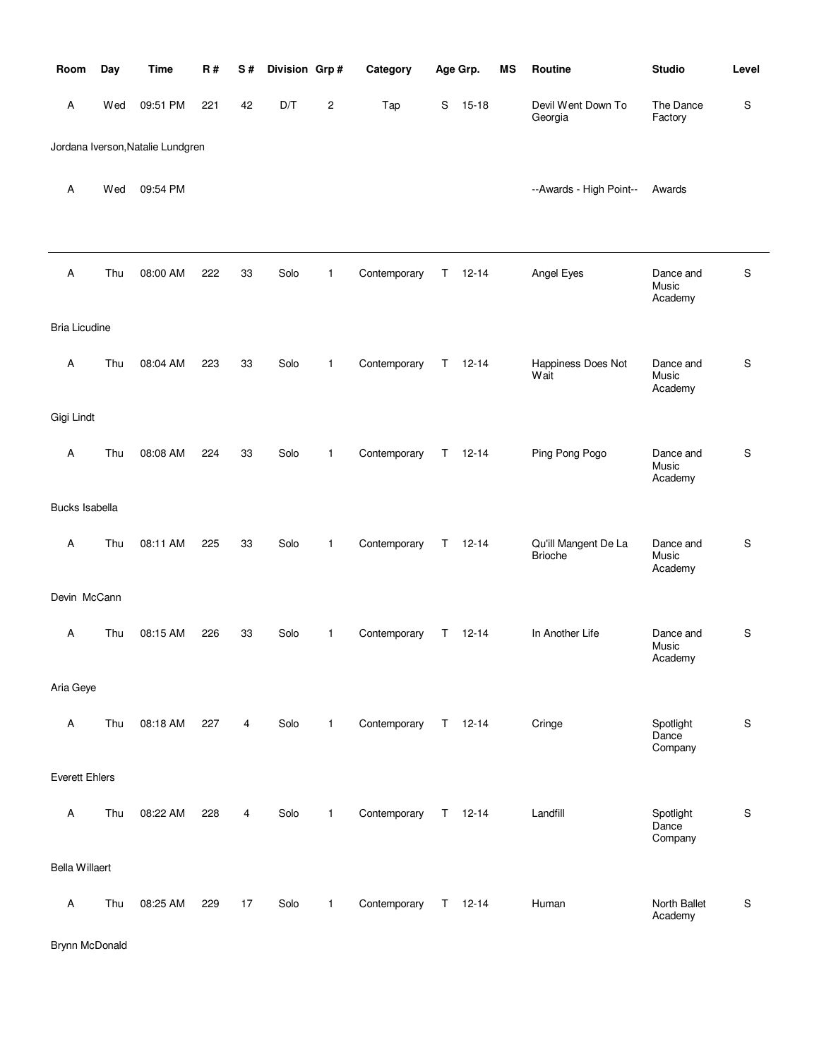| Room                  | Day | <b>Time</b>                       | <b>R#</b> | S# | Division Grp# |                | Category     |    | Age Grp.      | MS | Routine                                | <b>Studio</b>                 | Level     |
|-----------------------|-----|-----------------------------------|-----------|----|---------------|----------------|--------------|----|---------------|----|----------------------------------------|-------------------------------|-----------|
| A                     | Wed | 09:51 PM                          | 221       | 42 | D/T           | $\overline{c}$ | Tap          | S  | $15 - 18$     |    | Devil Went Down To<br>Georgia          | The Dance<br>Factory          | S         |
|                       |     | Jordana Iverson, Natalie Lundgren |           |    |               |                |              |    |               |    |                                        |                               |           |
| Α                     | Wed | 09:54 PM                          |           |    |               |                |              |    |               |    | --Awards - High Point--                | Awards                        |           |
| A                     | Thu | 08:00 AM                          | 222       | 33 | Solo          | $\mathbf{1}$   | Contemporary | T. | $12 - 14$     |    | Angel Eyes                             | Dance and<br>Music<br>Academy | ${\sf S}$ |
| <b>Bria Licudine</b>  |     |                                   |           |    |               |                |              |    |               |    |                                        |                               |           |
| Α                     | Thu | 08:04 AM                          | 223       | 33 | Solo          | 1              | Contemporary | T. | $12 - 14$     |    | Happiness Does Not<br>Wait             | Dance and<br>Music<br>Academy | S         |
| Gigi Lindt            |     |                                   |           |    |               |                |              |    |               |    |                                        |                               |           |
| Α                     | Thu | 08:08 AM                          | 224       | 33 | Solo          | $\mathbf{1}$   | Contemporary |    | $T = 12 - 14$ |    | Ping Pong Pogo                         | Dance and<br>Music<br>Academy | S         |
| Bucks Isabella        |     |                                   |           |    |               |                |              |    |               |    |                                        |                               |           |
| Α                     | Thu | 08:11 AM                          | 225       | 33 | Solo          | $\mathbf{1}$   | Contemporary | T. | $12 - 14$     |    | Qu'ill Mangent De La<br><b>Brioche</b> | Dance and<br>Music<br>Academy | S         |
| Devin McCann          |     |                                   |           |    |               |                |              |    |               |    |                                        |                               |           |
| Α                     | Thu | 08:15 AM                          | 226       | 33 | Solo          | $\mathbf{1}$   | Contemporary | T. | $12 - 14$     |    | In Another Life                        | Dance and<br>Music<br>Academy | S         |
| Aria Geye             |     |                                   |           |    |               |                |              |    |               |    |                                        |                               |           |
| A                     | Thu | 08:18 AM                          | 227       | 4  | Solo          | $\mathbf{1}$   | Contemporary |    | $T = 12 - 14$ |    | Cringe                                 | Spotlight<br>Dance<br>Company | S         |
| <b>Everett Ehlers</b> |     |                                   |           |    |               |                |              |    |               |    |                                        |                               |           |
| Α                     | Thu | 08:22 AM                          | 228       | 4  | Solo          | $\mathbf{1}$   | Contemporary | T. | $12 - 14$     |    | Landfill                               | Spotlight<br>Dance<br>Company | S         |
| <b>Bella Willaert</b> |     |                                   |           |    |               |                |              |    |               |    |                                        |                               |           |
| A                     | Thu | 08:25 AM                          | 229       | 17 | Solo          | $\mathbf{1}$   | Contemporary |    | $T = 12 - 14$ |    | Human                                  | North Ballet<br>Academy       | S         |

Brynn McDonald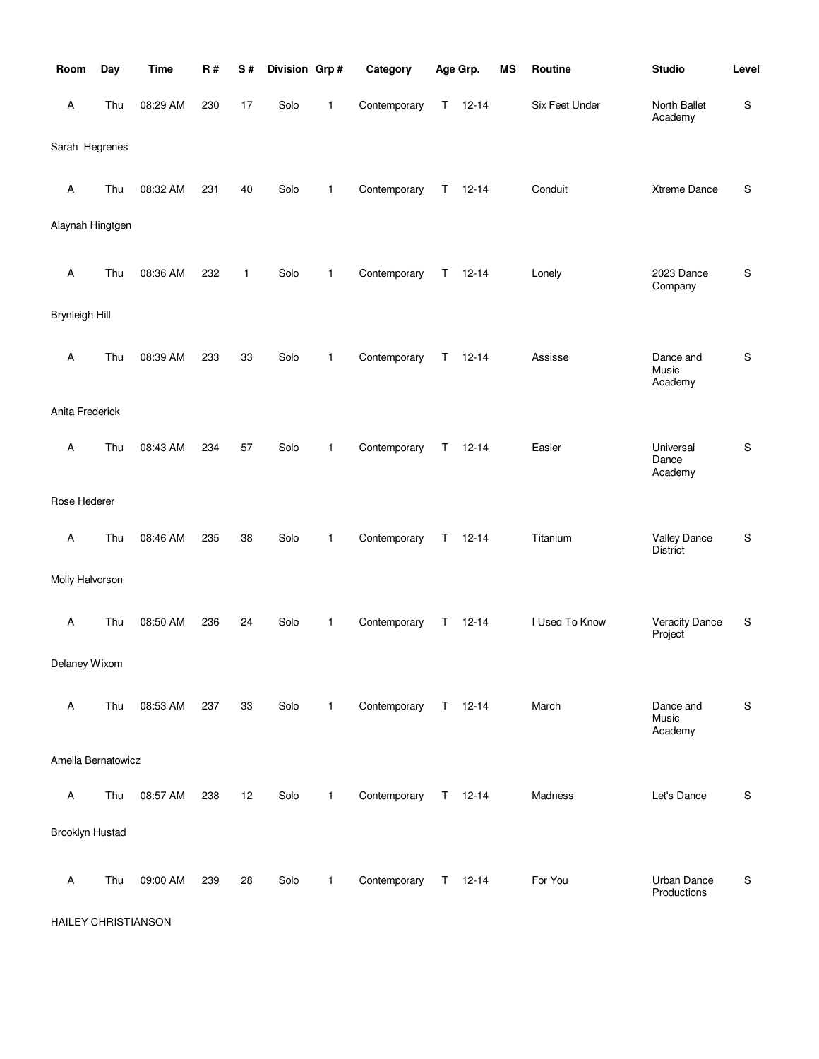| Room                  | Day | <b>Time</b> | R#  | S#           | Division Grp# |              | Category     |    | Age Grp.      | MS | Routine        | <b>Studio</b>                          | Level         |
|-----------------------|-----|-------------|-----|--------------|---------------|--------------|--------------|----|---------------|----|----------------|----------------------------------------|---------------|
| A                     | Thu | 08:29 AM    | 230 | 17           | Solo          | 1            | Contemporary | Τ  | $12 - 14$     |    | Six Feet Under | North Ballet<br>Academy                | ${\mathbb S}$ |
| Sarah Hegrenes        |     |             |     |              |               |              |              |    |               |    |                |                                        |               |
| A                     | Thu | 08:32 AM    | 231 | 40           | Solo          | 1            | Contemporary | Τ  | $12 - 14$     |    | Conduit        | Xtreme Dance                           | S             |
| Alaynah Hingtgen      |     |             |     |              |               |              |              |    |               |    |                |                                        |               |
| A                     | Thu | 08:36 AM    | 232 | $\mathbf{1}$ | Solo          | 1            | Contemporary | Т  | $12 - 14$     |    | Lonely         | 2023 Dance<br>Company                  | S             |
| <b>Brynleigh Hill</b> |     |             |     |              |               |              |              |    |               |    |                |                                        |               |
| Α                     | Thu | 08:39 AM    | 233 | 33           | Solo          | 1            | Contemporary | Τ  | $12 - 14$     |    | Assisse        | Dance and<br>Music<br>Academy          | S             |
| Anita Frederick       |     |             |     |              |               |              |              |    |               |    |                |                                        |               |
| A                     | Thu | 08:43 AM    | 234 | 57           | Solo          | 1            | Contemporary | T. | $12 - 14$     |    | Easier         | Universal<br>Dance<br>Academy          | S             |
| Rose Hederer          |     |             |     |              |               |              |              |    |               |    |                |                                        |               |
| Α                     | Thu | 08:46 AM    | 235 | 38           | Solo          | 1            | Contemporary | Τ  | $12 - 14$     |    | Titanium       | <b>Valley Dance</b><br><b>District</b> | ${\sf S}$     |
| Molly Halvorson       |     |             |     |              |               |              |              |    |               |    |                |                                        |               |
| A                     | Thu | 08:50 AM    | 236 | 24           | Solo          | 1            | Contemporary | Τ  | $12 - 14$     |    | I Used To Know | <b>Veracity Dance</b><br>Project       | S             |
| Delaney Wixom         |     |             |     |              |               |              |              |    |               |    |                |                                        |               |
| Α                     | Thu | 08:53 AM    | 237 | 33           | Solo          | 1            | Contemporary |    | $T = 12 - 14$ |    | March          | Dance and<br>Music<br>Academy          | S             |
| Ameila Bernatowicz    |     |             |     |              |               |              |              |    |               |    |                |                                        |               |
| Α                     | Thu | 08:57 AM    | 238 | 12           | Solo          | $\mathbf{1}$ | Contemporary |    | $T = 12 - 14$ |    | Madness        | Let's Dance                            | S             |
| Brooklyn Hustad       |     |             |     |              |               |              |              |    |               |    |                |                                        |               |
| Α                     | Thu | 09:00 AM    | 239 | 28           | Solo          | 1            | Contemporary |    | $T = 12 - 14$ |    | For You        | Urban Dance<br>Productions             | S             |

HAILEY CHRISTIANSON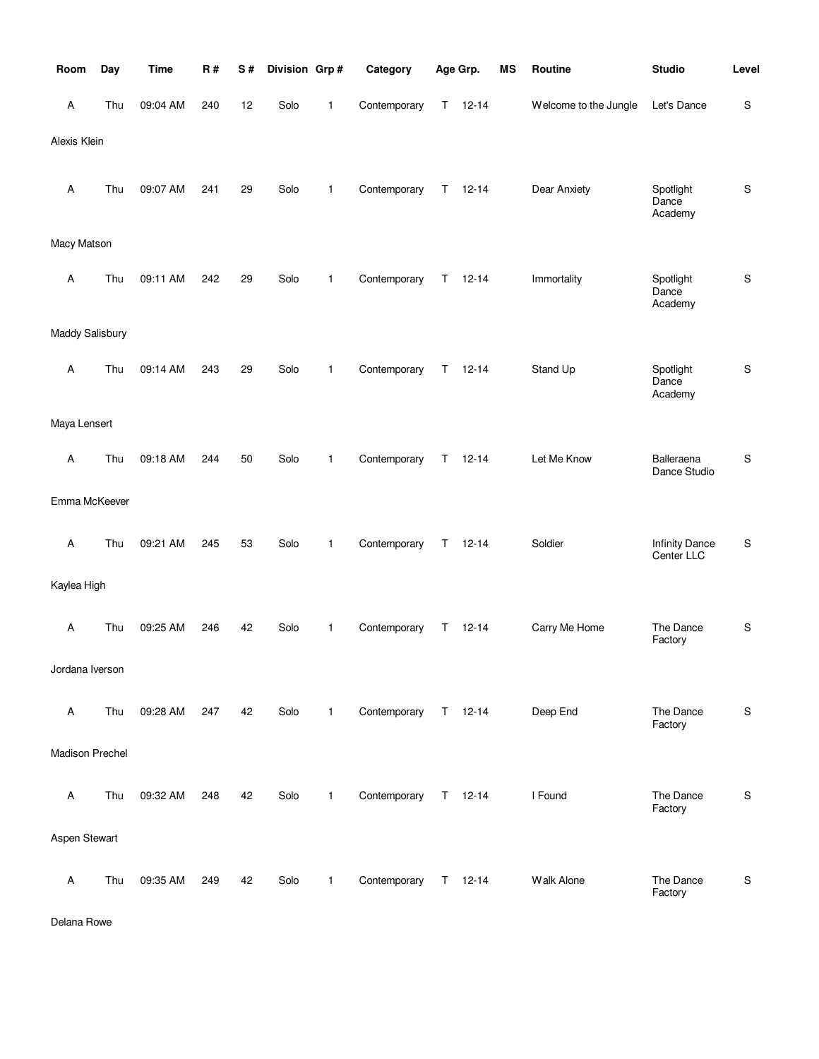| Room            | Day | <b>Time</b> | R#  | S# | Division Grp# |              | Category     |    | Age Grp.      | <b>MS</b> | Routine               | <b>Studio</b>                       | Level         |
|-----------------|-----|-------------|-----|----|---------------|--------------|--------------|----|---------------|-----------|-----------------------|-------------------------------------|---------------|
| A               | Thu | 09:04 AM    | 240 | 12 | Solo          | 1            | Contemporary | Τ  | $12 - 14$     |           | Welcome to the Jungle | Let's Dance                         | ${\mathbb S}$ |
| Alexis Klein    |     |             |     |    |               |              |              |    |               |           |                       |                                     |               |
| A               | Thu | 09:07 AM    | 241 | 29 | Solo          | $\mathbf{1}$ | Contemporary | Τ  | $12 - 14$     |           | Dear Anxiety          | Spotlight<br>Dance<br>Academy       | S             |
| Macy Matson     |     |             |     |    |               |              |              |    |               |           |                       |                                     |               |
| Α               | Thu | 09:11 AM    | 242 | 29 | Solo          | 1            | Contemporary | Τ  | $12 - 14$     |           | Immortality           | Spotlight<br>Dance<br>Academy       | S             |
| Maddy Salisbury |     |             |     |    |               |              |              |    |               |           |                       |                                     |               |
| Α               | Thu | 09:14 AM    | 243 | 29 | Solo          | 1            | Contemporary | Τ  | $12 - 14$     |           | Stand Up              | Spotlight<br>Dance<br>Academy       | S             |
| Maya Lensert    |     |             |     |    |               |              |              |    |               |           |                       |                                     |               |
| Α               | Thu | 09:18 AM    | 244 | 50 | Solo          | 1            | Contemporary | Τ  | $12 - 14$     |           | Let Me Know           | Balleraena<br>Dance Studio          | S             |
| Emma McKeever   |     |             |     |    |               |              |              |    |               |           |                       |                                     |               |
| A               | Thu | 09:21 AM    | 245 | 53 | Solo          | 1            | Contemporary | T. | $12 - 14$     |           | Soldier               | <b>Infinity Dance</b><br>Center LLC | S             |
| Kaylea High     |     |             |     |    |               |              |              |    |               |           |                       |                                     |               |
| Α               | Thu | 09:25 AM    | 246 | 42 | Solo          | 1            | Contemporary | Τ  | $12 - 14$     |           | Carry Me Home         | The Dance<br>Factory                | $\mathsf S$   |
| Jordana Iverson |     |             |     |    |               |              |              |    |               |           |                       |                                     |               |
| Α               | Thu | 09:28 AM    | 247 | 42 | Solo          | $\mathbf{1}$ | Contemporary |    | $T = 12 - 14$ |           | Deep End              | The Dance<br>Factory                | S             |
| Madison Prechel |     |             |     |    |               |              |              |    |               |           |                       |                                     |               |
| Α               | Thu | 09:32 AM    | 248 | 42 | Solo          | $\mathbf{1}$ | Contemporary |    | $T = 12 - 14$ |           | I Found               | The Dance<br>Factory                | ${\sf S}$     |
| Aspen Stewart   |     |             |     |    |               |              |              |    |               |           |                       |                                     |               |
| Α               | Thu | 09:35 AM    | 249 | 42 | Solo          | 1            | Contemporary |    | $T = 12 - 14$ |           | Walk Alone            | The Dance<br>Factory                | ${\sf S}$     |

Delana Rowe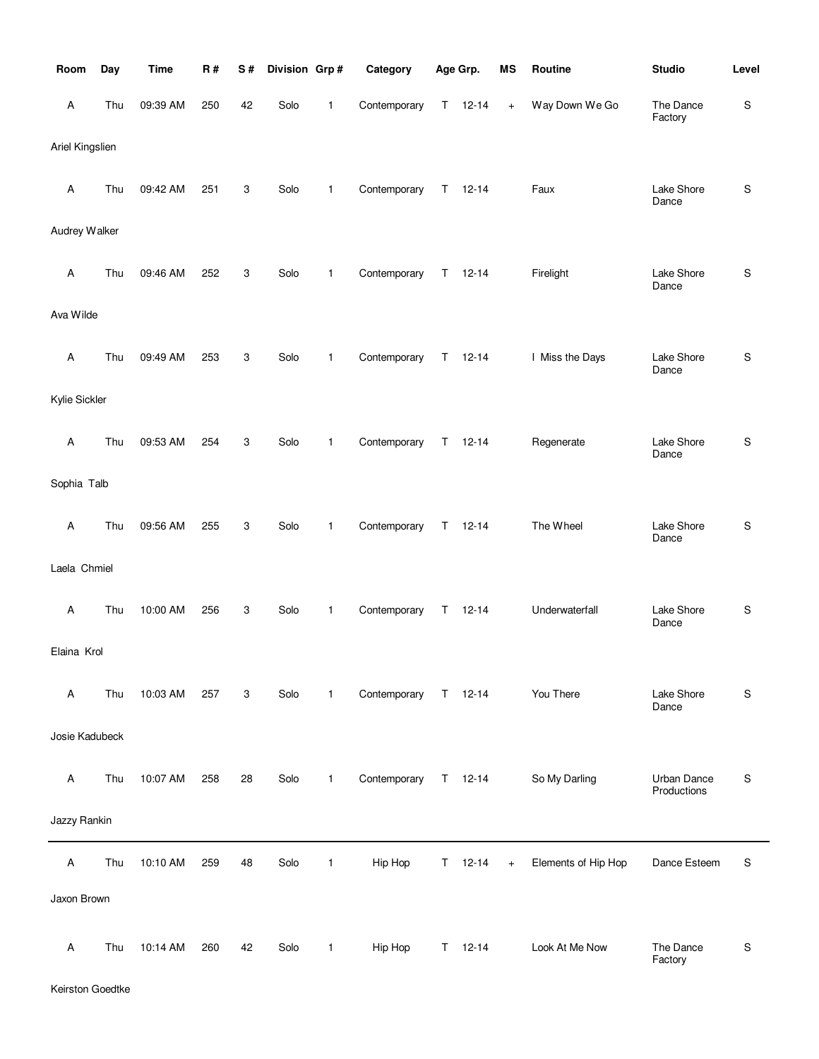| Room            | Day | <b>Time</b> | R#  | S# | Division Grp# |              | Category     |    | Age Grp.  | ΜS                               | Routine             | <b>Studio</b>                     | Level |
|-----------------|-----|-------------|-----|----|---------------|--------------|--------------|----|-----------|----------------------------------|---------------------|-----------------------------------|-------|
| А               | Thu | 09:39 AM    | 250 | 42 | Solo          | 1            | Contemporary | Τ  | $12 - 14$ | $\begin{array}{c} + \end{array}$ | Way Down We Go      | The Dance<br>Factory              | S     |
| Ariel Kingslien |     |             |     |    |               |              |              |    |           |                                  |                     |                                   |       |
| Α               | Thu | 09:42 AM    | 251 | 3  | Solo          | 1            | Contemporary | Τ  | $12 - 14$ |                                  | Faux                | Lake Shore<br>Dance               | S     |
| Audrey Walker   |     |             |     |    |               |              |              |    |           |                                  |                     |                                   |       |
| Α               | Thu | 09:46 AM    | 252 | 3  | Solo          | 1            | Contemporary | T  | $12 - 14$ |                                  | Firelight           | Lake Shore<br>Dance               | S     |
| Ava Wilde       |     |             |     |    |               |              |              |    |           |                                  |                     |                                   |       |
| Α               | Thu | 09:49 AM    | 253 | 3  | Solo          | 1            | Contemporary | T  | $12 - 14$ |                                  | I Miss the Days     | Lake Shore<br>Dance               | S     |
| Kylie Sickler   |     |             |     |    |               |              |              |    |           |                                  |                     |                                   |       |
| Α               | Thu | 09:53 AM    | 254 | 3  | Solo          | 1            | Contemporary | T  | $12 - 14$ |                                  | Regenerate          | Lake Shore<br>Dance               | S     |
| Sophia Talb     |     |             |     |    |               |              |              |    |           |                                  |                     |                                   |       |
| Α               | Thu | 09:56 AM    | 255 | 3  | Solo          | 1            | Contemporary | Τ  | $12 - 14$ |                                  | The Wheel           | Lake Shore<br>Dance               | S     |
| Laela Chmiel    |     |             |     |    |               |              |              |    |           |                                  |                     |                                   |       |
| Α               | Thu | 10:00 AM    | 256 | 3  | Solo          | 1            | Contemporary | T  | $12 - 14$ |                                  | Underwaterfall      | Lake Shore<br>Dance               | S     |
| Elaina Krol     |     |             |     |    |               |              |              |    |           |                                  |                     |                                   |       |
| Α               | Thu | 10:03 AM    | 257 | 3  | Solo          | $\mathbf{1}$ | Contemporary | T  | $12 - 14$ |                                  | You There           | Lake Shore<br>Dance               | S     |
| Josie Kadubeck  |     |             |     |    |               |              |              |    |           |                                  |                     |                                   |       |
| Α               | Thu | 10:07 AM    | 258 | 28 | Solo          | $\mathbf{1}$ | Contemporary | T. | $12 - 14$ |                                  | So My Darling       | <b>Urban Dance</b><br>Productions | S     |
| Jazzy Rankin    |     |             |     |    |               |              |              |    |           |                                  |                     |                                   |       |
| Α               | Thu | 10:10 AM    | 259 | 48 | Solo          | $\mathbf{1}$ | Hip Hop      | Τ  | $12 - 14$ | $\ddot{}$                        | Elements of Hip Hop | Dance Esteem                      | S     |
| Jaxon Brown     |     |             |     |    |               |              |              |    |           |                                  |                     |                                   |       |
| Α               | Thu | 10:14 AM    | 260 | 42 | Solo          | $\mathbf{1}$ | Hip Hop      | T. | $12 - 14$ |                                  | Look At Me Now      | The Dance<br>Factory              | S     |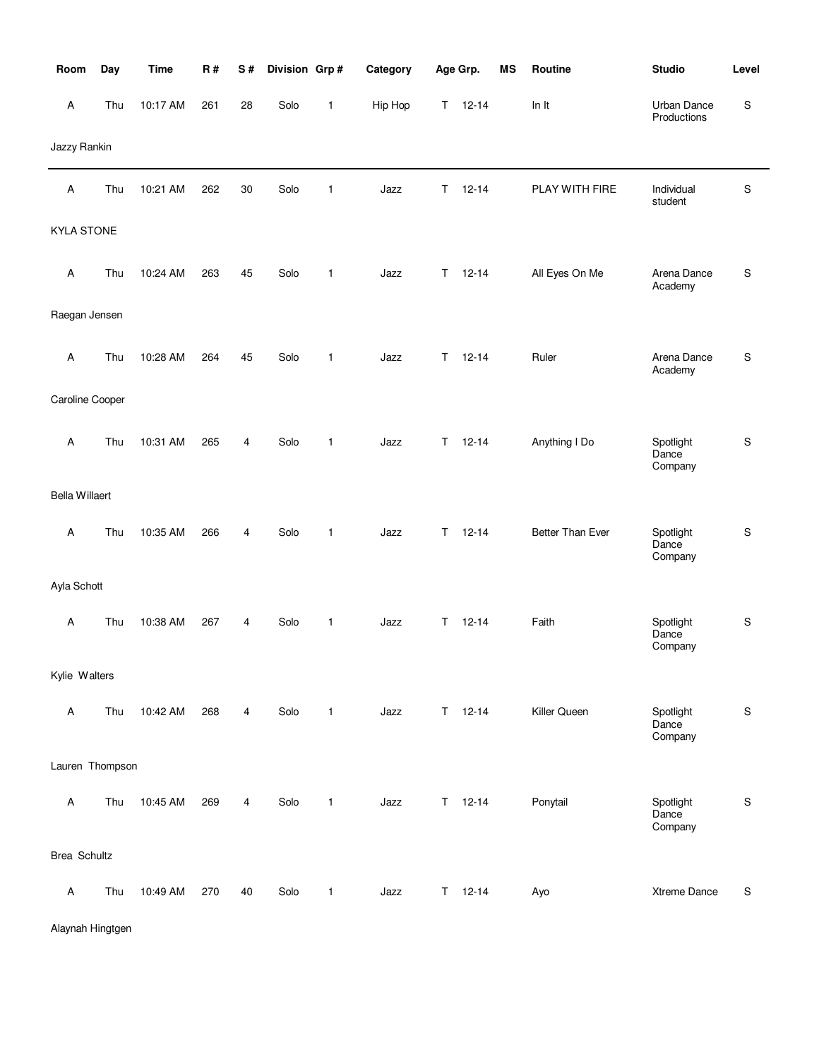| Room                  | Day | <b>Time</b> | R#  | S# | Division Grp# |              | Category |             | Age Grp.      | <b>MS</b> | Routine          | <b>Studio</b>                 | Level       |
|-----------------------|-----|-------------|-----|----|---------------|--------------|----------|-------------|---------------|-----------|------------------|-------------------------------|-------------|
| A                     | Thu | 10:17 AM    | 261 | 28 | Solo          | 1            | Hip Hop  | T.          | $12 - 14$     |           | In It            | Urban Dance<br>Productions    | S           |
| Jazzy Rankin          |     |             |     |    |               |              |          |             |               |           |                  |                               |             |
| A                     | Thu | 10:21 AM    | 262 | 30 | Solo          | 1            | Jazz     | $\mathsf T$ | $12 - 14$     |           | PLAY WITH FIRE   | Individual<br>student         | S           |
| <b>KYLA STONE</b>     |     |             |     |    |               |              |          |             |               |           |                  |                               |             |
| A                     | Thu | 10:24 AM    | 263 | 45 | Solo          | 1            | Jazz     | T.          | $12 - 14$     |           | All Eyes On Me   | Arena Dance<br>Academy        | S           |
| Raegan Jensen         |     |             |     |    |               |              |          |             |               |           |                  |                               |             |
| A                     | Thu | 10:28 AM    | 264 | 45 | Solo          | 1            | Jazz     | т           | $12 - 14$     |           | Ruler            | Arena Dance<br>Academy        | S           |
| Caroline Cooper       |     |             |     |    |               |              |          |             |               |           |                  |                               |             |
| A                     | Thu | 10:31 AM    | 265 | 4  | Solo          | 1            | Jazz     | T           | $12 - 14$     |           | Anything I Do    | Spotlight<br>Dance<br>Company | S           |
| <b>Bella Willaert</b> |     |             |     |    |               |              |          |             |               |           |                  |                               |             |
| Α                     | Thu | 10:35 AM    | 266 | 4  | Solo          | 1            | Jazz     | Τ           | $12 - 14$     |           | Better Than Ever | Spotlight<br>Dance<br>Company | S           |
| Ayla Schott           |     |             |     |    |               |              |          |             |               |           |                  |                               |             |
| Α                     | Thu | 10:38 AM    | 267 | 4  | Solo          | 1            | Jazz     | Τ           | $12 - 14$     |           | Faith            | Spotlight<br>Dance<br>Company | S           |
| Kylie Walters         |     |             |     |    |               |              |          |             |               |           |                  |                               |             |
| A                     | Thu | 10:42 AM    | 268 | 4  | Solo          | $\mathbf{1}$ | Jazz     |             | $T = 12 - 14$ |           | Killer Queen     | Spotlight<br>Dance<br>Company | S           |
| Lauren Thompson       |     |             |     |    |               |              |          |             |               |           |                  |                               |             |
| A                     | Thu | 10:45 AM    | 269 | 4  | Solo          | 1            | Jazz     | T.          | $12 - 14$     |           | Ponytail         | Spotlight<br>Dance<br>Company | $\mathbf S$ |
| Brea Schultz          |     |             |     |    |               |              |          |             |               |           |                  |                               |             |
| $\mathsf{A}$          | Thu | 10:49 AM    | 270 | 40 | Solo          | $\mathbf{1}$ | Jazz     |             | $T = 12 - 14$ |           | Ayo              | Xtreme Dance                  | S           |

Alaynah Hingtgen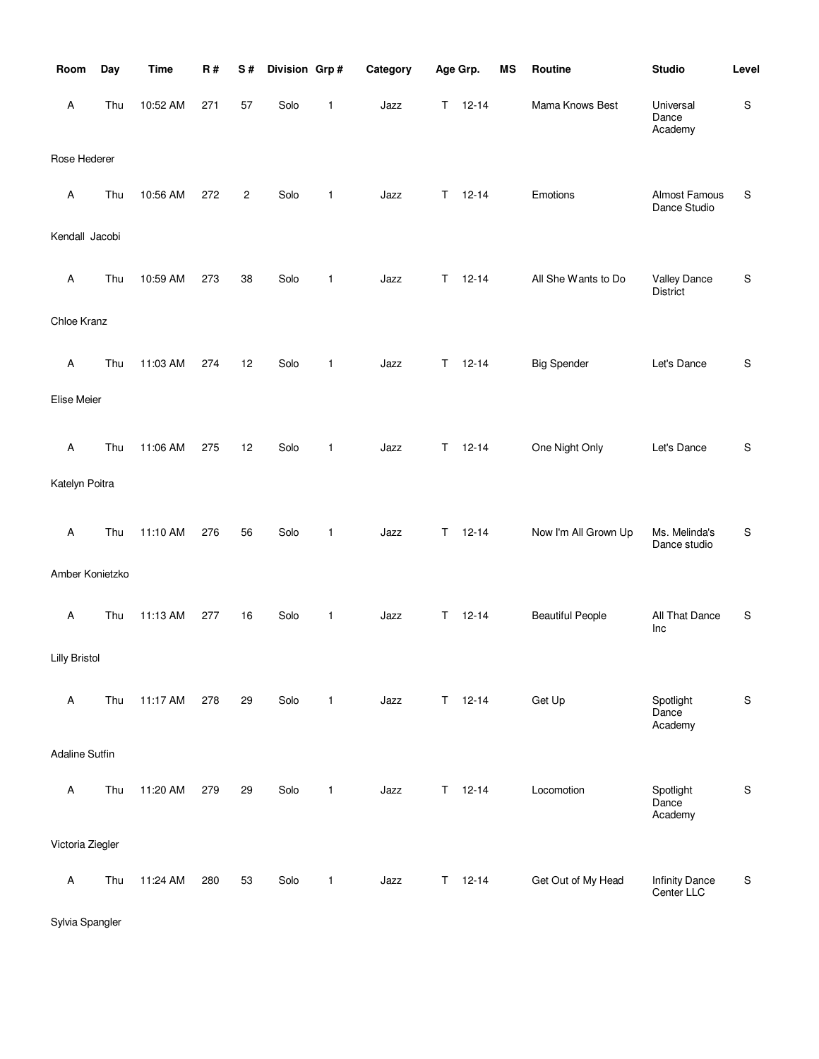| Room                  | Day | <b>Time</b> | R#  | S#             | Division Grp# |              | Category |    | Age Grp.  | <b>MS</b> | Routine                 | <b>Studio</b>                          | Level       |
|-----------------------|-----|-------------|-----|----------------|---------------|--------------|----------|----|-----------|-----------|-------------------------|----------------------------------------|-------------|
| Α                     | Thu | 10:52 AM    | 271 | 57             | Solo          | 1            | Jazz     | Τ  | $12 - 14$ |           | Mama Knows Best         | Universal<br>Dance<br>Academy          | ${\sf S}$   |
| Rose Hederer          |     |             |     |                |               |              |          |    |           |           |                         |                                        |             |
| Α                     | Thu | 10:56 AM    | 272 | $\overline{c}$ | Solo          | 1            | Jazz     | т  | $12 - 14$ |           | Emotions                | Almost Famous<br>Dance Studio          | S           |
| Kendall Jacobi        |     |             |     |                |               |              |          |    |           |           |                         |                                        |             |
| Α                     | Thu | 10:59 AM    | 273 | 38             | Solo          | 1            | Jazz     | T  | $12 - 14$ |           | All She Wants to Do     | <b>Valley Dance</b><br><b>District</b> | ${\sf S}$   |
| Chloe Kranz           |     |             |     |                |               |              |          |    |           |           |                         |                                        |             |
| Α                     | Thu | 11:03 AM    | 274 | 12             | Solo          | 1            | Jazz     | Т  | $12 - 14$ |           | <b>Big Spender</b>      | Let's Dance                            | S           |
| Elise Meier           |     |             |     |                |               |              |          |    |           |           |                         |                                        |             |
| A                     | Thu | 11:06 AM    | 275 | 12             | Solo          | $\mathbf{1}$ | Jazz     | T  | $12 - 14$ |           | One Night Only          | Let's Dance                            | S           |
| Katelyn Poitra        |     |             |     |                |               |              |          |    |           |           |                         |                                        |             |
| Α                     | Thu | 11:10 AM    | 276 | 56             | Solo          | 1            | Jazz     | Τ  | $12 - 14$ |           | Now I'm All Grown Up    | Ms. Melinda's<br>Dance studio          | S           |
| Amber Konietzko       |     |             |     |                |               |              |          |    |           |           |                         |                                        |             |
| Α                     | Thu | 11:13 AM    | 277 | 16             | Solo          | 1            | Jazz     | Τ  | $12 - 14$ |           | <b>Beautiful People</b> | All That Dance<br>Inc                  | ${\sf S}$   |
| <b>Lilly Bristol</b>  |     |             |     |                |               |              |          |    |           |           |                         |                                        |             |
| Α                     | Thu | 11:17 AM    | 278 | 29             | Solo          | $\mathbf{1}$ | Jazz     | Τ  | $12 - 14$ |           | Get Up                  | Spotlight<br>Dance<br>Academy          | $\mathsf S$ |
| <b>Adaline Sutfin</b> |     |             |     |                |               |              |          |    |           |           |                         |                                        |             |
| Α                     | Thu | 11:20 AM    | 279 | 29             | Solo          | $\mathbf{1}$ | Jazz     | T. | $12 - 14$ |           | Locomotion              | Spotlight<br>Dance<br>Academy          | ${\sf S}$   |
| Victoria Ziegler      |     |             |     |                |               |              |          |    |           |           |                         |                                        |             |
| Α                     | Thu | 11:24 AM    | 280 | 53             | Solo          | 1            | Jazz     | T. | $12 - 14$ |           | Get Out of My Head      | <b>Infinity Dance</b><br>Center LLC    | ${\sf S}$   |

Sylvia Spangler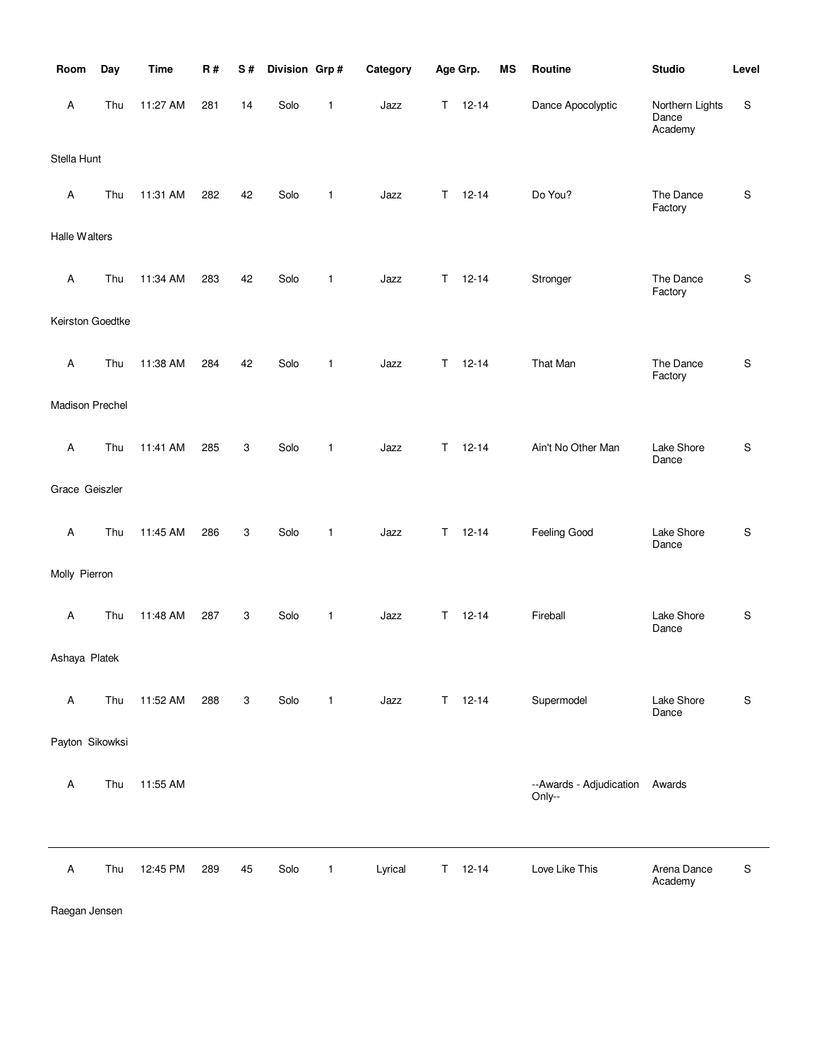| Room             | Day | <b>Time</b> | R#  | S# | Division Grp# |              | Category |    | Age Grp.      | <b>MS</b> | Routine                           | <b>Studio</b>                       | Level |
|------------------|-----|-------------|-----|----|---------------|--------------|----------|----|---------------|-----------|-----------------------------------|-------------------------------------|-------|
| A                | Thu | 11:27 AM    | 281 | 14 | Solo          | 1            | Jazz     | T. | $12 - 14$     |           | Dance Apocolyptic                 | Northern Lights<br>Dance<br>Academy | S     |
| Stella Hunt      |     |             |     |    |               |              |          |    |               |           |                                   |                                     |       |
| A                | Thu | 11:31 AM    | 282 | 42 | Solo          | $\mathbf{1}$ | Jazz     | T. | $12 - 14$     |           | Do You?                           | The Dance<br>Factory                | S     |
| Halle Walters    |     |             |     |    |               |              |          |    |               |           |                                   |                                     |       |
| A                | Thu | 11:34 AM    | 283 | 42 | Solo          | $\mathbf{1}$ | Jazz     | T. | $12 - 14$     |           | Stronger                          | The Dance<br>Factory                | S     |
| Keirston Goedtke |     |             |     |    |               |              |          |    |               |           |                                   |                                     |       |
| A                | Thu | 11:38 AM    | 284 | 42 | Solo          | $\mathbf{1}$ | Jazz     | T. | $12 - 14$     |           | That Man                          | The Dance<br>Factory                | S     |
| Madison Prechel  |     |             |     |    |               |              |          |    |               |           |                                   |                                     |       |
| A                | Thu | 11:41 AM    | 285 | 3  | Solo          | $\mathbf{1}$ | Jazz     | T. | $12 - 14$     |           | Ain't No Other Man                | Lake Shore<br>Dance                 | S     |
| Grace Geiszler   |     |             |     |    |               |              |          |    |               |           |                                   |                                     |       |
| A                | Thu | 11:45 AM    | 286 | 3  | Solo          | 1            | Jazz     | T. | $12 - 14$     |           | Feeling Good                      | Lake Shore<br>Dance                 | S     |
| Molly Pierron    |     |             |     |    |               |              |          |    |               |           |                                   |                                     |       |
| A                | Thu | 11:48 AM    | 287 | 3  | Solo          | 1            | Jazz     | T. | $12 - 14$     |           | Fireball                          | Lake Shore<br>Dance                 | S     |
| Ashaya Platek    |     |             |     |    |               |              |          |    |               |           |                                   |                                     |       |
| A                | Thu | 11:52 AM    | 288 | 3  | Solo          | $\mathbf{1}$ | Jazz     |    | $T = 12 - 14$ |           | Supermodel                        | Lake Shore<br>Dance                 | S     |
| Payton Sikowksi  |     |             |     |    |               |              |          |    |               |           |                                   |                                     |       |
| Α                | Thu | 11:55 AM    |     |    |               |              |          |    |               |           | --Awards - Adjudication<br>Only-- | Awards                              |       |
|                  |     |             |     |    |               |              |          |    |               |           |                                   |                                     |       |
| A                | Thu | 12:45 PM    | 289 | 45 | Solo          | $\mathbf{1}$ | Lyrical  |    | $T = 12 - 14$ |           | Love Like This                    | Arena Dance<br>Academy              | S     |

Raegan Jensen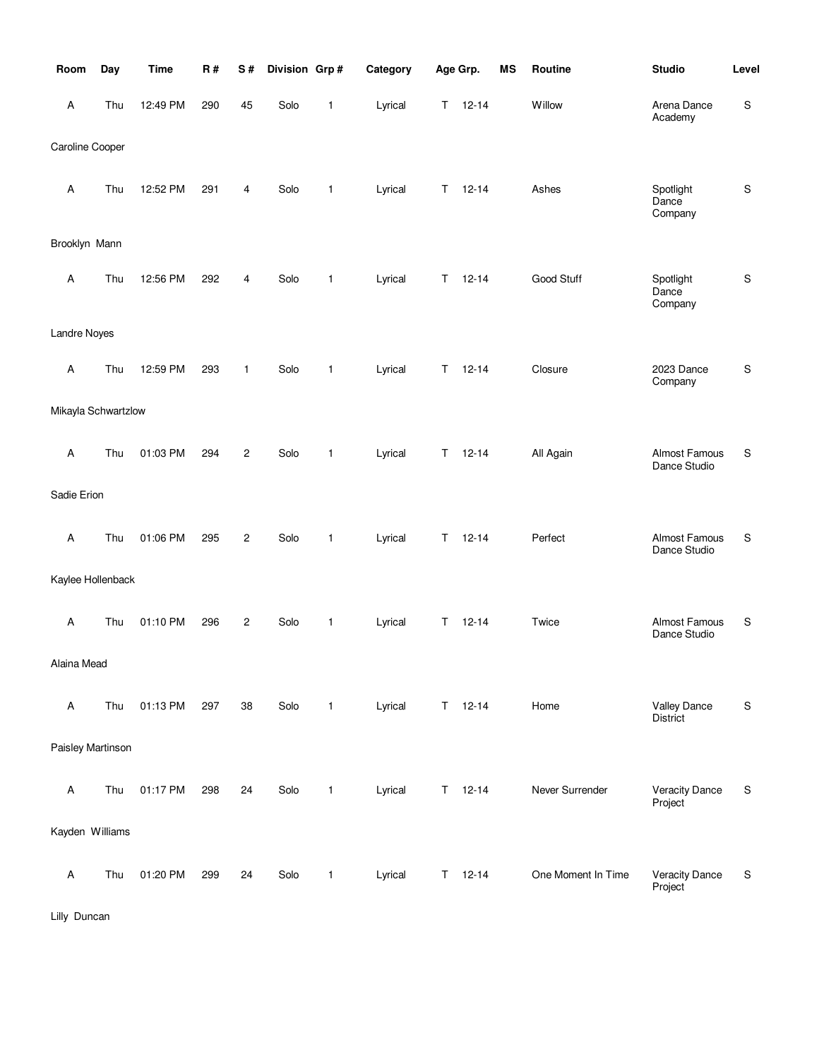| Room                | Day | <b>Time</b> | <b>R#</b> | S#             | Division Grp# |              | Category |    | Age Grp.  | <b>MS</b> | Routine            | <b>Studio</b>                    | Level         |
|---------------------|-----|-------------|-----------|----------------|---------------|--------------|----------|----|-----------|-----------|--------------------|----------------------------------|---------------|
| Α                   | Thu | 12:49 PM    | 290       | 45             | Solo          | $\mathbf{1}$ | Lyrical  | Τ  | $12 - 14$ |           | Willow             | Arena Dance<br>Academy           | $\mathbb S$   |
| Caroline Cooper     |     |             |           |                |               |              |          |    |           |           |                    |                                  |               |
| Α                   | Thu | 12:52 PM    | 291       | 4              | Solo          | $\mathbf{1}$ | Lyrical  | Т  | $12 - 14$ |           | Ashes              | Spotlight<br>Dance<br>Company    | $\mathbb S$   |
| Brooklyn Mann       |     |             |           |                |               |              |          |    |           |           |                    |                                  |               |
| Α                   | Thu | 12:56 PM    | 292       | 4              | Solo          | $\mathbf{1}$ | Lyrical  | Т  | $12 - 14$ |           | Good Stuff         | Spotlight<br>Dance<br>Company    | ${\sf S}$     |
| Landre Noyes        |     |             |           |                |               |              |          |    |           |           |                    |                                  |               |
| Α                   | Thu | 12:59 PM    | 293       | 1              | Solo          | $\mathbf{1}$ | Lyrical  | Τ  | $12 - 14$ |           | Closure            | 2023 Dance<br>Company            | ${\sf S}$     |
| Mikayla Schwartzlow |     |             |           |                |               |              |          |    |           |           |                    |                                  |               |
| Α                   | Thu | 01:03 PM    | 294       | $\overline{c}$ | Solo          | $\mathbf{1}$ | Lyrical  | Т  | $12 - 14$ |           | All Again          | Almost Famous<br>Dance Studio    | S             |
| Sadie Erion         |     |             |           |                |               |              |          |    |           |           |                    |                                  |               |
| $\mathsf A$         | Thu | 01:06 PM    | 295       | $\overline{c}$ | Solo          | 1            | Lyrical  | Τ  | $12 - 14$ |           | Perfect            | Almost Famous<br>Dance Studio    | S             |
| Kaylee Hollenback   |     |             |           |                |               |              |          |    |           |           |                    |                                  |               |
| $\mathsf A$         | Thu | 01:10 PM    | 296       | $\overline{c}$ | Solo          | 1            | Lyrical  | Т  | $12 - 14$ |           | Twice              | Almost Famous<br>Dance Studio    | S             |
| Alaina Mead         |     |             |           |                |               |              |          |    |           |           |                    |                                  |               |
| $\mathsf A$         | Thu | 01:13 PM    | 297       | 38             | Solo          | 1            | Lyrical  | T. | $12 - 14$ |           | Home               | <b>Valley Dance</b><br>District  | ${\mathsf S}$ |
| Paisley Martinson   |     |             |           |                |               |              |          |    |           |           |                    |                                  |               |
| A                   | Thu | 01:17 PM    | 298       | 24             | Solo          | 1            | Lyrical  | Τ  | $12 - 14$ |           | Never Surrender    | <b>Veracity Dance</b><br>Project | S             |
| Kayden Williams     |     |             |           |                |               |              |          |    |           |           |                    |                                  |               |
| Α                   | Thu | 01:20 PM    | 299       | 24             | Solo          | 1            | Lyrical  | Τ  | $12 - 14$ |           | One Moment In Time | <b>Veracity Dance</b><br>Project | S             |

Lilly Duncan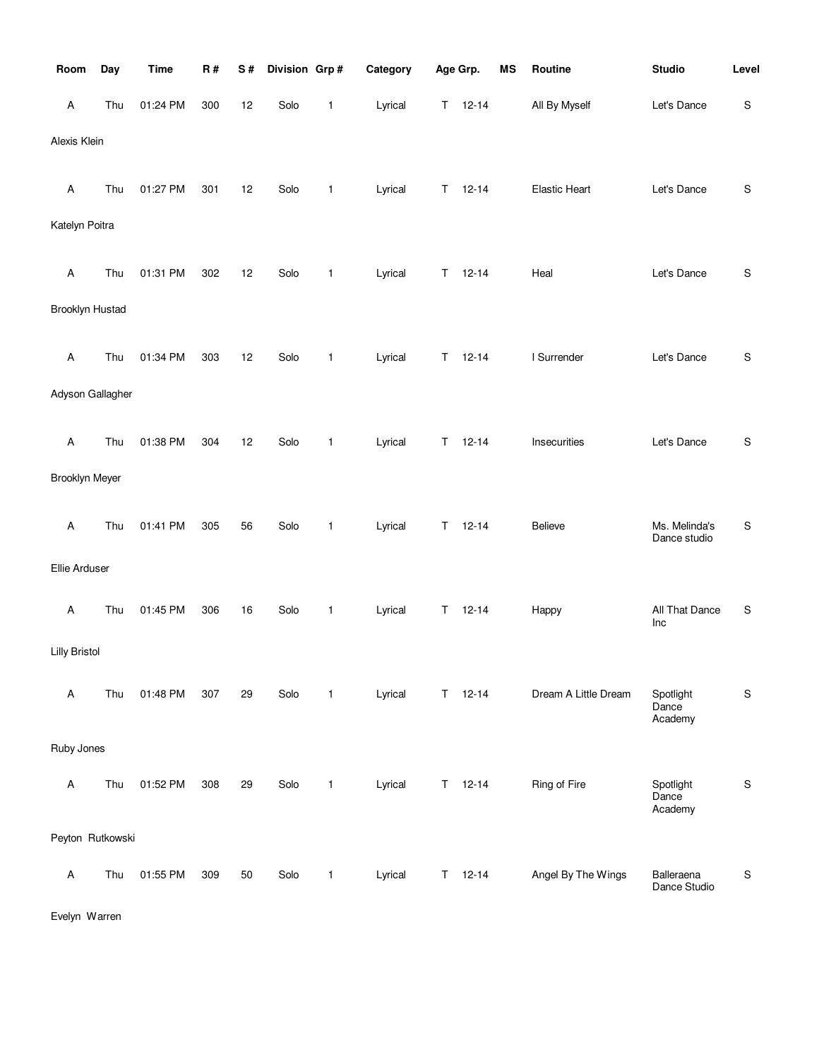| Room                 | Day | <b>Time</b> | R#  | S# | Division Grp# |              | Category |    | Age Grp.  | <b>MS</b> | Routine              | <b>Studio</b>                 | Level       |
|----------------------|-----|-------------|-----|----|---------------|--------------|----------|----|-----------|-----------|----------------------|-------------------------------|-------------|
| Α                    | Thu | 01:24 PM    | 300 | 12 | Solo          | 1            | Lyrical  | Τ  | $12 - 14$ |           | All By Myself        | Let's Dance                   | $\mathbf S$ |
| Alexis Klein         |     |             |     |    |               |              |          |    |           |           |                      |                               |             |
| Α                    | Thu | 01:27 PM    | 301 | 12 | Solo          | 1            | Lyrical  | Τ  | $12 - 14$ |           | <b>Elastic Heart</b> | Let's Dance                   | $\mathbb S$ |
| Katelyn Poitra       |     |             |     |    |               |              |          |    |           |           |                      |                               |             |
| Α                    | Thu | 01:31 PM    | 302 | 12 | Solo          | 1            | Lyrical  | Τ  | $12 - 14$ |           | Heal                 | Let's Dance                   | $\mathbb S$ |
| Brooklyn Hustad      |     |             |     |    |               |              |          |    |           |           |                      |                               |             |
| Α                    | Thu | 01:34 PM    | 303 | 12 | Solo          | 1            | Lyrical  | Т  | $12 - 14$ |           | I Surrender          | Let's Dance                   | S           |
| Adyson Gallagher     |     |             |     |    |               |              |          |    |           |           |                      |                               |             |
| Α                    | Thu | 01:38 PM    | 304 | 12 | Solo          | 1            | Lyrical  | Т  | $12 - 14$ |           | Insecurities         | Let's Dance                   | $\mathbb S$ |
| Brooklyn Meyer       |     |             |     |    |               |              |          |    |           |           |                      |                               |             |
| Α                    | Thu | 01:41 PM    | 305 | 56 | Solo          | 1            | Lyrical  | Τ  | $12 - 14$ |           | Believe              | Ms. Melinda's<br>Dance studio | S           |
| Ellie Arduser        |     |             |     |    |               |              |          |    |           |           |                      |                               |             |
| Α                    | Thu | 01:45 PM    | 306 | 16 | Solo          | 1            | Lyrical  | Τ  | $12 - 14$ |           | Happy                | All That Dance<br>Inc         | S           |
| <b>Lilly Bristol</b> |     |             |     |    |               |              |          |    |           |           |                      |                               |             |
| Α                    | Thu | 01:48 PM    | 307 | 29 | Solo          | 1            | Lyrical  | T. | $12 - 14$ |           | Dream A Little Dream | Spotlight<br>Dance<br>Academy | $\mathbb S$ |
| Ruby Jones           |     |             |     |    |               |              |          |    |           |           |                      |                               |             |
| Α                    | Thu | 01:52 PM    | 308 | 29 | Solo          | 1            | Lyrical  | Τ  | $12 - 14$ |           | Ring of Fire         | Spotlight<br>Dance<br>Academy | $\mathbb S$ |
| Peyton Rutkowski     |     |             |     |    |               |              |          |    |           |           |                      |                               |             |
| Α                    | Thu | 01:55 PM    | 309 | 50 | Solo          | $\mathbf{1}$ | Lyrical  | T. | $12 - 14$ |           | Angel By The Wings   | Balleraena<br>Dance Studio    | S           |

Evelyn Warren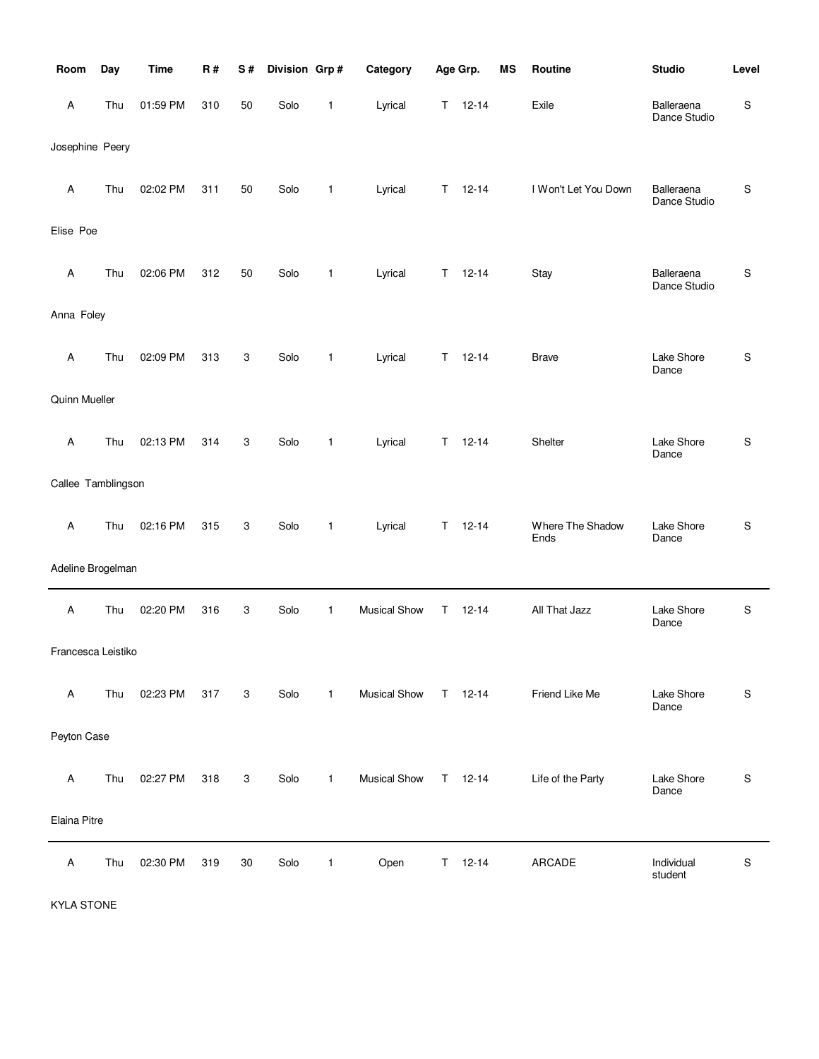| Room               | Day | <b>Time</b> | R#  | S# | Division Grp# |              | Category            |    | Age Grp.      | <b>MS</b> | Routine                  | <b>Studio</b>              | Level       |
|--------------------|-----|-------------|-----|----|---------------|--------------|---------------------|----|---------------|-----------|--------------------------|----------------------------|-------------|
| A                  | Thu | 01:59 PM    | 310 | 50 | Solo          | 1            | Lyrical             |    | $T = 12 - 14$ |           | Exile                    | Balleraena<br>Dance Studio | S           |
| Josephine Peery    |     |             |     |    |               |              |                     |    |               |           |                          |                            |             |
| Α                  | Thu | 02:02 PM    | 311 | 50 | Solo          | $\mathbf{1}$ | Lyrical             | T  | $12 - 14$     |           | I Won't Let You Down     | Balleraena<br>Dance Studio | S           |
| Elise Poe          |     |             |     |    |               |              |                     |    |               |           |                          |                            |             |
| Α                  | Thu | 02:06 PM    | 312 | 50 | Solo          | $\mathbf{1}$ | Lyrical             | T. | $12 - 14$     |           | Stay                     | Balleraena<br>Dance Studio | S           |
| Anna Foley         |     |             |     |    |               |              |                     |    |               |           |                          |                            |             |
| Α                  | Thu | 02:09 PM    | 313 | 3  | Solo          | $\mathbf{1}$ | Lyrical             | Τ  | $12 - 14$     |           | <b>Brave</b>             | Lake Shore<br>Dance        | S           |
| Quinn Mueller      |     |             |     |    |               |              |                     |    |               |           |                          |                            |             |
| A                  | Thu | 02:13 PM    | 314 | 3  | Solo          | $\mathbf{1}$ | Lyrical             | Τ  | $12 - 14$     |           | Shelter                  | Lake Shore<br>Dance        | S           |
| Callee Tamblingson |     |             |     |    |               |              |                     |    |               |           |                          |                            |             |
| Α                  | Thu | 02:16 PM    | 315 | 3  | Solo          | $\mathbf{1}$ | Lyrical             | T. | $12 - 14$     |           | Where The Shadow<br>Ends | Lake Shore<br>Dance        | S           |
| Adeline Brogelman  |     |             |     |    |               |              |                     |    |               |           |                          |                            |             |
| Α                  | Thu | 02:20 PM    | 316 | 3  | Solo          | $\mathbf{1}$ | <b>Musical Show</b> | T. | $12 - 14$     |           | All That Jazz            | Lake Shore<br>Dance        | S           |
| Francesca Leistiko |     |             |     |    |               |              |                     |    |               |           |                          |                            |             |
| Α                  | Thu | 02:23 PM    | 317 | 3  | Solo          | $\mathbf{1}$ | <b>Musical Show</b> |    | $T = 12 - 14$ |           | Friend Like Me           | Lake Shore<br>Dance        | S           |
| Peyton Case        |     |             |     |    |               |              |                     |    |               |           |                          |                            |             |
| Α                  | Thu | 02:27 PM    | 318 | 3  | Solo          | $\mathbf{1}$ | <b>Musical Show</b> |    | $T = 12 - 14$ |           | Life of the Party        | Lake Shore<br>Dance        | S           |
| Elaina Pitre       |     |             |     |    |               |              |                     |    |               |           |                          |                            |             |
| A                  | Thu | 02:30 PM    | 319 | 30 | Solo          | 1            | Open                | Τ  | $12 - 14$     |           | ARCADE                   | Individual<br>student      | $\mathbb S$ |

KYLA STONE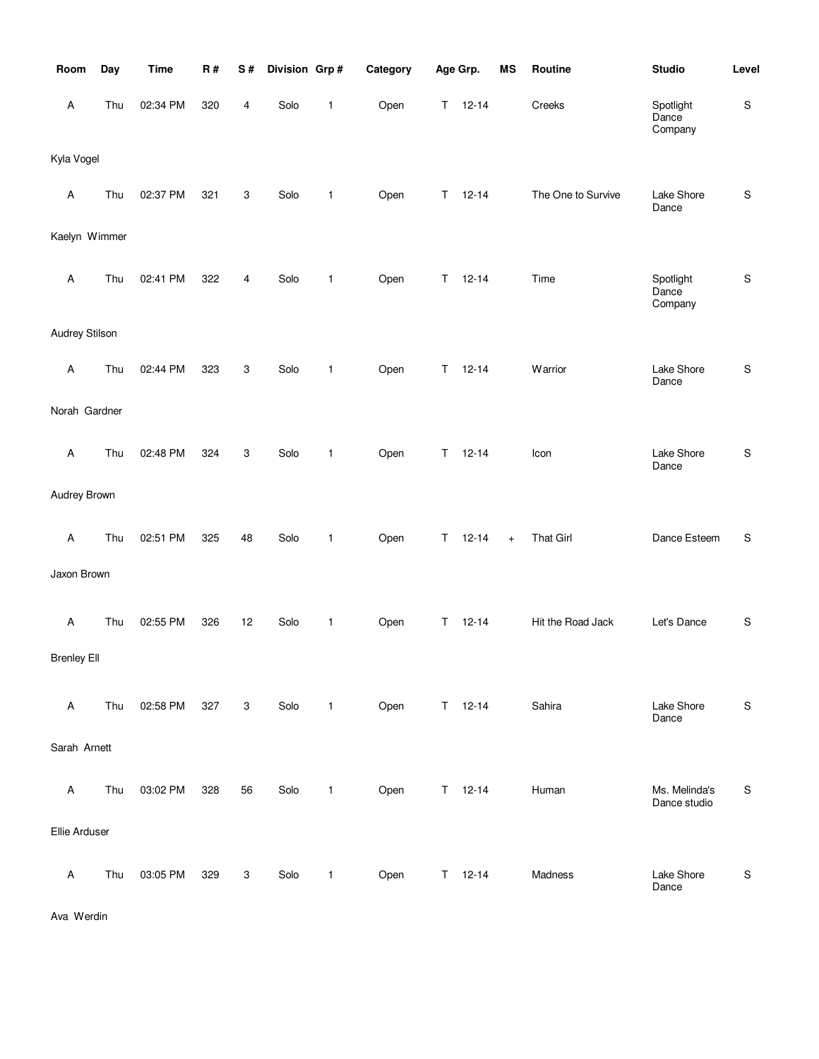| Room                      | Day | <b>Time</b> | R#  | S#                        | Division Grp# |              | Category |    | Age Grp.      | <b>MS</b> | Routine            | <b>Studio</b>                 | Level         |
|---------------------------|-----|-------------|-----|---------------------------|---------------|--------------|----------|----|---------------|-----------|--------------------|-------------------------------|---------------|
| $\mathsf A$               | Thu | 02:34 PM    | 320 | 4                         | Solo          | 1            | Open     | Τ  | $12 - 14$     |           | Creeks             | Spotlight<br>Dance<br>Company | $\mathbb S$   |
| Kyla Vogel                |     |             |     |                           |               |              |          |    |               |           |                    |                               |               |
| Α                         | Thu | 02:37 PM    | 321 | 3                         | Solo          | $\mathbf{1}$ | Open     | Т  | $12 - 14$     |           | The One to Survive | Lake Shore<br>Dance           | ${\mathsf S}$ |
| Kaelyn Wimmer             |     |             |     |                           |               |              |          |    |               |           |                    |                               |               |
| $\mathsf A$               | Thu | 02:41 PM    | 322 | 4                         | Solo          | $\mathbf{1}$ | Open     | Τ  | $12 - 14$     |           | Time               | Spotlight<br>Dance<br>Company | ${\mathsf S}$ |
| Audrey Stilson            |     |             |     |                           |               |              |          |    |               |           |                    |                               |               |
| Α                         | Thu | 02:44 PM    | 323 | 3                         | Solo          | 1            | Open     | Τ  | $12 - 14$     |           | Warrior            | Lake Shore<br>Dance           | ${\sf S}$     |
| Norah Gardner             |     |             |     |                           |               |              |          |    |               |           |                    |                               |               |
| Α                         | Thu | 02:48 PM    | 324 | 3                         | Solo          | $\mathbf{1}$ | Open     | Т  | $12 - 14$     |           | Icon               | Lake Shore<br>Dance           | ${\mathsf S}$ |
| Audrey Brown              |     |             |     |                           |               |              |          |    |               |           |                    |                               |               |
| $\mathsf A$               | Thu | 02:51 PM    | 325 | 48                        | Solo          | 1            | Open     | Т  | $12 - 14$     | $+$       | <b>That Girl</b>   | Dance Esteem                  | S             |
| Jaxon Brown               |     |             |     |                           |               |              |          |    |               |           |                    |                               |               |
| $\mathsf A$               | Thu | 02:55 PM    | 326 | 12                        | Solo          | 1            | Open     | Т  | $12 - 14$     |           | Hit the Road Jack  | Let's Dance                   | S             |
| <b>Brenley Ell</b>        |     |             |     |                           |               |              |          |    |               |           |                    |                               |               |
| $\boldsymbol{\mathsf{A}}$ | Thu | 02:58 PM    | 327 | 3                         | Solo          | $\mathbf{1}$ | Open     |    | $T = 12 - 14$ |           | Sahira             | Lake Shore<br>Dance           | ${\sf S}$     |
| Sarah Arnett              |     |             |     |                           |               |              |          |    |               |           |                    |                               |               |
| Α                         | Thu | 03:02 PM    | 328 | 56                        | Solo          | $\mathbf{1}$ | Open     | T  | $12 - 14$     |           | Human              | Ms. Melinda's<br>Dance studio | ${\sf S}$     |
| Ellie Arduser             |     |             |     |                           |               |              |          |    |               |           |                    |                               |               |
| $\boldsymbol{\mathsf{A}}$ | Thu | 03:05 PM    | 329 | $\ensuremath{\mathsf{3}}$ | Solo          | 1            | Open     | T. | $12 - 14$     |           | Madness            | Lake Shore<br>Dance           | ${\sf S}$     |

Ava Werdin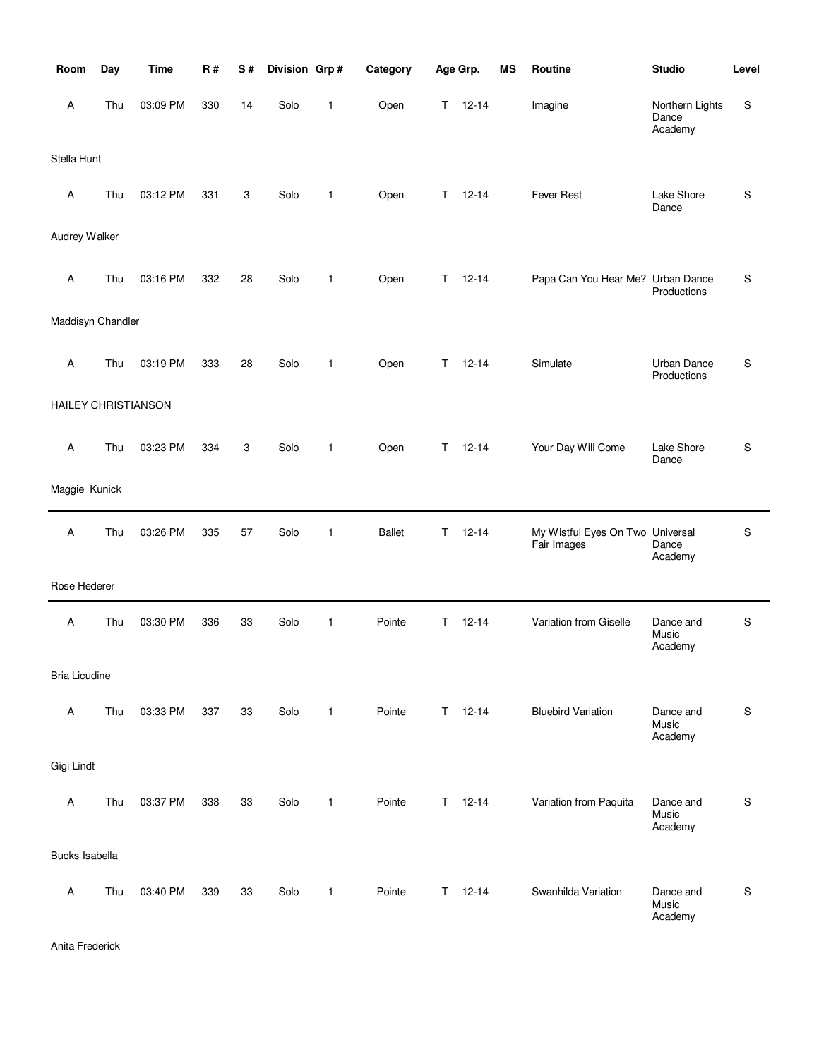| Room                       | Day | <b>Time</b> | <b>R#</b> | S# | Division Grp# |              | Category      | Age Grp.      | <b>MS</b> | Routine                                         | <b>Studio</b>                       | Level       |
|----------------------------|-----|-------------|-----------|----|---------------|--------------|---------------|---------------|-----------|-------------------------------------------------|-------------------------------------|-------------|
| A                          | Thu | 03:09 PM    | 330       | 14 | Solo          | 1            | Open          | T.            | $12 - 14$ | Imagine                                         | Northern Lights<br>Dance<br>Academy | S           |
| Stella Hunt                |     |             |           |    |               |              |               |               |           |                                                 |                                     |             |
| A                          | Thu | 03:12 PM    | 331       | 3  | Solo          | 1            | Open          | т             | $12 - 14$ | Fever Rest                                      | Lake Shore<br>Dance                 | S           |
| Audrey Walker              |     |             |           |    |               |              |               |               |           |                                                 |                                     |             |
| A                          | Thu | 03:16 PM    | 332       | 28 | Solo          | 1            | Open          | T.            | $12 - 14$ | Papa Can You Hear Me? Urban Dance               | Productions                         | S           |
| Maddisyn Chandler          |     |             |           |    |               |              |               |               |           |                                                 |                                     |             |
| A                          | Thu | 03:19 PM    | 333       | 28 | Solo          | 1            | Open          | т             | $12 - 14$ | Simulate                                        | Urban Dance<br>Productions          | S           |
| <b>HAILEY CHRISTIANSON</b> |     |             |           |    |               |              |               |               |           |                                                 |                                     |             |
| A                          | Thu | 03:23 PM    | 334       | 3  | Solo          | 1            | Open          | T.            | $12 - 14$ | Your Day Will Come                              | Lake Shore<br>Dance                 | S           |
| Maggie Kunick              |     |             |           |    |               |              |               |               |           |                                                 |                                     |             |
| A                          | Thu | 03:26 PM    | 335       | 57 | Solo          | 1            | <b>Ballet</b> | Τ             | $12 - 14$ | My Wistful Eyes On Two Universal<br>Fair Images | Dance<br>Academy                    | S           |
| Rose Hederer               |     |             |           |    |               |              |               |               |           |                                                 |                                     |             |
| A                          | Thu | 03:30 PM    | 336       | 33 | Solo          | $\mathbf{1}$ | Pointe        | T.            | $12 - 14$ | Variation from Giselle                          | Dance and<br>Music<br>Academy       | S           |
| <b>Bria Licudine</b>       |     |             |           |    |               |              |               |               |           |                                                 |                                     |             |
| A                          | Thu | 03:33 PM    | 337       | 33 | Solo          | $\mathbf{1}$ | Pointe        | $T = 12 - 14$ |           | <b>Bluebird Variation</b>                       | Dance and<br>Music<br>Academy       | S           |
| Gigi Lindt                 |     |             |           |    |               |              |               |               |           |                                                 |                                     |             |
| A                          | Thu | 03:37 PM    | 338       | 33 | Solo          | $\mathbf{1}$ | Pointe        | $T = 12 - 14$ |           | Variation from Paquita                          | Dance and<br>Music<br>Academy       | $\mathbf S$ |
| Bucks Isabella             |     |             |           |    |               |              |               |               |           |                                                 |                                     |             |
| $\mathsf A$                | Thu | 03:40 PM    | 339       | 33 | Solo          | $\mathbf{1}$ | Pointe        | T.            | $12 - 14$ | Swanhilda Variation                             | Dance and<br>Music<br>Academy       | S           |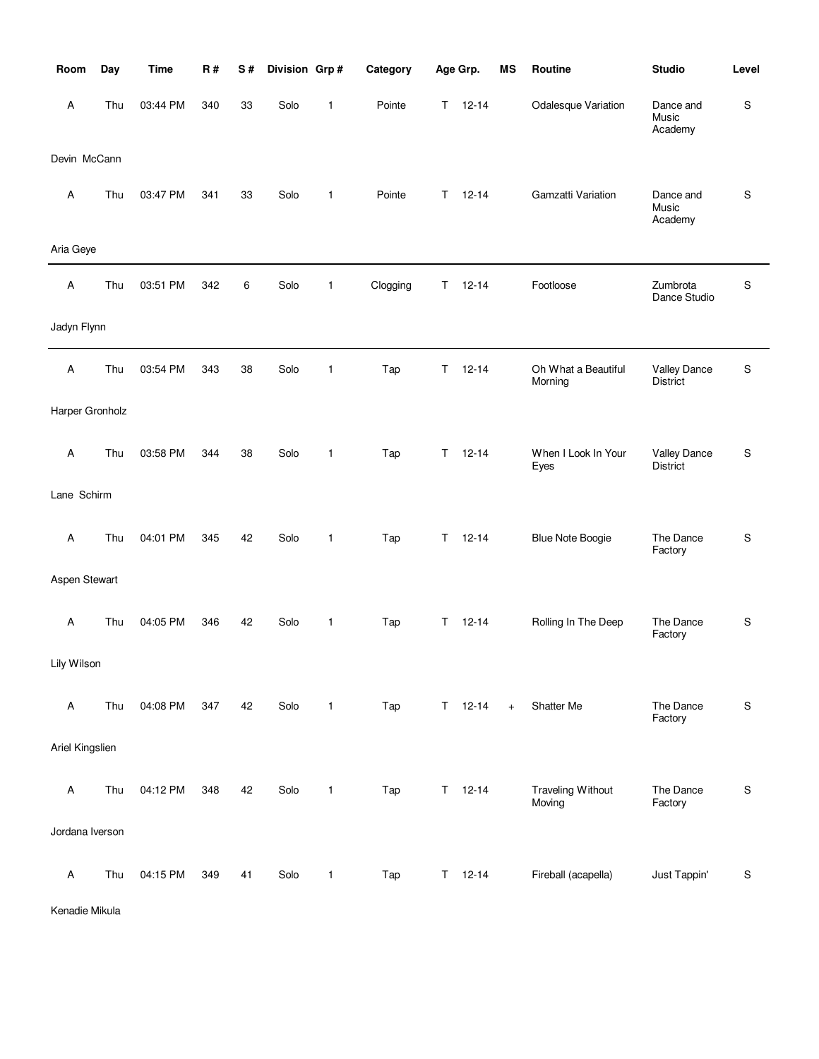| Room            | Day | <b>Time</b> | R#  | S# | Division Grp# |              | Category |    | Age Grp.      | MS                               | Routine                            | <b>Studio</b>                   | Level     |
|-----------------|-----|-------------|-----|----|---------------|--------------|----------|----|---------------|----------------------------------|------------------------------------|---------------------------------|-----------|
| A               | Thu | 03:44 PM    | 340 | 33 | Solo          | $\mathbf{1}$ | Pointe   | T. | $12 - 14$     |                                  | Odalesque Variation                | Dance and<br>Music<br>Academy   | S         |
| Devin McCann    |     |             |     |    |               |              |          |    |               |                                  |                                    |                                 |           |
| Α               | Thu | 03:47 PM    | 341 | 33 | Solo          | 1            | Pointe   | T. | $12 - 14$     |                                  | Gamzatti Variation                 | Dance and<br>Music<br>Academy   | S         |
| Aria Geye       |     |             |     |    |               |              |          |    |               |                                  |                                    |                                 |           |
| Α               | Thu | 03:51 PM    | 342 | 6  | Solo          | $\mathbf{1}$ | Clogging | Τ  | $12 - 14$     |                                  | Footloose                          | Zumbrota<br>Dance Studio        | S         |
| Jadyn Flynn     |     |             |     |    |               |              |          |    |               |                                  |                                    |                                 |           |
| Α               | Thu | 03:54 PM    | 343 | 38 | Solo          | $\mathbf{1}$ | Tap      | T. | $12 - 14$     |                                  | Oh What a Beautiful<br>Morning     | <b>Valley Dance</b><br>District | S         |
| Harper Gronholz |     |             |     |    |               |              |          |    |               |                                  |                                    |                                 |           |
| Α               | Thu | 03:58 PM    | 344 | 38 | Solo          | $\mathbf{1}$ | Tap      | T. | $12 - 14$     |                                  | When I Look In Your<br>Eyes        | <b>Valley Dance</b><br>District | S         |
| Lane Schirm     |     |             |     |    |               |              |          |    |               |                                  |                                    |                                 |           |
| Α               | Thu | 04:01 PM    | 345 | 42 | Solo          | $\mathbf{1}$ | Tap      | T. | $12 - 14$     |                                  | <b>Blue Note Boogie</b>            | The Dance<br>Factory            | S         |
| Aspen Stewart   |     |             |     |    |               |              |          |    |               |                                  |                                    |                                 |           |
| Α               | Thu | 04:05 PM    | 346 | 42 | Solo          | $\mathbf{1}$ | Tap      | T. | $12 - 14$     |                                  | Rolling In The Deep                | The Dance<br>Factory            | S         |
| Lily Wilson     |     |             |     |    |               |              |          |    |               |                                  |                                    |                                 |           |
| $\mathsf A$     | Thu | 04:08 PM    | 347 | 42 | Solo          | $\mathbf{1}$ | Tap      |    | $T = 12 - 14$ | $\begin{array}{c} + \end{array}$ | Shatter Me                         | The Dance<br>Factory            | S         |
| Ariel Kingslien |     |             |     |    |               |              |          |    |               |                                  |                                    |                                 |           |
| $\mathsf A$     | Thu | 04:12 PM    | 348 | 42 | Solo          | $\mathbf{1}$ | Tap      |    | $T = 12 - 14$ |                                  | <b>Traveling Without</b><br>Moving | The Dance<br>Factory            | S         |
| Jordana Iverson |     |             |     |    |               |              |          |    |               |                                  |                                    |                                 |           |
| $\mathsf A$     | Thu | 04:15 PM    | 349 | 41 | Solo          | $\mathbf{1}$ | Tap      |    | $T = 12 - 14$ |                                  | Fireball (acapella)                | Just Tappin'                    | ${\sf S}$ |

Kenadie Mikula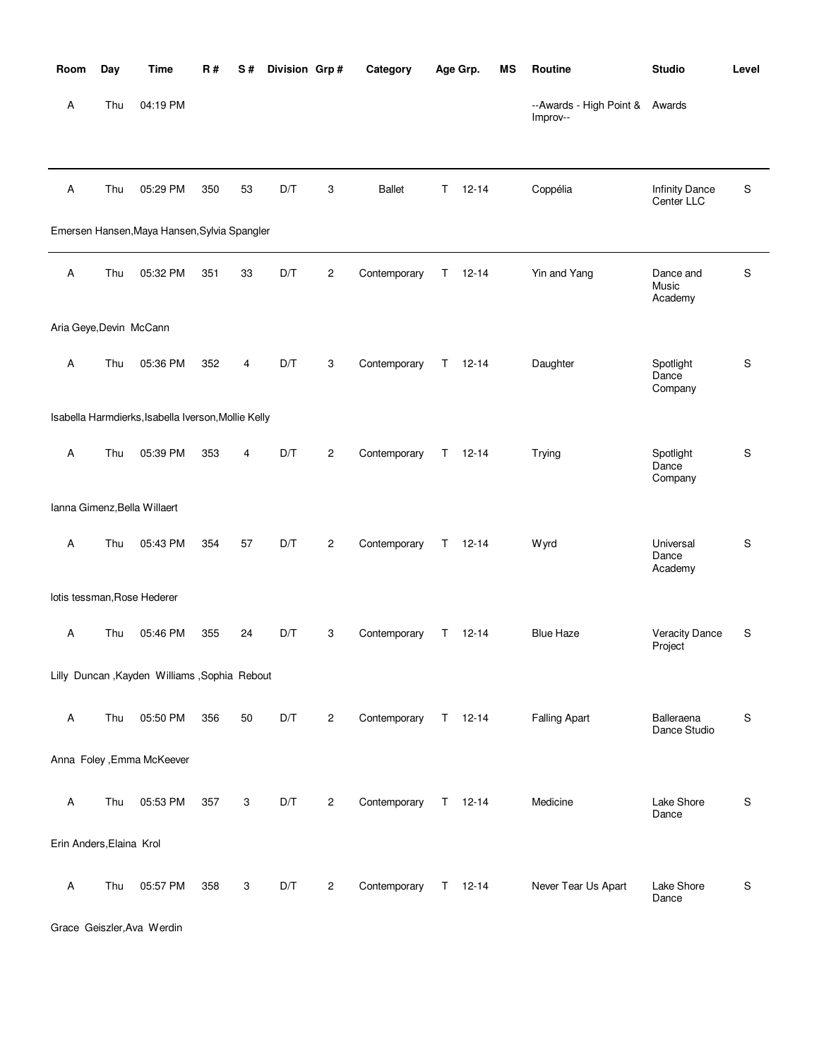| Room                     | Day | <b>Time</b>                                         | <b>R#</b> | S# | Division Grp# |                | Category      |    | Age Grp.      | MS | Routine                                    | <b>Studio</b>                       | Level |
|--------------------------|-----|-----------------------------------------------------|-----------|----|---------------|----------------|---------------|----|---------------|----|--------------------------------------------|-------------------------------------|-------|
| Α                        | Thu | 04:19 PM                                            |           |    |               |                |               |    |               |    | --Awards - High Point & Awards<br>Improv-- |                                     |       |
| Α                        | Thu | 05:29 PM                                            | 350       | 53 | D/T           | 3              | <b>Ballet</b> | T. | $12 - 14$     |    | Coppélia                                   | <b>Infinity Dance</b><br>Center LLC | S     |
|                          |     | Emersen Hansen, Maya Hansen, Sylvia Spangler        |           |    |               |                |               |    |               |    |                                            |                                     |       |
| Α                        | Thu | 05:32 PM                                            | 351       | 33 | D/T           | $\overline{2}$ | Contemporary  | T. | $12 - 14$     |    | Yin and Yang                               | Dance and<br>Music<br>Academy       | S     |
| Aria Geye, Devin McCann  |     |                                                     |           |    |               |                |               |    |               |    |                                            |                                     |       |
| Α                        | Thu | 05:36 PM                                            | 352       | 4  | D/T           | 3              | Contemporary  | T. | $12 - 14$     |    | Daughter                                   | Spotlight<br>Dance<br>Company       | S     |
|                          |     | Isabella Harmdierks, Isabella Iverson, Mollie Kelly |           |    |               |                |               |    |               |    |                                            |                                     |       |
| Α                        | Thu | 05:39 PM                                            | 353       | 4  | D/T           | $\overline{2}$ | Contemporary  | T. | $12 - 14$     |    | Trying                                     | Spotlight<br>Dance<br>Company       | S     |
|                          |     | Ianna Gimenz, Bella Willaert                        |           |    |               |                |               |    |               |    |                                            |                                     |       |
| Α                        | Thu | 05:43 PM                                            | 354       | 57 | D/T           | $\overline{2}$ | Contemporary  |    | $T = 12 - 14$ |    | <b>Wyrd</b>                                | Universal<br>Dance<br>Academy       | S     |
|                          |     | lotis tessman, Rose Hederer                         |           |    |               |                |               |    |               |    |                                            |                                     |       |
| Α                        | Thu | 05:46 PM                                            | 355       | 24 | D/T           | 3              | Contemporary  | T. | $12 - 14$     |    | <b>Blue Haze</b>                           | <b>Veracity Dance</b><br>Project    | S     |
|                          |     | Lilly Duncan, Kayden Williams, Sophia Rebout        |           |    |               |                |               |    |               |    |                                            |                                     |       |
| Α                        | Thu | 05:50 PM                                            | 356       | 50 | D/T           | $\overline{2}$ | Contemporary  |    | $T = 12-14$   |    | <b>Falling Apart</b>                       | Balleraena<br>Dance Studio          | S     |
|                          |     | Anna Foley , Emma McKeever                          |           |    |               |                |               |    |               |    |                                            |                                     |       |
| Α                        | Thu | 05:53 PM                                            | 357       | 3  | D/T           | $\overline{2}$ | Contemporary  |    | $T = 12-14$   |    | Medicine                                   | Lake Shore<br>Dance                 | S     |
| Erin Anders, Elaina Krol |     |                                                     |           |    |               |                |               |    |               |    |                                            |                                     |       |
| Α                        | Thu | 05:57 PM                                            | 358       | 3  | D/T           | $\overline{c}$ | Contemporary  |    | T 12-14       |    | Never Tear Us Apart                        | Lake Shore<br>Dance                 | S     |

Grace Geiszler,Ava Werdin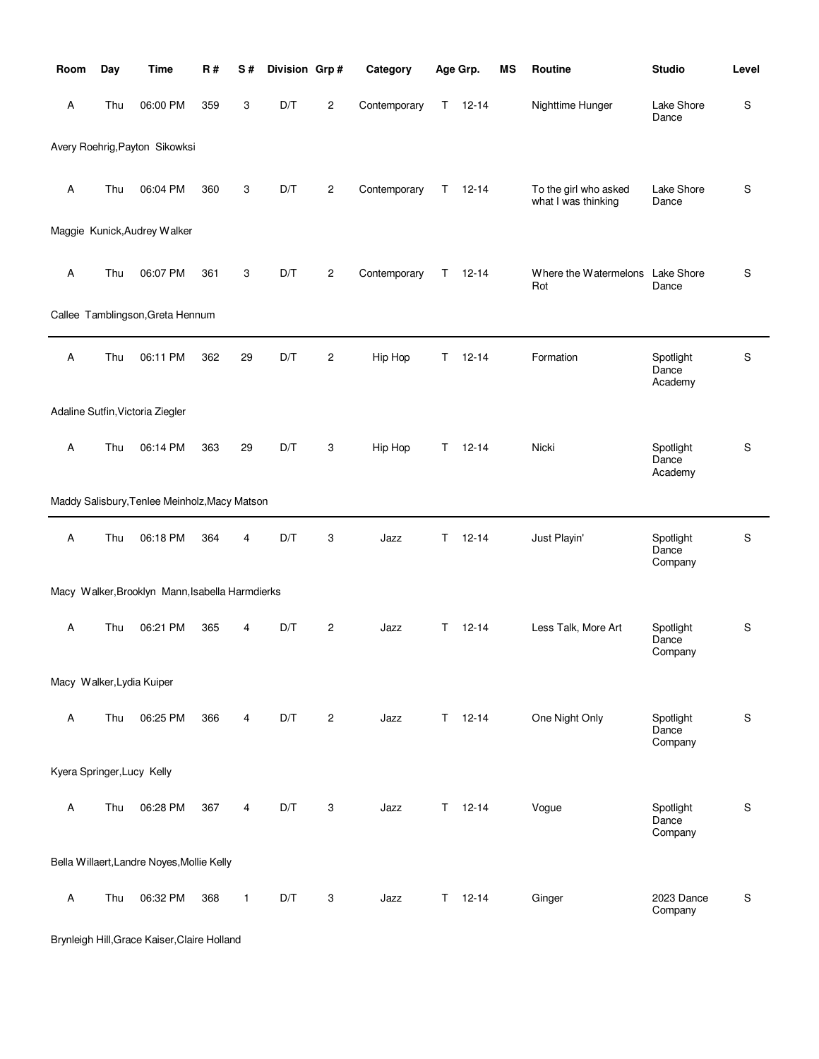| Room                       | Day | <b>Time</b>                                     | <b>R#</b> | S# | Division Grp# |                | Category     |    | Age Grp.      | MS | Routine                                      | <b>Studio</b>                 | Level       |
|----------------------------|-----|-------------------------------------------------|-----------|----|---------------|----------------|--------------|----|---------------|----|----------------------------------------------|-------------------------------|-------------|
| Α                          | Thu | 06:00 PM                                        | 359       | 3  | D/T           | $\overline{c}$ | Contemporary | T. | $12 - 14$     |    | Nighttime Hunger                             | Lake Shore<br>Dance           | S           |
|                            |     | Avery Roehrig, Payton Sikowksi                  |           |    |               |                |              |    |               |    |                                              |                               |             |
| Α                          | Thu | 06:04 PM                                        | 360       | 3  | D/T           | $\mathbf{2}$   | Contemporary | T. | $12 - 14$     |    | To the girl who asked<br>what I was thinking | Lake Shore<br>Dance           | S           |
|                            |     | Maggie Kunick, Audrey Walker                    |           |    |               |                |              |    |               |    |                                              |                               |             |
| Α                          | Thu | 06:07 PM                                        | 361       | 3  | D/T           | $\mathbf{2}$   | Contemporary | T. | $12 - 14$     |    | Where the Watermelons Lake Shore<br>Rot      | Dance                         | S           |
|                            |     | Callee Tamblingson, Greta Hennum                |           |    |               |                |              |    |               |    |                                              |                               |             |
| Α                          | Thu | 06:11 PM                                        | 362       | 29 | D/T           | $\mathbf{2}$   | Hip Hop      | T. | $12 - 14$     |    | Formation                                    | Spotlight<br>Dance<br>Academy | S           |
|                            |     | Adaline Sutfin, Victoria Ziegler                |           |    |               |                |              |    |               |    |                                              |                               |             |
| Α                          | Thu | 06:14 PM                                        | 363       | 29 | D/T           | 3              | Hip Hop      | T. | $12 - 14$     |    | Nicki                                        | Spotlight<br>Dance<br>Academy | S           |
|                            |     | Maddy Salisbury, Tenlee Meinholz, Macy Matson   |           |    |               |                |              |    |               |    |                                              |                               |             |
| Α                          | Thu | 06:18 PM                                        | 364       | 4  | D/T           | 3              | Jazz         | T. | $12 - 14$     |    | Just Playin'                                 | Spotlight<br>Dance<br>Company | S           |
|                            |     | Macy Walker, Brooklyn Mann, Isabella Harmdierks |           |    |               |                |              |    |               |    |                                              |                               |             |
| A                          | Thu | 06:21 PM                                        | 365       | 4  | D/T           | $\mathbf{2}$   | Jazz         | T. | $12 - 14$     |    | Less Talk, More Art                          | Spotlight<br>Dance<br>Company | S           |
| Macy Walker, Lydia Kuiper  |     |                                                 |           |    |               |                |              |    |               |    |                                              |                               |             |
| Α                          | Thu | 06:25 PM                                        | 366       | 4  | D/T           | $\mathbf{2}$   | Jazz         | T. | $12 - 14$     |    | One Night Only                               | Spotlight<br>Dance<br>Company | S           |
| Kyera Springer, Lucy Kelly |     |                                                 |           |    |               |                |              |    |               |    |                                              |                               |             |
| Α                          | Thu | 06:28 PM                                        | 367       | 4  | D/T           | 3              | Jazz         |    | $T = 12 - 14$ |    | Vogue                                        | Spotlight<br>Dance<br>Company | S           |
|                            |     | Bella Willaert, Landre Noyes, Mollie Kelly      |           |    |               |                |              |    |               |    |                                              |                               |             |
| $\boldsymbol{\mathsf{A}}$  | Thu | 06:32 PM                                        | 368       | 1  | D/T           | 3              | Jazz         | T. | $12 - 14$     |    | Ginger                                       | 2023 Dance<br>Company         | $\mathbf S$ |

Brynleigh Hill,Grace Kaiser,Claire Holland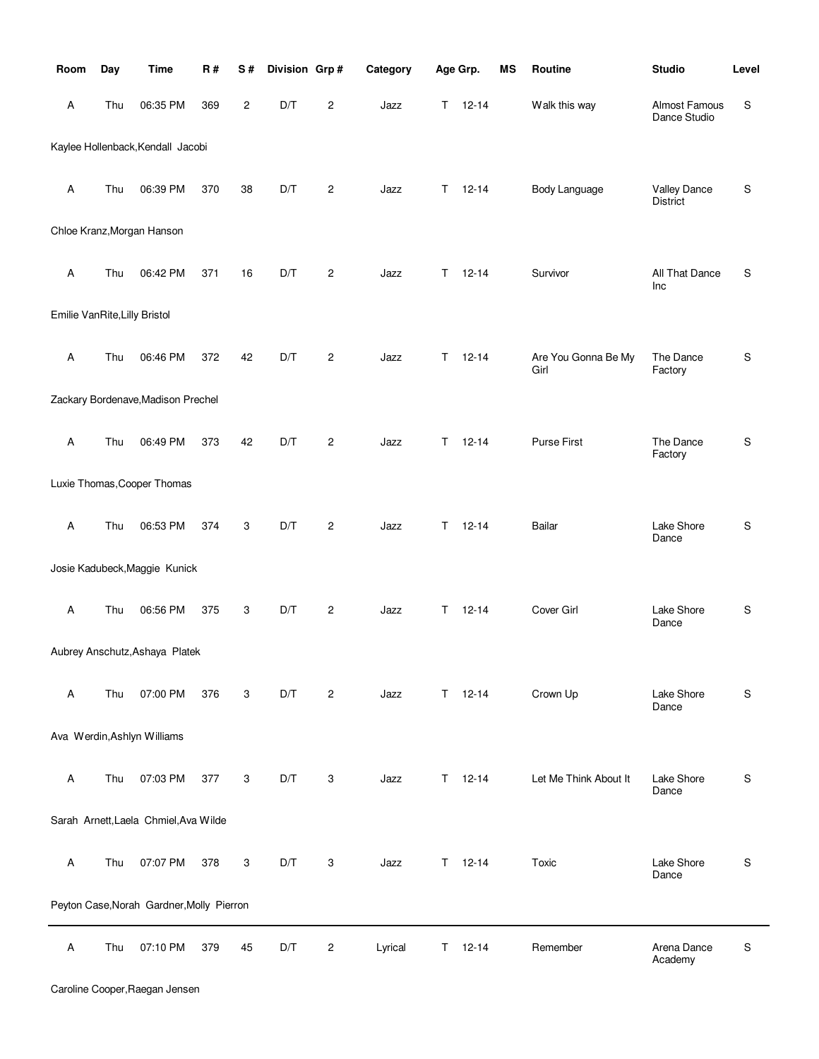| Room                          | Day | <b>Time</b>                               | <b>R#</b> | S# | Division Grp# |                | Category |    | Age Grp.      | MS | Routine                     | <b>Studio</b>                          | Level |
|-------------------------------|-----|-------------------------------------------|-----------|----|---------------|----------------|----------|----|---------------|----|-----------------------------|----------------------------------------|-------|
| Α                             | Thu | 06:35 PM                                  | 369       | 2  | D/T           | 2              | Jazz     | T. | $12 - 14$     |    | Walk this way               | Almost Famous<br>Dance Studio          | S     |
|                               |     | Kaylee Hollenback, Kendall Jacobi         |           |    |               |                |          |    |               |    |                             |                                        |       |
| Α                             | Thu | 06:39 PM                                  | 370       | 38 | D/T           | $\overline{c}$ | Jazz     | Τ  | $12 - 14$     |    | Body Language               | <b>Valley Dance</b><br><b>District</b> | S     |
|                               |     | Chloe Kranz, Morgan Hanson                |           |    |               |                |          |    |               |    |                             |                                        |       |
| Α                             | Thu | 06:42 PM                                  | 371       | 16 | D/T           | $\overline{c}$ | Jazz     | T. | $12 - 14$     |    | Survivor                    | All That Dance<br>Inc                  | S     |
| Emilie VanRite, Lilly Bristol |     |                                           |           |    |               |                |          |    |               |    |                             |                                        |       |
| Α                             | Thu | 06:46 PM                                  | 372       | 42 | D/T           | $\mathbf{2}$   | Jazz     | T  | $12 - 14$     |    | Are You Gonna Be My<br>Girl | The Dance<br>Factory                   | S     |
|                               |     | Zackary Bordenave, Madison Prechel        |           |    |               |                |          |    |               |    |                             |                                        |       |
| Α                             | Thu | 06:49 PM                                  | 373       | 42 | D/T           | 2              | Jazz     | T. | $12 - 14$     |    | Purse First                 | The Dance<br>Factory                   | S     |
|                               |     | Luxie Thomas, Cooper Thomas               |           |    |               |                |          |    |               |    |                             |                                        |       |
| Α                             | Thu | 06:53 PM                                  | 374       | 3  | D/T           | $\overline{c}$ | Jazz     | T  | $12 - 14$     |    | <b>Bailar</b>               | Lake Shore<br>Dance                    | S     |
|                               |     | Josie Kadubeck, Maggie Kunick             |           |    |               |                |          |    |               |    |                             |                                        |       |
| Α                             | Thu | 06:56 PM                                  | 375       | 3  | D/T           | $\overline{c}$ | Jazz     | T. | $12 - 14$     |    | Cover Girl                  | Lake Shore<br>Dance                    | S     |
|                               |     | Aubrey Anschutz, Ashaya Platek            |           |    |               |                |          |    |               |    |                             |                                        |       |
| Α                             | Thu | 07:00 PM                                  | 376       | 3  | D/T           | $\overline{c}$ | Jazz     |    | $T = 12 - 14$ |    | Crown Up                    | Lake Shore<br>Dance                    | S     |
|                               |     | Ava Werdin, Ashlyn Williams               |           |    |               |                |          |    |               |    |                             |                                        |       |
| Α                             | Thu | 07:03 PM                                  | 377       | 3  | D/T           | 3              | Jazz     | T. | $12 - 14$     |    | Let Me Think About It       | Lake Shore<br>Dance                    | S     |
|                               |     | Sarah Arnett, Laela Chmiel, Ava Wilde     |           |    |               |                |          |    |               |    |                             |                                        |       |
| Α                             | Thu | 07:07 PM                                  | 378       | 3  | D/T           | 3              | Jazz     | T. | $12 - 14$     |    | Toxic                       | Lake Shore<br>Dance                    | S     |
|                               |     | Peyton Case, Norah Gardner, Molly Pierron |           |    |               |                |          |    |               |    |                             |                                        |       |
| A                             | Thu | 07:10 PM                                  | 379       | 45 | D/T           | 2              | Lyrical  | T. | $12 - 14$     |    | Remember                    | Arena Dance<br>Academy                 | S     |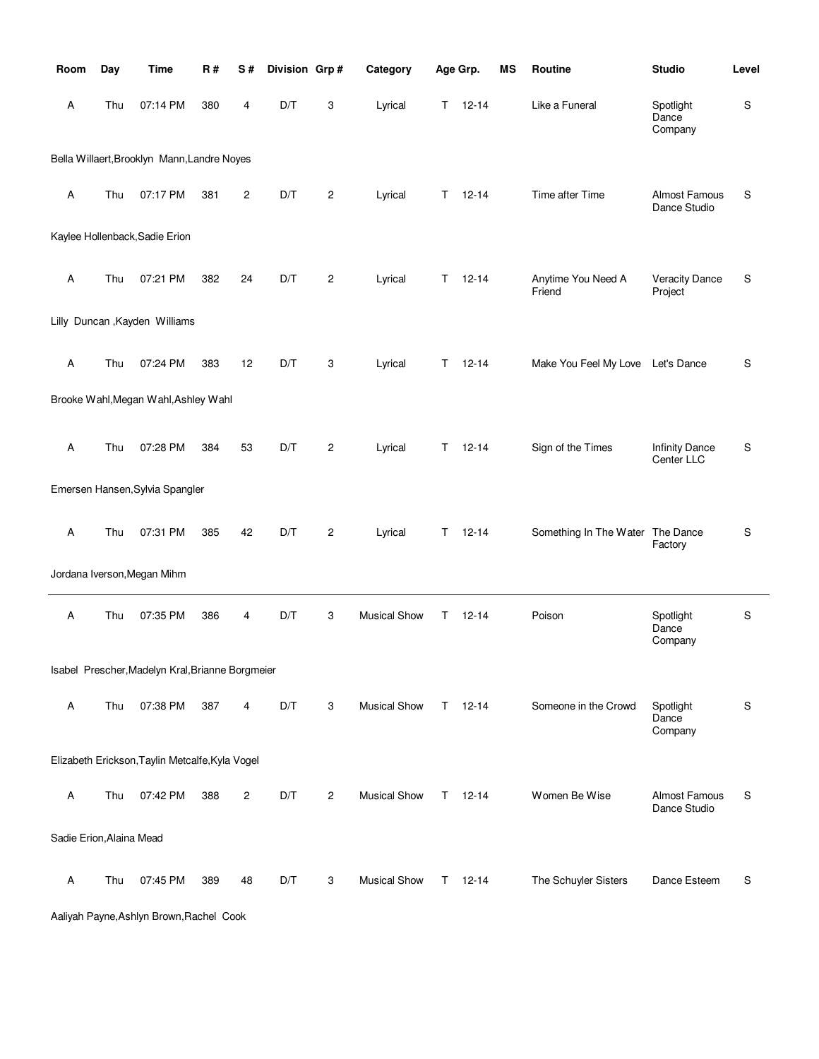| Room                     | Day | <b>Time</b>                                      | R#  | S#             | Division Grp# |                | Category            |    | Age Grp.  | MS | Routine                           | <b>Studio</b>                        | Level       |
|--------------------------|-----|--------------------------------------------------|-----|----------------|---------------|----------------|---------------------|----|-----------|----|-----------------------------------|--------------------------------------|-------------|
| Α                        | Thu | 07:14 PM                                         | 380 | 4              | D/T           | 3              | Lyrical             | Τ  | $12 - 14$ |    | Like a Funeral                    | Spotlight<br>Dance<br>Company        | $\mathbb S$ |
|                          |     | Bella Willaert, Brooklyn Mann, Landre Noyes      |     |                |               |                |                     |    |           |    |                                   |                                      |             |
| Α                        | Thu | 07:17 PM                                         | 381 | $\overline{c}$ | D/T           | $\mathbf{2}$   | Lyrical             | т  | $12 - 14$ |    | Time after Time                   | Almost Famous<br>Dance Studio        | $\mathbb S$ |
|                          |     | Kaylee Hollenback, Sadie Erion                   |     |                |               |                |                     |    |           |    |                                   |                                      |             |
| Α                        | Thu | 07:21 PM                                         | 382 | 24             | D/T           | $\overline{c}$ | Lyrical             | T  | $12 - 14$ |    | Anytime You Need A<br>Friend      | <b>Veracity Dance</b><br>Project     | S           |
|                          |     | Lilly Duncan, Kayden Williams                    |     |                |               |                |                     |    |           |    |                                   |                                      |             |
| A                        | Thu | 07:24 PM                                         | 383 | 12             | D/T           | 3              | Lyrical             | Τ  | $12 - 14$ |    | Make You Feel My Love Let's Dance |                                      | S           |
|                          |     | Brooke Wahl, Megan Wahl, Ashley Wahl             |     |                |               |                |                     |    |           |    |                                   |                                      |             |
| Α                        | Thu | 07:28 PM                                         | 384 | 53             | D/T           | $\overline{c}$ | Lyrical             | Т  | $12 - 14$ |    | Sign of the Times                 | <b>Infinity Dance</b><br>Center LLC  | $\mathbb S$ |
|                          |     | Emersen Hansen, Sylvia Spangler                  |     |                |               |                |                     |    |           |    |                                   |                                      |             |
| Α                        | Thu | 07:31 PM                                         | 385 | 42             | D/T           | $\mathbf{2}$   | Lyrical             | т  | $12 - 14$ |    | Something In The Water The Dance  | Factory                              | $\mathbb S$ |
|                          |     | Jordana Iverson, Megan Mihm                      |     |                |               |                |                     |    |           |    |                                   |                                      |             |
| Α                        | Thu | 07:35 PM                                         | 386 | 4              | D/T           | 3              | <b>Musical Show</b> | T  | 12-14     |    | Poison                            | Spotlight<br>Dance<br>Company        | S           |
|                          |     | Isabel Prescher, Madelyn Kral, Brianne Borgmeier |     |                |               |                |                     |    |           |    |                                   |                                      |             |
| A                        | Thu | 07:38 PM                                         | 387 | 4              | D/T           | 3              | <b>Musical Show</b> | T. | $12 - 14$ |    | Someone in the Crowd              | Spotlight<br>Dance<br>Company        | S           |
|                          |     | Elizabeth Erickson, Taylin Metcalfe, Kyla Vogel  |     |                |               |                |                     |    |           |    |                                   |                                      |             |
| Α                        | Thu | 07:42 PM                                         | 388 | $\overline{c}$ | D/T           | $\overline{c}$ | <b>Musical Show</b> | T. | 12-14     |    | Women Be Wise                     | <b>Almost Famous</b><br>Dance Studio | S           |
| Sadie Erion, Alaina Mead |     |                                                  |     |                |               |                |                     |    |           |    |                                   |                                      |             |
| Α                        | Thu | 07:45 PM                                         | 389 | 48             | D/T           | 3              | <b>Musical Show</b> | T. | $12 - 14$ |    | The Schuyler Sisters              | Dance Esteem                         | S           |

Aaliyah Payne,Ashlyn Brown,Rachel Cook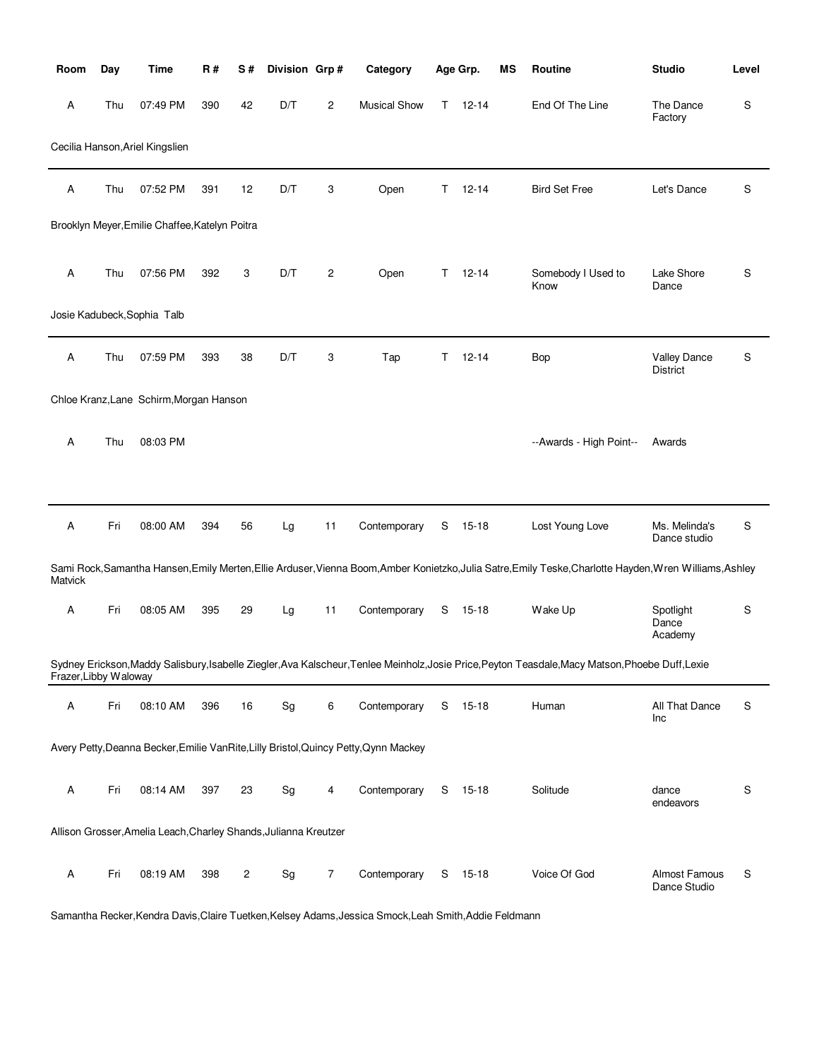| Room                  | Day | Time                                                             | R#  | S#             | Division Grp# |                | Category                                                                              |    | Age Grp.  | ΜS | Routine                                                                                                                                                  | <b>Studio</b>                   | Level |
|-----------------------|-----|------------------------------------------------------------------|-----|----------------|---------------|----------------|---------------------------------------------------------------------------------------|----|-----------|----|----------------------------------------------------------------------------------------------------------------------------------------------------------|---------------------------------|-------|
| Α                     | Thu | 07:49 PM                                                         | 390 | 42             | D/T           | $\overline{c}$ | <b>Musical Show</b>                                                                   | T. | $12 - 14$ |    | End Of The Line                                                                                                                                          | The Dance<br>Factory            | S     |
|                       |     | Cecilia Hanson, Ariel Kingslien                                  |     |                |               |                |                                                                                       |    |           |    |                                                                                                                                                          |                                 |       |
| Α                     | Thu | 07:52 PM                                                         | 391 | 12             | D/T           | 3              | Open                                                                                  | Τ  | $12 - 14$ |    | <b>Bird Set Free</b>                                                                                                                                     | Let's Dance                     | S     |
|                       |     | Brooklyn Meyer, Emilie Chaffee, Katelyn Poitra                   |     |                |               |                |                                                                                       |    |           |    |                                                                                                                                                          |                                 |       |
| Α                     | Thu | 07:56 PM                                                         | 392 | 3              | D/T           | $\overline{c}$ | Open                                                                                  | Τ  | $12 - 14$ |    | Somebody I Used to<br>Know                                                                                                                               | Lake Shore<br>Dance             | S     |
|                       |     | Josie Kadubeck, Sophia Talb                                      |     |                |               |                |                                                                                       |    |           |    |                                                                                                                                                          |                                 |       |
| Α                     | Thu | 07:59 PM                                                         | 393 | 38             | D/T           | 3              | Tap                                                                                   | Τ  | $12 - 14$ |    | <b>Bop</b>                                                                                                                                               | <b>Valley Dance</b><br>District | S     |
|                       |     | Chloe Kranz, Lane Schirm, Morgan Hanson                          |     |                |               |                |                                                                                       |    |           |    |                                                                                                                                                          |                                 |       |
| Α                     | Thu | 08:03 PM                                                         |     |                |               |                |                                                                                       |    |           |    | --Awards - High Point--                                                                                                                                  | Awards                          |       |
|                       |     |                                                                  |     |                |               |                |                                                                                       |    |           |    |                                                                                                                                                          |                                 |       |
| Α                     | Fri | 08:00 AM                                                         | 394 | 56             | Lg            | 11             | Contemporary                                                                          | S  | $15 - 18$ |    | Lost Young Love                                                                                                                                          | Ms. Melinda's<br>Dance studio   | S     |
| Matvick               |     |                                                                  |     |                |               |                |                                                                                       |    |           |    | Sami Rock, Samantha Hansen, Emily Merten, Ellie Arduser, Vienna Boom, Amber Konietzko, Julia Satre, Emily Teske, Charlotte Hayden, Wren Williams, Ashley |                                 |       |
| Α                     | Fri | 08:05 AM                                                         | 395 | 29             | Lg            | 11             | Contemporary                                                                          | S  | 15-18     |    | Wake Up                                                                                                                                                  | Spotlight<br>Dance<br>Academy   | S     |
| Frazer, Libby Waloway |     |                                                                  |     |                |               |                |                                                                                       |    |           |    | Sydney Erickson, Maddy Salisbury, Isabelle Ziegler, Ava Kalscheur, Tenlee Meinholz, Josie Price, Peyton Teasdale, Macy Matson, Phoebe Duff, Lexie        |                                 |       |
| Α                     | Fri | 08:10 AM                                                         | 396 | 16             | Sg            | 6              | Contemporary                                                                          | S  | 15-18     |    | Human                                                                                                                                                    | All That Dance<br>Inc           | S     |
|                       |     |                                                                  |     |                |               |                | Avery Petty, Deanna Becker, Emilie Van Rite, Lilly Bristol, Quincy Petty, Qynn Mackey |    |           |    |                                                                                                                                                          |                                 |       |
| Α                     | Fri | 08:14 AM                                                         | 397 | 23             | Sg            | 4              | Contemporary                                                                          |    | S 15-18   |    | Solitude                                                                                                                                                 | dance<br>endeavors              | S     |
|                       |     | Allison Grosser, Amelia Leach, Charley Shands, Julianna Kreutzer |     |                |               |                |                                                                                       |    |           |    |                                                                                                                                                          |                                 |       |
| Α                     | Fri | 08:19 AM                                                         | 398 | $\overline{c}$ | Sg            | 7              | Contemporary                                                                          |    | S 15-18   |    | Voice Of God                                                                                                                                             | Almost Famous<br>Dance Studio   | S     |

Samantha Recker,Kendra Davis,Claire Tuetken,Kelsey Adams,Jessica Smock,Leah Smith,Addie Feldmann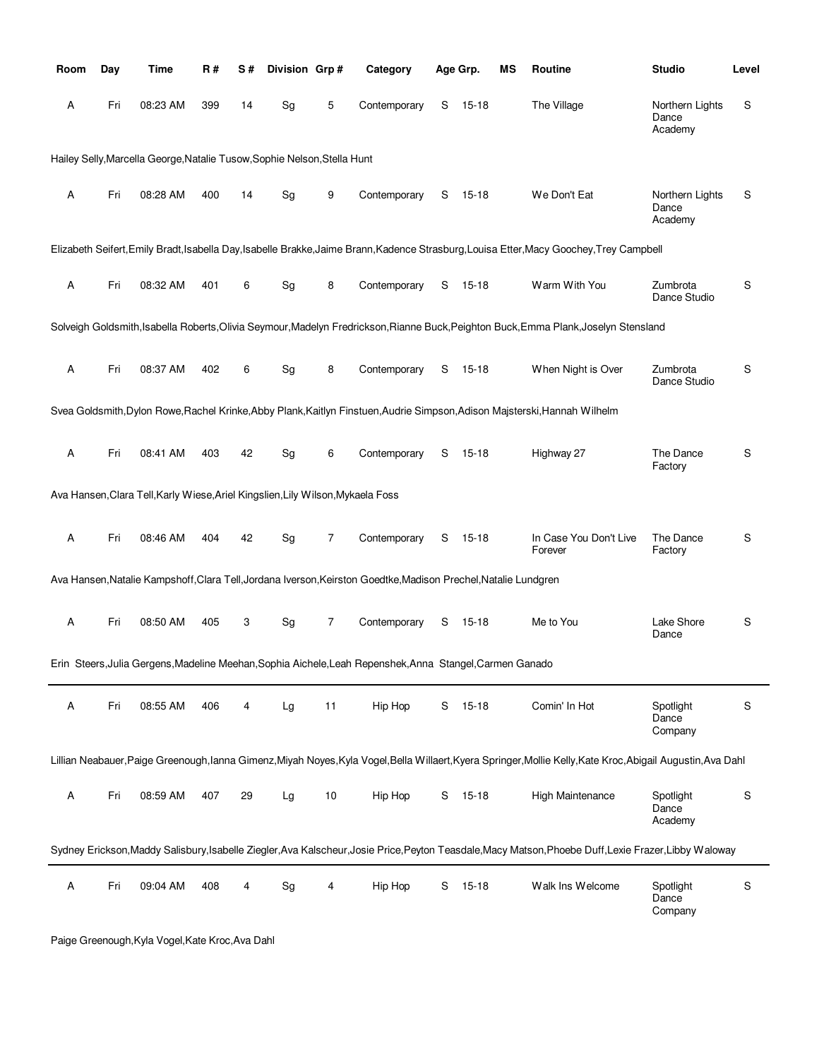| Room        | Day | Time                                                                            | R#  | S# | Division Grp#                |      | Category                                                                                                        |   | Age Grp.  | ΜS | <b>Routine</b>                                                                                                                                         | <b>Studio</b>                       | Level       |
|-------------|-----|---------------------------------------------------------------------------------|-----|----|------------------------------|------|-----------------------------------------------------------------------------------------------------------------|---|-----------|----|--------------------------------------------------------------------------------------------------------------------------------------------------------|-------------------------------------|-------------|
| Α           | Fri | 08:23 AM                                                                        | 399 | 14 | Sg                           | 5    | Contemporary                                                                                                    | S | 15-18     |    | The Village                                                                                                                                            | Northern Lights<br>Dance<br>Academy | S           |
|             |     | Hailey Selly, Marcella George, Natalie Tusow, Sophie Nelson, Stella Hunt        |     |    |                              |      |                                                                                                                 |   |           |    |                                                                                                                                                        |                                     |             |
| Α           | Fri | 08:28 AM                                                                        | 400 | 14 | Sg                           | 9    | Contemporary                                                                                                    | S | $15 - 18$ |    | We Don't Eat                                                                                                                                           | Northern Lights<br>Dance<br>Academy | S           |
|             |     |                                                                                 |     |    |                              |      |                                                                                                                 |   |           |    | Elizabeth Seifert, Emily Bradt, Isabella Day, Isabelle Brakke, Jaime Brann, Kadence Strasburg, Louisa Etter, Macy Goochey, Trey Campbell               |                                     |             |
| Α           | Fri | 08:32 AM                                                                        | 401 | 6  | Sg                           | 8    | Contemporary                                                                                                    | S | $15 - 18$ |    | Warm With You                                                                                                                                          | Zumbrota<br>Dance Studio            | S           |
|             |     |                                                                                 |     |    |                              |      |                                                                                                                 |   |           |    | Solveigh Goldsmith, Isabella Roberts, Olivia Seymour, Madelyn Fredrickson, Rianne Buck, Peighton Buck, Emma Plank, Joselyn Stensland                   |                                     |             |
| Α           | Fri | 08:37 AM                                                                        | 402 | 6  | Sg                           | 8    | Contemporary                                                                                                    | S | $15 - 18$ |    | When Night is Over                                                                                                                                     | Zumbrota<br>Dance Studio            | S           |
|             |     |                                                                                 |     |    |                              |      |                                                                                                                 |   |           |    | Svea Goldsmith, Dylon Rowe, Rachel Krinke, Abby Plank, Kaitlyn Finstuen, Audrie Simpson, Adison Majsterski, Hannah Wilhelm                             |                                     |             |
| Α           | Fri | 08:41 AM                                                                        | 403 | 42 | Sg                           | 6    | Contemporary                                                                                                    | S | $15 - 18$ |    | Highway 27                                                                                                                                             | The Dance<br>Factory                | S           |
|             |     | Ava Hansen, Clara Tell, Karly Wiese, Ariel Kingslien, Lily Wilson, Mykaela Foss |     |    |                              |      |                                                                                                                 |   |           |    |                                                                                                                                                        |                                     |             |
| Α           | Fri | 08:46 AM                                                                        | 404 | 42 | $\operatorname{\mathsf{Sg}}$ | 7    | Contemporary                                                                                                    | S | 15-18     |    | In Case You Don't Live<br>Forever                                                                                                                      | The Dance<br>Factory                | S           |
|             |     |                                                                                 |     |    |                              |      | Ava Hansen, Natalie Kampshoff, Clara Tell, Jordana Iverson, Keirston Goedtke, Madison Prechel, Natalie Lundgren |   |           |    |                                                                                                                                                        |                                     |             |
| Α           | Fri | 08:50 AM                                                                        | 405 | 3  | Sg                           | 7    | Contemporary                                                                                                    | S | 15-18     |    | Me to You                                                                                                                                              | Lake Shore<br>Dance                 | S           |
|             |     |                                                                                 |     |    |                              |      | Erin Steers, Julia Gergens, Madeline Meehan, Sophia Aichele, Leah Repenshek, Anna Stangel, Carmen Ganado        |   |           |    |                                                                                                                                                        |                                     |             |
| А           | Fri | 08:55 AM                                                                        | 406 | 4  | Lg                           | 11   | Hip Hop                                                                                                         |   | S 15-18   |    | Comin' In Hot                                                                                                                                          | Spotlight<br>Dance<br>Company       | S           |
|             |     |                                                                                 |     |    |                              |      |                                                                                                                 |   |           |    | Lillian Neabauer,Paige Greenough,Ianna Gimenz,Miyah Noyes,Kyla Vogel,Bella Willaert,Kyera Springer,Mollie Kelly,Kate Kroc,Abigail Augustin,Ava Dahl    |                                     |             |
| $\mathsf A$ | Fri | 08:59 AM                                                                        | 407 | 29 | Lg                           | $10$ | Hip Hop                                                                                                         | S | $15 - 18$ |    | High Maintenance                                                                                                                                       | Spotlight<br>Dance<br>Academy       | S           |
|             |     |                                                                                 |     |    |                              |      |                                                                                                                 |   |           |    | Sydney Erickson, Maddy Salisbury, Isabelle Ziegler, Ava Kalscheur, Josie Price, Peyton Teasdale, Macy Matson, Phoebe Duff, Lexie Frazer, Libby Waloway |                                     |             |
| Α           | Fri | 09:04 AM                                                                        | 408 | 4  | Sg                           | 4    | Hip Hop                                                                                                         | S | $15 - 18$ |    | Walk Ins Welcome                                                                                                                                       | Spotlight<br>Dance<br>Company       | $\mathbf S$ |

Paige Greenough,Kyla Vogel,Kate Kroc,Ava Dahl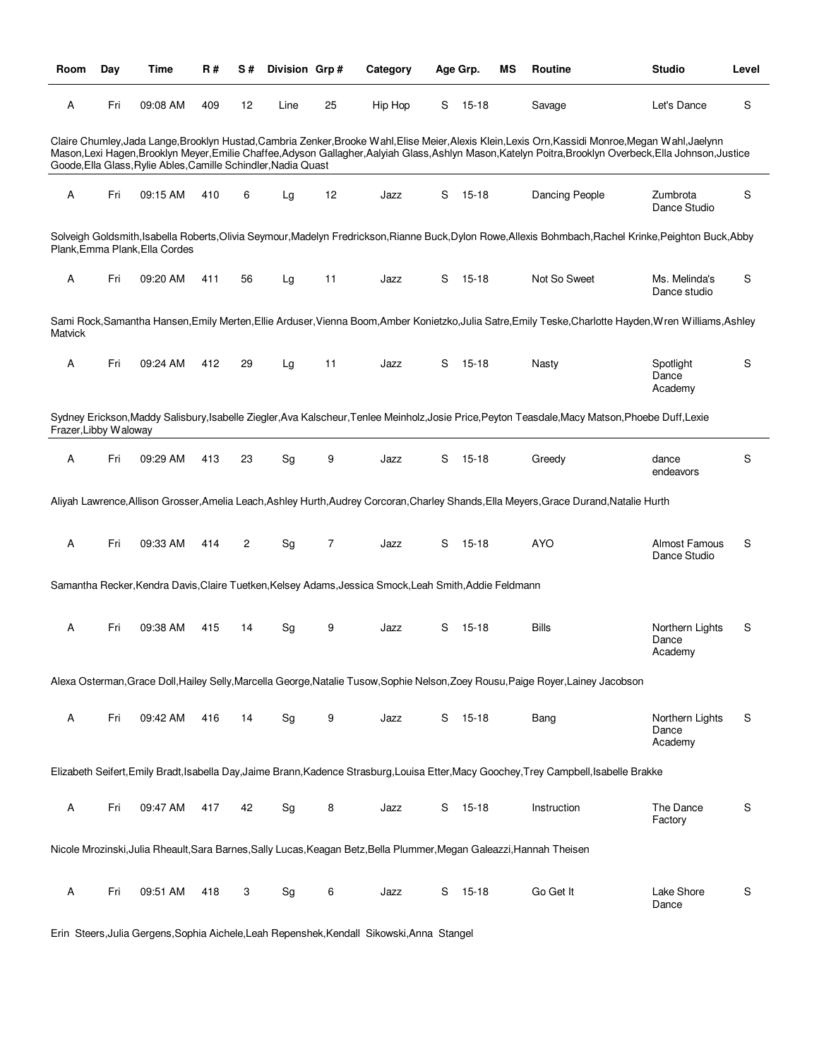| Room                      | Day | Time                                                           | <b>R#</b> | S#             | Division Grp# |    | Category                                                                                                              |    | Age Grp.  | ΜS | Routine                                                                                                                                                                                                                                                                                                 | <b>Studio</b>                       | Level |
|---------------------------|-----|----------------------------------------------------------------|-----------|----------------|---------------|----|-----------------------------------------------------------------------------------------------------------------------|----|-----------|----|---------------------------------------------------------------------------------------------------------------------------------------------------------------------------------------------------------------------------------------------------------------------------------------------------------|-------------------------------------|-------|
| Α                         | Fri | 09:08 AM                                                       | 409       | 12             | Line          | 25 | Hip Hop                                                                                                               | S  | 15-18     |    | Savage                                                                                                                                                                                                                                                                                                  | Let's Dance                         | S     |
|                           |     | Goode, Ella Glass, Rylie Ables, Camille Schindler, Nadia Quast |           |                |               |    |                                                                                                                       |    |           |    | Claire Chumley, Jada Lange, Brooklyn Hustad, Cambria Zenker, Brooke Wahl, Elise Meier, Alexis Klein, Lexis Orn, Kassidi Monroe, Megan Wahl, Jaelynn<br>Mason,Lexi Hagen,Brooklyn Meyer,Emilie Chaffee,Adyson Gallagher,Aalyiah Glass,Ashlyn Mason,Katelyn Poitra,Brooklyn Overbeck,Ella Johnson,Justice |                                     |       |
| A                         | Fri | 09:15 AM                                                       | 410       | 6              | Lg            | 12 | Jazz                                                                                                                  | S. | 15-18     |    | <b>Dancing People</b>                                                                                                                                                                                                                                                                                   | Zumbrota<br>Dance Studio            | S     |
|                           |     | Plank, Emma Plank, Ella Cordes                                 |           |                |               |    |                                                                                                                       |    |           |    | Solveigh Goldsmith, Isabella Roberts, Olivia Seymour, Madelyn Fredrickson, Rianne Buck, Dylon Rowe, Allexis Bohmbach, Rachel Krinke, Peighton Buck, Abby                                                                                                                                                |                                     |       |
| Α                         | Fri | 09:20 AM                                                       | 411       | 56             | Lg            | 11 | Jazz                                                                                                                  | S  | 15-18     |    | Not So Sweet                                                                                                                                                                                                                                                                                            | Ms. Melinda's<br>Dance studio       | S     |
| <b>Matvick</b>            |     |                                                                |           |                |               |    |                                                                                                                       |    |           |    | Sami Rock, Samantha Hansen, Emily Merten, Ellie Arduser, Vienna Boom, Amber Konietzko, Julia Satre, Emily Teske, Charlotte Hayden, Wren Williams, Ashley                                                                                                                                                |                                     |       |
| Α                         | Fri | 09:24 AM                                                       | 412       | 29             | Lg            | 11 | Jazz                                                                                                                  | S  | $15 - 18$ |    | Nasty                                                                                                                                                                                                                                                                                                   | Spotlight<br>Dance<br>Academy       | S     |
| Frazer, Libby Waloway     |     |                                                                |           |                |               |    |                                                                                                                       |    |           |    | Sydney Erickson,Maddy Salisbury,Isabelle Ziegler,Ava Kalscheur,Tenlee Meinholz,Josie Price,Peyton Teasdale,Macy Matson,Phoebe Duff,Lexie                                                                                                                                                                |                                     |       |
| A                         | Fri | 09:29 AM                                                       | 413       | 23             | Sg            | 9  | Jazz                                                                                                                  | S  | $15 - 18$ |    | Greedy                                                                                                                                                                                                                                                                                                  | dance<br>endeavors                  | S     |
|                           |     |                                                                |           |                |               |    |                                                                                                                       |    |           |    | Aliyah Lawrence, Allison Grosser, Amelia Leach, Ashley Hurth, Audrey Corcoran, Charley Shands, Ella Meyers, Grace Durand, Natalie Hurth                                                                                                                                                                 |                                     |       |
| A                         | Fri | 09:33 AM                                                       | 414       | $\overline{c}$ | Sg            | 7  | Jazz                                                                                                                  | S  | $15 - 18$ |    | <b>AYO</b>                                                                                                                                                                                                                                                                                              | Almost Famous<br>Dance Studio       | S     |
|                           |     |                                                                |           |                |               |    | Samantha Recker, Kendra Davis, Claire Tuetken, Kelsey Adams, Jessica Smock, Leah Smith, Addie Feldmann                |    |           |    |                                                                                                                                                                                                                                                                                                         |                                     |       |
| Α                         | Fri | 09:38 AM                                                       | 415       | 14             | Sg            | 9  | Jazz                                                                                                                  | S  | $15 - 18$ |    | <b>Bills</b>                                                                                                                                                                                                                                                                                            | Northern Lights<br>Dance<br>Academy | S     |
|                           |     |                                                                |           |                |               |    |                                                                                                                       |    |           |    | Alexa Osterman, Grace Doll, Hailey Selly, Marcella George, Natalie Tusow, Sophie Nelson, Zoey Rousu, Paige Royer, Lainey Jacobson                                                                                                                                                                       |                                     |       |
| $\boldsymbol{\mathsf{A}}$ | Fri | 09:42 AM                                                       | 416       | 14             | Sg            | 9  | Jazz                                                                                                                  |    | S 15-18   |    | Bang                                                                                                                                                                                                                                                                                                    | Northern Lights<br>Dance<br>Academy | S     |
|                           |     |                                                                |           |                |               |    |                                                                                                                       |    |           |    | Elizabeth Seifert, Emily Bradt, Isabella Day, Jaime Brann, Kadence Strasburg, Louisa Etter, Macy Goochey, Trey Campbell, Isabelle Brakke                                                                                                                                                                |                                     |       |
| Α                         | Fri | 09:47 AM                                                       | 417       | 42             | Sg            | 8  | Jazz                                                                                                                  | S  | 15-18     |    | Instruction                                                                                                                                                                                                                                                                                             | The Dance<br>Factory                | S     |
|                           |     |                                                                |           |                |               |    | Nicole Mrozinski, Julia Rheault, Sara Barnes, Sally Lucas, Keagan Betz, Bella Plummer, Megan Galeazzi, Hannah Theisen |    |           |    |                                                                                                                                                                                                                                                                                                         |                                     |       |
| Α                         | Fri | 09:51 AM                                                       | 418       | 3              | Sg            | 6  | Jazz                                                                                                                  | S  | $15 - 18$ |    | Go Get It                                                                                                                                                                                                                                                                                               | Lake Shore<br>Dance                 | S     |

Erin Steers,Julia Gergens,Sophia Aichele,Leah Repenshek,Kendall Sikowski,Anna Stangel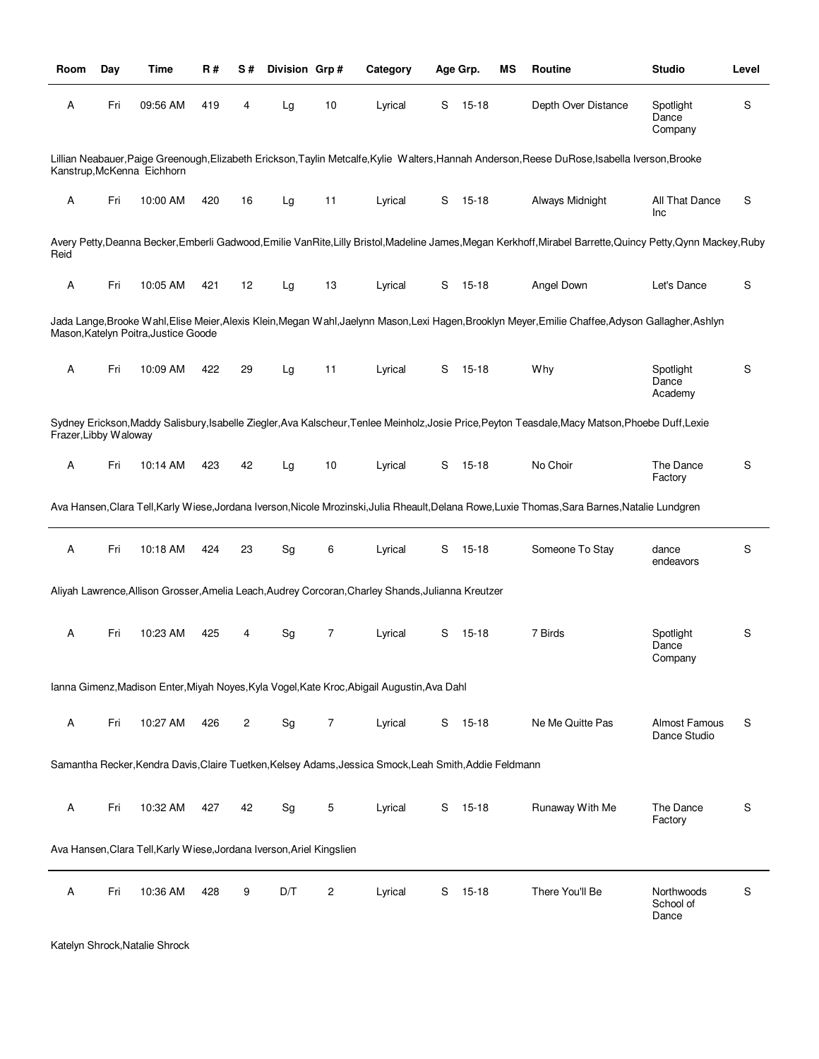| Room                  | Day | Time                                                                  | R#  | S# | Division Grp# |    | Category                                                                                               |   | Age Grp.  | ΜS | Routine                                                                                                                                                       | <b>Studio</b>                    | Level |
|-----------------------|-----|-----------------------------------------------------------------------|-----|----|---------------|----|--------------------------------------------------------------------------------------------------------|---|-----------|----|---------------------------------------------------------------------------------------------------------------------------------------------------------------|----------------------------------|-------|
| Α                     | Fri | 09:56 AM                                                              | 419 | 4  | Lg            | 10 | Lyrical                                                                                                | S | $15 - 18$ |    | Depth Over Distance                                                                                                                                           | Spotlight<br>Dance<br>Company    | S     |
|                       |     | Kanstrup, McKenna Eichhorn                                            |     |    |               |    |                                                                                                        |   |           |    | Lillian Neabauer, Paige Greenough, Elizabeth Erickson, Taylin Metcalfe, Kylie Walters, Hannah Anderson, Reese DuRose, Isabella Iverson, Brooke                |                                  |       |
| Α                     | Fri | 10:00 AM                                                              | 420 | 16 | Lg            | 11 | Lyrical                                                                                                | S | 15-18     |    | Always Midnight                                                                                                                                               | All That Dance<br>Inc            | S     |
| Reid                  |     |                                                                       |     |    |               |    |                                                                                                        |   |           |    | Avery Petty, Deanna Becker, Emberli Gadwood, Emilie VanRite, Lilly Bristol, Madeline James, Megan Kerkhoff, Mirabel Barrette, Quincy Petty, Qynn Mackey, Ruby |                                  |       |
| Α                     | Fri | 10:05 AM                                                              | 421 | 12 | Lg            | 13 | Lyrical                                                                                                | S | 15-18     |    | Angel Down                                                                                                                                                    | Let's Dance                      | S     |
|                       |     | Mason, Katelyn Poitra, Justice Goode                                  |     |    |               |    |                                                                                                        |   |           |    | Jada Lange,Brooke Wahl,Elise Meier,Alexis Klein,Megan Wahl,Jaelynn Mason,Lexi Hagen,Brooklyn Meyer,Emilie Chaffee,Adyson Gallagher,Ashlyn                     |                                  |       |
| Α                     | Fri | 10:09 AM                                                              | 422 | 29 | Lg            | 11 | Lyrical                                                                                                | S | 15-18     |    | Why                                                                                                                                                           | Spotlight<br>Dance<br>Academy    | S     |
| Frazer, Libby Waloway |     |                                                                       |     |    |               |    |                                                                                                        |   |           |    | Sydney Erickson, Maddy Salisbury, Isabelle Ziegler, Ava Kalscheur, Tenlee Meinholz, Josie Price, Peyton Teasdale, Macy Matson, Phoebe Duff, Lexie             |                                  |       |
| Α                     | Fri | 10:14 AM                                                              | 423 | 42 | Lg            | 10 | Lyrical                                                                                                | S | 15-18     |    | No Choir                                                                                                                                                      | The Dance<br>Factory             | S     |
|                       |     |                                                                       |     |    |               |    |                                                                                                        |   |           |    | Ava Hansen,Clara Tell,Karly Wiese,Jordana Iverson,Nicole Mrozinski,Julia Rheault,Delana Rowe,Luxie Thomas,Sara Barnes,Natalie Lundgren                        |                                  |       |
| $\mathsf A$           | Fri | 10:18 AM                                                              | 424 | 23 | Sg            | 6  | Lyrical                                                                                                | S | 15-18     |    | Someone To Stay                                                                                                                                               | dance<br>endeavors               | S     |
|                       |     |                                                                       |     |    |               |    | Aliyah Lawrence, Allison Grosser, Amelia Leach, Audrey Corcoran, Charley Shands, Julianna Kreutzer     |   |           |    |                                                                                                                                                               |                                  |       |
| Α                     | Fri | 10:23 AM                                                              | 425 | 4  | Sg            | 7  | Lyrical                                                                                                | S | $15 - 18$ |    | 7 Birds                                                                                                                                                       | Spotlight<br>Dance<br>Company    | S     |
|                       |     |                                                                       |     |    |               |    | Ianna Gimenz, Madison Enter, Miyah Noyes, Kyla Vogel, Kate Kroc, Abigail Augustin, Ava Dahl            |   |           |    |                                                                                                                                                               |                                  |       |
| Α                     | Fri | 10:27 AM                                                              | 426 | 2  | Sg            | 7  | Lyrical                                                                                                |   | $S$ 15-18 |    | Ne Me Quitte Pas                                                                                                                                              | Almost Famous<br>Dance Studio    | S     |
|                       |     |                                                                       |     |    |               |    | Samantha Recker, Kendra Davis, Claire Tuetken, Kelsey Adams, Jessica Smock, Leah Smith, Addie Feldmann |   |           |    |                                                                                                                                                               |                                  |       |
| Α                     | Fri | 10:32 AM                                                              | 427 | 42 | Sg            | 5  | Lyrical                                                                                                | S | 15-18     |    | Runaway With Me                                                                                                                                               | The Dance<br>Factory             | S     |
|                       |     | Ava Hansen, Clara Tell, Karly Wiese, Jordana Iverson, Ariel Kingslien |     |    |               |    |                                                                                                        |   |           |    |                                                                                                                                                               |                                  |       |
| Α                     | Fri | 10:36 AM                                                              | 428 | 9  | D/T           | 2  | Lyrical                                                                                                | S | $15 - 18$ |    | There You'll Be                                                                                                                                               | Northwoods<br>School of<br>Dance | S     |

```
Katelyn Shrock,Natalie Shrock
```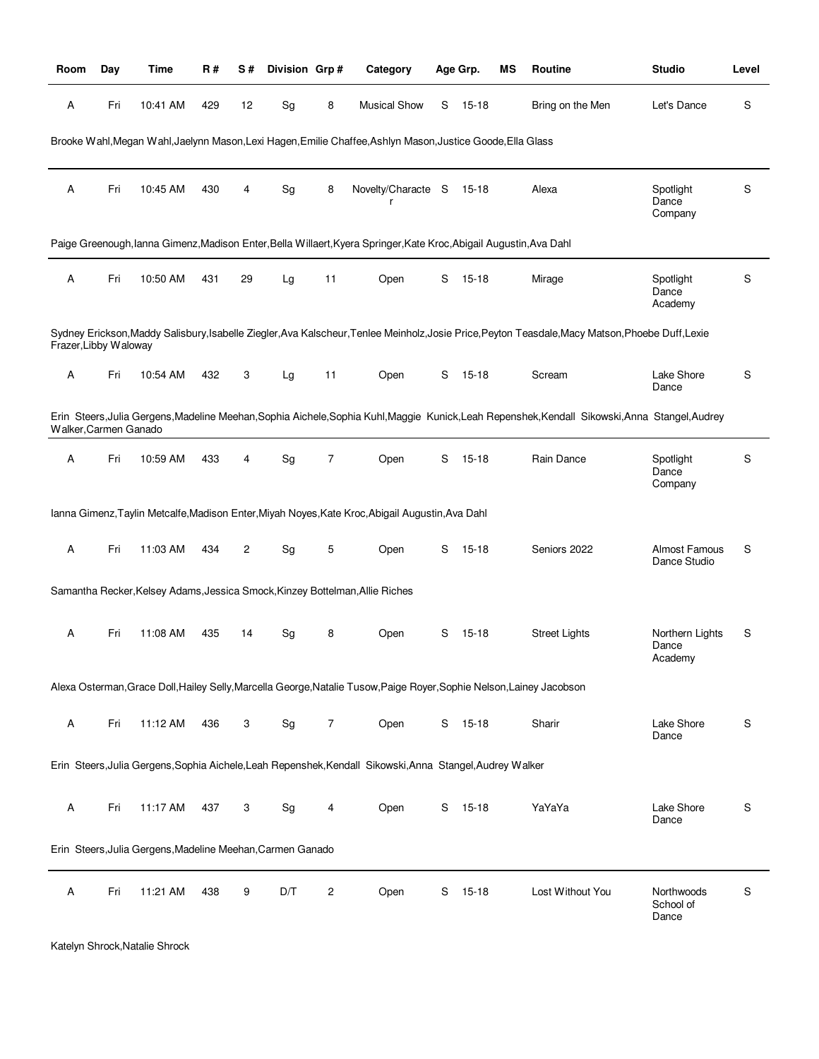| <b>Room</b>           | Day | Time                                                       | R#  | S#             | Division Grp# |    | Category                                                                                                              |   | Age Grp.  | ΜS | Routine                                                                                                                                           | <b>Studio</b>                        | Level |
|-----------------------|-----|------------------------------------------------------------|-----|----------------|---------------|----|-----------------------------------------------------------------------------------------------------------------------|---|-----------|----|---------------------------------------------------------------------------------------------------------------------------------------------------|--------------------------------------|-------|
| Α                     | Fri | 10:41 AM                                                   | 429 | 12             | Sg            | 8  | <b>Musical Show</b>                                                                                                   | S | 15-18     |    | Bring on the Men                                                                                                                                  | Let's Dance                          | S     |
|                       |     |                                                            |     |                |               |    | Brooke Wahl, Megan Wahl, Jaelynn Mason, Lexi Hagen, Emilie Chaffee, Ashlyn Mason, Justice Goode, Ella Glass           |   |           |    |                                                                                                                                                   |                                      |       |
| Α                     | Fri | 10:45 AM                                                   | 430 | 4              | Sg            | 8  | Novelty/Characte S<br>r                                                                                               |   | 15-18     |    | Alexa                                                                                                                                             | Spotlight<br>Dance<br>Company        | S     |
|                       |     |                                                            |     |                |               |    | Paige Greenough, lanna Gimenz, Madison Enter, Bella Willaert, Kyera Springer, Kate Kroc, Abigail Augustin, Ava Dahl   |   |           |    |                                                                                                                                                   |                                      |       |
| Α                     | Fri | 10:50 AM                                                   | 431 | 29             | Lg            | 11 | Open                                                                                                                  | S | 15-18     |    | Mirage                                                                                                                                            | Spotlight<br>Dance<br>Academy        | S     |
| Frazer, Libby Waloway |     |                                                            |     |                |               |    |                                                                                                                       |   |           |    | Sydney Erickson, Maddy Salisbury, Isabelle Ziegler, Ava Kalscheur, Tenlee Meinholz, Josie Price, Peyton Teasdale, Macy Matson, Phoebe Duff, Lexie |                                      |       |
| Α                     | Fri | 10:54 AM                                                   | 432 | 3              | Lg            | 11 | Open                                                                                                                  | S | $15-18$   |    | Scream                                                                                                                                            | Lake Shore<br>Dance                  | S     |
| Walker, Carmen Ganado |     |                                                            |     |                |               |    |                                                                                                                       |   |           |    | Erin Steers, Julia Gergens, Madeline Meehan, Sophia Aichele, Sophia Kuhl, Maggie Kunick, Leah Repenshek, Kendall Sikowski, Anna Stangel, Audrey   |                                      |       |
| Α                     | Fri | 10:59 AM                                                   | 433 | 4              | Sg            | 7  | Open                                                                                                                  | S | $15 - 18$ |    | Rain Dance                                                                                                                                        | Spotlight<br>Dance<br>Company        | S     |
|                       |     |                                                            |     |                |               |    | Ianna Gimenz, Taylin Metcalfe, Madison Enter, Miyah Noyes, Kate Kroc, Abigail Augustin, Ava Dahl                      |   |           |    |                                                                                                                                                   |                                      |       |
| Α                     | Fri | 11:03 AM                                                   | 434 | $\overline{c}$ | Sg            | 5  | Open                                                                                                                  | S | 15-18     |    | Seniors 2022                                                                                                                                      | <b>Almost Famous</b><br>Dance Studio | S     |
|                       |     |                                                            |     |                |               |    | Samantha Recker, Kelsey Adams, Jessica Smock, Kinzey Bottelman, Allie Riches                                          |   |           |    |                                                                                                                                                   |                                      |       |
| Α                     | Fri | 11:08 AM                                                   | 435 | 14             | Sg            | 8  | Open                                                                                                                  | S | 15-18     |    | <b>Street Lights</b>                                                                                                                              | Northern Lights<br>Dance<br>Academy  | S     |
|                       |     |                                                            |     |                |               |    | Alexa Osterman, Grace Doll, Hailey Selly, Marcella George, Natalie Tusow, Paige Royer, Sophie Nelson, Lainey Jacobson |   |           |    |                                                                                                                                                   |                                      |       |
| Α                     | Fri | 11:12 AM                                                   | 436 | 3              | Sg            | 7  | Open                                                                                                                  |   | S 15-18   |    | Sharir                                                                                                                                            | Lake Shore<br>Dance                  | S     |
|                       |     |                                                            |     |                |               |    | Erin Steers, Julia Gergens, Sophia Aichele, Leah Repenshek, Kendall Sikowski, Anna Stangel, Audrey Walker             |   |           |    |                                                                                                                                                   |                                      |       |
| Α                     | Fri | 11:17 AM                                                   | 437 | 3              | Sg            | 4  | Open                                                                                                                  | S | $15 - 18$ |    | YaYaYa                                                                                                                                            | Lake Shore<br>Dance                  | S     |
|                       |     | Erin Steers, Julia Gergens, Madeline Meehan, Carmen Ganado |     |                |               |    |                                                                                                                       |   |           |    |                                                                                                                                                   |                                      |       |
| Α                     | Fri | 11:21 AM                                                   | 438 | 9              | D/T           | 2  | Open                                                                                                                  | S | $15 - 18$ |    | Lost Without You                                                                                                                                  | Northwoods<br>School of<br>Dance     | S     |

```
Katelyn Shrock,Natalie Shrock
```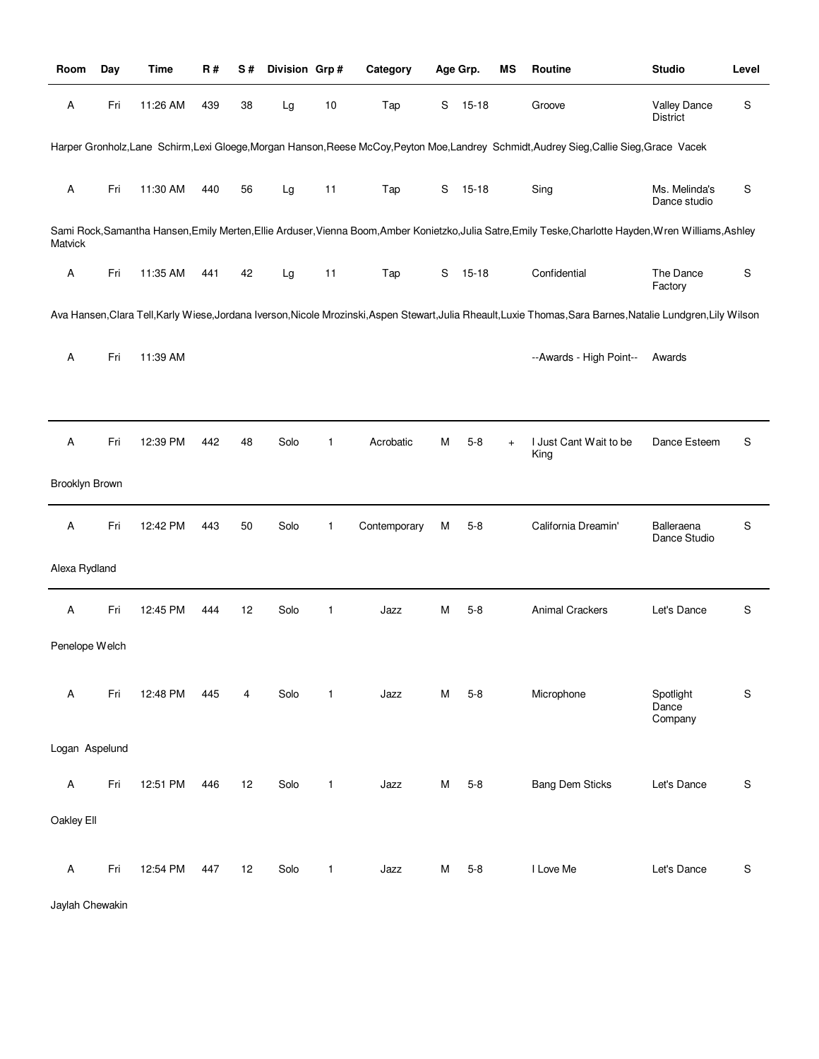| Room                      | Day | Time     | R#  | S# | Division Grp# |              | Category     |   | Age Grp.  | ΜS        | Routine                                                                                                                                                  | <b>Studio</b>                          | Level |
|---------------------------|-----|----------|-----|----|---------------|--------------|--------------|---|-----------|-----------|----------------------------------------------------------------------------------------------------------------------------------------------------------|----------------------------------------|-------|
| Α                         | Fri | 11:26 AM | 439 | 38 | Lg            | 10           | Tap          | S | $15 - 18$ |           | Groove                                                                                                                                                   | <b>Valley Dance</b><br><b>District</b> | S     |
|                           |     |          |     |    |               |              |              |   |           |           | Harper Gronholz, Lane Schirm, Lexi Gloege, Morgan Hanson, Reese McCoy, Peyton Moe, Landrey Schmidt, Audrey Sieg, Callie Sieg, Grace Vacek                |                                        |       |
| $\mathsf A$               | Fri | 11:30 AM | 440 | 56 | Lg            | 11           | Tap          | S | $15 - 18$ |           | Sing                                                                                                                                                     | Ms. Melinda's<br>Dance studio          | S     |
| Matvick                   |     |          |     |    |               |              |              |   |           |           | Sami Rock, Samantha Hansen, Emily Merten, Ellie Arduser, Vienna Boom, Amber Konietzko, Julia Satre, Emily Teske, Charlotte Hayden, Wren Williams, Ashley |                                        |       |
| А                         | Fri | 11:35 AM | 441 | 42 | Lg            | 11           | Tap          | S | $15 - 18$ |           | Confidential                                                                                                                                             | The Dance<br>Factory                   | S     |
|                           |     |          |     |    |               |              |              |   |           |           | Ava Hansen,Clara Tell,Karly Wiese,Jordana Iverson,Nicole Mrozinski,Aspen Stewart,Julia Rheault,Luxie Thomas,Sara Barnes,Natalie Lundgren,Lily Wilson     |                                        |       |
| Α                         | Fri | 11:39 AM |     |    |               |              |              |   |           |           | --Awards - High Point--                                                                                                                                  | Awards                                 |       |
|                           |     |          |     |    |               |              |              |   |           |           |                                                                                                                                                          |                                        |       |
| Α                         | Fri | 12:39 PM | 442 | 48 | Solo          | 1            | Acrobatic    | м | $5 - 8$   | $\ddot{}$ | I Just Cant Wait to be<br>King                                                                                                                           | Dance Esteem                           | S     |
| Brooklyn Brown            |     |          |     |    |               |              |              |   |           |           |                                                                                                                                                          |                                        |       |
| $\boldsymbol{\mathsf{A}}$ | Fri | 12:42 PM | 443 | 50 | Solo          | $\mathbf{1}$ | Contemporary | М | $5 - 8$   |           | California Dreamin'                                                                                                                                      | Balleraena<br>Dance Studio             | S     |
| Alexa Rydland             |     |          |     |    |               |              |              |   |           |           |                                                                                                                                                          |                                        |       |
| $\boldsymbol{\mathsf{A}}$ | Fri | 12:45 PM | 444 | 12 | Solo          | 1            | Jazz         | м | $5 - 8$   |           | <b>Animal Crackers</b>                                                                                                                                   | Let's Dance                            | S     |
| Penelope Welch            |     |          |     |    |               |              |              |   |           |           |                                                                                                                                                          |                                        |       |
| Α                         | Fri | 12:48 PM | 445 | 4  | Solo          | $\mathbf{1}$ | Jazz         | м | $5 - 8$   |           | Microphone                                                                                                                                               | Spotlight<br>Dance                     | S     |
| Logan Aspelund            |     |          |     |    |               |              |              |   |           |           |                                                                                                                                                          | Company                                |       |
| Α                         | Fri | 12:51 PM | 446 | 12 | Solo          | 1            | Jazz         | М | $5 - 8$   |           | <b>Bang Dem Sticks</b>                                                                                                                                   | Let's Dance                            | S     |
| Oakley Ell                |     |          |     |    |               |              |              |   |           |           |                                                                                                                                                          |                                        |       |
|                           |     |          |     |    |               |              |              |   |           |           |                                                                                                                                                          |                                        |       |
| $\mathsf A$               | Fri | 12:54 PM | 447 | 12 | Solo          | 1            | Jazz         | М | $5 - 8$   |           | I Love Me                                                                                                                                                | Let's Dance                            | S     |

Jaylah Chewakin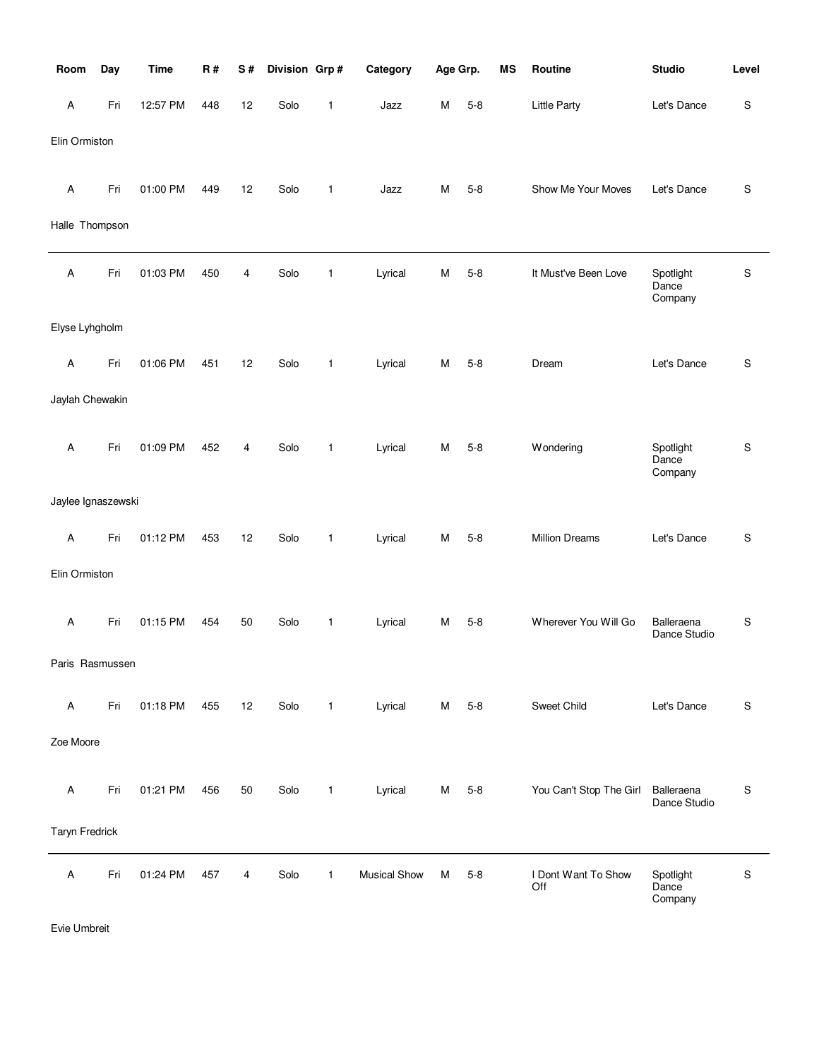| Room               | Day | <b>Time</b> | R#  | S# | Division Grp# |              | Category            | Age Grp. |         | <b>MS</b> | Routine                    | <b>Studio</b>                 | Level       |
|--------------------|-----|-------------|-----|----|---------------|--------------|---------------------|----------|---------|-----------|----------------------------|-------------------------------|-------------|
| A                  | Fri | 12:57 PM    | 448 | 12 | Solo          | 1            | Jazz                | М        | $5 - 8$ |           | <b>Little Party</b>        | Let's Dance                   | S           |
| Elin Ormiston      |     |             |     |    |               |              |                     |          |         |           |                            |                               |             |
| A                  | Fri | 01:00 PM    | 449 | 12 | Solo          | $\mathbf{1}$ | Jazz                | М        | $5 - 8$ |           | Show Me Your Moves         | Let's Dance                   | $\mathbb S$ |
| Halle Thompson     |     |             |     |    |               |              |                     |          |         |           |                            |                               |             |
| A                  | Fri | 01:03 PM    | 450 | 4  | Solo          | $\mathbf{1}$ | Lyrical             | M        | $5 - 8$ |           | It Must've Been Love       | Spotlight<br>Dance<br>Company | $\mathsf S$ |
| Elyse Lyhgholm     |     |             |     |    |               |              |                     |          |         |           |                            |                               |             |
| A                  | Fri | 01:06 PM    | 451 | 12 | Solo          | $\mathbf{1}$ | Lyrical             | м        | $5 - 8$ |           | Dream                      | Let's Dance                   | $\mathbb S$ |
| Jaylah Chewakin    |     |             |     |    |               |              |                     |          |         |           |                            |                               |             |
| A                  | Fri | 01:09 PM    | 452 | 4  | Solo          | $\mathbf{1}$ | Lyrical             | м        | $5 - 8$ |           | Wondering                  | Spotlight<br>Dance<br>Company | $\mathbb S$ |
| Jaylee Ignaszewski |     |             |     |    |               |              |                     |          |         |           |                            |                               |             |
| A                  | Fri | 01:12 PM    | 453 | 12 | Solo          | 1            | Lyrical             | М        | $5 - 8$ |           | <b>Million Dreams</b>      | Let's Dance                   | S           |
| Elin Ormiston      |     |             |     |    |               |              |                     |          |         |           |                            |                               |             |
| A                  | Fri | 01:15 PM    | 454 | 50 | Solo          | $\mathbf{1}$ | Lyrical             | м        | $5 - 8$ |           | Wherever You Will Go       | Balleraena<br>Dance Studio    | S           |
| Paris Rasmussen    |     |             |     |    |               |              |                     |          |         |           |                            |                               |             |
| Α                  | Fri | 01:18 PM    | 455 | 12 | Solo          | $\mathbf{1}$ | Lyrical             | М        | $5 - 8$ |           | Sweet Child                | Let's Dance                   | S           |
| Zoe Moore          |     |             |     |    |               |              |                     |          |         |           |                            |                               |             |
| A                  | Fri | 01:21 PM    | 456 | 50 | Solo          | $\mathbf{1}$ | Lyrical             | М        | $5 - 8$ |           | You Can't Stop The Girl    | Balleraena<br>Dance Studio    | S           |
| Taryn Fredrick     |     |             |     |    |               |              |                     |          |         |           |                            |                               |             |
| Α                  | Fri | 01:24 PM    | 457 | 4  | Solo          | $\mathbf{1}$ | <b>Musical Show</b> | M        | $5 - 8$ |           | I Dont Want To Show<br>Off | Spotlight<br>Dance<br>Company | $\mathbb S$ |

Evie Umbreit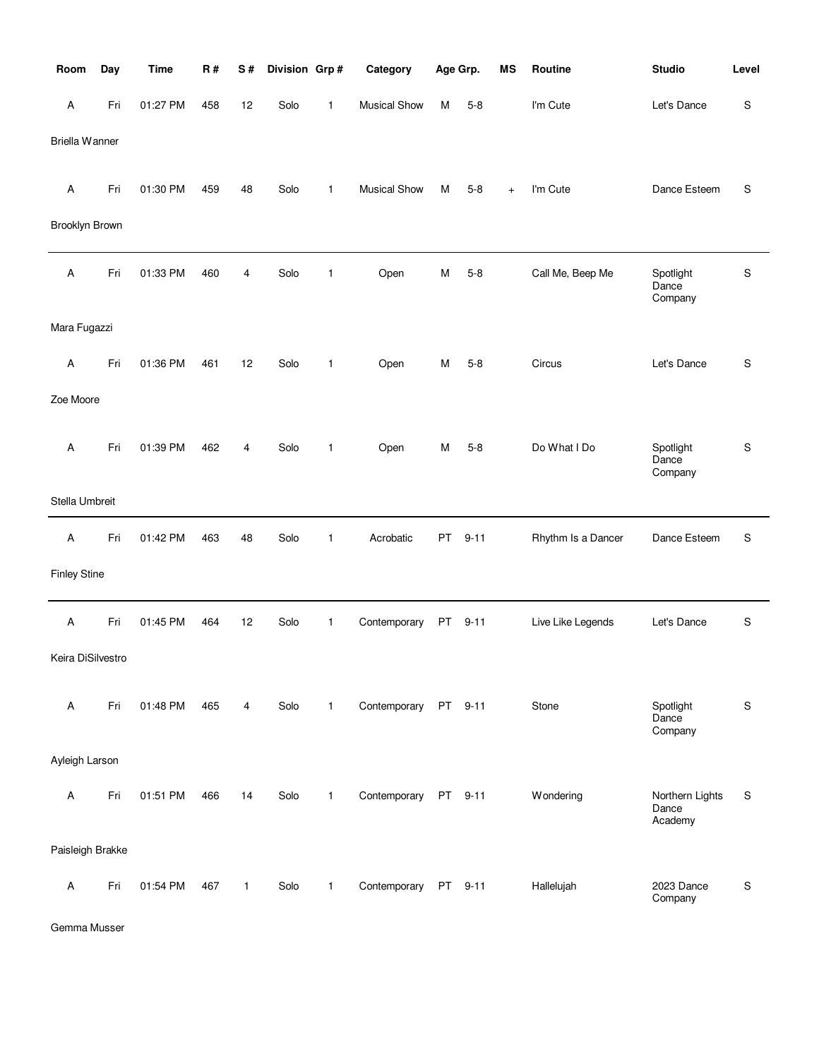| Room                      | Day | <b>Time</b> | R#  | S#           | Division Grp# |              | Category            | Age Grp. |          | <b>MS</b> | Routine            | <b>Studio</b>                       | Level     |
|---------------------------|-----|-------------|-----|--------------|---------------|--------------|---------------------|----------|----------|-----------|--------------------|-------------------------------------|-----------|
| A                         | Fri | 01:27 PM    | 458 | 12           | Solo          | 1            | <b>Musical Show</b> | М        | $5 - 8$  |           | I'm Cute           | Let's Dance                         | S         |
| <b>Briella Wanner</b>     |     |             |     |              |               |              |                     |          |          |           |                    |                                     |           |
|                           |     |             |     |              |               |              |                     |          |          |           |                    |                                     |           |
| A                         | Fri | 01:30 PM    | 459 | 48           | Solo          | $\mathbf{1}$ | <b>Musical Show</b> | м        | $5-8$    | $\ddot{}$ | I'm Cute           | Dance Esteem                        | S         |
| Brooklyn Brown            |     |             |     |              |               |              |                     |          |          |           |                    |                                     |           |
| Α                         | Fri | 01:33 PM    | 460 | 4            | Solo          | $\mathbf{1}$ | Open                | М        | $5 - 8$  |           | Call Me, Beep Me   | Spotlight<br>Dance                  | S         |
|                           |     |             |     |              |               |              |                     |          |          |           |                    | Company                             |           |
| Mara Fugazzi              |     |             |     |              |               |              |                     |          |          |           |                    |                                     |           |
| $\mathsf A$               | Fri | 01:36 PM    | 461 | 12           | Solo          | $\mathbf{1}$ | Open                | м        | $5 - 8$  |           | Circus             | Let's Dance                         | S         |
| Zoe Moore                 |     |             |     |              |               |              |                     |          |          |           |                    |                                     |           |
|                           |     |             |     |              |               |              |                     |          |          |           |                    |                                     |           |
| A                         | Fri | 01:39 PM    | 462 | 4            | Solo          | $\mathbf{1}$ | Open                | М        | $5 - 8$  |           | Do What I Do       | Spotlight<br>Dance<br>Company       | S         |
| Stella Umbreit            |     |             |     |              |               |              |                     |          |          |           |                    |                                     |           |
|                           |     |             |     |              |               |              |                     |          |          |           |                    |                                     |           |
| $\mathsf A$               | Fri | 01:42 PM    | 463 | 48           | Solo          | 1            | Acrobatic           | PT       | $9 - 11$ |           | Rhythm Is a Dancer | Dance Esteem                        | S         |
| <b>Finley Stine</b>       |     |             |     |              |               |              |                     |          |          |           |                    |                                     |           |
| $\boldsymbol{\mathsf{A}}$ | Fri | 01:45 PM    | 464 | 12           | Solo          | $\mathbf{1}$ | Contemporary        | PT       | $9 - 11$ |           | Live Like Legends  | Let's Dance                         | ${\sf S}$ |
| Keira DiSilvestro         |     |             |     |              |               |              |                     |          |          |           |                    |                                     |           |
|                           |     |             |     |              |               |              |                     |          |          |           |                    |                                     |           |
| $\mathsf A$               | Fri | 01:48 PM    | 465 | 4            | Solo          | $\mathbf{1}$ | Contemporary        |          | PT 9-11  |           | Stone              | Spotlight<br>Dance<br>Company       | S         |
| Ayleigh Larson            |     |             |     |              |               |              |                     |          |          |           |                    |                                     |           |
|                           |     |             |     |              |               |              |                     |          |          |           |                    |                                     |           |
| Α                         | Fri | 01:51 PM    | 466 | 14           | Solo          | $\mathbf{1}$ | Contemporary        |          | PT 9-11  |           | Wondering          | Northern Lights<br>Dance<br>Academy | S         |
| Paisleigh Brakke          |     |             |     |              |               |              |                     |          |          |           |                    |                                     |           |
| Α                         | Fri | 01:54 PM    | 467 | $\mathbf{1}$ | Solo          | $\mathbf{1}$ | Contemporary        |          | PT 9-11  |           | Hallelujah         | 2023 Dance<br>Company               | S         |

Gemma Musser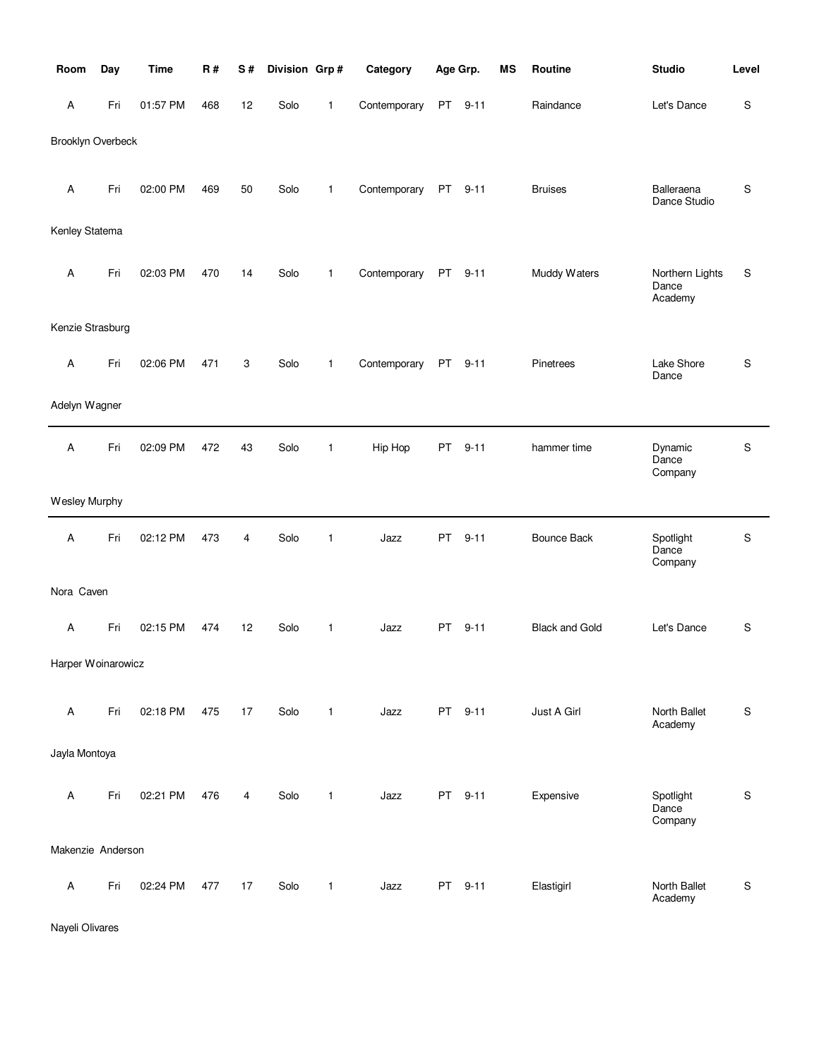| Room                     | Day | <b>Time</b> | <b>R#</b> | S# | Division Grp# |              | Category     | Age Grp.                                                                                                                                                                                                                       |          | MS | Routine               | <b>Studio</b>                       | Level |
|--------------------------|-----|-------------|-----------|----|---------------|--------------|--------------|--------------------------------------------------------------------------------------------------------------------------------------------------------------------------------------------------------------------------------|----------|----|-----------------------|-------------------------------------|-------|
| A                        | Fri | 01:57 PM    | 468       | 12 | Solo          | 1            | Contemporary | PT                                                                                                                                                                                                                             | $9 - 11$ |    | Raindance             | Let's Dance                         | S     |
| <b>Brooklyn Overbeck</b> |     |             |           |    |               |              |              |                                                                                                                                                                                                                                |          |    |                       |                                     |       |
|                          |     |             |           |    |               |              |              |                                                                                                                                                                                                                                |          |    |                       |                                     |       |
| A                        | Fri | 02:00 PM    | 469       | 50 | Solo          | $\mathbf{1}$ | Contemporary | PT                                                                                                                                                                                                                             | $9 - 11$ |    | <b>Bruises</b>        | Balleraena<br>Dance Studio          | S     |
| Kenley Statema           |     |             |           |    |               |              |              |                                                                                                                                                                                                                                |          |    |                       |                                     |       |
|                          |     |             |           |    |               |              |              |                                                                                                                                                                                                                                |          |    |                       |                                     |       |
| A                        | Fri | 02:03 PM    | 470       | 14 | Solo          | $\mathbf{1}$ | Contemporary | PT                                                                                                                                                                                                                             | $9 - 11$ |    | Muddy Waters          | Northern Lights<br>Dance<br>Academy | S     |
| Kenzie Strasburg         |     |             |           |    |               |              |              |                                                                                                                                                                                                                                |          |    |                       |                                     |       |
| Α                        | Fri | 02:06 PM    | 471       | 3  | Solo          | $\mathbf{1}$ | Contemporary | <b>PT</b>                                                                                                                                                                                                                      | $9 - 11$ |    | Pinetrees             | Lake Shore<br>Dance                 | S     |
| Adelyn Wagner            |     |             |           |    |               |              |              |                                                                                                                                                                                                                                |          |    |                       |                                     |       |
|                          |     |             |           |    |               |              |              |                                                                                                                                                                                                                                |          |    |                       |                                     |       |
| Α                        | Fri | 02:09 PM    | 472       | 43 | Solo          | $\mathbf{1}$ | Hip Hop      | PT                                                                                                                                                                                                                             | $9 - 11$ |    | hammer time           | Dynamic<br>Dance<br>Company         | S     |
| Wesley Murphy            |     |             |           |    |               |              |              |                                                                                                                                                                                                                                |          |    |                       |                                     |       |
| A                        | Fri | 02:12 PM    | 473       | 4  | Solo          | $\mathbf{1}$ | Jazz         | PT                                                                                                                                                                                                                             | $9 - 11$ |    | <b>Bounce Back</b>    | Spotlight<br>Dance<br>Company       | S     |
| Nora Caven               |     |             |           |    |               |              |              |                                                                                                                                                                                                                                |          |    |                       |                                     |       |
| A                        | Fri | 02:15 PM    | 474       | 12 | Solo          | $\mathbf{1}$ | Jazz         | <b>PT</b>                                                                                                                                                                                                                      | $9 - 11$ |    | <b>Black and Gold</b> | Let's Dance                         | S     |
|                          |     |             |           |    |               |              |              |                                                                                                                                                                                                                                |          |    |                       |                                     |       |
| Harper Woinarowicz       |     |             |           |    |               |              |              |                                                                                                                                                                                                                                |          |    |                       |                                     |       |
| $\mathsf A$              | Fri | 02:18 PM    | 475       | 17 | Solo          | $\mathbf{1}$ | Jazz         |                                                                                                                                                                                                                                | PT 9-11  |    | Just A Girl           | North Ballet<br>Academy             | S     |
| Jayla Montoya            |     |             |           |    |               |              |              |                                                                                                                                                                                                                                |          |    |                       |                                     |       |
|                          |     |             |           |    |               |              |              |                                                                                                                                                                                                                                |          |    |                       |                                     |       |
| Α                        | Fri | 02:21 PM    | 476       | 4  | Solo          | $\mathbf{1}$ | Jazz         |                                                                                                                                                                                                                                | PT 9-11  |    | Expensive             | Spotlight<br>Dance<br>Company       | S     |
| Makenzie Anderson        |     |             |           |    |               |              |              |                                                                                                                                                                                                                                |          |    |                       |                                     |       |
| $\mathsf A$              | Fri | 02:24 PM    | 477       | 17 | Solo          | $\mathbf{1}$ | Jazz         | PT and the post of the content of the content of the content of the content of the content of the content of the content of the content of the content of the content of the content of the content of the content of the cont | $9 - 11$ |    | Elastigirl            | North Ballet                        | S     |
|                          |     |             |           |    |               |              |              |                                                                                                                                                                                                                                |          |    |                       | Academy                             |       |

Nayeli Olivares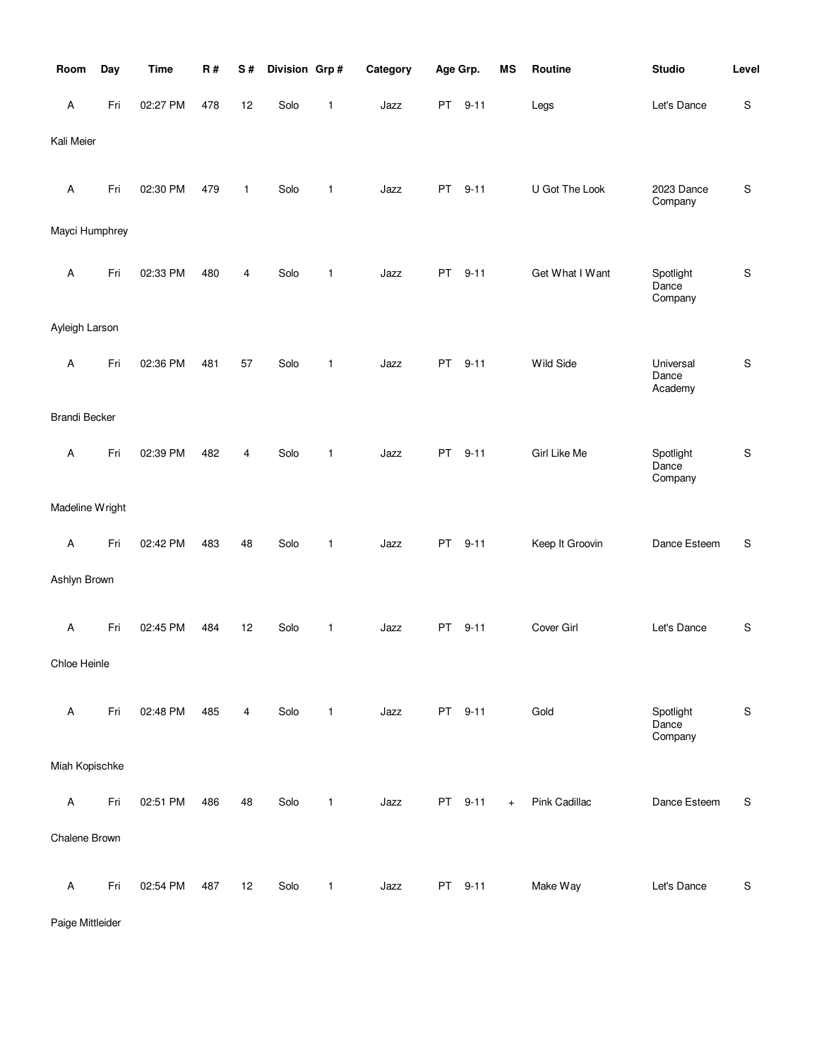| Room                 | Day | <b>Time</b> | <b>R#</b> | S# | Division Grp# |              | Category | Age Grp.  |          | <b>MS</b> | Routine         | <b>Studio</b>                 | Level       |
|----------------------|-----|-------------|-----------|----|---------------|--------------|----------|-----------|----------|-----------|-----------------|-------------------------------|-------------|
| Α                    | Fri | 02:27 PM    | 478       | 12 | Solo          | $\mathbf{1}$ | Jazz     | PT        | $9 - 11$ |           | Legs            | Let's Dance                   | $\mathbf S$ |
| Kali Meier           |     |             |           |    |               |              |          |           |          |           |                 |                               |             |
| $\mathsf A$          | Fri | 02:30 PM    | 479       | 1  | Solo          | 1            | Jazz     | PT        | $9 - 11$ |           | U Got The Look  | 2023 Dance<br>Company         | ${\sf S}$   |
| Mayci Humphrey       |     |             |           |    |               |              |          |           |          |           |                 |                               |             |
| Α                    | Fri | 02:33 PM    | 480       | 4  | Solo          | $\mathbf{1}$ | Jazz     | <b>PT</b> | $9 - 11$ |           | Get What I Want | Spotlight<br>Dance<br>Company | ${\sf S}$   |
| Ayleigh Larson       |     |             |           |    |               |              |          |           |          |           |                 |                               |             |
| A                    | Fri | 02:36 PM    | 481       | 57 | Solo          | $\mathbf{1}$ | Jazz     | PT        | $9 - 11$ |           | Wild Side       | Universal<br>Dance<br>Academy | ${\sf S}$   |
| <b>Brandi Becker</b> |     |             |           |    |               |              |          |           |          |           |                 |                               |             |
| Α                    | Fri | 02:39 PM    | 482       | 4  | Solo          | 1            | Jazz     | PT        | $9 - 11$ |           | Girl Like Me    | Spotlight<br>Dance<br>Company | $\mathsf S$ |
| Madeline Wright      |     |             |           |    |               |              |          |           |          |           |                 |                               |             |
| $\mathsf A$          | Fri | 02:42 PM    | 483       | 48 | Solo          | $\mathbf{1}$ | Jazz     | PT        | $9 - 11$ |           | Keep It Groovin | Dance Esteem                  | S           |
| Ashlyn Brown         |     |             |           |    |               |              |          |           |          |           |                 |                               |             |
| Α                    | Fri | 02:45 PM    | 484       | 12 | Solo          | $\mathbf{1}$ | Jazz     | <b>PT</b> | $9 - 11$ |           | Cover Girl      | Let's Dance                   | $\mathsf S$ |
| Chloe Heinle         |     |             |           |    |               |              |          |           |          |           |                 |                               |             |
| A                    | Fri | 02:48 PM    | 485       | 4  | Solo          | $\mathbf{1}$ | Jazz     |           | PT 9-11  |           | Gold            | Spotlight<br>Dance<br>Company | ${\sf S}$   |
| Miah Kopischke       |     |             |           |    |               |              |          |           |          |           |                 |                               |             |
| Α                    | Fri | 02:51 PM    | 486       | 48 | Solo          | $\mathbf{1}$ | Jazz     |           | PT 9-11  | $+$       | Pink Cadillac   | Dance Esteem                  | S           |
| Chalene Brown        |     |             |           |    |               |              |          |           |          |           |                 |                               |             |
| $\mathsf A$          | Fri | 02:54 PM    | 487       | 12 | Solo          | 1            | Jazz     |           | PT 9-11  |           | Make Way        | Let's Dance                   | ${\sf S}$   |

Paige Mittleider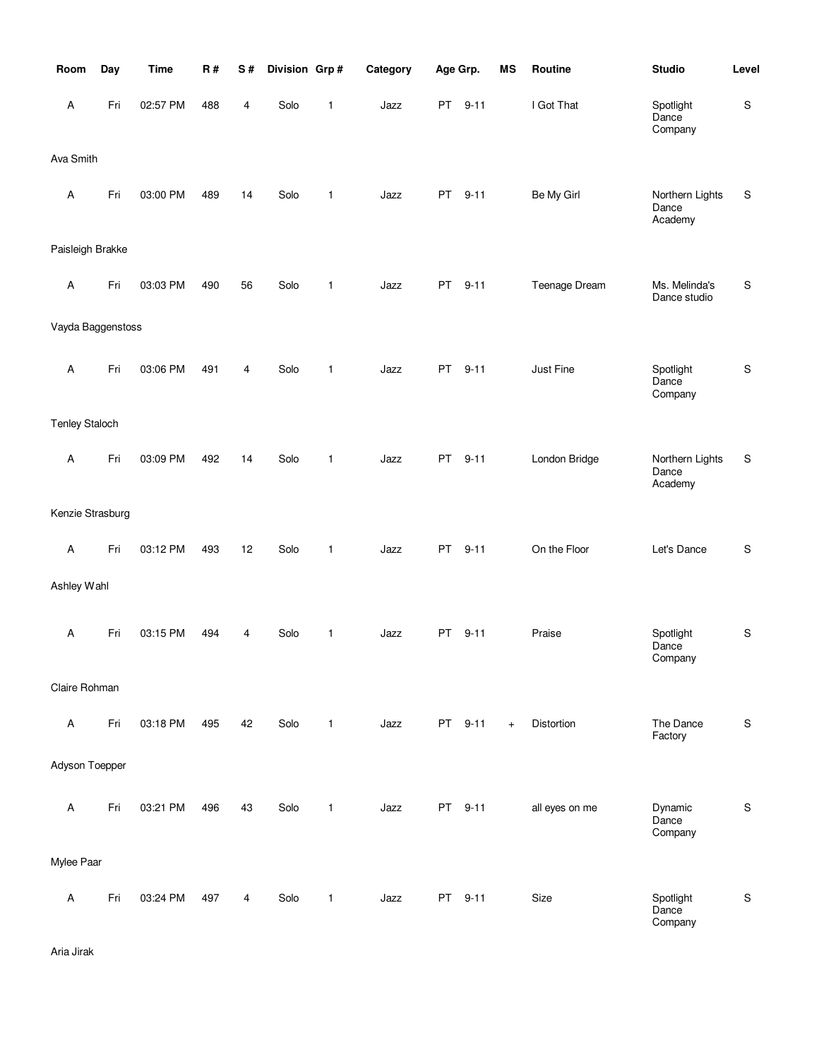| Room                      | Day | <b>Time</b> | R#  | S# | Division Grp# |              | Category |           | Age Grp. | MS  | Routine        | <b>Studio</b>                       | Level         |
|---------------------------|-----|-------------|-----|----|---------------|--------------|----------|-----------|----------|-----|----------------|-------------------------------------|---------------|
| A                         | Fri | 02:57 PM    | 488 | 4  | Solo          | 1            | Jazz     | PT        | $9 - 11$ |     | I Got That     | Spotlight<br>Dance<br>Company       | ${\mathsf S}$ |
| Ava Smith                 |     |             |     |    |               |              |          |           |          |     |                |                                     |               |
| A                         | Fri | 03:00 PM    | 489 | 14 | Solo          | $\mathbf{1}$ | Jazz     | PT        | $9 - 11$ |     | Be My Girl     | Northern Lights<br>Dance<br>Academy | ${\sf S}$     |
| Paisleigh Brakke          |     |             |     |    |               |              |          |           |          |     |                |                                     |               |
| A                         | Fri | 03:03 PM    | 490 | 56 | Solo          | $\mathbf{1}$ | Jazz     | PT        | $9 - 11$ |     | Teenage Dream  | Ms. Melinda's<br>Dance studio       | ${\mathbb S}$ |
| Vayda Baggenstoss         |     |             |     |    |               |              |          |           |          |     |                |                                     |               |
| $\boldsymbol{\mathsf{A}}$ | Fri | 03:06 PM    | 491 | 4  | Solo          | $\mathbf{1}$ | Jazz     | <b>PT</b> | $9 - 11$ |     | Just Fine      | Spotlight<br>Dance<br>Company       | ${\sf S}$     |
| <b>Tenley Staloch</b>     |     |             |     |    |               |              |          |           |          |     |                |                                     |               |
| A                         | Fri | 03:09 PM    | 492 | 14 | Solo          | $\mathbf{1}$ | Jazz     | PT        | $9 - 11$ |     | London Bridge  | Northern Lights<br>Dance<br>Academy | $\mathbb S$   |
| Kenzie Strasburg          |     |             |     |    |               |              |          |           |          |     |                |                                     |               |
| A                         | Fri | 03:12 PM    | 493 | 12 | Solo          | $\mathbf{1}$ | Jazz     | PT        | $9 - 11$ |     | On the Floor   | Let's Dance                         | S             |
| Ashley Wahl               |     |             |     |    |               |              |          |           |          |     |                |                                     |               |
| A                         | Fri | 03:15 PM    | 494 | 4  | Solo          | $\mathbf{1}$ | Jazz     | PT        | $9 - 11$ |     | Praise         | Spotlight<br>Dance<br>Company       | ${\sf S}$     |
| Claire Rohman             |     |             |     |    |               |              |          |           |          |     |                |                                     |               |
| A                         | Fri | 03:18 PM    | 495 | 42 | Solo          | $\mathbf{1}$ | Jazz     |           | PT 9-11  | $+$ | Distortion     | The Dance<br>Factory                | ${\mathsf S}$ |
| Adyson Toepper            |     |             |     |    |               |              |          |           |          |     |                |                                     |               |
| $\boldsymbol{\mathsf{A}}$ | Fri | 03:21 PM    | 496 | 43 | Solo          | $\mathbf{1}$ | Jazz     |           | PT 9-11  |     | all eyes on me | Dynamic<br>Dance<br>Company         | ${\mathsf S}$ |
| Mylee Paar                |     |             |     |    |               |              |          |           |          |     |                |                                     |               |
| A                         | Fri | 03:24 PM    | 497 | 4  | Solo          | $\mathbf{1}$ | Jazz     |           | PT 9-11  |     | Size           | Spotlight<br>Dance<br>Company       | ${\mathsf S}$ |

Aria Jirak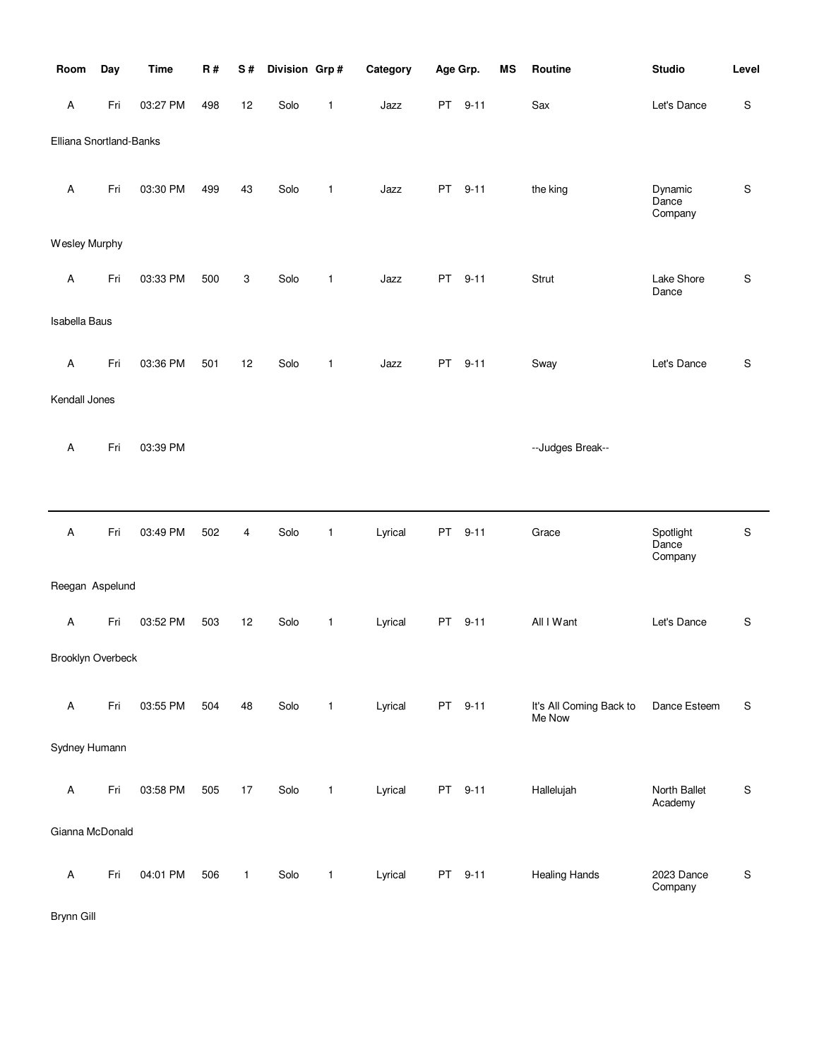| Room                    | Day | <b>Time</b> | R#  | S#           | Division Grp# |              | Category | Age Grp. |          | MS | Routine                           | <b>Studio</b>                 | Level       |
|-------------------------|-----|-------------|-----|--------------|---------------|--------------|----------|----------|----------|----|-----------------------------------|-------------------------------|-------------|
| Α                       | Fri | 03:27 PM    | 498 | 12           | Solo          | $\mathbf{1}$ | Jazz     |          | PT 9-11  |    | Sax                               | Let's Dance                   | $\mathsf S$ |
| Elliana Snortland-Banks |     |             |     |              |               |              |          |          |          |    |                                   |                               |             |
| Α                       | Fri | 03:30 PM    | 499 | 43           | Solo          | $\mathbf{1}$ | Jazz     | PT       | $9 - 11$ |    | the king                          | Dynamic<br>Dance<br>Company   | ${\sf S}$   |
| Wesley Murphy           |     |             |     |              |               |              |          |          |          |    |                                   |                               |             |
| Α                       | Fri | 03:33 PM    | 500 | 3            | Solo          | $\mathbf{1}$ | Jazz     | PT       | $9 - 11$ |    | Strut                             | Lake Shore<br>Dance           | $\mathsf S$ |
| <b>Isabella Baus</b>    |     |             |     |              |               |              |          |          |          |    |                                   |                               |             |
| Α                       | Fri | 03:36 PM    | 501 | 12           | Solo          | $\mathbf{1}$ | Jazz     | PT       | $9 - 11$ |    | Sway                              | Let's Dance                   | $\mathsf S$ |
| Kendall Jones           |     |             |     |              |               |              |          |          |          |    |                                   |                               |             |
| Α                       | Fri | 03:39 PM    |     |              |               |              |          |          |          |    | --Judges Break--                  |                               |             |
|                         |     |             |     |              |               |              |          |          |          |    |                                   |                               |             |
| $\sf A$                 | Fri | 03:49 PM    | 502 | 4            | Solo          | $\mathbf{1}$ | Lyrical  | PT       | $9 - 11$ |    | Grace                             | Spotlight<br>Dance<br>Company | $\mathsf S$ |
| Reegan Aspelund         |     |             |     |              |               |              |          |          |          |    |                                   |                               |             |
| Α                       | Fri | 03:52 PM    | 503 | 12           | Solo          | $\mathbf{1}$ | Lyrical  | PT       | $9 - 11$ |    | All I Want                        | Let's Dance                   | S           |
| Brooklyn Overbeck       |     |             |     |              |               |              |          |          |          |    |                                   |                               |             |
| Α                       | Fri | 03:55 PM    | 504 | 48           | Solo          | $\mathbf{1}$ | Lyrical  |          | PT 9-11  |    | It's All Coming Back to<br>Me Now | Dance Esteem                  | S           |
| Sydney Humann           |     |             |     |              |               |              |          |          |          |    |                                   |                               |             |
| Α                       | Fri | 03:58 PM    | 505 | 17           | Solo          | $\mathbf{1}$ | Lyrical  |          | PT 9-11  |    | Hallelujah                        | North Ballet<br>Academy       | ${\sf S}$   |
| Gianna McDonald         |     |             |     |              |               |              |          |          |          |    |                                   |                               |             |
| Α                       | Fri | 04:01 PM    | 506 | $\mathbf{1}$ | Solo          | $\mathbf{1}$ | Lyrical  |          | PT 9-11  |    | <b>Healing Hands</b>              | 2023 Dance<br>Company         | ${\sf S}$   |

Brynn Gill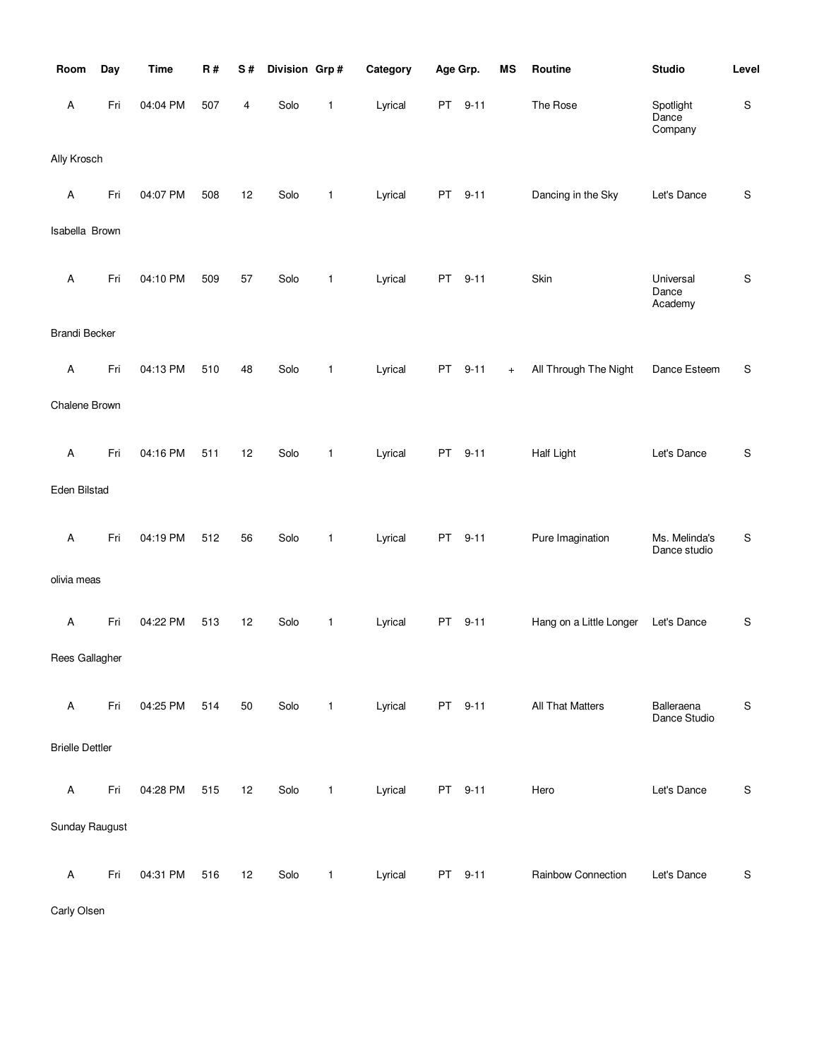| Room                   | Day | <b>Time</b> | <b>R#</b> | S# | Division Grp# |              | Category | Age Grp.  |          | <b>MS</b> | Routine                 | <b>Studio</b>                 | Level       |
|------------------------|-----|-------------|-----------|----|---------------|--------------|----------|-----------|----------|-----------|-------------------------|-------------------------------|-------------|
| A                      | Fri | 04:04 PM    | 507       | 4  | Solo          | $\mathbf{1}$ | Lyrical  | PT        | $9 - 11$ |           | The Rose                | Spotlight<br>Dance<br>Company | ${\sf S}$   |
| Ally Krosch            |     |             |           |    |               |              |          |           |          |           |                         |                               |             |
| Α                      | Fri | 04:07 PM    | 508       | 12 | Solo          | $\mathbf{1}$ | Lyrical  | PT        | $9 - 11$ |           | Dancing in the Sky      | Let's Dance                   | $\mathsf S$ |
| Isabella Brown         |     |             |           |    |               |              |          |           |          |           |                         |                               |             |
| Α                      | Fri | 04:10 PM    | 509       | 57 | Solo          | $\mathbf{1}$ | Lyrical  | <b>PT</b> | $9 - 11$ |           | Skin                    | Universal<br>Dance<br>Academy | ${\sf S}$   |
| <b>Brandi Becker</b>   |     |             |           |    |               |              |          |           |          |           |                         |                               |             |
| $\mathsf A$            | Fri | 04:13 PM    | 510       | 48 | Solo          | $\mathbf{1}$ | Lyrical  | PT        | $9 - 11$ | $+$       | All Through The Night   | Dance Esteem                  | S           |
| Chalene Brown          |     |             |           |    |               |              |          |           |          |           |                         |                               |             |
| Α                      | Fri | 04:16 PM    | 511       | 12 | Solo          | $\mathbf{1}$ | Lyrical  | PT        | $9 - 11$ |           | Half Light              | Let's Dance                   | $\mathbb S$ |
| Eden Bilstad           |     |             |           |    |               |              |          |           |          |           |                         |                               |             |
| $\mathsf A$            | Fri | 04:19 PM    | 512       | 56 | Solo          | $\mathbf{1}$ | Lyrical  | PT        | $9 - 11$ |           | Pure Imagination        | Ms. Melinda's<br>Dance studio | S           |
| olivia meas            |     |             |           |    |               |              |          |           |          |           |                         |                               |             |
| $\mathsf A$            | Fri | 04:22 PM    | 513       | 12 | Solo          | $\mathbf{1}$ | Lyrical  | PT        | $9 - 11$ |           | Hang on a Little Longer | Let's Dance                   | S           |
| Rees Gallagher         |     |             |           |    |               |              |          |           |          |           |                         |                               |             |
| A                      | Fri | 04:25 PM    | 514       | 50 | Solo          | $\mathbf{1}$ | Lyrical  |           | PT 9-11  |           | All That Matters        | Balleraena<br>Dance Studio    | ${\sf S}$   |
| <b>Brielle Dettler</b> |     |             |           |    |               |              |          |           |          |           |                         |                               |             |
| $\mathsf A$            | Fri | 04:28 PM    | 515       | 12 | Solo          | $\mathbf{1}$ | Lyrical  |           | PT 9-11  |           | Hero                    | Let's Dance                   | ${\sf S}$   |
| Sunday Raugust         |     |             |           |    |               |              |          |           |          |           |                         |                               |             |
| $\mathsf A$            | Fri | 04:31 PM    | 516       | 12 | Solo          | $\mathbf{1}$ | Lyrical  |           | PT 9-11  |           | Rainbow Connection      | Let's Dance                   | $\mathbb S$ |

Carly Olsen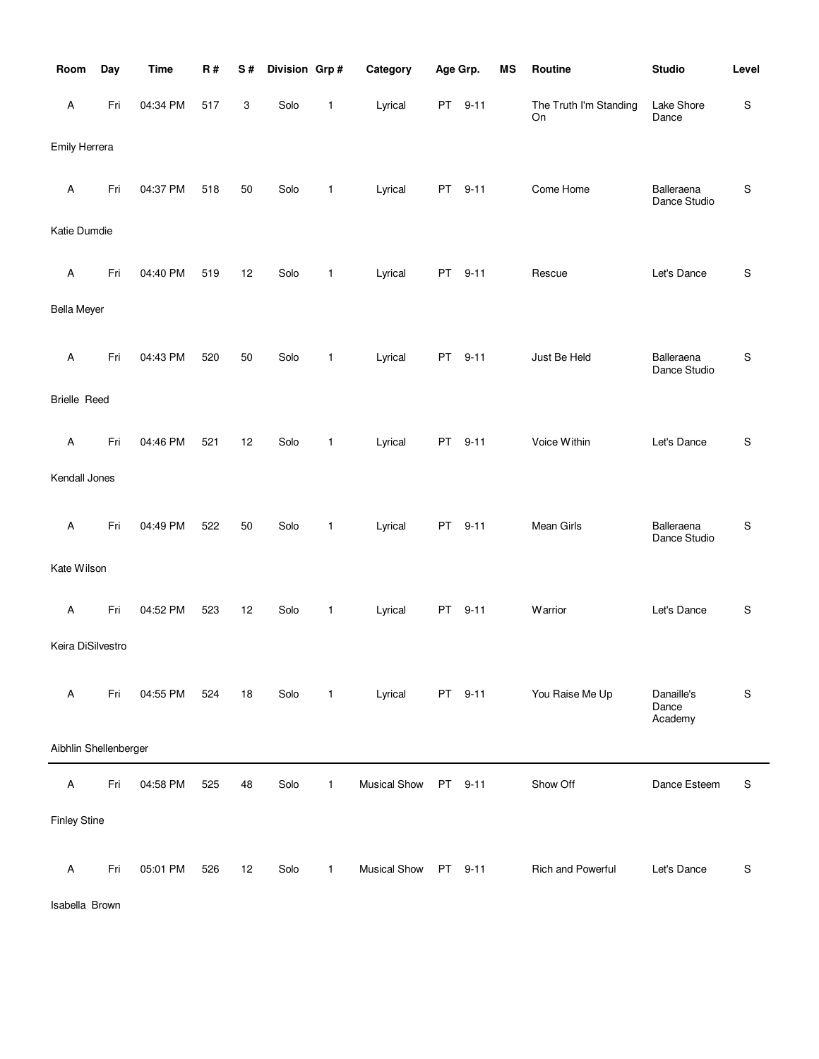| Room                      | Day | <b>Time</b> | R#  | S# | Division Grp# |              | Category            | Age Grp. |          | <b>MS</b> | Routine                      | <b>Studio</b>                  | Level       |
|---------------------------|-----|-------------|-----|----|---------------|--------------|---------------------|----------|----------|-----------|------------------------------|--------------------------------|-------------|
| Α                         | Fri | 04:34 PM    | 517 | 3  | Solo          | 1            | Lyrical             | PT       | $9 - 11$ |           | The Truth I'm Standing<br>On | Lake Shore<br>Dance            | S           |
| Emily Herrera             |     |             |     |    |               |              |                     |          |          |           |                              |                                |             |
| Α                         | Fri | 04:37 PM    | 518 | 50 | Solo          | 1            | Lyrical             | PT       | $9 - 11$ |           | Come Home                    | Balleraena<br>Dance Studio     | S           |
| Katie Dumdie              |     |             |     |    |               |              |                     |          |          |           |                              |                                |             |
| A                         | Fri | 04:40 PM    | 519 | 12 | Solo          | 1            | Lyrical             | PT       | $9 - 11$ |           | Rescue                       | Let's Dance                    | S           |
| <b>Bella Meyer</b>        |     |             |     |    |               |              |                     |          |          |           |                              |                                |             |
| A                         | Fri | 04:43 PM    | 520 | 50 | Solo          | 1            | Lyrical             | PT.      | $9 - 11$ |           | Just Be Held                 | Balleraena<br>Dance Studio     | S           |
| <b>Brielle Reed</b>       |     |             |     |    |               |              |                     |          |          |           |                              |                                |             |
| A                         | Fri | 04:46 PM    | 521 | 12 | Solo          | 1            | Lyrical             | PT.      | $9 - 11$ |           | Voice Within                 | Let's Dance                    | S           |
| Kendall Jones             |     |             |     |    |               |              |                     |          |          |           |                              |                                |             |
| A                         | Fri | 04:49 PM    | 522 | 50 | Solo          | 1            | Lyrical             | PT       | $9 - 11$ |           | Mean Girls                   | Balleraena<br>Dance Studio     | S           |
| Kate Wilson               |     |             |     |    |               |              |                     |          |          |           |                              |                                |             |
| $\boldsymbol{\mathsf{A}}$ | Fri | 04:52 PM    | 523 | 12 | Solo          | 1            | Lyrical             | PT       | $9 - 11$ |           | Warrior                      | Let's Dance                    | S           |
| Keira DiSilvestro         |     |             |     |    |               |              |                     |          |          |           |                              |                                |             |
| Α                         | Fri | 04:55 PM    | 524 | 18 | Solo          | $\mathbf{1}$ | Lyrical             |          | PT 9-11  |           | You Raise Me Up              | Danaille's<br>Dance<br>Academy | S           |
| Aibhlin Shellenberger     |     |             |     |    |               |              |                     |          |          |           |                              |                                |             |
| $\mathsf A$               | Fri | 04:58 PM    | 525 | 48 | Solo          | 1            | <b>Musical Show</b> | PT       | $9 - 11$ |           | Show Off                     | Dance Esteem                   | $\mathsf S$ |
| <b>Finley Stine</b>       |     |             |     |    |               |              |                     |          |          |           |                              |                                |             |
| A                         | Fri | 05:01 PM    | 526 | 12 | Solo          | $\mathbf{1}$ | <b>Musical Show</b> |          | PT 9-11  |           | Rich and Powerful            | Let's Dance                    | ${\sf S}$   |

Isabella Brown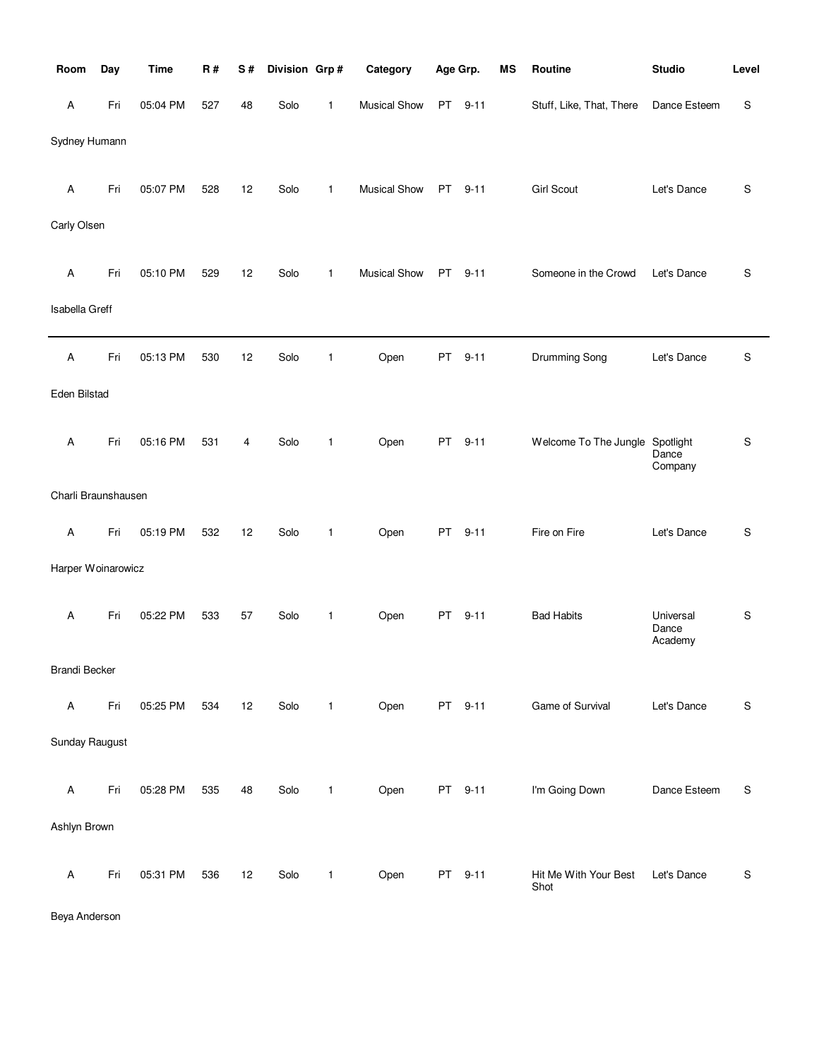| Room                 | Day | <b>Time</b> | R#  | S# | Division Grp# |              | Category            | Age Grp. |          | <b>MS</b> | Routine                         | <b>Studio</b>                 | Level |
|----------------------|-----|-------------|-----|----|---------------|--------------|---------------------|----------|----------|-----------|---------------------------------|-------------------------------|-------|
| Α                    | Fri | 05:04 PM    | 527 | 48 | Solo          | 1            | <b>Musical Show</b> |          | PT 9-11  |           | Stuff, Like, That, There        | Dance Esteem                  | S     |
| Sydney Humann        |     |             |     |    |               |              |                     |          |          |           |                                 |                               |       |
| Α                    | Fri | 05:07 PM    | 528 | 12 | Solo          | $\mathbf{1}$ | <b>Musical Show</b> |          | PT 9-11  |           | <b>Girl Scout</b>               | Let's Dance                   | S     |
| Carly Olsen          |     |             |     |    |               |              |                     |          |          |           |                                 |                               |       |
| Α                    | Fri | 05:10 PM    | 529 | 12 | Solo          | 1            | <b>Musical Show</b> | PT       | $9 - 11$ |           | Someone in the Crowd            | Let's Dance                   | S     |
| Isabella Greff       |     |             |     |    |               |              |                     |          |          |           |                                 |                               |       |
| Α                    | Fri | 05:13 PM    | 530 | 12 | Solo          | 1            | Open                | PT       | $9 - 11$ |           | <b>Drumming Song</b>            | Let's Dance                   | S     |
| Eden Bilstad         |     |             |     |    |               |              |                     |          |          |           |                                 |                               |       |
| Α                    | Fri | 05:16 PM    | 531 | 4  | Solo          | 1            | Open                | PT       | $9 - 11$ |           | Welcome To The Jungle Spotlight | Dance<br>Company              | S     |
| Charli Braunshausen  |     |             |     |    |               |              |                     |          |          |           |                                 |                               |       |
| Α                    | Fri | 05:19 PM    | 532 | 12 | Solo          | $\mathbf{1}$ | Open                | PT.      | $9 - 11$ |           | Fire on Fire                    | Let's Dance                   | S     |
| Harper Woinarowicz   |     |             |     |    |               |              |                     |          |          |           |                                 |                               |       |
| А                    | Fri | 05:22 PM    | 533 | 57 | Solo          | 1            | Open                | PT       | $9 - 11$ |           | <b>Bad Habits</b>               | Universal<br>Dance<br>Academy | S     |
| <b>Brandi Becker</b> |     |             |     |    |               |              |                     |          |          |           |                                 |                               |       |
| A                    | Fri | 05:25 PM    | 534 | 12 | Solo          | $\mathbf{1}$ | Open                |          | PT 9-11  |           | Game of Survival                | Let's Dance                   | S     |
| Sunday Raugust       |     |             |     |    |               |              |                     |          |          |           |                                 |                               |       |
| Α                    | Fri | 05:28 PM    | 535 | 48 | Solo          | $\mathbf{1}$ | Open                |          | PT 9-11  |           | I'm Going Down                  | Dance Esteem                  | S     |
| Ashlyn Brown         |     |             |     |    |               |              |                     |          |          |           |                                 |                               |       |
| $\mathsf A$          | Fri | 05:31 PM    | 536 | 12 | Solo          | $\mathbf{1}$ | Open                |          | PT 9-11  |           | Hit Me With Your Best<br>Shot   | Let's Dance                   | S     |

Beya Anderson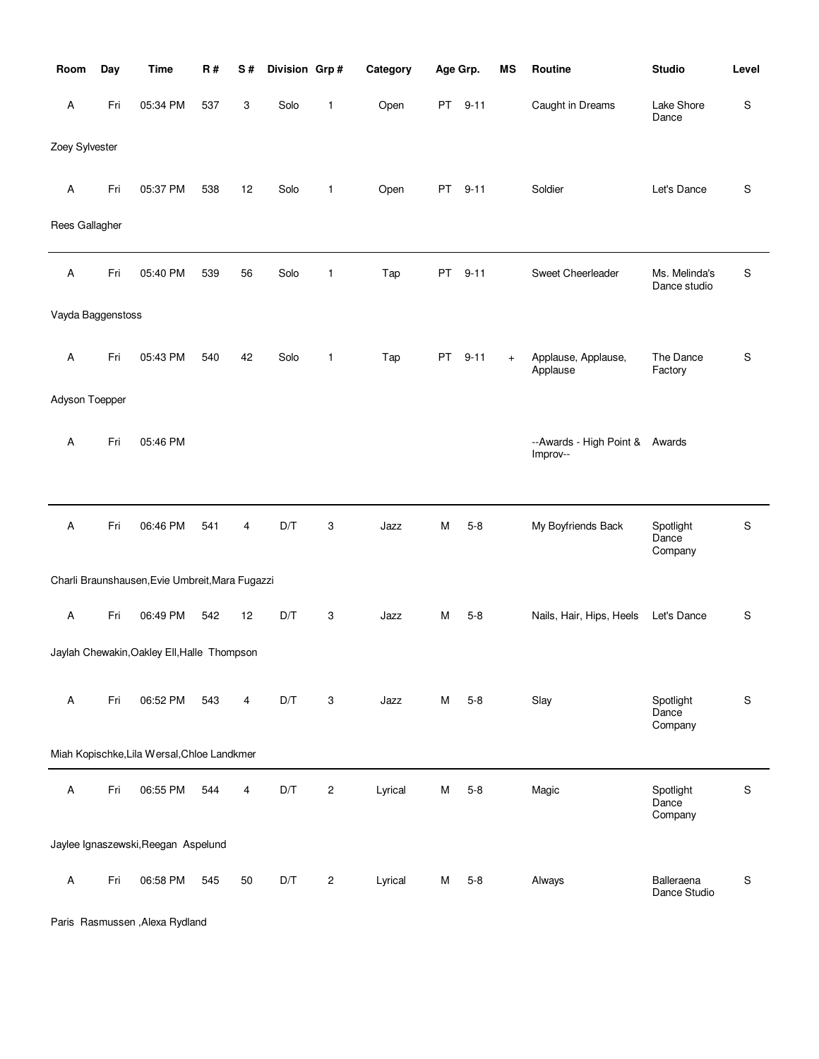| Room                      | Day | <b>Time</b>                                     | <b>R#</b> | S# | Division Grp# |                | Category | Age Grp.  |          | <b>MS</b> | Routine                                    | <b>Studio</b>                 | Level       |
|---------------------------|-----|-------------------------------------------------|-----------|----|---------------|----------------|----------|-----------|----------|-----------|--------------------------------------------|-------------------------------|-------------|
| Α                         | Fri | 05:34 PM                                        | 537       | 3  | Solo          | 1              | Open     | PT        | $9 - 11$ |           | Caught in Dreams                           | Lake Shore<br>Dance           | S           |
| Zoey Sylvester            |     |                                                 |           |    |               |                |          |           |          |           |                                            |                               |             |
| Α                         | Fri | 05:37 PM                                        | 538       | 12 | Solo          | $\mathbf{1}$   | Open     | PT        | $9 - 11$ |           | Soldier                                    | Let's Dance                   | S           |
| Rees Gallagher            |     |                                                 |           |    |               |                |          |           |          |           |                                            |                               |             |
| Α                         | Fri | 05:40 PM                                        | 539       | 56 | Solo          | 1              | Tap      | <b>PT</b> | $9 - 11$ |           | Sweet Cheerleader                          | Ms. Melinda's<br>Dance studio | S           |
| Vayda Baggenstoss         |     |                                                 |           |    |               |                |          |           |          |           |                                            |                               |             |
| Α                         | Fri | 05:43 PM                                        | 540       | 42 | Solo          | 1              | Tap      | <b>PT</b> | $9 - 11$ | $+$       | Applause, Applause,<br>Applause            | The Dance<br>Factory          | S           |
| Adyson Toepper            |     |                                                 |           |    |               |                |          |           |          |           |                                            |                               |             |
| Α                         | Fri | 05:46 PM                                        |           |    |               |                |          |           |          |           | --Awards - High Point & Awards<br>Improv-- |                               |             |
|                           |     |                                                 |           |    |               |                |          |           |          |           |                                            |                               |             |
| $\mathsf A$               | Fri | 06:46 PM                                        | 541       | 4  | D/T           | 3              | Jazz     | M         | $5 - 8$  |           | My Boyfriends Back                         | Spotlight<br>Dance<br>Company | ${\sf S}$   |
|                           |     | Charli Braunshausen, Evie Umbreit, Mara Fugazzi |           |    |               |                |          |           |          |           |                                            |                               |             |
| $\boldsymbol{\mathsf{A}}$ | Fri | 06:49 PM                                        | 542       | 12 | D/T           | 3              | Jazz     | М         | $5 - 8$  |           | Nails, Hair, Hips, Heels                   | Let's Dance                   | S           |
|                           |     | Jaylah Chewakin, Oakley Ell, Halle Thompson     |           |    |               |                |          |           |          |           |                                            |                               |             |
| A                         | Fri | 06:52 PM                                        | 543       | 4  | D/T           | 3              | Jazz     | м         | $5 - 8$  |           | Slay                                       | Spotlight<br>Dance<br>Company | $\mathsf S$ |
|                           |     | Miah Kopischke, Lila Wersal, Chloe Landkmer     |           |    |               |                |          |           |          |           |                                            |                               |             |
| Α                         | Fri | 06:55 PM                                        | 544       | 4  | D/T           | $\overline{c}$ | Lyrical  | M         | $5 - 8$  |           | Magic                                      | Spotlight<br>Dance<br>Company | S           |
|                           |     | Jaylee Ignaszewski, Reegan Aspelund             |           |    |               |                |          |           |          |           |                                            |                               |             |
| $\boldsymbol{\mathsf{A}}$ | Fri | 06:58 PM                                        | 545       | 50 | D/T           | $\overline{c}$ | Lyrical  | М         | $5 - 8$  |           | Always                                     | Balleraena<br>Dance Studio    | S           |

Paris Rasmussen ,Alexa Rydland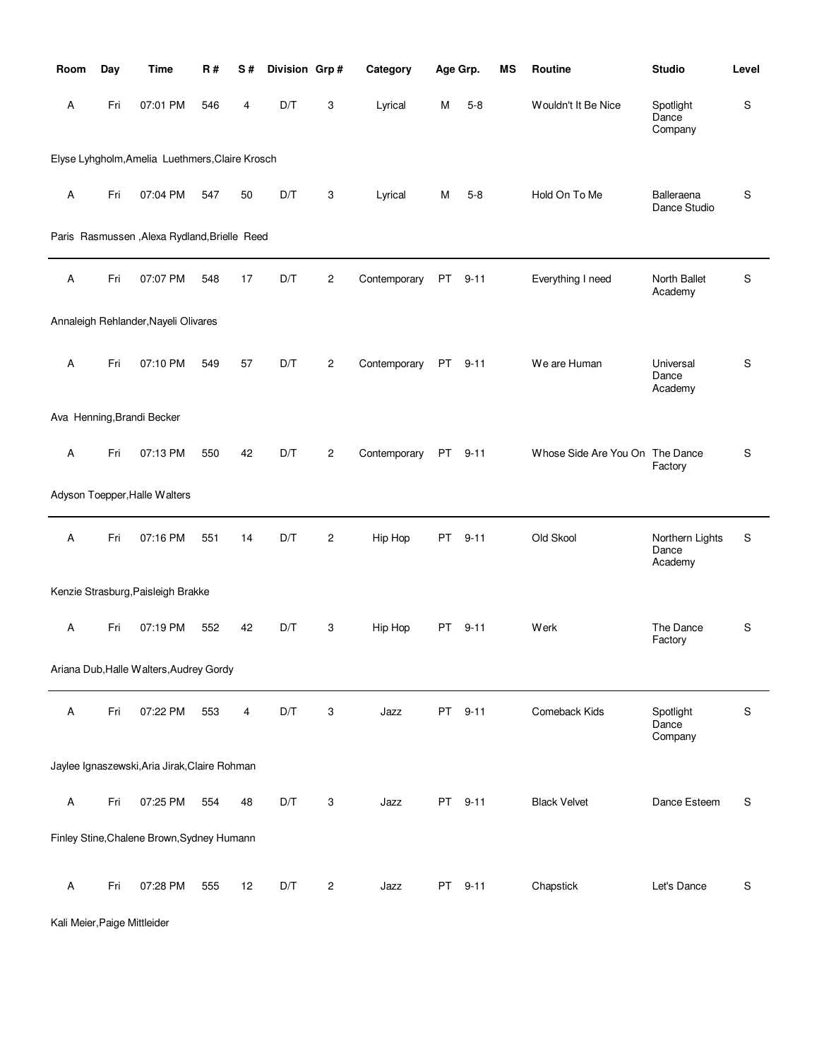| Room                      | Day | Time                                            | <b>R#</b> | S# | Division Grp# |                | Category     | Age Grp.  |          | <b>MS</b> | <b>Routine</b>                  | <b>Studio</b>                       | Level     |
|---------------------------|-----|-------------------------------------------------|-----------|----|---------------|----------------|--------------|-----------|----------|-----------|---------------------------------|-------------------------------------|-----------|
| Α                         | Fri | 07:01 PM                                        | 546       | 4  | D/T           | 3              | Lyrical      | м         | $5 - 8$  |           | Wouldn't It Be Nice             | Spotlight<br>Dance<br>Company       | S         |
|                           |     | Elyse Lyhgholm, Amelia Luethmers, Claire Krosch |           |    |               |                |              |           |          |           |                                 |                                     |           |
| A                         | Fri | 07:04 PM                                        | 547       | 50 | D/T           | 3              | Lyrical      | м         | $5 - 8$  |           | Hold On To Me                   | Balleraena<br>Dance Studio          | S         |
|                           |     | Paris Rasmussen, Alexa Rydland, Brielle Reed    |           |    |               |                |              |           |          |           |                                 |                                     |           |
| Α                         | Fri | 07:07 PM                                        | 548       | 17 | D/T           | $\overline{c}$ | Contemporary | PT        | $9 - 11$ |           | Everything I need               | North Ballet<br>Academy             | S         |
|                           |     | Annaleigh Rehlander, Nayeli Olivares            |           |    |               |                |              |           |          |           |                                 |                                     |           |
| A                         | Fri | 07:10 PM                                        | 549       | 57 | D/T           | $\overline{c}$ | Contemporary | PT        | $9 - 11$ |           | We are Human                    | Universal<br>Dance<br>Academy       | S         |
|                           |     | Ava Henning, Brandi Becker                      |           |    |               |                |              |           |          |           |                                 |                                     |           |
| Α                         | Fri | 07:13 PM                                        | 550       | 42 | D/T           | $\overline{c}$ | Contemporary | <b>PT</b> | $9 - 11$ |           | Whose Side Are You On The Dance | Factory                             | S         |
|                           |     | Adyson Toepper, Halle Walters                   |           |    |               |                |              |           |          |           |                                 |                                     |           |
| A                         | Fri | 07:16 PM                                        | 551       | 14 | D/T           | $\overline{c}$ | Hip Hop      | PT        | $9 - 11$ |           | Old Skool                       | Northern Lights<br>Dance<br>Academy | S         |
|                           |     | Kenzie Strasburg, Paisleigh Brakke              |           |    |               |                |              |           |          |           |                                 |                                     |           |
| Α                         | Fri | 07:19 PM                                        | 552       | 42 | D/T           | 3              | Hip Hop      |           | PT 9-11  |           | Werk                            | The Dance<br>Factory                | S         |
|                           |     | Ariana Dub, Halle Walters, Audrey Gordy         |           |    |               |                |              |           |          |           |                                 |                                     |           |
| $\boldsymbol{\mathsf{A}}$ | Fri | 07:22 PM                                        | 553       | 4  | D/T           | 3              | Jazz         |           | PT 9-11  |           | Comeback Kids                   | Spotlight<br>Dance<br>Company       | S         |
|                           |     | Jaylee Ignaszewski, Aria Jirak, Claire Rohman   |           |    |               |                |              |           |          |           |                                 |                                     |           |
| Α                         | Fri | 07:25 PM                                        | 554       | 48 | D/T           | 3              | Jazz         |           | PT 9-11  |           | <b>Black Velvet</b>             | Dance Esteem                        | S         |
|                           |     | Finley Stine, Chalene Brown, Sydney Humann      |           |    |               |                |              |           |          |           |                                 |                                     |           |
| Α                         | Fri | 07:28 PM                                        | 555       | 12 | D/T           | $\overline{c}$ | Jazz         | PT        | $9 - 11$ |           | Chapstick                       | Let's Dance                         | ${\sf S}$ |

Kali Meier,Paige Mittleider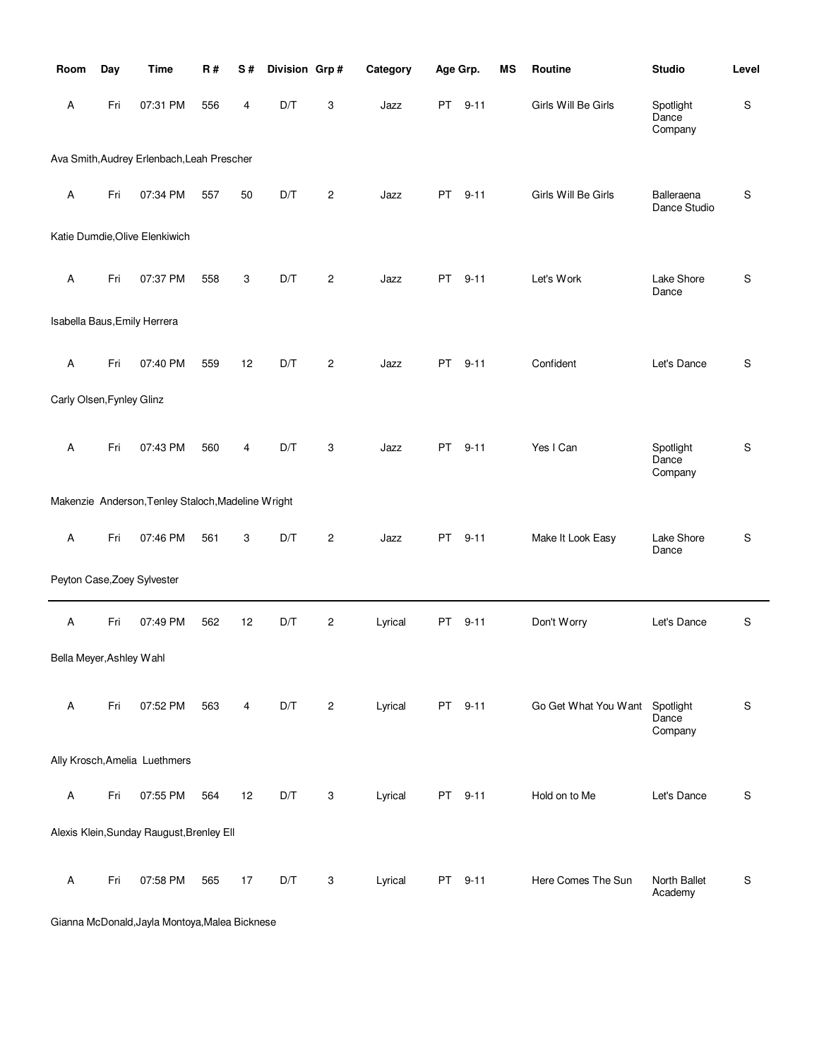| Room                      | Day | <b>Time</b>                                        | <b>R#</b> | S# | Division Grp# |                | Category | Age Grp.  |          | MS | Routine              | <b>Studio</b>                 | Level       |
|---------------------------|-----|----------------------------------------------------|-----------|----|---------------|----------------|----------|-----------|----------|----|----------------------|-------------------------------|-------------|
| Α                         | Fri | 07:31 PM                                           | 556       | 4  | D/T           | 3              | Jazz     | <b>PT</b> | $9 - 11$ |    | Girls Will Be Girls  | Spotlight<br>Dance<br>Company | $\mathsf S$ |
|                           |     | Ava Smith, Audrey Erlenbach, Leah Prescher         |           |    |               |                |          |           |          |    |                      |                               |             |
| A                         | Fri | 07:34 PM                                           | 557       | 50 | D/T           | $\overline{2}$ | Jazz     | PT.       | $9 - 11$ |    | Girls Will Be Girls  | Balleraena<br>Dance Studio    | $\mathsf S$ |
|                           |     | Katie Dumdie, Olive Elenkiwich                     |           |    |               |                |          |           |          |    |                      |                               |             |
| A                         | Fri | 07:37 PM                                           | 558       | 3  | D/T           | $\overline{c}$ | Jazz     | PT        | $9 - 11$ |    | Let's Work           | Lake Shore<br>Dance           | $\mathsf S$ |
|                           |     | Isabella Baus, Emily Herrera                       |           |    |               |                |          |           |          |    |                      |                               |             |
| Α                         | Fri | 07:40 PM                                           | 559       | 12 | D/T           | $\overline{c}$ | Jazz     | PT.       | $9 - 11$ |    | Confident            | Let's Dance                   | $\mathsf S$ |
| Carly Olsen, Fynley Glinz |     |                                                    |           |    |               |                |          |           |          |    |                      |                               |             |
| A                         | Fri | 07:43 PM                                           | 560       | 4  | D/T           | 3              | Jazz     | <b>PT</b> | $9 - 11$ |    | Yes I Can            | Spotlight<br>Dance<br>Company | S           |
|                           |     | Makenzie Anderson, Tenley Staloch, Madeline Wright |           |    |               |                |          |           |          |    |                      |                               |             |
| Α                         | Fri | 07:46 PM                                           | 561       | 3  | D/T           | $\overline{c}$ | Jazz     | <b>PT</b> | $9 - 11$ |    | Make It Look Easy    | Lake Shore<br>Dance           | $\mathsf S$ |
|                           |     | Peyton Case, Zoey Sylvester                        |           |    |               |                |          |           |          |    |                      |                               |             |
| A                         | Fri | 07:49 PM                                           | 562       | 12 | D/T           | $\overline{c}$ | Lyrical  | PT        | $9 - 11$ |    | Don't Worry          | Let's Dance                   | S           |
| Bella Meyer, Ashley Wahl  |     |                                                    |           |    |               |                |          |           |          |    |                      |                               |             |
| Α                         | Fri | 07:52 PM                                           | 563       | 4  | D/T           | $\overline{c}$ | Lyrical  | <b>PT</b> | $9 - 11$ |    | Go Get What You Want | Spotlight<br>Dance<br>Company | S           |
|                           |     | Ally Krosch, Amelia Luethmers                      |           |    |               |                |          |           |          |    |                      |                               |             |
| Α                         | Fri | 07:55 PM                                           | 564       | 12 | D/T           | 3              | Lyrical  | PT        | $9 - 11$ |    | Hold on to Me        | Let's Dance                   | S           |
|                           |     | Alexis Klein, Sunday Raugust, Brenley Ell          |           |    |               |                |          |           |          |    |                      |                               |             |
| Α                         | Fri | 07:58 PM                                           | 565       | 17 | D/T           | 3              | Lyrical  | <b>PT</b> | $9 - 11$ |    | Here Comes The Sun   | North Ballet<br>Academy       | ${\sf S}$   |

Gianna McDonald,Jayla Montoya,Malea Bicknese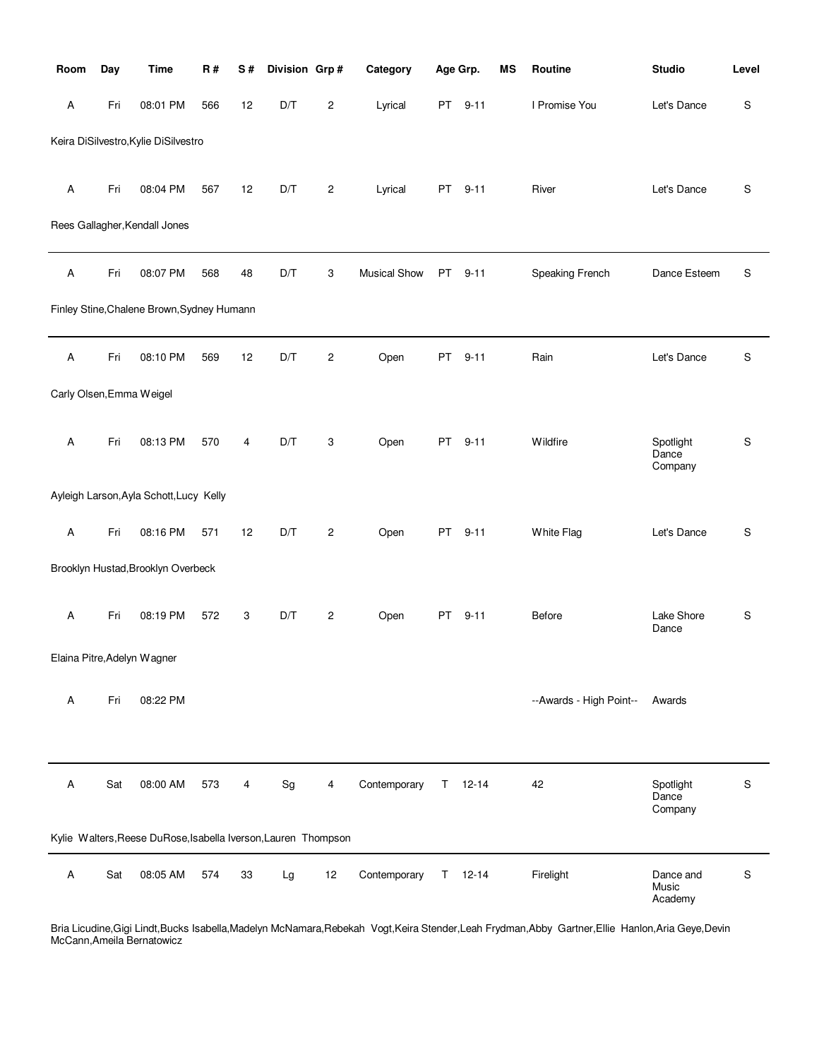| Room                     | Day | <b>Time</b>                                                    | <b>R#</b> | S# | Division Grp# |                | Category            |    | Age Grp.      | <b>MS</b> | Routine                 | <b>Studio</b>                 | Level         |
|--------------------------|-----|----------------------------------------------------------------|-----------|----|---------------|----------------|---------------------|----|---------------|-----------|-------------------------|-------------------------------|---------------|
| Α                        | Fri | 08:01 PM                                                       | 566       | 12 | D/T           | $\overline{c}$ | Lyrical             | PT | $9 - 11$      |           | I Promise You           | Let's Dance                   | S             |
|                          |     | Keira DiSilvestro, Kylie DiSilvestro                           |           |    |               |                |                     |    |               |           |                         |                               |               |
| Α                        | Fri | 08:04 PM                                                       | 567       | 12 | D/T           | $\overline{c}$ | Lyrical             | PT | $9 - 11$      |           | River                   | Let's Dance                   | S             |
|                          |     | Rees Gallagher, Kendall Jones                                  |           |    |               |                |                     |    |               |           |                         |                               |               |
| Α                        | Fri | 08:07 PM                                                       | 568       | 48 | D/T           | 3              | <b>Musical Show</b> | PT | $9 - 11$      |           | Speaking French         | Dance Esteem                  | S             |
|                          |     | Finley Stine, Chalene Brown, Sydney Humann                     |           |    |               |                |                     |    |               |           |                         |                               |               |
| Α                        | Fri | 08:10 PM                                                       | 569       | 12 | D/T           | $\overline{c}$ | Open                | PT | $9 - 11$      |           | Rain                    | Let's Dance                   | ${\mathbb S}$ |
| Carly Olsen, Emma Weigel |     |                                                                |           |    |               |                |                     |    |               |           |                         |                               |               |
| Α                        | Fri | 08:13 PM                                                       | 570       | 4  | D/T           | 3              | Open                | PT | $9 - 11$      |           | Wildfire                | Spotlight<br>Dance<br>Company | S             |
|                          |     | Ayleigh Larson, Ayla Schott, Lucy Kelly                        |           |    |               |                |                     |    |               |           |                         |                               |               |
| Α                        | Fri | 08:16 PM                                                       | 571       | 12 | D/T           | $\overline{c}$ | Open                | PT | $9 - 11$      |           | White Flag              | Let's Dance                   | ${\mathbb S}$ |
|                          |     | Brooklyn Hustad, Brooklyn Overbeck                             |           |    |               |                |                     |    |               |           |                         |                               |               |
| Α                        | Fri | 08:19 PM                                                       | 572       | 3  | D/T           | $\overline{c}$ | Open                | PT | $9 - 11$      |           | Before                  | Lake Shore<br>Dance           | ${\mathbb S}$ |
|                          |     | Elaina Pitre, Adelyn Wagner                                    |           |    |               |                |                     |    |               |           |                         |                               |               |
| Α                        | Fri | 08:22 PM                                                       |           |    |               |                |                     |    |               |           | --Awards - High Point-- | Awards                        |               |
|                          |     |                                                                |           |    |               |                |                     |    |               |           |                         |                               |               |
| Α                        | Sat | 08:00 AM                                                       | 573       | 4  | Sg            | 4              | Contemporary        |    | $T = 12 - 14$ |           | 42                      | Spotlight<br>Dance<br>Company | S             |
|                          |     | Kylie Walters, Reese DuRose, Isabella Iverson, Lauren Thompson |           |    |               |                |                     |    |               |           |                         |                               |               |
| Α                        | Sat | 08:05 AM                                                       | 574       | 33 | Lg            | 12             | Contemporary        | T. | $12 - 14$     |           | Firelight               | Dance and<br>Music<br>Academy | S             |

Bria Licudine,Gigi Lindt,Bucks Isabella,Madelyn McNamara,Rebekah Vogt,Keira Stender,Leah Frydman,Abby Gartner,Ellie Hanlon,Aria Geye,Devin McCann,Ameila Bernatowicz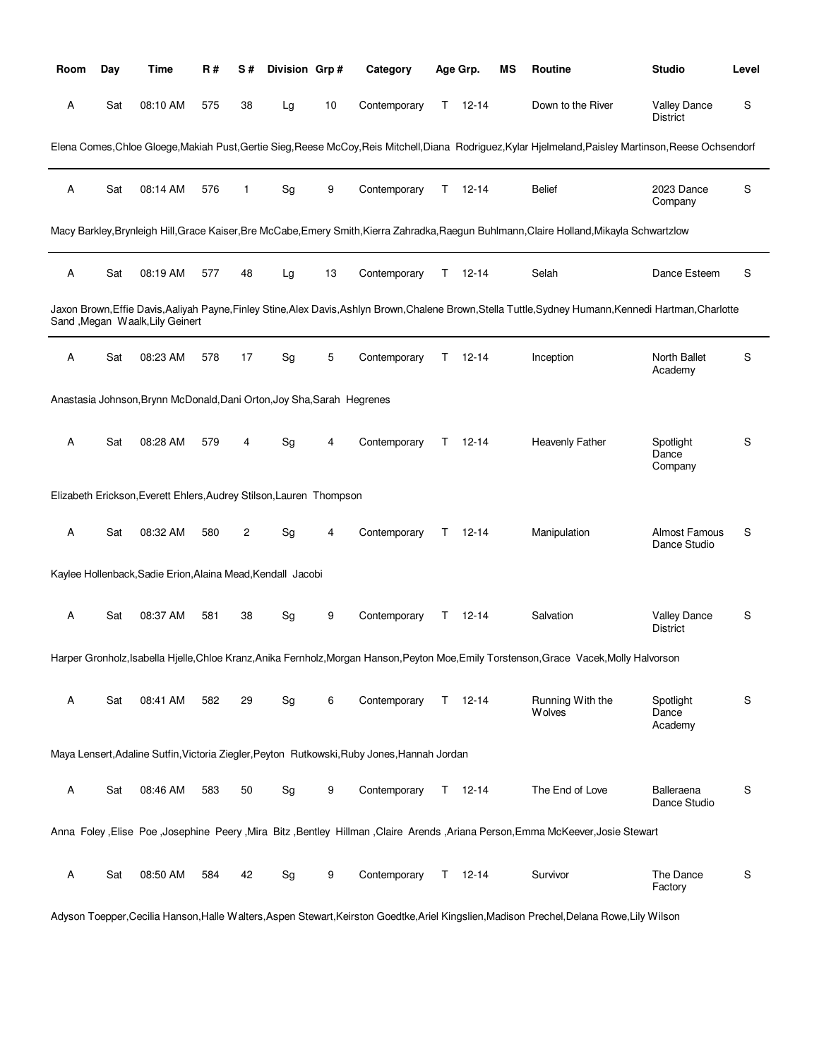| Room | Day | Time                                                                   | R#  | S# | Division Grp# |    | Category                                                                                    |    | Age Grp.      | MS | Routine                                                                                                                                                 | <b>Studio</b>                          | Level |
|------|-----|------------------------------------------------------------------------|-----|----|---------------|----|---------------------------------------------------------------------------------------------|----|---------------|----|---------------------------------------------------------------------------------------------------------------------------------------------------------|----------------------------------------|-------|
| Α    | Sat | 08:10 AM                                                               | 575 | 38 | Lg            | 10 | Contemporary                                                                                | T. | $12 - 14$     |    | Down to the River                                                                                                                                       | <b>Valley Dance</b><br><b>District</b> | S     |
|      |     |                                                                        |     |    |               |    |                                                                                             |    |               |    | Elena Comes, Chloe Gloege, Makiah Pust, Gertie Sieg, Reese McCoy, Reis Mitchell, Diana Rodriguez, Kylar Hjelmeland, Paisley Martinson, Reese Ochsendorf |                                        |       |
| Α    | Sat | 08:14 AM                                                               | 576 | 1  | Sg            | 9  | Contemporary                                                                                | T. | $12 - 14$     |    | <b>Belief</b>                                                                                                                                           | 2023 Dance<br>Company                  | S     |
|      |     |                                                                        |     |    |               |    |                                                                                             |    |               |    | Macy Barkley,Brynleigh Hill,Grace Kaiser,Bre McCabe,Emery Smith,Kierra Zahradka,Raegun Buhlmann,Claire Holland,Mikayla Schwartzlow                      |                                        |       |
| Α    | Sat | 08:19 AM                                                               | 577 | 48 | Lg            | 13 | Contemporary                                                                                | T. | $12 - 14$     |    | Selah                                                                                                                                                   | Dance Esteem                           | S     |
|      |     | Sand , Megan Waalk, Lily Geinert                                       |     |    |               |    |                                                                                             |    |               |    | Jaxon Brown,Effie Davis,Aaliyah Payne,Finley Stine,Alex Davis,Ashlyn Brown,Chalene Brown,Stella Tuttle,Sydney Humann,Kennedi Hartman,Charlotte          |                                        |       |
| Α    | Sat | 08:23 AM                                                               | 578 | 17 | Sg            | 5  | Contemporary                                                                                | T. | $12 - 14$     |    | Inception                                                                                                                                               | North Ballet<br>Academy                | S     |
|      |     | Anastasia Johnson, Brynn McDonald, Dani Orton, Joy Sha, Sarah Hegrenes |     |    |               |    |                                                                                             |    |               |    |                                                                                                                                                         |                                        |       |
| Α    | Sat | 08:28 AM                                                               | 579 | 4  | Sg            | 4  | Contemporary                                                                                | T. | $12 - 14$     |    | Heavenly Father                                                                                                                                         | Spotlight<br>Dance<br>Company          | S     |
|      |     | Elizabeth Erickson, Everett Ehlers, Audrey Stilson, Lauren Thompson    |     |    |               |    |                                                                                             |    |               |    |                                                                                                                                                         |                                        |       |
| Α    | Sat | 08:32 AM                                                               | 580 | 2  | Sg            | 4  | Contemporary                                                                                | T. | 12-14         |    | Manipulation                                                                                                                                            | Almost Famous<br>Dance Studio          | S     |
|      |     | Kaylee Hollenback, Sadie Erion, Alaina Mead, Kendall Jacobi            |     |    |               |    |                                                                                             |    |               |    |                                                                                                                                                         |                                        |       |
| Α    | Sat | 08:37 AM                                                               | 581 | 38 | Sg            | 9  | Contemporary                                                                                |    | $T = 12 - 14$ |    | Salvation                                                                                                                                               | <b>Valley Dance</b><br><b>District</b> | S     |
|      |     |                                                                        |     |    |               |    |                                                                                             |    |               |    | Harper Gronholz, Isabella Hjelle, Chloe Kranz, Anika Fernholz, Morgan Hanson, Peyton Moe, Emily Torstenson, Grace Vacek, Molly Halvorson                |                                        |       |
| Α    | Sat | 08:41 AM                                                               | 582 | 29 | Sg            | 6  | Contemporary                                                                                |    | $T = 12 - 14$ |    | Running With the<br><b>Wolves</b>                                                                                                                       | Spotlight<br>Dance<br>Academy          | S     |
|      |     |                                                                        |     |    |               |    | Maya Lensert, Adaline Sutfin, Victoria Ziegler, Peyton Rutkowski, Ruby Jones, Hannah Jordan |    |               |    |                                                                                                                                                         |                                        |       |
| Α    | Sat | 08:46 AM                                                               | 583 | 50 | Sg            | 9  | Contemporary                                                                                |    | $T = 12 - 14$ |    | The End of Love                                                                                                                                         | Balleraena<br>Dance Studio             | S     |
|      |     |                                                                        |     |    |               |    |                                                                                             |    |               |    | Anna Foley Elise Poe Josephine Peery Mira Bitz ,Bentley Hillman ,Claire Arends ,Ariana Person,Emma McKeever,Josie Stewart                               |                                        |       |
| Α    | Sat | 08:50 AM                                                               | 584 | 42 | Sg            | 9  | Contemporary                                                                                |    | $T = 12 - 14$ |    | Survivor                                                                                                                                                | The Dance<br>Factory                   | S     |
|      |     |                                                                        |     |    |               |    |                                                                                             |    |               |    | Adyson Toepper, Cecilia Hanson, Halle Walters, Aspen Stewart, Keirston Goedtke, Ariel Kingslien, Madison Prechel, Delana Rowe, Lily Wilson              |                                        |       |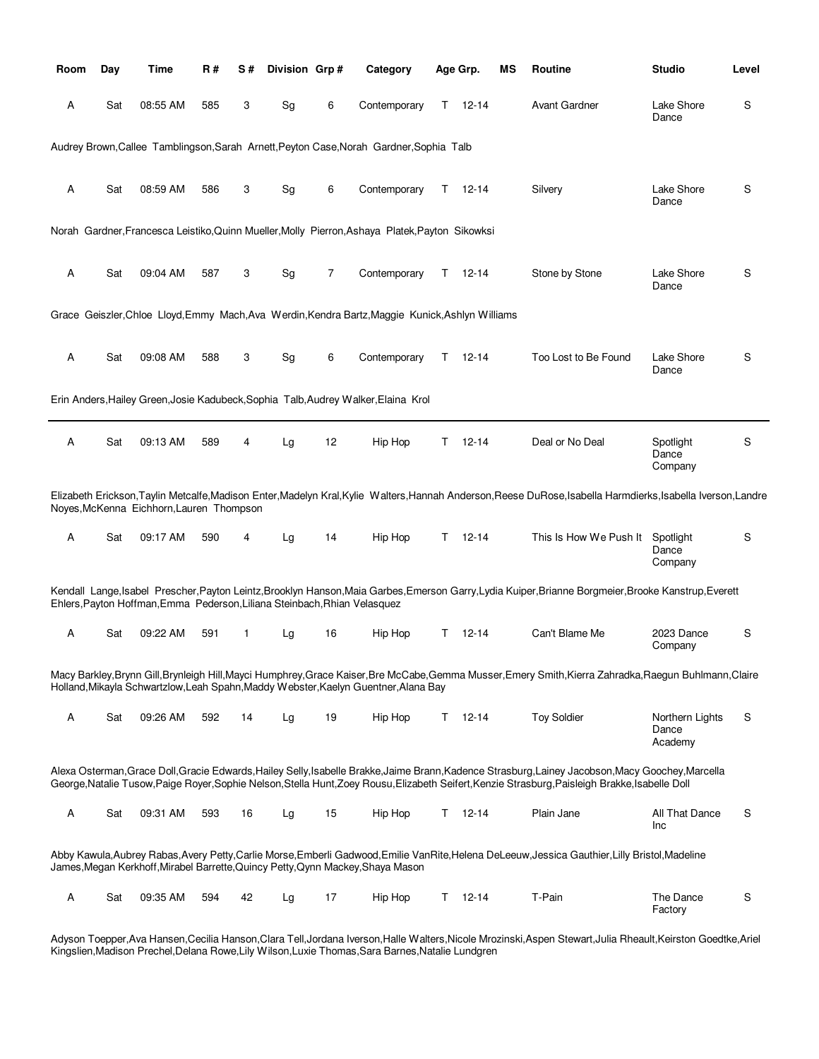| Room | Day | Time                                                                      | R#  | S# | Division Grp# |    | Category                                                                                         |    | Age Grp.      | ΜS | Routine                                                                                                                                                                                                                                                                                                | <b>Studio</b>                       | Level |
|------|-----|---------------------------------------------------------------------------|-----|----|---------------|----|--------------------------------------------------------------------------------------------------|----|---------------|----|--------------------------------------------------------------------------------------------------------------------------------------------------------------------------------------------------------------------------------------------------------------------------------------------------------|-------------------------------------|-------|
| A    | Sat | 08:55 AM                                                                  | 585 | 3  | Sg            | 6  | Contemporary                                                                                     |    | $T = 12 - 14$ |    | <b>Avant Gardner</b>                                                                                                                                                                                                                                                                                   | Lake Shore<br>Dance                 | S     |
|      |     |                                                                           |     |    |               |    | Audrey Brown, Callee Tamblingson, Sarah Arnett, Peyton Case, Norah Gardner, Sophia Talb          |    |               |    |                                                                                                                                                                                                                                                                                                        |                                     |       |
| Α    | Sat | 08:59 AM                                                                  | 586 | 3  | Sg            | 6  | Contemporary                                                                                     |    | $T = 12 - 14$ |    | Silvery                                                                                                                                                                                                                                                                                                | Lake Shore<br>Dance                 | S     |
|      |     |                                                                           |     |    |               |    | Norah Gardner, Francesca Leistiko, Quinn Mueller, Molly Pierron, Ashaya Platek, Payton Sikowksi  |    |               |    |                                                                                                                                                                                                                                                                                                        |                                     |       |
| Α    | Sat | 09:04 AM                                                                  | 587 | 3  | Sg            | 7  | Contemporary                                                                                     | T. | 12-14         |    | Stone by Stone                                                                                                                                                                                                                                                                                         | Lake Shore<br>Dance                 | S     |
|      |     |                                                                           |     |    |               |    | Grace Geiszler, Chloe Lloyd, Emmy Mach, Ava Werdin, Kendra Bartz, Maggie Kunick, Ashlyn Williams |    |               |    |                                                                                                                                                                                                                                                                                                        |                                     |       |
| A    | Sat | 09:08 AM                                                                  | 588 | 3  | Sg            | 6  | Contemporary                                                                                     | T. | 12-14         |    | Too Lost to Be Found                                                                                                                                                                                                                                                                                   | Lake Shore<br>Dance                 | S     |
|      |     |                                                                           |     |    |               |    | Erin Anders, Hailey Green, Josie Kadubeck, Sophia Talb, Audrey Walker, Elaina Krol               |    |               |    |                                                                                                                                                                                                                                                                                                        |                                     |       |
| Α    | Sat | 09:13 AM                                                                  | 589 | 4  | Lg            | 12 | Hip Hop                                                                                          | T. | 12-14         |    | Deal or No Deal                                                                                                                                                                                                                                                                                        | Spotlight<br>Dance<br>Company       | S     |
|      |     | Noyes, McKenna Eichhorn, Lauren Thompson                                  |     |    |               |    |                                                                                                  |    |               |    | Elizabeth Erickson,Taylin Metcalfe,Madison Enter,Madelyn Kral,Kylie Walters,Hannah Anderson,Reese DuRose,Isabella Harmdierks,Isabella Iverson,Landre                                                                                                                                                   |                                     |       |
| A    | Sat | 09:17 AM                                                                  | 590 | 4  | Lg            | 14 | Hip Hop                                                                                          |    | $T = 12 - 14$ |    | This Is How We Push It                                                                                                                                                                                                                                                                                 | Spotlight<br>Dance<br>Company       | S     |
|      |     | Ehlers, Payton Hoffman, Emma Pederson, Liliana Steinbach, Rhian Velasquez |     |    |               |    |                                                                                                  |    |               |    | Kendall Lange, Isabel Prescher, Payton Leintz, Brooklyn Hanson, Maia Garbes, Emerson Garry, Lydia Kuiper, Brianne Borgmeier, Brooke Kanstrup, Everett                                                                                                                                                  |                                     |       |
| Α    | Sat | 09:22 AM                                                                  | 591 | 1  | Lg            | 16 | Hip Hop                                                                                          | T. | 12-14         |    | Can't Blame Me                                                                                                                                                                                                                                                                                         | 2023 Dance<br>Company               | S     |
|      |     |                                                                           |     |    |               |    | Holland, Mikayla Schwartzlow, Leah Spahn, Maddy Webster, Kaelyn Guentner, Alana Bay              |    |               |    | Macy Barkley,Brynn Gill,Brynleigh Hill,Mayci Humphrey,Grace Kaiser,Bre McCabe,Gemma Musser,Emery Smith,Kierra Zahradka,Raegun Buhlmann,Claire                                                                                                                                                          |                                     |       |
| Α    | Sat | 09:26 AM                                                                  | 592 | 14 | Lg            | 19 | Hip Hop                                                                                          | T. | $12 - 14$     |    | <b>Toy Soldier</b>                                                                                                                                                                                                                                                                                     | Northern Lights<br>Dance<br>Academy | S     |
|      |     |                                                                           |     |    |               |    |                                                                                                  |    |               |    | Alexa Osterman, Grace Doll, Gracie Edwards, Hailey Selly, Isabelle Brakke, Jaime Brann, Kadence Strasburg, Lainey Jacobson, Macy Goochey, Marcella<br>George, Natalie Tusow, Paige Royer, Sophie Nelson, Stella Hunt, Zoey Rousu, Elizabeth Seifert, Kenzie Strasburg, Paisleigh Brakke, Isabelle Doll |                                     |       |
| Α    | Sat | 09:31 AM                                                                  | 593 | 16 | Lg            | 15 | Hip Hop                                                                                          | T. | $12 - 14$     |    | Plain Jane                                                                                                                                                                                                                                                                                             | All That Dance<br>Inc               | S     |
|      |     |                                                                           |     |    |               |    | James, Megan Kerkhoff, Mirabel Barrette, Quincy Petty, Qynn Mackey, Shaya Mason                  |    |               |    | Abby Kawula,Aubrey Rabas,Avery Petty,Carlie Morse,Emberli Gadwood,Emilie VanRite,Helena DeLeeuw,Jessica Gauthier,Lilly Bristol,Madeline                                                                                                                                                                |                                     |       |
| Α    | Sat | 09:35 AM                                                                  | 594 | 42 | Lg            | 17 | Hip Hop                                                                                          | T. | $12 - 14$     |    | T-Pain                                                                                                                                                                                                                                                                                                 | The Dance<br>Factory                | S     |

Adyson Toepper,Ava Hansen,Cecilia Hanson,Clara Tell,Jordana Iverson,Halle Walters,Nicole Mrozinski,Aspen Stewart,Julia Rheault,Keirston Goedtke,Ariel Kingslien,Madison Prechel,Delana Rowe,Lily Wilson,Luxie Thomas,Sara Barnes,Natalie Lundgren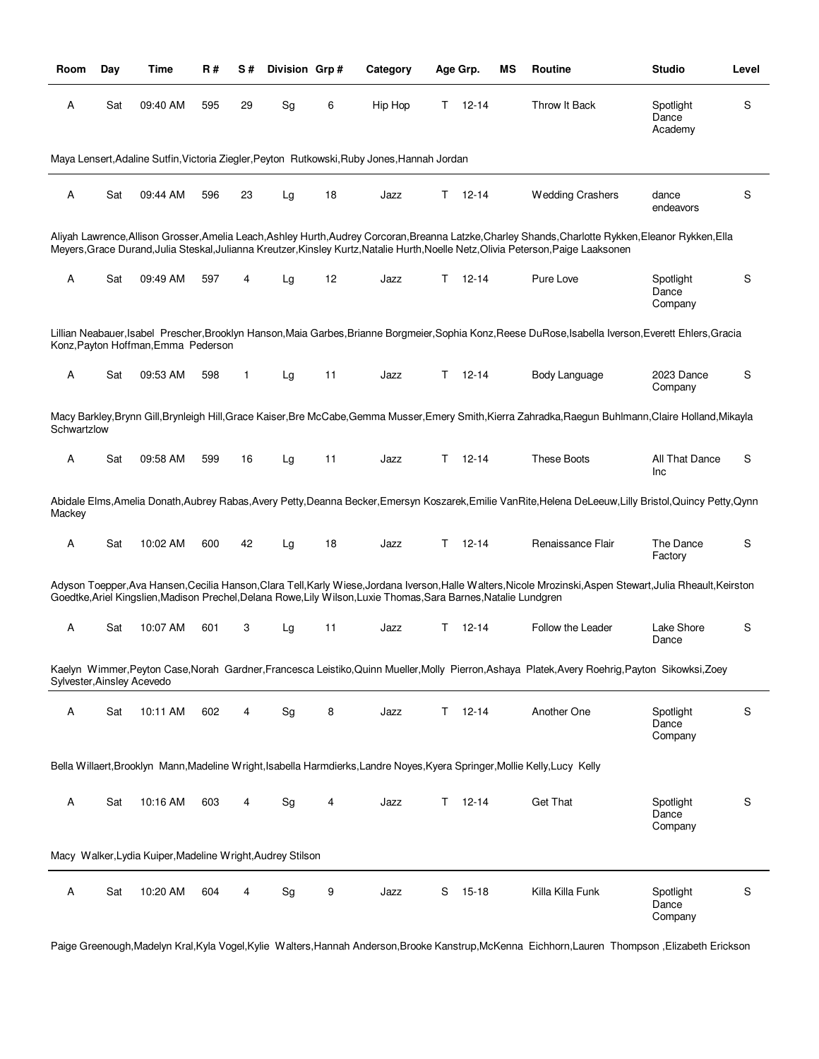| Room                       | Day | Time                                                       | <b>R#</b> | S# | Division Grp# |    | Category                                                                                                         |    | Age Grp.  | ΜS | Routine                                                                                                                                                                                                                                                                                      | <b>Studio</b>                 | Level |
|----------------------------|-----|------------------------------------------------------------|-----------|----|---------------|----|------------------------------------------------------------------------------------------------------------------|----|-----------|----|----------------------------------------------------------------------------------------------------------------------------------------------------------------------------------------------------------------------------------------------------------------------------------------------|-------------------------------|-------|
| Α                          | Sat | 09:40 AM                                                   | 595       | 29 | Sg            | 6  | Hip Hop                                                                                                          | T. | $12 - 14$ |    | Throw It Back                                                                                                                                                                                                                                                                                | Spotlight<br>Dance<br>Academy | S     |
|                            |     |                                                            |           |    |               |    | Maya Lensert, Adaline Sutfin, Victoria Ziegler, Peyton Rutkowski, Ruby Jones, Hannah Jordan                      |    |           |    |                                                                                                                                                                                                                                                                                              |                               |       |
| Α                          | Sat | 09:44 AM                                                   | 596       | 23 | Lg            | 18 | Jazz                                                                                                             | T. | $12 - 14$ |    | <b>Wedding Crashers</b>                                                                                                                                                                                                                                                                      | dance<br>endeavors            | S     |
|                            |     |                                                            |           |    |               |    |                                                                                                                  |    |           |    | Aliyah Lawrence, Allison Grosser, Amelia Leach, Ashley Hurth, Audrey Corcoran, Breanna Latzke, Charley Shands, Charlotte Rykken, Eleanor Rykken, Ella<br>Meyers, Grace Durand, Julia Steskal, Julianna Kreutzer, Kinsley Kurtz, Natalie Hurth, Noelle Netz, Olivia Peterson, Paige Laaksonen |                               |       |
| Α                          | Sat | 09:49 AM                                                   | 597       | 4  | Lg            | 12 | Jazz                                                                                                             | Τ  | $12 - 14$ |    | Pure Love                                                                                                                                                                                                                                                                                    | Spotlight<br>Dance<br>Company | S     |
|                            |     | Konz, Payton Hoffman, Emma Pederson                        |           |    |               |    |                                                                                                                  |    |           |    | Lillian Neabauer, Isabel Prescher, Brooklyn Hanson, Maia Garbes, Brianne Borgmeier, Sophia Konz, Reese DuRose, Isabella Iverson, Everett Ehlers, Gracia                                                                                                                                      |                               |       |
| Α                          | Sat | 09:53 AM                                                   | 598       | 1  | Lg            | 11 | Jazz                                                                                                             | T. | $12 - 14$ |    | Body Language                                                                                                                                                                                                                                                                                | 2023 Dance<br>Company         | S     |
| Schwartzlow                |     |                                                            |           |    |               |    |                                                                                                                  |    |           |    | Macy Barkley,Brynn Gill,Brynleigh Hill,Grace Kaiser,Bre McCabe,Gemma Musser,Emery Smith,Kierra Zahradka,Raegun Buhlmann,Claire Holland,Mikayla                                                                                                                                               |                               |       |
| Α                          | Sat | 09:58 AM                                                   | 599       | 16 | Lg            | 11 | Jazz                                                                                                             | T  | $12 - 14$ |    | <b>These Boots</b>                                                                                                                                                                                                                                                                           | All That Dance<br>Inc         | S     |
| Mackey                     |     |                                                            |           |    |               |    |                                                                                                                  |    |           |    | Abidale Elms, Amelia Donath, Aubrey Rabas, Avery Petty, Deanna Becker, Emersyn Koszarek, Emilie VanRite, Helena DeLeeuw, Lilly Bristol, Quincy Petty, Qynn                                                                                                                                   |                               |       |
| Α                          | Sat | 10:02 AM                                                   | 600       | 42 | Lg            | 18 | Jazz                                                                                                             | Т  | $12 - 14$ |    | Renaissance Flair                                                                                                                                                                                                                                                                            | The Dance<br>Factory          | S     |
|                            |     |                                                            |           |    |               |    | Goedtke, Ariel Kingslien, Madison Prechel, Delana Rowe, Lily Wilson, Luxie Thomas, Sara Barnes, Natalie Lundgren |    |           |    | Adyson Toepper, Ava Hansen, Cecilia Hanson, Clara Tell, Karly Wiese, Jordana Iverson, Halle Walters, Nicole Mrozinski, Aspen Stewart, Julia Rheault, Keirston                                                                                                                                |                               |       |
| Α                          | Sat | 10:07 AM                                                   | 601       | 3  | Lg            | 11 | Jazz                                                                                                             | T. | $12 - 14$ |    | Follow the Leader                                                                                                                                                                                                                                                                            | Lake Shore<br>Dance           | S     |
| Sylvester, Ainsley Acevedo |     |                                                            |           |    |               |    |                                                                                                                  |    |           |    | Kaelyn Wimmer, Peyton Case, Norah Gardner, Francesca Leistiko, Quinn Mueller, Molly Pierron, Ashaya Platek, Avery Roehrig, Payton Sikowksi, Zoey                                                                                                                                             |                               |       |
| Α                          | Sat | 10:11 AM                                                   | 602       | 4  | Sg            | 8  | Jazz                                                                                                             | Τ  | $12 - 14$ |    | Another One                                                                                                                                                                                                                                                                                  | Spotlight<br>Dance<br>Company | S     |
|                            |     |                                                            |           |    |               |    |                                                                                                                  |    |           |    | Bella Willaert, Brooklyn Mann, Madeline Wright, Isabella Harmdierks, Landre Noyes, Kyera Springer, Mollie Kelly, Lucy Kelly                                                                                                                                                                  |                               |       |
| Α                          | Sat | 10:16 AM                                                   | 603       | 4  | Sg            | 4  | Jazz                                                                                                             | Τ  | $12 - 14$ |    | <b>Get That</b>                                                                                                                                                                                                                                                                              | Spotlight<br>Dance<br>Company | S     |
|                            |     | Macy Walker, Lydia Kuiper, Madeline Wright, Audrey Stilson |           |    |               |    |                                                                                                                  |    |           |    |                                                                                                                                                                                                                                                                                              |                               |       |
| Α                          | Sat | 10:20 AM                                                   | 604       | 4  | Sg            | 9  | Jazz                                                                                                             | S  | $15 - 18$ |    | Killa Killa Funk                                                                                                                                                                                                                                                                             | Spotlight<br>Dance<br>Company | S     |

Paige Greenough,Madelyn Kral,Kyla Vogel,Kylie Walters,Hannah Anderson,Brooke Kanstrup,McKenna Eichhorn,Lauren Thompson ,Elizabeth Erickson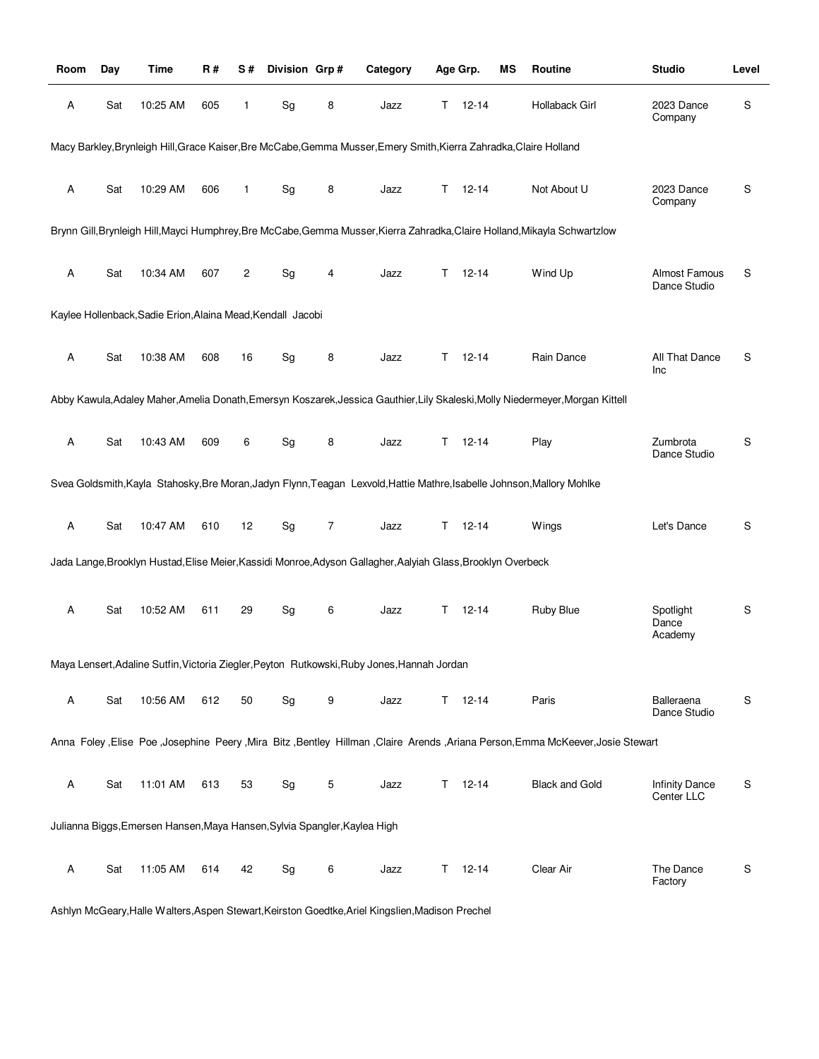| Room | Day | Time                                                                      | R#  | S#           | Division Grp#                |   | Category                                                                                                           |    | Age Grp.      | ΜS | Routine                                                                                                                        | <b>Studio</b>                 | Level |
|------|-----|---------------------------------------------------------------------------|-----|--------------|------------------------------|---|--------------------------------------------------------------------------------------------------------------------|----|---------------|----|--------------------------------------------------------------------------------------------------------------------------------|-------------------------------|-------|
| Α    | Sat | 10:25 AM                                                                  | 605 | $\mathbf{1}$ | Sg                           | 8 | Jazz                                                                                                               |    | $T = 12 - 14$ |    | Hollaback Girl                                                                                                                 | 2023 Dance<br>Company         | S     |
|      |     |                                                                           |     |              |                              |   | Macy Barkley, Brynleigh Hill, Grace Kaiser, Bre McCabe, Gemma Musser, Emery Smith, Kierra Zahradka, Claire Holland |    |               |    |                                                                                                                                |                               |       |
| Α    | Sat | 10:29 AM                                                                  | 606 | 1            | Sg                           | 8 | Jazz                                                                                                               | T. | $12 - 14$     |    | Not About U                                                                                                                    | 2023 Dance<br>Company         | S     |
|      |     |                                                                           |     |              |                              |   |                                                                                                                    |    |               |    | Brynn Gill, Brynleigh Hill, Mayci Humphrey, Bre McCabe, Gemma Musser, Kierra Zahradka, Claire Holland, Mikayla Schwartzlow     |                               |       |
| Α    | Sat | 10:34 AM                                                                  | 607 | 2            | Sg                           | 4 | Jazz                                                                                                               | T. | $12 - 14$     |    | Wind Up                                                                                                                        | Almost Famous<br>Dance Studio | S     |
|      |     | Kaylee Hollenback, Sadie Erion, Alaina Mead, Kendall Jacobi               |     |              |                              |   |                                                                                                                    |    |               |    |                                                                                                                                |                               |       |
| Α    | Sat | 10:38 AM                                                                  | 608 | 16           | $\operatorname{\mathsf{Sg}}$ | 8 | Jazz                                                                                                               | T. | 12-14         |    | Rain Dance                                                                                                                     | All That Dance<br>Inc         | S     |
|      |     |                                                                           |     |              |                              |   |                                                                                                                    |    |               |    | Abby Kawula, Adaley Maher, Amelia Donath, Emersyn Koszarek, Jessica Gauthier, Lily Skaleski, Molly Niedermeyer, Morgan Kittell |                               |       |
| Α    | Sat | 10:43 AM                                                                  | 609 | 6            | Sg                           | 8 | Jazz                                                                                                               | T. | $12 - 14$     |    | Play                                                                                                                           | Zumbrota<br>Dance Studio      | S     |
|      |     |                                                                           |     |              |                              |   |                                                                                                                    |    |               |    | Svea Goldsmith, Kayla Stahosky, Bre Moran, Jadyn Flynn, Teagan Lexvold, Hattie Mathre, Isabelle Johnson, Mallory Mohlke        |                               |       |
| Α    | Sat | 10:47 AM                                                                  | 610 | 12           | Sg                           | 7 | Jazz                                                                                                               | Τ  | $12 - 14$     |    | Wings                                                                                                                          | Let's Dance                   | S     |
|      |     |                                                                           |     |              |                              |   | Jada Lange, Brooklyn Hustad, Elise Meier, Kassidi Monroe, Adyson Gallagher, Aalyiah Glass, Brooklyn Overbeck       |    |               |    |                                                                                                                                |                               |       |
| Α    | Sat | 10:52 AM                                                                  | 611 | 29           | $\operatorname{\mathsf{Sg}}$ | 6 | Jazz                                                                                                               | T. | $12 - 14$     |    | <b>Ruby Blue</b>                                                                                                               | Spotlight<br>Dance<br>Academy | S     |
|      |     |                                                                           |     |              |                              |   | Maya Lensert, Adaline Sutfin, Victoria Ziegler, Peyton Rutkowski, Ruby Jones, Hannah Jordan                        |    |               |    |                                                                                                                                |                               |       |
| A    | Sat | 10:56 AM                                                                  | 612 | 50           | Sg                           | 9 | Jazz                                                                                                               | T. | $12 - 14$     |    | Paris                                                                                                                          | Balleraena<br>Dance Studio    | S     |
|      |     |                                                                           |     |              |                              |   |                                                                                                                    |    |               |    | Anna Foley ,Elise Poe ,Josephine Peery ,Mira Bitz ,Bentley Hillman ,Claire Arends ,Ariana Person,Emma McKeever,Josie Stewart   |                               |       |
| Α    | Sat | 11:01 AM                                                                  | 613 | 53           | Sg                           | 5 | Jazz                                                                                                               | Τ  | $12 - 14$     |    | <b>Black and Gold</b>                                                                                                          | Infinity Dance<br>Center LLC  | S     |
|      |     | Julianna Biggs, Emersen Hansen, Maya Hansen, Sylvia Spangler, Kaylea High |     |              |                              |   |                                                                                                                    |    |               |    |                                                                                                                                |                               |       |
| Α    | Sat | 11:05 AM                                                                  | 614 | 42           | Sg                           | 6 | Jazz                                                                                                               | Τ  | $12 - 14$     |    | Clear Air                                                                                                                      | The Dance<br>Factory          | S     |

Ashlyn McGeary,Halle Walters,Aspen Stewart,Keirston Goedtke,Ariel Kingslien,Madison Prechel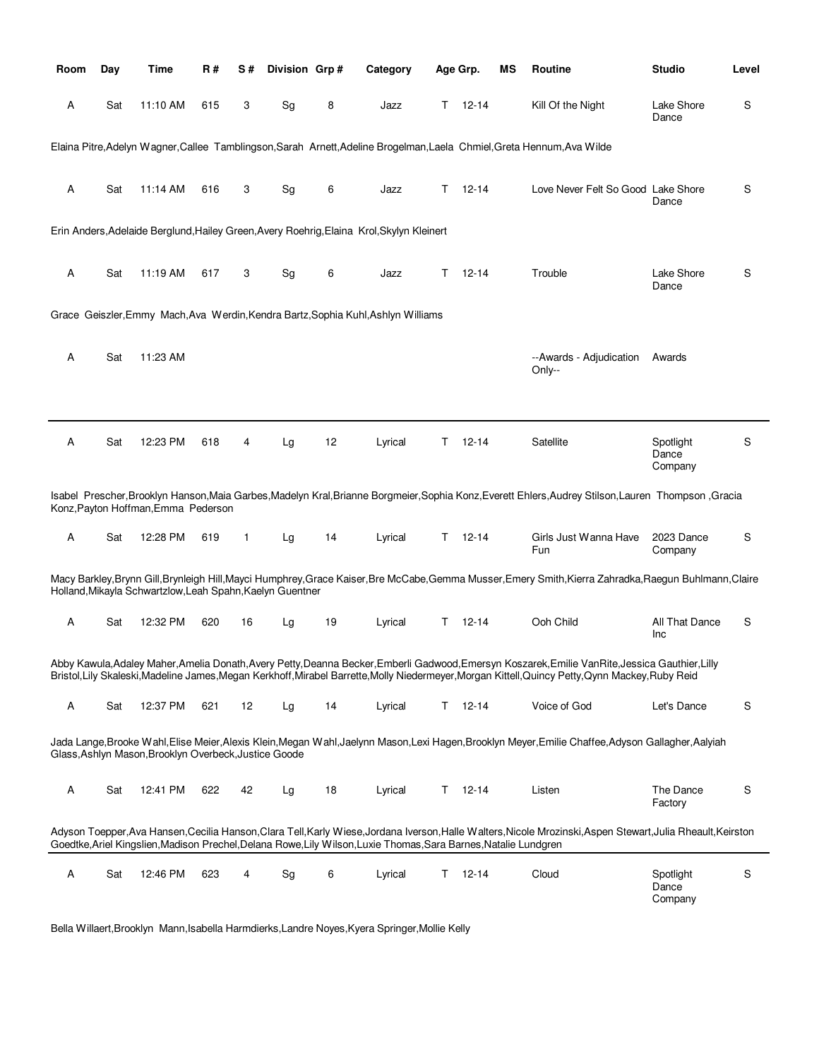| Room | Day | Time                                                      | R#  | S#           | Division Grp# |    | Category                                                                                                         |    | Age Grp.  | MS | <b>Routine</b>                                                                                                                                                                                                                                                                               | <b>Studio</b>                 | Level       |
|------|-----|-----------------------------------------------------------|-----|--------------|---------------|----|------------------------------------------------------------------------------------------------------------------|----|-----------|----|----------------------------------------------------------------------------------------------------------------------------------------------------------------------------------------------------------------------------------------------------------------------------------------------|-------------------------------|-------------|
| Α    | Sat | 11:10 AM                                                  | 615 | 3            | Sg            | 8  | Jazz                                                                                                             | Τ  | $12 - 14$ |    | Kill Of the Night                                                                                                                                                                                                                                                                            | Lake Shore<br>Dance           | S           |
|      |     |                                                           |     |              |               |    |                                                                                                                  |    |           |    | Elaina Pitre, Adelyn Wagner, Callee Tamblingson, Sarah Arnett, Adeline Brogelman, Laela Chmiel, Greta Hennum, Ava Wilde                                                                                                                                                                      |                               |             |
| Α    | Sat | 11:14 AM                                                  | 616 | 3            | Sg            | 6  | Jazz                                                                                                             | т  | $12 - 14$ |    | Love Never Felt So Good Lake Shore                                                                                                                                                                                                                                                           | Dance                         | S           |
|      |     |                                                           |     |              |               |    | Erin Anders, Adelaide Berglund, Hailey Green, Avery Roehrig, Elaina Krol, Skylyn Kleinert                        |    |           |    |                                                                                                                                                                                                                                                                                              |                               |             |
| Α    | Sat | 11:19 AM                                                  | 617 | 3            | Sg            | 6  | Jazz                                                                                                             | т  | $12 - 14$ |    | Trouble                                                                                                                                                                                                                                                                                      | Lake Shore<br>Dance           | S           |
|      |     |                                                           |     |              |               |    | Grace Geiszler, Emmy Mach, Ava Werdin, Kendra Bartz, Sophia Kuhl, Ashlyn Williams                                |    |           |    |                                                                                                                                                                                                                                                                                              |                               |             |
| А    | Sat | 11:23 AM                                                  |     |              |               |    |                                                                                                                  |    |           |    | --Awards - Adjudication<br>Only--                                                                                                                                                                                                                                                            | Awards                        |             |
|      |     |                                                           |     |              |               |    |                                                                                                                  |    |           |    |                                                                                                                                                                                                                                                                                              |                               |             |
| Α    | Sat | 12:23 PM                                                  | 618 | 4            | Lg            | 12 | Lyrical                                                                                                          | Τ  | $12 - 14$ |    | Satellite                                                                                                                                                                                                                                                                                    | Spotlight<br>Dance<br>Company | S           |
|      |     | Konz, Payton Hoffman, Emma Pederson                       |     |              |               |    |                                                                                                                  |    |           |    | Isabel Prescher, Brooklyn Hanson, Maia Garbes, Madelyn Kral, Brianne Borgmeier, Sophia Konz, Everett Ehlers, Audrey Stilson, Lauren Thompson, Gracia                                                                                                                                         |                               |             |
| А    | Sat | 12:28 PM                                                  | 619 | $\mathbf{1}$ | Lg            | 14 | Lyrical                                                                                                          | Τ  | 12-14     |    | Girls Just Wanna Have<br>Fun                                                                                                                                                                                                                                                                 | 2023 Dance<br>Company         | S           |
|      |     | Holland, Mikayla Schwartzlow, Leah Spahn, Kaelyn Guentner |     |              |               |    |                                                                                                                  |    |           |    | Macy Barkley,Brynn Gill,Brynleigh Hill,Mayci Humphrey,Grace Kaiser,Bre McCabe,Gemma Musser,Emery Smith,Kierra Zahradka,Raegun Buhlmann,Claire                                                                                                                                                |                               |             |
| Α    | Sat | 12:32 PM                                                  | 620 | 16           | Lg            | 19 | Lyrical                                                                                                          | Т  | $12 - 14$ |    | Ooh Child                                                                                                                                                                                                                                                                                    | All That Dance<br>Inc         | S           |
|      |     |                                                           |     |              |               |    |                                                                                                                  |    |           |    | Abby Kawula,Adaley Maher,Amelia Donath,Avery Petty,Deanna Becker,Emberli Gadwood,Emersyn Koszarek,Emilie VanRite,Jessica Gauthier,Lilly<br>Bristol, Lily Skaleski, Madeline James, Megan Kerkhoff, Mirabel Barrette, Molly Niedermeyer, Morgan Kittell, Quincy Petty, Qynn Mackey, Ruby Reid |                               |             |
| Α    | Sat | 12:37 PM                                                  | 621 | 12           | Lg            | 14 | Lyrical                                                                                                          | T. | 12-14     |    | Voice of God                                                                                                                                                                                                                                                                                 | Let's Dance                   | $\mathsf S$ |
|      |     | Glass, Ashlyn Mason, Brooklyn Overbeck, Justice Goode     |     |              |               |    |                                                                                                                  |    |           |    | Jada Lange,Brooke Wahl,Elise Meier,Alexis Klein,Megan Wahl,Jaelynn Mason,Lexi Hagen,Brooklyn Meyer,Emilie Chaffee,Adyson Gallagher,Aalyiah                                                                                                                                                   |                               |             |
| Α    | Sat | 12:41 PM                                                  | 622 | 42           | Lg            | 18 | Lyrical                                                                                                          | Τ  | $12 - 14$ |    | Listen                                                                                                                                                                                                                                                                                       | The Dance<br>Factory          | S           |
|      |     |                                                           |     |              |               |    | Goedtke, Ariel Kingslien, Madison Prechel, Delana Rowe, Lily Wilson, Luxie Thomas, Sara Barnes, Natalie Lundgren |    |           |    | Adyson Toepper, Ava Hansen, Cecilia Hanson, Clara Tell, Karly Wiese, Jordana Iverson, Halle Walters, Nicole Mrozinski, Aspen Stewart, Julia Rheault, Keirston                                                                                                                                |                               |             |
| Α    | Sat | 12:46 PM                                                  | 623 | 4            | Sg            | 6  | Lyrical                                                                                                          | Τ  | $12 - 14$ |    | Cloud                                                                                                                                                                                                                                                                                        | Spotlight<br>Dance<br>Company | S           |

Bella Willaert,Brooklyn Mann,Isabella Harmdierks,Landre Noyes,Kyera Springer,Mollie Kelly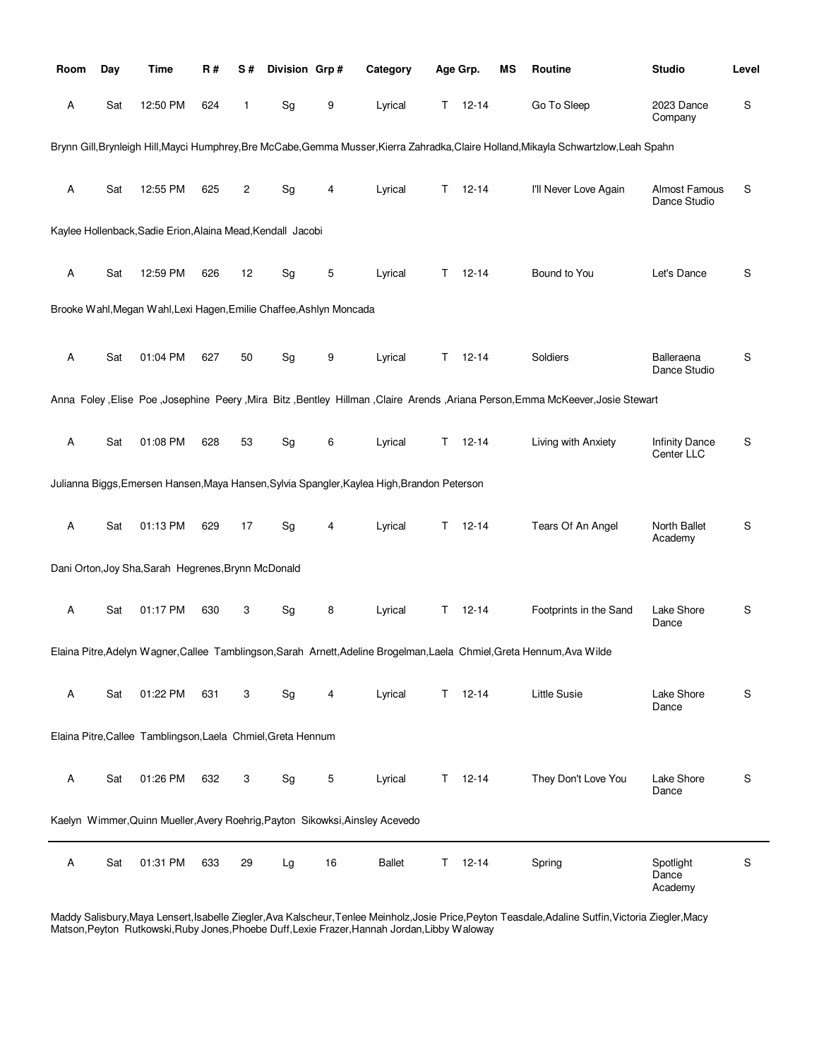| Room | Day | <b>Time</b>                                                         | R#  | S# | Division Grp# |    | Category                                                                                    |    | Age Grp.      | ΜS | Routine                                                                                                                                | <b>Studio</b>                 | Level |
|------|-----|---------------------------------------------------------------------|-----|----|---------------|----|---------------------------------------------------------------------------------------------|----|---------------|----|----------------------------------------------------------------------------------------------------------------------------------------|-------------------------------|-------|
| Α    | Sat | 12:50 PM                                                            | 624 | 1  | Sg            | 9  | Lyrical                                                                                     |    | $T = 12 - 14$ |    | Go To Sleep                                                                                                                            | 2023 Dance<br>Company         | S     |
|      |     |                                                                     |     |    |               |    |                                                                                             |    |               |    | Brynn Gill, Brynleigh Hill, Mayci Humphrey, Bre McCabe, Gemma Musser, Kierra Zahradka, Claire Holland, Mikayla Schwartzlow, Leah Spahn |                               |       |
| Α    | Sat | 12:55 PM                                                            | 625 | 2  | Sg            | 4  | Lyrical                                                                                     | T. | $12 - 14$     |    | I'll Never Love Again                                                                                                                  | Almost Famous<br>Dance Studio | S     |
|      |     | Kaylee Hollenback, Sadie Erion, Alaina Mead, Kendall Jacobi         |     |    |               |    |                                                                                             |    |               |    |                                                                                                                                        |                               |       |
| Α    | Sat | 12:59 PM                                                            | 626 | 12 | Sg            | 5  | Lyrical                                                                                     | T. | $12 - 14$     |    | Bound to You                                                                                                                           | Let's Dance                   | S     |
|      |     | Brooke Wahl, Megan Wahl, Lexi Hagen, Emilie Chaffee, Ashlyn Moncada |     |    |               |    |                                                                                             |    |               |    |                                                                                                                                        |                               |       |
| Α    | Sat | 01:04 PM                                                            | 627 | 50 | Sg            | 9  | Lyrical                                                                                     | T. | $12 - 14$     |    | Soldiers                                                                                                                               | Balleraena<br>Dance Studio    | S     |
|      |     |                                                                     |     |    |               |    |                                                                                             |    |               |    | Anna Foley , Elise Poe , Josephine Peery , Mira Bitz , Bentley Hillman , Claire Arends , Ariana Person, Emma McKeever, Josie Stewart   |                               |       |
| Α    | Sat | 01:08 PM                                                            | 628 | 53 | Sg            | 6  | Lyrical                                                                                     | T. | $12 - 14$     |    | Living with Anxiety                                                                                                                    | Infinity Dance<br>Center LLC  | S     |
|      |     |                                                                     |     |    |               |    | Julianna Biggs, Emersen Hansen, Maya Hansen, Sylvia Spangler, Kaylea High, Brandon Peterson |    |               |    |                                                                                                                                        |                               |       |
| Α    | Sat | 01:13 PM                                                            | 629 | 17 | Sg            | 4  | Lyrical                                                                                     | T. | $12 - 14$     |    | Tears Of An Angel                                                                                                                      | North Ballet<br>Academy       | S     |
|      |     | Dani Orton, Joy Sha, Sarah Hegrenes, Brynn McDonald                 |     |    |               |    |                                                                                             |    |               |    |                                                                                                                                        |                               |       |
| Α    | Sat | 01:17 PM                                                            | 630 | 3  | Sg            | 8  | Lyrical                                                                                     |    | $T = 12 - 14$ |    | Footprints in the Sand                                                                                                                 | Lake Shore<br>Dance           | S     |
|      |     |                                                                     |     |    |               |    |                                                                                             |    |               |    | Elaina Pitre, Adelyn Wagner, Callee Tamblingson, Sarah Arnett, Adeline Brogelman, Laela Chmiel, Greta Hennum, Ava Wilde                |                               |       |
| Α    | Sat | 01:22 PM                                                            | 631 | 3  | Sg            | 4  | Lyrical                                                                                     |    | $T = 12-14$   |    | Little Susie                                                                                                                           | Lake Shore<br>Dance           | S     |
|      |     | Elaina Pitre, Callee Tamblingson, Laela Chmiel, Greta Hennum        |     |    |               |    |                                                                                             |    |               |    |                                                                                                                                        |                               |       |
| Α    | Sat | 01:26 PM                                                            | 632 | 3  | Sg            | 5  | Lyrical                                                                                     |    | $T = 12 - 14$ |    | They Don't Love You                                                                                                                    | Lake Shore<br>Dance           | S     |
|      |     |                                                                     |     |    |               |    | Kaelyn Wimmer, Quinn Mueller, Avery Roehrig, Payton Sikowksi, Ainsley Acevedo               |    |               |    |                                                                                                                                        |                               |       |
| Α    | Sat | 01:31 PM                                                            | 633 | 29 | Lg            | 16 | <b>Ballet</b>                                                                               | T. | $12 - 14$     |    | Spring                                                                                                                                 | Spotlight<br>Dance<br>Academy | S     |

Maddy Salisbury,Maya Lensert,Isabelle Ziegler,Ava Kalscheur,Tenlee Meinholz,Josie Price,Peyton Teasdale,Adaline Sutfin,Victoria Ziegler,Macy Matson,Peyton Rutkowski,Ruby Jones,Phoebe Duff,Lexie Frazer,Hannah Jordan,Libby Waloway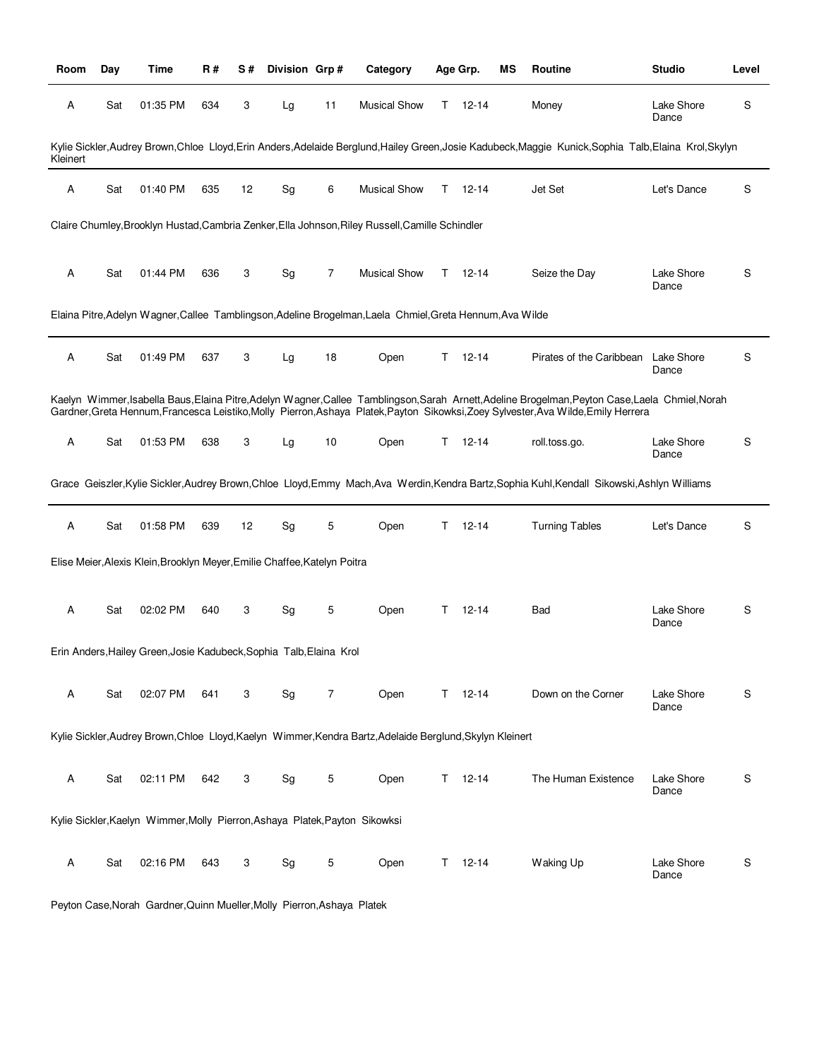| Room     | Day | Time                                                                        | R#  | S# | Division Grp# |                | Category                                                                                                  |    | Age Grp.  | ΜS | <b>Routine</b>                                                                                                                                                                                                                                                                         | <b>Studio</b>       | Level |
|----------|-----|-----------------------------------------------------------------------------|-----|----|---------------|----------------|-----------------------------------------------------------------------------------------------------------|----|-----------|----|----------------------------------------------------------------------------------------------------------------------------------------------------------------------------------------------------------------------------------------------------------------------------------------|---------------------|-------|
| Α        | Sat | 01:35 PM                                                                    | 634 | 3  | Lg            | 11             | <b>Musical Show</b>                                                                                       | Τ  | $12 - 14$ |    | Money                                                                                                                                                                                                                                                                                  | Lake Shore<br>Dance | S     |
| Kleinert |     |                                                                             |     |    |               |                |                                                                                                           |    |           |    | Kylie Sickler, Audrey Brown, Chloe Lloyd, Erin Anders, Adelaide Berglund, Hailey Green, Josie Kadubeck, Maggie Kunick, Sophia Talb, Elaina Krol, Skylyn                                                                                                                                |                     |       |
| Α        | Sat | 01:40 PM                                                                    | 635 | 12 | Sg            | 6              | <b>Musical Show</b>                                                                                       | т  | $12 - 14$ |    | Jet Set                                                                                                                                                                                                                                                                                | Let's Dance         | S     |
|          |     |                                                                             |     |    |               |                | Claire Chumley, Brooklyn Hustad, Cambria Zenker, Ella Johnson, Riley Russell, Camille Schindler           |    |           |    |                                                                                                                                                                                                                                                                                        |                     |       |
| A        | Sat | 01:44 PM                                                                    | 636 | 3  | Sg            | $\overline{7}$ | <b>Musical Show</b>                                                                                       | T. | $12 - 14$ |    | Seize the Day                                                                                                                                                                                                                                                                          | Lake Shore<br>Dance | S     |
|          |     |                                                                             |     |    |               |                | Elaina Pitre, Adelyn Wagner, Callee Tamblingson, Adeline Brogelman, Laela Chmiel, Greta Hennum, Ava Wilde |    |           |    |                                                                                                                                                                                                                                                                                        |                     |       |
| A        | Sat | 01:49 PM                                                                    | 637 | 3  | Lg            | 18             | Open                                                                                                      | Т  | $12 - 14$ |    | Pirates of the Caribbean                                                                                                                                                                                                                                                               | Lake Shore<br>Dance | S     |
|          |     |                                                                             |     |    |               |                |                                                                                                           |    |           |    | Kaelyn Wimmer, Isabella Baus, Elaina Pitre, Adelyn Wagner, Callee Tamblingson, Sarah Arnett, Adeline Brogelman, Peyton Case, Laela Chmiel, Norah<br>Gardner, Greta Hennum, Francesca Leistiko, Molly Pierron, Ashaya Platek, Payton Sikowksi, Zoey Sylvester, Ava Wilde, Emily Herrera |                     |       |
| A        | Sat | 01:53 PM                                                                    | 638 | 3  | Lg            | 10             | Open                                                                                                      | Τ  | $12 - 14$ |    | roll.toss.go.                                                                                                                                                                                                                                                                          | Lake Shore<br>Dance | S     |
|          |     |                                                                             |     |    |               |                |                                                                                                           |    |           |    | Grace Geiszler, Kylie Sickler, Audrey Brown, Chloe Lloyd, Emmy Mach, Ava Werdin, Kendra Bartz, Sophia Kuhl, Kendall Sikowski, Ashlyn Williams                                                                                                                                          |                     |       |
| A        | Sat | 01:58 PM                                                                    | 639 | 12 | Sg            | 5              | Open                                                                                                      | т  | $12 - 14$ |    | <b>Turning Tables</b>                                                                                                                                                                                                                                                                  | Let's Dance         | S     |
|          |     | Elise Meier, Alexis Klein, Brooklyn Meyer, Emilie Chaffee, Katelyn Poitra   |     |    |               |                |                                                                                                           |    |           |    |                                                                                                                                                                                                                                                                                        |                     |       |
| A        | Sat | 02:02 PM                                                                    | 640 | 3  | Sg            | 5              | Open                                                                                                      | т  | $12 - 14$ |    | Bad                                                                                                                                                                                                                                                                                    | Lake Shore<br>Dance | S     |
|          |     | Erin Anders, Hailey Green, Josie Kadubeck, Sophia Talb, Elaina Krol         |     |    |               |                |                                                                                                           |    |           |    |                                                                                                                                                                                                                                                                                        |                     |       |
| Α        | Sat | 02:07 PM                                                                    | 641 | 3  | Sg            | $\overline{7}$ | Open                                                                                                      | T. | $12 - 14$ |    | Down on the Corner                                                                                                                                                                                                                                                                     | Lake Shore<br>Dance | S     |
|          |     |                                                                             |     |    |               |                | Kylie Sickler, Audrey Brown, Chloe Lloyd, Kaelyn Wimmer, Kendra Bartz, Adelaide Berglund, Skylyn Kleinert |    |           |    |                                                                                                                                                                                                                                                                                        |                     |       |
| A        | Sat | 02:11 PM                                                                    | 642 | 3  | Sg            | 5              | Open                                                                                                      | T  | $12 - 14$ |    | The Human Existence                                                                                                                                                                                                                                                                    | Lake Shore<br>Dance | S     |
|          |     | Kylie Sickler, Kaelyn Wimmer, Molly Pierron, Ashaya Platek, Payton Sikowksi |     |    |               |                |                                                                                                           |    |           |    |                                                                                                                                                                                                                                                                                        |                     |       |
| Α        | Sat | 02:16 PM                                                                    | 643 | 3  | Sg            | 5              | Open                                                                                                      | T. | $12 - 14$ |    | Waking Up                                                                                                                                                                                                                                                                              | Lake Shore<br>Dance | S     |

Peyton Case,Norah Gardner,Quinn Mueller,Molly Pierron,Ashaya Platek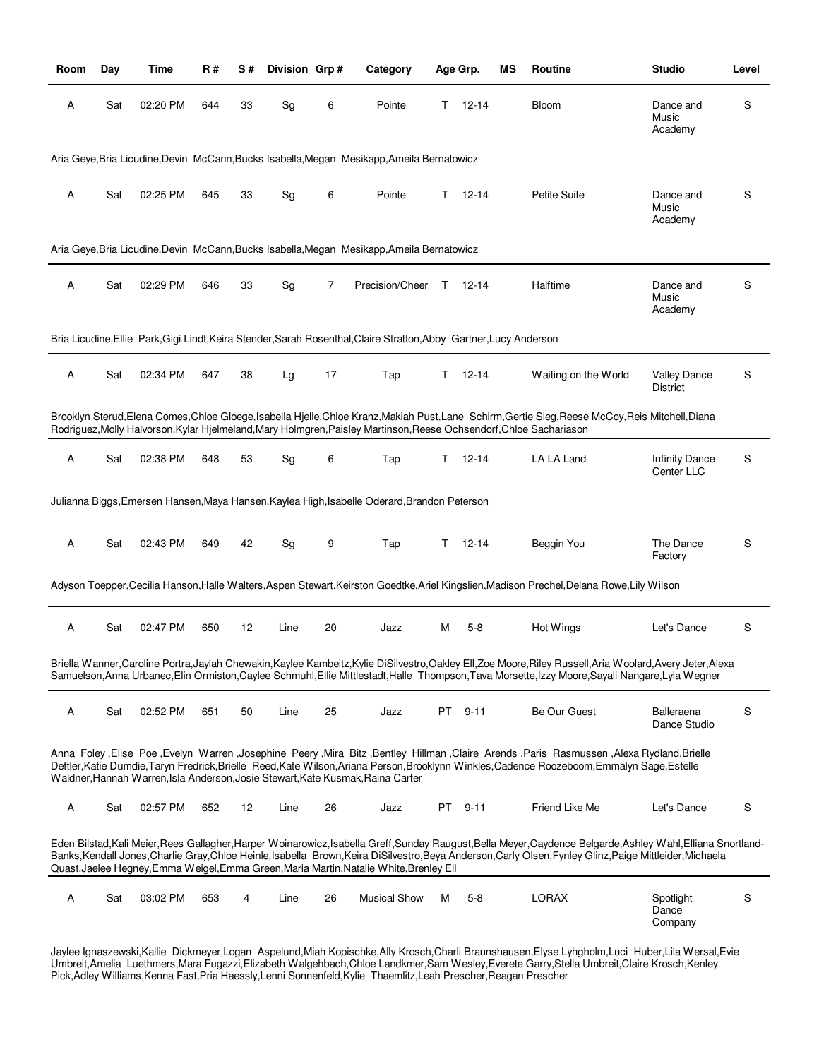| Room | Day | Time     | R#  | S# | Division Grp# |    | Category                                                                                                            |    | Age Grp.  | ΜS | Routine                                                                                                                                                                                                                                                                                                                    | <b>Studio</b>                          | Level |
|------|-----|----------|-----|----|---------------|----|---------------------------------------------------------------------------------------------------------------------|----|-----------|----|----------------------------------------------------------------------------------------------------------------------------------------------------------------------------------------------------------------------------------------------------------------------------------------------------------------------------|----------------------------------------|-------|
| Α    | Sat | 02:20 PM | 644 | 33 | Sg            | 6  | Pointe                                                                                                              | T. | 12-14     |    | <b>Bloom</b>                                                                                                                                                                                                                                                                                                               | Dance and<br>Music<br>Academy          | S     |
|      |     |          |     |    |               |    | Aria Geye, Bria Licudine, Devin McCann, Bucks Isabella, Megan Mesikapp, Ameila Bernatowicz                          |    |           |    |                                                                                                                                                                                                                                                                                                                            |                                        |       |
| Α    | Sat | 02:25 PM | 645 | 33 | Sg            | 6  | Pointe                                                                                                              | T. | $12 - 14$ |    | <b>Petite Suite</b>                                                                                                                                                                                                                                                                                                        | Dance and<br>Music<br>Academy          | S     |
|      |     |          |     |    |               |    | Aria Geye, Bria Licudine, Devin McCann, Bucks Isabella, Megan Mesikapp, Ameila Bernatowicz                          |    |           |    |                                                                                                                                                                                                                                                                                                                            |                                        |       |
| Α    | Sat | 02:29 PM | 646 | 33 | Sg            | 7  | Precision/Cheer                                                                                                     | T  | $12-14$   |    | Halftime                                                                                                                                                                                                                                                                                                                   | Dance and<br>Music<br>Academy          | S     |
|      |     |          |     |    |               |    | Bria Licudine, Ellie Park, Gigi Lindt, Keira Stender, Sarah Rosenthal, Claire Stratton, Abby Gartner, Lucy Anderson |    |           |    |                                                                                                                                                                                                                                                                                                                            |                                        |       |
| Α    | Sat | 02:34 PM | 647 | 38 | Lg            | 17 | Tap                                                                                                                 | Τ  | $12 - 14$ |    | Waiting on the World                                                                                                                                                                                                                                                                                                       | <b>Valley Dance</b><br><b>District</b> | S     |
|      |     |          |     |    |               |    | Rodriguez, Molly Halvorson, Kylar Hjelmeland, Mary Holmgren, Paisley Martinson, Reese Ochsendorf, Chloe Sachariason |    |           |    | Brooklyn Sterud, Elena Comes, Chloe Gloege, Isabella Hjelle, Chloe Kranz, Makiah Pust, Lane Schirm, Gertie Sieg, Reese McCoy, Reis Mitchell, Diana                                                                                                                                                                         |                                        |       |
| Α    | Sat | 02:38 PM | 648 | 53 | Sg            | 6  | Tap                                                                                                                 | T. | 12-14     |    | LA LA Land                                                                                                                                                                                                                                                                                                                 | <b>Infinity Dance</b><br>Center LLC    | S     |
|      |     |          |     |    |               |    | Julianna Biggs, Emersen Hansen, Maya Hansen, Kaylea High, Isabelle Oderard, Brandon Peterson                        |    |           |    |                                                                                                                                                                                                                                                                                                                            |                                        |       |
| Α    | Sat | 02:43 PM | 649 | 42 | Sg            | 9  | Tap                                                                                                                 | Т  | $12 - 14$ |    | Beggin You                                                                                                                                                                                                                                                                                                                 | The Dance<br>Factory                   | S     |
|      |     |          |     |    |               |    |                                                                                                                     |    |           |    | Adyson Toepper, Cecilia Hanson, Halle Walters, Aspen Stewart, Keirston Goedtke, Ariel Kingslien, Madison Prechel, Delana Rowe, Lily Wilson                                                                                                                                                                                 |                                        |       |
| Α    | Sat | 02:47 PM | 650 | 12 | Line          | 20 | Jazz                                                                                                                | М  | $5 - 8$   |    | Hot Wings                                                                                                                                                                                                                                                                                                                  | Let's Dance                            | S     |
|      |     |          |     |    |               |    |                                                                                                                     |    |           |    | Briella Wanner, Caroline Portra, Jaylah Chewakin, Kaylee Kambeitz, Kylie DiSilvestro, Oakley Ell, Zoe Moore, Riley Russell, Aria Woolard, Avery Jeter, Alexa<br>Samuelson, Anna Urbanec, Elin Ormiston, Caylee Schmuhl, Ellie Mittlestadt, Halle Thompson, Tava Morsette, Izzy Moore, Sayali Nangare, Lyla Wegner          |                                        |       |
| Α    | Sat | 02:52 PM | 651 | 50 | Line          | 25 | Jazz                                                                                                                | PT | 9-11      |    | Be Our Guest                                                                                                                                                                                                                                                                                                               | Balleraena<br>Dance Studio             | S     |
|      |     |          |     |    |               |    | Waldner, Hannah Warren, Isla Anderson, Josie Stewart, Kate Kusmak, Raina Carter                                     |    |           |    | Alexa Rydland, Brielle Poe, Evelyn Warren, Josephine Peery, Mira Bitz, Bentley Hillman, Claire Arends, Paris Rasmussen, Alexa Rydland, Brielle<br>Dettler, Katie Dumdie, Taryn Fredrick, Brielle Reed, Kate Wilson, Ariana Person, Brooklynn Winkles, Cadence Roozeboom, Emmalyn Sage, Estelle                             |                                        |       |
| Α    | Sat | 02:57 PM | 652 | 12 | Line          | 26 | Jazz                                                                                                                |    | PT 9-11   |    | Friend Like Me                                                                                                                                                                                                                                                                                                             | Let's Dance                            | S     |
|      |     |          |     |    |               |    | Quast, Jaelee Hegney, Emma Weigel, Emma Green, Maria Martin, Natalie White, Brenley Ell                             |    |           |    | Eden Bilstad, Kali Meier, Rees Gallagher, Harper Woinarowicz, Isabella Greff, Sunday Raugust, Bella Meyer, Caydence Belgarde, Ashley Wahl, Elliana Snortland-<br>Banks, Kendall Jones, Charlie Gray, Chloe Heinle, Isabella Brown, Keira DiSilvestro, Beya Anderson, Carly Olsen, Fynley Glinz, Paige Mittleider, Michaela |                                        |       |
| Α    | Sat | 03:02 PM | 653 | 4  | Line          | 26 | <b>Musical Show</b>                                                                                                 | М  | $5 - 8$   |    | <b>LORAX</b>                                                                                                                                                                                                                                                                                                               | Spotlight<br>Dance<br>Company          | S     |

Jaylee Ignaszewski,Kallie Dickmeyer,Logan Aspelund,Miah Kopischke,Ally Krosch,Charli Braunshausen,Elyse Lyhgholm,Luci Huber,Lila Wersal,Evie Umbreit,Amelia Luethmers,Mara Fugazzi,Elizabeth Walgehbach,Chloe Landkmer,Sam Wesley,Everete Garry,Stella Umbreit,Claire Krosch,Kenley Pick,Adley Williams,Kenna Fast,Pria Haessly,Lenni Sonnenfeld,Kylie Thaemlitz,Leah Prescher,Reagan Prescher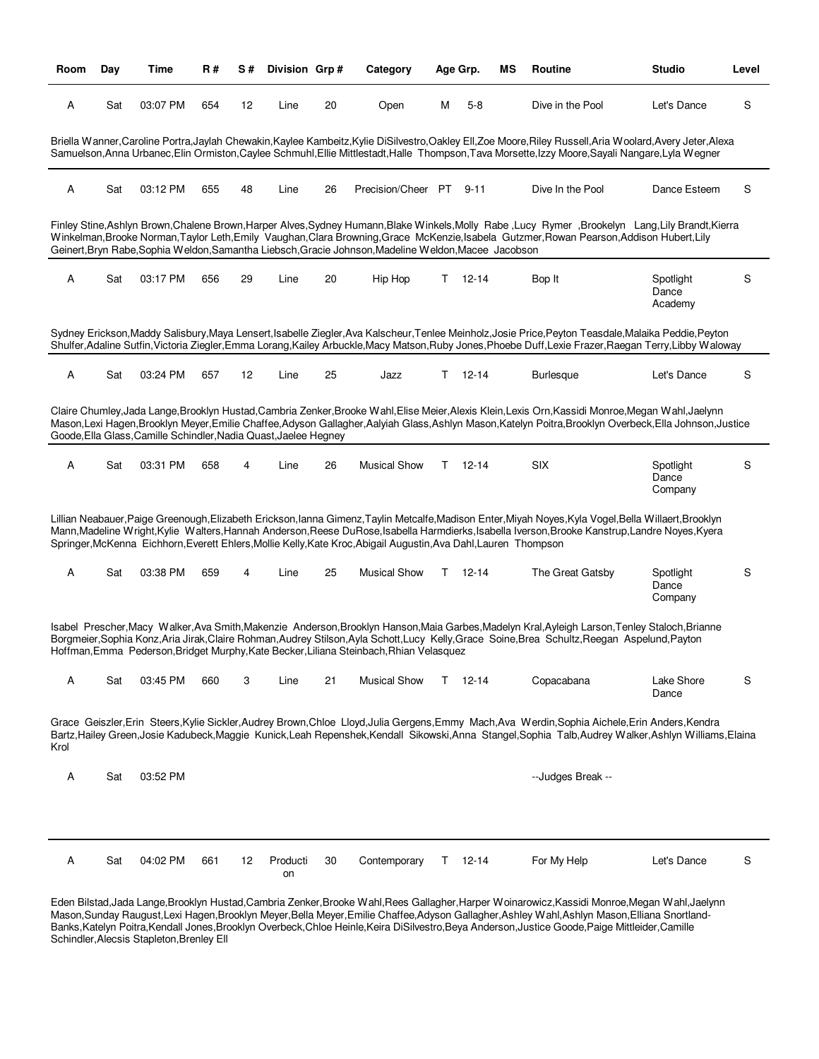| Room | Day | <b>Time</b>                                                      | <b>R#</b> | S# | Division Grp#  |    | Category                                                                                                         |   | Age Grp.      | MS | Routine                                                                                                                                                                                                                                                                                                   | <b>Studio</b>                 | Level |
|------|-----|------------------------------------------------------------------|-----------|----|----------------|----|------------------------------------------------------------------------------------------------------------------|---|---------------|----|-----------------------------------------------------------------------------------------------------------------------------------------------------------------------------------------------------------------------------------------------------------------------------------------------------------|-------------------------------|-------|
| Α    | Sat | 03:07 PM                                                         | 654       | 12 | Line           | 20 | Open                                                                                                             | М | $5 - 8$       |    | Dive in the Pool                                                                                                                                                                                                                                                                                          | Let's Dance                   | S     |
|      |     |                                                                  |           |    |                |    |                                                                                                                  |   |               |    | Briella Wanner,Caroline Portra,Jaylah Chewakin,Kaylee Kambeitz,Kylie DiSilvestro,Oakley Ell,Zoe Moore,Riley Russell,Aria Woolard,Avery Jeter,Alexa<br>Samuelson, Anna Urbanec, Elin Ormiston, Caylee Schmuhl, Ellie Mittlestadt, Halle Thompson, Tava Morsette, Izzy Moore, Sayali Nangare, Lyla Wegner   |                               |       |
| Α    | Sat | 03:12 PM                                                         | 655       | 48 | Line           | 26 | Precision/Cheer PT                                                                                               |   | $9 - 11$      |    | Dive In the Pool                                                                                                                                                                                                                                                                                          | Dance Esteem                  | S     |
|      |     |                                                                  |           |    |                |    | Geinert, Bryn Rabe, Sophia Weldon, Samantha Liebsch, Gracie Johnson, Madeline Weldon, Macee Jacobson             |   |               |    | Finley Stine, Ashlyn Brown, Chalene Brown, Harper Alves, Sydney Humann, Blake Winkels, Molly Rabe, Lucy Rymer, Brookelyn Lang, Lily Brandt, Kierra<br>Winkelman, Brooke Norman, Taylor Leth, Emily Vaughan, Clara Browning, Grace McKenzie, Isabela Gutzmer, Rowan Pearson, Addison Hubert, Lily          |                               |       |
| Α    | Sat | 03:17 PM                                                         | 656       | 29 | Line           | 20 | Hip Hop                                                                                                          |   | $T = 12 - 14$ |    | Bop It                                                                                                                                                                                                                                                                                                    | Spotlight<br>Dance<br>Academy | S     |
|      |     |                                                                  |           |    |                |    |                                                                                                                  |   |               |    | Sydney Erickson,Maddy Salisbury,Maya Lensert,Isabelle Ziegler,Ava Kalscheur,Tenlee Meinholz,Josie Price,Peyton Teasdale,Malaika Peddie,Peyton<br>Shulfer, Adaline Sutfin, Victoria Ziegler, Emma Lorang, Kailey Arbuckle, Macy Matson, Ruby Jones, Phoebe Duff, Lexie Frazer, Raegan Terry, Libby Waloway |                               |       |
| Α    | Sat | 03:24 PM                                                         | 657       | 12 | Line           | 25 | Jazz                                                                                                             |   | $T = 12 - 14$ |    | <b>Burlesque</b>                                                                                                                                                                                                                                                                                          | Let's Dance                   | S     |
|      |     | Goode, Ella Glass, Camille Schindler, Nadia Quast, Jaelee Hegney |           |    |                |    |                                                                                                                  |   |               |    | Claire Chumley, Jada Lange, Brooklyn Hustad, Cambria Zenker, Brooke Wahl, Elise Meier, Alexis Klein, Lexis Orn, Kassidi Monroe, Megan Wahl, Jaelynn<br>Mason,Lexi Hagen,Brooklyn Meyer,Emilie Chaffee,Adyson Gallagher,Aalyiah Glass,Ashlyn Mason,Katelyn Poitra,Brooklyn Overbeck,Ella Johnson,Justice   |                               |       |
| Α    | Sat | 03:31 PM                                                         | 658       | 4  | Line           | 26 | <b>Musical Show</b>                                                                                              |   | $T = 12 - 14$ |    | <b>SIX</b>                                                                                                                                                                                                                                                                                                | Spotlight<br>Dance<br>Company | S     |
|      |     |                                                                  |           |    |                |    | Springer, McKenna Eichhorn, Everett Ehlers, Mollie Kelly, Kate Kroc, Abigail Augustin, Ava Dahl, Lauren Thompson |   |               |    | Lillian Neabauer,Paige Greenough,Elizabeth Erickson,Ianna Gimenz,Taylin Metcalfe,Madison Enter,Miyah Noyes,Kyla Vogel,Bella Willaert,Brooklyn<br>Mann, Madeline Wright, Kylie Walters, Hannah Anderson, Reese DuRose, Isabella Harmdierks, Isabella Iverson, Brooke Kanstrup, Landre Noyes, Kyera         |                               |       |
| Α    | Sat | 03:38 PM                                                         | 659       | 4  | Line           | 25 | <b>Musical Show</b>                                                                                              |   | $T = 12 - 14$ |    | The Great Gatsby                                                                                                                                                                                                                                                                                          | Spotlight<br>Dance<br>Company | S     |
|      |     |                                                                  |           |    |                |    | Hoffman, Emma Pederson, Bridget Murphy, Kate Becker, Liliana Steinbach, Rhian Velasquez                          |   |               |    | Isabel Prescher, Macy Walker, Ava Smith, Makenzie Anderson, Brooklyn Hanson, Maia Garbes, Madelyn Kral, Ayleigh Larson, Tenley Staloch, Brianne<br>Borgmeier, Sophia Konz, Aria Jirak, Claire Rohman, Audrey Stilson, Ayla Schott, Lucy Kelly, Grace Soine, Brea Schultz, Reegan Aspelund, Payton         |                               |       |
| A    | Sat | 03:45 PM                                                         | 660       | 3  | Line           | 21 | <b>Musical Show</b>                                                                                              |   | $T = 12 - 14$ |    | Copacabana                                                                                                                                                                                                                                                                                                | Lake Shore<br>Dance           | S     |
| Krol |     |                                                                  |           |    |                |    |                                                                                                                  |   |               |    | Grace Geiszler, Erin Steers, Kylie Sickler, Audrey Brown, Chloe Lloyd, Julia Gergens, Emmy Mach, Ava Werdin, Sophia Aichele, Erin Anders, Kendra<br>Bartz,Hailey Green,Josie Kadubeck,Maggie Kunick,Leah Repenshek,Kendall Sikowski,Anna Stangel,Sophia Talb,Audrey Walker,Ashlyn Williams,Elaina         |                               |       |
| A    | Sat | 03:52 PM                                                         |           |    |                |    |                                                                                                                  |   |               |    | --Judges Break --                                                                                                                                                                                                                                                                                         |                               |       |
|      |     |                                                                  |           |    |                |    |                                                                                                                  |   |               |    |                                                                                                                                                                                                                                                                                                           |                               |       |
| Α    | Sat | 04:02 PM                                                         | 661       | 12 | Producti<br>on | 30 | Contemporary                                                                                                     |   | $T = 12 - 14$ |    | For My Help                                                                                                                                                                                                                                                                                               | Let's Dance                   | S     |

Eden Bilstad,Jada Lange,Brooklyn Hustad,Cambria Zenker,Brooke Wahl,Rees Gallagher,Harper Woinarowicz,Kassidi Monroe,Megan Wahl,Jaelynn Mason,Sunday Raugust,Lexi Hagen,Brooklyn Meyer,Bella Meyer,Emilie Chaffee,Adyson Gallagher,Ashley Wahl,Ashlyn Mason,Elliana Snortland-Banks,Katelyn Poitra,Kendall Jones,Brooklyn Overbeck,Chloe Heinle,Keira DiSilvestro,Beya Anderson,Justice Goode,Paige Mittleider,Camille Schindler, Alecsis Stapleton, Brenley Ell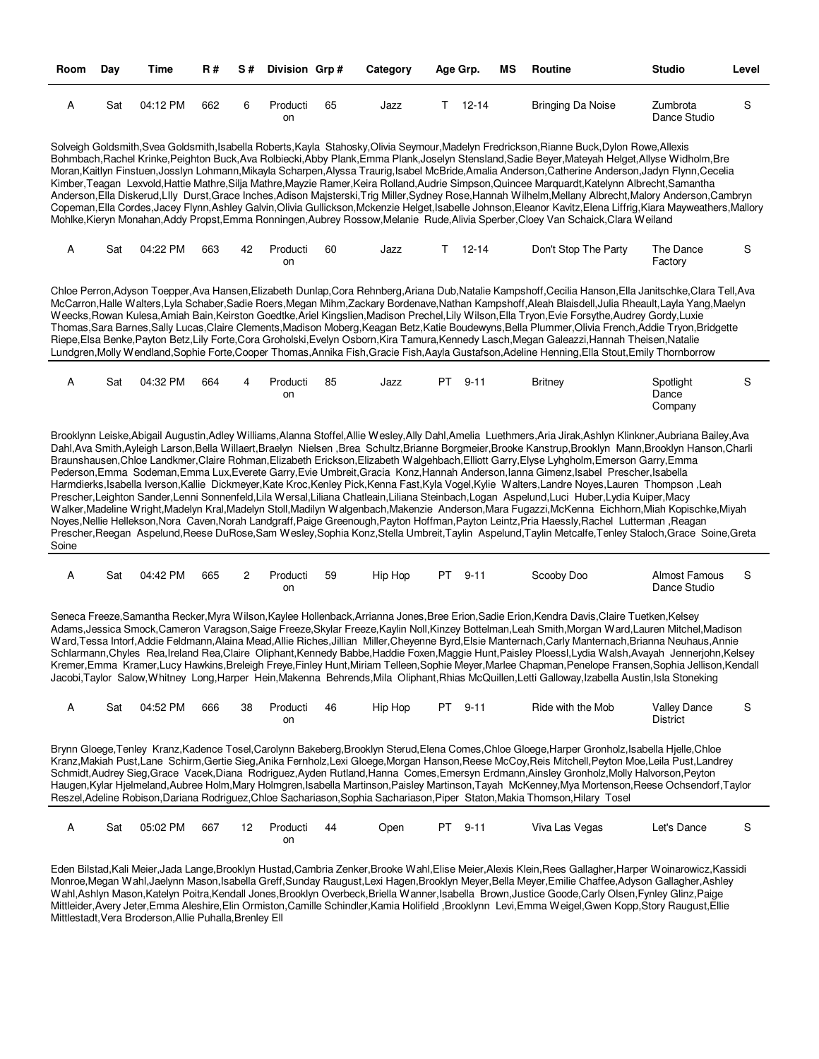| Room  | Day | Time     | R#  | S# | Division Grp#  |    | Category | Age Grp. |               | ΜS | Routine                                                                                                                                                                                                                                                                                                                                                                                                                                                                                                                                                                                                                                                                                                                                                                                                                                                                                                                                                                                                                                                                                                                                                                                                                                                                                                                                                                                     | <b>Studio</b>                   | Level |
|-------|-----|----------|-----|----|----------------|----|----------|----------|---------------|----|---------------------------------------------------------------------------------------------------------------------------------------------------------------------------------------------------------------------------------------------------------------------------------------------------------------------------------------------------------------------------------------------------------------------------------------------------------------------------------------------------------------------------------------------------------------------------------------------------------------------------------------------------------------------------------------------------------------------------------------------------------------------------------------------------------------------------------------------------------------------------------------------------------------------------------------------------------------------------------------------------------------------------------------------------------------------------------------------------------------------------------------------------------------------------------------------------------------------------------------------------------------------------------------------------------------------------------------------------------------------------------------------|---------------------------------|-------|
| A     | Sat | 04:12 PM | 662 | 6  | Producti<br>on | 65 | Jazz     |          | $T = 12 - 14$ |    | <b>Bringing Da Noise</b>                                                                                                                                                                                                                                                                                                                                                                                                                                                                                                                                                                                                                                                                                                                                                                                                                                                                                                                                                                                                                                                                                                                                                                                                                                                                                                                                                                    | Zumbrota<br>Dance Studio        | S     |
|       |     |          |     |    |                |    |          |          |               |    | Solveigh Goldsmith,Svea Goldsmith,Isabella Roberts,Kayla Stahosky,Olivia Seymour,Madelyn Fredrickson,Rianne Buck,Dylon Rowe,Allexis<br>Bohmbach, Rachel Krinke, Peighton Buck, Ava Rolbiecki, Abby Plank, Emma Plank, Joselyn Stensland, Sadie Beyer, Mateyah Helget, Allyse Widholm, Bre<br>Moran,Kaitlyn Finstuen,Josslyn Lohmann,Mikayla Scharpen,Alyssa Traurig,Isabel McBride,Amalia Anderson,Catherine Anderson,Jadyn Flynn,Cecelia<br>Kimber, Teagan Lexvold, Hattie Mathre, Silja Mathre, Mayzie Ramer, Keira Rolland, Audrie Simpson, Quincee Marquardt, Katelynn Albrecht, Samantha<br>Anderson, Ella Diskerud, Llly Durst, Grace Inches, Adison Majsterski, Trig Miller, Sydney Rose, Hannah Wilhelm, Mellany Albrecht, Malory Anderson, Cambryn<br>Copeman, Ella Cordes, Jacey Flynn, Ashley Galvin, Olivia Gullickson, Mckenzie Helget, Isabelle Johnson, Eleanor Kavitz, Elena Liffrig, Kiara Mayweathers, Mallory<br>Mohlke, Kieryn Monahan, Addy Propst, Emma Ronningen, Aubrey Rossow, Melanie Rude, Alivia Sperber, Cloey Van Schaick, Clara Weiland                                                                                                                                                                                                                                                                                                                      |                                 |       |
| А     | Sat | 04:22 PM | 663 | 42 | Producti<br>on | 60 | Jazz     |          | $T = 12 - 14$ |    | Don't Stop The Party                                                                                                                                                                                                                                                                                                                                                                                                                                                                                                                                                                                                                                                                                                                                                                                                                                                                                                                                                                                                                                                                                                                                                                                                                                                                                                                                                                        | The Dance<br>Factory            | S     |
|       |     |          |     |    |                |    |          |          |               |    | Chloe Perron, Adyson Toepper, Ava Hansen, Elizabeth Dunlap, Cora Rehnberg, Ariana Dub, Natalie Kampshoff, Cecilia Hanson, Ella Janitschke, Clara Tell, Ava<br>McCarron, Halle Walters, Lyla Schaber, Sadie Roers, Megan Mihm, Zackary Bordenave, Nathan Kampshoff, Aleah Blaisdell, Julia Rheault, Layla Yang, Maelyn<br>Weecks, Rowan Kulesa, Amiah Bain, Keirston Goedtke, Ariel Kingslien, Madison Prechel, Lily Wilson, Ella Tryon, Evie Forsythe, Audrey Gordy, Luxie<br>Thomas, Sara Barnes, Sally Lucas, Claire Clements, Madison Moberg, Keagan Betz, Katie Boudewyns, Bella Plummer, Olivia French, Addie Tryon, Bridgette<br>Riepe, Elsa Benke, Payton Betz, Lily Forte, Cora Groholski, Evelyn Osborn, Kira Tamura, Kennedy Lasch, Megan Galeazzi, Hannah Theisen, Natalie<br>Lundgren, Molly Wendland, Sophie Forte, Cooper Thomas, Annika Fish, Gracie Fish, Aayla Gustafson, Adeline Henning, Ella Stout, Emily Thornborrow                                                                                                                                                                                                                                                                                                                                                                                                                                                   |                                 |       |
| А     | Sat | 04:32 PM | 664 | 4  | Producti<br>on | 85 | Jazz     | PT       | $9 - 11$      |    | <b>Britney</b>                                                                                                                                                                                                                                                                                                                                                                                                                                                                                                                                                                                                                                                                                                                                                                                                                                                                                                                                                                                                                                                                                                                                                                                                                                                                                                                                                                              | Spotlight<br>Dance<br>Company   | S     |
| Soine |     |          |     |    |                |    |          |          |               |    | Brooklynn Leiske, Abigail Augustin, Adley Williams, Alanna Stoffel, Allie Wesley, Ally Dahl, Amelia Luethmers, Aria Jirak, Ashlyn Klinkner, Aubriana Bailey, Ava<br>Dahl, Ava Smith, Ayleigh Larson, Bella Willaert, Braelyn Nielsen, Brea Schultz, Brianne Borgmeier, Brooke Kanstrup, Brooklyn Mann, Brooklyn Hanson, Charli<br>Braunshausen, Chloe Landkmer, Claire Rohman, Elizabeth Erickson, Elizabeth Walgehbach, Elliott Garry, Elyse Lyhgholm, Emerson Garry, Emma<br>Pederson, Emma Sodeman, Emma Lux, Everete Garry, Evie Umbreit, Gracia Konz, Hannah Anderson, Ianna Gimenz, Isabel Prescher, Isabella<br>Harmdierks, Isabella Iverson, Kallie Dickmeyer, Kate Kroc, Kenley Pick, Kenna Fast, Kyla Vogel, Kylie Walters, Landre Noyes, Lauren Thompson, Leah<br>Prescher, Leighton Sander, Lenni Sonnenfeld, Lila Wersal, Liliana Chatleain, Liliana Steinbach, Logan Aspelund, Luci Huber, Lydia Kuiper, Macy<br>Walker, Madeline Wright, Madelyn Kral, Madelyn Stoll, Madilyn Walgenbach, Makenzie Anderson, Mara Fugazzi, McKenna Eichhorn, Miah Kopischke, Miyah<br>Noyes, Nellie Hellekson, Nora Caven, Norah Landgraff, Paige Greenough, Payton Hoffman, Payton Leintz, Pria Haessly, Rachel Lutterman, Reagan<br>Prescher, Reegan Aspelund, Reese DuRose, Sam Wesley, Sophia Konz, Stella Umbreit, Taylin Aspelund, Taylin Metcalfe, Tenley Staloch, Grace Soine, Greta |                                 |       |
| А     | Sat | 04:42 PM | 665 | 2  | Producti<br>on | 59 | Hip Hop  |          | PT 9-11       |    | Scooby Doo                                                                                                                                                                                                                                                                                                                                                                                                                                                                                                                                                                                                                                                                                                                                                                                                                                                                                                                                                                                                                                                                                                                                                                                                                                                                                                                                                                                  | Almost Famous<br>Dance Studio   | S     |
|       |     |          |     |    |                |    |          |          |               |    | Seneca Freeze, Samantha Recker, Myra Wilson, Kaylee Hollenback, Arrianna Jones, Bree Erion, Sadie Erion, Kendra Davis, Claire Tuetken, Kelsey<br>Adams, Jessica Smock, Cameron Varagson, Saige Freeze, Skylar Freeze, Kaylin Noll, Kinzey Bottelman, Leah Smith, Morgan Ward, Lauren Mitchel, Madison<br>Ward, Tessa Intorf, Addie Feldmann, Alaina Mead, Allie Riches, Jillian Miller, Cheyenne Byrd, Elsie Manternach, Carly Manternach, Brianna Neuhaus, Annie<br>Schlarmann,Chyles Rea,Ireland Rea,Claire Oliphant,Kennedy Babbe,Haddie Foxen,Maggie Hunt,Paisley Ploessl,Lydia Walsh,Avayah Jennerjohn,Kelsey<br>Kremer, Emma Kramer, Lucy Hawkins, Breleigh Freye, Finley Hunt, Miriam Telleen, Sophie Meyer, Marlee Chapman, Penelope Fransen, Sophia Jellison, Kendall<br>Jacobi, Taylor Salow, Whitney Long, Harper Hein, Makenna Behrends, Mila Oliphant, Rhias McQuillen, Letti Galloway, Izabella Austin, Isla Stoneking                                                                                                                                                                                                                                                                                                                                                                                                                                                        |                                 |       |
| A     | Sat | 04:52 PM | 666 | 38 | Producti<br>on | 46 | Hip Hop  |          | PT 9-11       |    | Ride with the Mob                                                                                                                                                                                                                                                                                                                                                                                                                                                                                                                                                                                                                                                                                                                                                                                                                                                                                                                                                                                                                                                                                                                                                                                                                                                                                                                                                                           | <b>Valley Dance</b><br>District | S     |
|       |     |          |     |    |                |    |          |          |               |    | Brynn Gloege, Tenley Kranz, Kadence Tosel, Carolynn Bakeberg, Brooklyn Sterud, Elena Comes, Chloe Gloege, Harper Gronholz, Isabella Hjelle, Chloe<br>Kranz,Makiah Pust,Lane Schirm,Gertie Sieg,Anika Fernholz,Lexi Gloege,Morgan Hanson,Reese McCoy,Reis Mitchell,Peyton Moe,Leila Pust,Landrey<br>Schmidt, Audrey Sieg, Grace Vacek, Diana Rodriguez, Ayden Rutland, Hanna Comes, Emersyn Erdmann, Ainsley Gronholz, Molly Halvorson, Peyton<br>Haugen, Kylar Hjelmeland, Aubree Holm, Mary Holmgren, Isabella Martinson, Paisley Martinson, Tayah McKenney, Mya Mortenson, Reese Ochsendorf, Taylor<br>Reszel, Adeline Robison, Dariana Rodriguez, Chloe Sachariason, Sophia Sachariason, Piper Staton, Makia Thomson, Hilary Tosel                                                                                                                                                                                                                                                                                                                                                                                                                                                                                                                                                                                                                                                       |                                 |       |
| А     | Sat | 05:02 PM | 667 | 12 | Producti<br>on | 44 | Open     |          | PT 9-11       |    | Viva Las Vegas                                                                                                                                                                                                                                                                                                                                                                                                                                                                                                                                                                                                                                                                                                                                                                                                                                                                                                                                                                                                                                                                                                                                                                                                                                                                                                                                                                              | Let's Dance                     | S     |

Eden Bilstad,Kali Meier,Jada Lange,Brooklyn Hustad,Cambria Zenker,Brooke Wahl,Elise Meier,Alexis Klein,Rees Gallagher,Harper Woinarowicz,Kassidi Monroe,Megan Wahl,Jaelynn Mason,Isabella Greff,Sunday Raugust,Lexi Hagen,Brooklyn Meyer,Bella Meyer,Emilie Chaffee,Adyson Gallagher,Ashley Wahl,Ashlyn Mason,Katelyn Poitra,Kendall Jones,Brooklyn Overbeck,Briella Wanner,Isabella Brown,Justice Goode,Carly Olsen,Fynley Glinz,Paige Mittleider,Avery Jeter,Emma Aleshire,Elin Ormiston,Camille Schindler,Kamia Holifield ,Brooklynn Levi,Emma Weigel,Gwen Kopp,Story Raugust,Ellie Mittlestadt,Vera Broderson,Allie Puhalla,Brenley Ell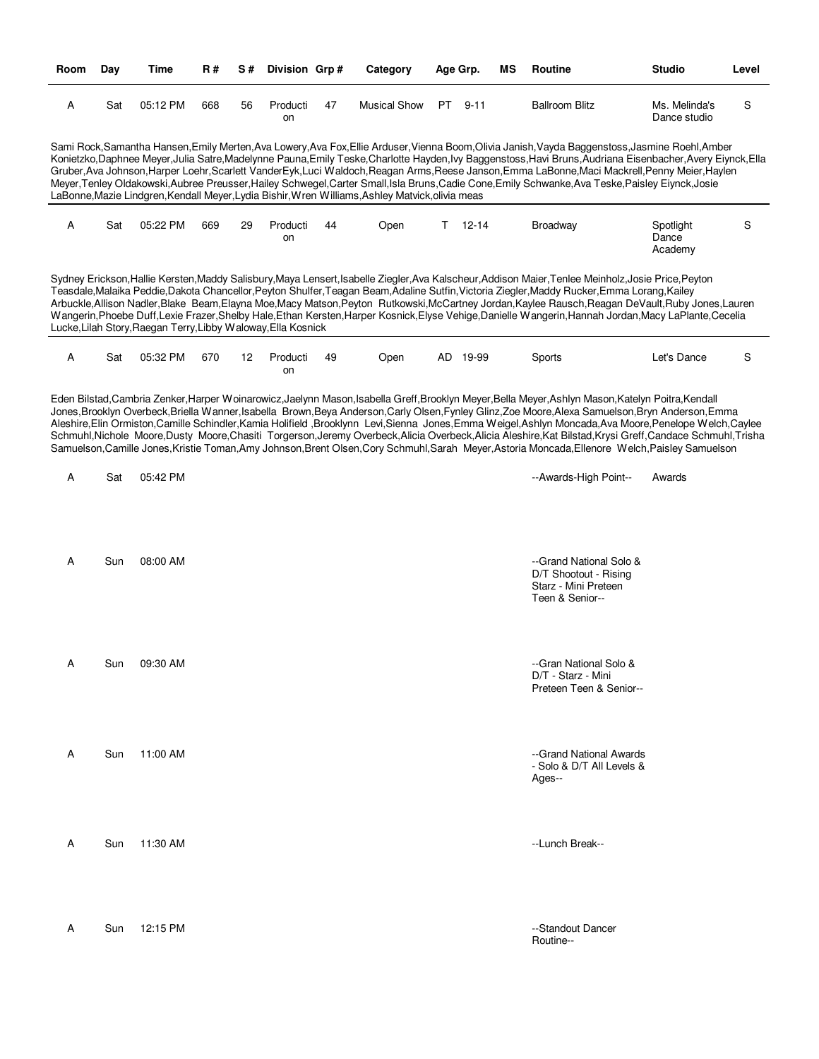| Room | Day | Time                                                          | R#  | <b>S#</b> | Division Grp#  |    | Category                                                                                         | Age Grp. |           | ΜS | <b>Routine</b>                                                                                                                                                                                                                                                                                                                                                                                                                                                                                                                                                                                                           | <b>Studio</b>                 | Level |
|------|-----|---------------------------------------------------------------|-----|-----------|----------------|----|--------------------------------------------------------------------------------------------------|----------|-----------|----|--------------------------------------------------------------------------------------------------------------------------------------------------------------------------------------------------------------------------------------------------------------------------------------------------------------------------------------------------------------------------------------------------------------------------------------------------------------------------------------------------------------------------------------------------------------------------------------------------------------------------|-------------------------------|-------|
| А    | Sat | 05:12 PM                                                      | 668 | 56        | Producti<br>on | 47 | <b>Musical Show</b>                                                                              | PT –     | $9 - 11$  |    | <b>Ballroom Blitz</b>                                                                                                                                                                                                                                                                                                                                                                                                                                                                                                                                                                                                    | Ms. Melinda's<br>Dance studio | S     |
|      |     |                                                               |     |           |                |    | LaBonne, Mazie Lindgren, Kendall Meyer, Lydia Bishir, Wren Williams, Ashley Matvick, olivia meas |          |           |    | Sami Rock, Samantha Hansen, Emily Merten, Ava Lowery, Ava Fox, Ellie Arduser, Vienna Boom, Olivia Janish, Vayda Baggenstoss, Jasmine Roehl, Amber<br>Konietzko,Daphnee Meyer,Julia Satre,Madelynne Pauna,Emily Teske,Charlotte Hayden,Ivy Baggenstoss,Havi Bruns,Audriana Eisenbacher,Avery Eiynck,Ella<br>Gruber, Ava Johnson, Harper Loehr, Scarlett VanderEyk, Luci Waldoch, Reagan Arms, Reese Janson, Emma LaBonne, Maci Mackrell, Penny Meier, Haylen<br>Meyer, Tenley Oldakowski, Aubree Preusser, Hailey Schwegel, Carter Small, Isla Bruns, Cadie Cone, Emily Schwanke, Ava Teske, Paisley Eiynck, Josie        |                               |       |
| Α    | Sat | 05:22 PM                                                      | 669 | 29        | Producti<br>on | 44 | Open                                                                                             | T.       | $12 - 14$ |    | <b>Broadway</b>                                                                                                                                                                                                                                                                                                                                                                                                                                                                                                                                                                                                          | Spotlight<br>Dance<br>Academy | S     |
|      |     | Lucke, Lilah Story, Raegan Terry, Libby Waloway, Ella Kosnick |     |           |                |    |                                                                                                  |          |           |    | Sydney Erickson, Hallie Kersten, Maddy Salisbury, Maya Lensert, Isabelle Ziegler, Ava Kalscheur, Addison Maier, Tenlee Meinholz, Josie Price, Peyton<br>Teasdale, Malaika Peddie, Dakota Chancellor, Peyton Shulfer, Teagan Beam, Adaline Sutfin, Victoria Ziegler, Maddy Rucker, Emma Lorang, Kailey<br>Arbuckle, Allison Nadler, Blake Beam, Elayna Moe, Macy Matson, Peyton Rutkowski, McCartney Jordan, Kaylee Rausch, Reagan DeVault, Ruby Jones, Lauren<br>Wangerin, Phoebe Duff, Lexie Frazer, Shelby Hale, Ethan Kersten, Harper Kosnick, Elyse Vehige, Danielle Wangerin, Hannah Jordan, Macy LaPlante, Cecelia |                               |       |
| А    | Sat | 05:32 PM                                                      | 670 | 12        | Producti<br>on | 49 | Open                                                                                             |          | AD 19-99  |    | Sports                                                                                                                                                                                                                                                                                                                                                                                                                                                                                                                                                                                                                   | Let's Dance                   | S     |
| Α    | Sat | 05:42 PM                                                      |     |           |                |    |                                                                                                  |          |           |    | Schmuhl, Nichole Moore, Dusty Moore, Chasiti Torgerson, Jeremy Overbeck, Alicia Overbeck, Alicia Aleshire, Kat Bilstad, Krysi Greff, Candace Schmuhl, Trisha<br>Samuelson, Camille Jones, Kristie Toman, Amy Johnson, Brent Olsen, Cory Schmuhl, Sarah Meyer, Astoria Moncada, Ellenore Welch, Paisley Samuelson<br>--Awards-High Point--                                                                                                                                                                                                                                                                                | Awards                        |       |
| Α    | Sun | 08:00 AM                                                      |     |           |                |    |                                                                                                  |          |           |    | --Grand National Solo &<br>D/T Shootout - Rising<br>Starz - Mini Preteen<br>Teen & Senior--                                                                                                                                                                                                                                                                                                                                                                                                                                                                                                                              |                               |       |
| Α    | Sun | 09:30 AM                                                      |     |           |                |    |                                                                                                  |          |           |    | --Gran National Solo &<br>D/T - Starz - Mini<br>Preteen Teen & Senior--                                                                                                                                                                                                                                                                                                                                                                                                                                                                                                                                                  |                               |       |
| A    | Sun | 11:00 AM                                                      |     |           |                |    |                                                                                                  |          |           |    | --Grand National Awards<br>- Solo & D/T All Levels &<br>Ages--                                                                                                                                                                                                                                                                                                                                                                                                                                                                                                                                                           |                               |       |
| Α    | Sun | 11:30 AM                                                      |     |           |                |    |                                                                                                  |          |           |    | --Lunch Break--                                                                                                                                                                                                                                                                                                                                                                                                                                                                                                                                                                                                          |                               |       |
| Α    | Sun | 12:15 PM                                                      |     |           |                |    |                                                                                                  |          |           |    | --Standout Dancer<br>Routine--                                                                                                                                                                                                                                                                                                                                                                                                                                                                                                                                                                                           |                               |       |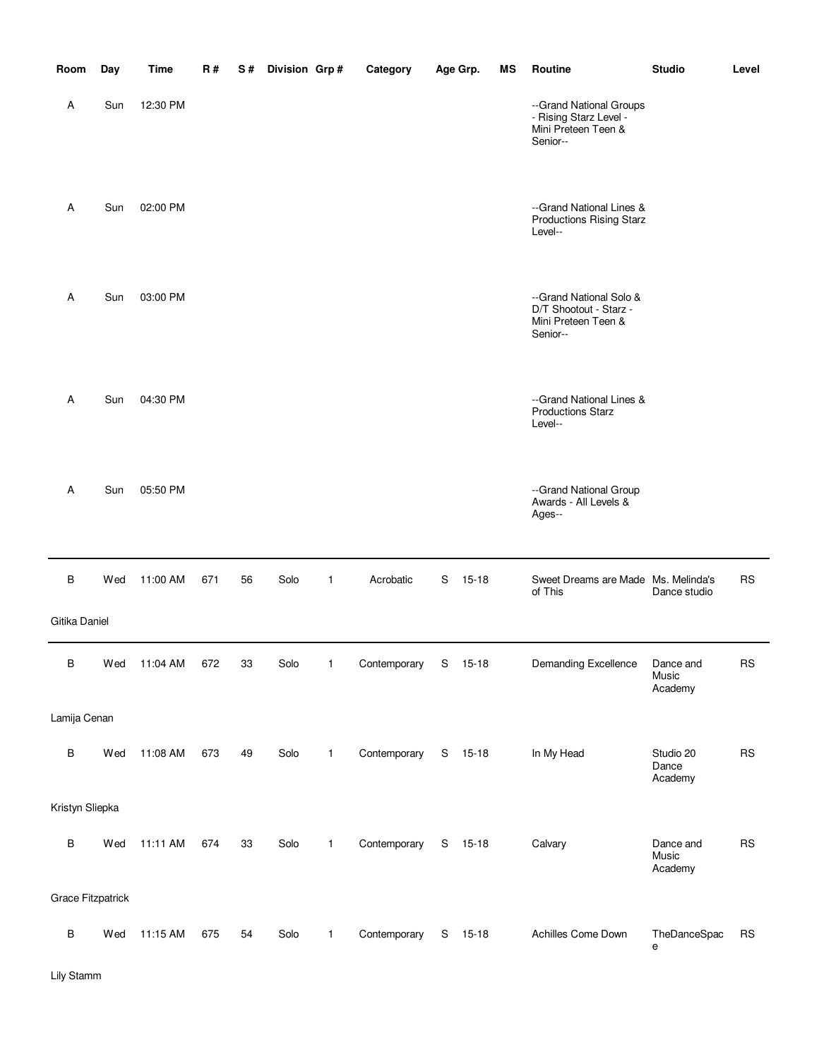| Room                     | Day | Time     | <b>R#</b> | S# | Division Grp# |              | Category             |   | Age Grp.  | ΜS | Routine                                                                              | <b>Studio</b>                 | Level      |
|--------------------------|-----|----------|-----------|----|---------------|--------------|----------------------|---|-----------|----|--------------------------------------------------------------------------------------|-------------------------------|------------|
| A                        | Sun | 12:30 PM |           |    |               |              |                      |   |           |    | --Grand National Groups<br>- Rising Starz Level -<br>Mini Preteen Teen &<br>Senior-- |                               |            |
| Α                        | Sun | 02:00 PM |           |    |               |              |                      |   |           |    | --Grand National Lines &<br><b>Productions Rising Starz</b><br>Level--               |                               |            |
| A                        | Sun | 03:00 PM |           |    |               |              |                      |   |           |    | --Grand National Solo &<br>D/T Shootout - Starz -<br>Mini Preteen Teen &<br>Senior-- |                               |            |
| Α                        | Sun | 04:30 PM |           |    |               |              |                      |   |           |    | --Grand National Lines &<br><b>Productions Starz</b><br>Level--                      |                               |            |
| Α                        | Sun | 05:50 PM |           |    |               |              |                      |   |           |    | --Grand National Group<br>Awards - All Levels &<br>Ages--                            |                               |            |
| $\sf B$                  | Wed | 11:00 AM | 671       | 56 | Solo          | $\mathbf{1}$ | Acrobatic            | S | $15 - 18$ |    | Sweet Dreams are Made Ms. Melinda's<br>of This                                       | Dance studio                  | RS         |
| Gitika Daniel            |     |          |           |    |               |              |                      |   |           |    |                                                                                      |                               |            |
| В                        | Wed | 11:04 AM | 672       | 33 | Solo          | 1            | Contemporary S 15-18 |   |           |    | Demanding Excellence                                                                 | Dance and<br>Music<br>Academy | <b>RS</b>  |
| Lamija Cenan             |     |          |           |    |               |              |                      |   |           |    |                                                                                      |                               |            |
| B                        | Wed | 11:08 AM | 673       | 49 | Solo          | $\mathbf{1}$ | Contemporary         |   | S 15-18   |    | In My Head                                                                           | Studio 20<br>Dance<br>Academy | ${\sf RS}$ |
| Kristyn Sliepka          |     |          |           |    |               |              |                      |   |           |    |                                                                                      |                               |            |
| B                        | Wed | 11:11 AM | 674       | 33 | Solo          | $\mathbf{1}$ | Contemporary         |   | S 15-18   |    | Calvary                                                                              | Dance and<br>Music<br>Academy | <b>RS</b>  |
| <b>Grace Fitzpatrick</b> |     |          |           |    |               |              |                      |   |           |    |                                                                                      |                               |            |
| B                        | Wed | 11:15 AM | 675       | 54 | Solo          | $\mathbf{1}$ | Contemporary         |   | $S$ 15-18 |    | Achilles Come Down                                                                   | TheDanceSpac<br>е             | <b>RS</b>  |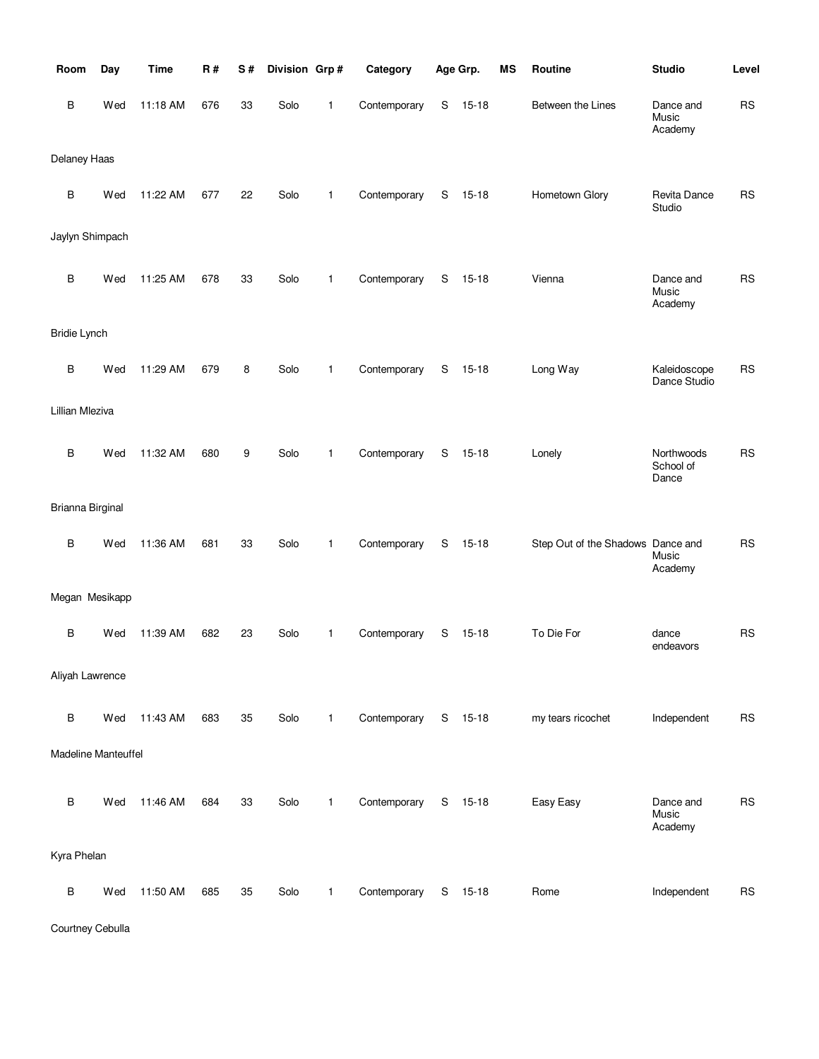| Room                   | Day                        | <b>Time</b> | R#  | S# | Division Grp# |              | Category     | Age Grp. |           | MS | Routine                           | <b>Studio</b>                    | Level     |
|------------------------|----------------------------|-------------|-----|----|---------------|--------------|--------------|----------|-----------|----|-----------------------------------|----------------------------------|-----------|
| В                      | Wed                        | 11:18 AM    | 676 | 33 | Solo          | 1            | Contemporary | S        | $15 - 18$ |    | Between the Lines                 | Dance and<br>Music<br>Academy    | <b>RS</b> |
| Delaney Haas           |                            |             |     |    |               |              |              |          |           |    |                                   |                                  |           |
| $\sf B$                | Wed                        | 11:22 AM    | 677 | 22 | Solo          | $\mathbf{1}$ | Contemporary | S        | $15 - 18$ |    | Hometown Glory                    | Revita Dance<br>Studio           | <b>RS</b> |
|                        | Jaylyn Shimpach            |             |     |    |               |              |              |          |           |    |                                   |                                  |           |
| B                      | Wed                        | 11:25 AM    | 678 | 33 | Solo          | $\mathbf{1}$ | Contemporary | S        | $15 - 18$ |    | Vienna                            | Dance and<br>Music<br>Academy    | <b>RS</b> |
| <b>Bridie Lynch</b>    |                            |             |     |    |               |              |              |          |           |    |                                   |                                  |           |
| B                      | Wed                        | 11:29 AM    | 679 | 8  | Solo          | $\mathbf{1}$ | Contemporary | S        | $15 - 18$ |    | Long Way                          | Kaleidoscope<br>Dance Studio     | <b>RS</b> |
| <b>Lillian Mleziva</b> |                            |             |     |    |               |              |              |          |           |    |                                   |                                  |           |
| $\sf B$                | Wed                        | 11:32 AM    | 680 | 9  | Solo          | $\mathbf{1}$ | Contemporary | S        | $15 - 18$ |    | Lonely                            | Northwoods<br>School of<br>Dance | <b>RS</b> |
| Brianna Birginal       |                            |             |     |    |               |              |              |          |           |    |                                   |                                  |           |
| B                      | Wed                        | 11:36 AM    | 681 | 33 | Solo          | $\mathbf{1}$ | Contemporary | S        | $15 - 18$ |    | Step Out of the Shadows Dance and | Music<br>Academy                 | <b>RS</b> |
|                        | Megan Mesikapp             |             |     |    |               |              |              |          |           |    |                                   |                                  |           |
| B                      | Wed                        | 11:39 AM    | 682 | 23 | Solo          | 1            | Contemporary | S        | $15 - 18$ |    | To Die For                        | dance<br>endeavors               | <b>RS</b> |
| Aliyah Lawrence        |                            |             |     |    |               |              |              |          |           |    |                                   |                                  |           |
| $\sf B$                | Wed                        | 11:43 AM    | 683 | 35 | Solo          | $\mathbf{1}$ | Contemporary |          | S 15-18   |    | my tears ricochet                 | Independent                      | <b>RS</b> |
|                        | <b>Madeline Manteuffel</b> |             |     |    |               |              |              |          |           |    |                                   |                                  |           |
| $\sf B$                | Wed                        | 11:46 AM    | 684 | 33 | Solo          | $\mathbf{1}$ | Contemporary |          | S 15-18   |    | Easy Easy                         | Dance and<br>Music<br>Academy    | <b>RS</b> |
| Kyra Phelan            |                            |             |     |    |               |              |              |          |           |    |                                   |                                  |           |
| $\sf B$                | Wed                        | 11:50 AM    | 685 | 35 | Solo          | $\mathbf{1}$ | Contemporary |          | S 15-18   |    | Rome                              | Independent                      | <b>RS</b> |

Courtney Cebulla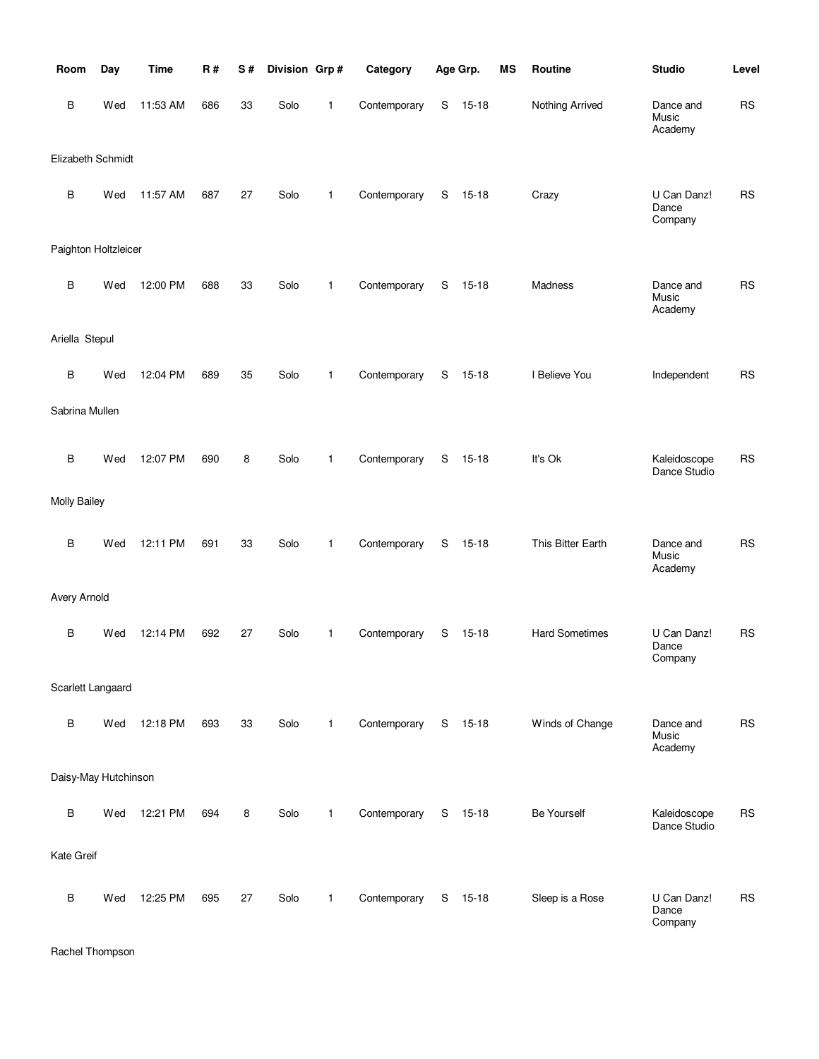| Room                 | Day | <b>Time</b> | <b>R#</b> | S# | Division Grp# |              | Category     |   | Age Grp.  | MS | Routine               | <b>Studio</b>                   | Level     |
|----------------------|-----|-------------|-----------|----|---------------|--------------|--------------|---|-----------|----|-----------------------|---------------------------------|-----------|
| B                    | Wed | 11:53 AM    | 686       | 33 | Solo          | 1            | Contemporary | S | $15 - 18$ |    | Nothing Arrived       | Dance and<br>Music<br>Academy   | RS        |
| Elizabeth Schmidt    |     |             |           |    |               |              |              |   |           |    |                       |                                 |           |
| $\sf B$              | Wed | 11:57 AM    | 687       | 27 | Solo          | 1            | Contemporary | S | $15 - 18$ |    | Crazy                 | U Can Danz!<br>Dance<br>Company | <b>RS</b> |
| Paighton Holtzleicer |     |             |           |    |               |              |              |   |           |    |                       |                                 |           |
| B                    | Wed | 12:00 PM    | 688       | 33 | Solo          | 1            | Contemporary | S | $15 - 18$ |    | Madness               | Dance and<br>Music<br>Academy   | <b>RS</b> |
| Ariella Stepul       |     |             |           |    |               |              |              |   |           |    |                       |                                 |           |
| В                    | Wed | 12:04 PM    | 689       | 35 | Solo          | $\mathbf{1}$ | Contemporary | S | $15 - 18$ |    | I Believe You         | Independent                     | <b>RS</b> |
| Sabrina Mullen       |     |             |           |    |               |              |              |   |           |    |                       |                                 |           |
| $\sf B$              | Wed | 12:07 PM    | 690       | 8  | Solo          | 1            | Contemporary | S | $15 - 18$ |    | It's Ok               | Kaleidoscope<br>Dance Studio    | <b>RS</b> |
| <b>Molly Bailey</b>  |     |             |           |    |               |              |              |   |           |    |                       |                                 |           |
| B                    | Wed | 12:11 PM    | 691       | 33 | Solo          | $\mathbf{1}$ | Contemporary | S | $15 - 18$ |    | This Bitter Earth     | Dance and<br>Music<br>Academy   | <b>RS</b> |
| Avery Arnold         |     |             |           |    |               |              |              |   |           |    |                       |                                 |           |
| B                    | Wed | 12:14 PM    | 692       | 27 | Solo          | 1            | Contemporary | S | $15 - 18$ |    | <b>Hard Sometimes</b> | U Can Danz!<br>Dance<br>Company | <b>RS</b> |
| Scarlett Langaard    |     |             |           |    |               |              |              |   |           |    |                       |                                 |           |
| B                    | Wed | 12:18 PM    | 693       | 33 | Solo          | $\mathbf{1}$ | Contemporary | S | 15-18     |    | Winds of Change       | Dance and<br>Music<br>Academy   | <b>RS</b> |
| Daisy-May Hutchinson |     |             |           |    |               |              |              |   |           |    |                       |                                 |           |
| B                    | Wed | 12:21 PM    | 694       | 8  | Solo          | $\mathbf{1}$ | Contemporary | S | 15-18     |    | <b>Be Yourself</b>    | Kaleidoscope<br>Dance Studio    | <b>RS</b> |
| Kate Greif           |     |             |           |    |               |              |              |   |           |    |                       |                                 |           |
| В                    | Wed | 12:25 PM    | 695       | 27 | Solo          | 1            | Contemporary | S | $15 - 18$ |    | Sleep is a Rose       | U Can Danz!<br>Dance<br>Company | <b>RS</b> |

Rachel Thompson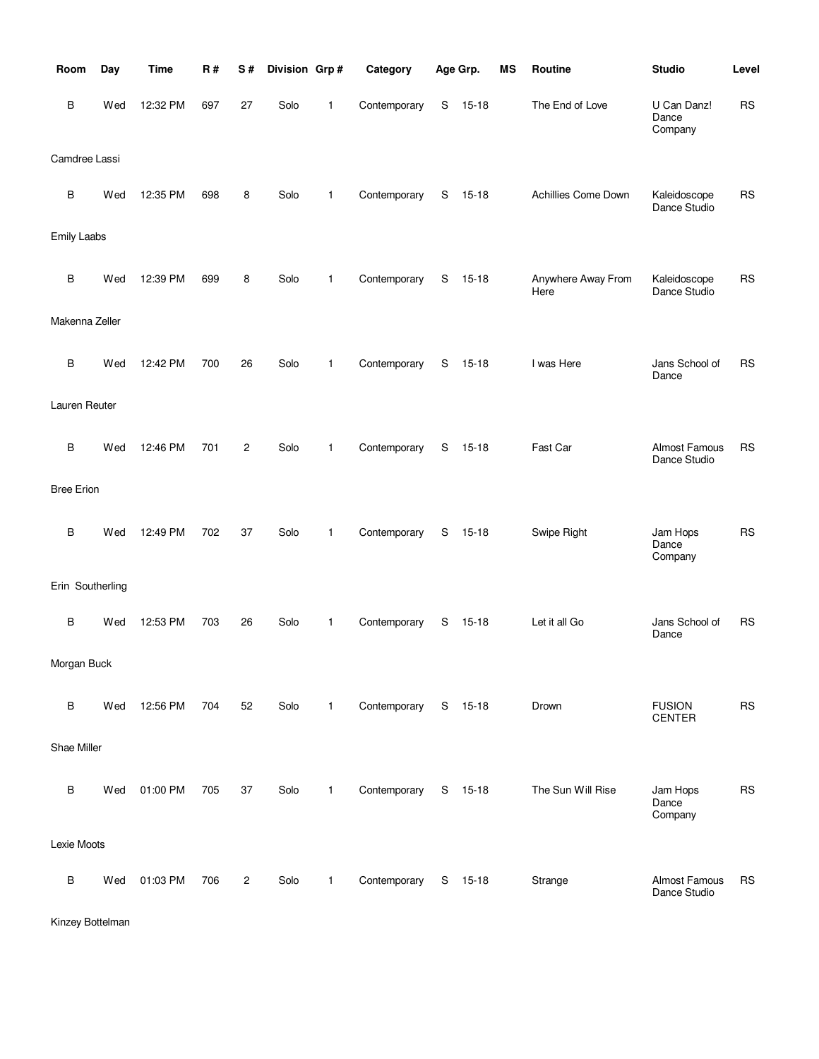| Room               | Day | <b>Time</b> | <b>R#</b> | S#             | Division Grp# |              | Category     |   | Age Grp.  | <b>MS</b> | Routine                    | <b>Studio</b>                   | Level     |
|--------------------|-----|-------------|-----------|----------------|---------------|--------------|--------------|---|-----------|-----------|----------------------------|---------------------------------|-----------|
| B                  | Wed | 12:32 PM    | 697       | 27             | Solo          | 1            | Contemporary | S | $15 - 18$ |           | The End of Love            | U Can Danz!<br>Dance<br>Company | <b>RS</b> |
| Camdree Lassi      |     |             |           |                |               |              |              |   |           |           |                            |                                 |           |
| $\sf B$            | Wed | 12:35 PM    | 698       | 8              | Solo          | 1            | Contemporary | S | $15 - 18$ |           | Achillies Come Down        | Kaleidoscope<br>Dance Studio    | <b>RS</b> |
| <b>Emily Laabs</b> |     |             |           |                |               |              |              |   |           |           |                            |                                 |           |
| B                  | Wed | 12:39 PM    | 699       | 8              | Solo          | $\mathbf{1}$ | Contemporary | S | $15 - 18$ |           | Anywhere Away From<br>Here | Kaleidoscope<br>Dance Studio    | <b>RS</b> |
| Makenna Zeller     |     |             |           |                |               |              |              |   |           |           |                            |                                 |           |
| B                  | Wed | 12:42 PM    | 700       | 26             | Solo          | 1            | Contemporary | S | $15 - 18$ |           | I was Here                 | Jans School of<br>Dance         | <b>RS</b> |
| Lauren Reuter      |     |             |           |                |               |              |              |   |           |           |                            |                                 |           |
| В                  | Wed | 12:46 PM    | 701       | $\overline{c}$ | Solo          | $\mathbf{1}$ | Contemporary | S | $15 - 18$ |           | Fast Car                   | Almost Famous<br>Dance Studio   | <b>RS</b> |
| <b>Bree Erion</b>  |     |             |           |                |               |              |              |   |           |           |                            |                                 |           |
| $\sf B$            | Wed | 12:49 PM    | 702       | 37             | Solo          | 1            | Contemporary | S | $15 - 18$ |           | Swipe Right                | Jam Hops<br>Dance<br>Company    | <b>RS</b> |
| Erin Southerling   |     |             |           |                |               |              |              |   |           |           |                            |                                 |           |
| B                  | Wed | 12:53 PM    | 703       | 26             | Solo          | 1            | Contemporary | S | $15 - 18$ |           | Let it all Go              | Jans School of<br>Dance         | <b>RS</b> |
| Morgan Buck        |     |             |           |                |               |              |              |   |           |           |                            |                                 |           |
| B                  | Wed | 12:56 PM    | 704       | 52             | Solo          | $\mathbf{1}$ | Contemporary | S | 15-18     |           | Drown                      | <b>FUSION</b><br><b>CENTER</b>  | <b>RS</b> |
| Shae Miller        |     |             |           |                |               |              |              |   |           |           |                            |                                 |           |
| B                  | Wed | 01:00 PM    | 705       | 37             | Solo          | 1            | Contemporary |   | S 15-18   |           | The Sun Will Rise          | Jam Hops<br>Dance<br>Company    | <b>RS</b> |
| Lexie Moots        |     |             |           |                |               |              |              |   |           |           |                            |                                 |           |
| B                  | Wed | 01:03 PM    | 706       | $\overline{c}$ | Solo          | $\mathbf{1}$ | Contemporary | S | 15-18     |           | Strange                    | Almost Famous<br>Dance Studio   | <b>RS</b> |

Kinzey Bottelman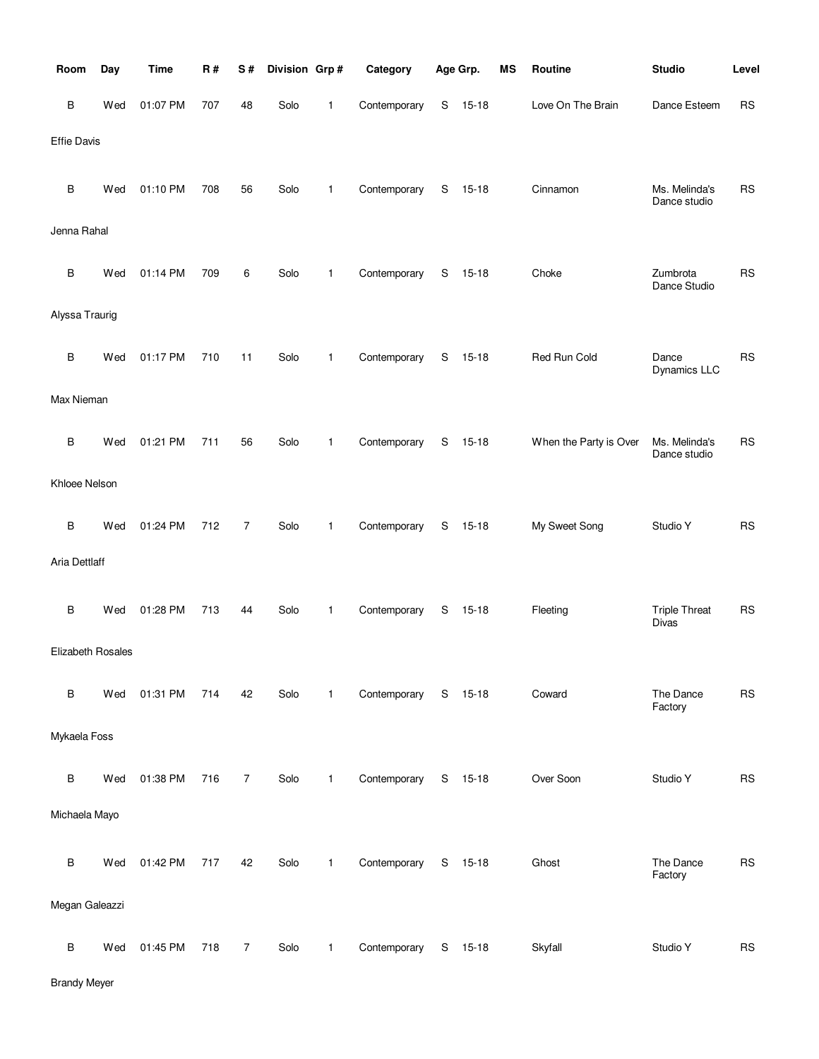| Room               | Day | <b>Time</b> | R#  | S#             | Division Grp# |              | Category     |    | Age Grp.  | MS | Routine                | <b>Studio</b>                 | Level      |
|--------------------|-----|-------------|-----|----------------|---------------|--------------|--------------|----|-----------|----|------------------------|-------------------------------|------------|
| В                  | Wed | 01:07 PM    | 707 | 48             | Solo          | 1            | Contemporary | S  | $15 - 18$ |    | Love On The Brain      | Dance Esteem                  | <b>RS</b>  |
| <b>Effie Davis</b> |     |             |     |                |               |              |              |    |           |    |                        |                               |            |
| В                  | Wed | 01:10 PM    | 708 | 56             | Solo          | 1            | Contemporary | S  | $15 - 18$ |    | Cinnamon               | Ms. Melinda's<br>Dance studio | <b>RS</b>  |
| Jenna Rahal        |     |             |     |                |               |              |              |    |           |    |                        |                               |            |
| В                  | Wed | 01:14 PM    | 709 | 6              | Solo          | 1            | Contemporary | S  | $15 - 18$ |    | Choke                  | Zumbrota<br>Dance Studio      | <b>RS</b>  |
| Alyssa Traurig     |     |             |     |                |               |              |              |    |           |    |                        |                               |            |
| В                  | Wed | 01:17 PM    | 710 | 11             | Solo          | 1            | Contemporary | S  | $15-18$   |    | Red Run Cold           | Dance<br>Dynamics LLC         | <b>RS</b>  |
| Max Nieman         |     |             |     |                |               |              |              |    |           |    |                        |                               |            |
| В                  | Wed | 01:21 PM    | 711 | 56             | Solo          | 1            | Contemporary | S  | $15 - 18$ |    | When the Party is Over | Ms. Melinda's<br>Dance studio | <b>RS</b>  |
| Khloee Nelson      |     |             |     |                |               |              |              |    |           |    |                        |                               |            |
| В                  | Wed | 01:24 PM    | 712 | $\overline{7}$ | Solo          | 1            | Contemporary | S  | $15 - 18$ |    | My Sweet Song          | Studio Y                      | <b>RS</b>  |
| Aria Dettlaff      |     |             |     |                |               |              |              |    |           |    |                        |                               |            |
| В                  | Wed | 01:28 PM    | 713 | 44             | Solo          | 1            | Contemporary | S  | 15-18     |    | Fleeting               | <b>Triple Threat</b><br>Divas | <b>RS</b>  |
| Elizabeth Rosales  |     |             |     |                |               |              |              |    |           |    |                        |                               |            |
| В                  | Wed | 01:31 PM    | 714 | 42             | Solo          | $\mathbf{1}$ | Contemporary |    | S 15-18   |    | Coward                 | The Dance<br>Factory          | <b>RS</b>  |
| Mykaela Foss       |     |             |     |                |               |              |              |    |           |    |                        |                               |            |
| В                  | Wed | 01:38 PM    | 716 | $\overline{7}$ | Solo          | $\mathbf{1}$ | Contemporary |    | S 15-18   |    | Over Soon              | Studio Y                      | ${\sf RS}$ |
| Michaela Mayo      |     |             |     |                |               |              |              |    |           |    |                        |                               |            |
| B                  | Wed | 01:42 PM    | 717 | 42             | Solo          | 1            | Contemporary | S. | $15 - 18$ |    | Ghost                  | The Dance<br>Factory          | <b>RS</b>  |
| Megan Galeazzi     |     |             |     |                |               |              |              |    |           |    |                        |                               |            |
| В                  | Wed | 01:45 PM    | 718 | $\overline{7}$ | Solo          | 1            | Contemporary | S  | $15 - 18$ |    | Skyfall                | Studio Y                      | <b>RS</b>  |

Brandy Meyer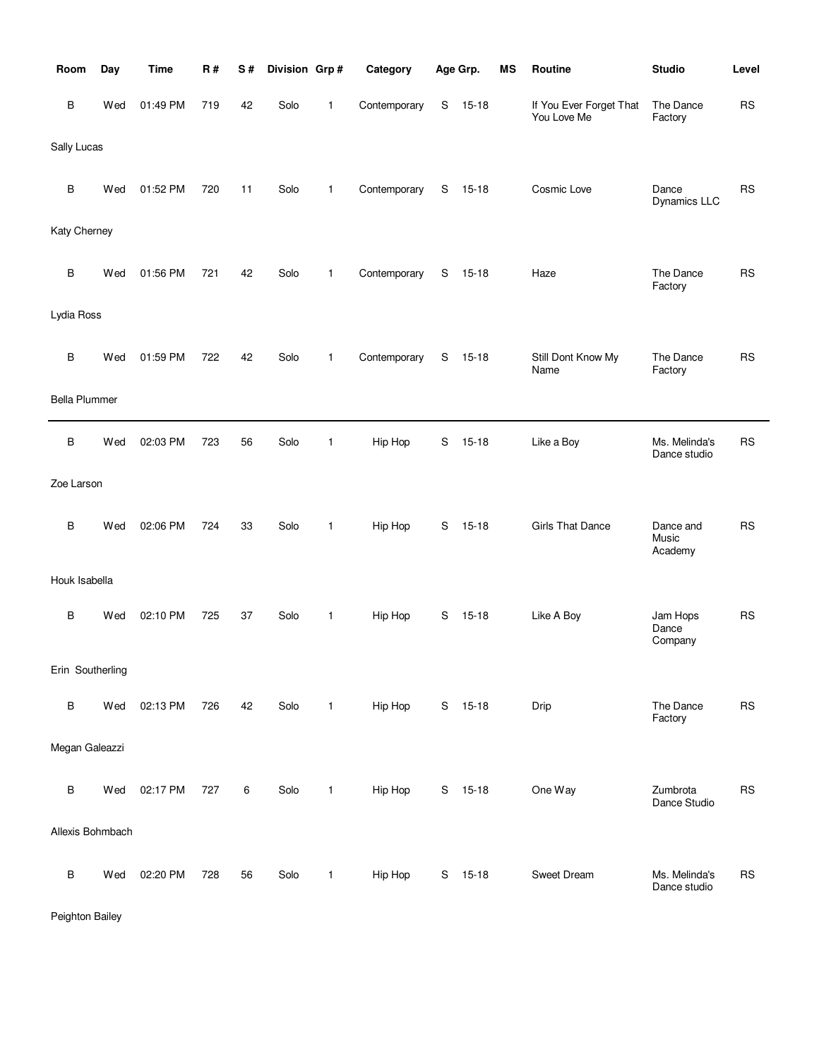| Room                 | Day | <b>Time</b> | R#  | S# | Division Grp# |              | Category     |   | Age Grp.  | <b>MS</b> | Routine                                | <b>Studio</b>                 | Level     |
|----------------------|-----|-------------|-----|----|---------------|--------------|--------------|---|-----------|-----------|----------------------------------------|-------------------------------|-----------|
| В                    | Wed | 01:49 PM    | 719 | 42 | Solo          | 1            | Contemporary | S | $15 - 18$ |           | If You Ever Forget That<br>You Love Me | The Dance<br>Factory          | <b>RS</b> |
| Sally Lucas          |     |             |     |    |               |              |              |   |           |           |                                        |                               |           |
| В                    | Wed | 01:52 PM    | 720 | 11 | Solo          | 1            | Contemporary | S | $15 - 18$ |           | Cosmic Love                            | Dance<br>Dynamics LLC         | <b>RS</b> |
| Katy Cherney         |     |             |     |    |               |              |              |   |           |           |                                        |                               |           |
| B                    | Wed | 01:56 PM    | 721 | 42 | Solo          | 1            | Contemporary | S | $15 - 18$ |           | Haze                                   | The Dance<br>Factory          | <b>RS</b> |
| Lydia Ross           |     |             |     |    |               |              |              |   |           |           |                                        |                               |           |
| B                    | Wed | 01:59 PM    | 722 | 42 | Solo          | 1            | Contemporary | S | $15 - 18$ |           | Still Dont Know My<br>Name             | The Dance<br>Factory          | <b>RS</b> |
| <b>Bella Plummer</b> |     |             |     |    |               |              |              |   |           |           |                                        |                               |           |
| В                    | Wed | 02:03 PM    | 723 | 56 | Solo          | 1            | Hip Hop      | S | $15 - 18$ |           | Like a Boy                             | Ms. Melinda's<br>Dance studio | <b>RS</b> |
| Zoe Larson           |     |             |     |    |               |              |              |   |           |           |                                        |                               |           |
| B                    | Wed | 02:06 PM    | 724 | 33 | Solo          | 1            | Hip Hop      | S | $15 - 18$ |           | <b>Girls That Dance</b>                | Dance and<br>Music<br>Academy | <b>RS</b> |
| Houk Isabella        |     |             |     |    |               |              |              |   |           |           |                                        |                               |           |
| B                    | Wed | 02:10 PM    | 725 | 37 | Solo          | $\mathbf{1}$ | Hip Hop      | S | $15 - 18$ |           | Like A Boy                             | Jam Hops<br>Dance<br>Company  | <b>RS</b> |
| Erin Southerling     |     |             |     |    |               |              |              |   |           |           |                                        |                               |           |
| В                    | Wed | 02:13 PM    | 726 | 42 | Solo          | $\mathbf{1}$ | Hip Hop      |   | S 15-18   |           | Drip                                   | The Dance<br>Factory          | <b>RS</b> |
| Megan Galeazzi       |     |             |     |    |               |              |              |   |           |           |                                        |                               |           |
| В                    | Wed | 02:17 PM    | 727 | 6  | Solo          | $\mathbf{1}$ | Hip Hop      |   | S 15-18   |           | One Way                                | Zumbrota<br>Dance Studio      | <b>RS</b> |
| Allexis Bohmbach     |     |             |     |    |               |              |              |   |           |           |                                        |                               |           |
| В                    | Wed | 02:20 PM    | 728 | 56 | Solo          | 1            | Hip Hop      |   | S 15-18   |           | Sweet Dream                            | Ms. Melinda's<br>Dance studio | <b>RS</b> |

Peighton Bailey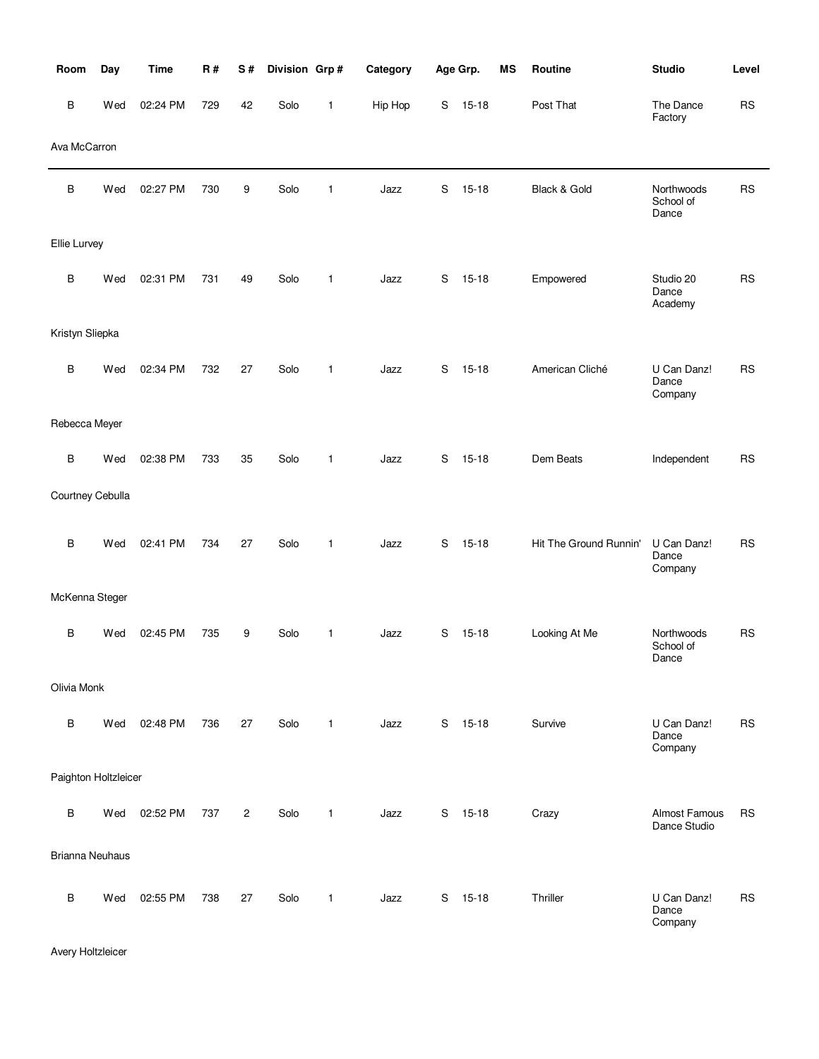| Room                   | Day | <b>Time</b> | R#  | S#             | Division Grp# |              | Category |   | Age Grp.  | MS | Routine                | <b>Studio</b>                        | Level     |
|------------------------|-----|-------------|-----|----------------|---------------|--------------|----------|---|-----------|----|------------------------|--------------------------------------|-----------|
| B                      | Wed | 02:24 PM    | 729 | 42             | Solo          | 1            | Hip Hop  | S | $15 - 18$ |    | Post That              | The Dance<br>Factory                 | <b>RS</b> |
| Ava McCarron           |     |             |     |                |               |              |          |   |           |    |                        |                                      |           |
| B                      | Wed | 02:27 PM    | 730 | 9              | Solo          | 1            | Jazz     | S | $15 - 18$ |    | Black & Gold           | Northwoods<br>School of<br>Dance     | <b>RS</b> |
| Ellie Lurvey           |     |             |     |                |               |              |          |   |           |    |                        |                                      |           |
| B                      | Wed | 02:31 PM    | 731 | 49             | Solo          | $\mathbf{1}$ | Jazz     | S | $15 - 18$ |    | Empowered              | Studio 20<br>Dance<br>Academy        | <b>RS</b> |
| Kristyn Sliepka        |     |             |     |                |               |              |          |   |           |    |                        |                                      |           |
| B                      | Wed | 02:34 PM    | 732 | 27             | Solo          | 1            | Jazz     | S | $15 - 18$ |    | American Cliché        | U Can Danz!<br>Dance<br>Company      | <b>RS</b> |
| Rebecca Meyer          |     |             |     |                |               |              |          |   |           |    |                        |                                      |           |
| B                      | Wed | 02:38 PM    | 733 | 35             | Solo          | 1            | Jazz     | S | $15 - 18$ |    | Dem Beats              | Independent                          | <b>RS</b> |
| Courtney Cebulla       |     |             |     |                |               |              |          |   |           |    |                        |                                      |           |
| B                      | Wed | 02:41 PM    | 734 | 27             | Solo          | 1            | Jazz     | S | $15 - 18$ |    | Hit The Ground Runnin' | U Can Danz!<br>Dance<br>Company      | <b>RS</b> |
| McKenna Steger         |     |             |     |                |               |              |          |   |           |    |                        |                                      |           |
| B                      | Wed | 02:45 PM    | 735 | 9              | Solo          | 1            | Jazz     | S | $15 - 18$ |    | Looking At Me          | Northwoods<br>School of<br>Dance     | <b>RS</b> |
| Olivia Monk            |     |             |     |                |               |              |          |   |           |    |                        |                                      |           |
| B                      | Wed | 02:48 PM    | 736 | 27             | Solo          | $\mathbf{1}$ | Jazz     |   | S 15-18   |    | Survive                | U Can Danz!<br>Dance<br>Company      | <b>RS</b> |
| Paighton Holtzleicer   |     |             |     |                |               |              |          |   |           |    |                        |                                      |           |
| $\sf B$                | Wed | 02:52 PM    | 737 | $\overline{c}$ | Solo          | $\mathbf{1}$ | Jazz     | S | $15 - 18$ |    | Crazy                  | <b>Almost Famous</b><br>Dance Studio | <b>RS</b> |
| <b>Brianna Neuhaus</b> |     |             |     |                |               |              |          |   |           |    |                        |                                      |           |
| В                      | Wed | 02:55 PM    | 738 | 27             | Solo          | 1            | Jazz     | S | $15 - 18$ |    | Thriller               | U Can Danz!<br>Dance<br>Company      | <b>RS</b> |

Avery Holtzleicer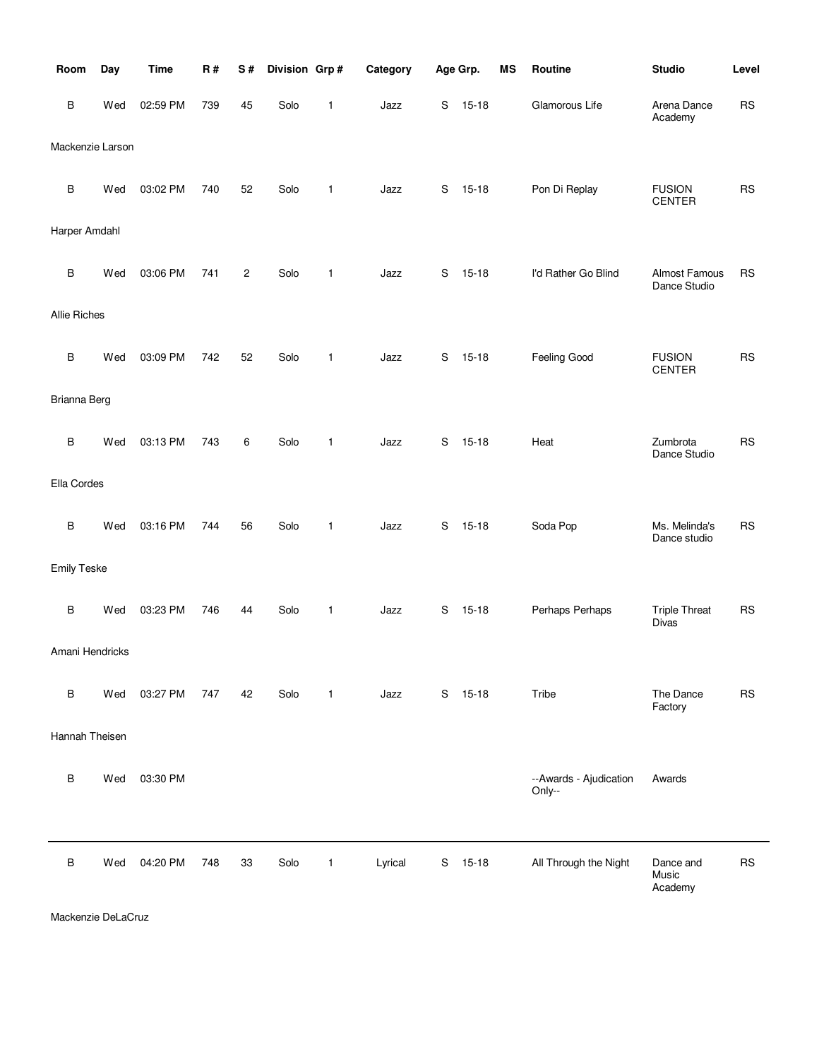| Room               | Day | <b>Time</b> | R#  | S#                      | Division Grp# |              | Category |    | Age Grp.  | <b>MS</b> | Routine                          | <b>Studio</b>                  | Level     |
|--------------------|-----|-------------|-----|-------------------------|---------------|--------------|----------|----|-----------|-----------|----------------------------------|--------------------------------|-----------|
| В                  | Wed | 02:59 PM    | 739 | 45                      | Solo          | 1            | Jazz     | S  | $15 - 18$ |           | Glamorous Life                   | Arena Dance<br>Academy         | <b>RS</b> |
| Mackenzie Larson   |     |             |     |                         |               |              |          |    |           |           |                                  |                                |           |
| В                  | Wed | 03:02 PM    | 740 | 52                      | Solo          | 1            | Jazz     | S  | $15 - 18$ |           | Pon Di Replay                    | <b>FUSION</b><br><b>CENTER</b> | <b>RS</b> |
| Harper Amdahl      |     |             |     |                         |               |              |          |    |           |           |                                  |                                |           |
| B                  | Wed | 03:06 PM    | 741 | $\overline{\mathbf{c}}$ | Solo          | 1            | Jazz     | S  | $15 - 18$ |           | I'd Rather Go Blind              | Almost Famous<br>Dance Studio  | <b>RS</b> |
| Allie Riches       |     |             |     |                         |               |              |          |    |           |           |                                  |                                |           |
| $\sf B$            | Wed | 03:09 PM    | 742 | 52                      | Solo          | 1            | Jazz     | S  | $15 - 18$ |           | Feeling Good                     | <b>FUSION</b><br><b>CENTER</b> | <b>RS</b> |
| Brianna Berg       |     |             |     |                         |               |              |          |    |           |           |                                  |                                |           |
| В                  | Wed | 03:13 PM    | 743 | 6                       | Solo          | 1            | Jazz     | S  | $15 - 18$ |           | Heat                             | Zumbrota<br>Dance Studio       | <b>RS</b> |
| Ella Cordes        |     |             |     |                         |               |              |          |    |           |           |                                  |                                |           |
| B                  | Wed | 03:16 PM    | 744 | 56                      | Solo          | 1            | Jazz     | S  | $15 - 18$ |           | Soda Pop                         | Ms. Melinda's<br>Dance studio  | <b>RS</b> |
| <b>Emily Teske</b> |     |             |     |                         |               |              |          |    |           |           |                                  |                                |           |
| $\sf B$            | Wed | 03:23 PM    | 746 | 44                      | Solo          | 1            | Jazz     | S  | $15 - 18$ |           | Perhaps Perhaps                  | <b>Triple Threat</b><br>Divas  | <b>RS</b> |
| Amani Hendricks    |     |             |     |                         |               |              |          |    |           |           |                                  |                                |           |
| B                  | Wed | 03:27 PM    | 747 | 42                      | Solo          | $\mathbf{1}$ | Jazz     | S. | $15 - 18$ |           | Tribe                            | The Dance<br>Factory           | <b>RS</b> |
| Hannah Theisen     |     |             |     |                         |               |              |          |    |           |           |                                  |                                |           |
| В                  | Wed | 03:30 PM    |     |                         |               |              |          |    |           |           | --Awards - Ajudication<br>Only-- | Awards                         |           |
| B                  | Wed | 04:20 PM    | 748 | 33                      | Solo          | $\mathbf{1}$ | Lyrical  | S  | $15 - 18$ |           | All Through the Night            | Dance and<br>Music<br>Academy  | <b>RS</b> |

Mackenzie DeLaCruz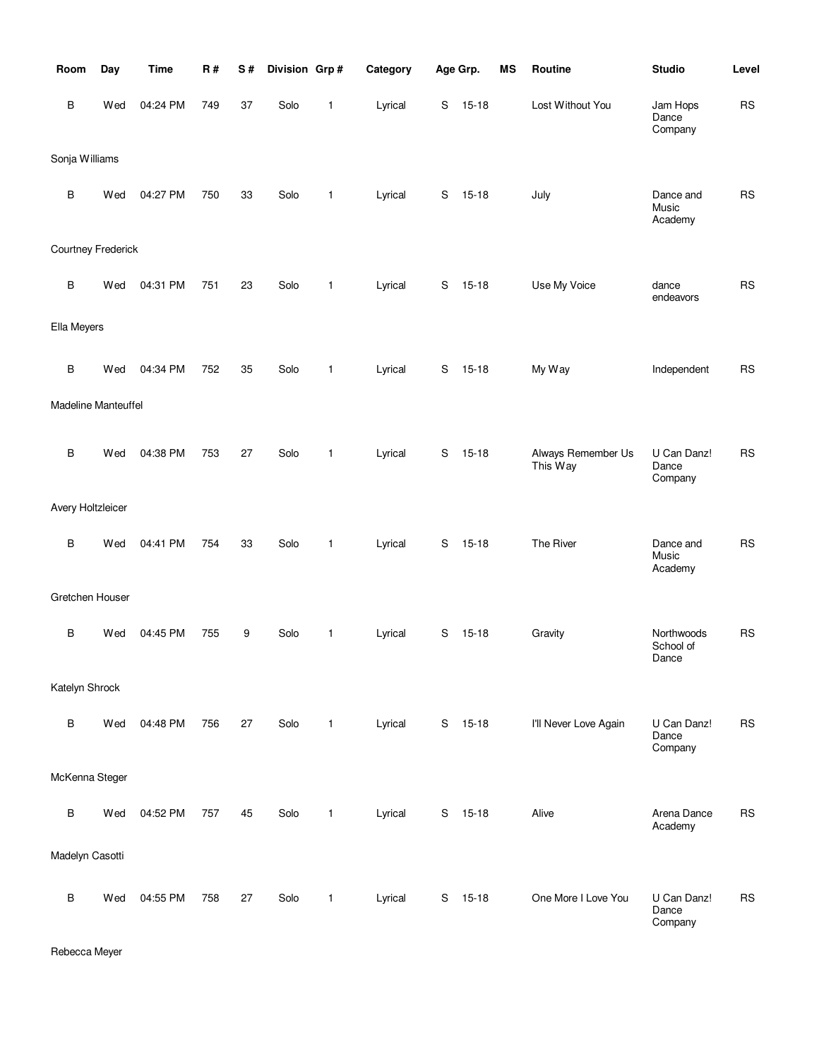| Room                | Day | <b>Time</b> | <b>R#</b> | S# | Division Grp# |              | Category |             | Age Grp.  | MS | Routine                        | <b>Studio</b>                    | Level     |
|---------------------|-----|-------------|-----------|----|---------------|--------------|----------|-------------|-----------|----|--------------------------------|----------------------------------|-----------|
| B                   | Wed | 04:24 PM    | 749       | 37 | Solo          | $\mathbf{1}$ | Lyrical  | $\mathbf S$ | $15 - 18$ |    | Lost Without You               | Jam Hops<br>Dance<br>Company     | RS        |
| Sonja Williams      |     |             |           |    |               |              |          |             |           |    |                                |                                  |           |
| $\sf B$             | Wed | 04:27 PM    | 750       | 33 | Solo          | 1            | Lyrical  | S           | $15 - 18$ |    | July                           | Dance and<br>Music<br>Academy    | <b>RS</b> |
| Courtney Frederick  |     |             |           |    |               |              |          |             |           |    |                                |                                  |           |
| B                   | Wed | 04:31 PM    | 751       | 23 | Solo          | $\mathbf{1}$ | Lyrical  | $\mathbf S$ | $15 - 18$ |    | Use My Voice                   | dance<br>endeavors               | <b>RS</b> |
| Ella Meyers         |     |             |           |    |               |              |          |             |           |    |                                |                                  |           |
| $\, {\bf B}$        | Wed | 04:34 PM    | 752       | 35 | Solo          | $\mathbf{1}$ | Lyrical  | S           | $15 - 18$ |    | My Way                         | Independent                      | <b>RS</b> |
| Madeline Manteuffel |     |             |           |    |               |              |          |             |           |    |                                |                                  |           |
| $\sf B$             | Wed | 04:38 PM    | 753       | 27 | Solo          | $\mathbf{1}$ | Lyrical  | S           | $15 - 18$ |    | Always Remember Us<br>This Way | U Can Danz!<br>Dance<br>Company  | <b>RS</b> |
| Avery Holtzleicer   |     |             |           |    |               |              |          |             |           |    |                                |                                  |           |
| $\, {\bf B}$        | Wed | 04:41 PM    | 754       | 33 | Solo          | $\mathbf{1}$ | Lyrical  | S           | $15 - 18$ |    | The River                      | Dance and<br>Music<br>Academy    | <b>RS</b> |
| Gretchen Houser     |     |             |           |    |               |              |          |             |           |    |                                |                                  |           |
| B                   | Wed | 04:45 PM    | 755       | 9  | Solo          | 1            | Lyrical  | S           | $15 - 18$ |    | Gravity                        | Northwoods<br>School of<br>Dance | <b>RS</b> |
| Katelyn Shrock      |     |             |           |    |               |              |          |             |           |    |                                |                                  |           |
| B                   | Wed | 04:48 PM    | 756       | 27 | Solo          | $\mathbf{1}$ | Lyrical  | S           | $15 - 18$ |    | I'll Never Love Again          | U Can Danz!<br>Dance<br>Company  | <b>RS</b> |
| McKenna Steger      |     |             |           |    |               |              |          |             |           |    |                                |                                  |           |
| $\sf B$             | Wed | 04:52 PM    | 757       | 45 | Solo          | $\mathbf{1}$ | Lyrical  | S           | $15 - 18$ |    | Alive                          | Arena Dance<br>Academy           | <b>RS</b> |
| Madelyn Casotti     |     |             |           |    |               |              |          |             |           |    |                                |                                  |           |
| $\sf B$             | Wed | 04:55 PM    | 758       | 27 | Solo          | 1            | Lyrical  | S           | $15 - 18$ |    | One More I Love You            | U Can Danz!<br>Dance<br>Company  | <b>RS</b> |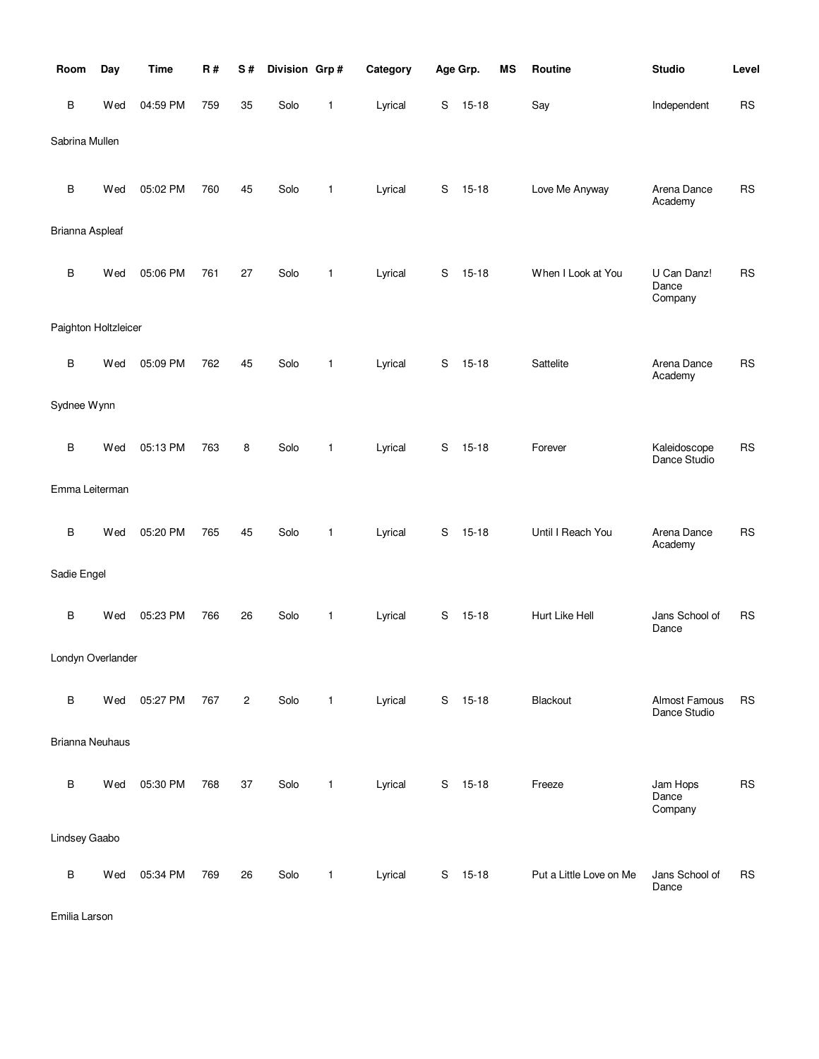| Room                   | Day | <b>Time</b> | <b>R#</b> | S#             | Division Grp# |   | Category |             | Age Grp.  | <b>MS</b> | Routine                 | <b>Studio</b>                   | Level     |
|------------------------|-----|-------------|-----------|----------------|---------------|---|----------|-------------|-----------|-----------|-------------------------|---------------------------------|-----------|
| В                      | Wed | 04:59 PM    | 759       | 35             | Solo          | 1 | Lyrical  | S           | $15 - 18$ |           | Say                     | Independent                     | <b>RS</b> |
| Sabrina Mullen         |     |             |           |                |               |   |          |             |           |           |                         |                                 |           |
| В                      | Wed | 05:02 PM    | 760       | 45             | Solo          | 1 | Lyrical  | S           | $15 - 18$ |           | Love Me Anyway          | Arena Dance<br>Academy          | <b>RS</b> |
| Brianna Aspleaf        |     |             |           |                |               |   |          |             |           |           |                         |                                 |           |
| В                      | Wed | 05:06 PM    | 761       | 27             | Solo          | 1 | Lyrical  | S           | $15 - 18$ |           | When I Look at You      | U Can Danz!<br>Dance<br>Company | <b>RS</b> |
| Paighton Holtzleicer   |     |             |           |                |               |   |          |             |           |           |                         |                                 |           |
| B                      | Wed | 05:09 PM    | 762       | 45             | Solo          | 1 | Lyrical  | S           | $15 - 18$ |           | Sattelite               | Arena Dance<br>Academy          | <b>RS</b> |
| Sydnee Wynn            |     |             |           |                |               |   |          |             |           |           |                         |                                 |           |
| В                      | Wed | 05:13 PM    | 763       | 8              | Solo          | 1 | Lyrical  | $\mathbf S$ | $15 - 18$ |           | Forever                 | Kaleidoscope<br>Dance Studio    | <b>RS</b> |
| Emma Leiterman         |     |             |           |                |               |   |          |             |           |           |                         |                                 |           |
| B                      | Wed | 05:20 PM    | 765       | 45             | Solo          | 1 | Lyrical  | S           | $15 - 18$ |           | Until I Reach You       | Arena Dance<br>Academy          | <b>RS</b> |
| Sadie Engel            |     |             |           |                |               |   |          |             |           |           |                         |                                 |           |
| В                      | Wed | 05:23 PM    | 766       | 26             | Solo          | 1 | Lyrical  | S           | $15 - 18$ |           | Hurt Like Hell          | Jans School of<br>Dance         | <b>RS</b> |
| Londyn Overlander      |     |             |           |                |               |   |          |             |           |           |                         |                                 |           |
| В                      | Wed | 05:27 PM    | 767       | $\overline{c}$ | Solo          | 1 | Lyrical  | S           | $15 - 18$ |           | Blackout                | Almost Famous<br>Dance Studio   | <b>RS</b> |
| <b>Brianna Neuhaus</b> |     |             |           |                |               |   |          |             |           |           |                         |                                 |           |
| В                      | Wed | 05:30 PM    | 768       | 37             | Solo          | 1 | Lyrical  | $\mathbf S$ | $15 - 18$ |           | Freeze                  | Jam Hops<br>Dance<br>Company    | <b>RS</b> |
| Lindsey Gaabo          |     |             |           |                |               |   |          |             |           |           |                         |                                 |           |
| В                      | Wed | 05:34 PM    | 769       | 26             | Solo          | 1 | Lyrical  | S           | $15 - 18$ |           | Put a Little Love on Me | Jans School of<br>Dance         | <b>RS</b> |

Emilia Larson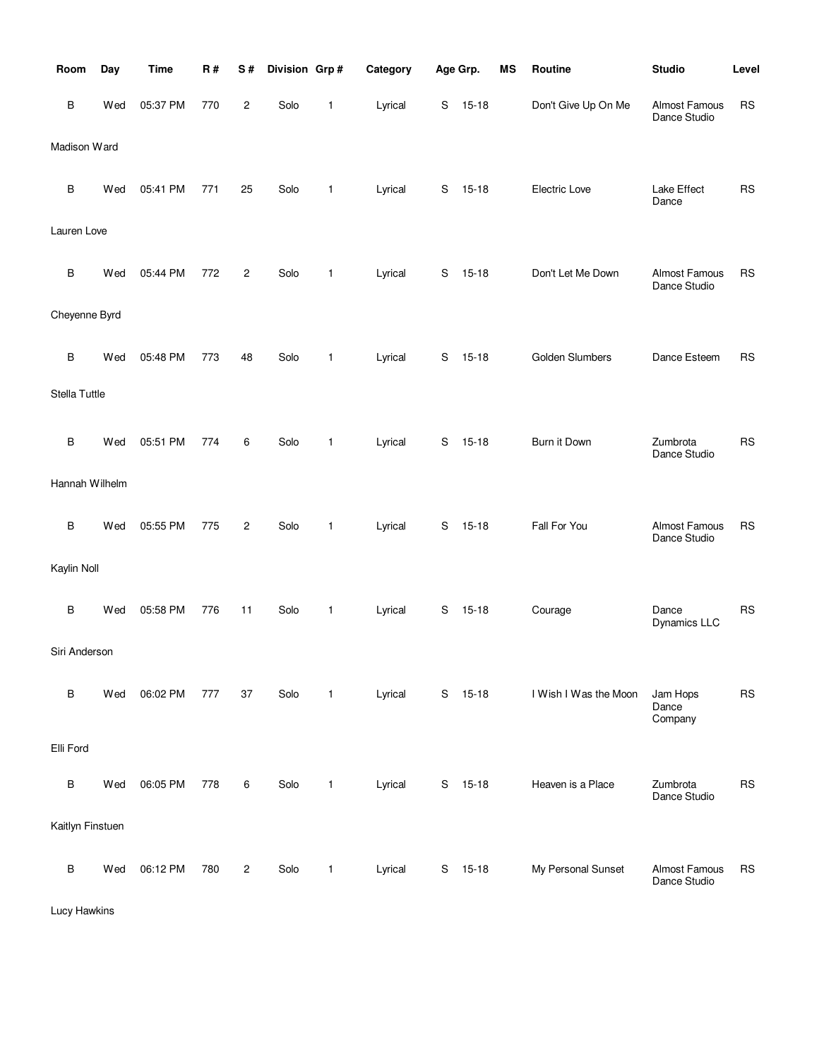| Room             | Day | <b>Time</b> | <b>R#</b> | S#             | Division Grp# |              | Category |   | Age Grp.  | MS | Routine               | <b>Studio</b>                        | Level     |
|------------------|-----|-------------|-----------|----------------|---------------|--------------|----------|---|-----------|----|-----------------------|--------------------------------------|-----------|
| в                | Wed | 05:37 PM    | 770       | $\overline{c}$ | Solo          | 1            | Lyrical  | S | $15 - 18$ |    | Don't Give Up On Me   | <b>Almost Famous</b><br>Dance Studio | <b>RS</b> |
| Madison Ward     |     |             |           |                |               |              |          |   |           |    |                       |                                      |           |
| В                | Wed | 05:41 PM    | 771       | 25             | Solo          | 1            | Lyrical  | S | $15 - 18$ |    | Electric Love         | Lake Effect<br>Dance                 | <b>RS</b> |
| Lauren Love      |     |             |           |                |               |              |          |   |           |    |                       |                                      |           |
| В                | Wed | 05:44 PM    | 772       | 2              | Solo          | 1            | Lyrical  | S | $15 - 18$ |    | Don't Let Me Down     | Almost Famous<br>Dance Studio        | <b>RS</b> |
| Cheyenne Byrd    |     |             |           |                |               |              |          |   |           |    |                       |                                      |           |
| B                | Wed | 05:48 PM    | 773       | 48             | Solo          | 1            | Lyrical  | S | $15 - 18$ |    | Golden Slumbers       | Dance Esteem                         | <b>RS</b> |
| Stella Tuttle    |     |             |           |                |               |              |          |   |           |    |                       |                                      |           |
| B                | Wed | 05:51 PM    | 774       | 6              | Solo          | 1            | Lyrical  | S | $15 - 18$ |    | Burn it Down          | Zumbrota<br>Dance Studio             | <b>RS</b> |
| Hannah Wilhelm   |     |             |           |                |               |              |          |   |           |    |                       |                                      |           |
| В                | Wed | 05:55 PM    | 775       | 2              | Solo          | 1            | Lyrical  | S | $15 - 18$ |    | Fall For You          | Almost Famous<br>Dance Studio        | <b>RS</b> |
| Kaylin Noll      |     |             |           |                |               |              |          |   |           |    |                       |                                      |           |
| B                | Wed | 05:58 PM    | 776       | 11             | Solo          | 1            | Lyrical  | S | $15-18$   |    | Courage               | Dance<br>Dynamics LLC                | <b>RS</b> |
| Siri Anderson    |     |             |           |                |               |              |          |   |           |    |                       |                                      |           |
| B                | Wed | 06:02 PM    | 777       | 37             | Solo          | $\mathbf{1}$ | Lyrical  | S | $15 - 18$ |    | I Wish I Was the Moon | Jam Hops<br>Dance<br>Company         | <b>RS</b> |
| Elli Ford        |     |             |           |                |               |              |          |   |           |    |                       |                                      |           |
| В                | Wed | 06:05 PM    | 778       | 6              | Solo          | 1            | Lyrical  | S | $15 - 18$ |    | Heaven is a Place     | Zumbrota<br>Dance Studio             | <b>RS</b> |
| Kaitlyn Finstuen |     |             |           |                |               |              |          |   |           |    |                       |                                      |           |
| в                | Wed | 06:12 PM    | 780       | $\overline{c}$ | Solo          | $\mathbf{1}$ | Lyrical  | S | $15 - 18$ |    | My Personal Sunset    | Almost Famous<br>Dance Studio        | <b>RS</b> |

Lucy Hawkins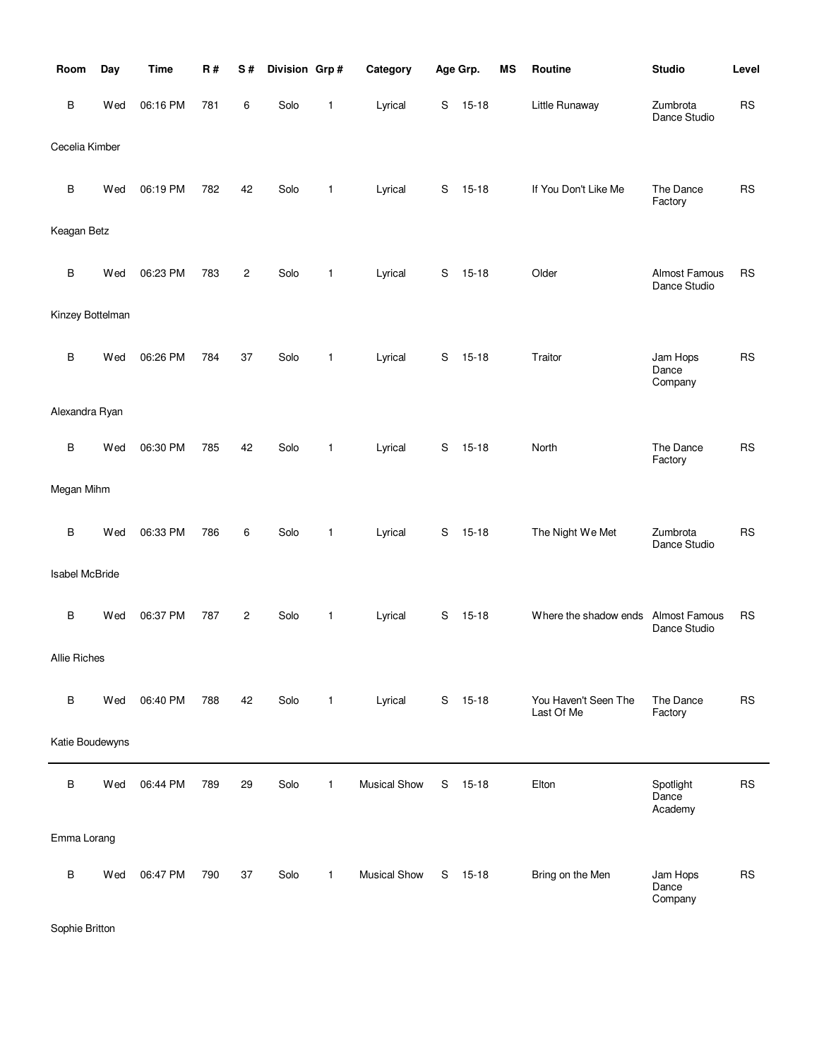| Room                  | Day | <b>Time</b> | R#  | S#                      | Division Grp# |              | Category            |   | Age Grp.  | MS | Routine                            | <b>Studio</b>                        | Level     |
|-----------------------|-----|-------------|-----|-------------------------|---------------|--------------|---------------------|---|-----------|----|------------------------------------|--------------------------------------|-----------|
| В                     | Wed | 06:16 PM    | 781 | 6                       | Solo          | 1            | Lyrical             | S | $15 - 18$ |    | Little Runaway                     | Zumbrota<br>Dance Studio             | <b>RS</b> |
| Cecelia Kimber        |     |             |     |                         |               |              |                     |   |           |    |                                    |                                      |           |
| В                     | Wed | 06:19 PM    | 782 | 42                      | Solo          | 1            | Lyrical             | S | $15 - 18$ |    | If You Don't Like Me               | The Dance<br>Factory                 | <b>RS</b> |
| Keagan Betz           |     |             |     |                         |               |              |                     |   |           |    |                                    |                                      |           |
| В                     | Wed | 06:23 PM    | 783 | $\overline{\mathbf{c}}$ | Solo          | 1            | Lyrical             | S | $15 - 18$ |    | Older                              | Almost Famous<br>Dance Studio        | <b>RS</b> |
| Kinzey Bottelman      |     |             |     |                         |               |              |                     |   |           |    |                                    |                                      |           |
| B                     | Wed | 06:26 PM    | 784 | 37                      | Solo          | 1            | Lyrical             | S | $15 - 18$ |    | Traitor                            | Jam Hops<br>Dance<br>Company         | <b>RS</b> |
| Alexandra Ryan        |     |             |     |                         |               |              |                     |   |           |    |                                    |                                      |           |
| В                     | Wed | 06:30 PM    | 785 | 42                      | Solo          | $\mathbf{1}$ | Lyrical             | S | $15 - 18$ |    | North                              | The Dance<br>Factory                 | <b>RS</b> |
| Megan Mihm            |     |             |     |                         |               |              |                     |   |           |    |                                    |                                      |           |
| B                     | Wed | 06:33 PM    | 786 | 6                       | Solo          | 1            | Lyrical             | S | $15 - 18$ |    | The Night We Met                   | Zumbrota<br>Dance Studio             | <b>RS</b> |
| <b>Isabel McBride</b> |     |             |     |                         |               |              |                     |   |           |    |                                    |                                      |           |
| В                     | Wed | 06:37 PM    | 787 | 2                       | Solo          | 1            | Lyrical             | S | $15 - 18$ |    | Where the shadow ends              | <b>Almost Famous</b><br>Dance Studio | <b>RS</b> |
| Allie Riches          |     |             |     |                         |               |              |                     |   |           |    |                                    |                                      |           |
| B                     | Wed | 06:40 PM    | 788 | 42                      | Solo          | $\mathbf{1}$ | Lyrical             |   | S 15-18   |    | You Haven't Seen The<br>Last Of Me | The Dance<br>Factory                 | <b>RS</b> |
| Katie Boudewyns       |     |             |     |                         |               |              |                     |   |           |    |                                    |                                      |           |
| В                     | Wed | 06:44 PM    | 789 | 29                      | Solo          | $\mathbf{1}$ | <b>Musical Show</b> | S | $15 - 18$ |    | Elton                              | Spotlight<br>Dance<br>Academy        | <b>RS</b> |
| Emma Lorang           |     |             |     |                         |               |              |                     |   |           |    |                                    |                                      |           |
| В                     | Wed | 06:47 PM    | 790 | 37                      | Solo          | $\mathbf{1}$ | <b>Musical Show</b> | S | 15-18     |    | Bring on the Men                   | Jam Hops<br>Dance<br>Company         | <b>RS</b> |

Sophie Britton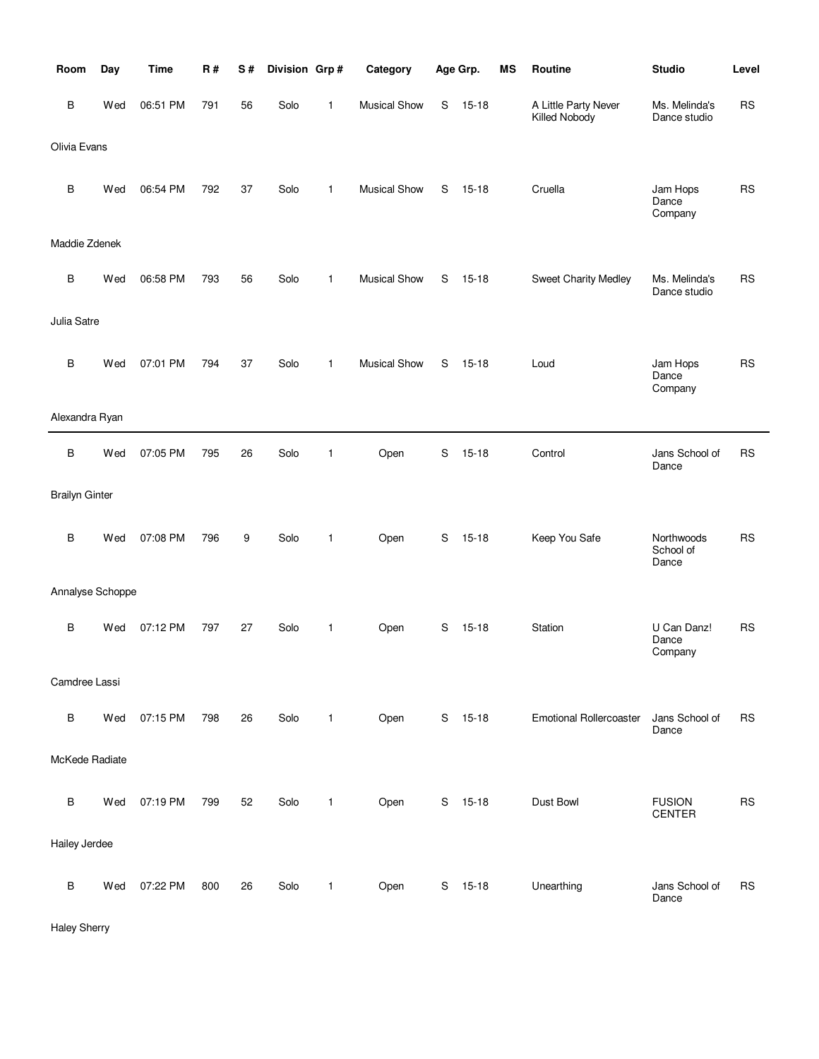| Room                  | Day | <b>Time</b> | R#  | S# | Division Grp# |              | Category            |             | Age Grp.  | <b>MS</b> | Routine                               | <b>Studio</b>                    | Level     |
|-----------------------|-----|-------------|-----|----|---------------|--------------|---------------------|-------------|-----------|-----------|---------------------------------------|----------------------------------|-----------|
| B                     | Wed | 06:51 PM    | 791 | 56 | Solo          | 1            | <b>Musical Show</b> | S           | $15 - 18$ |           | A Little Party Never<br>Killed Nobody | Ms. Melinda's<br>Dance studio    | <b>RS</b> |
| Olivia Evans          |     |             |     |    |               |              |                     |             |           |           |                                       |                                  |           |
| В                     | Wed | 06:54 PM    | 792 | 37 | Solo          | $\mathbf{1}$ | <b>Musical Show</b> | S           | $15 - 18$ |           | Cruella                               | Jam Hops<br>Dance<br>Company     | <b>RS</b> |
| Maddie Zdenek         |     |             |     |    |               |              |                     |             |           |           |                                       |                                  |           |
| B                     | Wed | 06:58 PM    | 793 | 56 | Solo          | $\mathbf{1}$ | <b>Musical Show</b> | S           | $15 - 18$ |           | Sweet Charity Medley                  | Ms. Melinda's<br>Dance studio    | <b>RS</b> |
| Julia Satre           |     |             |     |    |               |              |                     |             |           |           |                                       |                                  |           |
| B                     | Wed | 07:01 PM    | 794 | 37 | Solo          | $\mathbf{1}$ | <b>Musical Show</b> | S           | $15 - 18$ |           | Loud                                  | Jam Hops<br>Dance<br>Company     | <b>RS</b> |
| Alexandra Ryan        |     |             |     |    |               |              |                     |             |           |           |                                       |                                  |           |
| B                     | Wed | 07:05 PM    | 795 | 26 | Solo          | 1            | Open                | $\mathbf S$ | $15 - 18$ |           | Control                               | Jans School of<br>Dance          | <b>RS</b> |
| <b>Brailyn Ginter</b> |     |             |     |    |               |              |                     |             |           |           |                                       |                                  |           |
| B                     | Wed | 07:08 PM    | 796 | 9  | Solo          | 1            | Open                | S           | $15 - 18$ |           | Keep You Safe                         | Northwoods<br>School of<br>Dance | <b>RS</b> |
| Annalyse Schoppe      |     |             |     |    |               |              |                     |             |           |           |                                       |                                  |           |
| B                     | Wed | 07:12 PM    | 797 | 27 | Solo          | 1            | Open                | S           | $15 - 18$ |           | Station                               | U Can Danz!<br>Dance<br>Company  | <b>RS</b> |
| Camdree Lassi         |     |             |     |    |               |              |                     |             |           |           |                                       |                                  |           |
| B                     | Wed | 07:15 PM    | 798 | 26 | Solo          | $\mathbf{1}$ | Open                |             | S 15-18   |           | <b>Emotional Rollercoaster</b>        | Jans School of<br>Dance          | <b>RS</b> |
| McKede Radiate        |     |             |     |    |               |              |                     |             |           |           |                                       |                                  |           |
| B                     | Wed | 07:19 PM    | 799 | 52 | Solo          | 1            | Open                | S           | 15-18     |           | Dust Bowl                             | <b>FUSION</b><br><b>CENTER</b>   | <b>RS</b> |
| Hailey Jerdee         |     |             |     |    |               |              |                     |             |           |           |                                       |                                  |           |
| B                     | Wed | 07:22 PM    | 800 | 26 | Solo          | $\mathbf{1}$ | Open                | S           | 15-18     |           | Unearthing                            | Jans School of<br>Dance          | <b>RS</b> |

Haley Sherry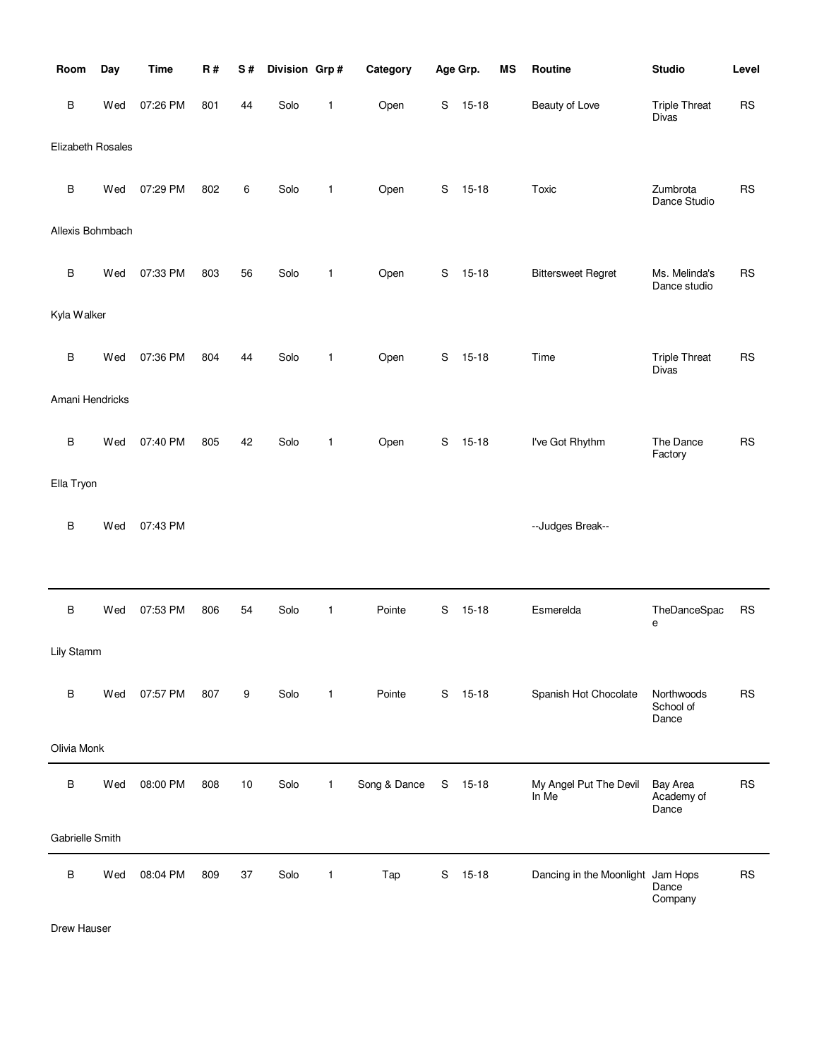| Room              | Day | <b>Time</b> | R#  | S# | Division Grp# |              | Category     |             | Age Grp.  | MS | Routine                           | <b>Studio</b>                        | Level     |
|-------------------|-----|-------------|-----|----|---------------|--------------|--------------|-------------|-----------|----|-----------------------------------|--------------------------------------|-----------|
| B                 | Wed | 07:26 PM    | 801 | 44 | Solo          | 1            | Open         | S           | $15 - 18$ |    | Beauty of Love                    | <b>Triple Threat</b><br><b>Divas</b> | <b>RS</b> |
| Elizabeth Rosales |     |             |     |    |               |              |              |             |           |    |                                   |                                      |           |
| B                 | Wed | 07:29 PM    | 802 | 6  | Solo          | 1            | Open         | S           | $15 - 18$ |    | Toxic                             | Zumbrota<br>Dance Studio             | <b>RS</b> |
| Allexis Bohmbach  |     |             |     |    |               |              |              |             |           |    |                                   |                                      |           |
| B                 | Wed | 07:33 PM    | 803 | 56 | Solo          | 1            | Open         | S           | $15 - 18$ |    | <b>Bittersweet Regret</b>         | Ms. Melinda's<br>Dance studio        | <b>RS</b> |
| Kyla Walker       |     |             |     |    |               |              |              |             |           |    |                                   |                                      |           |
| B                 | Wed | 07:36 PM    | 804 | 44 | Solo          | 1            | Open         | S           | $15 - 18$ |    | Time                              | <b>Triple Threat</b><br>Divas        | <b>RS</b> |
| Amani Hendricks   |     |             |     |    |               |              |              |             |           |    |                                   |                                      |           |
| B                 | Wed | 07:40 PM    | 805 | 42 | Solo          | 1            | Open         | S           | $15 - 18$ |    | I've Got Rhythm                   | The Dance<br>Factory                 | <b>RS</b> |
| Ella Tryon        |     |             |     |    |               |              |              |             |           |    |                                   |                                      |           |
| B                 | Wed | 07:43 PM    |     |    |               |              |              |             |           |    | --Judges Break--                  |                                      |           |
|                   |     |             |     |    |               |              |              |             |           |    |                                   |                                      |           |
| $\sf B$           | Wed | 07:53 PM    | 806 | 54 | Solo          | 1            | Pointe       | S           | $15 - 18$ |    | Esmerelda                         | TheDanceSpac<br>е                    | <b>RS</b> |
| Lily Stamm        |     |             |     |    |               |              |              |             |           |    |                                   |                                      |           |
| B                 | Wed | 07:57 PM    | 807 | 9  | Solo          | $\mathbf{1}$ | Pointe       | S           | $15 - 18$ |    | Spanish Hot Chocolate             | Northwoods<br>School of<br>Dance     | <b>RS</b> |
| Olivia Monk       |     |             |     |    |               |              |              |             |           |    |                                   |                                      |           |
| B                 | Wed | 08:00 PM    | 808 | 10 | Solo          | $\mathbf{1}$ | Song & Dance | $\mathbf S$ | $15 - 18$ |    | My Angel Put The Devil<br>In Me   | Bay Area<br>Academy of<br>Dance      | <b>RS</b> |
| Gabrielle Smith   |     |             |     |    |               |              |              |             |           |    |                                   |                                      |           |
| B                 | Wed | 08:04 PM    | 809 | 37 | Solo          | 1            | Tap          | S           | $15 - 18$ |    | Dancing in the Moonlight Jam Hops | Dance<br>Company                     | <b>RS</b> |

Drew Hauser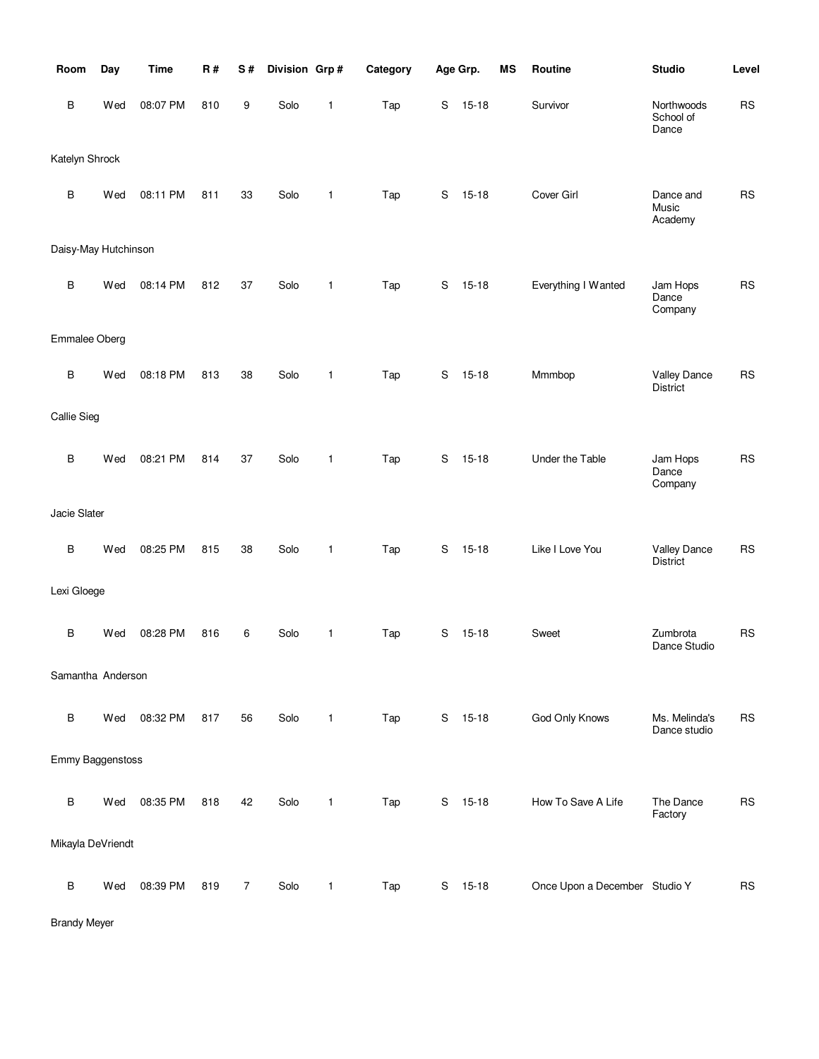| Room                 | Day | <b>Time</b> | R#  | S#             | Division Grp# |              | Category |   | Age Grp.  | <b>MS</b> | Routine                       | <b>Studio</b>                          | Level      |
|----------------------|-----|-------------|-----|----------------|---------------|--------------|----------|---|-----------|-----------|-------------------------------|----------------------------------------|------------|
| B                    | Wed | 08:07 PM    | 810 | 9              | Solo          | 1            | Tap      | S | $15 - 18$ |           | Survivor                      | Northwoods<br>School of<br>Dance       | ${\sf RS}$ |
| Katelyn Shrock       |     |             |     |                |               |              |          |   |           |           |                               |                                        |            |
| $\sf B$              | Wed | 08:11 PM    | 811 | 33             | Solo          | $\mathbf{1}$ | Tap      | S | $15 - 18$ |           | Cover Girl                    | Dance and<br>Music<br>Academy          | <b>RS</b>  |
| Daisy-May Hutchinson |     |             |     |                |               |              |          |   |           |           |                               |                                        |            |
| B                    | Wed | 08:14 PM    | 812 | 37             | Solo          | $\mathbf{1}$ | Tap      | S | $15 - 18$ |           | Everything I Wanted           | Jam Hops<br>Dance<br>Company           | <b>RS</b>  |
| Emmalee Oberg        |     |             |     |                |               |              |          |   |           |           |                               |                                        |            |
| $\sf B$              | Wed | 08:18 PM    | 813 | 38             | Solo          | 1            | Tap      | S | $15 - 18$ |           | Mmmbop                        | <b>Valley Dance</b><br><b>District</b> | <b>RS</b>  |
| <b>Callie Sieg</b>   |     |             |     |                |               |              |          |   |           |           |                               |                                        |            |
| $\sf B$              | Wed | 08:21 PM    | 814 | 37             | Solo          | 1            | Tap      | S | $15 - 18$ |           | Under the Table               | Jam Hops<br>Dance<br>Company           | <b>RS</b>  |
| Jacie Slater         |     |             |     |                |               |              |          |   |           |           |                               |                                        |            |
| $\sf B$              | Wed | 08:25 PM    | 815 | 38             | Solo          | 1            | Tap      | S | $15 - 18$ |           | Like I Love You               | Valley Dance<br><b>District</b>        | <b>RS</b>  |
| Lexi Gloege          |     |             |     |                |               |              |          |   |           |           |                               |                                        |            |
| B                    | Wed | 08:28 PM    | 816 | 6              | Solo          | 1            | Tap      | S | $15 - 18$ |           | Sweet                         | Zumbrota<br>Dance Studio               | <b>RS</b>  |
| Samantha Anderson    |     |             |     |                |               |              |          |   |           |           |                               |                                        |            |
| $\sf B$              | Wed | 08:32 PM    | 817 | 56             | Solo          | $\mathbf{1}$ | Tap      | S | $15 - 18$ |           | God Only Knows                | Ms. Melinda's<br>Dance studio          | <b>RS</b>  |
| Emmy Baggenstoss     |     |             |     |                |               |              |          |   |           |           |                               |                                        |            |
| $\sf B$              | Wed | 08:35 PM    | 818 | 42             | Solo          | $\mathbf{1}$ | Tap      | S | $15 - 18$ |           | How To Save A Life            | The Dance<br>Factory                   | <b>RS</b>  |
| Mikayla DeVriendt    |     |             |     |                |               |              |          |   |           |           |                               |                                        |            |
| В                    | Wed | 08:39 PM    | 819 | $\overline{7}$ | Solo          | $\mathbf{1}$ | Tap      | S | $15 - 18$ |           | Once Upon a December Studio Y |                                        | <b>RS</b>  |

Brandy Meyer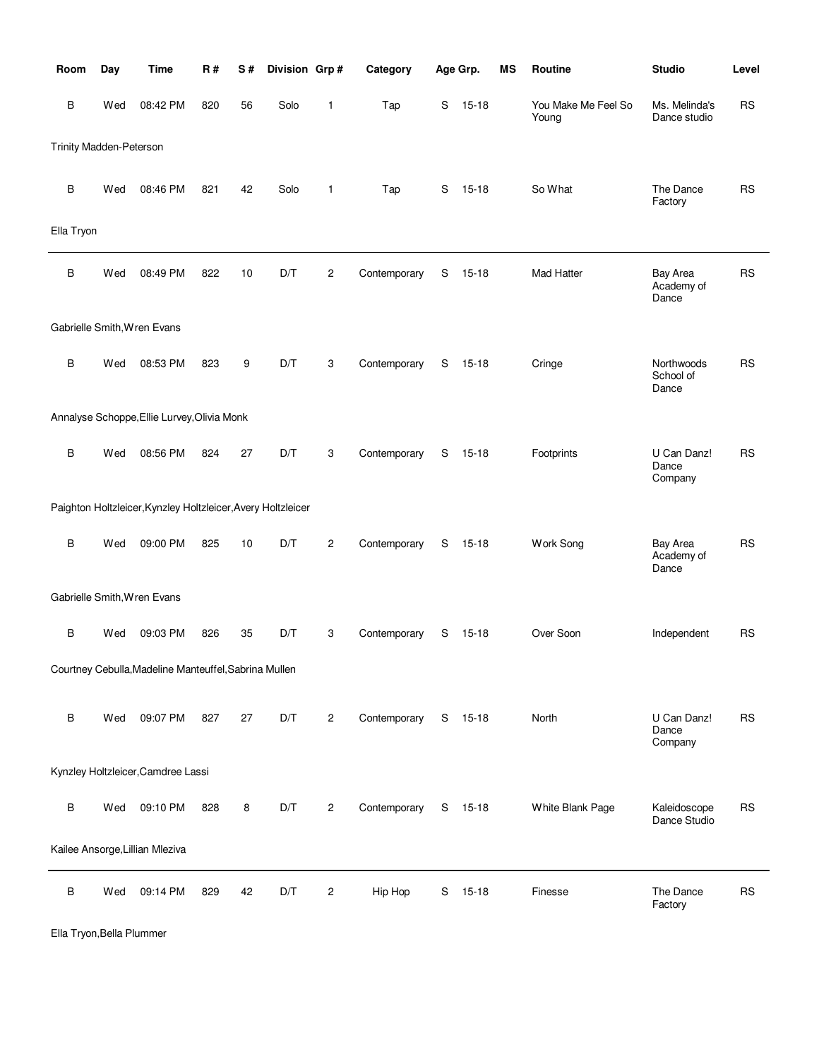| Room                    | Day | <b>Time</b>                                                  | <b>R#</b> | S# | Division Grp# |                | Category     |   | Age Grp.  | MS | Routine                      | <b>Studio</b>                    | Level     |
|-------------------------|-----|--------------------------------------------------------------|-----------|----|---------------|----------------|--------------|---|-----------|----|------------------------------|----------------------------------|-----------|
| В                       | Wed | 08:42 PM                                                     | 820       | 56 | Solo          | 1              | Tap          | S | $15 - 18$ |    | You Make Me Feel So<br>Young | Ms. Melinda's<br>Dance studio    | RS        |
| Trinity Madden-Peterson |     |                                                              |           |    |               |                |              |   |           |    |                              |                                  |           |
| B                       | Wed | 08:46 PM                                                     | 821       | 42 | Solo          | 1              | Tap          | S | $15 - 18$ |    | So What                      | The Dance<br>Factory             | <b>RS</b> |
| Ella Tryon              |     |                                                              |           |    |               |                |              |   |           |    |                              |                                  |           |
| B                       | Wed | 08:49 PM                                                     | 822       | 10 | D/T           | 2              | Contemporary | S | $15 - 18$ |    | Mad Hatter                   | Bay Area<br>Academy of<br>Dance  | RS        |
|                         |     | Gabrielle Smith, Wren Evans                                  |           |    |               |                |              |   |           |    |                              |                                  |           |
| В                       | Wed | 08:53 PM                                                     | 823       | 9  | D/T           | 3              | Contemporary | S | $15 - 18$ |    | Cringe                       | Northwoods<br>School of<br>Dance | <b>RS</b> |
|                         |     | Annalyse Schoppe, Ellie Lurvey, Olivia Monk                  |           |    |               |                |              |   |           |    |                              |                                  |           |
| B                       | Wed | 08:56 PM                                                     | 824       | 27 | D/T           | 3              | Contemporary | S | $15 - 18$ |    | Footprints                   | U Can Danz!<br>Dance<br>Company  | <b>RS</b> |
|                         |     | Paighton Holtzleicer, Kynzley Holtzleicer, Avery Holtzleicer |           |    |               |                |              |   |           |    |                              |                                  |           |
| $\sf B$                 | Wed | 09:00 PM                                                     | 825       | 10 | D/T           | 2              | Contemporary | S | $15 - 18$ |    | Work Song                    | Bay Area<br>Academy of<br>Dance  | <b>RS</b> |
|                         |     | Gabrielle Smith, Wren Evans                                  |           |    |               |                |              |   |           |    |                              |                                  |           |
| В                       | Wed | 09:03 PM                                                     | 826       | 35 | D/T           | 3              | Contemporary | S | $15 - 18$ |    | Over Soon                    | Independent                      | <b>RS</b> |
|                         |     | Courtney Cebulla, Madeline Manteuffel, Sabrina Mullen        |           |    |               |                |              |   |           |    |                              |                                  |           |
| $\sf B$                 | Wed | 09:07 PM                                                     | 827       | 27 | D/T           | $\overline{c}$ | Contemporary |   | S 15-18   |    | North                        | U Can Danz!<br>Dance<br>Company  | <b>RS</b> |
|                         |     | Kynzley Holtzleicer, Camdree Lassi                           |           |    |               |                |              |   |           |    |                              |                                  |           |
| В                       | Wed | 09:10 PM                                                     | 828       | 8  | D/T           | $\overline{c}$ | Contemporary |   | S 15-18   |    | White Blank Page             | Kaleidoscope<br>Dance Studio     | <b>RS</b> |
|                         |     | Kailee Ansorge, Lillian Mleziva                              |           |    |               |                |              |   |           |    |                              |                                  |           |
| В                       | Wed | 09:14 PM                                                     | 829       | 42 | D/T           | 2              | Hip Hop      |   | S 15-18   |    | Finesse                      | The Dance<br>Factory             | <b>RS</b> |

Ella Tryon,Bella Plummer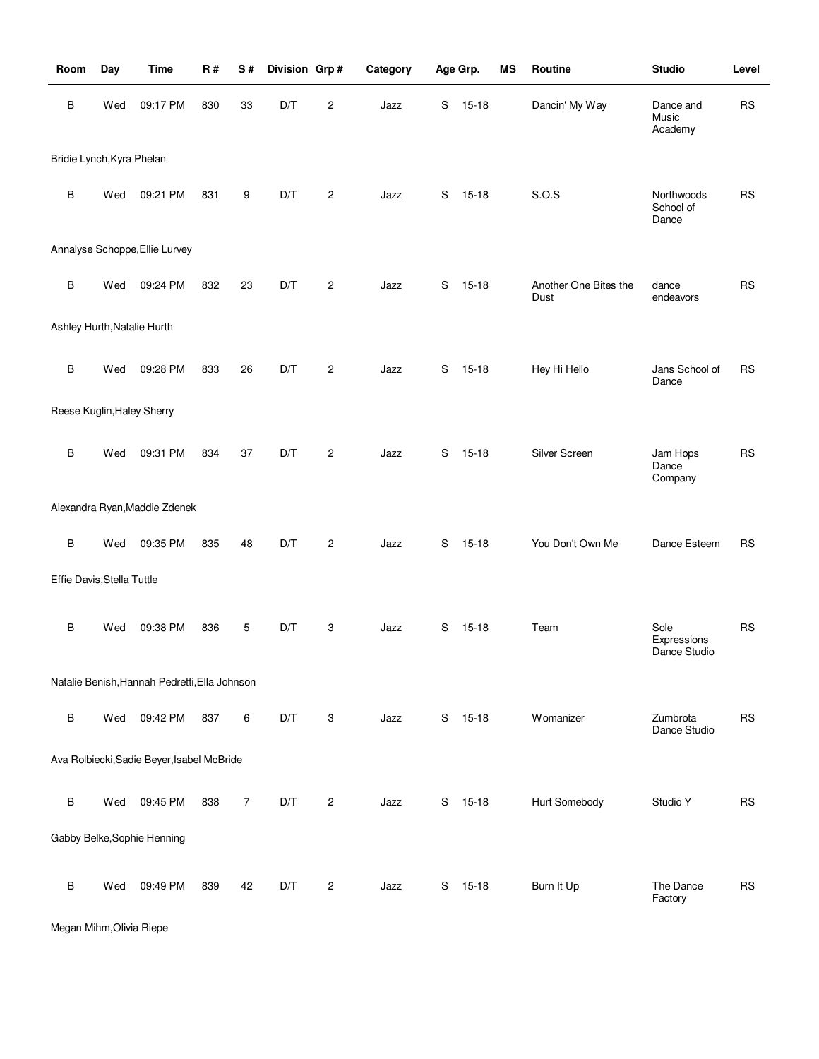| Room                        | Day | <b>Time</b>                                   | <b>R#</b> | S#             | Division Grp# |                | Category |   | Age Grp.  | <b>MS</b> | Routine                       | <b>Studio</b>                       | Level     |
|-----------------------------|-----|-----------------------------------------------|-----------|----------------|---------------|----------------|----------|---|-----------|-----------|-------------------------------|-------------------------------------|-----------|
| B                           | Wed | 09:17 PM                                      | 830       | 33             | D/T           | 2              | Jazz     | S | $15 - 18$ |           | Dancin' My Way                | Dance and<br>Music<br>Academy       | <b>RS</b> |
| Bridie Lynch, Kyra Phelan   |     |                                               |           |                |               |                |          |   |           |           |                               |                                     |           |
| $\sf B$                     | Wed | 09:21 PM                                      | 831       | 9              | D/T           | $\overline{c}$ | Jazz     | S | 15-18     |           | S.O.S                         | Northwoods<br>School of<br>Dance    | <b>RS</b> |
|                             |     | Annalyse Schoppe, Ellie Lurvey                |           |                |               |                |          |   |           |           |                               |                                     |           |
| B                           | Wed | 09:24 PM                                      | 832       | 23             | D/T           | $\overline{c}$ | Jazz     | S | $15 - 18$ |           | Another One Bites the<br>Dust | dance<br>endeavors                  | <b>RS</b> |
| Ashley Hurth, Natalie Hurth |     |                                               |           |                |               |                |          |   |           |           |                               |                                     |           |
| $\sf B$                     | Wed | 09:28 PM                                      | 833       | 26             | D/T           | $\mathbf{2}$   | Jazz     | S | $15 - 18$ |           | Hey Hi Hello                  | Jans School of<br>Dance             | <b>RS</b> |
| Reese Kuglin, Haley Sherry  |     |                                               |           |                |               |                |          |   |           |           |                               |                                     |           |
| $\sf B$                     | Wed | 09:31 PM                                      | 834       | 37             | D/T           | $\mathbf{2}$   | Jazz     | S | $15 - 18$ |           | Silver Screen                 | Jam Hops<br>Dance<br>Company        | <b>RS</b> |
|                             |     | Alexandra Ryan, Maddie Zdenek                 |           |                |               |                |          |   |           |           |                               |                                     |           |
| $\sf B$                     | Wed | 09:35 PM                                      | 835       | 48             | D/T           | $\mathbf{2}$   | Jazz     | S | $15 - 18$ |           | You Don't Own Me              | Dance Esteem                        | <b>RS</b> |
| Effie Davis, Stella Tuttle  |     |                                               |           |                |               |                |          |   |           |           |                               |                                     |           |
| $\sf B$                     | Wed | 09:38 PM                                      | 836       | 5              | D/T           | 3              | Jazz     | S | $15 - 18$ |           | Team                          | Sole<br>Expressions<br>Dance Studio | <b>RS</b> |
|                             |     | Natalie Benish, Hannah Pedretti, Ella Johnson |           |                |               |                |          |   |           |           |                               |                                     |           |
| $\sf B$                     | Wed | 09:42 PM                                      | 837       | 6              | D/T           | 3              | Jazz     | S | $15 - 18$ |           | Womanizer                     | Zumbrota<br>Dance Studio            | <b>RS</b> |
|                             |     | Ava Rolbiecki, Sadie Beyer, Isabel McBride    |           |                |               |                |          |   |           |           |                               |                                     |           |
| B                           | Wed | 09:45 PM                                      | 838       | $\overline{7}$ | D/T           | $\overline{c}$ | Jazz     |   | S 15-18   |           | Hurt Somebody                 | Studio Y                            | <b>RS</b> |
|                             |     | Gabby Belke, Sophie Henning                   |           |                |               |                |          |   |           |           |                               |                                     |           |
| В                           | Wed | 09:49 PM                                      | 839       | 42             | D/T           | 2              | Jazz     | S | $15 - 18$ |           | Burn It Up                    | The Dance<br>Factory                | <b>RS</b> |

Megan Mihm,Olivia Riepe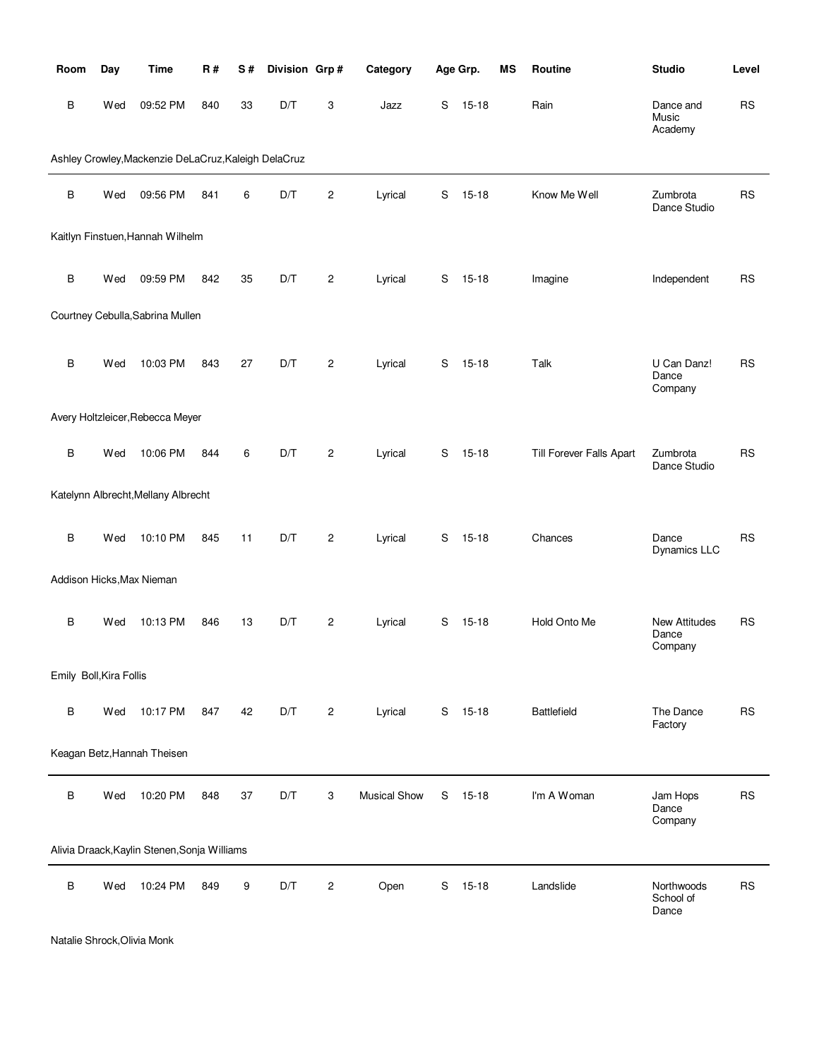| Room                    | Day | <b>Time</b>                                          | <b>R#</b> | S# | Division Grp# |                  | Category            |   | Age Grp.  | MS | <b>Routine</b>           | <b>Studio</b>                            | Level     |
|-------------------------|-----|------------------------------------------------------|-----------|----|---------------|------------------|---------------------|---|-----------|----|--------------------------|------------------------------------------|-----------|
| B                       | Wed | 09:52 PM                                             | 840       | 33 | D/T           | 3                | Jazz                | S | $15 - 18$ |    | Rain                     | Dance and<br>Music<br>Academy            | <b>RS</b> |
|                         |     | Ashley Crowley, Mackenzie DeLaCruz, Kaleigh DelaCruz |           |    |               |                  |                     |   |           |    |                          |                                          |           |
| $\sf B$                 | Wed | 09:56 PM                                             | 841       | 6  | D/T           | $\overline{c}$   | Lyrical             | S | $15 - 18$ |    | Know Me Well             | Zumbrota<br>Dance Studio                 | <b>RS</b> |
|                         |     | Kaitlyn Finstuen, Hannah Wilhelm                     |           |    |               |                  |                     |   |           |    |                          |                                          |           |
| $\sf B$                 | Wed | 09:59 PM                                             | 842       | 35 | D/T           | $\boldsymbol{2}$ | Lyrical             | S | $15 - 18$ |    | Imagine                  | Independent                              | <b>RS</b> |
|                         |     | Courtney Cebulla, Sabrina Mullen                     |           |    |               |                  |                     |   |           |    |                          |                                          |           |
| $\sf B$                 | Wed | 10:03 PM                                             | 843       | 27 | D/T           | $\overline{c}$   | Lyrical             | S | $15 - 18$ |    | Talk                     | U Can Danz!<br>Dance<br>Company          | <b>RS</b> |
|                         |     | Avery Holtzleicer, Rebecca Meyer                     |           |    |               |                  |                     |   |           |    |                          |                                          |           |
| B                       | Wed | 10:06 PM                                             | 844       | 6  | D/T           | $\overline{c}$   | Lyrical             | S | $15 - 18$ |    | Till Forever Falls Apart | Zumbrota<br>Dance Studio                 | <b>RS</b> |
|                         |     | Katelynn Albrecht, Mellany Albrecht                  |           |    |               |                  |                     |   |           |    |                          |                                          |           |
| B                       | Wed | 10:10 PM                                             | 845       | 11 | D/T           | $\overline{c}$   | Lyrical             | S | $15 - 18$ |    | Chances                  | Dance<br>Dynamics LLC                    | <b>RS</b> |
|                         |     | Addison Hicks, Max Nieman                            |           |    |               |                  |                     |   |           |    |                          |                                          |           |
| B                       | Wed | 10:13 PM                                             | 846       | 13 | D/T           | $\overline{c}$   | Lyrical             | S | $15 - 18$ |    | Hold Onto Me             | <b>New Attitudes</b><br>Dance<br>Company | <b>RS</b> |
| Emily Boll, Kira Follis |     |                                                      |           |    |               |                  |                     |   |           |    |                          |                                          |           |
| B                       | Wed | 10:17 PM                                             | 847       | 42 | D/T           | $\overline{c}$   | Lyrical             |   | S 15-18   |    | <b>Battlefield</b>       | The Dance<br>Factory                     | <b>RS</b> |
|                         |     | Keagan Betz, Hannah Theisen                          |           |    |               |                  |                     |   |           |    |                          |                                          |           |
| $\sf B$                 | Wed | 10:20 PM                                             | 848       | 37 | D/T           | 3                | <b>Musical Show</b> | S | 15-18     |    | I'm A Woman              | Jam Hops<br>Dance<br>Company             | <b>RS</b> |
|                         |     | Alivia Draack, Kaylin Stenen, Sonja Williams         |           |    |               |                  |                     |   |           |    |                          |                                          |           |
| B                       | Wed | 10:24 PM                                             | 849       | 9  | D/T           | $\overline{c}$   | Open                | S | $15 - 18$ |    | Landslide                | Northwoods<br>School of<br>Dance         | <b>RS</b> |

Natalie Shrock,Olivia Monk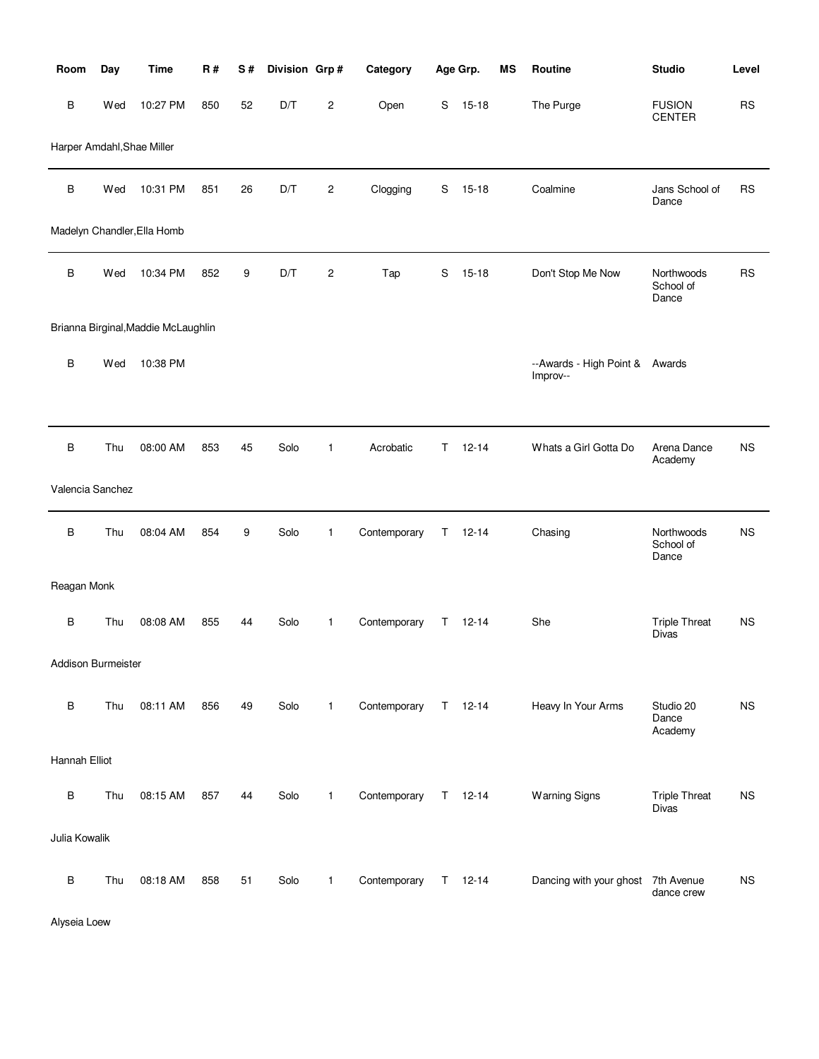| Room                       | Day | <b>Time</b>                         | <b>R#</b> | S# | Division Grp# |                  | Category     |             | Age Grp.      | MS | Routine                                    | <b>Studio</b>                    | Level     |
|----------------------------|-----|-------------------------------------|-----------|----|---------------|------------------|--------------|-------------|---------------|----|--------------------------------------------|----------------------------------|-----------|
| B                          | Wed | 10:27 PM                            | 850       | 52 | D/T           | $\overline{c}$   | Open         | S           | $15 - 18$     |    | The Purge                                  | <b>FUSION</b><br>CENTER          | <b>RS</b> |
| Harper Amdahl, Shae Miller |     |                                     |           |    |               |                  |              |             |               |    |                                            |                                  |           |
| B                          | Wed | 10:31 PM                            | 851       | 26 | D/T           | 2                | Clogging     | $\mathbf S$ | $15 - 18$     |    | Coalmine                                   | Jans School of<br>Dance          | <b>RS</b> |
|                            |     | Madelyn Chandler, Ella Homb         |           |    |               |                  |              |             |               |    |                                            |                                  |           |
| B                          | Wed | 10:34 PM                            | 852       | 9  | D/T           | $\boldsymbol{2}$ | Tap          | S           | $15 - 18$     |    | Don't Stop Me Now                          | Northwoods<br>School of<br>Dance | <b>RS</b> |
|                            |     | Brianna Birginal, Maddie McLaughlin |           |    |               |                  |              |             |               |    |                                            |                                  |           |
| B                          | Wed | 10:38 PM                            |           |    |               |                  |              |             |               |    | --Awards - High Point & Awards<br>Improv-- |                                  |           |
| B                          | Thu | 08:00 AM                            | 853       | 45 | Solo          | $\mathbf{1}$     | Acrobatic    | Τ           | $12 - 14$     |    | Whats a Girl Gotta Do                      | Arena Dance<br>Academy           | <b>NS</b> |
| Valencia Sanchez           |     |                                     |           |    |               |                  |              |             |               |    |                                            |                                  |           |
| B                          | Thu | 08:04 AM                            | 854       | 9  | Solo          | $\mathbf{1}$     | Contemporary | Τ           | $12 - 14$     |    | Chasing                                    | Northwoods<br>School of<br>Dance | <b>NS</b> |
| Reagan Monk                |     |                                     |           |    |               |                  |              |             |               |    |                                            |                                  |           |
| B                          | Thu | 08:08 AM                            | 855       | 44 | Solo          | $\mathbf{1}$     | Contemporary | Τ           | $12 - 14$     |    | She                                        | <b>Triple Threat</b><br>Divas    | <b>NS</b> |
| Addison Burmeister         |     |                                     |           |    |               |                  |              |             |               |    |                                            |                                  |           |
| B                          | Thu | 08:11 AM                            | 856       | 49 | Solo          | $\mathbf{1}$     | Contemporary |             | $T = 12 - 14$ |    | Heavy In Your Arms                         | Studio 20<br>Dance<br>Academy    | <b>NS</b> |
| Hannah Elliot              |     |                                     |           |    |               |                  |              |             |               |    |                                            |                                  |           |
| $\sf B$                    | Thu | 08:15 AM                            | 857       | 44 | Solo          | $\mathbf{1}$     | Contemporary |             | $T = 12-14$   |    | <b>Warning Signs</b>                       | <b>Triple Threat</b><br>Divas    | <b>NS</b> |
| Julia Kowalik              |     |                                     |           |    |               |                  |              |             |               |    |                                            |                                  |           |
| B                          | Thu | 08:18 AM                            | 858       | 51 | Solo          | $\mathbf{1}$     | Contemporary | T           | $12 - 14$     |    | Dancing with your ghost                    | 7th Avenue<br>dance crew         | <b>NS</b> |

Alyseia Loew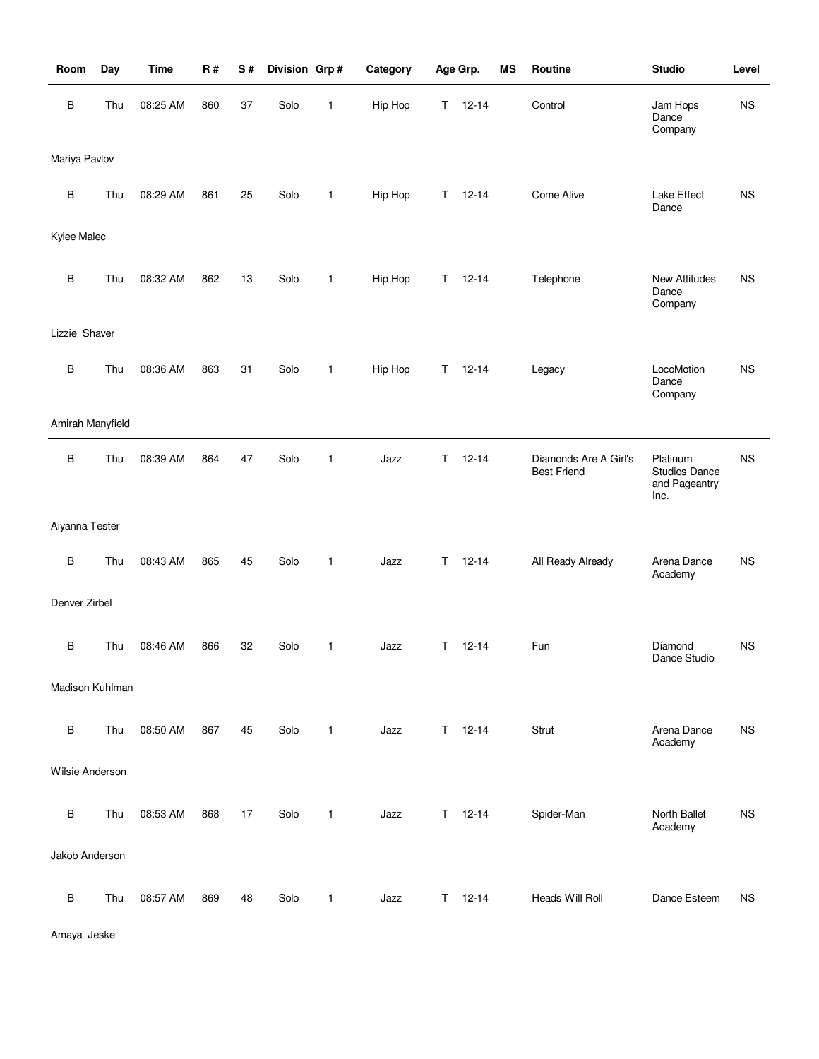| Room             | Day | <b>Time</b> | R#  | S# | Division Grp# |              | Category |    | Age Grp.      | <b>MS</b> | Routine                                     | <b>Studio</b>                                             | Level     |
|------------------|-----|-------------|-----|----|---------------|--------------|----------|----|---------------|-----------|---------------------------------------------|-----------------------------------------------------------|-----------|
| В                | Thu | 08:25 AM    | 860 | 37 | Solo          | 1            | Hip Hop  | T. | $12 - 14$     |           | Control                                     | Jam Hops<br>Dance<br>Company                              | <b>NS</b> |
| Mariya Pavlov    |     |             |     |    |               |              |          |    |               |           |                                             |                                                           |           |
| $\sf B$          | Thu | 08:29 AM    | 861 | 25 | Solo          | $\mathbf{1}$ | Hip Hop  | Τ  | $12 - 14$     |           | Come Alive                                  | Lake Effect<br>Dance                                      | <b>NS</b> |
| Kylee Malec      |     |             |     |    |               |              |          |    |               |           |                                             |                                                           |           |
| B                | Thu | 08:32 AM    | 862 | 13 | Solo          | $\mathbf{1}$ | Hip Hop  | T. | $12 - 14$     |           | Telephone                                   | <b>New Attitudes</b><br>Dance<br>Company                  | <b>NS</b> |
| Lizzie Shaver    |     |             |     |    |               |              |          |    |               |           |                                             |                                                           |           |
| $\sf B$          | Thu | 08:36 AM    | 863 | 31 | Solo          | $\mathbf{1}$ | Hip Hop  | T. | $12 - 14$     |           | Legacy                                      | LocoMotion<br>Dance<br>Company                            | <b>NS</b> |
| Amirah Manyfield |     |             |     |    |               |              |          |    |               |           |                                             |                                                           |           |
| B                | Thu | 08:39 AM    | 864 | 47 | Solo          | $\mathbf{1}$ | Jazz     | T. | $12 - 14$     |           | Diamonds Are A Girl's<br><b>Best Friend</b> | Platinum<br><b>Studios Dance</b><br>and Pageantry<br>Inc. | <b>NS</b> |
| Aiyanna Tester   |     |             |     |    |               |              |          |    |               |           |                                             |                                                           |           |
| $\sf B$          | Thu | 08:43 AM    | 865 | 45 | Solo          | $\mathbf{1}$ | Jazz     | T. | $12 - 14$     |           | All Ready Already                           | Arena Dance<br>Academy                                    | <b>NS</b> |
| Denver Zirbel    |     |             |     |    |               |              |          |    |               |           |                                             |                                                           |           |
| B                | Thu | 08:46 AM    | 866 | 32 | Solo          | 1            | Jazz     | T. | $12 - 14$     |           | Fun                                         | Diamond<br>Dance Studio                                   | <b>NS</b> |
| Madison Kuhlman  |     |             |     |    |               |              |          |    |               |           |                                             |                                                           |           |
| $\sf B$          | Thu | 08:50 AM    | 867 | 45 | Solo          | $\mathbf{1}$ | Jazz     |    | $T = 12 - 14$ |           | Strut                                       | Arena Dance<br>Academy                                    | <b>NS</b> |
| Wilsie Anderson  |     |             |     |    |               |              |          |    |               |           |                                             |                                                           |           |
| $\sf B$          | Thu | 08:53 AM    | 868 | 17 | Solo          | $\mathbf{1}$ | Jazz     | Τ  | $12 - 14$     |           | Spider-Man                                  | North Ballet<br>Academy                                   | <b>NS</b> |
| Jakob Anderson   |     |             |     |    |               |              |          |    |               |           |                                             |                                                           |           |
| $\sf B$          | Thu | 08:57 AM    | 869 | 48 | Solo          | $\mathbf{1}$ | Jazz     |    | $T = 12 - 14$ |           | Heads Will Roll                             | Dance Esteem                                              | <b>NS</b> |

Amaya Jeske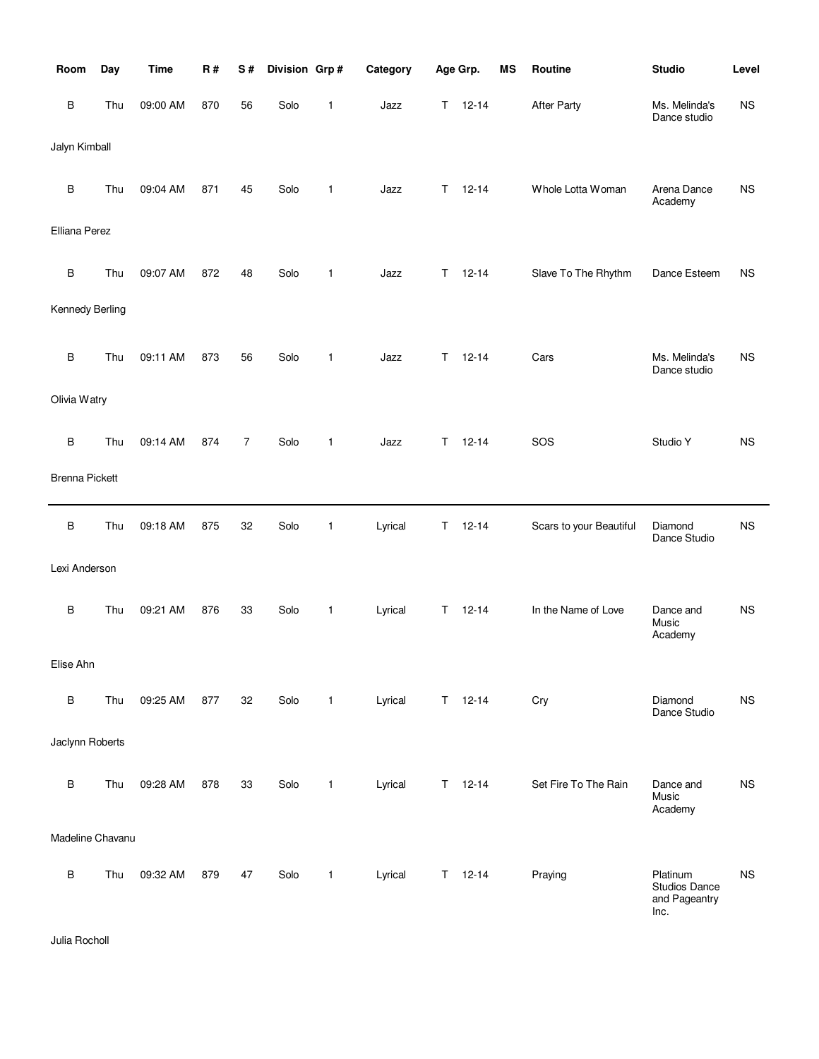| Room                  | Day | <b>Time</b> | R#  | S#             | Division Grp# |              | Category |             | Age Grp.      | <b>MS</b> | Routine                 | <b>Studio</b>                                      | Level     |
|-----------------------|-----|-------------|-----|----------------|---------------|--------------|----------|-------------|---------------|-----------|-------------------------|----------------------------------------------------|-----------|
| В                     | Thu | 09:00 AM    | 870 | 56             | Solo          | 1            | Jazz     | T.          | $12 - 14$     |           | <b>After Party</b>      | Ms. Melinda's<br>Dance studio                      | <b>NS</b> |
| Jalyn Kimball         |     |             |     |                |               |              |          |             |               |           |                         |                                                    |           |
| В                     | Thu | 09:04 AM    | 871 | 45             | Solo          | 1            | Jazz     | Τ           | $12 - 14$     |           | Whole Lotta Woman       | Arena Dance<br>Academy                             | <b>NS</b> |
| Elliana Perez         |     |             |     |                |               |              |          |             |               |           |                         |                                                    |           |
| В                     | Thu | 09:07 AM    | 872 | 48             | Solo          | 1            | Jazz     | T.          | $12 - 14$     |           | Slave To The Rhythm     | Dance Esteem                                       | <b>NS</b> |
| Kennedy Berling       |     |             |     |                |               |              |          |             |               |           |                         |                                                    |           |
| B                     | Thu | 09:11 AM    | 873 | 56             | Solo          | 1            | Jazz     | Τ           | $12 - 14$     |           | Cars                    | Ms. Melinda's<br>Dance studio                      | <b>NS</b> |
| Olivia Watry          |     |             |     |                |               |              |          |             |               |           |                         |                                                    |           |
| В                     | Thu | 09:14 AM    | 874 | $\overline{7}$ | Solo          | 1            | Jazz     | T           | $12 - 14$     |           | SOS                     | Studio Y                                           | <b>NS</b> |
| <b>Brenna Pickett</b> |     |             |     |                |               |              |          |             |               |           |                         |                                                    |           |
| В                     | Thu | 09:18 AM    | 875 | 32             | Solo          | 1            | Lyrical  | $\mathsf T$ | $12 - 14$     |           | Scars to your Beautiful | Diamond<br>Dance Studio                            | <b>NS</b> |
| Lexi Anderson         |     |             |     |                |               |              |          |             |               |           |                         |                                                    |           |
| В                     | Thu | 09:21 AM    | 876 | 33             | Solo          | 1            | Lyrical  | T           | $12 - 14$     |           | In the Name of Love     | Dance and<br>Music<br>Academy                      | <b>NS</b> |
| Elise Ahn             |     |             |     |                |               |              |          |             |               |           |                         |                                                    |           |
| В                     | Thu | 09:25 AM    | 877 | 32             | Solo          | $\mathbf{1}$ | Lyrical  |             | $T = 12 - 14$ |           | Cry                     | Diamond<br>Dance Studio                            | <b>NS</b> |
| Jaclynn Roberts       |     |             |     |                |               |              |          |             |               |           |                         |                                                    |           |
| В                     | Thu | 09:28 AM    | 878 | 33             | Solo          | $\mathbf{1}$ | Lyrical  | T.          | $12 - 14$     |           | Set Fire To The Rain    | Dance and<br>Music<br>Academy                      | <b>NS</b> |
| Madeline Chavanu      |     |             |     |                |               |              |          |             |               |           |                         |                                                    |           |
| В                     | Thu | 09:32 AM    | 879 | 47             | Solo          | $\mathbf{1}$ | Lyrical  |             | $T = 12 - 14$ |           | Praying                 | Platinum<br>Studios Dance<br>and Pageantry<br>Inc. | <b>NS</b> |

Julia Rocholl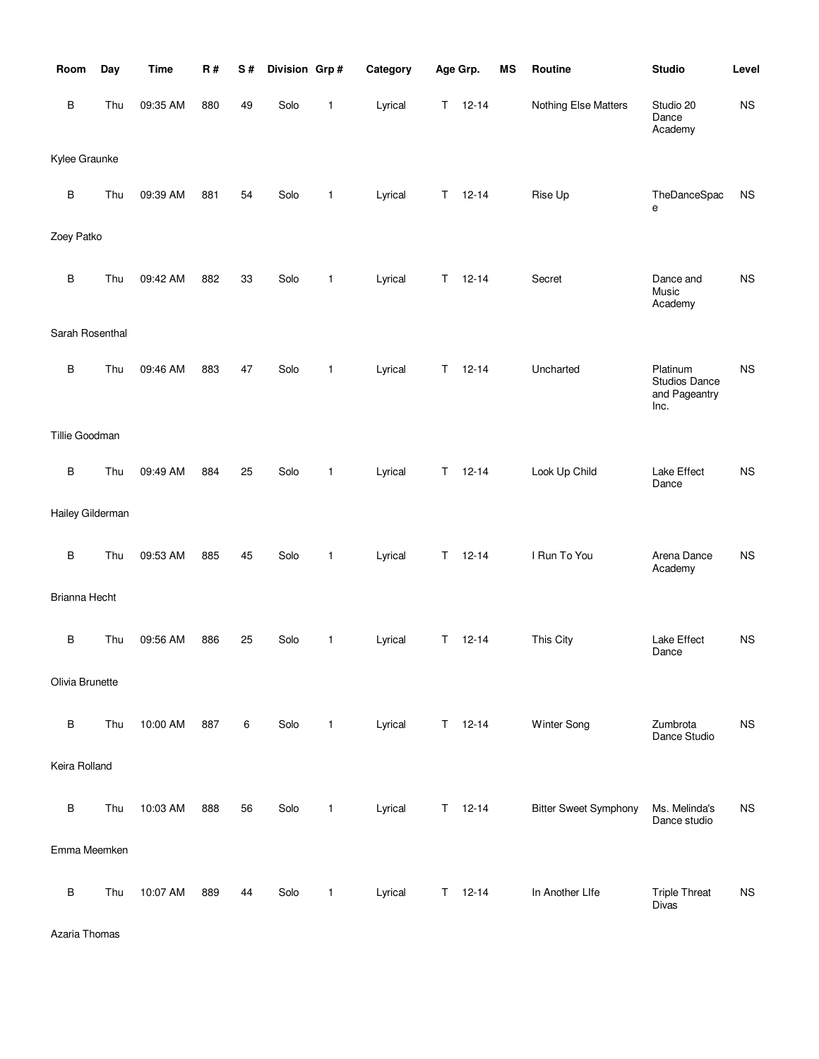| Room             | Day | <b>Time</b> | R#  | S# | Division Grp# |              | Category |    | Age Grp.  | MS | Routine                      | <b>Studio</b>                                      | Level     |
|------------------|-----|-------------|-----|----|---------------|--------------|----------|----|-----------|----|------------------------------|----------------------------------------------------|-----------|
| B                | Thu | 09:35 AM    | 880 | 49 | Solo          | 1            | Lyrical  | Т  | $12 - 14$ |    | Nothing Else Matters         | Studio 20<br>Dance<br>Academy                      | NS        |
| Kylee Graunke    |     |             |     |    |               |              |          |    |           |    |                              |                                                    |           |
| $\sf B$          | Thu | 09:39 AM    | 881 | 54 | Solo          | $\mathbf{1}$ | Lyrical  | Т  | $12 - 14$ |    | Rise Up                      | TheDanceSpac<br>е                                  | <b>NS</b> |
| Zoey Patko       |     |             |     |    |               |              |          |    |           |    |                              |                                                    |           |
| B                | Thu | 09:42 AM    | 882 | 33 | Solo          | $\mathbf{1}$ | Lyrical  | Τ  | $12 - 14$ |    | Secret                       | Dance and<br>Music<br>Academy                      | NS        |
| Sarah Rosenthal  |     |             |     |    |               |              |          |    |           |    |                              |                                                    |           |
| $\sf B$          | Thu | 09:46 AM    | 883 | 47 | Solo          | $\mathbf{1}$ | Lyrical  | T  | $12 - 14$ |    | Uncharted                    | Platinum<br>Studios Dance<br>and Pageantry<br>Inc. | <b>NS</b> |
| Tillie Goodman   |     |             |     |    |               |              |          |    |           |    |                              |                                                    |           |
| B                | Thu | 09:49 AM    | 884 | 25 | Solo          | $\mathbf{1}$ | Lyrical  | Τ  | $12 - 14$ |    | Look Up Child                | Lake Effect<br>Dance                               | <b>NS</b> |
| Hailey Gilderman |     |             |     |    |               |              |          |    |           |    |                              |                                                    |           |
| B                | Thu | 09:53 AM    | 885 | 45 | Solo          | 1            | Lyrical  | Т  | $12 - 14$ |    | I Run To You                 | Arena Dance<br>Academy                             | NS        |
| Brianna Hecht    |     |             |     |    |               |              |          |    |           |    |                              |                                                    |           |
| B                | Thu | 09:56 AM    | 886 | 25 | Solo          | 1            | Lyrical  | Τ  | $12 - 14$ |    | This City                    | Lake Effect<br>Dance                               | <b>NS</b> |
| Olivia Brunette  |     |             |     |    |               |              |          |    |           |    |                              |                                                    |           |
| $\sf B$          | Thu | 10:00 AM    | 887 | 6  | Solo          | $\mathbf{1}$ | Lyrical  | T. | 12-14     |    | Winter Song                  | Zumbrota<br>Dance Studio                           | <b>NS</b> |
| Keira Rolland    |     |             |     |    |               |              |          |    |           |    |                              |                                                    |           |
| $\sf B$          | Thu | 10:03 AM    | 888 | 56 | Solo          | 1            | Lyrical  | T. | $12 - 14$ |    | <b>Bitter Sweet Symphony</b> | Ms. Melinda's<br>Dance studio                      | <b>NS</b> |
| Emma Meemken     |     |             |     |    |               |              |          |    |           |    |                              |                                                    |           |
| $\sf B$          | Thu | 10:07 AM    | 889 | 44 | Solo          | 1            | Lyrical  | Τ  | $12 - 14$ |    | In Another Life              | <b>Triple Threat</b><br>Divas                      | <b>NS</b> |

Azaria Thomas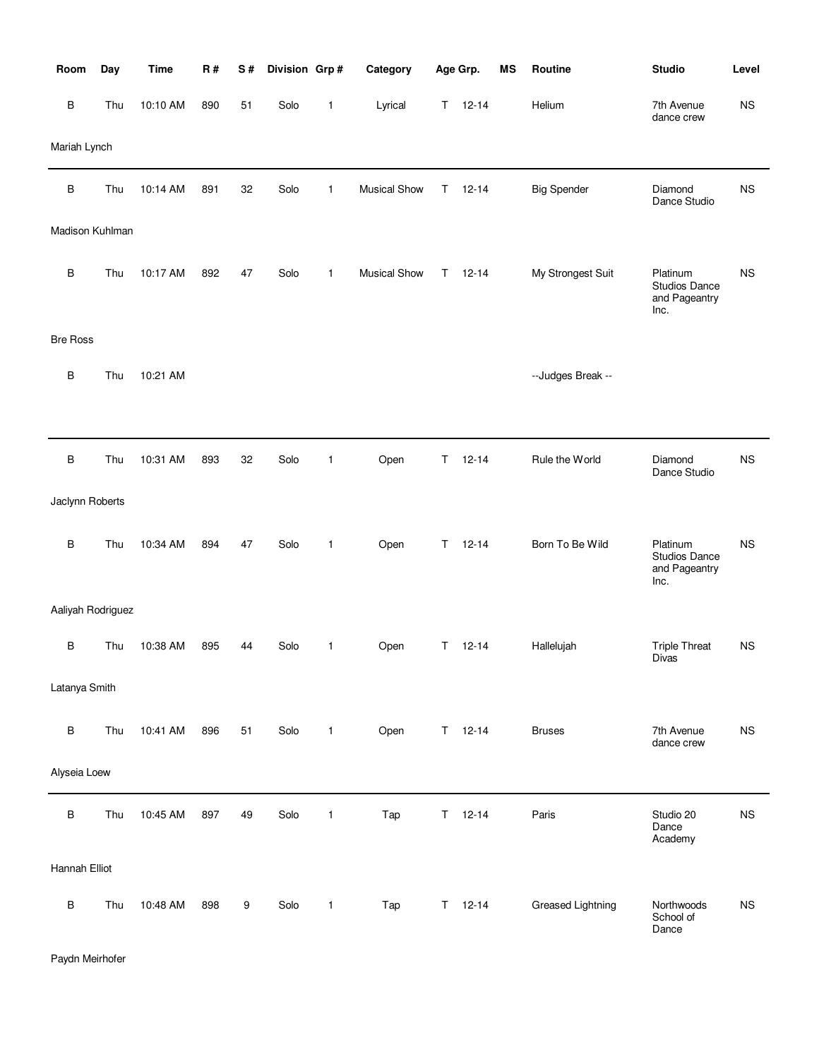| Room              | Day | <b>Time</b> | <b>R#</b> | $\mathbf S$ # | Division Grp# |              | Category            |    | Age Grp.      | <b>MS</b> | Routine            | <b>Studio</b>                                             | Level     |
|-------------------|-----|-------------|-----------|---------------|---------------|--------------|---------------------|----|---------------|-----------|--------------------|-----------------------------------------------------------|-----------|
| B                 | Thu | 10:10 AM    | 890       | 51            | Solo          | $\mathbf{1}$ | Lyrical             | T. | $12 - 14$     |           | Helium             | 7th Avenue<br>dance crew                                  | <b>NS</b> |
| Mariah Lynch      |     |             |           |               |               |              |                     |    |               |           |                    |                                                           |           |
| $\sf B$           | Thu | 10:14 AM    | 891       | 32            | Solo          | 1            | <b>Musical Show</b> | Τ  | $12 - 14$     |           | <b>Big Spender</b> | Diamond<br>Dance Studio                                   | <b>NS</b> |
| Madison Kuhlman   |     |             |           |               |               |              |                     |    |               |           |                    |                                                           |           |
| B                 | Thu | 10:17 AM    | 892       | 47            | Solo          | $\mathbf{1}$ | <b>Musical Show</b> | T. | $12 - 14$     |           | My Strongest Suit  | Platinum<br><b>Studios Dance</b><br>and Pageantry<br>Inc. | <b>NS</b> |
| <b>Bre Ross</b>   |     |             |           |               |               |              |                     |    |               |           |                    |                                                           |           |
| B                 | Thu | 10:21 AM    |           |               |               |              |                     |    |               |           | --Judges Break --  |                                                           |           |
|                   |     |             |           |               |               |              |                     |    |               |           |                    |                                                           |           |
| $\sf B$           | Thu | 10:31 AM    | 893       | 32            | Solo          | 1            | Open                | Τ  | $12 - 14$     |           | Rule the World     | Diamond<br>Dance Studio                                   | <b>NS</b> |
| Jaclynn Roberts   |     |             |           |               |               |              |                     |    |               |           |                    |                                                           |           |
| B                 | Thu | 10:34 AM    | 894       | 47            | Solo          | $\mathbf{1}$ | Open                | T. | $12 - 14$     |           | Born To Be Wild    | Platinum<br><b>Studios Dance</b><br>and Pageantry<br>Inc. | <b>NS</b> |
| Aaliyah Rodriguez |     |             |           |               |               |              |                     |    |               |           |                    |                                                           |           |
| B                 | Thu | 10:38 AM    | 895       | 44            | Solo          | 1            | Open                | T. | $12 - 14$     |           | Hallelujah         | <b>Triple Threat</b><br>Divas                             | <b>NS</b> |
| Latanya Smith     |     |             |           |               |               |              |                     |    |               |           |                    |                                                           |           |
| $\sf B$           | Thu | 10:41 AM    | 896       | 51            | Solo          | $\mathbf{1}$ | Open                |    | $T = 12 - 14$ |           | <b>Bruses</b>      | 7th Avenue<br>dance crew                                  | <b>NS</b> |
| Alyseia Loew      |     |             |           |               |               |              |                     |    |               |           |                    |                                                           |           |
| $\sf B$           | Thu | 10:45 AM    | 897       | 49            | Solo          | $\mathbf{1}$ | Tap                 | T  | $12 - 14$     |           | Paris              | Studio 20<br>Dance<br>Academy                             | <b>NS</b> |
| Hannah Elliot     |     |             |           |               |               |              |                     |    |               |           |                    |                                                           |           |
| $\sf B$           | Thu | 10:48 AM    | 898       | 9             | Solo          | $\mathbf{1}$ | Tap                 |    | $T = 12 - 14$ |           | Greased Lightning  | Northwoods<br>School of<br>Dance                          | <b>NS</b> |

Paydn Meirhofer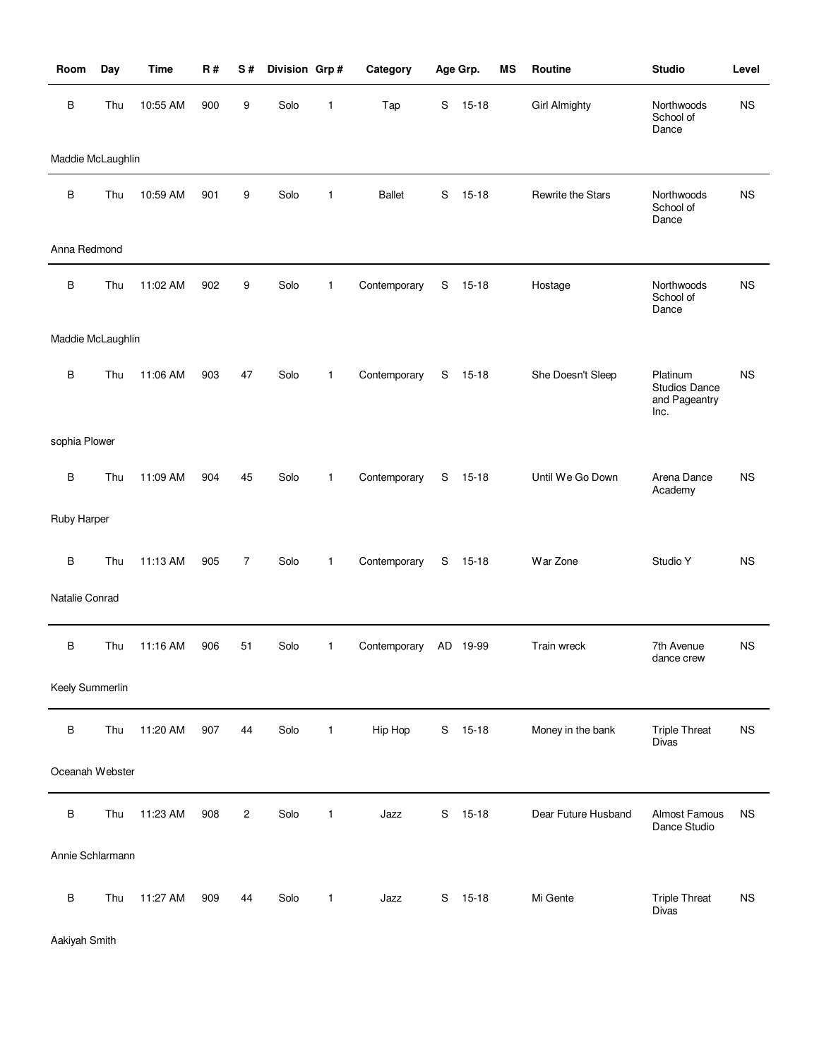| Room              | Day | <b>Time</b> | <b>R#</b> | S#             | Division Grp# |              | Category      |   | Age Grp.  | <b>MS</b> | Routine              | <b>Studio</b>                                      | Level     |
|-------------------|-----|-------------|-----------|----------------|---------------|--------------|---------------|---|-----------|-----------|----------------------|----------------------------------------------------|-----------|
| $\sf B$           | Thu | 10:55 AM    | 900       | 9              | Solo          | 1            | Tap           | S | $15 - 18$ |           | <b>Girl Almighty</b> | Northwoods<br>School of<br>Dance                   | <b>NS</b> |
| Maddie McLaughlin |     |             |           |                |               |              |               |   |           |           |                      |                                                    |           |
| $\sf B$           | Thu | 10:59 AM    | 901       | 9              | Solo          | 1            | <b>Ballet</b> | S | $15 - 18$ |           | Rewrite the Stars    | Northwoods<br>School of<br>Dance                   | <b>NS</b> |
| Anna Redmond      |     |             |           |                |               |              |               |   |           |           |                      |                                                    |           |
| B                 | Thu | 11:02 AM    | 902       | 9              | Solo          | 1            | Contemporary  | S | $15 - 18$ |           | Hostage              | Northwoods<br>School of<br>Dance                   | <b>NS</b> |
| Maddie McLaughlin |     |             |           |                |               |              |               |   |           |           |                      |                                                    |           |
| B                 | Thu | 11:06 AM    | 903       | 47             | Solo          | 1            | Contemporary  | S | 15-18     |           | She Doesn't Sleep    | Platinum<br>Studios Dance<br>and Pageantry<br>Inc. | <b>NS</b> |
| sophia Plower     |     |             |           |                |               |              |               |   |           |           |                      |                                                    |           |
| B                 | Thu | 11:09 AM    | 904       | 45             | Solo          | 1            | Contemporary  | S | $15 - 18$ |           | Until We Go Down     | Arena Dance<br>Academy                             | <b>NS</b> |
| Ruby Harper       |     |             |           |                |               |              |               |   |           |           |                      |                                                    |           |
| $\sf B$           | Thu | 11:13 AM    | 905       | 7              | Solo          | $\mathbf{1}$ | Contemporary  | S | 15-18     |           | War Zone             | Studio Y                                           | <b>NS</b> |
| Natalie Conrad    |     |             |           |                |               |              |               |   |           |           |                      |                                                    |           |
| B                 | Thu | 11:16 AM    | 906       | 51             | Solo          | 1            | Contemporary  |   | AD 19-99  |           | Train wreck          | 7th Avenue<br>dance crew                           | <b>NS</b> |
| Keely Summerlin   |     |             |           |                |               |              |               |   |           |           |                      |                                                    |           |
| $\sf B$           | Thu | 11:20 AM    | 907       | 44             | Solo          | 1            | Hip Hop       |   | S 15-18   |           | Money in the bank    | <b>Triple Threat</b><br>Divas                      | <b>NS</b> |
| Oceanah Webster   |     |             |           |                |               |              |               |   |           |           |                      |                                                    |           |
| $\sf B$           | Thu | 11:23 AM    | 908       | $\overline{c}$ | Solo          | 1            | Jazz          | S | $15 - 18$ |           | Dear Future Husband  | <b>Almost Famous</b><br>Dance Studio               | <b>NS</b> |
| Annie Schlarmann  |     |             |           |                |               |              |               |   |           |           |                      |                                                    |           |
| $\sf B$           | Thu | 11:27 AM    | 909       | 44             | Solo          | 1            | Jazz          | S | $15 - 18$ |           | Mi Gente             | <b>Triple Threat</b><br>Divas                      | <b>NS</b> |

Aakiyah Smith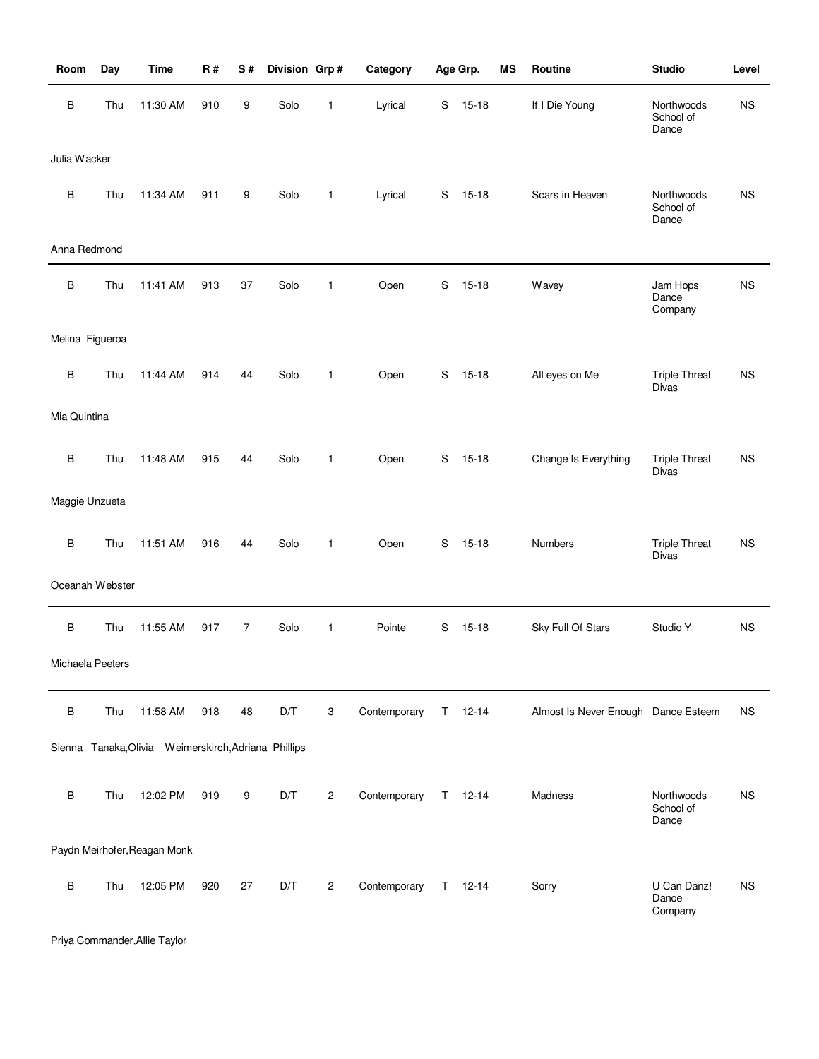| Room             | Day | <b>Time</b>                                          | R#  | S#             | Division Grp# |                | Category     |   | Age Grp.    | MS | Routine                             | <b>Studio</b>                        | Level     |
|------------------|-----|------------------------------------------------------|-----|----------------|---------------|----------------|--------------|---|-------------|----|-------------------------------------|--------------------------------------|-----------|
| В                | Thu | 11:30 AM                                             | 910 | 9              | Solo          | 1              | Lyrical      | S | $15 - 18$   |    | If I Die Young                      | Northwoods<br>School of<br>Dance     | <b>NS</b> |
| Julia Wacker     |     |                                                      |     |                |               |                |              |   |             |    |                                     |                                      |           |
| B                | Thu | 11:34 AM                                             | 911 | 9              | Solo          | $\mathbf{1}$   | Lyrical      | S | $15 - 18$   |    | Scars in Heaven                     | Northwoods<br>School of<br>Dance     | <b>NS</b> |
| Anna Redmond     |     |                                                      |     |                |               |                |              |   |             |    |                                     |                                      |           |
| В                | Thu | 11:41 AM                                             | 913 | 37             | Solo          | 1              | Open         | S | $15 - 18$   |    | Wavey                               | Jam Hops<br>Dance<br>Company         | <b>NS</b> |
| Melina Figueroa  |     |                                                      |     |                |               |                |              |   |             |    |                                     |                                      |           |
| B                | Thu | 11:44 AM                                             | 914 | 44             | Solo          | $\mathbf{1}$   | Open         | S | $15 - 18$   |    | All eyes on Me                      | <b>Triple Threat</b><br><b>Divas</b> | <b>NS</b> |
| Mia Quintina     |     |                                                      |     |                |               |                |              |   |             |    |                                     |                                      |           |
| B                | Thu | 11:48 AM                                             | 915 | 44             | Solo          | $\mathbf{1}$   | Open         | S | $15 - 18$   |    | Change Is Everything                | <b>Triple Threat</b><br><b>Divas</b> | <b>NS</b> |
| Maggie Unzueta   |     |                                                      |     |                |               |                |              |   |             |    |                                     |                                      |           |
| B                | Thu | 11:51 AM                                             | 916 | 44             | Solo          | $\mathbf{1}$   | Open         | S | $15 - 18$   |    | Numbers                             | <b>Triple Threat</b><br><b>Divas</b> | <b>NS</b> |
| Oceanah Webster  |     |                                                      |     |                |               |                |              |   |             |    |                                     |                                      |           |
| B                | Thu | 11:55 AM                                             | 917 | $\overline{7}$ | Solo          | $\mathbf{1}$   | Pointe       | S | $15 - 18$   |    | Sky Full Of Stars                   | Studio Y                             | <b>NS</b> |
| Michaela Peeters |     |                                                      |     |                |               |                |              |   |             |    |                                     |                                      |           |
| В                | Thu | 11:58 AM                                             | 918 | 48             | D/T           | 3              | Contemporary |   | $T = 12-14$ |    | Almost Is Never Enough Dance Esteem |                                      | <b>NS</b> |
|                  |     | Sienna Tanaka, Olivia Weimerskirch, Adriana Phillips |     |                |               |                |              |   |             |    |                                     |                                      |           |
| B                | Thu | 12:02 PM                                             | 919 | 9              | D/T           | $\overline{2}$ | Contemporary |   | $T = 12-14$ |    | Madness                             | Northwoods<br>School of<br>Dance     | <b>NS</b> |
|                  |     | Paydn Meirhofer, Reagan Monk                         |     |                |               |                |              |   |             |    |                                     |                                      |           |
| B                | Thu | 12:05 PM                                             | 920 | 27             | D/T           | $\overline{c}$ | Contemporary |   | T 12-14     |    | Sorry                               | U Can Danz!<br>Dance<br>Company      | <b>NS</b> |

Priya Commander,Allie Taylor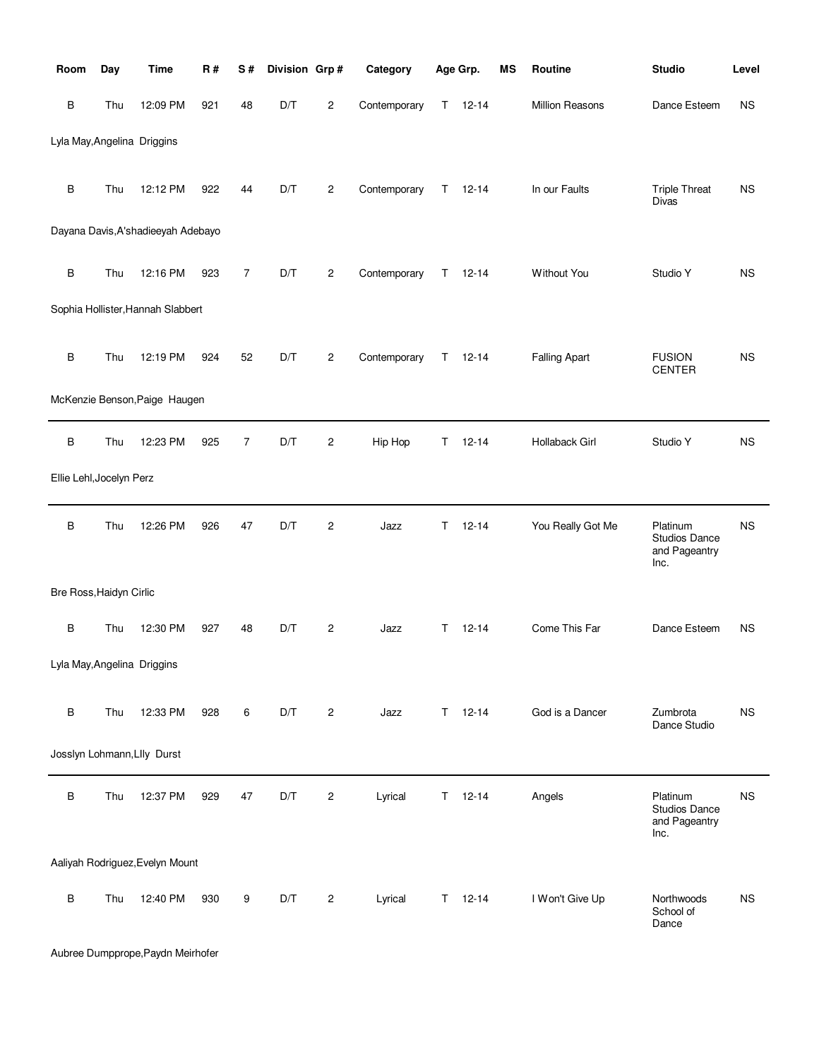| Room                     | Day | <b>Time</b>                        | <b>R#</b> | S#             | Division Grp# |                | Category     |    | Age Grp.      | <b>MS</b> | Routine              | <b>Studio</b>                                             | Level     |
|--------------------------|-----|------------------------------------|-----------|----------------|---------------|----------------|--------------|----|---------------|-----------|----------------------|-----------------------------------------------------------|-----------|
| B                        | Thu | 12:09 PM                           | 921       | 48             | D/T           | $\overline{c}$ | Contemporary | T. | $12 - 14$     |           | Million Reasons      | Dance Esteem                                              | <b>NS</b> |
|                          |     | Lyla May, Angelina Driggins        |           |                |               |                |              |    |               |           |                      |                                                           |           |
| $\sf B$                  | Thu | 12:12 PM                           | 922       | 44             | D/T           | 2              | Contemporary | T. | $12 - 14$     |           | In our Faults        | <b>Triple Threat</b><br><b>Divas</b>                      | <b>NS</b> |
|                          |     | Dayana Davis, A'shadieeyah Adebayo |           |                |               |                |              |    |               |           |                      |                                                           |           |
| $\sf B$                  | Thu | 12:16 PM                           | 923       | $\overline{7}$ | D/T           | 2              | Contemporary | T  | $12 - 14$     |           | Without You          | Studio Y                                                  | <b>NS</b> |
|                          |     | Sophia Hollister, Hannah Slabbert  |           |                |               |                |              |    |               |           |                      |                                                           |           |
| $\sf B$                  | Thu | 12:19 PM                           | 924       | 52             | D/T           | 2              | Contemporary | T. | $12 - 14$     |           | <b>Falling Apart</b> | <b>FUSION</b><br><b>CENTER</b>                            | <b>NS</b> |
|                          |     | McKenzie Benson, Paige Haugen      |           |                |               |                |              |    |               |           |                      |                                                           |           |
| $\sf B$                  | Thu | 12:23 PM                           | 925       | 7              | D/T           | 2              | Hip Hop      | Τ  | $12 - 14$     |           | Hollaback Girl       | Studio Y                                                  | <b>NS</b> |
| Ellie Lehl, Jocelyn Perz |     |                                    |           |                |               |                |              |    |               |           |                      |                                                           |           |
| $\sf B$                  | Thu | 12:26 PM                           | 926       | 47             | D/T           | $\overline{c}$ | Jazz         | Τ  | $12 - 14$     |           | You Really Got Me    | Platinum<br>Studios Dance<br>and Pageantry<br>Inc.        | <b>NS</b> |
| Bre Ross, Haidyn Cirlic  |     |                                    |           |                |               |                |              |    |               |           |                      |                                                           |           |
| $\sf B$                  | Thu | 12:30 PM                           | 927       | 48             | D/T           | $\mathbf{2}$   | Jazz         | T. | $12 - 14$     |           | Come This Far        | Dance Esteem                                              | <b>NS</b> |
|                          |     | Lyla May, Angelina Driggins        |           |                |               |                |              |    |               |           |                      |                                                           |           |
| B                        | Thu | 12:33 PM                           | 928       | 6              | D/T           | $\overline{c}$ | Jazz         |    | $T = 12 - 14$ |           | God is a Dancer      | Zumbrota<br>Dance Studio                                  | <b>NS</b> |
|                          |     | Josslyn Lohmann, Llly Durst        |           |                |               |                |              |    |               |           |                      |                                                           |           |
| $\sf B$                  | Thu | 12:37 PM                           | 929       | 47             | D/T           | $\overline{c}$ | Lyrical      | T. | $12 - 14$     |           | Angels               | Platinum<br><b>Studios Dance</b><br>and Pageantry<br>Inc. | NS        |
|                          |     | Aaliyah Rodriguez, Evelyn Mount    |           |                |               |                |              |    |               |           |                      |                                                           |           |
| $\sf B$                  | Thu | 12:40 PM                           | 930       | 9              | D/T           | 2              | Lyrical      | T. | $12 - 14$     |           | I Won't Give Up      | Northwoods<br>School of<br>Dance                          | <b>NS</b> |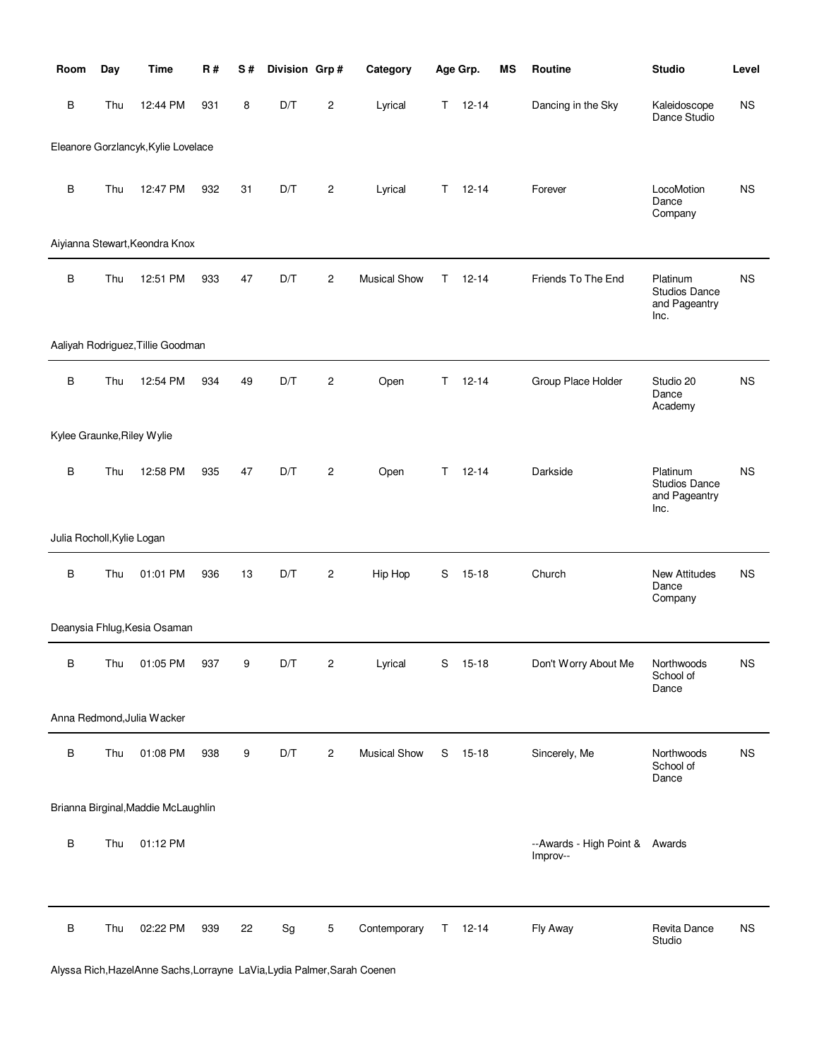| Room                       | Day | <b>Time</b>                         | <b>R#</b> | S# | Division Grp# |                | Category            |    | Age Grp.  | MS | Routine                                    | <b>Studio</b>                                      | Level     |
|----------------------------|-----|-------------------------------------|-----------|----|---------------|----------------|---------------------|----|-----------|----|--------------------------------------------|----------------------------------------------------|-----------|
| B                          | Thu | 12:44 PM                            | 931       | 8  | D/T           | 2              | Lyrical             | T. | $12 - 14$ |    | Dancing in the Sky                         | Kaleidoscope<br>Dance Studio                       | <b>NS</b> |
|                            |     | Eleanore Gorzlancyk, Kylie Lovelace |           |    |               |                |                     |    |           |    |                                            |                                                    |           |
| B                          | Thu | 12:47 PM                            | 932       | 31 | D/T           | $\overline{c}$ | Lyrical             | T. | $12 - 14$ |    | Forever                                    | LocoMotion<br>Dance<br>Company                     | <b>NS</b> |
|                            |     | Aiyianna Stewart, Keondra Knox      |           |    |               |                |                     |    |           |    |                                            |                                                    |           |
| $\, {\bf B}$               | Thu | 12:51 PM                            | 933       | 47 | D/T           | $\overline{c}$ | <b>Musical Show</b> | Τ  | $12 - 14$ |    | Friends To The End                         | Platinum<br>Studios Dance<br>and Pageantry<br>Inc. | <b>NS</b> |
|                            |     | Aaliyah Rodriguez, Tillie Goodman   |           |    |               |                |                     |    |           |    |                                            |                                                    |           |
| B                          | Thu | 12:54 PM                            | 934       | 49 | D/T           | 2              | Open                | Τ  | $12 - 14$ |    | Group Place Holder                         | Studio 20<br>Dance<br>Academy                      | <b>NS</b> |
| Kylee Graunke, Riley Wylie |     |                                     |           |    |               |                |                     |    |           |    |                                            |                                                    |           |
| $\sf B$                    | Thu | 12:58 PM                            | 935       | 47 | D/T           | $\overline{2}$ | Open                | Τ  | $12 - 14$ |    | Darkside                                   | Platinum<br>Studios Dance<br>and Pageantry<br>Inc. | <b>NS</b> |
| Julia Rocholl, Kylie Logan |     |                                     |           |    |               |                |                     |    |           |    |                                            |                                                    |           |
| $\, {\bf B}$               | Thu | 01:01 PM                            | 936       | 13 | D/T           | $\overline{c}$ | Hip Hop             | S  | $15 - 18$ |    | Church                                     | New Attitudes<br>Dance<br>Company                  | <b>NS</b> |
|                            |     | Deanysia Fhlug, Kesia Osaman        |           |    |               |                |                     |    |           |    |                                            |                                                    |           |
| В                          | Thu | 01:05 PM                            | 937       | 9  | D/T           | 2              | Lyrical             | S  | 15-18     |    | Don't Worry About Me                       | Northwoods<br>School of<br>Dance                   | <b>NS</b> |
|                            |     | Anna Redmond, Julia Wacker          |           |    |               |                |                     |    |           |    |                                            |                                                    |           |
| B                          | Thu | 01:08 PM                            | 938       | 9  | D/T           | $\overline{c}$ | <b>Musical Show</b> | S  | $15-18$   |    | Sincerely, Me                              | Northwoods<br>School of<br>Dance                   | <b>NS</b> |
|                            |     | Brianna Birginal, Maddie McLaughlin |           |    |               |                |                     |    |           |    |                                            |                                                    |           |
| B                          | Thu | 01:12 PM                            |           |    |               |                |                     |    |           |    | --Awards - High Point & Awards<br>Improv-- |                                                    |           |
| B                          | Thu | 02:22 PM                            | 939       | 22 | Sg            | 5              | Contemporary        | T. | $12 - 14$ |    | Fly Away                                   | Revita Dance<br>Studio                             | <b>NS</b> |

Alyssa Rich,HazelAnne Sachs,Lorrayne LaVia,Lydia Palmer,Sarah Coenen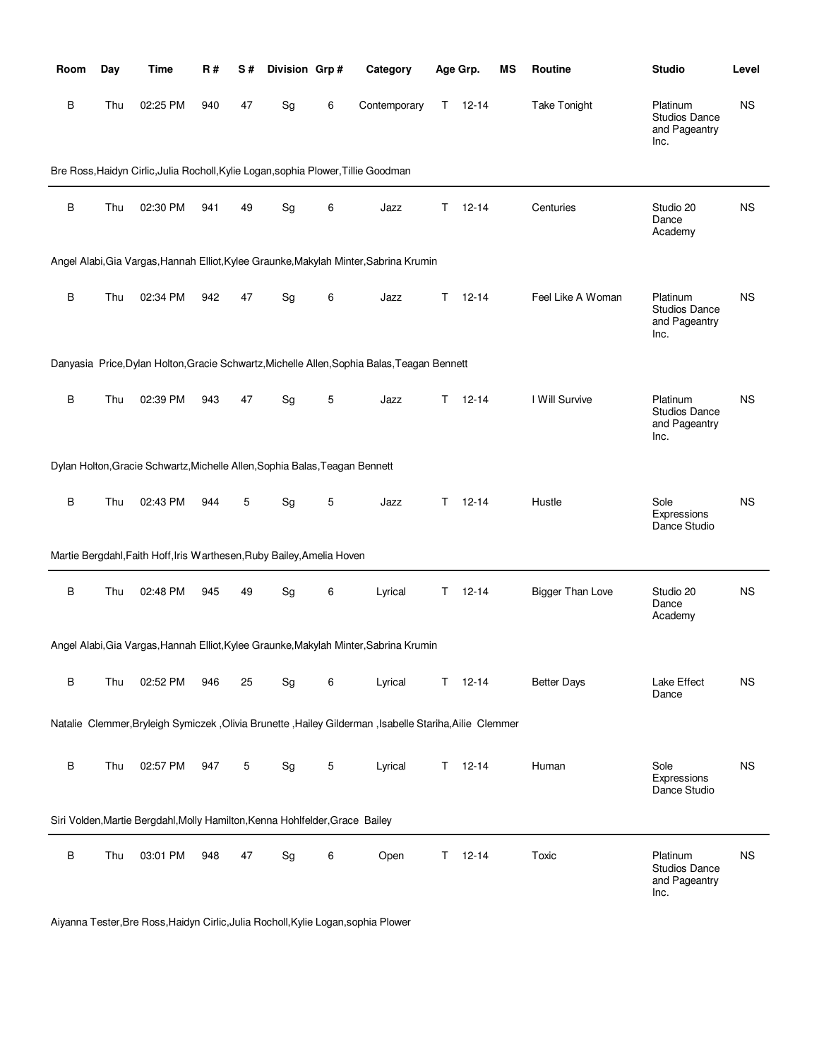| Room    | Day | Time                                                                               | R#  | S# | Division Grp#                |             | Category                                                                                                  |    | Age Grp.      | ΜS | Routine                 | <b>Studio</b>                                             | Level     |
|---------|-----|------------------------------------------------------------------------------------|-----|----|------------------------------|-------------|-----------------------------------------------------------------------------------------------------------|----|---------------|----|-------------------------|-----------------------------------------------------------|-----------|
| В       | Thu | 02:25 PM                                                                           | 940 | 47 | Sg                           | 6           | Contemporary                                                                                              |    | $T = 12 - 14$ |    | <b>Take Tonight</b>     | Platinum<br><b>Studios Dance</b><br>and Pageantry<br>Inc. | <b>NS</b> |
|         |     | Bre Ross, Haidyn Cirlic, Julia Rocholl, Kylie Logan, sophia Plower, Tillie Goodman |     |    |                              |             |                                                                                                           |    |               |    |                         |                                                           |           |
| B       | Thu | 02:30 PM                                                                           | 941 | 49 | Sg                           | 6           | Jazz                                                                                                      | T. | $12 - 14$     |    | Centuries               | Studio 20<br>Dance<br>Academy                             | <b>NS</b> |
|         |     |                                                                                    |     |    |                              |             | Angel Alabi, Gia Vargas, Hannah Elliot, Kylee Graunke, Makylah Minter, Sabrina Krumin                     |    |               |    |                         |                                                           |           |
| B       | Thu | 02:34 PM                                                                           | 942 | 47 | Sg                           | 6           | Jazz                                                                                                      | T. | $12 - 14$     |    | Feel Like A Woman       | Platinum<br><b>Studios Dance</b><br>and Pageantry<br>Inc. | <b>NS</b> |
|         |     |                                                                                    |     |    |                              |             | Danyasia Price, Dylan Holton, Gracie Schwartz, Michelle Allen, Sophia Balas, Teagan Bennett               |    |               |    |                         |                                                           |           |
| B       | Thu | 02:39 PM                                                                           | 943 | 47 | Sg                           | $\mathbf 5$ | Jazz                                                                                                      | T. | $12 - 14$     |    | I Will Survive          | Platinum<br><b>Studios Dance</b><br>and Pageantry<br>Inc. | <b>NS</b> |
|         |     | Dylan Holton, Gracie Schwartz, Michelle Allen, Sophia Balas, Teagan Bennett        |     |    |                              |             |                                                                                                           |    |               |    |                         |                                                           |           |
| B       | Thu | 02:43 PM                                                                           | 944 | 5  | Sg                           | 5           | Jazz                                                                                                      | T. | $12 - 14$     |    | Hustle                  | Sole<br>Expressions<br>Dance Studio                       | <b>NS</b> |
|         |     | Martie Bergdahl, Faith Hoff, Iris Warthesen, Ruby Bailey, Amelia Hoven             |     |    |                              |             |                                                                                                           |    |               |    |                         |                                                           |           |
| $\sf B$ | Thu | 02:48 PM                                                                           | 945 | 49 | Sg                           | 6           | Lyrical                                                                                                   | T. | $12 - 14$     |    | <b>Bigger Than Love</b> | Studio 20<br>Dance<br>Academy                             | <b>NS</b> |
|         |     |                                                                                    |     |    |                              |             | Angel Alabi, Gia Vargas, Hannah Elliot, Kylee Graunke, Makylah Minter, Sabrina Krumin                     |    |               |    |                         |                                                           |           |
| B       | Thu | 02:52 PM                                                                           | 946 | 25 | $\operatorname{\mathsf{Sg}}$ | 6           | Lyrical                                                                                                   |    | $T = 12 - 14$ |    | <b>Better Days</b>      | Lake Effect<br>Dance                                      | <b>NS</b> |
|         |     |                                                                                    |     |    |                              |             | Natalie Clemmer, Bryleigh Symiczek , Olivia Brunette , Hailey Gilderman , Isabelle Stariha, Ailie Clemmer |    |               |    |                         |                                                           |           |
| B       | Thu | 02:57 PM                                                                           | 947 | 5  | $\operatorname{\mathsf{Sg}}$ | 5           | Lyrical                                                                                                   |    | $T = 12 - 14$ |    | Human                   | Sole<br>Expressions<br>Dance Studio                       | <b>NS</b> |
|         |     | Siri Volden, Martie Bergdahl, Molly Hamilton, Kenna Hohlfelder, Grace Bailey       |     |    |                              |             |                                                                                                           |    |               |    |                         |                                                           |           |
| B       | Thu | 03:01 PM                                                                           | 948 | 47 | Sg                           | 6           | Open                                                                                                      | T. | $12 - 14$     |    | Toxic                   | Platinum<br><b>Studios Dance</b><br>and Pageantry<br>Inc. | <b>NS</b> |

Aiyanna Tester,Bre Ross,Haidyn Cirlic,Julia Rocholl,Kylie Logan,sophia Plower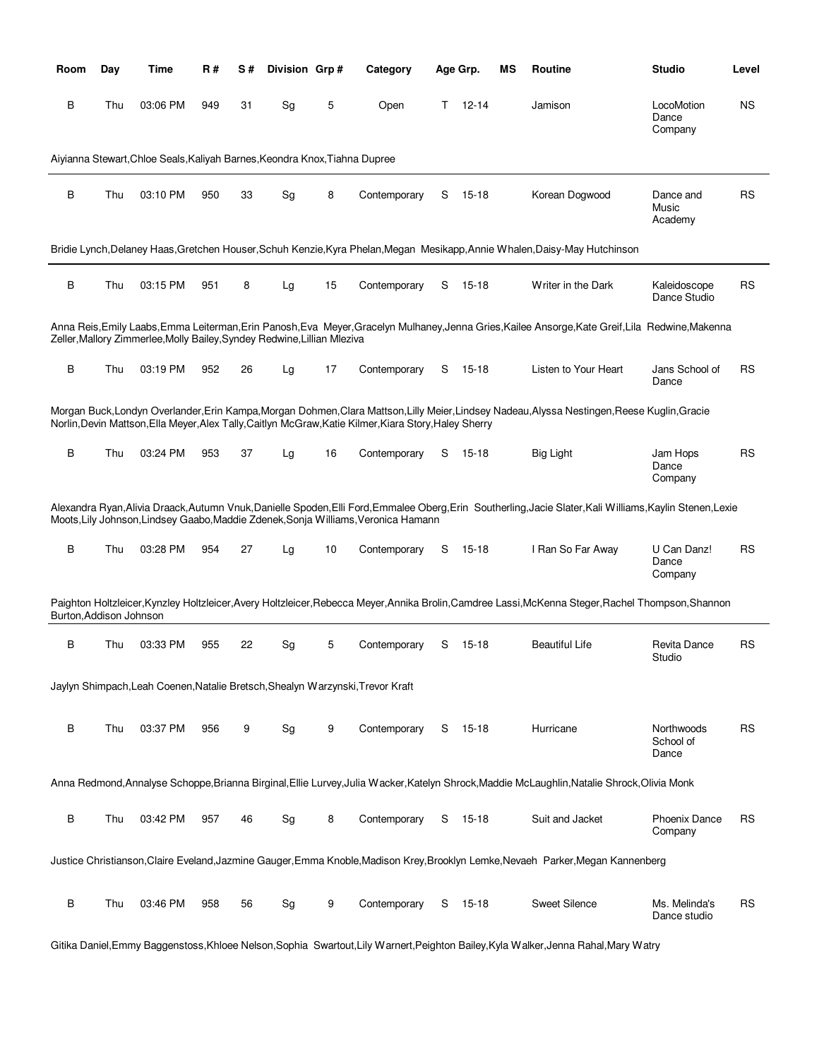| <b>Room</b>             | Day | Time                                                                       | R#  | S# | Division Grp# |    | Category                                                                                               |   | Age Grp.  | ΜS | <b>Routine</b>                                                                                                                                      | <b>Studio</b>                    | Level     |
|-------------------------|-----|----------------------------------------------------------------------------|-----|----|---------------|----|--------------------------------------------------------------------------------------------------------|---|-----------|----|-----------------------------------------------------------------------------------------------------------------------------------------------------|----------------------------------|-----------|
| В                       | Thu | 03:06 PM                                                                   | 949 | 31 | Sg            | 5  | Open                                                                                                   | Τ | 12-14     |    | Jamison                                                                                                                                             | LocoMotion<br>Dance<br>Company   | <b>NS</b> |
|                         |     | Aiyianna Stewart, Chloe Seals, Kaliyah Barnes, Keondra Knox, Tiahna Dupree |     |    |               |    |                                                                                                        |   |           |    |                                                                                                                                                     |                                  |           |
| В                       | Thu | 03:10 PM                                                                   | 950 | 33 | Sg            | 8  | Contemporary                                                                                           | S | $15 - 18$ |    | Korean Dogwood                                                                                                                                      | Dance and<br>Music<br>Academy    | <b>RS</b> |
|                         |     |                                                                            |     |    |               |    |                                                                                                        |   |           |    | Bridie Lynch, Delaney Haas, Gretchen Houser, Schuh Kenzie, Kyra Phelan, Megan Mesikapp, Annie Whalen, Daisy-May Hutchinson                          |                                  |           |
| B                       | Thu | 03:15 PM                                                                   | 951 | 8  | Lg            | 15 | Contemporary                                                                                           | S | 15-18     |    | Writer in the Dark                                                                                                                                  | Kaleidoscope<br>Dance Studio     | <b>RS</b> |
|                         |     | Zeller, Mallory Zimmerlee, Molly Bailey, Syndey Redwine, Lillian Mleziva   |     |    |               |    |                                                                                                        |   |           |    | Anna Reis, Emily Laabs, Emma Leiterman, Erin Panosh, Eva Meyer, Gracelyn Mulhaney, Jenna Gries, Kailee Ansorge, Kate Greif, Lila Redwine, Makenna   |                                  |           |
| В                       | Thu | 03:19 PM                                                                   | 952 | 26 | Lg            | 17 | Contemporary                                                                                           | S | 15-18     |    | Listen to Your Heart                                                                                                                                | Jans School of<br>Dance          | <b>RS</b> |
|                         |     |                                                                            |     |    |               |    | Norlin, Devin Mattson, Ella Meyer, Alex Tally, Caitlyn McGraw, Katie Kilmer, Kiara Story, Haley Sherry |   |           |    | Morgan Buck, Londyn Overlander, Erin Kampa, Morgan Dohmen, Clara Mattson, Lilly Meier, Lindsey Nadeau, Alyssa Nestingen, Reese Kuglin, Gracie       |                                  |           |
| В                       | Thu | 03:24 PM                                                                   | 953 | 37 | Lg            | 16 | Contemporary                                                                                           | S | 15-18     |    | <b>Big Light</b>                                                                                                                                    | Jam Hops<br>Dance<br>Company     | <b>RS</b> |
|                         |     |                                                                            |     |    |               |    | Moots, Lily Johnson, Lindsey Gaabo, Maddie Zdenek, Sonja Williams, Veronica Hamann                     |   |           |    | Alexandra Ryan,Alivia Draack,Autumn Vnuk,Danielle Spoden,Elli Ford,Emmalee Oberg,Erin Southerling,Jacie Slater,Kali Williams,Kaylin Stenen,Lexie    |                                  |           |
| В                       | Thu | 03:28 PM                                                                   | 954 | 27 | Lg            | 10 | Contemporary                                                                                           | S | 15-18     |    | I Ran So Far Away                                                                                                                                   | U Can Danz!<br>Dance<br>Company  | <b>RS</b> |
| Burton, Addison Johnson |     |                                                                            |     |    |               |    |                                                                                                        |   |           |    | Paighton Holtzleicer, Kynzley Holtzleicer, Avery Holtzleicer, Rebecca Meyer, Annika Brolin, Camdree Lassi, McKenna Steger, Rachel Thompson, Shannon |                                  |           |
| В                       | Thu | 03:33 PM                                                                   | 955 | 22 | Sg            | 5  | Contemporary                                                                                           | S | 15-18     |    | <b>Beautiful Life</b>                                                                                                                               | Revita Dance<br>Studio           | <b>RS</b> |
|                         |     |                                                                            |     |    |               |    | Jaylyn Shimpach, Leah Coenen, Natalie Bretsch, Shealyn Warzynski, Trevor Kraft                         |   |           |    |                                                                                                                                                     |                                  |           |
| В                       | Thu | 03:37 PM                                                                   | 956 | 9  | Sg            | 9  | Contemporary                                                                                           | S | 15-18     |    | Hurricane                                                                                                                                           | Northwoods<br>School of<br>Dance | <b>RS</b> |
|                         |     |                                                                            |     |    |               |    |                                                                                                        |   |           |    | Anna Redmond, Annalyse Schoppe, Brianna Birginal, Ellie Lurvey, Julia Wacker, Katelyn Shrock, Maddie McLaughlin, Natalie Shrock, Olivia Monk        |                                  |           |
| B                       | Thu | 03:42 PM                                                                   | 957 | 46 | Sg            | 8  | Contemporary                                                                                           | S | 15-18     |    | Suit and Jacket                                                                                                                                     | <b>Phoenix Dance</b><br>Company  | <b>RS</b> |
|                         |     |                                                                            |     |    |               |    |                                                                                                        |   |           |    | Justice Christianson, Claire Eveland, Jazmine Gauger, Emma Knoble, Madison Krey, Brooklyn Lemke, Nevaeh Parker, Megan Kannenberg                    |                                  |           |
| В                       | Thu | 03:46 PM                                                                   | 958 | 56 | Sg            | 9  | Contemporary                                                                                           | S | 15-18     |    | <b>Sweet Silence</b>                                                                                                                                | Ms. Melinda's<br>Dance studio    | <b>RS</b> |

Gitika Daniel,Emmy Baggenstoss,Khloee Nelson,Sophia Swartout,Lily Warnert,Peighton Bailey,Kyla Walker,Jenna Rahal,Mary Watry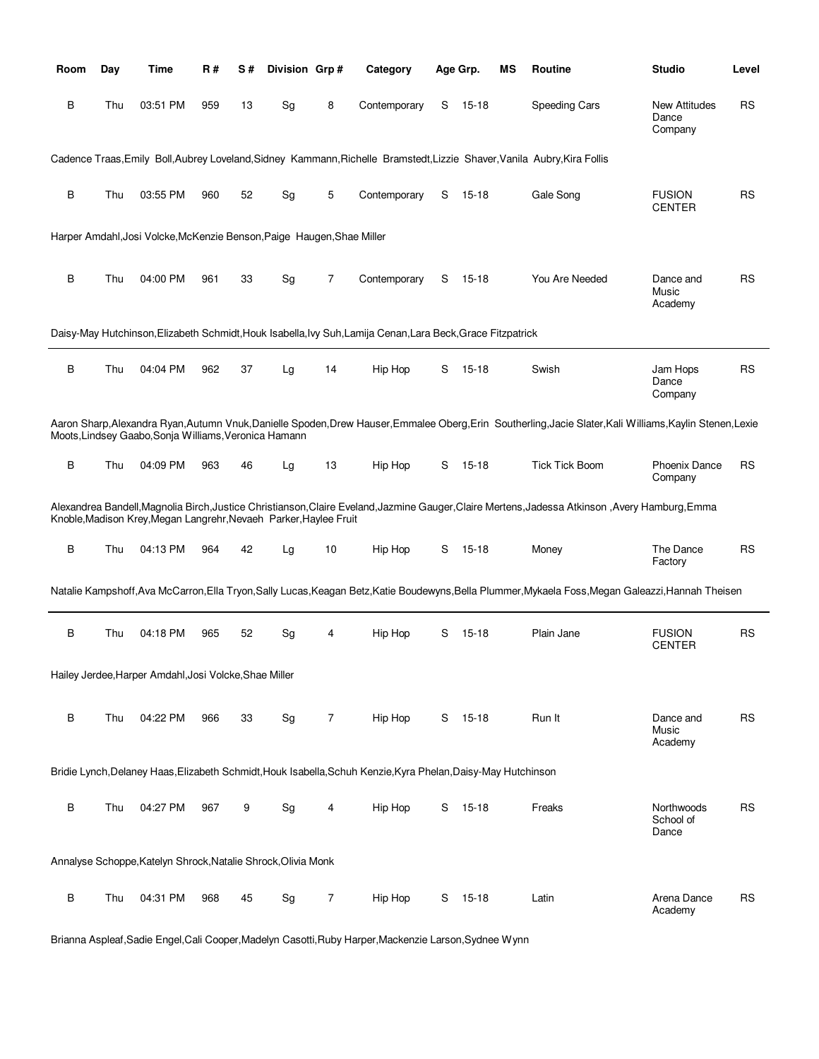| Room    | Day | Time                                                                   | R#  | S# | Division Grp# |                | Category                                                                                                      |   | Age Grp.  | MS | Routine                                                                                                                                                    | <b>Studio</b>                            | Level     |
|---------|-----|------------------------------------------------------------------------|-----|----|---------------|----------------|---------------------------------------------------------------------------------------------------------------|---|-----------|----|------------------------------------------------------------------------------------------------------------------------------------------------------------|------------------------------------------|-----------|
| В       | Thu | 03:51 PM                                                               | 959 | 13 | Sg            | 8              | Contemporary                                                                                                  | S | 15-18     |    | Speeding Cars                                                                                                                                              | <b>New Attitudes</b><br>Dance<br>Company | RS        |
|         |     |                                                                        |     |    |               |                |                                                                                                               |   |           |    | Cadence Traas, Emily Boll, Aubrey Loveland, Sidney Kammann, Richelle Bramstedt, Lizzie Shaver, Vanila Aubry, Kira Follis                                   |                                          |           |
| B       | Thu | 03:55 PM                                                               | 960 | 52 | Sg            | 5              | Contemporary                                                                                                  | S | 15-18     |    | Gale Song                                                                                                                                                  | <b>FUSION</b><br><b>CENTER</b>           | <b>RS</b> |
|         |     | Harper Amdahl, Josi Volcke, McKenzie Benson, Paige Haugen, Shae Miller |     |    |               |                |                                                                                                               |   |           |    |                                                                                                                                                            |                                          |           |
| B       | Thu | 04:00 PM                                                               | 961 | 33 | Sg            | 7              | Contemporary                                                                                                  | S | 15-18     |    | You Are Needed                                                                                                                                             | Dance and<br>Music<br>Academy            | <b>RS</b> |
|         |     |                                                                        |     |    |               |                | Daisy-May Hutchinson, Elizabeth Schmidt, Houk Isabella, Ivy Suh, Lamija Cenan, Lara Beck, Grace Fitzpatrick   |   |           |    |                                                                                                                                                            |                                          |           |
| В       | Thu | 04:04 PM                                                               | 962 | 37 | Lg            | 14             | Hip Hop                                                                                                       | S | 15-18     |    | Swish                                                                                                                                                      | Jam Hops<br>Dance<br>Company             | <b>RS</b> |
|         |     | Moots, Lindsey Gaabo, Sonja Williams, Veronica Hamann                  |     |    |               |                |                                                                                                               |   |           |    | Aaron Sharp, Alexandra Ryan, Autumn Vnuk, Danielle Spoden, Drew Hauser, Emmalee Oberg, Erin Southerling, Jacie Slater, Kali Williams, Kaylin Stenen, Lexie |                                          |           |
| В       | Thu | 04:09 PM                                                               | 963 | 46 | Lg            | 13             | Hip Hop                                                                                                       | S | 15-18     |    | <b>Tick Tick Boom</b>                                                                                                                                      | <b>Phoenix Dance</b><br>Company          | RS        |
|         |     | Knoble, Madison Krey, Megan Langrehr, Nevaeh Parker, Haylee Fruit      |     |    |               |                |                                                                                                               |   |           |    | Alexandrea Bandell,Magnolia Birch,Justice Christianson,Claire Eveland,Jazmine Gauger,Claire Mertens,Jadessa Atkinson ,Avery Hamburg,Emma                   |                                          |           |
| $\sf B$ | Thu | 04:13 PM                                                               | 964 | 42 | Lg            | 10             | Hip Hop                                                                                                       | S | 15-18     |    | Money                                                                                                                                                      | The Dance<br>Factory                     | <b>RS</b> |
|         |     |                                                                        |     |    |               |                |                                                                                                               |   |           |    | Natalie Kampshoff,Ava McCarron,Ella Tryon,Sally Lucas,Keagan Betz,Katie Boudewyns,Bella Plummer,Mykaela Foss,Megan Galeazzi,Hannah Theisen                 |                                          |           |
| В       | Thu | 04:18 PM                                                               | 965 | 52 | Sg            | 4              | Hip Hop                                                                                                       | S | 15-18     |    | Plain Jane                                                                                                                                                 | <b>FUSION</b><br><b>CENTER</b>           | RS        |
|         |     | Hailey Jerdee, Harper Amdahl, Josi Volcke, Shae Miller                 |     |    |               |                |                                                                                                               |   |           |    |                                                                                                                                                            |                                          |           |
| B       | Thu | 04:22 PM                                                               | 966 | 33 | Sg            | $\overline{7}$ | Hip Hop                                                                                                       |   | $S$ 15-18 |    | Run It                                                                                                                                                     | Dance and<br>Music<br>Academy            | RS        |
|         |     |                                                                        |     |    |               |                | Bridie Lynch, Delaney Haas, Elizabeth Schmidt, Houk Isabella, Schuh Kenzie, Kyra Phelan, Daisy-May Hutchinson |   |           |    |                                                                                                                                                            |                                          |           |
| B       | Thu | 04:27 PM                                                               | 967 | 9  | Sg            | 4              | Hip Hop                                                                                                       |   | $S$ 15-18 |    | Freaks                                                                                                                                                     | Northwoods<br>School of<br>Dance         | RS        |
|         |     | Annalyse Schoppe, Katelyn Shrock, Natalie Shrock, Olivia Monk          |     |    |               |                |                                                                                                               |   |           |    |                                                                                                                                                            |                                          |           |
| В       | Thu | 04:31 PM                                                               | 968 | 45 | Sg            | $\overline{7}$ | Hip Hop                                                                                                       | S | $15 - 18$ |    | Latin                                                                                                                                                      | Arena Dance<br>Academy                   | <b>RS</b> |

Brianna Aspleaf,Sadie Engel,Cali Cooper,Madelyn Casotti,Ruby Harper,Mackenzie Larson,Sydnee Wynn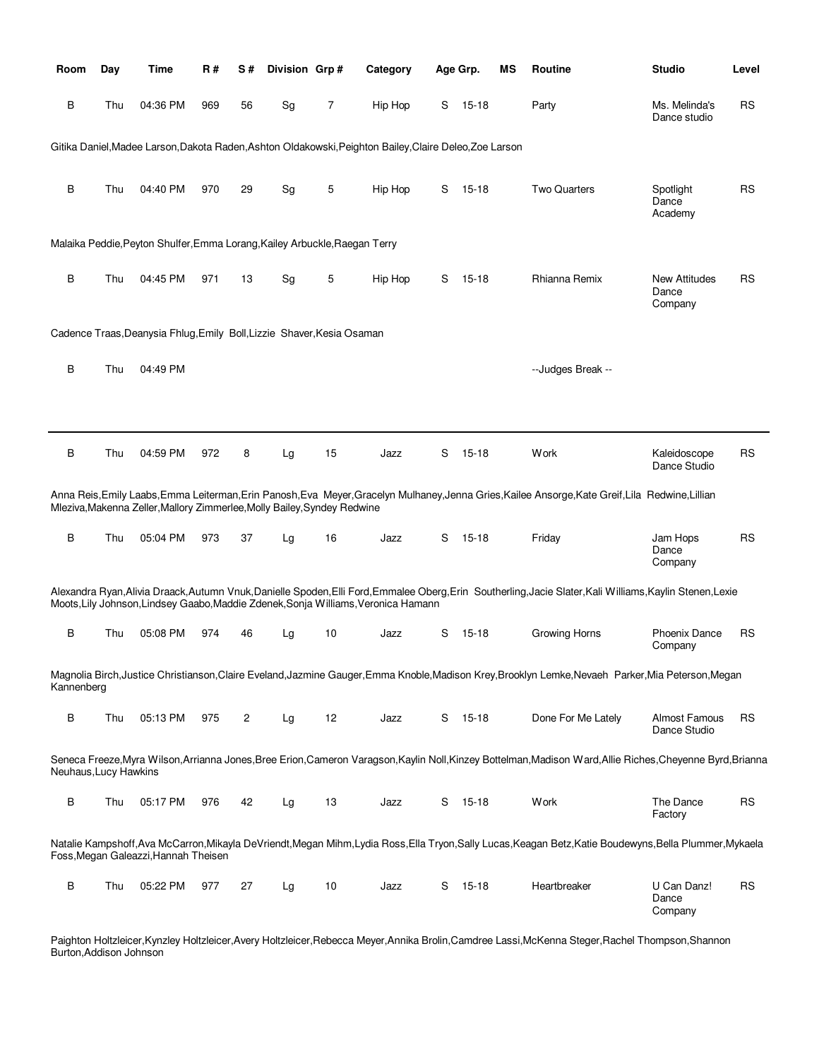| Room                  | Day | Time                                                                       | R#  | S#             | Division Grp# |    | Category                                                                                                |   | Age Grp.  | ΜS | Routine                                                                                                                                                     | <b>Studio</b>                            | Level     |
|-----------------------|-----|----------------------------------------------------------------------------|-----|----------------|---------------|----|---------------------------------------------------------------------------------------------------------|---|-----------|----|-------------------------------------------------------------------------------------------------------------------------------------------------------------|------------------------------------------|-----------|
| В                     | Thu | 04:36 PM                                                                   | 969 | 56             | Sg            | 7  | Hip Hop                                                                                                 | S | 15-18     |    | Party                                                                                                                                                       | Ms. Melinda's<br>Dance studio            | <b>RS</b> |
|                       |     |                                                                            |     |                |               |    | Gitika Daniel, Madee Larson, Dakota Raden, Ashton Oldakowski, Peighton Bailey, Claire Deleo, Zoe Larson |   |           |    |                                                                                                                                                             |                                          |           |
| B                     | Thu | 04:40 PM                                                                   | 970 | 29             | Sg            | 5  | Hip Hop                                                                                                 | S | 15-18     |    | <b>Two Quarters</b>                                                                                                                                         | Spotlight<br>Dance<br>Academy            | <b>RS</b> |
|                       |     | Malaika Peddie, Peyton Shulfer, Emma Lorang, Kailey Arbuckle, Raegan Terry |     |                |               |    |                                                                                                         |   |           |    |                                                                                                                                                             |                                          |           |
| В                     | Thu | 04:45 PM                                                                   | 971 | 13             | Sg            | 5  | Hip Hop                                                                                                 | S | $15 - 18$ |    | Rhianna Remix                                                                                                                                               | <b>New Attitudes</b><br>Dance<br>Company | <b>RS</b> |
|                       |     | Cadence Traas, Deanysia Fhlug, Emily Boll, Lizzie Shaver, Kesia Osaman     |     |                |               |    |                                                                                                         |   |           |    |                                                                                                                                                             |                                          |           |
| B                     | Thu | 04:49 PM                                                                   |     |                |               |    |                                                                                                         |   |           |    | --Judges Break --                                                                                                                                           |                                          |           |
| B                     | Thu | 04:59 PM                                                                   | 972 | 8              | Lg            | 15 | Jazz                                                                                                    | S | 15-18     |    | Work                                                                                                                                                        | Kaleidoscope<br>Dance Studio             | <b>RS</b> |
|                       |     | Mleziva, Makenna Zeller, Mallory Zimmerlee, Molly Bailey, Syndey Redwine   |     |                |               |    |                                                                                                         |   |           |    | Anna Reis, Emily Laabs, Emma Leiterman, Erin Panosh, Eva Meyer, Gracelyn Mulhaney, Jenna Gries, Kailee Ansorge, Kate Greif, Lila Redwine, Lillian           |                                          |           |
| B                     | Thu | 05:04 PM                                                                   | 973 | 37             | Lg            | 16 | Jazz                                                                                                    | S | 15-18     |    | Friday                                                                                                                                                      | Jam Hops<br>Dance<br>Company             | <b>RS</b> |
|                       |     |                                                                            |     |                |               |    | Moots, Lily Johnson, Lindsey Gaabo, Maddie Zdenek, Sonja Williams, Veronica Hamann                      |   |           |    | Alexandra Ryan, Alivia Draack, Autumn Vnuk, Danielle Spoden, Elli Ford, Emmalee Oberg, Erin Southerling, Jacie Slater, Kali Williams, Kaylin Stenen, Lexie  |                                          |           |
| B                     | Thu | 05:08 PM                                                                   | 974 | 46             | Lg            | 10 | Jazz                                                                                                    | S | 15-18     |    | Growing Horns                                                                                                                                               | <b>Phoenix Dance</b><br>Company          | <b>RS</b> |
| Kannenberg            |     |                                                                            |     |                |               |    |                                                                                                         |   |           |    | Magnolia Birch, Justice Christianson, Claire Eveland, Jazmine Gauger, Emma Knoble, Madison Krey, Brooklyn Lemke, Nevaeh Parker, Mia Peterson, Megan         |                                          |           |
| B                     | Thu | 05:13 PM                                                                   | 975 | $\overline{c}$ | Lg            | 12 | Jazz                                                                                                    | S | 15-18     |    | Done For Me Lately                                                                                                                                          | Almost Famous<br>Dance Studio            | <b>RS</b> |
| Neuhaus, Lucy Hawkins |     |                                                                            |     |                |               |    |                                                                                                         |   |           |    | Seneca Freeze, Myra Wilson, Arrianna Jones, Bree Erion, Cameron Varagson, Kaylin Noll, Kinzey Bottelman, Madison Ward, Allie Riches, Cheyenne Byrd, Brianna |                                          |           |
| В                     | Thu | 05:17 PM                                                                   | 976 | 42             | Lg            | 13 | Jazz                                                                                                    |   | $S$ 15-18 |    | Work                                                                                                                                                        | The Dance<br>Factory                     | <b>RS</b> |
|                       |     | Foss, Megan Galeazzi, Hannah Theisen                                       |     |                |               |    |                                                                                                         |   |           |    | Natalie Kampshoff, Ava McCarron, Mikayla DeVriendt, Megan Mihm, Lydia Ross, Ella Tryon, Sally Lucas, Keagan Betz, Katie Boudewyns, Bella Plummer, Mykaela   |                                          |           |
| В                     | Thu | 05:22 PM                                                                   | 977 | 27             | Lg            | 10 | Jazz                                                                                                    | S | 15-18     |    | Heartbreaker                                                                                                                                                | U Can Danz!<br>Dance<br>Company          | <b>RS</b> |

Paighton Holtzleicer,Kynzley Holtzleicer,Avery Holtzleicer,Rebecca Meyer,Annika Brolin,Camdree Lassi,McKenna Steger,Rachel Thompson,Shannon Burton,Addison Johnson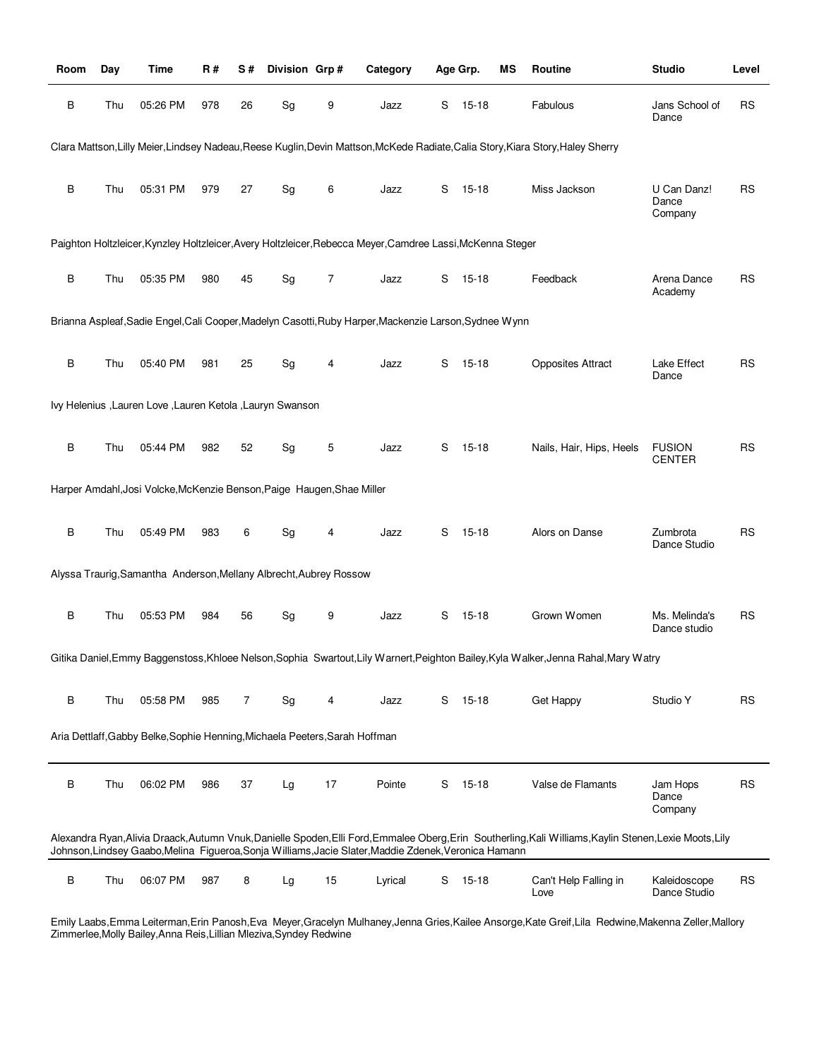| Room | Day | Time                                                                        | R#  | S# | Division Grp# |    | Category                                                                                                   |   | Age Grp.  | ΜS | Routine                                                                                                                                                  | <b>Studio</b>                   | Level     |
|------|-----|-----------------------------------------------------------------------------|-----|----|---------------|----|------------------------------------------------------------------------------------------------------------|---|-----------|----|----------------------------------------------------------------------------------------------------------------------------------------------------------|---------------------------------|-----------|
| B    | Thu | 05:26 PM                                                                    | 978 | 26 | Sg            | 9  | Jazz                                                                                                       | S | 15-18     |    | Fabulous                                                                                                                                                 | Jans School of<br>Dance         | <b>RS</b> |
|      |     |                                                                             |     |    |               |    |                                                                                                            |   |           |    | Clara Mattson, Lilly Meier, Lindsey Nadeau, Reese Kuglin, Devin Mattson, McKede Radiate, Calia Story, Kiara Story, Haley Sherry                          |                                 |           |
| B    | Thu | 05:31 PM                                                                    | 979 | 27 | Sg            | 6  | Jazz                                                                                                       | S | 15-18     |    | Miss Jackson                                                                                                                                             | U Can Danz!<br>Dance<br>Company | <b>RS</b> |
|      |     |                                                                             |     |    |               |    | Paighton Holtzleicer, Kynzley Holtzleicer, Avery Holtzleicer, Rebecca Meyer, Camdree Lassi, McKenna Steger |   |           |    |                                                                                                                                                          |                                 |           |
| B    | Thu | 05:35 PM                                                                    | 980 | 45 | Sg            | 7  | Jazz                                                                                                       | S | 15-18     |    | Feedback                                                                                                                                                 | Arena Dance<br>Academy          | RS        |
|      |     |                                                                             |     |    |               |    | Brianna Aspleaf, Sadie Engel, Cali Cooper, Madelyn Casotti, Ruby Harper, Mackenzie Larson, Sydnee Wynn     |   |           |    |                                                                                                                                                          |                                 |           |
| В    | Thu | 05:40 PM                                                                    | 981 | 25 | Sg            | 4  | Jazz                                                                                                       | S | 15-18     |    | <b>Opposites Attract</b>                                                                                                                                 | Lake Effect<br>Dance            | <b>RS</b> |
|      |     | Ivy Helenius , Lauren Love , Lauren Ketola , Lauryn Swanson                 |     |    |               |    |                                                                                                            |   |           |    |                                                                                                                                                          |                                 |           |
| В    | Thu | 05:44 PM                                                                    | 982 | 52 | Sg            | 5  | Jazz                                                                                                       | S | $15 - 18$ |    | Nails, Hair, Hips, Heels                                                                                                                                 | <b>FUSION</b><br>CENTER         | RS        |
|      |     | Harper Amdahl, Josi Volcke, McKenzie Benson, Paige Haugen, Shae Miller      |     |    |               |    |                                                                                                            |   |           |    |                                                                                                                                                          |                                 |           |
| B    | Thu | 05:49 PM                                                                    | 983 | 6  | Sg            | 4  | Jazz                                                                                                       | S | 15-18     |    | Alors on Danse                                                                                                                                           | Zumbrota<br>Dance Studio        | <b>RS</b> |
|      |     | Alyssa Traurig, Samantha Anderson, Mellany Albrecht, Aubrey Rossow          |     |    |               |    |                                                                                                            |   |           |    |                                                                                                                                                          |                                 |           |
| B    | Thu | 05:53 PM                                                                    | 984 | 56 | Sg            | 9  | Jazz                                                                                                       | S | 15-18     |    | Grown Women                                                                                                                                              | Ms. Melinda's<br>Dance studio   | RS        |
|      |     |                                                                             |     |    |               |    |                                                                                                            |   |           |    | Gitika Daniel, Emmy Baggenstoss, Khloee Nelson, Sophia Swartout, Lily Warnert, Peighton Bailey, Kyla Walker, Jenna Rahal, Mary Watry                     |                                 |           |
| В    | Thu | 05:58 PM                                                                    | 985 | 7  | Sg            | 4  | Jazz                                                                                                       | S | 15-18     |    | Get Happy                                                                                                                                                | Studio Y                        | RS        |
|      |     | Aria Dettlaff, Gabby Belke, Sophie Henning, Michaela Peeters, Sarah Hoffman |     |    |               |    |                                                                                                            |   |           |    |                                                                                                                                                          |                                 |           |
| B    | Thu | 06:02 PM                                                                    | 986 | 37 | Lg            | 17 | Pointe                                                                                                     | S | $15 - 18$ |    | Valse de Flamants                                                                                                                                        | Jam Hops<br>Dance<br>Company    | <b>RS</b> |
|      |     |                                                                             |     |    |               |    | Johnson, Lindsey Gaabo, Melina Figueroa, Sonja Williams, Jacie Slater, Maddie Zdenek, Veronica Hamann      |   |           |    | Alexandra Ryan, Alivia Draack, Autumn Vnuk, Danielle Spoden, Elli Ford, Emmalee Oberg, Erin Southerling, Kali Williams, Kaylin Stenen, Lexie Moots, Lily |                                 |           |
| B    | Thu | 06:07 PM                                                                    | 987 | 8  | Lg            | 15 | Lyrical                                                                                                    | S | $15 - 18$ |    | Can't Help Falling in<br>Love                                                                                                                            | Kaleidoscope<br>Dance Studio    | <b>RS</b> |

Emily Laabs,Emma Leiterman,Erin Panosh,Eva Meyer,Gracelyn Mulhaney,Jenna Gries,Kailee Ansorge,Kate Greif,Lila Redwine,Makenna Zeller,Mallory Zimmerlee,Molly Bailey,Anna Reis,Lillian Mleziva,Syndey Redwine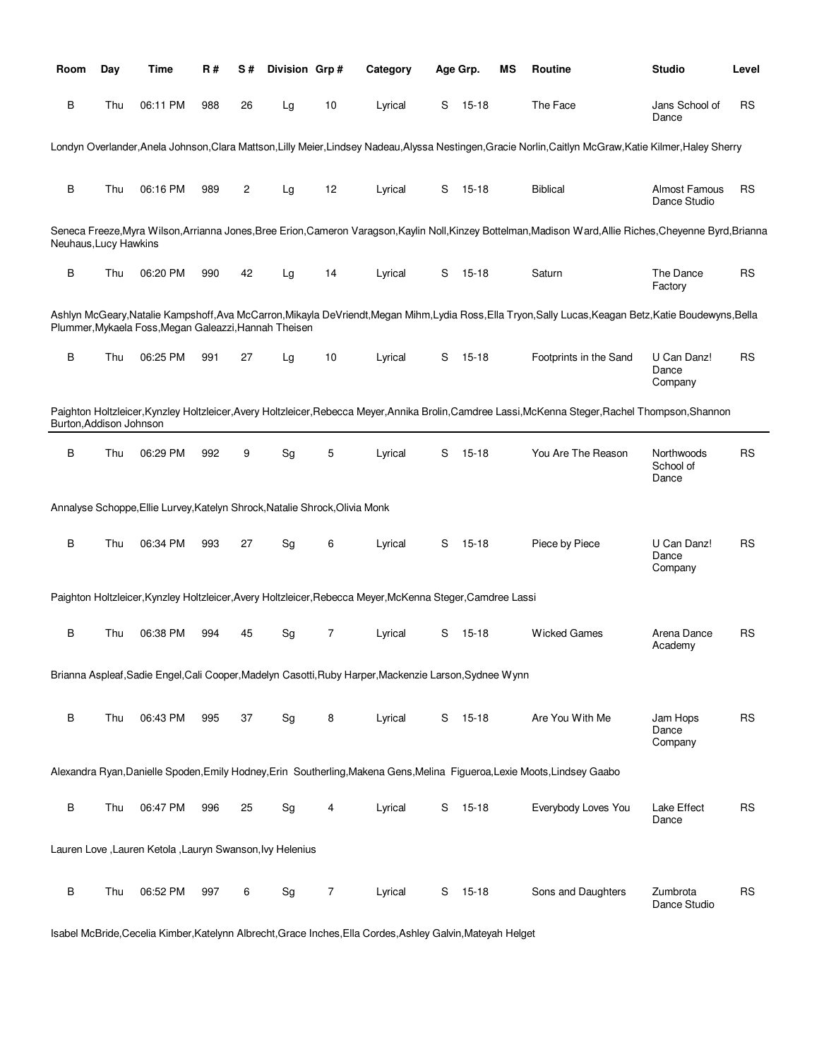| Room                    | Day | Time                                                                        | <b>R#</b> | S# | Division Grp# |    | Category                                                                                                   |   | Age Grp.  | ΜS | Routine                                                                                                                                                     | <b>Studio</b>                        | Level     |
|-------------------------|-----|-----------------------------------------------------------------------------|-----------|----|---------------|----|------------------------------------------------------------------------------------------------------------|---|-----------|----|-------------------------------------------------------------------------------------------------------------------------------------------------------------|--------------------------------------|-----------|
| B                       | Thu | 06:11 PM                                                                    | 988       | 26 | Lg            | 10 | Lyrical                                                                                                    | S | 15-18     |    | The Face                                                                                                                                                    | Jans School of<br>Dance              | <b>RS</b> |
|                         |     |                                                                             |           |    |               |    |                                                                                                            |   |           |    | Londyn Overlander, Anela Johnson, Clara Mattson, Lilly Meier, Lindsey Nadeau, Alyssa Nestingen, Gracie Norlin, Caitlyn McGraw, Katie Kilmer, Haley Sherry   |                                      |           |
| B                       | Thu | 06:16 PM                                                                    | 989       | 2  | Lg            | 12 | Lyrical                                                                                                    | S | 15-18     |    | <b>Biblical</b>                                                                                                                                             | <b>Almost Famous</b><br>Dance Studio | <b>RS</b> |
| Neuhaus, Lucy Hawkins   |     |                                                                             |           |    |               |    |                                                                                                            |   |           |    | Seneca Freeze, Myra Wilson, Arrianna Jones, Bree Erion, Cameron Varagson, Kaylin Noll, Kinzey Bottelman, Madison Ward, Allie Riches, Cheyenne Byrd, Brianna |                                      |           |
| B                       | Thu | 06:20 PM                                                                    | 990       | 42 | Lg            | 14 | Lyrical                                                                                                    | S | 15-18     |    | Saturn                                                                                                                                                      | The Dance<br>Factory                 | <b>RS</b> |
|                         |     | Plummer, Mykaela Foss, Megan Galeazzi, Hannah Theisen                       |           |    |               |    |                                                                                                            |   |           |    | Ashlyn McGeary,Natalie Kampshoff,Ava McCarron,Mikayla DeVriendt,Megan Mihm,Lydia Ross,Ella Tryon,Sally Lucas,Keagan Betz,Katie Boudewyns,Bella              |                                      |           |
| B                       | Thu | 06:25 PM                                                                    | 991       | 27 | Lg            | 10 | Lyrical                                                                                                    | S | 15-18     |    | Footprints in the Sand                                                                                                                                      | U Can Danz!<br>Dance<br>Company      | <b>RS</b> |
| Burton, Addison Johnson |     |                                                                             |           |    |               |    |                                                                                                            |   |           |    | Paighton Holtzleicer,Kynzley Holtzleicer,Avery Holtzleicer,Rebecca Meyer,Annika Brolin,Camdree Lassi,McKenna Steger,Rachel Thompson,Shannon                 |                                      |           |
| B                       | Thu | 06:29 PM                                                                    | 992       | 9  | Sg            | 5  | Lyrical                                                                                                    | S | $15 - 18$ |    | You Are The Reason                                                                                                                                          | Northwoods<br>School of<br>Dance     | <b>RS</b> |
|                         |     | Annalyse Schoppe, Ellie Lurvey, Katelyn Shrock, Natalie Shrock, Olivia Monk |           |    |               |    |                                                                                                            |   |           |    |                                                                                                                                                             |                                      |           |
| B                       | Thu | 06:34 PM                                                                    | 993       | 27 | Sg            | 6  | Lyrical                                                                                                    | S | $15 - 18$ |    | Piece by Piece                                                                                                                                              | U Can Danz!<br>Dance<br>Company      | <b>RS</b> |
|                         |     |                                                                             |           |    |               |    | Paighton Holtzleicer, Kynzley Holtzleicer, Avery Holtzleicer, Rebecca Meyer, McKenna Steger, Camdree Lassi |   |           |    |                                                                                                                                                             |                                      |           |
| B                       | Thu | 06:38 PM                                                                    | 994       | 45 | Sg            | 7  | Lyrical                                                                                                    | S | 15-18     |    | <b>Wicked Games</b>                                                                                                                                         | Arena Dance<br>Academy               | <b>RS</b> |
|                         |     |                                                                             |           |    |               |    | Brianna Aspleaf, Sadie Engel, Cali Cooper, Madelyn Casotti, Ruby Harper, Mackenzie Larson, Sydnee Wynn     |   |           |    |                                                                                                                                                             |                                      |           |
| B                       | Thu | 06:43 PM                                                                    | 995       | 37 | Sg            | 8  | Lyrical                                                                                                    | S | $15 - 18$ |    | Are You With Me                                                                                                                                             | Jam Hops<br>Dance<br>Company         | <b>RS</b> |
|                         |     |                                                                             |           |    |               |    |                                                                                                            |   |           |    | Alexandra Ryan, Danielle Spoden, Emily Hodney, Erin Southerling, Makena Gens, Melina Figueroa, Lexie Moots, Lindsey Gaabo                                   |                                      |           |
| B                       | Thu | 06:47 PM                                                                    | 996       | 25 | Sg            | 4  | Lyrical                                                                                                    |   | S 15-18   |    | Everybody Loves You                                                                                                                                         | Lake Effect<br>Dance                 | <b>RS</b> |
|                         |     | Lauren Love , Lauren Ketola , Lauryn Swanson, Ivy Helenius                  |           |    |               |    |                                                                                                            |   |           |    |                                                                                                                                                             |                                      |           |
| B                       | Thu | 06:52 PM                                                                    | 997       | 6  | Sg            | 7  | Lyrical                                                                                                    | S | $15 - 18$ |    | Sons and Daughters                                                                                                                                          | Zumbrota<br>Dance Studio             | <b>RS</b> |

Isabel McBride,Cecelia Kimber,Katelynn Albrecht,Grace Inches,Ella Cordes,Ashley Galvin,Mateyah Helget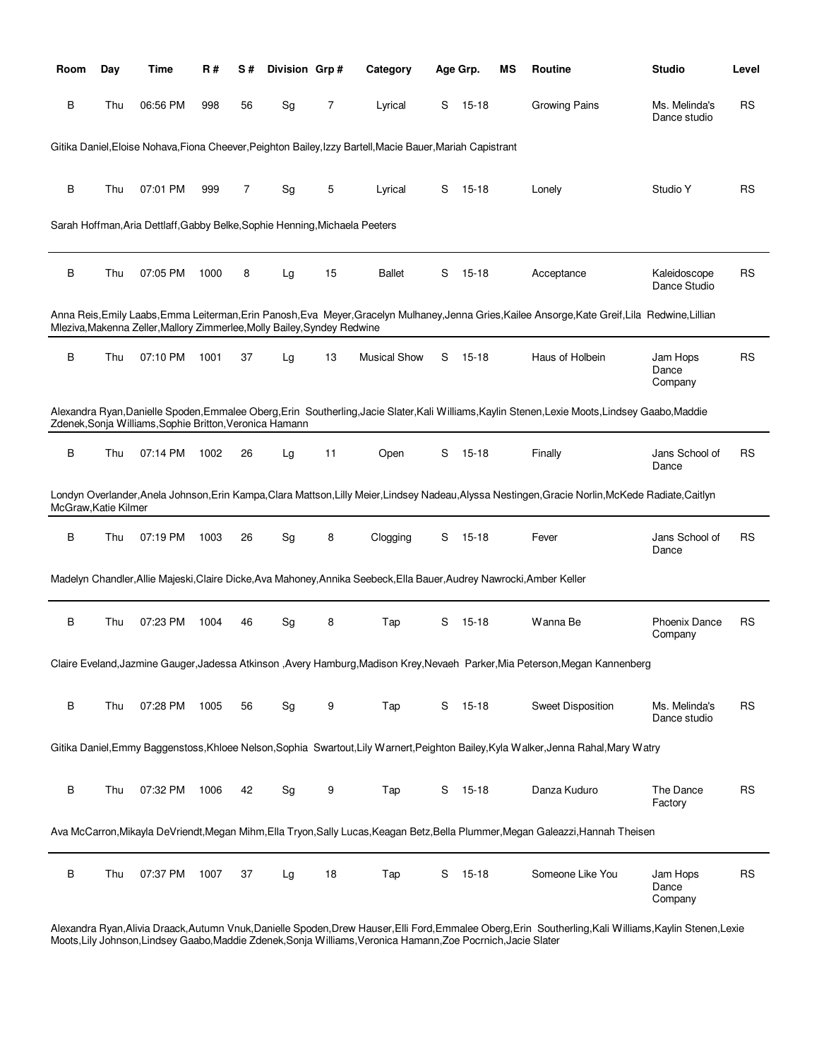| Room                 | Day | <b>Time</b>                                                                 | R#   | S# | Division Grp# |    | Category                                                                                                              |   | Age Grp.  | ΜS | Routine                                                                                                                                            | <b>Studio</b>                   | Level     |
|----------------------|-----|-----------------------------------------------------------------------------|------|----|---------------|----|-----------------------------------------------------------------------------------------------------------------------|---|-----------|----|----------------------------------------------------------------------------------------------------------------------------------------------------|---------------------------------|-----------|
| В                    | Thu | 06:56 PM                                                                    | 998  | 56 | Sg            | 7  | Lyrical                                                                                                               | S | 15-18     |    | Growing Pains                                                                                                                                      | Ms. Melinda's<br>Dance studio   | RS        |
|                      |     |                                                                             |      |    |               |    | Gitika Daniel, Eloise Nohava, Fiona Cheever, Peighton Bailey, Izzy Bartell, Macie Bauer, Mariah Capistrant            |   |           |    |                                                                                                                                                    |                                 |           |
|                      |     |                                                                             |      |    |               |    |                                                                                                                       |   |           |    |                                                                                                                                                    |                                 |           |
| В                    | Thu | 07:01 PM                                                                    | 999  | 7  | Sg            | 5  | Lyrical                                                                                                               | S | 15-18     |    | Lonely                                                                                                                                             | Studio Y                        | RS        |
|                      |     | Sarah Hoffman, Aria Dettlaff, Gabby Belke, Sophie Henning, Michaela Peeters |      |    |               |    |                                                                                                                       |   |           |    |                                                                                                                                                    |                                 |           |
| B                    | Thu | 07:05 PM                                                                    | 1000 | 8  | Lg            | 15 | <b>Ballet</b>                                                                                                         | S | $15 - 18$ |    | Acceptance                                                                                                                                         | Kaleidoscope<br>Dance Studio    | RS        |
|                      |     | Mleziva, Makenna Zeller, Mallory Zimmerlee, Molly Bailey, Syndey Redwine    |      |    |               |    |                                                                                                                       |   |           |    | Anna Reis, Emily Laabs, Emma Leiterman, Erin Panosh, Eva Meyer, Gracelyn Mulhaney, Jenna Gries, Kailee Ansorge, Kate Greif, Lila Redwine, Lillian  |                                 |           |
| B                    | Thu | 07:10 PM                                                                    | 1001 | 37 | Lg            | 13 | <b>Musical Show</b>                                                                                                   | S | 15-18     |    | Haus of Holbein                                                                                                                                    | Jam Hops<br>Dance               | <b>RS</b> |
|                      |     |                                                                             |      |    |               |    |                                                                                                                       |   |           |    |                                                                                                                                                    | Company                         |           |
|                      |     | Zdenek, Sonja Williams, Sophie Britton, Veronica Hamann                     |      |    |               |    |                                                                                                                       |   |           |    | Alexandra Ryan,Danielle Spoden,Emmalee Oberg,Erin Southerling,Jacie Slater,Kali Williams,Kaylin Stenen,Lexie Moots,Lindsey Gaabo,Maddie            |                                 |           |
| B                    | Thu | 07:14 PM                                                                    | 1002 | 26 | Lg            | 11 | Open                                                                                                                  | S | 15-18     |    | Finally                                                                                                                                            | Jans School of<br>Dance         | RS        |
| McGraw, Katie Kilmer |     |                                                                             |      |    |               |    |                                                                                                                       |   |           |    | Londyn Overlander, Anela Johnson, Erin Kampa, Clara Mattson, Lilly Meier, Lindsey Nadeau, Alyssa Nestingen, Gracie Norlin, McKede Radiate, Caitlyn |                                 |           |
| В                    | Thu | 07:19 PM                                                                    | 1003 | 26 | Sg            | 8  | Clogging                                                                                                              | S | 15-18     |    | Fever                                                                                                                                              | Jans School of<br>Dance         | RS        |
|                      |     |                                                                             |      |    |               |    | Madelyn Chandler, Allie Majeski, Claire Dicke, Ava Mahoney, Annika Seebeck, Ella Bauer, Audrey Nawrocki, Amber Keller |   |           |    |                                                                                                                                                    |                                 |           |
| В                    | Thu | 07:23 PM                                                                    | 1004 | 46 | Sg            | 8  | Tap                                                                                                                   | S | $15 - 18$ |    | Wanna Be                                                                                                                                           | <b>Phoenix Dance</b><br>Company | RS        |
|                      |     |                                                                             |      |    |               |    |                                                                                                                       |   |           |    | Claire Eveland, Jazmine Gauger, Jadessa Atkinson , Avery Hamburg, Madison Krey, Nevaeh Parker, Mia Peterson, Megan Kannenberg                      |                                 |           |
|                      |     |                                                                             |      |    |               |    |                                                                                                                       |   |           |    |                                                                                                                                                    |                                 |           |
| В                    | Thu | 07:28 PM                                                                    | 1005 | 56 | Sg            | 9  | Tap                                                                                                                   |   | S 15-18   |    | Sweet Disposition                                                                                                                                  | Ms. Melinda's<br>Dance studio   | <b>RS</b> |
|                      |     |                                                                             |      |    |               |    |                                                                                                                       |   |           |    | Gitika Daniel, Emmy Baggenstoss, Khloee Nelson, Sophia Swartout, Lily Warnert, Peighton Bailey, Kyla Walker, Jenna Rahal, Mary Watry               |                                 |           |
| В                    | Thu | 07:32 PM                                                                    | 1006 | 42 | Sg            | 9  | Tap                                                                                                                   |   | S 15-18   |    | Danza Kuduro                                                                                                                                       | The Dance                       | <b>RS</b> |
|                      |     |                                                                             |      |    |               |    |                                                                                                                       |   |           |    |                                                                                                                                                    | Factory                         |           |
|                      |     |                                                                             |      |    |               |    |                                                                                                                       |   |           |    | Ava McCarron, Mikayla DeVriendt, Megan Mihm, Ella Tryon, Sally Lucas, Keagan Betz, Bella Plummer, Megan Galeazzi, Hannah Theisen                   |                                 |           |
| В                    | Thu | 07:37 PM                                                                    | 1007 | 37 | Lg            | 18 | Tap                                                                                                                   | S | $15 - 18$ |    | Someone Like You                                                                                                                                   | Jam Hops<br>Dance<br>Company    | <b>RS</b> |

Alexandra Ryan,Alivia Draack,Autumn Vnuk,Danielle Spoden,Drew Hauser,Elli Ford,Emmalee Oberg,Erin Southerling,Kali Williams,Kaylin Stenen,Lexie Moots,Lily Johnson,Lindsey Gaabo,Maddie Zdenek,Sonja Williams,Veronica Hamann,Zoe Pocrnich,Jacie Slater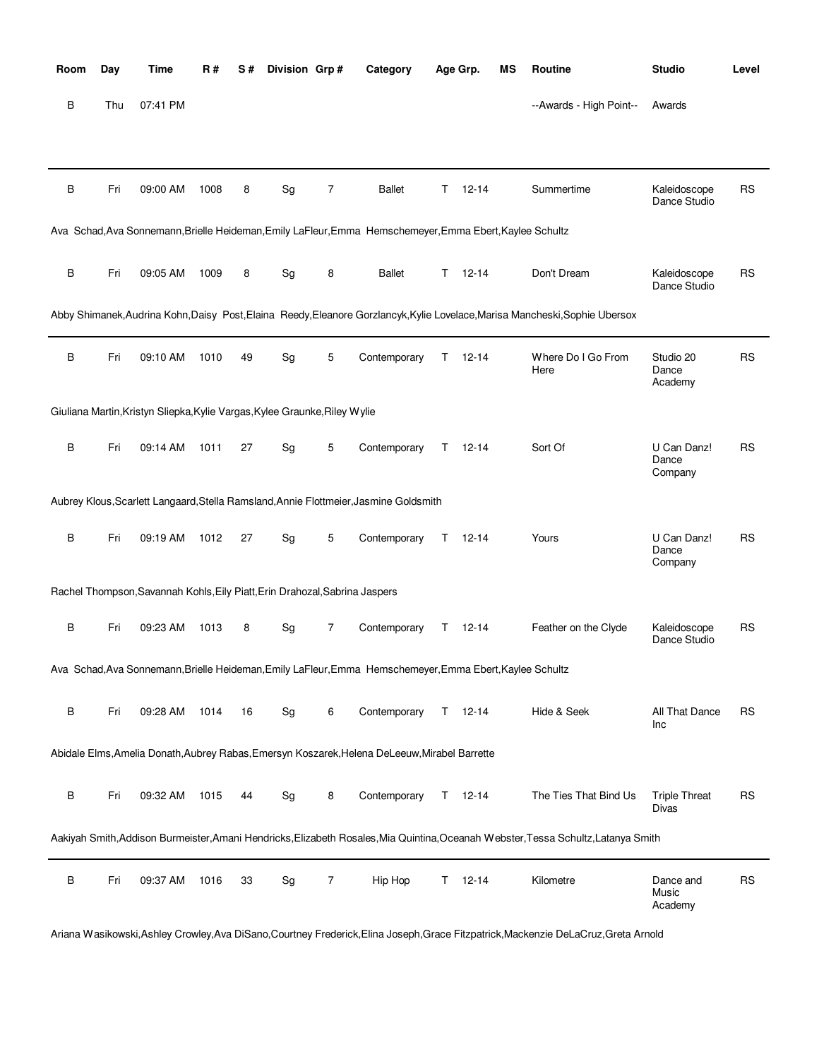| Room | Day | Time                                                                        | R#   | S# | Division Grp#                |   | Category                                                                                                 |    | Age Grp.      | ΜS | <b>Routine</b>                                                                                                                     | <b>Studio</b>                        | Level     |
|------|-----|-----------------------------------------------------------------------------|------|----|------------------------------|---|----------------------------------------------------------------------------------------------------------|----|---------------|----|------------------------------------------------------------------------------------------------------------------------------------|--------------------------------------|-----------|
| В    | Thu | 07:41 PM                                                                    |      |    |                              |   |                                                                                                          |    |               |    | --Awards - High Point--                                                                                                            | Awards                               |           |
|      |     |                                                                             |      |    |                              |   |                                                                                                          |    |               |    |                                                                                                                                    |                                      |           |
| B    | Fri | 09:00 AM                                                                    | 1008 | 8  | Sg                           | 7 | <b>Ballet</b>                                                                                            | Τ  | $12 - 14$     |    | Summertime                                                                                                                         | Kaleidoscope<br>Dance Studio         | <b>RS</b> |
|      |     |                                                                             |      |    |                              |   | Ava Schad, Ava Sonnemann, Brielle Heideman, Emily LaFleur, Emma Hemschemeyer, Emma Ebert, Kaylee Schultz |    |               |    |                                                                                                                                    |                                      |           |
| B    | Fri | 09:05 AM                                                                    | 1009 | 8  | Sg                           | 8 | <b>Ballet</b>                                                                                            | T. | 12-14         |    | Don't Dream                                                                                                                        | Kaleidoscope<br>Dance Studio         | <b>RS</b> |
|      |     |                                                                             |      |    |                              |   |                                                                                                          |    |               |    | Abby Shimanek, Audrina Kohn, Daisy Post, Elaina Reedy, Eleanore Gorzlancyk, Kylie Lovelace, Marisa Mancheski, Sophie Ubersox       |                                      |           |
| B    | Fri | 09:10 AM                                                                    | 1010 | 49 | $\operatorname{\mathsf{Sg}}$ | 5 | Contemporary                                                                                             | Τ  | $12 - 14$     |    | Where Do I Go From<br>Here                                                                                                         | Studio 20<br>Dance<br>Academy        | <b>RS</b> |
|      |     | Giuliana Martin, Kristyn Sliepka, Kylie Vargas, Kylee Graunke, Riley Wylie  |      |    |                              |   |                                                                                                          |    |               |    |                                                                                                                                    |                                      |           |
| В    | Fri | 09:14 AM                                                                    | 1011 | 27 | Sg                           | 5 | Contemporary                                                                                             | Τ  | $12 - 14$     |    | Sort Of                                                                                                                            | U Can Danz!<br>Dance<br>Company      | <b>RS</b> |
|      |     |                                                                             |      |    |                              |   | Aubrey Klous, Scarlett Langaard, Stella Ramsland, Annie Flottmeier, Jasmine Goldsmith                    |    |               |    |                                                                                                                                    |                                      |           |
| B    | Fri | 09:19 AM                                                                    | 1012 | 27 | Sg                           | 5 | Contemporary                                                                                             | Τ  | $12 - 14$     |    | Yours                                                                                                                              | U Can Danz!<br>Dance<br>Company      | <b>RS</b> |
|      |     | Rachel Thompson, Savannah Kohls, Eily Piatt, Erin Drahozal, Sabrina Jaspers |      |    |                              |   |                                                                                                          |    |               |    |                                                                                                                                    |                                      |           |
| B    | Fri | 09:23 AM                                                                    | 1013 | 8  | Sg                           | 7 | Contemporary                                                                                             | Τ  | $12 - 14$     |    | Feather on the Clyde                                                                                                               | Kaleidoscope<br>Dance Studio         | <b>RS</b> |
|      |     |                                                                             |      |    |                              |   | Ava Schad, Ava Sonnemann, Brielle Heideman, Emily LaFleur, Emma Hemschemeyer, Emma Ebert, Kaylee Schultz |    |               |    |                                                                                                                                    |                                      |           |
| В    | Fri | 09:28 AM                                                                    | 1014 | 16 | Sg                           | 6 | Contemporary                                                                                             |    | $T = 12 - 14$ |    | Hide & Seek                                                                                                                        | All That Dance<br>Inc                | <b>RS</b> |
|      |     |                                                                             |      |    |                              |   | Abidale Elms, Amelia Donath, Aubrey Rabas, Emersyn Koszarek, Helena DeLeeuw, Mirabel Barrette            |    |               |    |                                                                                                                                    |                                      |           |
| В    | Fri | 09:32 AM                                                                    | 1015 | 44 | Sg                           | 8 | Contemporary                                                                                             |    | $T = 12-14$   |    | The Ties That Bind Us                                                                                                              | <b>Triple Threat</b><br><b>Divas</b> | <b>RS</b> |
|      |     |                                                                             |      |    |                              |   |                                                                                                          |    |               |    | Aakiyah Smith, Addison Burmeister, Amani Hendricks, Elizabeth Rosales, Mia Quintina, Oceanah Webster, Tessa Schultz, Latanya Smith |                                      |           |
| В    | Fri | 09:37 AM                                                                    | 1016 | 33 | Sg                           | 7 | Hip Hop                                                                                                  | T. | $12 - 14$     |    | Kilometre                                                                                                                          | Dance and<br>Music<br>Academy        | <b>RS</b> |

Ariana Wasikowski,Ashley Crowley,Ava DiSano,Courtney Frederick,Elina Joseph,Grace Fitzpatrick,Mackenzie DeLaCruz,Greta Arnold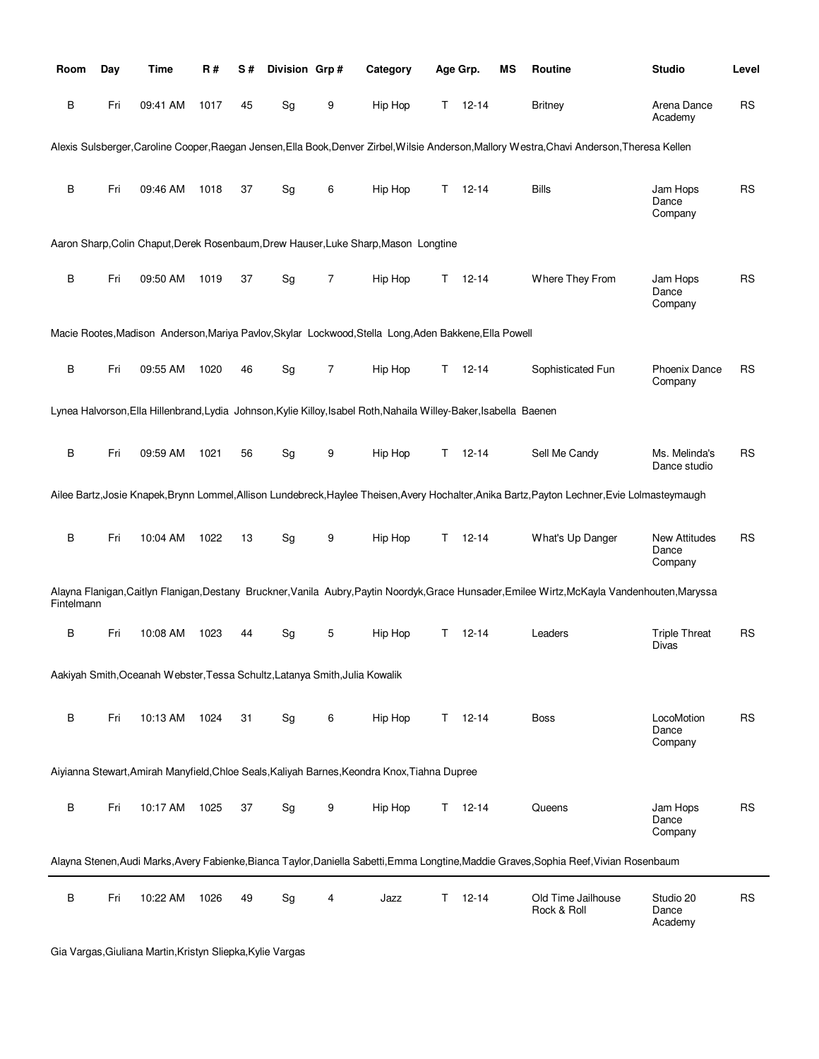| Room       | Day | <b>Time</b>                                                                 | R#   | S# | Division Grp#                |                | Category                                                                                                           |    | Age Grp.      | ΜS | Routine                                                                                                                                        | <b>Studio</b>                            | Level     |
|------------|-----|-----------------------------------------------------------------------------|------|----|------------------------------|----------------|--------------------------------------------------------------------------------------------------------------------|----|---------------|----|------------------------------------------------------------------------------------------------------------------------------------------------|------------------------------------------|-----------|
| B          | Fri | 09:41 AM                                                                    | 1017 | 45 | Sg                           | 9              | Hip Hop                                                                                                            |    | $T = 12 - 14$ |    | <b>Britney</b>                                                                                                                                 | Arena Dance<br>Academy                   | <b>RS</b> |
|            |     |                                                                             |      |    |                              |                |                                                                                                                    |    |               |    | Alexis Sulsberger, Caroline Cooper, Raegan Jensen, Ella Book, Denver Zirbel, Wilsie Anderson, Mallory Westra, Chavi Anderson, Theresa Kellen   |                                          |           |
| B          | Fri | 09:46 AM                                                                    | 1018 | 37 | Sg                           | 6              | Hip Hop                                                                                                            | T. | $12 - 14$     |    | <b>Bills</b>                                                                                                                                   | Jam Hops<br>Dance<br>Company             | <b>RS</b> |
|            |     |                                                                             |      |    |                              |                | Aaron Sharp, Colin Chaput, Derek Rosenbaum, Drew Hauser, Luke Sharp, Mason Longtine                                |    |               |    |                                                                                                                                                |                                          |           |
| B          | Fri | 09:50 AM                                                                    | 1019 | 37 | $\operatorname{\mathsf{Sg}}$ | 7              | Hip Hop                                                                                                            | T. | $12 - 14$     |    | Where They From                                                                                                                                | Jam Hops<br>Dance<br>Company             | <b>RS</b> |
|            |     |                                                                             |      |    |                              |                | Macie Rootes, Madison Anderson, Mariya Pavlov, Skylar Lockwood, Stella Long, Aden Bakkene, Ella Powell             |    |               |    |                                                                                                                                                |                                          |           |
| В          | Fri | 09:55 AM                                                                    | 1020 | 46 | Sg                           | $\overline{7}$ | Hip Hop                                                                                                            | T. | 12-14         |    | Sophisticated Fun                                                                                                                              | <b>Phoenix Dance</b><br>Company          | <b>RS</b> |
|            |     |                                                                             |      |    |                              |                | Lynea Halvorson, Ella Hillenbrand, Lydia Johnson, Kylie Killoy, Isabel Roth, Nahaila Willey-Baker, Isabella Baenen |    |               |    |                                                                                                                                                |                                          |           |
| B          | Fri | 09:59 AM                                                                    | 1021 | 56 | Sg                           | 9              | Hip Hop                                                                                                            | T. | 12-14         |    | Sell Me Candy                                                                                                                                  | Ms. Melinda's<br>Dance studio            | <b>RS</b> |
|            |     |                                                                             |      |    |                              |                |                                                                                                                    |    |               |    | Ailee Bartz, Josie Knapek, Brynn Lommel, Allison Lundebreck, Haylee Theisen, Avery Hochalter, Anika Bartz, Payton Lechner, Evie Lolmasteymaugh |                                          |           |
|            |     |                                                                             |      |    |                              |                |                                                                                                                    |    |               |    |                                                                                                                                                |                                          |           |
| B          | Fri | 10:04 AM                                                                    | 1022 | 13 | Sg                           | 9              | Hip Hop                                                                                                            | T. | 12-14         |    | What's Up Danger                                                                                                                               | <b>New Attitudes</b><br>Dance<br>Company | <b>RS</b> |
| Fintelmann |     |                                                                             |      |    |                              |                |                                                                                                                    |    |               |    | Alayna Flanigan,Caitlyn Flanigan,Destany Bruckner,Vanila Aubry,Paytin Noordyk,Grace Hunsader,Emilee Wirtz,McKayla Vandenhouten,Maryssa         |                                          |           |
| В          | Fri | 10:08 AM                                                                    | 1023 | 44 | Sg                           | 5              | Hip Hop                                                                                                            | T. | 12-14         |    | Leaders                                                                                                                                        | <b>Triple Threat</b><br>Divas            | <b>RS</b> |
|            |     | Aakiyah Smith, Oceanah Webster, Tessa Schultz, Latanya Smith, Julia Kowalik |      |    |                              |                |                                                                                                                    |    |               |    |                                                                                                                                                |                                          |           |
| B          | Fri | 10:13 AM                                                                    | 1024 | 31 | Sg                           | 6              | Hip Hop                                                                                                            |    | $T = 12 - 14$ |    | Boss                                                                                                                                           | LocoMotion<br>Dance<br>Company           | RS        |
|            |     |                                                                             |      |    |                              |                | Aiyianna Stewart, Amirah Manyfield, Chloe Seals, Kaliyah Barnes, Keondra Knox, Tiahna Dupree                       |    |               |    |                                                                                                                                                |                                          |           |
| B          | Fri | 10:17 AM                                                                    | 1025 | 37 | Sg                           | 9              | Hip Hop                                                                                                            | T. | $12 - 14$     |    | Queens                                                                                                                                         | Jam Hops<br>Dance<br>Company             | <b>RS</b> |
|            |     |                                                                             |      |    |                              |                |                                                                                                                    |    |               |    | Alayna Stenen, Audi Marks, Avery Fabienke, Bianca Taylor, Daniella Sabetti, Emma Longtine, Maddie Graves, Sophia Reef, Vivian Rosenbaum        |                                          |           |
| В          | Fri | 10:22 AM                                                                    | 1026 | 49 | $\operatorname{\mathsf{Sg}}$ | 4              | Jazz                                                                                                               | T. | $12 - 14$     |    | Old Time Jailhouse<br>Rock & Roll                                                                                                              | Studio 20<br>Dance<br>Academy            | <b>RS</b> |

Gia Vargas,Giuliana Martin,Kristyn Sliepka,Kylie Vargas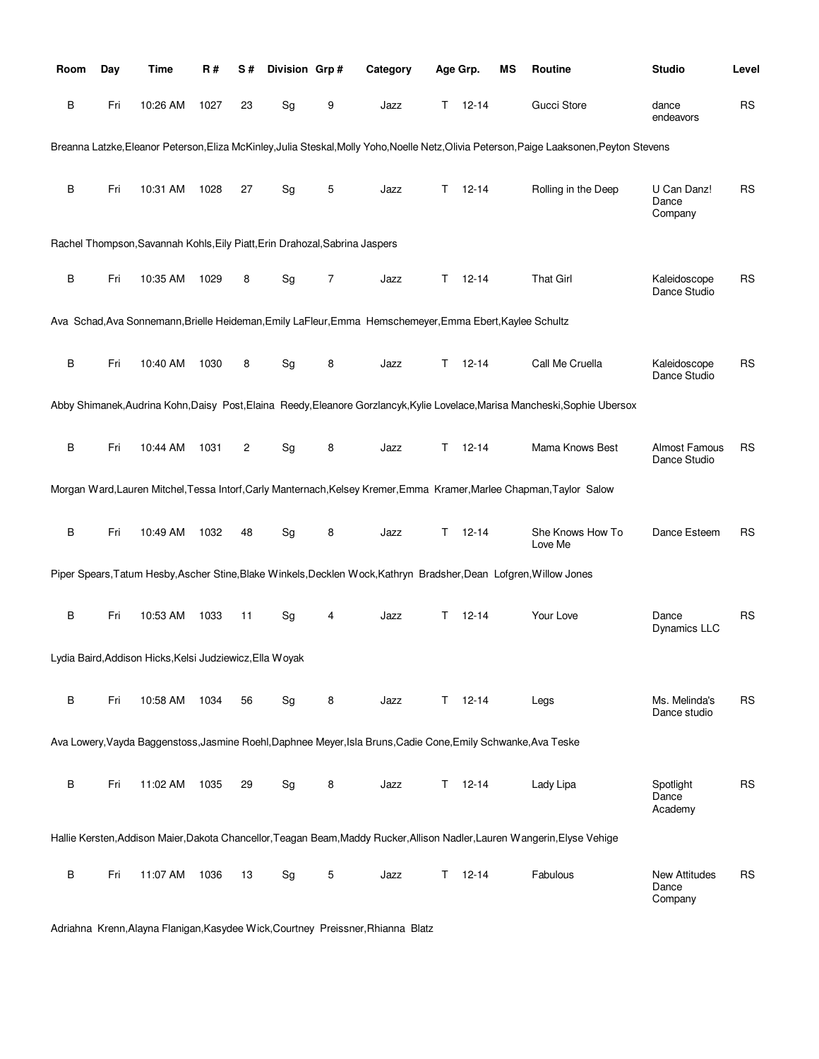| Room | Day | Time                                                                        | R#   | S#             | Division Grp#                |                | Category                                                                                                           |    | Age Grp.  | ΜS | Routine                                                                                                                                    | <b>Studio</b>                            | Level     |
|------|-----|-----------------------------------------------------------------------------|------|----------------|------------------------------|----------------|--------------------------------------------------------------------------------------------------------------------|----|-----------|----|--------------------------------------------------------------------------------------------------------------------------------------------|------------------------------------------|-----------|
| В    | Fri | 10:26 AM                                                                    | 1027 | 23             | Sg                           | 9              | Jazz                                                                                                               | Τ  | $12 - 14$ |    | Gucci Store                                                                                                                                | dance<br>endeavors                       | <b>RS</b> |
|      |     |                                                                             |      |                |                              |                |                                                                                                                    |    |           |    | Breanna Latzke, Eleanor Peterson, Eliza McKinley, Julia Steskal, Molly Yoho, Noelle Netz, Olivia Peterson, Paige Laaksonen, Peyton Stevens |                                          |           |
| В    | Fri | 10:31 AM                                                                    | 1028 | 27             | Sg                           | 5              | Jazz                                                                                                               | Τ  | 12-14     |    | Rolling in the Deep                                                                                                                        | U Can Danz!<br>Dance<br>Company          | <b>RS</b> |
|      |     | Rachel Thompson, Savannah Kohls, Eily Piatt, Erin Drahozal, Sabrina Jaspers |      |                |                              |                |                                                                                                                    |    |           |    |                                                                                                                                            |                                          |           |
| B    | Fri | 10:35 AM                                                                    | 1029 | 8              | Sg                           | $\overline{7}$ | Jazz                                                                                                               | Τ  | $12 - 14$ |    | <b>That Girl</b>                                                                                                                           | Kaleidoscope<br>Dance Studio             | <b>RS</b> |
|      |     |                                                                             |      |                |                              |                | Ava Schad, Ava Sonnemann, Brielle Heideman, Emily LaFleur, Emma Hemschemeyer, Emma Ebert, Kaylee Schultz           |    |           |    |                                                                                                                                            |                                          |           |
| B    | Fri | 10:40 AM                                                                    | 1030 | 8              | $\operatorname{\mathsf{Sg}}$ | 8              | Jazz                                                                                                               | Τ  | $12 - 14$ |    | Call Me Cruella                                                                                                                            | Kaleidoscope<br>Dance Studio             | <b>RS</b> |
|      |     |                                                                             |      |                |                              |                |                                                                                                                    |    |           |    | Abby Shimanek, Audrina Kohn, Daisy Post, Elaina Reedy, Eleanore Gorzlancyk, Kylie Lovelace, Marisa Mancheski, Sophie Ubersox               |                                          |           |
| B    | Fri | 10:44 AM                                                                    | 1031 | $\overline{c}$ | Sg                           | 8              | Jazz                                                                                                               | т  | $12 - 14$ |    | Mama Knows Best                                                                                                                            | <b>Almost Famous</b><br>Dance Studio     | <b>RS</b> |
|      |     |                                                                             |      |                |                              |                |                                                                                                                    |    |           |    | Morgan Ward, Lauren Mitchel, Tessa Intorf, Carly Manternach, Kelsey Kremer, Emma Kramer, Marlee Chapman, Taylor Salow                      |                                          |           |
| B    | Fri | 10:49 AM                                                                    | 1032 | 48             | Sg                           | 8              | Jazz                                                                                                               | Τ  | $12 - 14$ |    | She Knows How To<br>Love Me                                                                                                                | Dance Esteem                             | <b>RS</b> |
|      |     |                                                                             |      |                |                              |                | Piper Spears, Tatum Hesby, Ascher Stine, Blake Winkels, Decklen Wock, Kathryn Bradsher, Dean Lofgren, Willow Jones |    |           |    |                                                                                                                                            |                                          |           |
| B    | Fri | 10:53 AM                                                                    | 1033 | 11             | $\operatorname{\mathsf{Sg}}$ | 4              | Jazz                                                                                                               | т  | 12-14     |    | Your Love                                                                                                                                  | Dance<br><b>Dynamics LLC</b>             | <b>RS</b> |
|      |     | Lydia Baird, Addison Hicks, Kelsi Judziewicz, Ella Woyak                    |      |                |                              |                |                                                                                                                    |    |           |    |                                                                                                                                            |                                          |           |
| В    | Fri | 10:58 AM                                                                    | 1034 | 56             | Sg                           | 8              | Jazz                                                                                                               | T. | $12 - 14$ |    | Legs                                                                                                                                       | Ms. Melinda's<br>Dance studio            | <b>RS</b> |
|      |     |                                                                             |      |                |                              |                | Ava Lowery, Vayda Baggenstoss, Jasmine Roehl, Daphnee Meyer, Isla Bruns, Cadie Cone, Emily Schwanke, Ava Teske     |    |           |    |                                                                                                                                            |                                          |           |
| B    | Fri | 11:02 AM                                                                    | 1035 | 29             | Sg                           | 8              | Jazz                                                                                                               | T. | $12 - 14$ |    | Lady Lipa                                                                                                                                  | Spotlight<br>Dance<br>Academy            | <b>RS</b> |
|      |     |                                                                             |      |                |                              |                |                                                                                                                    |    |           |    | Hallie Kersten, Addison Maier, Dakota Chancellor, Teagan Beam, Maddy Rucker, Allison Nadler, Lauren Wangerin, Elyse Vehige                 |                                          |           |
| В    | Fri | 11:07 AM                                                                    | 1036 | 13             | Sg                           | 5              | Jazz                                                                                                               | Τ  | $12 - 14$ |    | Fabulous                                                                                                                                   | <b>New Attitudes</b><br>Dance<br>Company | <b>RS</b> |

Adriahna Krenn,Alayna Flanigan,Kasydee Wick,Courtney Preissner,Rhianna Blatz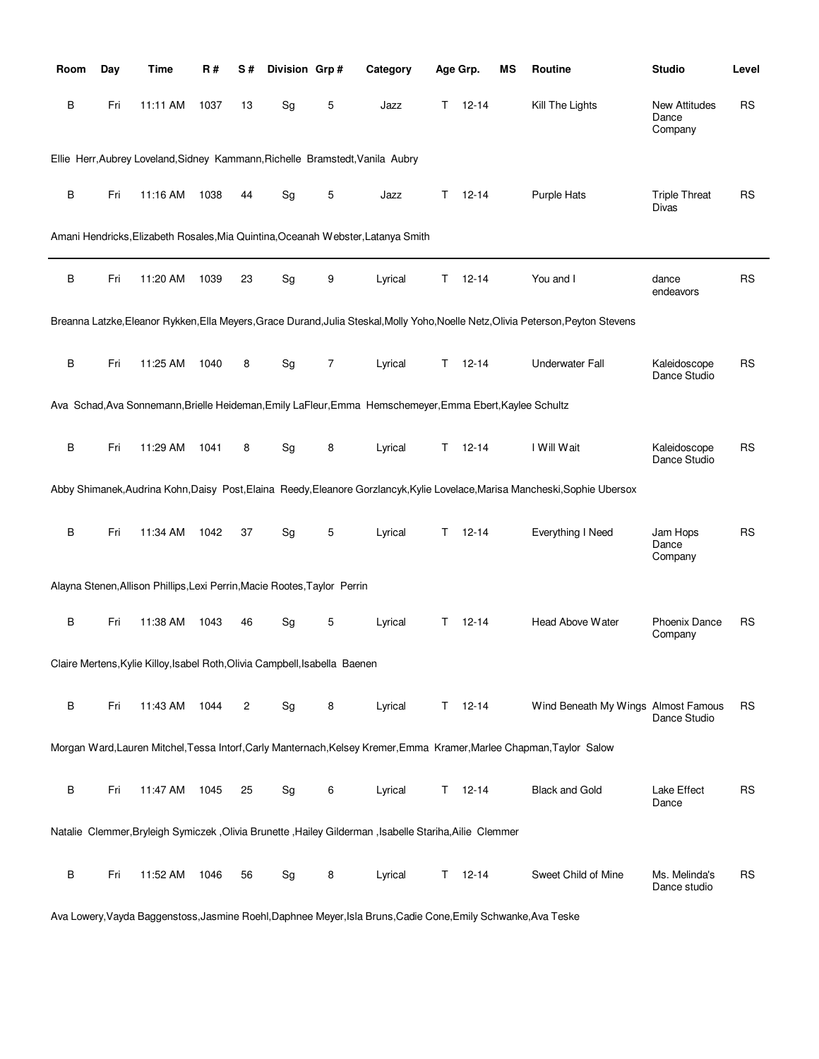| Room    | Day | Time                                                                        | R#   | S#             | Division Grp# |   | Category                                                                                                  |   | Age Grp.      | ΜS | Routine                                                                                                                            | <b>Studio</b>                            | Level     |
|---------|-----|-----------------------------------------------------------------------------|------|----------------|---------------|---|-----------------------------------------------------------------------------------------------------------|---|---------------|----|------------------------------------------------------------------------------------------------------------------------------------|------------------------------------------|-----------|
| В       | Fri | 11:11 AM                                                                    | 1037 | 13             | Sg            | 5 | Jazz                                                                                                      | Τ | $12 - 14$     |    | Kill The Lights                                                                                                                    | <b>New Attitudes</b><br>Dance<br>Company | <b>RS</b> |
|         |     |                                                                             |      |                |               |   | Ellie Herr, Aubrey Loveland, Sidney Kammann, Richelle Bramstedt, Vanila Aubry                             |   |               |    |                                                                                                                                    |                                          |           |
| B       | Fri | 11:16 AM                                                                    | 1038 | 44             | Sg            | 5 | Jazz                                                                                                      | т | $12 - 14$     |    | Purple Hats                                                                                                                        | <b>Triple Threat</b><br>Divas            | <b>RS</b> |
|         |     |                                                                             |      |                |               |   | Amani Hendricks, Elizabeth Rosales, Mia Quintina, Oceanah Webster, Latanya Smith                          |   |               |    |                                                                                                                                    |                                          |           |
| B       | Fri | 11:20 AM                                                                    | 1039 | 23             | Sg            | 9 | Lyrical                                                                                                   | Т | $12 - 14$     |    | You and I                                                                                                                          | dance<br>endeavors                       | <b>RS</b> |
|         |     |                                                                             |      |                |               |   |                                                                                                           |   |               |    | Breanna Latzke, Eleanor Rykken, Ella Meyers, Grace Durand, Julia Steskal, Molly Yoho, Noelle Netz, Olivia Peterson, Peyton Stevens |                                          |           |
| В       | Fri | 11:25 AM                                                                    | 1040 | 8              | Sg            | 7 | Lyrical                                                                                                   | Τ | $12 - 14$     |    | <b>Underwater Fall</b>                                                                                                             | Kaleidoscope<br>Dance Studio             | <b>RS</b> |
|         |     |                                                                             |      |                |               |   | Ava Schad, Ava Sonnemann, Brielle Heideman, Emily LaFleur, Emma Hemschemeyer, Emma Ebert, Kaylee Schultz  |   |               |    |                                                                                                                                    |                                          |           |
| В       | Fri | 11:29 AM                                                                    | 1041 | 8              | Sg            | 8 | Lyrical                                                                                                   | т | $12 - 14$     |    | I Will Wait                                                                                                                        | Kaleidoscope<br>Dance Studio             | <b>RS</b> |
|         |     |                                                                             |      |                |               |   |                                                                                                           |   |               |    | Abby Shimanek, Audrina Kohn, Daisy Post, Elaina Reedy, Eleanore Gorzlancyk, Kylie Lovelace, Marisa Mancheski, Sophie Ubersox       |                                          |           |
| $\sf B$ | Fri | 11:34 AM                                                                    | 1042 | 37             | Sg            | 5 | Lyrical                                                                                                   | T | $12 - 14$     |    | <b>Everything I Need</b>                                                                                                           | Jam Hops<br>Dance<br>Company             | <b>RS</b> |
|         |     | Alayna Stenen, Allison Phillips, Lexi Perrin, Macie Rootes, Taylor Perrin   |      |                |               |   |                                                                                                           |   |               |    |                                                                                                                                    |                                          |           |
| В       | Fri | 11:38 AM                                                                    | 1043 | 46             | Sg            | 5 | Lyrical                                                                                                   | т | $12 - 14$     |    | Head Above Water                                                                                                                   | <b>Phoenix Dance</b><br>Company          | RS        |
|         |     | Claire Mertens, Kylie Killoy, Isabel Roth, Olivia Campbell, Isabella Baenen |      |                |               |   |                                                                                                           |   |               |    |                                                                                                                                    |                                          |           |
| В       | Fri | 11:43 AM                                                                    | 1044 | $\overline{c}$ | Sg            | 8 | Lyrical                                                                                                   |   | $T = 12 - 14$ |    | Wind Beneath My Wings Almost Famous                                                                                                | Dance Studio                             | <b>RS</b> |
|         |     |                                                                             |      |                |               |   |                                                                                                           |   |               |    | Morgan Ward, Lauren Mitchel, Tessa Intorf, Carly Manternach, Kelsey Kremer, Emma Kramer, Marlee Chapman, Taylor Salow              |                                          |           |
| В       | Fri | 11:47 AM                                                                    | 1045 | 25             | Sg            | 6 | Lyrical                                                                                                   | Τ | $12 - 14$     |    | <b>Black and Gold</b>                                                                                                              | Lake Effect<br>Dance                     | <b>RS</b> |
|         |     |                                                                             |      |                |               |   | Natalie Clemmer, Bryleigh Symiczek , Olivia Brunette , Hailey Gilderman , Isabelle Stariha, Ailie Clemmer |   |               |    |                                                                                                                                    |                                          |           |
| В       | Fri | 11:52 AM                                                                    | 1046 | 56             | Sg            | 8 | Lyrical                                                                                                   | Τ | $12 - 14$     |    | Sweet Child of Mine                                                                                                                | Ms. Melinda's<br>Dance studio            | <b>RS</b> |

Ava Lowery,Vayda Baggenstoss,Jasmine Roehl,Daphnee Meyer,Isla Bruns,Cadie Cone,Emily Schwanke,Ava Teske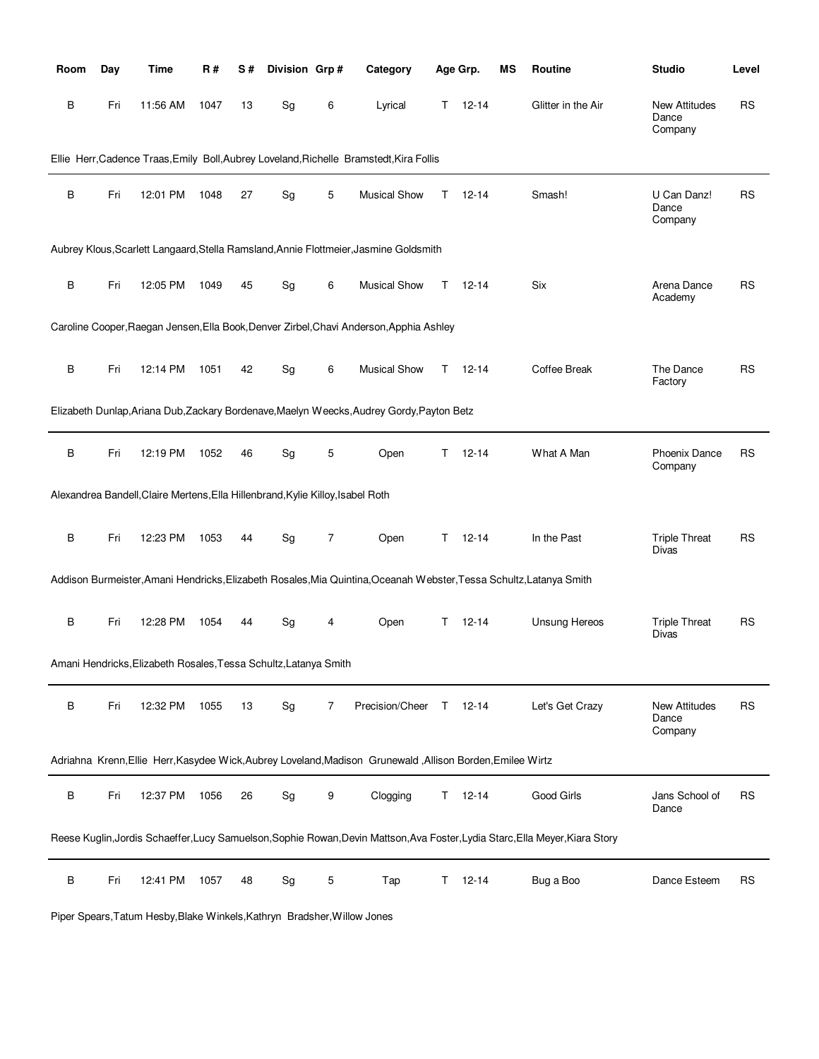| Room    | Day | Time                                                                            | R#   | S# | Division Grp# |                | Category                                                                                                            |    | Age Grp.  | ΜS | <b>Routine</b>                                                                                                                | <b>Studio</b>                            | Level     |
|---------|-----|---------------------------------------------------------------------------------|------|----|---------------|----------------|---------------------------------------------------------------------------------------------------------------------|----|-----------|----|-------------------------------------------------------------------------------------------------------------------------------|------------------------------------------|-----------|
| В       | Fri | 11:56 AM                                                                        | 1047 | 13 | Sg            | 6              | Lyrical                                                                                                             | T. | $12 - 14$ |    | Glitter in the Air                                                                                                            | <b>New Attitudes</b><br>Dance<br>Company | <b>RS</b> |
|         |     |                                                                                 |      |    |               |                | Ellie Herr, Cadence Traas, Emily Boll, Aubrey Loveland, Richelle Bramstedt, Kira Follis                             |    |           |    |                                                                                                                               |                                          |           |
| $\,$ B  | Fri | 12:01 PM                                                                        | 1048 | 27 | Sg            | 5              | <b>Musical Show</b>                                                                                                 | Τ  | $12 - 14$ |    | Smash!                                                                                                                        | U Can Danz!<br>Dance<br>Company          | <b>RS</b> |
|         |     |                                                                                 |      |    |               |                | Aubrey Klous, Scarlett Langaard, Stella Ramsland, Annie Flottmeier, Jasmine Goldsmith                               |    |           |    |                                                                                                                               |                                          |           |
| B       | Fri | 12:05 PM                                                                        | 1049 | 45 | Sg            | 6              | <b>Musical Show</b>                                                                                                 | T. | $12 - 14$ |    | Six                                                                                                                           | Arena Dance<br>Academy                   | <b>RS</b> |
|         |     |                                                                                 |      |    |               |                | Caroline Cooper, Raegan Jensen, Ella Book, Denver Zirbel, Chavi Anderson, Apphia Ashley                             |    |           |    |                                                                                                                               |                                          |           |
| $\sf B$ | Fri | 12:14 PM                                                                        | 1051 | 42 | Sg            | 6              | <b>Musical Show</b>                                                                                                 | T. | $12 - 14$ |    | Coffee Break                                                                                                                  | The Dance<br>Factory                     | <b>RS</b> |
|         |     |                                                                                 |      |    |               |                | Elizabeth Dunlap, Ariana Dub, Zackary Bordenave, Maelyn Weecks, Audrey Gordy, Payton Betz                           |    |           |    |                                                                                                                               |                                          |           |
| B       | Fri | 12:19 PM                                                                        | 1052 | 46 | Sg            | 5              | Open                                                                                                                | Τ  | $12 - 14$ |    | What A Man                                                                                                                    | Phoenix Dance<br>Company                 | <b>RS</b> |
|         |     | Alexandrea Bandell, Claire Mertens, Ella Hillenbrand, Kylie Killoy, Isabel Roth |      |    |               |                |                                                                                                                     |    |           |    |                                                                                                                               |                                          |           |
| B       | Fri | 12:23 PM                                                                        | 1053 | 44 | Sg            | $\overline{7}$ | Open                                                                                                                | T. | $12 - 14$ |    | In the Past                                                                                                                   | <b>Triple Threat</b><br>Divas            | <b>RS</b> |
|         |     |                                                                                 |      |    |               |                | Addison Burmeister, Amani Hendricks, Elizabeth Rosales, Mia Quintina, Oceanah Webster, Tessa Schultz, Latanya Smith |    |           |    |                                                                                                                               |                                          |           |
| B       | Fri | 12:28 PM                                                                        | 1054 | 44 | Sg            | 4              | Open                                                                                                                | Τ  | $12 - 14$ |    | <b>Unsung Hereos</b>                                                                                                          | <b>Triple Threat</b><br><b>Divas</b>     | <b>RS</b> |
|         |     | Amani Hendricks, Elizabeth Rosales, Tessa Schultz, Latanya Smith                |      |    |               |                |                                                                                                                     |    |           |    |                                                                                                                               |                                          |           |
| B       | Fri | 12:32 PM                                                                        | 1055 | 13 | Sg            | 7              | Precision/Cheer T 12-14                                                                                             |    |           |    | Let's Get Crazy                                                                                                               | <b>New Attitudes</b><br>Dance<br>Company | <b>RS</b> |
|         |     |                                                                                 |      |    |               |                | Adriahna Krenn, Ellie Herr, Kasydee Wick, Aubrey Loveland, Madison Grunewald, Allison Borden, Emilee Wirtz          |    |           |    |                                                                                                                               |                                          |           |
| $\sf B$ | Fri | 12:37 PM                                                                        | 1056 | 26 | Sg            | 9              | Clogging                                                                                                            | T. | $12 - 14$ |    | Good Girls                                                                                                                    | Jans School of<br>Dance                  | <b>RS</b> |
|         |     |                                                                                 |      |    |               |                |                                                                                                                     |    |           |    | Reese Kuglin, Jordis Schaeffer, Lucy Samuelson, Sophie Rowan, Devin Mattson, Ava Foster, Lydia Starc, Ella Meyer, Kiara Story |                                          |           |
| $\sf B$ | Fri | 12:41 PM                                                                        | 1057 | 48 | Sg            | 5              | Tap                                                                                                                 | T. | $12 - 14$ |    | Bug a Boo                                                                                                                     | Dance Esteem                             | <b>RS</b> |

Piper Spears,Tatum Hesby,Blake Winkels,Kathryn Bradsher,Willow Jones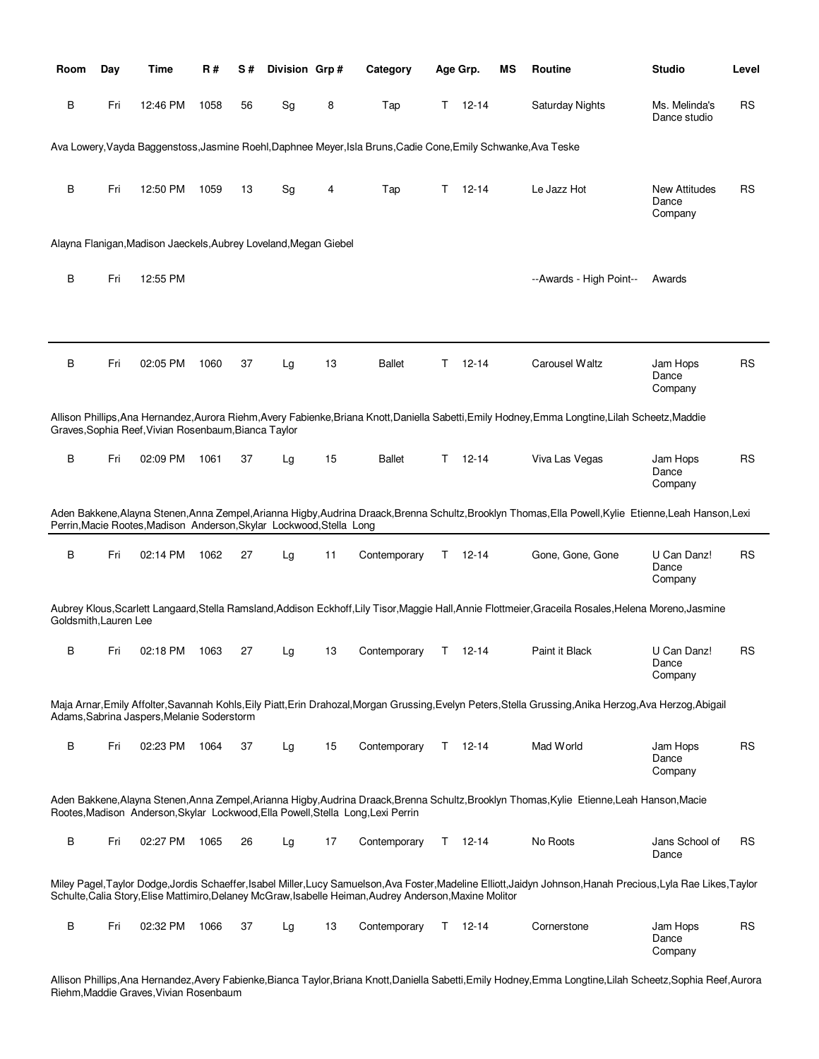| Room                  | Day | Time                                                                 | R#   | S# | Division Grp# |    | Category                                                                                                       |    | Age Grp.      | МS | <b>Routine</b>                                                                                                                                            | <b>Studio</b>                            | Level     |
|-----------------------|-----|----------------------------------------------------------------------|------|----|---------------|----|----------------------------------------------------------------------------------------------------------------|----|---------------|----|-----------------------------------------------------------------------------------------------------------------------------------------------------------|------------------------------------------|-----------|
| В                     | Fri | 12:46 PM                                                             | 1058 | 56 | Sg            | 8  | Tap                                                                                                            | T. | $12 - 14$     |    | Saturday Nights                                                                                                                                           | Ms. Melinda's<br>Dance studio            | RS        |
|                       |     |                                                                      |      |    |               |    | Ava Lowery, Vayda Baggenstoss, Jasmine Roehl, Daphnee Meyer, Isla Bruns, Cadie Cone, Emily Schwanke, Ava Teske |    |               |    |                                                                                                                                                           |                                          |           |
| В                     | Fri | 12:50 PM                                                             | 1059 | 13 | Sg            | 4  | Tap                                                                                                            | T. | $12 - 14$     |    | Le Jazz Hot                                                                                                                                               | <b>New Attitudes</b><br>Dance<br>Company | RS        |
|                       |     | Alayna Flanigan, Madison Jaeckels, Aubrey Loveland, Megan Giebel     |      |    |               |    |                                                                                                                |    |               |    |                                                                                                                                                           |                                          |           |
| B                     | Fri | 12:55 PM                                                             |      |    |               |    |                                                                                                                |    |               |    | --Awards - High Point--                                                                                                                                   | Awards                                   |           |
| В                     | Fri | 02:05 PM                                                             | 1060 | 37 | Lg            | 13 | <b>Ballet</b>                                                                                                  | T. | $12 - 14$     |    | Carousel Waltz                                                                                                                                            | Jam Hops<br>Dance<br>Company             | <b>RS</b> |
|                       |     | Graves, Sophia Reef, Vivian Rosenbaum, Bianca Taylor                 |      |    |               |    |                                                                                                                |    |               |    | Allison Phillips, Ana Hernandez, Aurora Riehm, Avery Fabienke, Briana Knott, Daniella Sabetti, Emily Hodney, Emma Longtine, Lilah Scheetz, Maddie         |                                          |           |
| B                     | Fri | 02:09 PM                                                             | 1061 | 37 | Lg            | 15 | <b>Ballet</b>                                                                                                  | T. | 12-14         |    | Viva Las Vegas                                                                                                                                            | Jam Hops<br>Dance<br>Company             | <b>RS</b> |
|                       |     | Perrin, Macie Rootes, Madison Anderson, Skylar Lockwood, Stella Long |      |    |               |    |                                                                                                                |    |               |    | Aden Bakkene, Alayna Stenen, Anna Zempel, Arianna Higby, Audrina Draack, Brenna Schultz, Brooklyn Thomas, Ella Powell, Kylie Etienne, Leah Hanson, Lexi   |                                          |           |
| B                     | Fri | 02:14 PM                                                             | 1062 | 27 | Lg            | 11 | Contemporary                                                                                                   |    | $T = 12 - 14$ |    | Gone, Gone, Gone                                                                                                                                          | U Can Danz!<br>Dance<br>Company          | <b>RS</b> |
| Goldsmith, Lauren Lee |     |                                                                      |      |    |               |    |                                                                                                                |    |               |    | Aubrey Klous, Scarlett Langaard, Stella Ramsland, Addison Eckhoff, Lily Tisor, Maggie Hall, Annie Flottmeier, Graceila Rosales, Helena Moreno, Jasmine    |                                          |           |
| в                     | Fri | 02:18 PM                                                             | 1063 | 27 | Lg            | 13 | Contemporary                                                                                                   | T. | 12-14         |    | Paint it Black                                                                                                                                            | U Can Danz!<br>Dance<br>Company          | <b>RS</b> |
|                       |     | Adams, Sabrina Jaspers, Melanie Soderstorm                           |      |    |               |    |                                                                                                                |    |               |    | Maja Arnar, Emily Affolter, Savannah Kohls, Eily Piatt, Erin Drahozal, Morgan Grussing, Evelyn Peters, Stella Grussing, Anika Herzog, Ava Herzog, Abigail |                                          |           |
| В                     | Fri | 02:23 PM                                                             | 1064 | 37 | Lg            | 15 | Contemporary                                                                                                   |    | $T = 12 - 14$ |    | Mad World                                                                                                                                                 | Jam Hops<br>Dance<br>Company             | <b>RS</b> |
|                       |     |                                                                      |      |    |               |    | Rootes, Madison Anderson, Skylar Lockwood, Ella Powell, Stella Long, Lexi Perrin                               |    |               |    | Aden Bakkene, Alayna Stenen, Anna Zempel, Arianna Higby, Audrina Draack, Brenna Schultz, Brooklyn Thomas, Kylie Etienne, Leah Hanson, Macie               |                                          |           |
| B                     | Fri | 02:27 PM                                                             | 1065 | 26 | Lg            | 17 | Contemporary                                                                                                   | T. | 12-14         |    | No Roots                                                                                                                                                  | Jans School of<br>Dance                  | <b>RS</b> |
|                       |     |                                                                      |      |    |               |    | Schulte, Calia Story, Elise Mattimiro, Delaney McGraw, Isabelle Heiman, Audrey Anderson, Maxine Molitor        |    |               |    | Miley Pagel,Taylor Dodge,Jordis Schaeffer,Isabel Miller,Lucy Samuelson,Ava Foster,Madeline Elliott,Jaidyn Johnson,Hanah Precious,Lyla Rae Likes,Taylor    |                                          |           |
| В                     | Fri | 02:32 PM                                                             | 1066 | 37 | Lg            | 13 | Contemporary                                                                                                   |    | $T = 12 - 14$ |    | Cornerstone                                                                                                                                               | Jam Hops<br>Dance<br>Company             | <b>RS</b> |

Allison Phillips,Ana Hernandez,Avery Fabienke,Bianca Taylor,Briana Knott,Daniella Sabetti,Emily Hodney,Emma Longtine,Lilah Scheetz,Sophia Reef,Aurora Riehm,Maddie Graves,Vivian Rosenbaum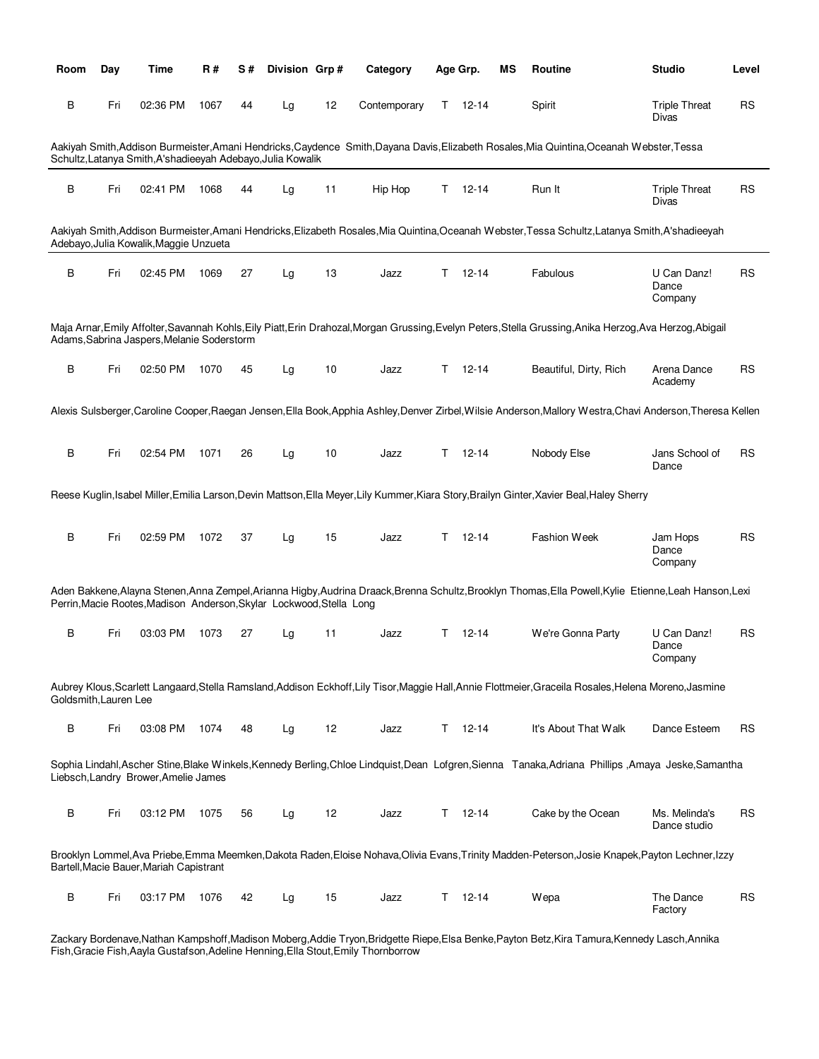| Room                  | Day | Time                                                                 | <b>R#</b> | S# | Division Grp# |    | Category     |    | Age Grp.      | ΜS | Routine                                                                                                                                                     | <b>Studio</b>                   | Level     |
|-----------------------|-----|----------------------------------------------------------------------|-----------|----|---------------|----|--------------|----|---------------|----|-------------------------------------------------------------------------------------------------------------------------------------------------------------|---------------------------------|-----------|
| В                     | Fri | 02:36 PM                                                             | 1067      | 44 | Lg            | 12 | Contemporary | T. | 12-14         |    | Spirit                                                                                                                                                      | <b>Triple Threat</b><br>Divas   | RS        |
|                       |     | Schultz, Latanya Smith, A'shadieeyah Adebayo, Julia Kowalik          |           |    |               |    |              |    |               |    | Aakiyah Smith,Addison Burmeister,Amani Hendricks,Caydence Smith,Dayana Davis,Elizabeth Rosales,Mia Quintina,Oceanah Webster,Tessa                           |                                 |           |
| В                     | Fri | 02:41 PM                                                             | 1068      | 44 | Lg            | 11 | Hip Hop      | Τ  | 12-14         |    | Run It                                                                                                                                                      | <b>Triple Threat</b><br>Divas   | RS        |
|                       |     | Adebayo, Julia Kowalik, Maggie Unzueta                               |           |    |               |    |              |    |               |    | Aakiyah Smith, Addison Burmeister, Amani Hendricks, Elizabeth Rosales, Mia Quintina, Oceanah Webster, Tessa Schultz, Latanya Smith, A'shadieeyah            |                                 |           |
| B                     | Fri | 02:45 PM                                                             | 1069      | 27 | Lg            | 13 | Jazz         | т  | $12 - 14$     |    | Fabulous                                                                                                                                                    | U Can Danz!<br>Dance<br>Company | RS        |
|                       |     | Adams, Sabrina Jaspers, Melanie Soderstorm                           |           |    |               |    |              |    |               |    | Maja Arnar, Emily Affolter, Savannah Kohls, Eily Piatt, Erin Drahozal, Morgan Grussing, Evelyn Peters, Stella Grussing, Anika Herzog, Ava Herzog, Abigail   |                                 |           |
| В                     | Fri | 02:50 PM                                                             | 1070      | 45 | Lg            | 10 | Jazz         | T. | 12-14         |    | Beautiful, Dirty, Rich                                                                                                                                      | Arena Dance<br>Academy          | <b>RS</b> |
|                       |     |                                                                      |           |    |               |    |              |    |               |    | Alexis Sulsberger, Caroline Cooper, Raegan Jensen, Ella Book, Apphia Ashley, Denver Zirbel, Wilsie Anderson, Mallory Westra, Chavi Anderson, Theresa Kellen |                                 |           |
| В                     | Fri | 02:54 PM                                                             | 1071      | 26 | Lg            | 10 | Jazz         | T. | 12-14         |    | Nobody Else                                                                                                                                                 | Jans School of<br>Dance         | <b>RS</b> |
|                       |     |                                                                      |           |    |               |    |              |    |               |    | Reese Kuglin, Isabel Miller, Emilia Larson, Devin Mattson, Ella Meyer, Lily Kummer, Kiara Story, Brailyn Ginter, Xavier Beal, Haley Sherry                  |                                 |           |
| B                     | Fri | 02:59 PM                                                             | 1072      | 37 | Lg            | 15 | Jazz         | T. | 12-14         |    | <b>Fashion Week</b>                                                                                                                                         | Jam Hops<br>Dance<br>Company    | <b>RS</b> |
|                       |     | Perrin, Macie Rootes, Madison Anderson, Skylar Lockwood, Stella Long |           |    |               |    |              |    |               |    | Aden Bakkene,Alayna Stenen,Anna Zempel,Arianna Higby,Audrina Draack,Brenna Schultz,Brooklyn Thomas,Ella Powell,Kylie Etienne,Leah Hanson,Lexi               |                                 |           |
| В                     | Fri | 03:03 PM                                                             | 1073      | 27 | Lg            | 11 | Jazz         | Τ  | 12-14         |    | We're Gonna Party                                                                                                                                           | U Can Danz!<br>Dance<br>Company | RS        |
| Goldsmith, Lauren Lee |     |                                                                      |           |    |               |    |              |    |               |    | Aubrey Klous, Scarlett Langaard, Stella Ramsland, Addison Eckhoff, Lily Tisor, Maggie Hall, Annie Flottmeier, Graceila Rosales, Helena Moreno, Jasmine      |                                 |           |
| В                     | Fri | 03:08 PM                                                             | 1074      | 48 | Lg            | 12 | Jazz         |    | $T = 12 - 14$ |    | It's About That Walk                                                                                                                                        | Dance Esteem                    | <b>RS</b> |
|                       |     | Liebsch, Landry Brower, Amelie James                                 |           |    |               |    |              |    |               |    | Sophia Lindahl, Ascher Stine, Blake Winkels, Kennedy Berling, Chloe Lindquist, Dean Lofgren, Sienna Tanaka, Adriana Phillips, Amaya Jeske, Samantha         |                                 |           |
| B                     | Fri | 03:12 PM                                                             | 1075      | 56 | Lg            | 12 | Jazz         | T. | $12 - 14$     |    | Cake by the Ocean                                                                                                                                           | Ms. Melinda's<br>Dance studio   | RS        |
|                       |     | Bartell, Macie Bauer, Mariah Capistrant                              |           |    |               |    |              |    |               |    | Brooklyn Lommel, Ava Priebe, Emma Meemken, Dakota Raden, Eloise Nohava, Olivia Evans, Trinity Madden-Peterson, Josie Knapek, Payton Lechner, Izzy           |                                 |           |
| B                     | Fri | 03:17 PM                                                             | 1076      | 42 | Lg            | 15 | Jazz         |    | $T = 12 - 14$ |    | Wepa                                                                                                                                                        | The Dance<br>Factory            | <b>RS</b> |

Zackary Bordenave,Nathan Kampshoff,Madison Moberg,Addie Tryon,Bridgette Riepe,Elsa Benke,Payton Betz,Kira Tamura,Kennedy Lasch,Annika Fish,Gracie Fish,Aayla Gustafson,Adeline Henning,Ella Stout,Emily Thornborrow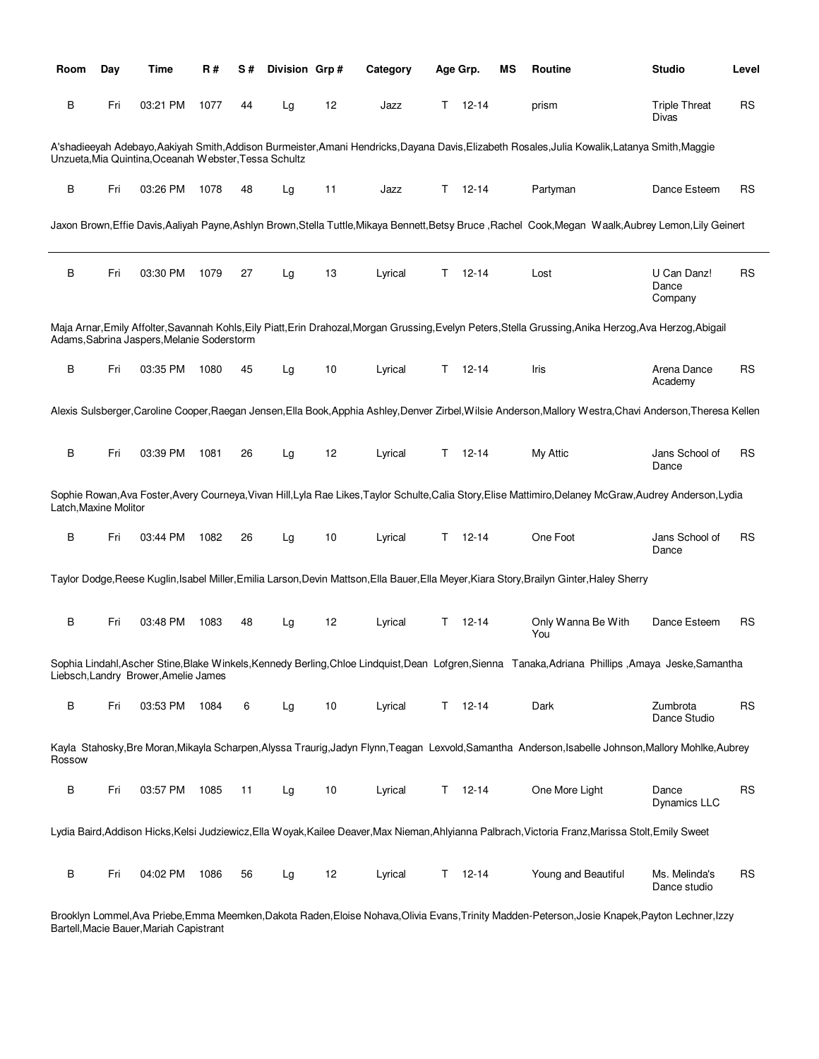| Room                  | Day | Time                                                  | R#   | S# | Division Grp# |    | Category |    | Age Grp.      | ΜS | <b>Routine</b>                                                                                                                                             | <b>Studio</b>                   | Level     |
|-----------------------|-----|-------------------------------------------------------|------|----|---------------|----|----------|----|---------------|----|------------------------------------------------------------------------------------------------------------------------------------------------------------|---------------------------------|-----------|
| В                     | Fri | 03:21 PM                                              | 1077 | 44 | Lg            | 12 | Jazz     | Τ  | $12 - 14$     |    | prism                                                                                                                                                      | <b>Triple Threat</b><br>Divas   | <b>RS</b> |
|                       |     | Unzueta, Mia Quintina, Oceanah Webster, Tessa Schultz |      |    |               |    |          |    |               |    | A'shadieeyah Adebayo,Aakiyah Smith,Addison Burmeister,Amani Hendricks,Dayana Davis,Elizabeth Rosales,Julia Kowalik,Latanya Smith,Maggie                    |                                 |           |
| B                     | Fri | 03:26 PM                                              | 1078 | 48 | Lg            | 11 | Jazz     | Τ  | $12 - 14$     |    | Partyman                                                                                                                                                   | Dance Esteem                    | RS        |
|                       |     |                                                       |      |    |               |    |          |    |               |    | Jaxon Brown,Effie Davis,Aaliyah Payne,Ashlyn Brown,Stella Tuttle,Mikaya Bennett,Betsy Bruce ,Rachel Cook,Megan Waalk,Aubrey Lemon,Lily Geinert             |                                 |           |
| B                     | Fri | 03:30 PM                                              | 1079 | 27 | Lg            | 13 | Lyrical  | Τ  | $12 - 14$     |    | Lost                                                                                                                                                       | U Can Danz!<br>Dance<br>Company | <b>RS</b> |
|                       |     | Adams, Sabrina Jaspers, Melanie Soderstorm            |      |    |               |    |          |    |               |    | Maja Arnar,Emily Affolter,Savannah Kohls,Eily Piatt,Erin Drahozal,Morgan Grussing,Evelyn Peters,Stella Grussing,Anika Herzog,Ava Herzog,Abigail            |                                 |           |
| B                     | Fri | 03:35 PM                                              | 1080 | 45 | Lg            | 10 | Lyrical  | T. | 12-14         |    | Iris                                                                                                                                                       | Arena Dance<br>Academy          | <b>RS</b> |
|                       |     |                                                       |      |    |               |    |          |    |               |    | Alexis Sulsberger,Caroline Cooper,Raegan Jensen,Ella Book,Apphia Ashley,Denver Zirbel,Wilsie Anderson,Mallory Westra,Chavi Anderson,Theresa Kellen         |                                 |           |
| $\sf B$               | Fri | 03:39 PM                                              | 1081 | 26 | Lg            | 12 | Lyrical  | Τ  | $12 - 14$     |    | My Attic                                                                                                                                                   | Jans School of<br>Dance         | RS        |
| Latch, Maxine Molitor |     |                                                       |      |    |               |    |          |    |               |    | Sophie Rowan, Ava Foster, Avery Courneya, Vivan Hill, Lyla Rae Likes, Taylor Schulte, Calia Story, Elise Mattimiro, Delaney McGraw, Audrey Anderson, Lydia |                                 |           |
| В                     | Fri | 03:44 PM                                              | 1082 | 26 | Lg            | 10 | Lyrical  | T. | 12-14         |    | One Foot                                                                                                                                                   | Jans School of<br>Dance         | RS        |
|                       |     |                                                       |      |    |               |    |          |    |               |    | Taylor Dodge, Reese Kuglin, Isabel Miller, Emilia Larson, Devin Mattson, Ella Bauer, Ella Meyer, Kiara Story, Brailyn Ginter, Haley Sherry                 |                                 |           |
| B                     | Fri | 03:48 PM                                              | 1083 | 48 | Lg            | 12 | Lyrical  | т  | $12 - 14$     |    | Only Wanna Be With<br>You                                                                                                                                  | Dance Esteem                    | RS        |
|                       |     | Liebsch, Landry Brower, Amelie James                  |      |    |               |    |          |    |               |    | Sophia Lindahl, Ascher Stine, Blake Winkels, Kennedy Berling, Chloe Lindquist, Dean Lofgren, Sienna Tanaka, Adriana Phillips, Amaya Jeske, Samantha        |                                 |           |
| В                     | Fri | 03:53 PM                                              | 1084 | 6  | Lg            | 10 | Lyrical  |    | $T = 12 - 14$ |    | Dark                                                                                                                                                       | Zumbrota<br>Dance Studio        | <b>RS</b> |
| Rossow                |     |                                                       |      |    |               |    |          |    |               |    | Kayla Stahosky,Bre Moran,Mikayla Scharpen,Alyssa Traurig,Jadyn Flynn,Teagan Lexvold,Samantha Anderson,Isabelle Johnson,Mallory Mohlke,Aubrey               |                                 |           |
| В                     | Fri | 03:57 PM                                              | 1085 | 11 | Lg            | 10 | Lyrical  | T. | $12 - 14$     |    | One More Light                                                                                                                                             | Dance<br><b>Dynamics LLC</b>    | RS        |
|                       |     |                                                       |      |    |               |    |          |    |               |    | Lydia Baird, Addison Hicks, Kelsi Judziewicz, Ella Woyak, Kailee Deaver, Max Nieman, Ahlyianna Palbrach, Victoria Franz, Marissa Stolt, Emily Sweet        |                                 |           |
| В                     | Fri | 04:02 PM                                              | 1086 | 56 | Lg            | 12 | Lyrical  | T. | $12 - 14$     |    | Young and Beautiful                                                                                                                                        | Ms. Melinda's<br>Dance studio   | <b>RS</b> |

Brooklyn Lommel,Ava Priebe,Emma Meemken,Dakota Raden,Eloise Nohava,Olivia Evans,Trinity Madden-Peterson,Josie Knapek,Payton Lechner,Izzy Bartell,Macie Bauer,Mariah Capistrant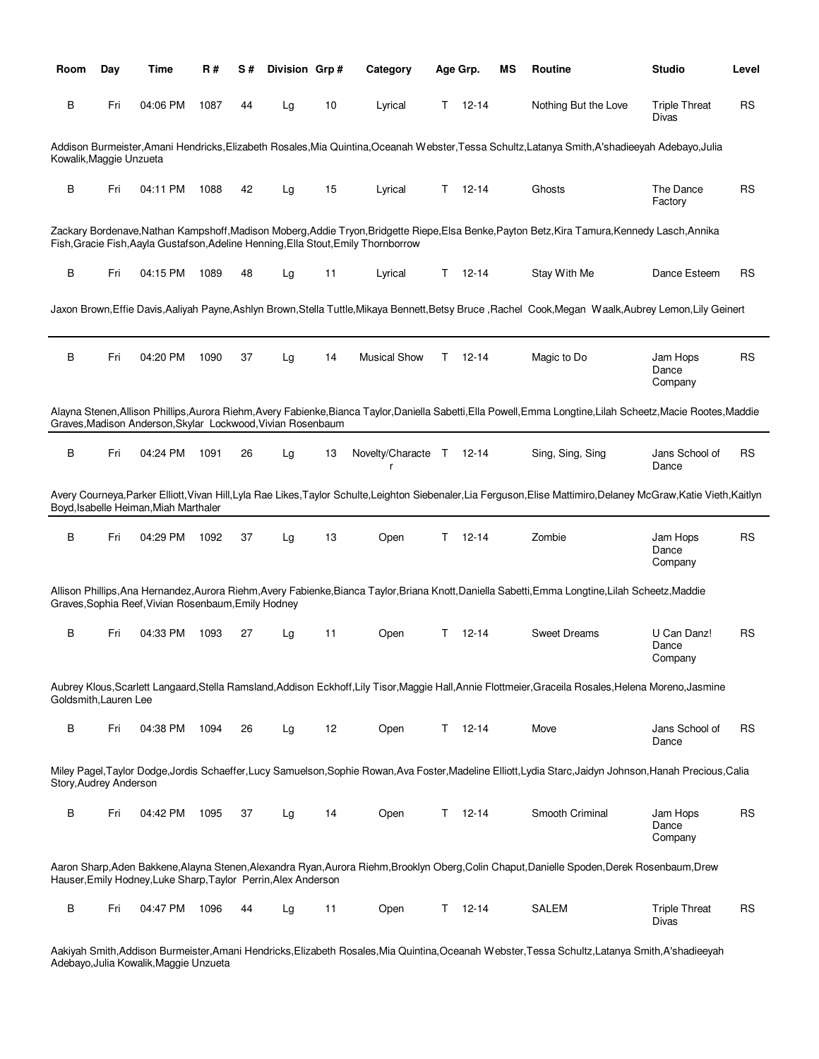| Room                    | Day | Time                                                           | R#   | S# | Division Grp# |    | Category                                                                           |    | Age Grp.      | ΜS | Routine                                                                                                                                                         | <b>Studio</b>                   | Level     |
|-------------------------|-----|----------------------------------------------------------------|------|----|---------------|----|------------------------------------------------------------------------------------|----|---------------|----|-----------------------------------------------------------------------------------------------------------------------------------------------------------------|---------------------------------|-----------|
| В                       | Fri | 04:06 PM                                                       | 1087 | 44 | Lg            | 10 | Lyrical                                                                            |    | $T = 12 - 14$ |    | Nothing But the Love                                                                                                                                            | <b>Triple Threat</b><br>Divas   | RS        |
| Kowalik, Maggie Unzueta |     |                                                                |      |    |               |    |                                                                                    |    |               |    | Addison Burmeister, Amani Hendricks, Elizabeth Rosales, Mia Quintina, Oceanah Webster, Tessa Schultz, Latanya Smith, A'shadieeyah Adebayo, Julia                |                                 |           |
| B                       | Fri | 04:11 PM                                                       | 1088 | 42 | Lg            | 15 | Lyrical                                                                            | Τ  | 12-14         |    | Ghosts                                                                                                                                                          | The Dance<br>Factory            | <b>RS</b> |
|                         |     |                                                                |      |    |               |    | Fish, Gracie Fish, Aayla Gustafson, Adeline Henning, Ella Stout, Emily Thornborrow |    |               |    | Zackary Bordenave,Nathan Kampshoff,Madison Moberg,Addie Tryon,Bridgette Riepe,Elsa Benke,Payton Betz,Kira Tamura,Kennedy Lasch,Annika                           |                                 |           |
| В                       | Fri | 04:15 PM                                                       | 1089 | 48 | Lg            | 11 | Lyrical                                                                            | T. | 12-14         |    | Stay With Me                                                                                                                                                    | Dance Esteem                    | RS        |
|                         |     |                                                                |      |    |               |    |                                                                                    |    |               |    | Jaxon Brown, Effie Davis, Aaliyah Payne, Ashlyn Brown, Stella Tuttle, Mikaya Bennett, Betsy Bruce, Rachel Cook, Megan Waalk, Aubrey Lemon, Lily Geinert         |                                 |           |
| В                       | Fri | 04:20 PM                                                       | 1090 | 37 | Lg            | 14 | <b>Musical Show</b>                                                                | Τ  | 12-14         |    | Magic to Do                                                                                                                                                     | Jam Hops<br>Dance<br>Company    | RS        |
|                         |     | Graves, Madison Anderson, Skylar Lockwood, Vivian Rosenbaum    |      |    |               |    |                                                                                    |    |               |    | Alayna Stenen, Allison Phillips, Aurora Riehm, Avery Fabienke, Bianca Taylor, Daniella Sabetti, Ella Powell, Emma Longtine, Lilah Scheetz, Macie Rootes, Maddie |                                 |           |
| B                       | Fri | 04:24 PM                                                       | 1091 | 26 | Lg            | 13 | Novelty/Characte T                                                                 |    | 12-14         |    | Sing, Sing, Sing                                                                                                                                                | Jans School of<br>Dance         | RS        |
|                         |     | Boyd, Isabelle Heiman, Miah Marthaler                          |      |    |               |    |                                                                                    |    |               |    | Avery Courneya,Parker Elliott,Vivan Hill,Lyla Rae Likes,Taylor Schulte,Leighton Siebenaler,Lia Ferguson,Elise Mattimiro,Delaney McGraw,Katie Vieth,Kaitlyn      |                                 |           |
| B                       | Fri | 04:29 PM                                                       | 1092 | 37 | Lg            | 13 | Open                                                                               | Τ  | 12-14         |    | Zombie                                                                                                                                                          | Jam Hops<br>Dance<br>Company    | <b>RS</b> |
|                         |     | Graves, Sophia Reef, Vivian Rosenbaum, Emily Hodney            |      |    |               |    |                                                                                    |    |               |    | Allison Phillips,Ana Hernandez,Aurora Riehm,Avery Fabienke,Bianca Taylor,Briana Knott,Daniella Sabetti,Emma Longtine,Lilah Scheetz,Maddie                       |                                 |           |
| В                       | Fri | 04:33 PM                                                       | 1093 | 27 | Lg            | 11 | Open                                                                               | Τ  | 12-14         |    | <b>Sweet Dreams</b>                                                                                                                                             | U Can Danz!<br>Dance<br>Company | RS        |
| Goldsmith, Lauren Lee   |     |                                                                |      |    |               |    |                                                                                    |    |               |    | Aubrey Klous, Scarlett Langaard, Stella Ramsland, Addison Eckhoff, Lily Tisor, Maggie Hall, Annie Flottmeier, Graceila Rosales, Helena Moreno, Jasmine          |                                 |           |
| B                       | Fri | 04:38 PM                                                       | 1094 | 26 | Lg            | 12 | Open                                                                               | Τ  | $12 - 14$     |    | Move                                                                                                                                                            | Jans School of<br>Dance         | <b>RS</b> |
| Story, Audrey Anderson  |     |                                                                |      |    |               |    |                                                                                    |    |               |    | Miley Pagel,Taylor Dodge,Jordis Schaeffer,Lucy Samuelson,Sophie Rowan,Ava Foster,Madeline Elliott,Lydia Starc,Jaidyn Johnson,Hanah Precious,Calia               |                                 |           |
| B                       | Fri | 04:42 PM                                                       | 1095 | 37 | Lg            | 14 | Open                                                                               | T. | $12 - 14$     |    | Smooth Criminal                                                                                                                                                 | Jam Hops<br>Dance<br>Company    | <b>RS</b> |
|                         |     | Hauser, Emily Hodney, Luke Sharp, Taylor Perrin, Alex Anderson |      |    |               |    |                                                                                    |    |               |    | Aaron Sharp,Aden Bakkene,Alayna Stenen,Alexandra Ryan,Aurora Riehm,Brooklyn Oberg,Colin Chaput,Danielle Spoden,Derek Rosenbaum,Drew                             |                                 |           |
| B                       | Fri | 04:47 PM                                                       | 1096 | 44 | Lg            | 11 | Open                                                                               | Τ  | $12 - 14$     |    | <b>SALEM</b>                                                                                                                                                    | <b>Triple Threat</b><br>Divas   | <b>RS</b> |

Aakiyah Smith,Addison Burmeister,Amani Hendricks,Elizabeth Rosales,Mia Quintina,Oceanah Webster,Tessa Schultz,Latanya Smith,A'shadieeyah Adebayo,Julia Kowalik,Maggie Unzueta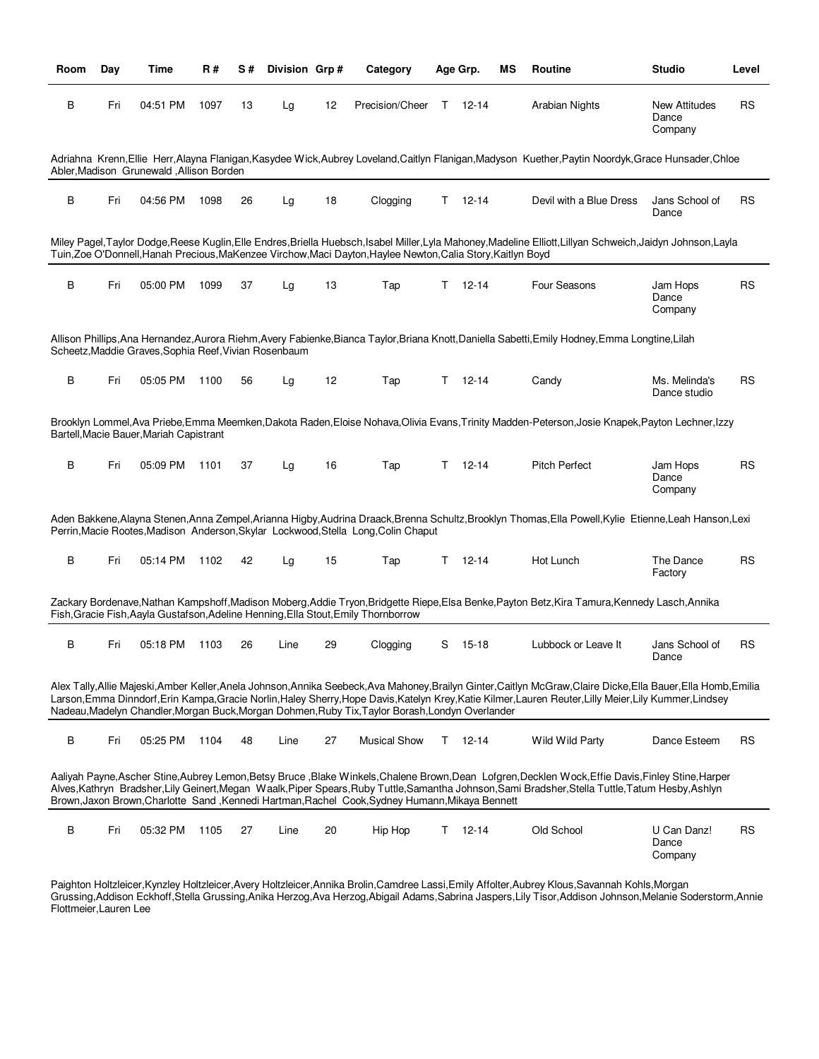| <b>Room</b> | Day | Time                                                  | R#   | S# | Division Grp# |    | Category                                                                                                     |    | Age Grp.      | ΜS | <b>Routine</b>                                                                                                                                                                                                                                                                                         | <b>Studio</b>                            | Level     |
|-------------|-----|-------------------------------------------------------|------|----|---------------|----|--------------------------------------------------------------------------------------------------------------|----|---------------|----|--------------------------------------------------------------------------------------------------------------------------------------------------------------------------------------------------------------------------------------------------------------------------------------------------------|------------------------------------------|-----------|
| В           | Fri | 04:51 PM                                              | 1097 | 13 | Lg            | 12 | Precision/Cheer                                                                                              |    | $T = 12 - 14$ |    | Arabian Nights                                                                                                                                                                                                                                                                                         | <b>New Attitudes</b><br>Dance<br>Company | <b>RS</b> |
|             |     | Abler, Madison Grunewald, Allison Borden              |      |    |               |    |                                                                                                              |    |               |    | Adriahna Krenn, Ellie Herr, Alayna Flanigan, Kasydee Wick, Aubrey Loveland, Caitlyn Flanigan, Madyson Kuether, Paytin Noordyk, Grace Hunsader, Chloe                                                                                                                                                   |                                          |           |
| В           | Fri | 04:56 PM                                              | 1098 | 26 | Lg            | 18 | Clogging                                                                                                     | T. | 12-14         |    | Devil with a Blue Dress                                                                                                                                                                                                                                                                                | Jans School of<br>Dance                  | <b>RS</b> |
|             |     |                                                       |      |    |               |    | Tuin, Zoe O'Donnell, Hanah Precious, MaKenzee Virchow, Maci Dayton, Haylee Newton, Calia Story, Kaitlyn Boyd |    |               |    | Miley Pagel,Taylor Dodge,Reese Kuglin,Elle Endres,Briella Huebsch,Isabel Miller,Lyla Mahoney,Madeline Elliott,Lillyan Schweich,Jaidyn Johnson,Layla                                                                                                                                                    |                                          |           |
| В           | Fri | 05:00 PM                                              | 1099 | 37 | Lg            | 13 | Tap                                                                                                          | Τ  | $12 - 14$     |    | Four Seasons                                                                                                                                                                                                                                                                                           | Jam Hops<br>Dance<br>Company             | <b>RS</b> |
|             |     | Scheetz, Maddie Graves, Sophia Reef, Vivian Rosenbaum |      |    |               |    |                                                                                                              |    |               |    | Allison Phillips, Ana Hernandez, Aurora Riehm, Avery Fabienke, Bianca Taylor, Briana Knott, Daniella Sabetti, Emily Hodney, Emma Longtine, Lilah                                                                                                                                                       |                                          |           |
| В           | Fri | 05:05 PM                                              | 1100 | 56 | Lg            | 12 | Tap                                                                                                          | T. | $12 - 14$     |    | Candy                                                                                                                                                                                                                                                                                                  | Ms. Melinda's<br>Dance studio            | <b>RS</b> |
|             |     | Bartell, Macie Bauer, Mariah Capistrant               |      |    |               |    |                                                                                                              |    |               |    | Brooklyn Lommel, Ava Priebe, Emma Meemken, Dakota Raden, Eloise Nohava, Olivia Evans, Trinity Madden-Peterson, Josie Knapek, Payton Lechner, Izzy                                                                                                                                                      |                                          |           |
| В           | Fri | 05:09 PM                                              | 1101 | 37 | Lg            | 16 | Tap                                                                                                          | T. | 12-14         |    | <b>Pitch Perfect</b>                                                                                                                                                                                                                                                                                   | Jam Hops<br>Dance<br>Company             | <b>RS</b> |
|             |     |                                                       |      |    |               |    | Perrin, Macie Rootes, Madison Anderson, Skylar Lockwood, Stella Long, Colin Chaput                           |    |               |    | Aden Bakkene, Alayna Stenen, Anna Zempel, Arianna Higby, Audrina Draack, Brenna Schultz, Brooklyn Thomas, Ella Powell, Kylie Etienne, Leah Hanson, Lexi                                                                                                                                                |                                          |           |
| B           | Fri | 05:14 PM                                              | 1102 | 42 | Lg            | 15 | Tap                                                                                                          | T. | 12-14         |    | Hot Lunch                                                                                                                                                                                                                                                                                              | The Dance<br>Factory                     | <b>RS</b> |
|             |     |                                                       |      |    |               |    | Fish, Gracie Fish, Aayla Gustafson, Adeline Henning, Ella Stout, Emily Thornborrow                           |    |               |    | Zackary Bordenave,Nathan Kampshoff,Madison Moberg,Addie Tryon,Bridgette Riepe,Elsa Benke,Payton Betz,Kira Tamura,Kennedy Lasch,Annika                                                                                                                                                                  |                                          |           |
| В           | Fri | 05:18 PM                                              | 1103 | 26 | Line          | 29 | Clogging                                                                                                     | S  | 15-18         |    | Lubbock or Leave It                                                                                                                                                                                                                                                                                    | Jans School of<br>Dance                  | <b>RS</b> |
|             |     |                                                       |      |    |               |    | Nadeau, Madelyn Chandler, Morgan Buck, Morgan Dohmen, Ruby Tix, Taylor Borash, Londyn Overlander             |    |               |    | Alex Tally,Allie Majeski,Amber Keller,Anela Johnson,Annika Seebeck,Ava Mahoney,Brailyn Ginter,Caitlyn McGraw,Claire Dicke,Ella Bauer,Ella Homb,Emilia<br>Larson,Emma Dinndorf,Erin Kampa,Gracie Norlin,Haley Sherry,Hope Davis,Katelyn Krey,Katie Kilmer,Lauren Reuter,Lilly Meier,Lily Kummer,Lindsey |                                          |           |
| В           | Fri | 05:25 PM                                              | 1104 | 48 | Line          | 27 | <b>Musical Show</b>                                                                                          |    | $T = 12 - 14$ |    | Wild Wild Party                                                                                                                                                                                                                                                                                        | Dance Esteem                             | <b>RS</b> |
|             |     |                                                       |      |    |               |    | Brown, Jaxon Brown, Charlotte Sand, Kennedi Hartman, Rachel Cook, Sydney Humann, Mikaya Bennett              |    |               |    | Aaliyah Payne, Ascher Stine, Aubrey Lemon, Betsy Bruce, Blake Winkels, Chalene Brown, Dean Lofgren, Decklen Wock, Effie Davis, Finley Stine, Harper<br>Alves,Kathryn Bradsher,Lily Geinert,Megan Waalk,Piper Spears,Ruby Tuttle,Samantha Johnson,Sami Bradsher,Stella Tuttle,Tatum Hesby,Ashlyn        |                                          |           |
| В           | Fri | 05:32 PM                                              | 1105 | 27 | Line          | 20 | Hip Hop                                                                                                      | T. | 12-14         |    | Old School                                                                                                                                                                                                                                                                                             | U Can Danz!<br>Dance<br>Company          | <b>RS</b> |

Paighton Holtzleicer,Kynzley Holtzleicer,Avery Holtzleicer,Annika Brolin,Camdree Lassi,Emily Affolter,Aubrey Klous,Savannah Kohls,Morgan Grussing,Addison Eckhoff,Stella Grussing,Anika Herzog,Ava Herzog,Abigail Adams,Sabrina Jaspers,Lily Tisor,Addison Johnson,Melanie Soderstorm,Annie Flottmeier,Lauren Lee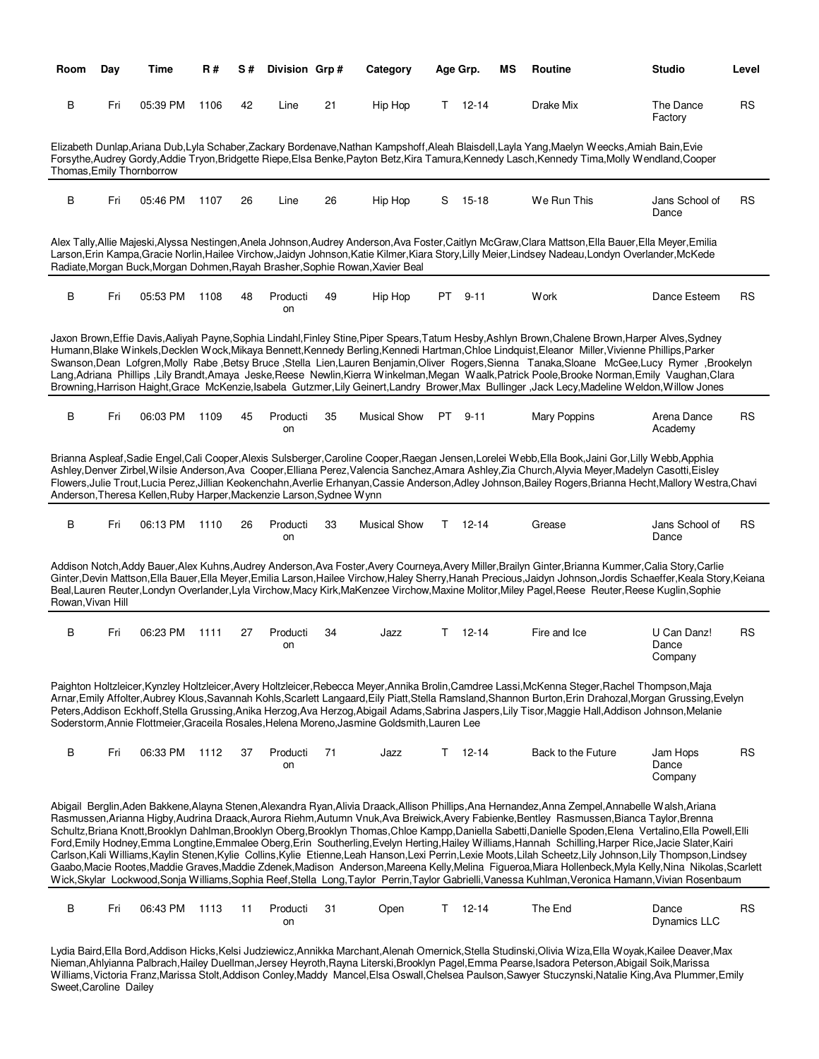| Room              | Day | Time                                                                 | R#   | S# | Division Grp#  |    | Category                                                                                     | Age Grp. |               | ΜS | Routine                                                                                                                                                                                                                                                                                                                                                                                                                                                                                                                                                                                                                                                                                                                                                                                                                                                                                                                                                                                                                                                                                                    | <b>Studio</b>                   | Level     |
|-------------------|-----|----------------------------------------------------------------------|------|----|----------------|----|----------------------------------------------------------------------------------------------|----------|---------------|----|------------------------------------------------------------------------------------------------------------------------------------------------------------------------------------------------------------------------------------------------------------------------------------------------------------------------------------------------------------------------------------------------------------------------------------------------------------------------------------------------------------------------------------------------------------------------------------------------------------------------------------------------------------------------------------------------------------------------------------------------------------------------------------------------------------------------------------------------------------------------------------------------------------------------------------------------------------------------------------------------------------------------------------------------------------------------------------------------------------|---------------------------------|-----------|
| В                 | Fri | 05:39 PM                                                             | 1106 | 42 | Line           | 21 | Hip Hop                                                                                      | T.       | 12-14         |    | Drake Mix                                                                                                                                                                                                                                                                                                                                                                                                                                                                                                                                                                                                                                                                                                                                                                                                                                                                                                                                                                                                                                                                                                  | The Dance<br>Factory            | <b>RS</b> |
|                   |     | Thomas, Emily Thornborrow                                            |      |    |                |    |                                                                                              |          |               |    | Elizabeth Dunlap, Ariana Dub, Lyla Schaber, Zackary Bordenave, Nathan Kampshoff, Aleah Blaisdell, Layla Yang, Maelyn Weecks, Amiah Bain, Evie<br>Forsythe, Audrey Gordy, Addie Tryon, Bridgette Riepe, Elsa Benke, Payton Betz, Kira Tamura, Kennedy Lasch, Kennedy Tima, Molly Wendland, Cooper                                                                                                                                                                                                                                                                                                                                                                                                                                                                                                                                                                                                                                                                                                                                                                                                           |                                 |           |
| в                 | Fri | 05:46 PM                                                             | 1107 | 26 | Line           | 26 | Hip Hop                                                                                      |          | $S$ 15-18     |    | We Run This                                                                                                                                                                                                                                                                                                                                                                                                                                                                                                                                                                                                                                                                                                                                                                                                                                                                                                                                                                                                                                                                                                | Jans School of<br>Dance         | RS        |
|                   |     |                                                                      |      |    |                |    | Radiate, Morgan Buck, Morgan Dohmen, Rayah Brasher, Sophie Rowan, Xavier Beal                |          |               |    | Alex Tally,Allie Majeski,Alyssa Nestingen,Anela Johnson,Audrey Anderson,Ava Foster,Caitlyn McGraw,Clara Mattson,Ella Bauer,Ella Meyer,Emilia<br>Larson, Erin Kampa, Gracie Norlin, Hailee Virchow, Jaidyn Johnson, Katie Kilmer, Kiara Story, Lilly Meier, Lindsey Nadeau, Londyn Overlander, McKede                                                                                                                                                                                                                                                                                                                                                                                                                                                                                                                                                                                                                                                                                                                                                                                                       |                                 |           |
| В                 | Fri | 05:53 PM                                                             | 1108 | 48 | Producti<br>on | 49 | Hip Hop                                                                                      | PT       | $9 - 11$      |    | Work                                                                                                                                                                                                                                                                                                                                                                                                                                                                                                                                                                                                                                                                                                                                                                                                                                                                                                                                                                                                                                                                                                       | Dance Esteem                    | <b>RS</b> |
|                   |     |                                                                      |      |    |                |    |                                                                                              |          |               |    | Jaxon Brown, Effie Davis, Aaliyah Payne, Sophia Lindahl, Finley Stine, Piper Spears, Tatum Hesby, Ashlyn Brown, Chalene Brown, Harper Alves, Sydney<br>Humann, Blake Winkels, Decklen Wock, Mikaya Bennett, Kennedy Berling, Kennedi Hartman, Chloe Lindquist, Eleanor Miller, Vivienne Phillips, Parker<br>Swanson, Dean Lofgren, Molly Rabe , Betsy Bruce , Stella Lien, Lauren Benjamin, Oliver Rogers, Sienna Tanaka, Sloane McGee, Lucy Rymer, Brookelyn<br>Lang, Adriana Phillips , Lily Brandt, Amaya Jeske, Reese Newlin, Kierra Winkelman, Megan Waalk, Patrick Poole, Brooke Norman, Emily Vaughan, Clara<br>Browning, Harrison Haight, Grace McKenzie, Isabela Gutzmer, Lily Geinert, Landry Brower, Max Bullinger, Jack Lecy, Madeline Weldon, Willow Jones                                                                                                                                                                                                                                                                                                                                    |                                 |           |
| В                 | Fri | 06:03 PM                                                             | 1109 | 45 | Producti<br>on | 35 | <b>Musical Show</b>                                                                          | PT.      | $9 - 11$      |    | Mary Poppins                                                                                                                                                                                                                                                                                                                                                                                                                                                                                                                                                                                                                                                                                                                                                                                                                                                                                                                                                                                                                                                                                               | Arena Dance<br>Academy          | <b>RS</b> |
|                   |     | Anderson, Theresa Kellen, Ruby Harper, Mackenzie Larson, Sydnee Wynn |      |    |                |    |                                                                                              |          |               |    | Brianna Aspleaf,Sadie Engel,Cali Cooper,Alexis Sulsberger,Caroline Cooper,Raegan Jensen,Lorelei Webb,Ella Book,Jaini Gor,Lilly Webb,Apphia<br>Ashley,Denver Zirbel,Wilsie Anderson,Ava Cooper,Elliana Perez,Valencia Sanchez,Amara Ashley,Zia Church,Alyvia Meyer,Madelyn Casotti,Eisley<br>Flowers, Julie Trout, Lucia Perez, Jillian Keokenchahn, Averlie Erhanyan, Cassie Anderson, Adley Johnson, Bailey Rogers, Brianna Hecht, Mallory Westra, Chavi                                                                                                                                                                                                                                                                                                                                                                                                                                                                                                                                                                                                                                                  |                                 |           |
| в                 | Fri | 06:13 PM                                                             | 1110 | 26 | Producti<br>on | 33 | <b>Musical Show</b>                                                                          |          | $T = 12 - 14$ |    | Grease                                                                                                                                                                                                                                                                                                                                                                                                                                                                                                                                                                                                                                                                                                                                                                                                                                                                                                                                                                                                                                                                                                     | Jans School of<br>Dance         | <b>RS</b> |
| Rowan, Vivan Hill |     |                                                                      |      |    |                |    |                                                                                              |          |               |    | Addison Notch, Addy Bauer, Alex Kuhns, Audrey Anderson, Ava Foster, Avery Courneya, Avery Miller, Brailyn Ginter, Brianna Kummer, Calia Story, Carlie<br>Ginter, Devin Mattson, Ella Bauer, Ella Meyer, Emilia Larson, Hailee Virchow, Haley Sherry, Hanah Precious, Jaidyn Johnson, Jordis Schaeffer, Keala Story, Keiana<br>Beal,Lauren Reuter,Londyn Overlander,Lyla Virchow,Macy Kirk,MaKenzee Virchow,Maxine Molitor,Miley Pagel,Reese Reuter,Reese Kuglin,Sophie                                                                                                                                                                                                                                                                                                                                                                                                                                                                                                                                                                                                                                     |                                 |           |
| в                 | Fri | 06:23 PM                                                             | 1111 | 27 | Producti<br>on | 34 | Jazz                                                                                         | T.       | $12 - 14$     |    | Fire and Ice                                                                                                                                                                                                                                                                                                                                                                                                                                                                                                                                                                                                                                                                                                                                                                                                                                                                                                                                                                                                                                                                                               | U Can Danz!<br>Dance<br>Company | <b>RS</b> |
|                   |     |                                                                      |      |    |                |    | Soderstorm, Annie Flottmeier, Graceila Rosales, Helena Moreno, Jasmine Goldsmith, Lauren Lee |          |               |    | Paighton Holtzleicer,Kynzley Holtzleicer,Avery Holtzleicer,Rebecca Meyer,Annika Brolin,Camdree Lassi,McKenna Steger,Rachel Thompson,Maja<br>Arnar, Emily Affolter, Aubrey Klous, Savannah Kohls, Scarlett Langaard, Eily Piatt, Stella Ramsland, Shannon Burton, Erin Drahozal, Morgan Grussing, Evelyn<br>Peters, Addison Eckhoff, Stella Grussing, Anika Herzog, Ava Herzog, Abigail Adams, Sabrina Jaspers, Lily Tisor, Maggie Hall, Addison Johnson, Melanie                                                                                                                                                                                                                                                                                                                                                                                                                                                                                                                                                                                                                                           |                                 |           |
| В                 | Fri | 06:33 PM                                                             | 1112 | 37 | Producti<br>on | 71 | Jazz                                                                                         |          | $T = 12 - 14$ |    | Back to the Future                                                                                                                                                                                                                                                                                                                                                                                                                                                                                                                                                                                                                                                                                                                                                                                                                                                                                                                                                                                                                                                                                         | Jam Hops<br>Dance<br>Company    | <b>RS</b> |
|                   |     |                                                                      |      |    |                |    |                                                                                              |          |               |    | Abigail Berglin, Aden Bakkene, Alayna Stenen, Alexandra Ryan, Alivia Draack, Allison Phillips, Ana Hernandez, Anna Zempel, Annabelle Walsh, Ariana<br>Rasmussen, Arianna Higby, Audrina Draack, Aurora Riehm, Autumn Vnuk, Ava Breiwick, Avery Fabienke, Bentley Rasmussen, Bianca Taylor, Brenna<br>Schultz, Briana Knott, Brooklyn Dahlman, Brooklyn Oberg, Brooklyn Thomas, Chloe Kampp, Daniella Sabetti, Danielle Spoden, Elena Vertalino, Ella Powell, Elli<br>Ford, Emily Hodney, Emma Longtine, Emmalee Oberg, Erin Southerling, Evelyn Herting, Hailey Williams, Hannah Schilling, Harper Rice, Jacie Slater, Kairi<br>Carlson, Kali Williams, Kaylin Stenen, Kylie Collins, Kylie Etienne, Leah Hanson, Lexi Perrin, Lexie Moots, Lilah Scheetz, Lily Johnson, Lily Thompson, Lindsey<br>Gaabo,Macie Rootes,Maddie Graves,Maddie Zdenek,Madison Anderson,Mareena Kelly,Melina Figueroa,Miara Hollenbeck,Myla Kelly,Nina Nikolas,Scarlett<br>Wick, Skylar Lockwood, Sonja Williams, Sophia Reef, Stella Long, Taylor Perrin, Taylor Gabrielli, Vanessa Kuhlman, Veronica Hamann, Vivian Rosenbaum |                                 |           |
| В                 | Fri | 06:43 PM                                                             | 1113 | 11 | Producti<br>on | 31 | Open                                                                                         |          | $T = 12 - 14$ |    | The End                                                                                                                                                                                                                                                                                                                                                                                                                                                                                                                                                                                                                                                                                                                                                                                                                                                                                                                                                                                                                                                                                                    | Dance<br><b>Dynamics LLC</b>    | <b>RS</b> |
|                   |     |                                                                      |      |    |                |    |                                                                                              |          |               |    | Ludia Raird Ella Rord Addison Hicke Kolsi, Judziowicz Appikko Marchant Alopah Omorpick Stolla Studinski Olivia Wiza Ella Woyak Kailoo Doquar May                                                                                                                                                                                                                                                                                                                                                                                                                                                                                                                                                                                                                                                                                                                                                                                                                                                                                                                                                           |                                 |           |

Lydia Baird,Ella Bord,Addison Hicks,Kelsi Judziewicz,Annikka Marchant,Alenah Omernick,Stella Studinski,Olivia Wiza,Ella Woyak,Kailee Deaver,Max Nieman,Ahlyianna Palbrach,Hailey Duellman,Jersey Heyroth,Rayna Literski,Brooklyn Pagel,Emma Pearse,Isadora Peterson,Abigail Soik,Marissa Williams,Victoria Franz,Marissa Stolt,Addison Conley,Maddy Mancel,Elsa Oswall,Chelsea Paulson,Sawyer Stuczynski,Natalie King,Ava Plummer,Emily Sweet,Caroline Dailey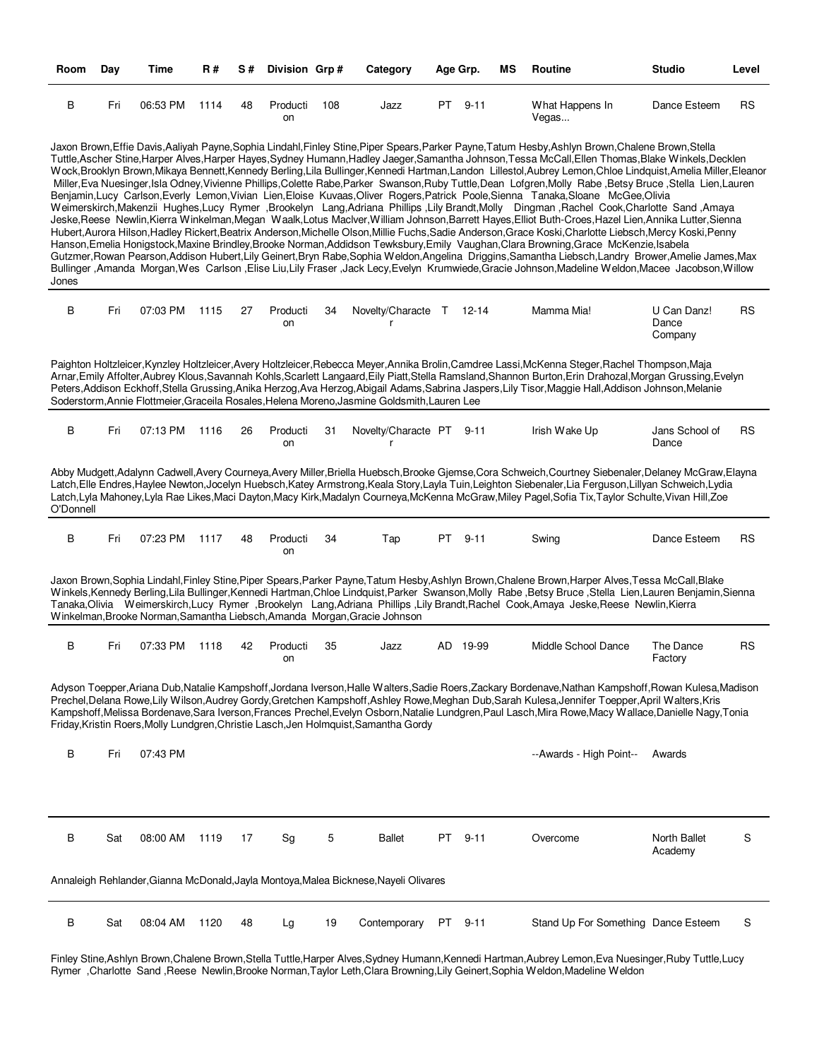| Room      | Day | Time     | <b>R#</b> | S# | Division Grp#  |     | Category                                                                                     |    | Age Grp. | МS | Routine                                                                                                                                                                                                                                                                                                                                                                                                                                                                                                                                                                                                                                                                                                                                                                                                                                                                                                                                                                                                                                                                                                                                                                                                                                                                                                                                                                                                                                                                                                                                                                                                                                                                                              | <b>Studio</b>                   | Level     |
|-----------|-----|----------|-----------|----|----------------|-----|----------------------------------------------------------------------------------------------|----|----------|----|------------------------------------------------------------------------------------------------------------------------------------------------------------------------------------------------------------------------------------------------------------------------------------------------------------------------------------------------------------------------------------------------------------------------------------------------------------------------------------------------------------------------------------------------------------------------------------------------------------------------------------------------------------------------------------------------------------------------------------------------------------------------------------------------------------------------------------------------------------------------------------------------------------------------------------------------------------------------------------------------------------------------------------------------------------------------------------------------------------------------------------------------------------------------------------------------------------------------------------------------------------------------------------------------------------------------------------------------------------------------------------------------------------------------------------------------------------------------------------------------------------------------------------------------------------------------------------------------------------------------------------------------------------------------------------------------------|---------------------------------|-----------|
| В         | Fri | 06:53 PM | 1114      | 48 | Producti<br>on | 108 | Jazz                                                                                         | PT | $9 - 11$ |    | What Happens In<br>Vegas                                                                                                                                                                                                                                                                                                                                                                                                                                                                                                                                                                                                                                                                                                                                                                                                                                                                                                                                                                                                                                                                                                                                                                                                                                                                                                                                                                                                                                                                                                                                                                                                                                                                             | Dance Esteem                    | RS        |
| Jones     |     |          |           |    |                |     |                                                                                              |    |          |    | Jaxon Brown, Effie Davis, Aaliyah Payne, Sophia Lindahl, Finley Stine, Piper Spears, Parker Payne, Tatum Hesby, Ashlyn Brown, Chalene Brown, Stella<br>Tuttle, Ascher Stine, Harper Alves, Harper Hayes, Sydney Humann, Hadley Jaeger, Samantha Johnson, Tessa McCall, Ellen Thomas, Blake Winkels, Decklen<br>Wock,Brooklyn Brown,Mikaya Bennett,Kennedy Berling,Lila Bullinger,Kennedi Hartman,Landon Lillestol,Aubrey Lemon,Chloe Lindquist,Amelia Miller,Eleanor<br>Miller, Eva Nuesinger, Isla Odney, Vivienne Phillips, Colette Rabe, Parker Swanson, Ruby Tuttle, Dean Lofgren, Molly Rabe, Betsy Bruce, Stella Lien, Lauren<br>Benjamin,Lucy Carlson,Everly Lemon,Vivian Lien,Eloise Kuvaas,Oliver Rogers,Patrick Poole,Sienna Tanaka,Sloane McGee,Olivia<br>Weimerskirch, Makenzii Hughes, Lucy Rymer, Brookelyn Lang, Adriana Phillips, Lily Brandt, Molly Dingman, Rachel Cook, Charlotte Sand, Amaya<br>Jeske, Reese Newlin, Kierra Winkelman, Megan Waalk, Lotus Maclver, William Johnson, Barrett Hayes, Elliot Buth-Croes, Hazel Lien, Annika Lutter, Sienna<br>Hubert, Aurora Hilson, Hadley Rickert, Beatrix Anderson, Michelle Olson, Millie Fuchs, Sadie Anderson, Grace Koski, Charlotte Liebsch, Mercy Koski, Penny<br>Hanson, Emelia Honigstock, Maxine Brindley, Brooke Norman, Addidson Tewksbury, Emily Vaughan, Clara Browning, Grace McKenzie, Isabela<br>Gutzmer, Rowan Pearson, Addison Hubert, Lily Geinert, Bryn Rabe, Sophia Weldon, Angelina Driggins, Samantha Liebsch, Landry Brower, Amelie James, Max<br>Bullinger , Amanda Morgan, Wes Carlson , Elise Liu, Lily Fraser , Jack Lecy, Evelyn Krumwiede, Gracie Johnson, Madeline Weldon, Macee Jacobson, Willow |                                 |           |
| В         | Fri | 07:03 PM | 1115      | 27 | Producti<br>on | 34  | Novelty/Characte T 12-14<br>r                                                                |    |          |    | Mamma Mia!                                                                                                                                                                                                                                                                                                                                                                                                                                                                                                                                                                                                                                                                                                                                                                                                                                                                                                                                                                                                                                                                                                                                                                                                                                                                                                                                                                                                                                                                                                                                                                                                                                                                                           | U Can Danz!<br>Dance<br>Company | <b>RS</b> |
|           |     |          |           |    |                |     | Soderstorm, Annie Flottmeier, Graceila Rosales, Helena Moreno, Jasmine Goldsmith, Lauren Lee |    |          |    | Paighton Holtzleicer,Kynzley Holtzleicer,Avery Holtzleicer,Rebecca Meyer,Annika Brolin,Camdree Lassi,McKenna Steger,Rachel Thompson,Maja<br>Arnar, Emily Affolter, Aubrey Klous, Savannah Kohls, Scarlett Langaard, Eily Piatt, Stella Ramsland, Shannon Burton, Erin Drahozal, Morgan Grussing, Evelyn<br>Peters, Addison Eckhoff, Stella Grussing, Anika Herzog, Ava Herzog, Abigail Adams, Sabrina Jaspers, Lily Tisor, Maggie Hall, Addison Johnson, Melanie                                                                                                                                                                                                                                                                                                                                                                                                                                                                                                                                                                                                                                                                                                                                                                                                                                                                                                                                                                                                                                                                                                                                                                                                                                     |                                 |           |
| В         | Fri | 07:13 PM | 1116      | 26 | Producti<br>on | 31  | Novelty/Characte PT<br>r                                                                     |    | $9 - 11$ |    | Irish Wake Up                                                                                                                                                                                                                                                                                                                                                                                                                                                                                                                                                                                                                                                                                                                                                                                                                                                                                                                                                                                                                                                                                                                                                                                                                                                                                                                                                                                                                                                                                                                                                                                                                                                                                        | Jans School of<br>Dance         | RS        |
| O'Donnell |     |          |           |    |                |     |                                                                                              |    |          |    | Abby Mudgett, Adalynn Cadwell, Avery Courneya, Avery Miller, Briella Huebsch, Brooke Gjemse, Cora Schweich, Courtney Siebenaler, Delaney McGraw, Elayna<br>Latch, Elle Endres, Haylee Newton, Jocelyn Huebsch, Katey Armstrong, Keala Story, Layla Tuin, Leighton Siebenaler, Lia Ferguson, Lillyan Schweich, Lydia<br>Latch, Lyla Mahoney, Lyla Rae Likes, Maci Dayton, Macy Kirk, Madalyn Courneya, McKenna McGraw, Miley Pagel, Sofia Tix, Taylor Schulte, Vivan Hill, Zoe                                                                                                                                                                                                                                                                                                                                                                                                                                                                                                                                                                                                                                                                                                                                                                                                                                                                                                                                                                                                                                                                                                                                                                                                                        |                                 |           |
| В         | Fri | 07:23 PM | 1117      | 48 | Producti<br>on | 34  | Tap                                                                                          | PT | $9 - 11$ |    | Swing                                                                                                                                                                                                                                                                                                                                                                                                                                                                                                                                                                                                                                                                                                                                                                                                                                                                                                                                                                                                                                                                                                                                                                                                                                                                                                                                                                                                                                                                                                                                                                                                                                                                                                | Dance Esteem                    | RS        |
|           |     |          |           |    |                |     | Winkelman, Brooke Norman, Samantha Liebsch, Amanda Morgan, Gracie Johnson                    |    |          |    | Jaxon Brown, Sophia Lindahl, Finley Stine, Piper Spears, Parker Payne, Tatum Hesby, Ashlyn Brown, Chalene Brown, Harper Alves, Tessa McCall, Blake<br>Winkels, Kennedy Berling, Lila Bullinger, Kennedi Hartman, Chloe Lindquist, Parker Swanson, Molly Rabe, Betsy Bruce, Stella Lien, Lauren Benjamin, Sienna<br>Tanaka,Olivia Weimerskirch,Lucy Rymer ,Brookelyn Lang,Adriana Phillips ,Lily Brandt,Rachel Cook,Amaya Jeske,Reese Newlin,Kierra                                                                                                                                                                                                                                                                                                                                                                                                                                                                                                                                                                                                                                                                                                                                                                                                                                                                                                                                                                                                                                                                                                                                                                                                                                                   |                                 |           |
| В         | Fri | 07:33 PM | 1118      | 42 | Producti<br>on | 35  | Jazz                                                                                         |    | AD 19-99 |    | Middle School Dance                                                                                                                                                                                                                                                                                                                                                                                                                                                                                                                                                                                                                                                                                                                                                                                                                                                                                                                                                                                                                                                                                                                                                                                                                                                                                                                                                                                                                                                                                                                                                                                                                                                                                  | The Dance<br>Factory            | <b>RS</b> |
|           |     |          |           |    |                |     | Friday, Kristin Roers, Molly Lundgren, Christie Lasch, Jen Holmquist, Samantha Gordy         |    |          |    | Adyson Toepper, Ariana Dub, Natalie Kampshoff, Jordana Iverson, Halle Walters, Sadie Roers, Zackary Bordenave, Nathan Kampshoff, Rowan Kulesa, Madison<br>Prechel, Delana Rowe, Lily Wilson, Audrey Gordy, Gretchen Kampshoff, Ashley Rowe, Meghan Dub, Sarah Kulesa, Jennifer Toepper, April Walters, Kris<br>Kampshoff, Melissa Bordenave, Sara Iverson, Frances Prechel, Evelyn Osborn, Natalie Lundgren, Paul Lasch, Mira Rowe, Macy Wallace, Danielle Nagy, Tonia                                                                                                                                                                                                                                                                                                                                                                                                                                                                                                                                                                                                                                                                                                                                                                                                                                                                                                                                                                                                                                                                                                                                                                                                                               |                                 |           |
| В         | Fri | 07:43 PM |           |    |                |     |                                                                                              |    |          |    | --Awards - High Point--                                                                                                                                                                                                                                                                                                                                                                                                                                                                                                                                                                                                                                                                                                                                                                                                                                                                                                                                                                                                                                                                                                                                                                                                                                                                                                                                                                                                                                                                                                                                                                                                                                                                              | Awards                          |           |
|           |     |          |           |    |                |     |                                                                                              |    |          |    |                                                                                                                                                                                                                                                                                                                                                                                                                                                                                                                                                                                                                                                                                                                                                                                                                                                                                                                                                                                                                                                                                                                                                                                                                                                                                                                                                                                                                                                                                                                                                                                                                                                                                                      |                                 |           |
| В         | Sat | 08:00 AM | 1119      | 17 | Sg             | 5   | <b>Ballet</b>                                                                                | PT | $9 - 11$ |    | Overcome                                                                                                                                                                                                                                                                                                                                                                                                                                                                                                                                                                                                                                                                                                                                                                                                                                                                                                                                                                                                                                                                                                                                                                                                                                                                                                                                                                                                                                                                                                                                                                                                                                                                                             | North Ballet<br>Academy         | S         |
|           |     |          |           |    |                |     | Annaleigh Rehlander, Gianna McDonald, Jayla Montoya, Malea Bicknese, Nayeli Olivares         |    |          |    |                                                                                                                                                                                                                                                                                                                                                                                                                                                                                                                                                                                                                                                                                                                                                                                                                                                                                                                                                                                                                                                                                                                                                                                                                                                                                                                                                                                                                                                                                                                                                                                                                                                                                                      |                                 |           |
| B         | Sat | 08:04 AM | 1120      | 48 | Lg             | 19  | Contemporary                                                                                 | PT | $9 - 11$ |    | Stand Up For Something Dance Esteem                                                                                                                                                                                                                                                                                                                                                                                                                                                                                                                                                                                                                                                                                                                                                                                                                                                                                                                                                                                                                                                                                                                                                                                                                                                                                                                                                                                                                                                                                                                                                                                                                                                                  |                                 | S         |

Finley Stine,Ashlyn Brown,Chalene Brown,Stella Tuttle,Harper Alves,Sydney Humann,Kennedi Hartman,Aubrey Lemon,Eva Nuesinger,Ruby Tuttle,Lucy Rymer ,Charlotte Sand ,Reese Newlin,Brooke Norman,Taylor Leth,Clara Browning,Lily Geinert,Sophia Weldon,Madeline Weldon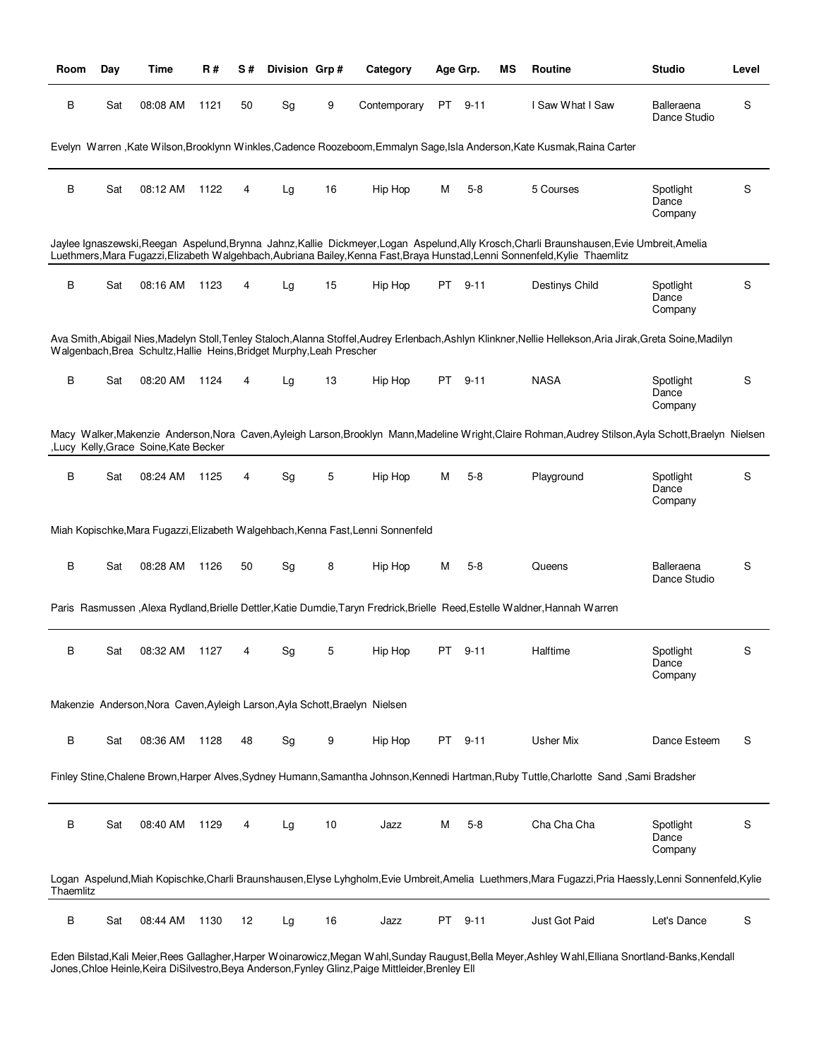| Room      | Day | Time                                                                  | R#   | S# | Division Grp# |    | Category                                                                         |    | Age Grp. | ΜS | Routine                                                                                                                                                                                                                                                                     | <b>Studio</b>                 | Level |
|-----------|-----|-----------------------------------------------------------------------|------|----|---------------|----|----------------------------------------------------------------------------------|----|----------|----|-----------------------------------------------------------------------------------------------------------------------------------------------------------------------------------------------------------------------------------------------------------------------------|-------------------------------|-------|
| B         | Sat | 08:08 AM                                                              | 1121 | 50 | Sg            | 9  | Contemporary                                                                     | PT | 9-11     |    | I Saw What I Saw                                                                                                                                                                                                                                                            | Balleraena<br>Dance Studio    | S     |
|           |     |                                                                       |      |    |               |    |                                                                                  |    |          |    | Evelyn Warren, Kate Wilson, Brooklynn Winkles, Cadence Roozeboom, Emmalyn Sage, Isla Anderson, Kate Kusmak, Raina Carter                                                                                                                                                    |                               |       |
| В         | Sat | 08:12 AM                                                              | 1122 | 4  | Lg            | 16 | Hip Hop                                                                          | М  | $5 - 8$  |    | 5 Courses                                                                                                                                                                                                                                                                   | Spotlight<br>Dance<br>Company | S     |
|           |     |                                                                       |      |    |               |    |                                                                                  |    |          |    | Jaylee Ignaszewski, Reegan Aspelund, Brynna Jahnz, Kallie Dickmeyer, Logan Aspelund, Ally Krosch, Charli Braunshausen, Evie Umbreit, Amelia<br>Luethmers, Mara Fugazzi, Elizabeth Walgehbach, Aubriana Bailey, Kenna Fast, Braya Hunstad, Lenni Sonnenfeld, Kylie Thaemlitz |                               |       |
| В         | Sat | 08:16 AM                                                              | 1123 | 4  | Lg            | 15 | Hip Hop                                                                          | PT | $9 - 11$ |    | Destinys Child                                                                                                                                                                                                                                                              | Spotlight<br>Dance<br>Company | S     |
|           |     | Walgenbach, Brea Schultz, Hallie Heins, Bridget Murphy, Leah Prescher |      |    |               |    |                                                                                  |    |          |    | Ava Smith,Abigail Nies,Madelyn Stoll,Tenley Staloch,Alanna Stoffel,Audrey Erlenbach,Ashlyn Klinkner,Nellie Hellekson,Aria Jirak,Greta Soine,Madilyn                                                                                                                         |                               |       |
| В         | Sat | 08:20 AM                                                              | 1124 | 4  | Lg            | 13 | Hip Hop                                                                          |    | PT 9-11  |    | <b>NASA</b>                                                                                                                                                                                                                                                                 | Spotlight<br>Dance<br>Company | S     |
|           |     | ,Lucy Kelly, Grace Soine, Kate Becker                                 |      |    |               |    |                                                                                  |    |          |    | Macy Walker, Makenzie Anderson, Nora Caven, Ayleigh Larson, Brooklyn Mann, Madeline Wright, Claire Rohman, Audrey Stilson, Ayla Schott, Braelyn Nielsen                                                                                                                     |                               |       |
| В         | Sat | 08:24 AM                                                              | 1125 | 4  | Sg            | 5  | Hip Hop                                                                          | м  | $5 - 8$  |    | Playground                                                                                                                                                                                                                                                                  | Spotlight<br>Dance<br>Company | S     |
|           |     |                                                                       |      |    |               |    | Miah Kopischke, Mara Fugazzi, Elizabeth Walgehbach, Kenna Fast, Lenni Sonnenfeld |    |          |    |                                                                                                                                                                                                                                                                             |                               |       |
| В         | Sat | 08:28 AM                                                              | 1126 | 50 | Sg            | 8  | Hip Hop                                                                          | м  | $5 - 8$  |    | Queens                                                                                                                                                                                                                                                                      | Balleraena<br>Dance Studio    | S     |
|           |     |                                                                       |      |    |               |    |                                                                                  |    |          |    | Paris Rasmussen , Alexa Rydland, Brielle Dettler, Katie Dumdie, Taryn Fredrick, Brielle Reed, Estelle Waldner, Hannah Warren                                                                                                                                                |                               |       |
| в         | Sat | 08:32 AM                                                              | 1127 | 4  | Sg            | 5  | Hip Hop                                                                          | PT | 9-11     |    | Halftime                                                                                                                                                                                                                                                                    | Spotlight<br>Dance<br>Company | S     |
|           |     |                                                                       |      |    |               |    | Makenzie Anderson, Nora Caven, Ayleigh Larson, Ayla Schott, Braelyn Nielsen      |    |          |    |                                                                                                                                                                                                                                                                             |                               |       |
| B         | Sat | 08:36 AM                                                              | 1128 | 48 | Sg            | 9  | Hip Hop                                                                          |    | PT 9-11  |    | <b>Usher Mix</b>                                                                                                                                                                                                                                                            | Dance Esteem                  | S     |
|           |     |                                                                       |      |    |               |    |                                                                                  |    |          |    | Finley Stine, Chalene Brown, Harper Alves, Sydney Humann, Samantha Johnson, Kennedi Hartman, Ruby Tuttle, Charlotte Sand, Sami Bradsher                                                                                                                                     |                               |       |
| В         | Sat | 08:40 AM                                                              | 1129 | 4  | Lg            | 10 | Jazz                                                                             | м  | $5-8$    |    | Cha Cha Cha                                                                                                                                                                                                                                                                 | Spotlight<br>Dance<br>Company | S     |
| Thaemlitz |     |                                                                       |      |    |               |    |                                                                                  |    |          |    | Logan Aspelund, Miah Kopischke, Charli Braunshausen, Elyse Lyhgholm, Evie Umbreit, Amelia Luethmers, Mara Fugazzi, Pria Haessly, Lenni Sonnenfeld, Kylie                                                                                                                    |                               |       |
| В         | Sat | 08:44 AM                                                              | 1130 | 12 | Lg            | 16 | Jazz                                                                             | PT | 9-11     |    | Just Got Paid                                                                                                                                                                                                                                                               | Let's Dance                   | S     |

Eden Bilstad,Kali Meier,Rees Gallagher,Harper Woinarowicz,Megan Wahl,Sunday Raugust,Bella Meyer,Ashley Wahl,Elliana Snortland-Banks,Kendall Jones,Chloe Heinle,Keira DiSilvestro,Beya Anderson,Fynley Glinz,Paige Mittleider,Brenley Ell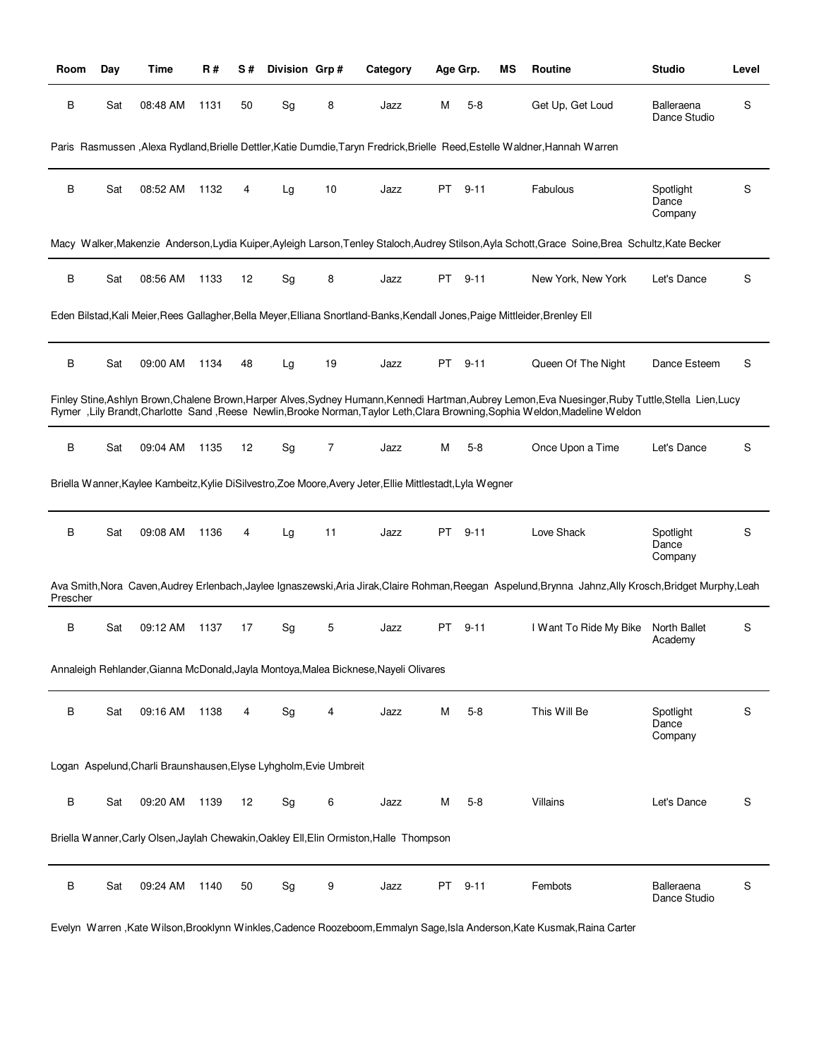| Room     | Day | Time                                                              | R#   | S# | Division Grp# |    | Category                                                                                                                     |    | Age Grp. | ΜS | Routine                                                                                                                                                                                                                                                                              | <b>Studio</b>                 | Level |
|----------|-----|-------------------------------------------------------------------|------|----|---------------|----|------------------------------------------------------------------------------------------------------------------------------|----|----------|----|--------------------------------------------------------------------------------------------------------------------------------------------------------------------------------------------------------------------------------------------------------------------------------------|-------------------------------|-------|
| B        | Sat | 08:48 AM                                                          | 1131 | 50 | Sg            | 8  | Jazz                                                                                                                         | M  | $5-8$    |    | Get Up, Get Loud                                                                                                                                                                                                                                                                     | Balleraena<br>Dance Studio    | S     |
|          |     |                                                                   |      |    |               |    |                                                                                                                              |    |          |    | Paris Rasmussen , Alexa Rydland, Brielle Dettler, Katie Dumdie, Taryn Fredrick, Brielle Reed, Estelle Waldner, Hannah Warren                                                                                                                                                         |                               |       |
| B        | Sat | 08:52 AM                                                          | 1132 | 4  | Lg            | 10 | Jazz                                                                                                                         | PT | $9 - 11$ |    | Fabulous                                                                                                                                                                                                                                                                             | Spotlight<br>Dance<br>Company | S     |
|          |     |                                                                   |      |    |               |    |                                                                                                                              |    |          |    | Macy Walker, Makenzie Anderson, Lydia Kuiper, Ayleigh Larson, Tenley Staloch, Audrey Stilson, Ayla Schott, Grace Soine, Brea Schultz, Kate Becker                                                                                                                                    |                               |       |
| В        | Sat | 08:56 AM                                                          | 1133 | 12 | Sg            | 8  | Jazz                                                                                                                         | PT | $9 - 11$ |    | New York, New York                                                                                                                                                                                                                                                                   | Let's Dance                   | S     |
|          |     |                                                                   |      |    |               |    | Eden Bilstad, Kali Meier, Rees Gallagher, Bella Meyer, Elliana Snortland-Banks, Kendall Jones, Paige Mittleider, Brenley Ell |    |          |    |                                                                                                                                                                                                                                                                                      |                               |       |
| В        | Sat | 09:00 AM                                                          | 1134 | 48 | Lg            | 19 | Jazz                                                                                                                         | PT | $9 - 11$ |    | Queen Of The Night                                                                                                                                                                                                                                                                   | Dance Esteem                  | S     |
|          |     |                                                                   |      |    |               |    |                                                                                                                              |    |          |    | Finley Stine, Ashlyn Brown, Chalene Brown, Harper Alves, Sydney Humann, Kennedi Hartman, Aubrey Lemon, Eva Nuesinger, Ruby Tuttle, Stella Lien, Lucy<br>Rymer, Lily Brandt, Charlotte Sand, Reese Newlin, Brooke Norman, Taylor Leth, Clara Browning, Sophia Weldon, Madeline Weldon |                               |       |
| В        | Sat | 09:04 AM                                                          | 1135 | 12 | Sg            | 7  | Jazz                                                                                                                         | M  | $5 - 8$  |    | Once Upon a Time                                                                                                                                                                                                                                                                     | Let's Dance                   | S     |
|          |     |                                                                   |      |    |               |    | Briella Wanner, Kaylee Kambeitz, Kylie DiSilvestro, Zoe Moore, Avery Jeter, Ellie Mittlestadt, Lyla Wegner                   |    |          |    |                                                                                                                                                                                                                                                                                      |                               |       |
| В        | Sat | 09:08 AM                                                          | 1136 | 4  | Lg            | 11 | Jazz                                                                                                                         | PT | $9 - 11$ |    | Love Shack                                                                                                                                                                                                                                                                           | Spotlight<br>Dance<br>Company | S     |
| Prescher |     |                                                                   |      |    |               |    |                                                                                                                              |    |          |    | Ava Smith, Nora Caven, Audrey Erlenbach, Jaylee Ignaszewski, Aria Jirak, Claire Rohman, Reegan Aspelund, Brynna Jahnz, Ally Krosch, Bridget Murphy, Leah                                                                                                                             |                               |       |
| В        | Sat | 09:12 AM                                                          | 1137 | 17 | Sg            | 5  | Jazz                                                                                                                         | PT | 9-11     |    | I Want To Ride My Bike                                                                                                                                                                                                                                                               | North Ballet<br>Academy       | S     |
|          |     |                                                                   |      |    |               |    | Annaleigh Rehlander, Gianna McDonald, Jayla Montoya, Malea Bicknese, Nayeli Olivares                                         |    |          |    |                                                                                                                                                                                                                                                                                      |                               |       |
| В        | Sat | 09:16 AM                                                          | 1138 | 4  | Sg            | 4  | Jazz                                                                                                                         | M  | $5 - 8$  |    | This Will Be                                                                                                                                                                                                                                                                         | Spotlight<br>Dance<br>Company | S     |
|          |     | Logan Aspelund, Charli Braunshausen, Elyse Lyhgholm, Evie Umbreit |      |    |               |    |                                                                                                                              |    |          |    |                                                                                                                                                                                                                                                                                      |                               |       |
| B        | Sat | 09:20 AM                                                          | 1139 | 12 | Sg            | 6  | Jazz                                                                                                                         | M  | $5-8$    |    | Villains                                                                                                                                                                                                                                                                             | Let's Dance                   | S     |
|          |     |                                                                   |      |    |               |    | Briella Wanner, Carly Olsen, Jaylah Chewakin, Oakley Ell, Elin Ormiston, Halle Thompson                                      |    |          |    |                                                                                                                                                                                                                                                                                      |                               |       |
| В        | Sat | 09:24 AM                                                          | 1140 | 50 | Sg            | 9  | Jazz                                                                                                                         | PT | $9 - 11$ |    | Fembots                                                                                                                                                                                                                                                                              | Balleraena<br>Dance Studio    | S     |

Evelyn Warren ,Kate Wilson,Brooklynn Winkles,Cadence Roozeboom,Emmalyn Sage,Isla Anderson,Kate Kusmak,Raina Carter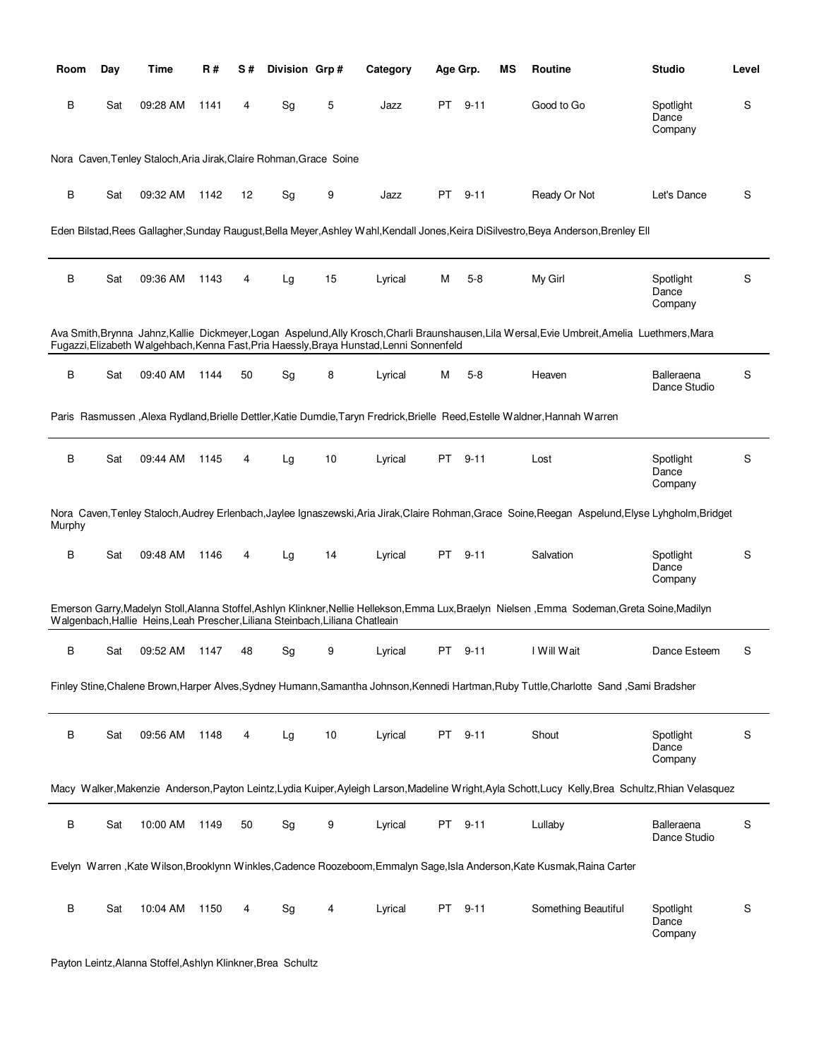| Room   | Day | Time                                                                          | R#   | S# | Division Grp# |    | Category                                                                                 | Age Grp. |          | ΜS | <b>Routine</b>                                                                                                                                       | <b>Studio</b>                 | Level |
|--------|-----|-------------------------------------------------------------------------------|------|----|---------------|----|------------------------------------------------------------------------------------------|----------|----------|----|------------------------------------------------------------------------------------------------------------------------------------------------------|-------------------------------|-------|
| В      | Sat | 09:28 AM                                                                      | 1141 | 4  | Sg            | 5  | Jazz                                                                                     | PT       | $9 - 11$ |    | Good to Go                                                                                                                                           | Spotlight<br>Dance<br>Company | S     |
|        |     | Nora Caven, Tenley Staloch, Aria Jirak, Claire Rohman, Grace Soine            |      |    |               |    |                                                                                          |          |          |    |                                                                                                                                                      |                               |       |
| В      | Sat | 09:32 AM                                                                      | 1142 | 12 | Sg            | 9  | Jazz                                                                                     | PT       | $9 - 11$ |    | Ready Or Not                                                                                                                                         | Let's Dance                   | S     |
|        |     |                                                                               |      |    |               |    |                                                                                          |          |          |    | Eden Bilstad, Rees Gallagher, Sunday Raugust, Bella Meyer, Ashley Wahl, Kendall Jones, Keira DiSilvestro, Beya Anderson, Brenley Ell                 |                               |       |
| В      | Sat | 09:36 AM                                                                      | 1143 | 4  | Lg            | 15 | Lyrical                                                                                  | М        | $5 - 8$  |    | My Girl                                                                                                                                              | Spotlight<br>Dance<br>Company | S     |
|        |     |                                                                               |      |    |               |    | Fugazzi, Elizabeth Walgehbach, Kenna Fast, Pria Haessly, Braya Hunstad, Lenni Sonnenfeld |          |          |    | Ava Smith, Brynna Jahnz, Kallie Dickmeyer, Logan Aspelund, Ally Krosch, Charli Braunshausen, Lila Wersal, Evie Umbreit, Amelia Luethmers, Mara       |                               |       |
| B      | Sat | 09:40 AM                                                                      | 1144 | 50 | Sg            | 8  | Lyrical                                                                                  | М        | $5-8$    |    | Heaven                                                                                                                                               | Balleraena<br>Dance Studio    | S     |
|        |     |                                                                               |      |    |               |    |                                                                                          |          |          |    | Paris Rasmussen , Alexa Rydland, Brielle Dettler, Katie Dumdie, Taryn Fredrick, Brielle Reed, Estelle Waldner, Hannah Warren                         |                               |       |
| B      | Sat | 09:44 AM                                                                      | 1145 | 4  | Lg            | 10 | Lyrical                                                                                  | PT       | $9 - 11$ |    | Lost                                                                                                                                                 | Spotlight<br>Dance<br>Company | S     |
| Murphy |     |                                                                               |      |    |               |    |                                                                                          |          |          |    | Nora Caven, Tenley Staloch, Audrey Erlenbach, Jaylee Ignaszewski, Aria Jirak, Claire Rohman, Grace Soine, Reegan Aspelund, Elyse Lyhgholm, Bridget   |                               |       |
| В      | Sat | 09:48 AM                                                                      | 1146 | 4  | Lg            | 14 | Lyrical                                                                                  | PT.      | $9 - 11$ |    | Salvation                                                                                                                                            | Spotlight<br>Dance<br>Company | S     |
|        |     | Walgenbach, Hallie Heins, Leah Prescher, Liliana Steinbach, Liliana Chatleain |      |    |               |    |                                                                                          |          |          |    | Emerson Garry, Madelyn Stoll, Alanna Stoffel, Ashlyn Klinkner, Nellie Hellekson, Emma Lux, Braelyn Nielsen, Emma Sodeman, Greta Soine, Madilyn       |                               |       |
| В      | Sat | 09:52 AM                                                                      | 1147 | 48 | Sg            | 9  | Lyrical                                                                                  | PT       | $9 - 11$ |    | I Will Wait                                                                                                                                          | Dance Esteem                  | S     |
|        |     |                                                                               |      |    |               |    |                                                                                          |          |          |    | Finley Stine, Chalene Brown, Harper Alves, Sydney Humann, Samantha Johnson, Kennedi Hartman, Ruby Tuttle, Charlotte Sand, Sami Bradsher              |                               |       |
| B      | Sat | 09:56 AM                                                                      | 1148 | 4  | Lg            | 10 | Lyrical                                                                                  | PT       | $9 - 11$ |    | Shout                                                                                                                                                | Spotlight<br>Dance<br>Company | S     |
|        |     |                                                                               |      |    |               |    |                                                                                          |          |          |    | Macy Walker, Makenzie Anderson, Payton Leintz, Lydia Kuiper, Ayleigh Larson, Madeline Wright, Ayla Schott, Lucy Kelly, Brea Schultz, Rhian Velasquez |                               |       |
| B      | Sat | 10:00 AM                                                                      | 1149 | 50 | Sg            | 9  | Lyrical                                                                                  | PT       | $9 - 11$ |    | Lullaby                                                                                                                                              | Balleraena<br>Dance Studio    | S     |
|        |     |                                                                               |      |    |               |    |                                                                                          |          |          |    | Evelyn Warren, Kate Wilson, Brooklynn Winkles, Cadence Roozeboom, Emmalyn Sage, Isla Anderson, Kate Kusmak, Raina Carter                             |                               |       |
| B      | Sat | 10:04 AM                                                                      | 1150 | 4  | Sg            | 4  | Lyrical                                                                                  | PT       | $9 - 11$ |    | Something Beautiful                                                                                                                                  | Spotlight<br>Dance<br>Company | S     |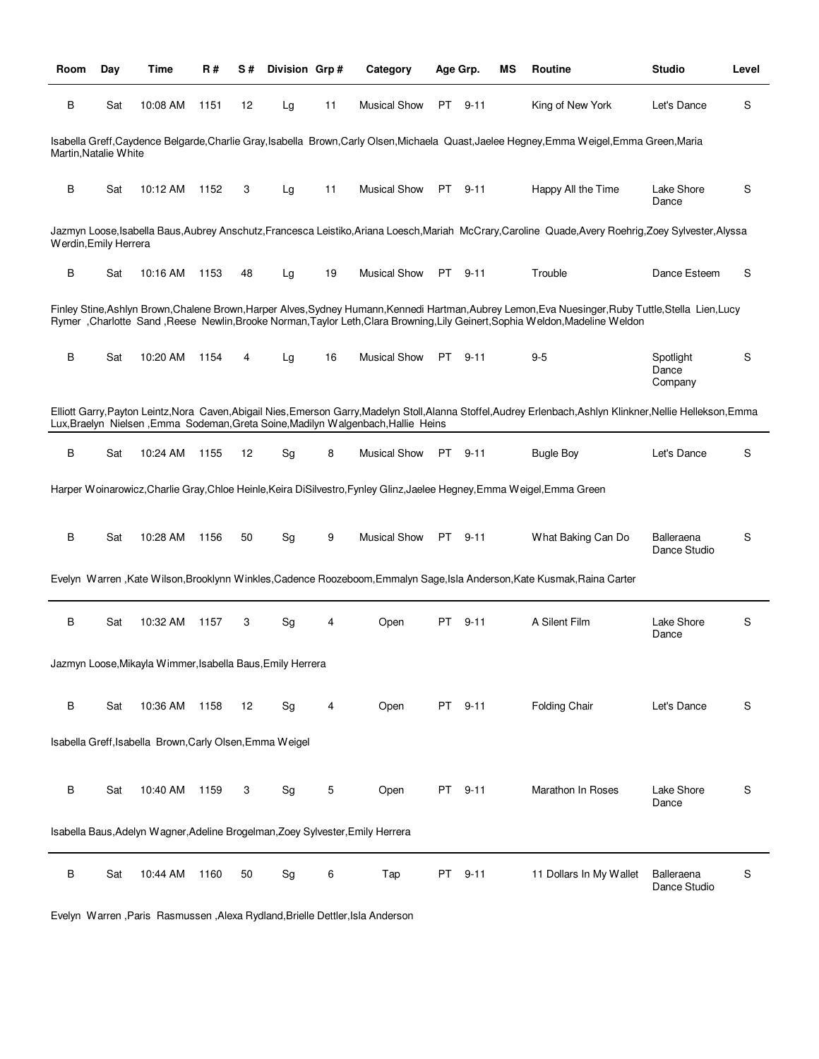| Room                  | Day | Time                                                       | R#   | S# | Division Grp# |    | Category                                                                                                                |    | Age Grp. | ΜS | Routine                                                                                                                                                                                                                                                                               | <b>Studio</b>                 | Level |
|-----------------------|-----|------------------------------------------------------------|------|----|---------------|----|-------------------------------------------------------------------------------------------------------------------------|----|----------|----|---------------------------------------------------------------------------------------------------------------------------------------------------------------------------------------------------------------------------------------------------------------------------------------|-------------------------------|-------|
| B                     | Sat | 10:08 AM                                                   | 1151 | 12 | Lg            | 11 | <b>Musical Show</b>                                                                                                     |    | PT 9-11  |    | King of New York                                                                                                                                                                                                                                                                      | Let's Dance                   | S     |
| Martin, Natalie White |     |                                                            |      |    |               |    |                                                                                                                         |    |          |    | Isabella Greff.Caydence Belgarde.Charlie Gray.Isabella Brown.Carly Olsen.Michaela Quast.Jaelee Hegney.Emma Weigel.Emma Green.Maria                                                                                                                                                    |                               |       |
| В                     | Sat | 10:12 AM                                                   | 1152 | 3  | Lg            | 11 | Musical Show                                                                                                            |    | PT 9-11  |    | Happy All the Time                                                                                                                                                                                                                                                                    | Lake Shore<br>Dance           | S     |
| Werdin, Emily Herrera |     |                                                            |      |    |               |    |                                                                                                                         |    |          |    | Jazmyn Loose, Isabella Baus, Aubrey Anschutz, Francesca Leistiko, Ariana Loesch, Mariah McCrary, Caroline Quade, Avery Roehrig, Zoey Sylvester, Alyssa                                                                                                                                |                               |       |
| В                     | Sat | 10:16 AM                                                   | 1153 | 48 | Lg            | 19 | <b>Musical Show</b>                                                                                                     |    | PT 9-11  |    | Trouble                                                                                                                                                                                                                                                                               | Dance Esteem                  | S     |
|                       |     |                                                            |      |    |               |    |                                                                                                                         |    |          |    | Finley Stine, Ashlyn Brown, Chalene Brown, Harper Alves, Sydney Humann, Kennedi Hartman, Aubrey Lemon, Eva Nuesinger, Ruby Tuttle, Stella Lien, Lucy<br>Rymer, Charlotte Sand, Reese Newlin, Brooke Norman, Taylor Leth, Clara Browning, Lily Geinert, Sophia Weldon, Madeline Weldon |                               |       |
| B                     | Sat | 10:20 AM                                                   | 1154 | 4  | Lg            | 16 | <b>Musical Show</b>                                                                                                     |    | PT 9-11  |    | $9-5$                                                                                                                                                                                                                                                                                 | Spotlight<br>Dance<br>Company | S     |
|                       |     |                                                            |      |    |               |    | Lux, Braelyn Nielsen, Emma Sodeman, Greta Soine, Madilyn Walgenbach, Hallie Heins                                       |    |          |    | Elliott Garry, Payton Leintz, Nora Caven, Abigail Nies, Emerson Garry, Madelyn Stoll, Alanna Stoffel, Audrey Erlenbach, Ashlyn Klinkner, Nellie Hellekson, Emma                                                                                                                       |                               |       |
| B                     | Sat | 10:24 AM                                                   | 1155 | 12 | Sg            | 8  | <b>Musical Show</b>                                                                                                     |    | PT 9-11  |    | <b>Bugle Boy</b>                                                                                                                                                                                                                                                                      | Let's Dance                   | S     |
|                       |     |                                                            |      |    |               |    | Harper Woinarowicz, Charlie Gray, Chloe Heinle, Keira DiSilvestro, Fynley Glinz, Jaelee Hegney, Emma Weigel, Emma Green |    |          |    |                                                                                                                                                                                                                                                                                       |                               |       |
| B                     | Sat | 10:28 AM                                                   | 1156 | 50 | Sg            | 9  | <b>Musical Show</b>                                                                                                     |    | PT 9-11  |    | What Baking Can Do                                                                                                                                                                                                                                                                    | Balleraena<br>Dance Studio    | S     |
|                       |     |                                                            |      |    |               |    |                                                                                                                         |    |          |    | Evelyn Warren, Kate Wilson, Brooklynn Winkles, Cadence Roozeboom, Emmalyn Sage, Isla Anderson, Kate Kusmak, Raina Carter                                                                                                                                                              |                               |       |
| В                     | Sat | 10:32 AM                                                   | 1157 | 3  | Sg            | 4  | Open                                                                                                                    | PT | $9 - 11$ |    | A Silent Film                                                                                                                                                                                                                                                                         | Lake Shore<br>Dance           | S     |
|                       |     | Jazmyn Loose, Mikayla Wimmer, Isabella Baus, Emily Herrera |      |    |               |    |                                                                                                                         |    |          |    |                                                                                                                                                                                                                                                                                       |                               |       |
| B                     | Sat | 10:36 AM                                                   | 1158 | 12 | Sg            | 4  | Open                                                                                                                    | PT | $9 - 11$ |    | Folding Chair                                                                                                                                                                                                                                                                         | Let's Dance                   | S     |
|                       |     | Isabella Greff, Isabella Brown, Carly Olsen, Emma Weigel   |      |    |               |    |                                                                                                                         |    |          |    |                                                                                                                                                                                                                                                                                       |                               |       |
| В                     | Sat | 10:40 AM                                                   | 1159 | 3  | Sg            | 5  | Open                                                                                                                    | PT | $9 - 11$ |    | Marathon In Roses                                                                                                                                                                                                                                                                     | Lake Shore<br>Dance           | S     |
|                       |     |                                                            |      |    |               |    | Isabella Baus, Adelyn Wagner, Adeline Brogelman, Zoey Sylvester, Emily Herrera                                          |    |          |    |                                                                                                                                                                                                                                                                                       |                               |       |
| В                     | Sat | 10:44 AM                                                   | 1160 | 50 | Sg            | 6  | Tap                                                                                                                     | PT | $9 - 11$ |    | 11 Dollars In My Wallet                                                                                                                                                                                                                                                               | Balleraena<br>Dance Studio    | S     |

Evelyn Warren ,Paris Rasmussen ,Alexa Rydland,Brielle Dettler,Isla Anderson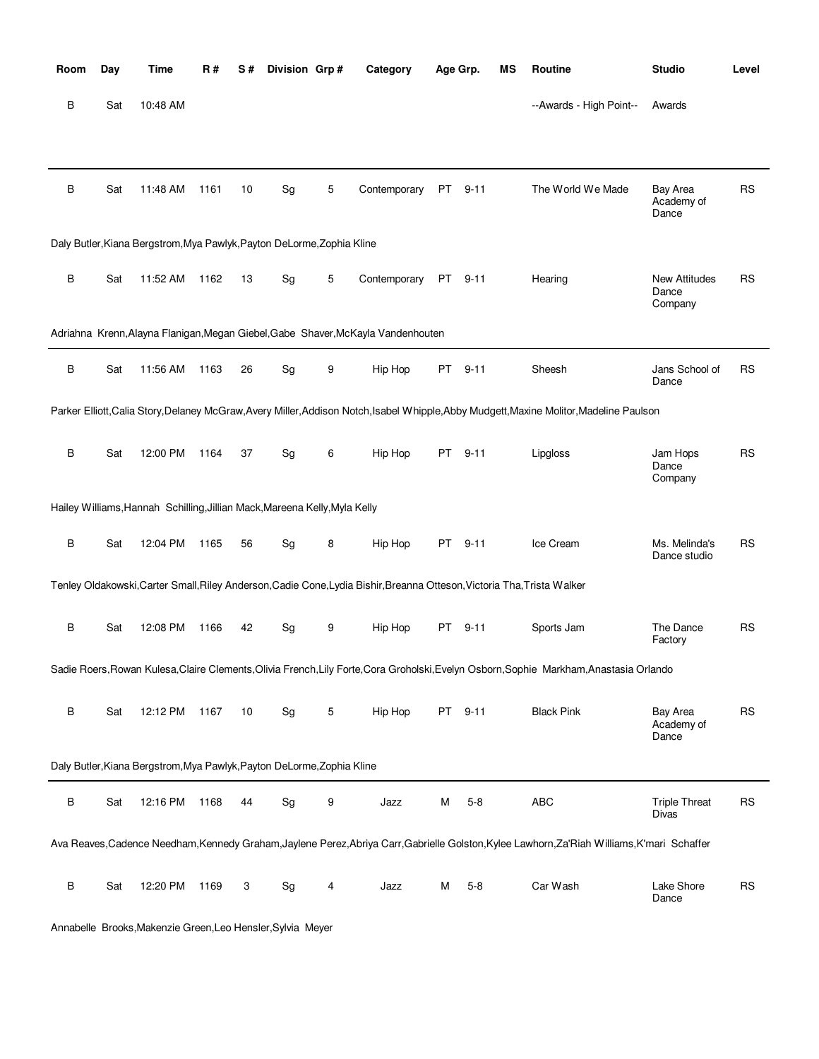| Room | Day | Time                                                                       | <b>R#</b> | S# | Division Grp# |   | Category                                                                                                                | Age Grp. |          | MS | Routine                                                                                                                                      | <b>Studio</b>                            | Level     |
|------|-----|----------------------------------------------------------------------------|-----------|----|---------------|---|-------------------------------------------------------------------------------------------------------------------------|----------|----------|----|----------------------------------------------------------------------------------------------------------------------------------------------|------------------------------------------|-----------|
| В    | Sat | 10:48 AM                                                                   |           |    |               |   |                                                                                                                         |          |          |    | --Awards - High Point--                                                                                                                      | Awards                                   |           |
|      |     |                                                                            |           |    |               |   |                                                                                                                         |          |          |    |                                                                                                                                              |                                          |           |
| В    | Sat | 11:48 AM                                                                   | 1161      | 10 | Sg            | 5 | Contemporary                                                                                                            | PT       | $9 - 11$ |    | The World We Made                                                                                                                            | <b>Bay Area</b><br>Academy of<br>Dance   | <b>RS</b> |
|      |     | Daly Butler, Kiana Bergstrom, Mya Pawlyk, Payton DeLorme, Zophia Kline     |           |    |               |   |                                                                                                                         |          |          |    |                                                                                                                                              |                                          |           |
| B    | Sat | 11:52 AM                                                                   | 1162      | 13 | Sg            | 5 | Contemporary                                                                                                            | PT       | $9 - 11$ |    | Hearing                                                                                                                                      | <b>New Attitudes</b><br>Dance<br>Company | RS        |
|      |     |                                                                            |           |    |               |   | Adriahna Krenn, Alayna Flanigan, Megan Giebel, Gabe Shaver, McKayla Vandenhouten                                        |          |          |    |                                                                                                                                              |                                          |           |
| B    | Sat | 11:56 AM                                                                   | 1163      | 26 | Sg            | 9 | Hip Hop                                                                                                                 | PT.      | $9 - 11$ |    | Sheesh                                                                                                                                       | Jans School of<br>Dance                  | RS        |
|      |     |                                                                            |           |    |               |   |                                                                                                                         |          |          |    | Parker Elliott, Calia Story, Delaney McGraw, Avery Miller, Addison Notch, Isabel Whipple, Abby Mudgett, Maxine Molitor, Madeline Paulson     |                                          |           |
| B    | Sat | 12:00 PM                                                                   | 1164      | 37 | Sg            | 6 | Hip Hop                                                                                                                 | PT       | $9 - 11$ |    | Lipgloss                                                                                                                                     | Jam Hops<br>Dance<br>Company             | RS        |
|      |     | Hailey Williams, Hannah Schilling, Jillian Mack, Mareena Kelly, Myla Kelly |           |    |               |   |                                                                                                                         |          |          |    |                                                                                                                                              |                                          |           |
| B    | Sat | 12:04 PM                                                                   | 1165      | 56 | Sg            | 8 | Hip Hop                                                                                                                 | PT       | $9 - 11$ |    | Ice Cream                                                                                                                                    | Ms. Melinda's<br>Dance studio            | <b>RS</b> |
|      |     |                                                                            |           |    |               |   | Tenley Oldakowski, Carter Small, Riley Anderson, Cadie Cone, Lydia Bishir, Breanna Otteson, Victoria Tha, Trista Walker |          |          |    |                                                                                                                                              |                                          |           |
| B    | Sat | 12:08 PM                                                                   | 1166      | 42 | Sg            | 9 | Hip Hop                                                                                                                 | PT -     | $9 - 11$ |    | Sports Jam                                                                                                                                   | The Dance<br>Factory                     | <b>RS</b> |
|      |     |                                                                            |           |    |               |   |                                                                                                                         |          |          |    | Sadie Roers, Rowan Kulesa, Claire Clements, Olivia French, Lily Forte, Cora Groholski, Evelyn Osborn, Sophie Markham, Anastasia Orlando      |                                          |           |
| В    | Sat | 12:12 PM                                                                   | 1167      | 10 | Sg            | 5 | Hip Hop                                                                                                                 |          | PT 9-11  |    | <b>Black Pink</b>                                                                                                                            | <b>Bay Area</b><br>Academy of<br>Dance   | <b>RS</b> |
|      |     | Daly Butler, Kiana Bergstrom, Mya Pawlyk, Payton DeLorme, Zophia Kline     |           |    |               |   |                                                                                                                         |          |          |    |                                                                                                                                              |                                          |           |
| В    | Sat | 12:16 PM                                                                   | 1168      | 44 | Sg            | 9 | Jazz                                                                                                                    | М        | $5 - 8$  |    | <b>ABC</b>                                                                                                                                   | <b>Triple Threat</b><br><b>Divas</b>     | <b>RS</b> |
|      |     |                                                                            |           |    |               |   |                                                                                                                         |          |          |    | Ava Reaves, Cadence Needham, Kennedy Graham, Jaylene Perez, Abriya Carr, Gabrielle Golston, Kylee Lawhorn, Za'Riah Williams, K'mari Schaffer |                                          |           |
| В    | Sat | 12:20 PM                                                                   | 1169      | 3  | Sg            | 4 | Jazz                                                                                                                    | М        | $5 - 8$  |    | Car Wash                                                                                                                                     | Lake Shore<br>Dance                      | <b>RS</b> |

Annabelle Brooks,Makenzie Green,Leo Hensler,Sylvia Meyer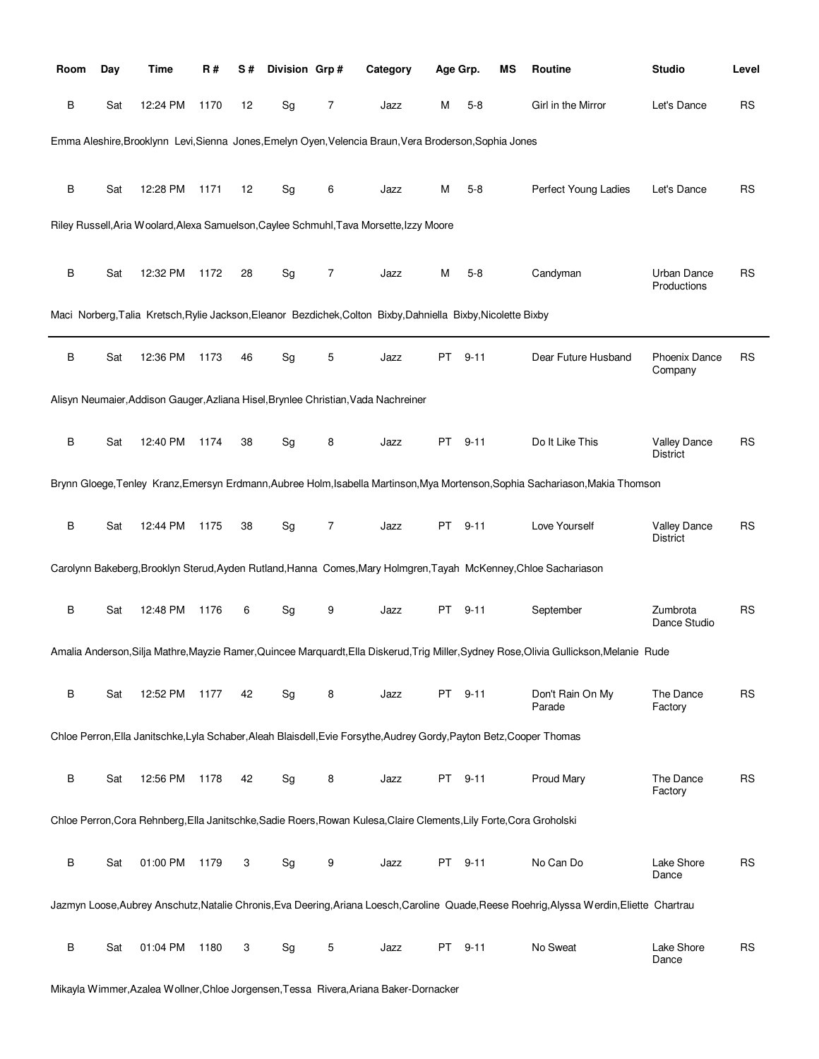| Room    | Day | Time     | R#   | S# | Division Grp# |                | Category                                                                                                              | Age Grp. |          | ΜS | Routine                                                                                                                                  | <b>Studio</b>                     | Level     |
|---------|-----|----------|------|----|---------------|----------------|-----------------------------------------------------------------------------------------------------------------------|----------|----------|----|------------------------------------------------------------------------------------------------------------------------------------------|-----------------------------------|-----------|
| В       | Sat | 12:24 PM | 1170 | 12 | Sg            | 7              | Jazz                                                                                                                  | м        | $5 - 8$  |    | Girl in the Mirror                                                                                                                       | Let's Dance                       | <b>RS</b> |
|         |     |          |      |    |               |                | Emma Aleshire, Brooklynn Levi, Sienna Jones, Emelyn Oyen, Velencia Braun, Vera Broderson, Sophia Jones                |          |          |    |                                                                                                                                          |                                   |           |
| B       | Sat | 12:28 PM | 1171 | 12 | Sg            | 6              | Jazz                                                                                                                  | M        | $5 - 8$  |    | Perfect Young Ladies                                                                                                                     | Let's Dance                       | <b>RS</b> |
|         |     |          |      |    |               |                | Riley Russell, Aria Woolard, Alexa Samuelson, Caylee Schmuhl, Tava Morsette, Izzy Moore                               |          |          |    |                                                                                                                                          |                                   |           |
| B       | Sat | 12:32 PM | 1172 | 28 | Sg            | $\overline{7}$ | Jazz                                                                                                                  | м        | $5 - 8$  |    | Candyman                                                                                                                                 | <b>Urban Dance</b><br>Productions | RS        |
|         |     |          |      |    |               |                | Maci Norberg, Talia Kretsch, Rylie Jackson, Eleanor Bezdichek, Colton Bixby, Dahniella Bixby, Nicolette Bixby         |          |          |    |                                                                                                                                          |                                   |           |
| B       | Sat | 12:36 PM | 1173 | 46 | Sg            | 5              | Jazz                                                                                                                  | PT       | $9 - 11$ |    | Dear Future Husband                                                                                                                      | <b>Phoenix Dance</b><br>Company   | RS        |
|         |     |          |      |    |               |                | Alisyn Neumaier, Addison Gauger, Azliana Hisel, Brynlee Christian, Vada Nachreiner                                    |          |          |    |                                                                                                                                          |                                   |           |
| B       | Sat | 12:40 PM | 1174 | 38 | Sg            | 8              | Jazz                                                                                                                  | PT       | $9 - 11$ |    | Do It Like This                                                                                                                          | Valley Dance<br>District          | RS        |
|         |     |          |      |    |               |                |                                                                                                                       |          |          |    | Brynn Gloege, Tenley Kranz, Emersyn Erdmann, Aubree Holm, Isabella Martinson, Mya Mortenson, Sophia Sachariason, Makia Thomson           |                                   |           |
| B       | Sat | 12:44 PM | 1175 | 38 | Sg            | $\overline{7}$ | Jazz                                                                                                                  | PT       | $9 - 11$ |    | Love Yourself                                                                                                                            | Valley Dance<br><b>District</b>   | RS        |
|         |     |          |      |    |               |                |                                                                                                                       |          |          |    | Carolynn Bakeberg, Brooklyn Sterud, Ayden Rutland, Hanna Comes, Mary Holmgren, Tayah McKenney, Chloe Sachariason                         |                                   |           |
| B       | Sat | 12:48 PM | 1176 | 6  | Sg            | 9              | Jazz                                                                                                                  | PT       | $9 - 11$ |    | September                                                                                                                                | Zumbrota<br>Dance Studio          | RS        |
|         |     |          |      |    |               |                |                                                                                                                       |          |          |    | Amalia Anderson, Silja Mathre, Mayzie Ramer, Quincee Marquardt, Ella Diskerud, Trig Miller, Sydney Rose, Olivia Gullickson, Melanie Rude |                                   |           |
| B       | Sat | 12:52 PM | 1177 | 42 | Sg            | 8              | Jazz                                                                                                                  | PT       | $9 - 11$ |    | Don't Rain On My<br>Parade                                                                                                               | The Dance<br>Factory              | <b>RS</b> |
|         |     |          |      |    |               |                | Chloe Perron, Ella Janitschke, Lyla Schaber, Aleah Blaisdell, Evie Forsythe, Audrey Gordy, Payton Betz, Cooper Thomas |          |          |    |                                                                                                                                          |                                   |           |
| $\sf B$ | Sat | 12:56 PM | 1178 | 42 | Sg            | 8              | Jazz                                                                                                                  |          | PT 9-11  |    | Proud Mary                                                                                                                               | The Dance<br>Factory              | <b>RS</b> |
|         |     |          |      |    |               |                | Chloe Perron, Cora Rehnberg, Ella Janitschke, Sadie Roers, Rowan Kulesa, Claire Clements, Lily Forte, Cora Groholski  |          |          |    |                                                                                                                                          |                                   |           |
| $\sf B$ | Sat | 01:00 PM | 1179 | 3  | Sg            | 9              | Jazz                                                                                                                  |          | PT 9-11  |    | No Can Do                                                                                                                                | Lake Shore<br>Dance               | <b>RS</b> |
|         |     |          |      |    |               |                |                                                                                                                       |          |          |    | Jazmyn Loose,Aubrey Anschutz,Natalie Chronis,Eva Deering,Ariana Loesch,Caroline Quade,Reese Roehrig,Alyssa Werdin,Eliette Chartrau       |                                   |           |
| B       | Sat | 01:04 PM | 1180 | 3  | Sg            | 5              | Jazz                                                                                                                  | PT       | $9 - 11$ |    | No Sweat                                                                                                                                 | Lake Shore<br>Dance               | <b>RS</b> |

Mikayla Wimmer,Azalea Wollner,Chloe Jorgensen,Tessa Rivera,Ariana Baker-Dornacker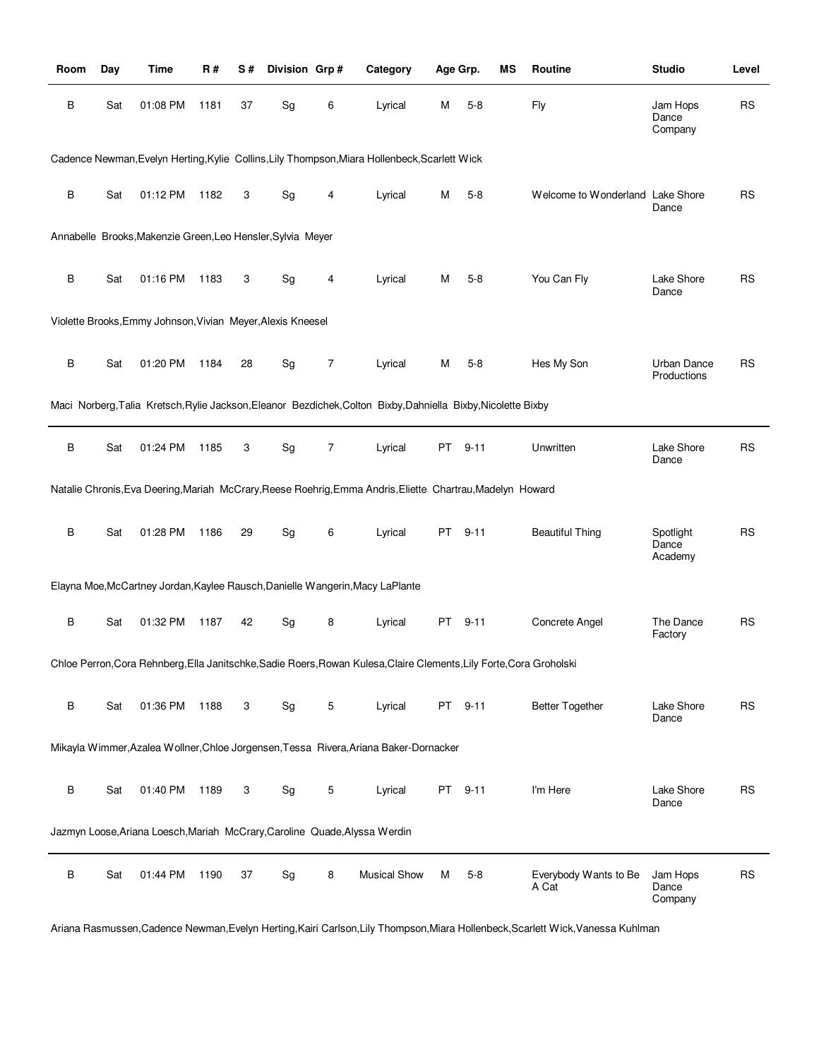| Room    | Day | <b>Time</b>                                                 | <b>R#</b> | S# | Division Grp# |   | Category                                                                                                             |    | Age Grp. | MS | Routine                          | <b>Studio</b>                     | Level     |
|---------|-----|-------------------------------------------------------------|-----------|----|---------------|---|----------------------------------------------------------------------------------------------------------------------|----|----------|----|----------------------------------|-----------------------------------|-----------|
| B       | Sat | 01:08 PM                                                    | 1181      | 37 | Sg            | 6 | Lyrical                                                                                                              | М  | $5 - 8$  |    | Fly                              | Jam Hops<br>Dance<br>Company      | <b>RS</b> |
|         |     |                                                             |           |    |               |   | Cadence Newman, Evelyn Herting, Kylie Collins, Lily Thompson, Miara Hollenbeck, Scarlett Wick                        |    |          |    |                                  |                                   |           |
| В       | Sat | 01:12 PM                                                    | 1182      | 3  | Sg            | 4 | Lyrical                                                                                                              | M  | $5 - 8$  |    | Welcome to Wonderland Lake Shore | Dance                             | <b>RS</b> |
|         |     | Annabelle Brooks, Makenzie Green, Leo Hensler, Sylvia Meyer |           |    |               |   |                                                                                                                      |    |          |    |                                  |                                   |           |
| B       | Sat | 01:16 PM                                                    | 1183      | 3  | Sg            | 4 | Lyrical                                                                                                              | М  | $5 - 8$  |    | You Can Fly                      | Lake Shore<br>Dance               | RS        |
|         |     | Violette Brooks, Emmy Johnson, Vivian Meyer, Alexis Kneesel |           |    |               |   |                                                                                                                      |    |          |    |                                  |                                   |           |
| В       | Sat | 01:20 PM                                                    | 1184      | 28 | Sg            | 7 | Lyrical                                                                                                              | М  | $5 - 8$  |    | Hes My Son                       | <b>Urban Dance</b><br>Productions | <b>RS</b> |
|         |     |                                                             |           |    |               |   | Maci Norberg, Talia Kretsch, Rylie Jackson, Eleanor Bezdichek, Colton Bixby, Dahniella Bixby, Nicolette Bixby        |    |          |    |                                  |                                   |           |
| B       | Sat | 01:24 PM                                                    | 1185      | 3  | Sg            | 7 | Lyrical                                                                                                              | PT | $9 - 11$ |    | Unwritten                        | Lake Shore<br>Dance               | <b>RS</b> |
|         |     |                                                             |           |    |               |   | Natalie Chronis, Eva Deering, Mariah McCrary, Reese Roehrig, Emma Andris, Eliette Chartrau, Madelyn Howard           |    |          |    |                                  |                                   |           |
| В       | Sat | 01:28 PM                                                    | 1186      | 29 | Sg            | 6 | Lyrical                                                                                                              |    | PT 9-11  |    | <b>Beautiful Thing</b>           | Spotlight<br>Dance<br>Academy     | <b>RS</b> |
|         |     |                                                             |           |    |               |   | Elayna Moe, McCartney Jordan, Kaylee Rausch, Danielle Wangerin, Macy LaPlante                                        |    |          |    |                                  |                                   |           |
| В       | Sat | 01:32 PM                                                    | 1187      | 42 | Sg            | 8 | Lyrical                                                                                                              | PT | $9 - 11$ |    | Concrete Angel                   | The Dance<br>Factory              | RS        |
|         |     |                                                             |           |    |               |   | Chloe Perron, Cora Rehnberg, Ella Janitschke, Sadie Roers, Rowan Kulesa, Claire Clements, Lily Forte, Cora Groholski |    |          |    |                                  |                                   |           |
| В       | Sat | 01:36 PM                                                    | 1188      | 3  | Sg            | 5 | Lyrical                                                                                                              |    | PT 9-11  |    | <b>Better Together</b>           | Lake Shore<br>Dance               | <b>RS</b> |
|         |     |                                                             |           |    |               |   | Mikayla Wimmer, Azalea Wollner, Chloe Jorgensen, Tessa Rivera, Ariana Baker-Dornacker                                |    |          |    |                                  |                                   |           |
| $\sf B$ | Sat | 01:40 PM                                                    | 1189      | 3  | Sg            | 5 | Lyrical                                                                                                              |    | PT 9-11  |    | I'm Here                         | Lake Shore<br>Dance               | <b>RS</b> |
|         |     |                                                             |           |    |               |   | Jazmyn Loose, Ariana Loesch, Mariah McCrary, Caroline Quade, Alyssa Werdin                                           |    |          |    |                                  |                                   |           |
| В       | Sat | 01:44 PM                                                    | 1190      | 37 | Sg            | 8 | <b>Musical Show</b>                                                                                                  | М  | $5 - 8$  |    | Everybody Wants to Be<br>A Cat   | Jam Hops<br>Dance<br>Company      | <b>RS</b> |

Ariana Rasmussen,Cadence Newman,Evelyn Herting,Kairi Carlson,Lily Thompson,Miara Hollenbeck,Scarlett Wick,Vanessa Kuhlman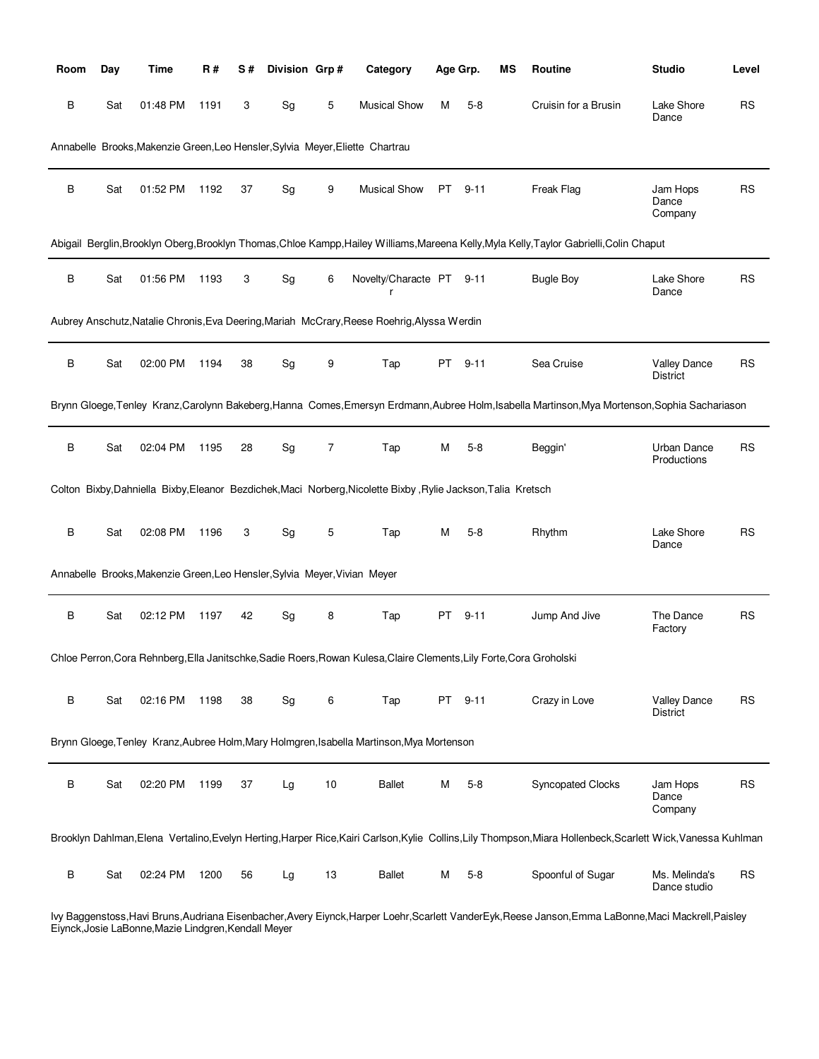| Room | Day | <b>Time</b>                                                               | R#   | S# | Division Grp# |    | Category                                                                                                             |    | Age Grp. | MS | Routine                                                                                                                                                       | <b>Studio</b>                          | Level     |
|------|-----|---------------------------------------------------------------------------|------|----|---------------|----|----------------------------------------------------------------------------------------------------------------------|----|----------|----|---------------------------------------------------------------------------------------------------------------------------------------------------------------|----------------------------------------|-----------|
| В    | Sat | 01:48 PM                                                                  | 1191 | 3  | Sg            | 5  | <b>Musical Show</b>                                                                                                  | М  | $5 - 8$  |    | Cruisin for a Brusin                                                                                                                                          | Lake Shore<br>Dance                    | <b>RS</b> |
|      |     |                                                                           |      |    |               |    | Annabelle Brooks, Makenzie Green, Leo Hensler, Sylvia Meyer, Eliette Chartrau                                        |    |          |    |                                                                                                                                                               |                                        |           |
| В    | Sat | 01:52 PM                                                                  | 1192 | 37 | Sg            | 9  | <b>Musical Show</b>                                                                                                  | PT | $9 - 11$ |    | Freak Flag                                                                                                                                                    | Jam Hops<br>Dance<br>Company           | <b>RS</b> |
|      |     |                                                                           |      |    |               |    |                                                                                                                      |    |          |    | Abigail Berglin,Brooklyn Oberg,Brooklyn Thomas,Chloe Kampp,Hailey Williams,Mareena Kelly,Myla Kelly,Taylor Gabrielli,Colin Chaput                             |                                        |           |
| B    | Sat | 01:56 PM                                                                  | 1193 | 3  | Sg            | 6  | Novelty/Characte PT 9-11                                                                                             |    |          |    | <b>Bugle Boy</b>                                                                                                                                              | Lake Shore<br>Dance                    | <b>RS</b> |
|      |     |                                                                           |      |    |               |    | Aubrey Anschutz, Natalie Chronis, Eva Deering, Mariah McCrary, Reese Roehrig, Alyssa Werdin                          |    |          |    |                                                                                                                                                               |                                        |           |
| В    | Sat | 02:00 PM                                                                  | 1194 | 38 | Sg            | 9  | Tap                                                                                                                  | PT | $9 - 11$ |    | Sea Cruise                                                                                                                                                    | <b>Valley Dance</b><br>District        | <b>RS</b> |
|      |     |                                                                           |      |    |               |    |                                                                                                                      |    |          |    | Brynn Gloege, Tenley Kranz, Carolynn Bakeberg, Hanna Comes, Emersyn Erdmann, Aubree Holm, Isabella Martinson, Mya Mortenson, Sophia Sachariason               |                                        |           |
| В    | Sat | 02:04 PM                                                                  | 1195 | 28 | Sg            | 7  | Tap                                                                                                                  | M  | $5 - 8$  |    | Beggin'                                                                                                                                                       | <b>Urban Dance</b><br>Productions      | <b>RS</b> |
|      |     |                                                                           |      |    |               |    | Colton Bixby, Dahniella Bixby, Eleanor Bezdichek, Maci Norberg, Nicolette Bixby, Rylie Jackson, Talia Kretsch        |    |          |    |                                                                                                                                                               |                                        |           |
| B    | Sat | 02:08 PM                                                                  | 1196 | 3  | Sg            | 5  | Tap                                                                                                                  | м  | $5-8$    |    | Rhythm                                                                                                                                                        | Lake Shore<br>Dance                    | <b>RS</b> |
|      |     | Annabelle Brooks, Makenzie Green, Leo Hensler, Sylvia Meyer, Vivian Meyer |      |    |               |    |                                                                                                                      |    |          |    |                                                                                                                                                               |                                        |           |
| В    | Sat | 02:12 PM                                                                  | 1197 | 42 | Sg            | 8  | Tap                                                                                                                  | PT | $9 - 11$ |    | Jump And Jive                                                                                                                                                 | The Dance<br>Factory                   | <b>RS</b> |
|      |     |                                                                           |      |    |               |    | Chloe Perron, Cora Rehnberg, Ella Janitschke, Sadie Roers, Rowan Kulesa, Claire Clements, Lily Forte, Cora Groholski |    |          |    |                                                                                                                                                               |                                        |           |
| В    | Sat | 02:16 PM                                                                  | 1198 | 38 | Sg            | 6  | Tap                                                                                                                  |    | PT 9-11  |    | Crazy in Love                                                                                                                                                 | <b>Valley Dance</b><br><b>District</b> | <b>RS</b> |
|      |     |                                                                           |      |    |               |    | Brynn Gloege, Tenley Kranz, Aubree Holm, Mary Holmgren, Isabella Martinson, Mya Mortenson                            |    |          |    |                                                                                                                                                               |                                        |           |
| В    | Sat | 02:20 PM                                                                  | 1199 | 37 | Lg            | 10 | <b>Ballet</b>                                                                                                        | M  | $5 - 8$  |    | <b>Syncopated Clocks</b>                                                                                                                                      | Jam Hops<br>Dance<br>Company           | <b>RS</b> |
|      |     |                                                                           |      |    |               |    |                                                                                                                      |    |          |    | Brooklyn Dahlman, Elena Vertalino, Evelyn Herting, Harper Rice, Kairi Carlson, Kylie Collins, Lily Thompson, Miara Hollenbeck, Scarlett Wick, Vanessa Kuhlman |                                        |           |
| В    | Sat | 02:24 PM                                                                  | 1200 | 56 | Lg            | 13 | <b>Ballet</b>                                                                                                        | M  | $5 - 8$  |    | Spoonful of Sugar                                                                                                                                             | Ms. Melinda's<br>Dance studio          | <b>RS</b> |

Ivy Baggenstoss,Havi Bruns,Audriana Eisenbacher,Avery Eiynck,Harper Loehr,Scarlett VanderEyk,Reese Janson,Emma LaBonne,Maci Mackrell,Paisley Eiynck,Josie LaBonne,Mazie Lindgren,Kendall Meyer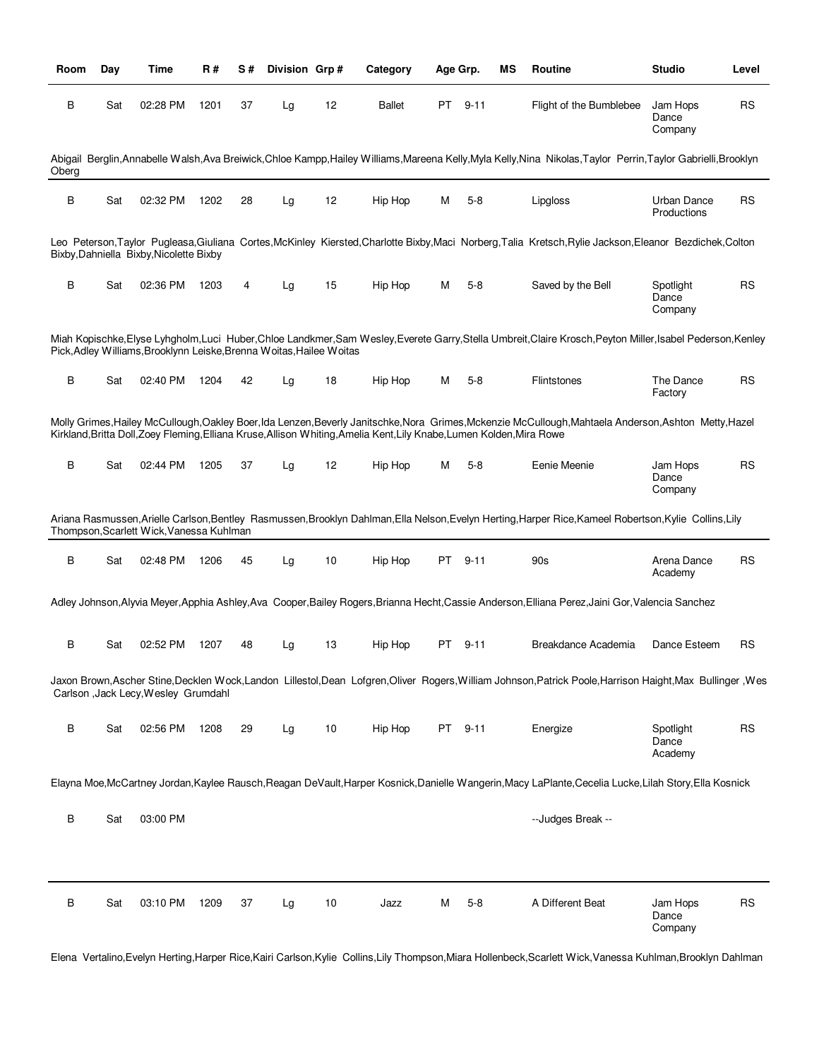| Room    | Day | Time                                                                 | R#   | S# | Division Grp# |    | Category                                                                                                              | Age Grp.  |          | ΜS | Routine                                                                                                                                                 | <b>Studio</b>                 | Level     |
|---------|-----|----------------------------------------------------------------------|------|----|---------------|----|-----------------------------------------------------------------------------------------------------------------------|-----------|----------|----|---------------------------------------------------------------------------------------------------------------------------------------------------------|-------------------------------|-----------|
| В       | Sat | 02:28 PM                                                             | 1201 | 37 | Lg            | 12 | <b>Ballet</b>                                                                                                         | PT        | $9 - 11$ |    | Flight of the Bumblebee                                                                                                                                 | Jam Hops<br>Dance<br>Company  | RS        |
| Oberg   |     |                                                                      |      |    |               |    |                                                                                                                       |           |          |    | Abigail Berglin,Annabelle Walsh,Ava Breiwick,Chloe Kampp,Hailey Williams,Mareena Kelly,Myla Kelly,Nina Nikolas,Taylor Perrin,Taylor Gabrielli,Brooklyn  |                               |           |
| B       | Sat | 02:32 PM                                                             | 1202 | 28 | Lg            | 12 | Hip Hop                                                                                                               | м         | $5-8$    |    | Lipgloss                                                                                                                                                | Urban Dance<br>Productions    | <b>RS</b> |
|         |     | Bixby, Dahniella Bixby, Nicolette Bixby                              |      |    |               |    |                                                                                                                       |           |          |    | Leo Peterson,Taylor Pugleasa,Giuliana Cortes,McKinley Kiersted,Charlotte Bixby,Maci Norberg,Talia Kretsch,Rylie Jackson,Eleanor Bezdichek,Colton        |                               |           |
| B       | Sat | 02:36 PM                                                             | 1203 | 4  | Lg            | 15 | Hip Hop                                                                                                               | М         | $5 - 8$  |    | Saved by the Bell                                                                                                                                       | Spotlight<br>Dance<br>Company | <b>RS</b> |
|         |     | Pick, Adley Williams, Brooklynn Leiske, Brenna Woitas, Hailee Woitas |      |    |               |    |                                                                                                                       |           |          |    | Miah Kopischke,Elyse Lyhgholm,Luci Huber,Chloe Landkmer,Sam Wesley,Everete Garry,Stella Umbreit,Claire Krosch,Peyton Miller,Isabel Pederson,Kenley      |                               |           |
| B       | Sat | 02:40 PM                                                             | 1204 | 42 | Lg            | 18 | Hip Hop                                                                                                               | м         | $5 - 8$  |    | Flintstones                                                                                                                                             | The Dance<br>Factory          | <b>RS</b> |
|         |     |                                                                      |      |    |               |    | Kirkland, Britta Doll, Zoey Fleming, Elliana Kruse, Allison Whiting, Amelia Kent, Lily Knabe, Lumen Kolden, Mira Rowe |           |          |    | Molly Grimes, Hailey McCullough, Oakley Boer, Ida Lenzen, Beverly Janitschke, Nora Grimes, Mckenzie McCullough, Mahtaela Anderson, Ashton Metty, Hazel  |                               |           |
| $\sf B$ | Sat | 02:44 PM                                                             | 1205 | 37 | Lg            | 12 | Hip Hop                                                                                                               | м         | $5 - 8$  |    | Eenie Meenie                                                                                                                                            | Jam Hops<br>Dance<br>Company  | <b>RS</b> |
|         |     | Thompson, Scarlett Wick, Vanessa Kuhlman                             |      |    |               |    |                                                                                                                       |           |          |    | Ariana Rasmussen, Arielle Carlson, Bentley Rasmussen, Brooklyn Dahlman, Ella Nelson, Evelyn Herting, Harper Rice, Kameel Robertson, Kylie Collins, Lily |                               |           |
| B       | Sat | 02:48 PM                                                             | 1206 | 45 | Lg            | 10 | Hip Hop                                                                                                               | PT —      | $9 - 11$ |    | 90s                                                                                                                                                     | Arena Dance<br>Academy        | <b>RS</b> |
|         |     |                                                                      |      |    |               |    |                                                                                                                       |           |          |    | Adley Johnson, Alyvia Meyer, Apphia Ashley, Ava Cooper, Bailey Rogers, Brianna Hecht, Cassie Anderson, Elliana Perez, Jaini Gor, Valencia Sanchez       |                               |           |
| В       | Sat | 02:52 PM                                                             | 1207 | 48 | Lg            | 13 | Hip Hop                                                                                                               |           | PT 9-11  |    | Breakdance Academia                                                                                                                                     | Dance Esteem                  | <b>RS</b> |
|         |     | Carlson , Jack Lecy, Wesley Grumdahl                                 |      |    |               |    |                                                                                                                       |           |          |    | Jaxon Brown,Ascher Stine,Decklen Wock,Landon Lillestol,Dean Lofgren,Oliver Rogers,William Johnson,Patrick Poole,Harrison Haight,Max Bullinger,Wes       |                               |           |
| В       | Sat | 02:56 PM                                                             | 1208 | 29 | Lg            | 10 | Hip Hop                                                                                                               | <b>PT</b> | $9 - 11$ |    | Energize                                                                                                                                                | Spotlight<br>Dance<br>Academy | <b>RS</b> |
|         |     |                                                                      |      |    |               |    |                                                                                                                       |           |          |    | Elayna Moe,McCartney Jordan,Kaylee Rausch,Reagan DeVault,Harper Kosnick,Danielle Wangerin,Macy LaPlante,Cecelia Lucke,Lilah Story,Ella Kosnick          |                               |           |
| B       | Sat | 03:00 PM                                                             |      |    |               |    |                                                                                                                       |           |          |    | --Judges Break --                                                                                                                                       |                               |           |
| B       | Sat | 03:10 PM                                                             | 1209 | 37 | Lg            | 10 | Jazz                                                                                                                  | М         | $5 - 8$  |    | A Different Beat                                                                                                                                        | Jam Hops<br>Dance<br>Company  | <b>RS</b> |

Elena Vertalino,Evelyn Herting,Harper Rice,Kairi Carlson,Kylie Collins,Lily Thompson,Miara Hollenbeck,Scarlett Wick,Vanessa Kuhlman,Brooklyn Dahlman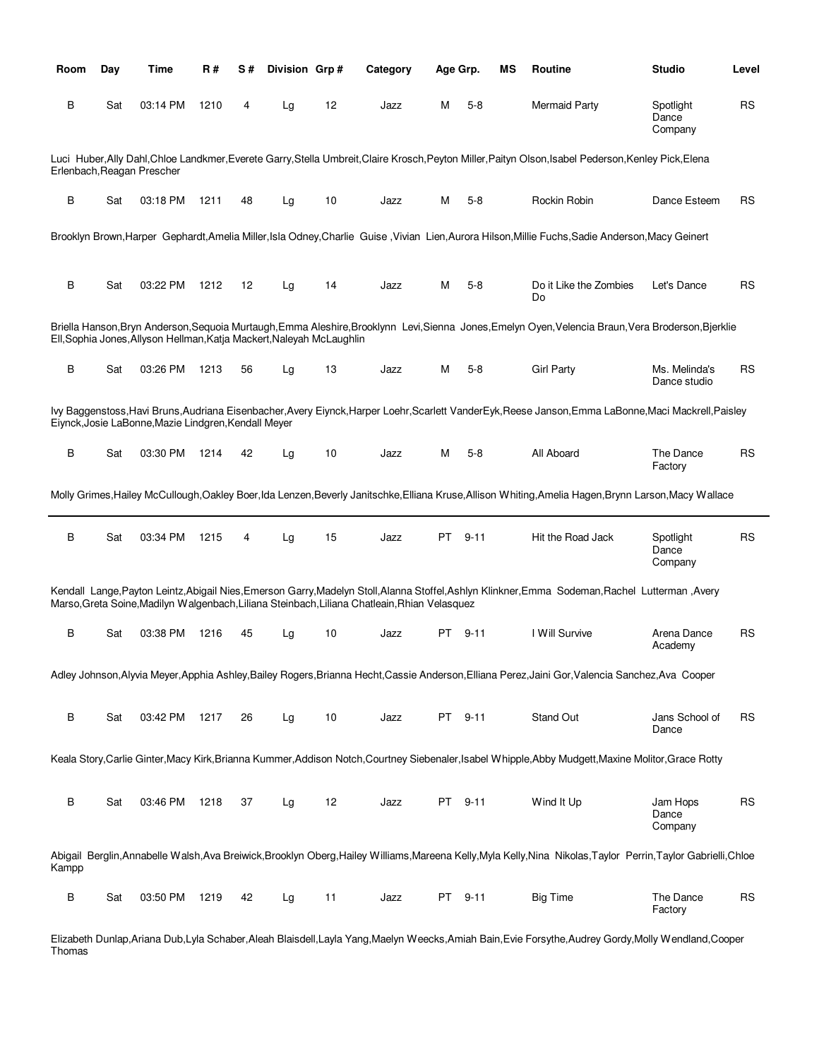| Room  | Day | Time                                                                  | R#   | S# | Division Grp# |    | Category                                                                                      | Age Grp. |          | ΜS | Routine                                                                                                                                                          | <b>Studio</b>                 | Level     |
|-------|-----|-----------------------------------------------------------------------|------|----|---------------|----|-----------------------------------------------------------------------------------------------|----------|----------|----|------------------------------------------------------------------------------------------------------------------------------------------------------------------|-------------------------------|-----------|
| В     | Sat | 03:14 PM                                                              | 1210 | 4  | Lg            | 12 | Jazz                                                                                          | м        | $5 - 8$  |    | <b>Mermaid Party</b>                                                                                                                                             | Spotlight<br>Dance<br>Company | <b>RS</b> |
|       |     | Erlenbach, Reagan Prescher                                            |      |    |               |    |                                                                                               |          |          |    | Luci Huber, Ally Dahl, Chloe Landkmer, Everete Garry, Stella Umbreit, Claire Krosch, Peyton Miller, Paityn Olson, Isabel Pederson, Kenley Pick, Elena            |                               |           |
| B     | Sat | 03:18 PM                                                              | 1211 | 48 | Lg            | 10 | Jazz                                                                                          | м        | $5-8$    |    | Rockin Robin                                                                                                                                                     | Dance Esteem                  | RS        |
|       |     |                                                                       |      |    |               |    |                                                                                               |          |          |    | Brooklyn Brown, Harper Gephardt, Amelia Miller, Isla Odney, Charlie Guise, Vivian Lien, Aurora Hilson, Millie Fuchs, Sadie Anderson, Macy Geinert                |                               |           |
| B     | Sat | 03:22 PM                                                              | 1212 | 12 | Lg            | 14 | Jazz                                                                                          | м        | $5-8$    |    | Do it Like the Zombies<br>Do                                                                                                                                     | Let's Dance                   | RS        |
|       |     | Ell, Sophia Jones, Allyson Hellman, Katja Mackert, Naleyah McLaughlin |      |    |               |    |                                                                                               |          |          |    | Briella Hanson, Bryn Anderson, Sequoia Murtaugh, Emma Aleshire, Brooklynn Levi, Sienna Jones, Emelyn Oyen, Velencia Braun, Vera Broderson, Bjerklie              |                               |           |
| В     | Sat | 03:26 PM                                                              | 1213 | 56 | Lg            | 13 | Jazz                                                                                          | м        | $5 - 8$  |    | <b>Girl Party</b>                                                                                                                                                | Ms. Melinda's<br>Dance studio | RS        |
|       |     | Eiynck, Josie LaBonne, Mazie Lindgren, Kendall Meyer                  |      |    |               |    |                                                                                               |          |          |    | lvy Baggenstoss, Havi Bruns, Audriana Eisenbacher, Avery Eiynck, Harper Loehr, Scarlett VanderEyk, Reese Janson, Emma LaBonne, Maci Mackrell, Paisley            |                               |           |
| В     | Sat | 03:30 PM                                                              | 1214 | 42 | Lg            | 10 | Jazz                                                                                          | м        | $5-8$    |    | All Aboard                                                                                                                                                       | The Dance<br>Factory          | <b>RS</b> |
|       |     |                                                                       |      |    |               |    |                                                                                               |          |          |    | Molly Grimes, Hailey McCullough, Oakley Boer, Ida Lenzen, Beverly Janitschke, Elliana Kruse, Allison Whiting, Amelia Hagen, Brynn Larson, Macy Wallace           |                               |           |
| B     | Sat | 03:34 PM                                                              | 1215 | 4  | Lg            | 15 | Jazz                                                                                          | PT       | $9 - 11$ |    | Hit the Road Jack                                                                                                                                                | Spotlight<br>Dance<br>Company | <b>RS</b> |
|       |     |                                                                       |      |    |               |    | Marso, Greta Soine, Madilyn Walgenbach, Liliana Steinbach, Liliana Chatleain, Rhian Velasquez |          |          |    | Kendall Lange, Payton Leintz, Abigail Nies, Emerson Garry, Madelyn Stoll, Alanna Stoffel, Ashlyn Klinkner, Emma Sodeman, Rachel Lutterman, Avery                 |                               |           |
| В     | Sat | 03:38 PM                                                              | 1216 | 45 | Lg            | 10 | Jazz                                                                                          | PT       | $9 - 11$ |    | I Will Survive                                                                                                                                                   | Arena Dance<br>Academy        | RS        |
|       |     |                                                                       |      |    |               |    |                                                                                               |          |          |    | Adley Johnson, Alyvia Meyer, Apphia Ashley, Bailey Rogers, Brianna Hecht, Cassie Anderson, Elliana Perez, Jaini Gor, Valencia Sanchez, Ava Cooper                |                               |           |
| B     | Sat | 03:42 PM                                                              | 1217 | 26 | Lg            | 10 | Jazz                                                                                          |          | PT 9-11  |    | Stand Out                                                                                                                                                        | Jans School of<br>Dance       | <b>RS</b> |
|       |     |                                                                       |      |    |               |    |                                                                                               |          |          |    | Keala Story,Carlie Ginter,Macy Kirk,Brianna Kummer,Addison Notch,Courtney Siebenaler,Isabel Whipple,Abby Mudgett,Maxine Molitor,Grace Rotty                      |                               |           |
| B     | Sat | 03:46 PM                                                              | 1218 | 37 | Lg            | 12 | Jazz                                                                                          |          | PT 9-11  |    | Wind It Up                                                                                                                                                       | Jam Hops<br>Dance<br>Company  | <b>RS</b> |
| Kampp |     |                                                                       |      |    |               |    |                                                                                               |          |          |    | Abigail Berglin, Annabelle Walsh, Ava Breiwick, Brooklyn Oberg, Hailey Williams, Mareena Kelly, Myla Kelly, Nina Nikolas, Taylor Perrin, Taylor Gabrielli, Chloe |                               |           |
| B     | Sat | 03:50 PM                                                              | 1219 | 42 | Lg            | 11 | Jazz                                                                                          |          | PT 9-11  |    | <b>Big Time</b>                                                                                                                                                  | The Dance<br>Factory          | <b>RS</b> |

Elizabeth Dunlap,Ariana Dub,Lyla Schaber,Aleah Blaisdell,Layla Yang,Maelyn Weecks,Amiah Bain,Evie Forsythe,Audrey Gordy,Molly Wendland,Cooper Thomas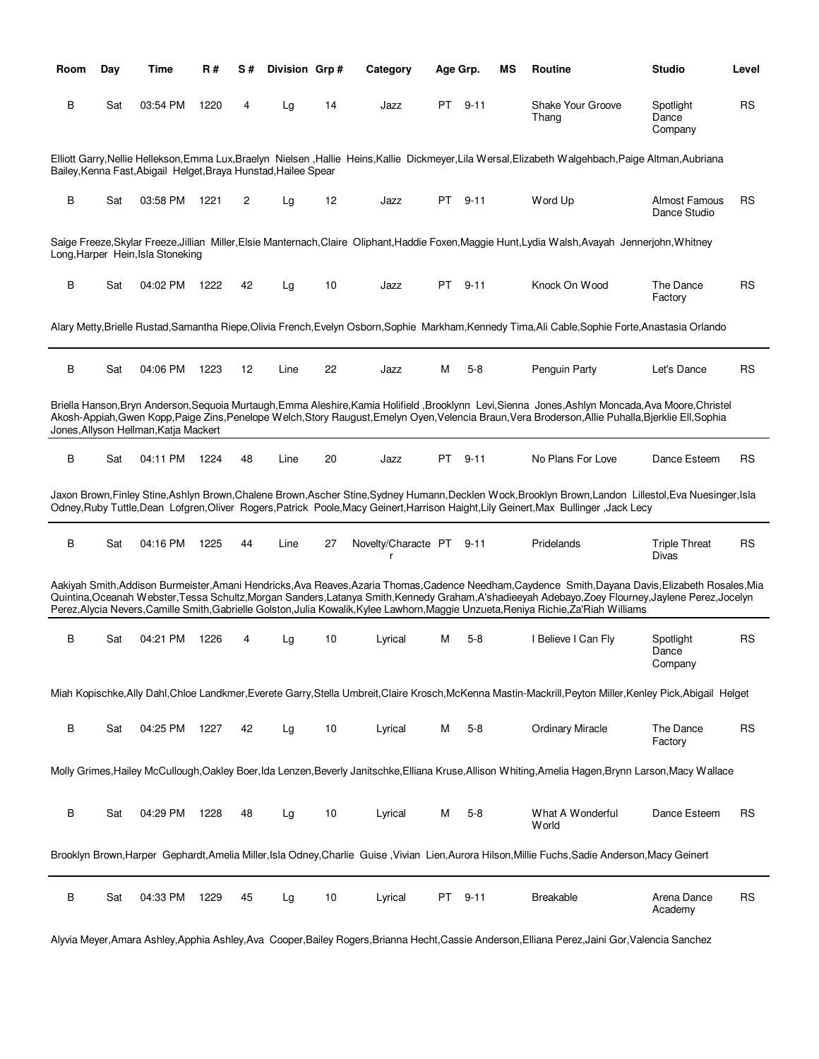| Room | Day | Time                                                            | R#   | S# | Division Grp# |    | Category                      | Age Grp. |          | ΜS | Routine                                                                                                                                                                                                                                                                                                                                                                                                                             | <b>Studio</b>                 | Level     |
|------|-----|-----------------------------------------------------------------|------|----|---------------|----|-------------------------------|----------|----------|----|-------------------------------------------------------------------------------------------------------------------------------------------------------------------------------------------------------------------------------------------------------------------------------------------------------------------------------------------------------------------------------------------------------------------------------------|-------------------------------|-----------|
| В    | Sat | 03:54 PM                                                        | 1220 | 4  | Lg            | 14 | Jazz                          | PT.      | $9 - 11$ |    | Shake Your Groove<br>Thang                                                                                                                                                                                                                                                                                                                                                                                                          | Spotlight<br>Dance<br>Company | <b>RS</b> |
|      |     | Bailey, Kenna Fast, Abigail Helget, Braya Hunstad, Hailee Spear |      |    |               |    |                               |          |          |    | Elliott Garry,Nellie Hellekson,Emma Lux,Braelyn Nielsen ,Hallie Heins,Kallie Dickmeyer,Lila Wersal,Elizabeth Walgehbach,Paige Altman,Aubriana                                                                                                                                                                                                                                                                                       |                               |           |
| B    | Sat | 03:58 PM                                                        | 1221 | 2  | Lg            | 12 | Jazz                          | PT —     | $9 - 11$ |    | Word Up                                                                                                                                                                                                                                                                                                                                                                                                                             | Almost Famous<br>Dance Studio | RS        |
|      |     | Long, Harper Hein, Isla Stoneking                               |      |    |               |    |                               |          |          |    | Saige Freeze,Skylar Freeze,Jillian Miller,Elsie Manternach,Claire Oliphant,Haddie Foxen,Maggie Hunt,Lydia Walsh,Avayah Jennerjohn,Whitney                                                                                                                                                                                                                                                                                           |                               |           |
| В    | Sat | 04:02 PM                                                        | 1222 | 42 | Lg            | 10 | Jazz                          | PT.      | $9 - 11$ |    | Knock On Wood                                                                                                                                                                                                                                                                                                                                                                                                                       | The Dance<br>Factory          | RS        |
|      |     |                                                                 |      |    |               |    |                               |          |          |    | Alary Metty,Brielle Rustad,Samantha Riepe,Olivia French,Evelyn Osborn,Sophie Markham,Kennedy Tima,Ali Cable,Sophie Forte,Anastasia Orlando                                                                                                                                                                                                                                                                                          |                               |           |
| B    | Sat | 04:06 PM                                                        | 1223 | 12 | Line          | 22 | Jazz                          | м        | $5 - 8$  |    | Penguin Party                                                                                                                                                                                                                                                                                                                                                                                                                       | Let's Dance                   | RS        |
|      |     | Jones, Allyson Hellman, Katja Mackert                           |      |    |               |    |                               |          |          |    | Briella Hanson, Bryn Anderson, Sequoia Murtaugh, Emma Aleshire, Kamia Holifield, Brooklynn Levi, Sienna Jones, Ashlyn Moncada, Ava Moore, Christel<br>Akosh-Appiah, Gwen Kopp, Paige Zins, Penelope Welch, Story Raugust, Emelyn Oyen, Velencia Braun, Vera Broderson, Allie Puhalla, Bjerklie Ell, Sophia                                                                                                                          |                               |           |
| B    | Sat | 04:11 PM                                                        | 1224 | 48 | Line          | 20 | Jazz                          | PT -     | $9 - 11$ |    | No Plans For Love                                                                                                                                                                                                                                                                                                                                                                                                                   | Dance Esteem                  | RS        |
|      |     |                                                                 |      |    |               |    |                               |          |          |    | Jaxon Brown,Finley Stine,Ashlyn Brown,Chalene Brown,Ascher Stine,Sydney Humann,Decklen Wock,Brooklyn Brown,Landon Lillestol,Eva Nuesinger,Isla<br>Odney, Ruby Tuttle, Dean Lofgren, Oliver Rogers, Patrick Poole, Macy Geinert, Harrison Haight, Lily Geinert, Max Bullinger, Jack Lecy                                                                                                                                             |                               |           |
| В    | Sat | 04:16 PM                                                        | 1225 | 44 | Line          | 27 | Novelty/Characte PT 9-11<br>r |          |          |    | Pridelands                                                                                                                                                                                                                                                                                                                                                                                                                          | <b>Triple Threat</b><br>Divas | RS        |
|      |     |                                                                 |      |    |               |    |                               |          |          |    | Aakiyah Smith,Addison Burmeister,Amani Hendricks,Ava Reaves,Azaria Thomas,Cadence Needham,Caydence Smith,Dayana Davis,Elizabeth Rosales,Mia<br>Quintina,Oceanah Webster,Tessa Schultz,Morgan Sanders,Latanya Smith,Kennedy Graham,A'shadieeyah Adebayo,Zoey Flourney,Jaylene Perez,Jocelyn<br>Perez, Alycia Nevers, Camille Smith, Gabrielle Golston, Julia Kowalik, Kylee Lawhorn, Maggie Unzueta, Reniya Richie, Za'Riah Williams |                               |           |
| В    | Sat | 04:21 PM                                                        | 1226 | 4  | Lg            | 10 | Lyrical                       | M        | 5-8      |    | I Believe I Can Fly                                                                                                                                                                                                                                                                                                                                                                                                                 | Spotlight<br>Dance<br>Company | RS        |
|      |     |                                                                 |      |    |               |    |                               |          |          |    | Miah Kopischke, Ally Dahl, Chloe Landkmer, Everete Garry, Stella Umbreit, Claire Krosch, McKenna Mastin-Mackrill, Peyton Miller, Kenley Pick, Abigail Helget                                                                                                                                                                                                                                                                        |                               |           |
| B    | Sat | 04:25 PM                                                        | 1227 | 42 | Lg            | 10 | Lyrical                       | м        | $5 - 8$  |    | <b>Ordinary Miracle</b>                                                                                                                                                                                                                                                                                                                                                                                                             | The Dance<br>Factory          | <b>RS</b> |
|      |     |                                                                 |      |    |               |    |                               |          |          |    | Molly Grimes,Hailey McCullough,Oakley Boer,Ida Lenzen,Beverly Janitschke,Elliana Kruse,Allison Whiting,Amelia Hagen,Brynn Larson,Macy Wallace                                                                                                                                                                                                                                                                                       |                               |           |
| B    | Sat | 04:29 PM                                                        | 1228 | 48 | Lg            | 10 | Lyrical                       | М        | $5 - 8$  |    | What A Wonderful<br>World                                                                                                                                                                                                                                                                                                                                                                                                           | Dance Esteem                  | <b>RS</b> |
|      |     |                                                                 |      |    |               |    |                               |          |          |    | Brooklyn Brown, Harper Gephardt, Amelia Miller, Isla Odney, Charlie Guise, Vivian Lien, Aurora Hilson, Millie Fuchs, Sadie Anderson, Macy Geinert                                                                                                                                                                                                                                                                                   |                               |           |
| B    | Sat | 04:33 PM                                                        | 1229 | 45 | Lg            | 10 | Lyrical                       | PT –     | $9 - 11$ |    | Breakable                                                                                                                                                                                                                                                                                                                                                                                                                           | Arena Dance<br>Academy        | <b>RS</b> |

Alyvia Meyer,Amara Ashley,Apphia Ashley,Ava Cooper,Bailey Rogers,Brianna Hecht,Cassie Anderson,Elliana Perez,Jaini Gor,Valencia Sanchez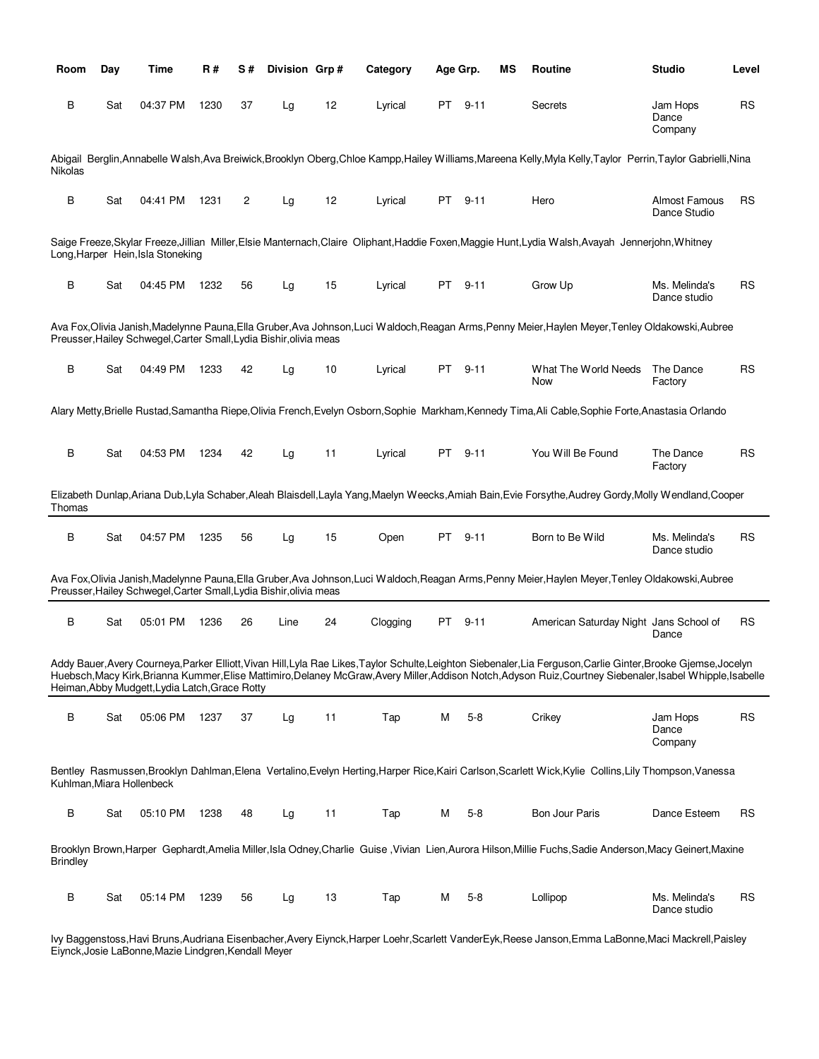| Room                      | Day | Time                                                               | R#   | S# | Division Grp# |    | Category | Age Grp. |          | ΜS | <b>Routine</b>                                                                                                                                                                                                                                                                                                         | <b>Studio</b>                 | Level     |
|---------------------------|-----|--------------------------------------------------------------------|------|----|---------------|----|----------|----------|----------|----|------------------------------------------------------------------------------------------------------------------------------------------------------------------------------------------------------------------------------------------------------------------------------------------------------------------------|-------------------------------|-----------|
| В                         | Sat | 04:37 PM                                                           | 1230 | 37 | Lg            | 12 | Lyrical  |          | PT 9-11  |    | Secrets                                                                                                                                                                                                                                                                                                                | Jam Hops<br>Dance<br>Company  | <b>RS</b> |
| Nikolas                   |     |                                                                    |      |    |               |    |          |          |          |    | Abigail Berglin,Annabelle Walsh,Ava Breiwick,Brooklyn Oberg,Chloe Kampp,Hailey Williams,Mareena Kelly,Myla Kelly,Taylor Perrin,Taylor Gabrielli,Nina                                                                                                                                                                   |                               |           |
| B                         | Sat | 04:41 PM                                                           | 1231 | 2  | Lg            | 12 | Lyrical  |          | PT 9-11  |    | Hero                                                                                                                                                                                                                                                                                                                   | Almost Famous<br>Dance Studio | <b>RS</b> |
|                           |     | Long, Harper Hein, Isla Stoneking                                  |      |    |               |    |          |          |          |    | Saige Freeze,Skylar Freeze,Jillian Miller,Elsie Manternach,Claire Oliphant,Haddie Foxen,Maggie Hunt,Lydia Walsh,Avayah Jennerjohn,Whitney                                                                                                                                                                              |                               |           |
| B                         | Sat | 04:45 PM                                                           | 1232 | 56 | Lg            | 15 | Lyrical  |          | PT 9-11  |    | Grow Up                                                                                                                                                                                                                                                                                                                | Ms. Melinda's<br>Dance studio | <b>RS</b> |
|                           |     | Preusser, Hailey Schwegel, Carter Small, Lydia Bishir, olivia meas |      |    |               |    |          |          |          |    | Ava Fox,Olivia Janish,Madelynne Pauna,Ella Gruber,Ava Johnson,Luci Waldoch,Reagan Arms,Penny Meier,Haylen Meyer,Tenley Oldakowski,Aubree                                                                                                                                                                               |                               |           |
| B                         | Sat | 04:49 PM                                                           | 1233 | 42 | Lg            | 10 | Lyrical  |          | PT 9-11  |    | What The World Needs<br>Now                                                                                                                                                                                                                                                                                            | The Dance<br>Factory          | <b>RS</b> |
|                           |     |                                                                    |      |    |               |    |          |          |          |    | Alary Metty, Brielle Rustad, Samantha Riepe, Olivia French, Evelyn Osborn, Sophie Markham, Kennedy Tima, Ali Cable, Sophie Forte, Anastasia Orlando                                                                                                                                                                    |                               |           |
| B                         | Sat | 04:53 PM                                                           | 1234 | 42 | Lg            | 11 | Lyrical  |          | PT 9-11  |    | You Will Be Found                                                                                                                                                                                                                                                                                                      | The Dance<br>Factory          | <b>RS</b> |
| Thomas                    |     |                                                                    |      |    |               |    |          |          |          |    | Elizabeth Dunlap, Ariana Dub, Lyla Schaber, Aleah Blaisdell, Layla Yang, Maelyn Weecks, Amiah Bain, Evie Forsythe, Audrey Gordy, Molly Wendland, Cooper                                                                                                                                                                |                               |           |
| B                         | Sat | 04:57 PM                                                           | 1235 | 56 | Lg            | 15 | Open     |          | PT 9-11  |    | Born to Be Wild                                                                                                                                                                                                                                                                                                        | Ms. Melinda's<br>Dance studio | <b>RS</b> |
|                           |     | Preusser, Hailey Schwegel, Carter Small, Lydia Bishir, olivia meas |      |    |               |    |          |          |          |    | Ava Fox,Olivia Janish,Madelynne Pauna,Ella Gruber,Ava Johnson,Luci Waldoch,Reagan Arms,Penny Meier,Haylen Meyer,Tenley Oldakowski,Aubree                                                                                                                                                                               |                               |           |
| B                         | Sat | 05:01 PM                                                           | 1236 | 26 | Line          | 24 | Clogging | PT       | $9 - 11$ |    | American Saturday Night Jans School of                                                                                                                                                                                                                                                                                 | Dance                         | <b>RS</b> |
|                           |     | Heiman, Abby Mudgett, Lydia Latch, Grace Rotty                     |      |    |               |    |          |          |          |    | Addy Bauer, Avery Courneya, Parker Elliott, Vivan Hill, Lyla Rae Likes, Taylor Schulte, Leighton Siebenaler, Lia Ferguson, Carlie Ginter, Brooke Gjemse, Jocelyn<br>Huebsch,Macy Kirk,Brianna Kummer,Elise Mattimiro,Delaney McGraw,Avery Miller,Addison Notch,Adyson Ruiz,Courtney Siebenaler,Isabel Whipple,Isabelle |                               |           |
| B                         | Sat | 05:06 PM                                                           | 1237 | 37 | Lg            | 11 | Tap      | м        | $5 - 8$  |    | Crikey                                                                                                                                                                                                                                                                                                                 | Jam Hops<br>Dance<br>Company  | <b>RS</b> |
| Kuhlman, Miara Hollenbeck |     |                                                                    |      |    |               |    |          |          |          |    | Bentley Rasmussen, Brooklyn Dahlman, Elena Vertalino, Evelyn Herting, Harper Rice, Kairi Carlson, Scarlett Wick, Kylie Collins, Lily Thompson, Vanessa                                                                                                                                                                 |                               |           |
| B                         | Sat | 05:10 PM                                                           | 1238 | 48 | Lg            | 11 | Tap      | м        | $5-8$    |    | Bon Jour Paris                                                                                                                                                                                                                                                                                                         | Dance Esteem                  | RS        |
| <b>Brindley</b>           |     |                                                                    |      |    |               |    |          |          |          |    | Brooklyn Brown, Harper Gephardt, Amelia Miller, Isla Odney, Charlie Guise, Vivian Lien, Aurora Hilson, Millie Fuchs, Sadie Anderson, Macy Geinert, Maxine                                                                                                                                                              |                               |           |
| В                         | Sat | 05:14 PM                                                           | 1239 | 56 | Lg            | 13 | Tap      | м        | $5 - 8$  |    | Lollipop                                                                                                                                                                                                                                                                                                               | Ms. Melinda's<br>Dance studio | RS        |

Ivy Baggenstoss,Havi Bruns,Audriana Eisenbacher,Avery Eiynck,Harper Loehr,Scarlett VanderEyk,Reese Janson,Emma LaBonne,Maci Mackrell,Paisley Eiynck,Josie LaBonne,Mazie Lindgren,Kendall Meyer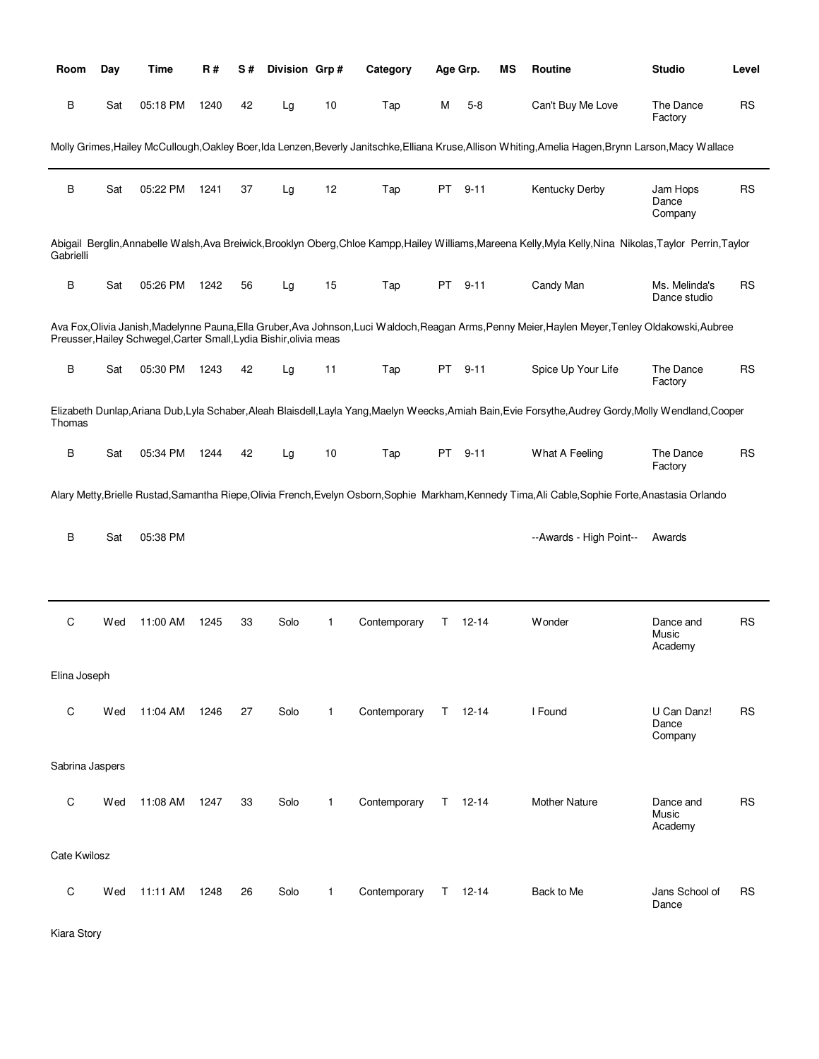| Room            | Day | <b>Time</b>                                                        | <b>R#</b> | S# | Division Grp# |              | Category     |     | Age Grp.    | MS | Routine                                                                                                                                                      | <b>Studio</b>                   | Level     |
|-----------------|-----|--------------------------------------------------------------------|-----------|----|---------------|--------------|--------------|-----|-------------|----|--------------------------------------------------------------------------------------------------------------------------------------------------------------|---------------------------------|-----------|
| B               | Sat | 05:18 PM                                                           | 1240      | 42 | Lg            | 10           | Tap          | М   | $5 - 8$     |    | Can't Buy Me Love                                                                                                                                            | The Dance<br>Factory            | <b>RS</b> |
|                 |     |                                                                    |           |    |               |              |              |     |             |    | Molly Grimes, Hailey McCullough, Oakley Boer, Ida Lenzen, Beverly Janitschke, Elliana Kruse, Allison Whiting, Amelia Hagen, Brynn Larson, Macy Wallace       |                                 |           |
| B               | Sat | 05:22 PM                                                           | 1241      | 37 | Lg            | 12           | Tap          | PT  | $9 - 11$    |    | Kentucky Derby                                                                                                                                               | Jam Hops<br>Dance<br>Company    | <b>RS</b> |
| Gabrielli       |     |                                                                    |           |    |               |              |              |     |             |    | Abigail Berglin, Annabelle Walsh, Ava Breiwick, Brooklyn Oberg, Chloe Kampp, Hailey Williams, Mareena Kelly, Myla Kelly, Nina Nikolas, Taylor Perrin, Taylor |                                 |           |
| B               | Sat | 05:26 PM                                                           | 1242      | 56 | Lg            | 15           | Tap          | PT. | $9 - 11$    |    | Candy Man                                                                                                                                                    | Ms. Melinda's<br>Dance studio   | <b>RS</b> |
|                 |     | Preusser, Hailey Schwegel, Carter Small, Lydia Bishir, olivia meas |           |    |               |              |              |     |             |    | Ava Fox,Olivia Janish,Madelynne Pauna,Ella Gruber,Ava Johnson,Luci Waldoch,Reagan Arms,Penny Meier,Haylen Meyer,Tenley Oldakowski,Aubree                     |                                 |           |
| B               | Sat | 05:30 PM                                                           | 1243      | 42 | Lg            | 11           | Tap          | PT  | $9 - 11$    |    | Spice Up Your Life                                                                                                                                           | The Dance<br>Factory            | <b>RS</b> |
| Thomas          |     |                                                                    |           |    |               |              |              |     |             |    | Elizabeth Dunlap, Ariana Dub, Lyla Schaber, Aleah Blaisdell, Layla Yang, Maelyn Weecks, Amiah Bain, Evie Forsythe, Audrey Gordy, Molly Wendland, Cooper      |                                 |           |
| В               | Sat | 05:34 PM                                                           | 1244      | 42 | Lg            | 10           | Tap          | PT  | $9 - 11$    |    | What A Feeling                                                                                                                                               | The Dance<br>Factory            | <b>RS</b> |
|                 |     |                                                                    |           |    |               |              |              |     |             |    | Alary Metty,Brielle Rustad,Samantha Riepe,Olivia French,Evelyn Osborn,Sophie Markham,Kennedy Tima,Ali Cable,Sophie Forte,Anastasia Orlando                   |                                 |           |
| В               | Sat | 05:38 PM                                                           |           |    |               |              |              |     |             |    | --Awards - High Point--                                                                                                                                      | Awards                          |           |
|                 |     |                                                                    |           |    |               |              |              |     |             |    |                                                                                                                                                              |                                 |           |
| C               | Wed | 11:00 AM                                                           | 1245      | 33 | Solo          | 1            | Contemporary | Τ   | 12-14       |    | Wonder                                                                                                                                                       | Dance and<br>Music<br>Academy   | <b>RS</b> |
| Elina Joseph    |     |                                                                    |           |    |               |              |              |     |             |    |                                                                                                                                                              |                                 |           |
| C               | Wed | 11:04 AM                                                           | 1246      | 27 | Solo          | $\mathbf{1}$ | Contemporary |     | $T = 12-14$ |    | I Found                                                                                                                                                      | U Can Danz!<br>Dance<br>Company | <b>RS</b> |
| Sabrina Jaspers |     |                                                                    |           |    |               |              |              |     |             |    |                                                                                                                                                              |                                 |           |
| C               | Wed | 11:08 AM                                                           | 1247      | 33 | Solo          | $\mathbf{1}$ | Contemporary |     | $T = 12-14$ |    | <b>Mother Nature</b>                                                                                                                                         | Dance and<br>Music<br>Academy   | <b>RS</b> |
| Cate Kwilosz    |     |                                                                    |           |    |               |              |              |     |             |    |                                                                                                                                                              |                                 |           |
| C               | Wed | 11:11 AM                                                           | 1248      | 26 | Solo          | 1            | Contemporary |     | $T = 12-14$ |    | Back to Me                                                                                                                                                   | Jans School of<br>Dance         | <b>RS</b> |

Kiara Story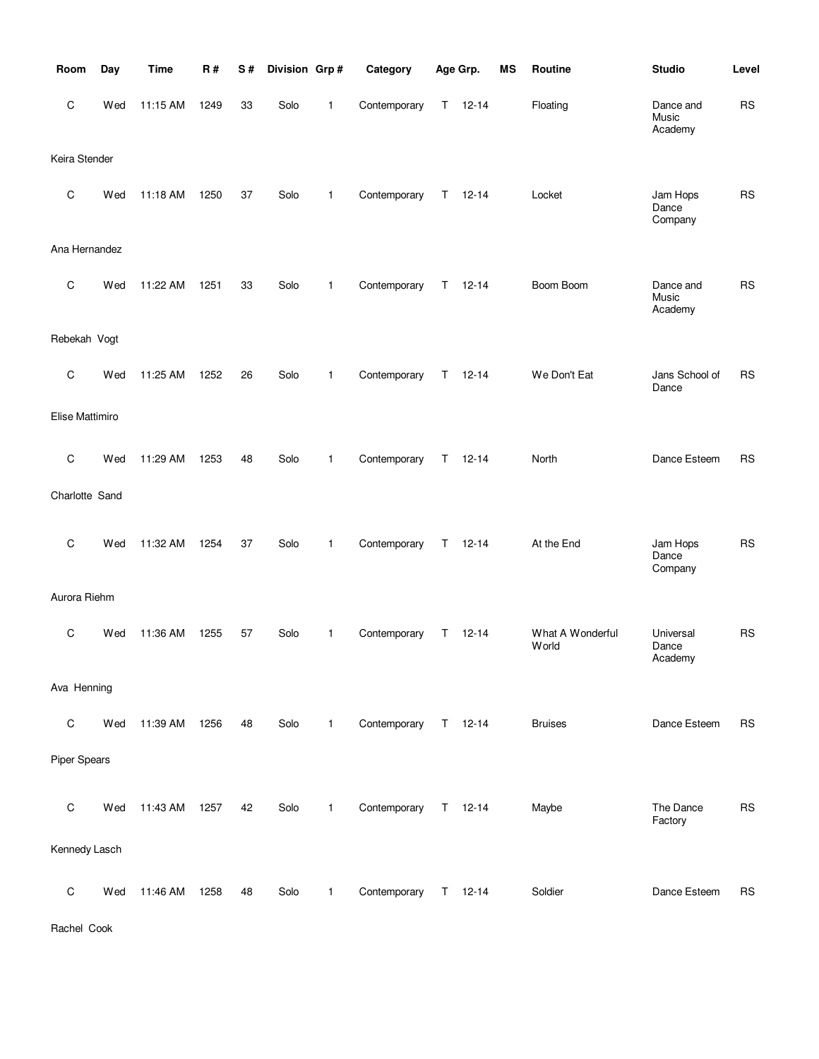| Room                | Day | <b>Time</b> | <b>R#</b> | S# | Division Grp# |              | Category     |    | Age Grp.      | MS | Routine                   | <b>Studio</b>                 | Level      |
|---------------------|-----|-------------|-----------|----|---------------|--------------|--------------|----|---------------|----|---------------------------|-------------------------------|------------|
| C                   | Wed | 11:15 AM    | 1249      | 33 | Solo          | 1            | Contemporary | T. | $12 - 14$     |    | Floating                  | Dance and<br>Music<br>Academy | <b>RS</b>  |
| Keira Stender       |     |             |           |    |               |              |              |    |               |    |                           |                               |            |
| $\mathsf C$         | Wed | 11:18 AM    | 1250      | 37 | Solo          | 1            | Contemporary | Τ  | $12 - 14$     |    | Locket                    | Jam Hops<br>Dance<br>Company  | <b>RS</b>  |
| Ana Hernandez       |     |             |           |    |               |              |              |    |               |    |                           |                               |            |
| C                   | Wed | 11:22 AM    | 1251      | 33 | Solo          | 1            | Contemporary | Τ  | $12 - 14$     |    | Boom Boom                 | Dance and<br>Music<br>Academy | <b>RS</b>  |
| Rebekah Vogt        |     |             |           |    |               |              |              |    |               |    |                           |                               |            |
| C                   | Wed | 11:25 AM    | 1252      | 26 | Solo          | 1            | Contemporary | T. | $12 - 14$     |    | We Don't Eat              | Jans School of<br>Dance       | <b>RS</b>  |
| Elise Mattimiro     |     |             |           |    |               |              |              |    |               |    |                           |                               |            |
| C                   | Wed | 11:29 AM    | 1253      | 48 | Solo          | 1            | Contemporary | T. | $12 - 14$     |    | North                     | Dance Esteem                  | <b>RS</b>  |
| Charlotte Sand      |     |             |           |    |               |              |              |    |               |    |                           |                               |            |
| C                   | Wed | 11:32 AM    | 1254      | 37 | Solo          | 1            | Contemporary | T. | $12 - 14$     |    | At the End                | Jam Hops<br>Dance<br>Company  | <b>RS</b>  |
| Aurora Riehm        |     |             |           |    |               |              |              |    |               |    |                           |                               |            |
| C                   | Wed | 11:36 AM    | 1255      | 57 | Solo          | 1            | Contemporary | Τ  | $12 - 14$     |    | What A Wonderful<br>World | Universal<br>Dance<br>Academy | <b>RS</b>  |
| Ava Henning         |     |             |           |    |               |              |              |    |               |    |                           |                               |            |
| $\mathsf C$         | Wed | 11:39 AM    | 1256      | 48 | Solo          | $\mathbf{1}$ | Contemporary |    | $T = 12 - 14$ |    | <b>Bruises</b>            | Dance Esteem                  | <b>RS</b>  |
| <b>Piper Spears</b> |     |             |           |    |               |              |              |    |               |    |                           |                               |            |
| $\mathsf C$         | Wed | 11:43 AM    | 1257      | 42 | Solo          | $\mathbf{1}$ | Contemporary |    | $T = 12 - 14$ |    | Maybe                     | The Dance<br>Factory          | ${\sf RS}$ |
| Kennedy Lasch       |     |             |           |    |               |              |              |    |               |    |                           |                               |            |
| $\mathsf C$         | Wed | 11:46 AM    | 1258      | 48 | Solo          | 1            | Contemporary |    | $T = 12 - 14$ |    | Soldier                   | Dance Esteem                  | <b>RS</b>  |

Rachel Cook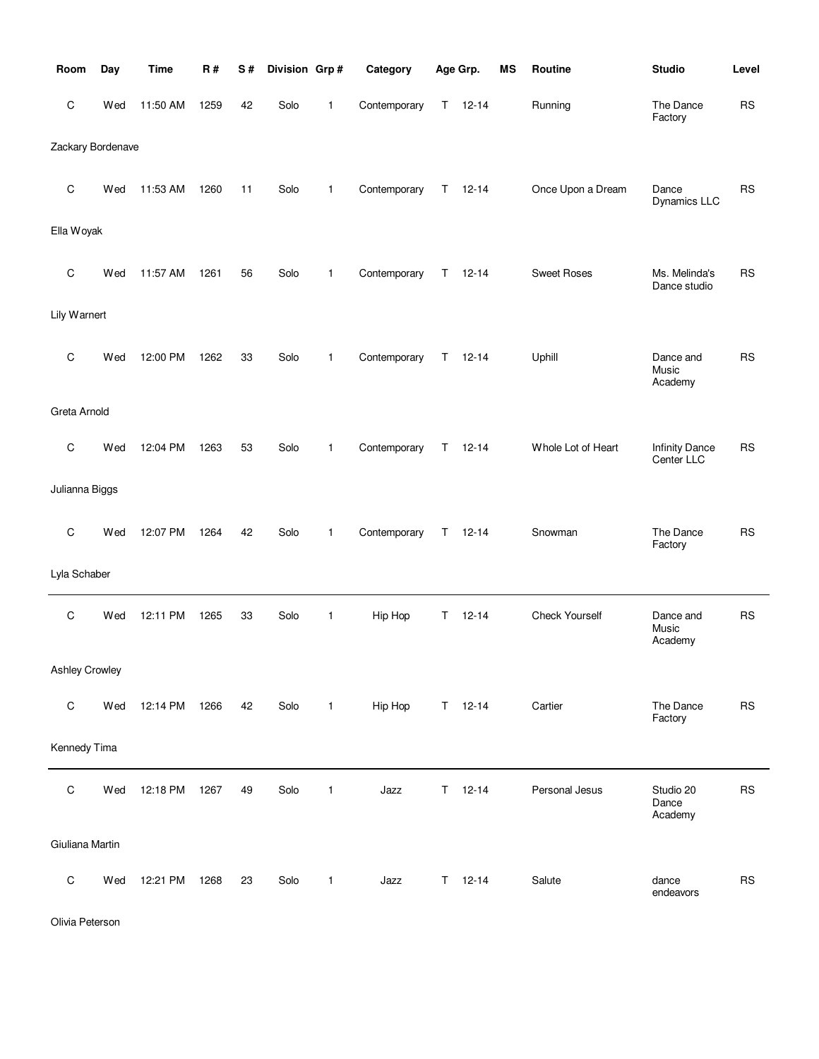| Room                  | Day | <b>Time</b> | R#   | S# | Division Grp# |              | Category     |   | Age Grp.      | MS | Routine               | <b>Studio</b>                       | Level     |
|-----------------------|-----|-------------|------|----|---------------|--------------|--------------|---|---------------|----|-----------------------|-------------------------------------|-----------|
| C                     | Wed | 11:50 AM    | 1259 | 42 | Solo          | 1            | Contemporary | Τ | $12 - 14$     |    | Running               | The Dance<br>Factory                | <b>RS</b> |
| Zackary Bordenave     |     |             |      |    |               |              |              |   |               |    |                       |                                     |           |
| C                     | Wed | 11:53 AM    | 1260 | 11 | Solo          | 1            | Contemporary | T | $12 - 14$     |    | Once Upon a Dream     | Dance<br>Dynamics LLC               | <b>RS</b> |
| Ella Woyak            |     |             |      |    |               |              |              |   |               |    |                       |                                     |           |
| C                     | Wed | 11:57 AM    | 1261 | 56 | Solo          | 1            | Contemporary | Τ | $12 - 14$     |    | <b>Sweet Roses</b>    | Ms. Melinda's<br>Dance studio       | <b>RS</b> |
| Lily Warnert          |     |             |      |    |               |              |              |   |               |    |                       |                                     |           |
| C                     | Wed | 12:00 PM    | 1262 | 33 | Solo          | 1            | Contemporary | Τ | $12 - 14$     |    | Uphill                | Dance and<br>Music<br>Academy       | <b>RS</b> |
| Greta Arnold          |     |             |      |    |               |              |              |   |               |    |                       |                                     |           |
| C                     | Wed | 12:04 PM    | 1263 | 53 | Solo          | $\mathbf{1}$ | Contemporary | Τ | $12 - 14$     |    | Whole Lot of Heart    | <b>Infinity Dance</b><br>Center LLC | <b>RS</b> |
| Julianna Biggs        |     |             |      |    |               |              |              |   |               |    |                       |                                     |           |
| C                     | Wed | 12:07 PM    | 1264 | 42 | Solo          | 1            | Contemporary | Τ | $12 - 14$     |    | Snowman               | The Dance<br>Factory                | <b>RS</b> |
| Lyla Schaber          |     |             |      |    |               |              |              |   |               |    |                       |                                     |           |
| C                     | Wed | 12:11 PM    | 1265 | 33 | Solo          | 1            | Hip Hop      | Τ | $12 - 14$     |    | <b>Check Yourself</b> | Dance and<br>Music<br>Academy       | <b>RS</b> |
| <b>Ashley Crowley</b> |     |             |      |    |               |              |              |   |               |    |                       |                                     |           |
| C                     | Wed | 12:14 PM    | 1266 | 42 | Solo          | $\mathbf{1}$ | Hip Hop      |   | $T = 12-14$   |    | Cartier               | The Dance<br>Factory                | <b>RS</b> |
| Kennedy Tima          |     |             |      |    |               |              |              |   |               |    |                       |                                     |           |
| C                     | Wed | 12:18 PM    | 1267 | 49 | Solo          | 1            | Jazz         | Τ | $12 - 14$     |    | Personal Jesus        | Studio 20<br>Dance<br>Academy       | <b>RS</b> |
| Giuliana Martin       |     |             |      |    |               |              |              |   |               |    |                       |                                     |           |
| C                     | Wed | 12:21 PM    | 1268 | 23 | Solo          | $\mathbf{1}$ | Jazz         |   | $T = 12 - 14$ |    | Salute                | dance<br>endeavors                  | <b>RS</b> |

Olivia Peterson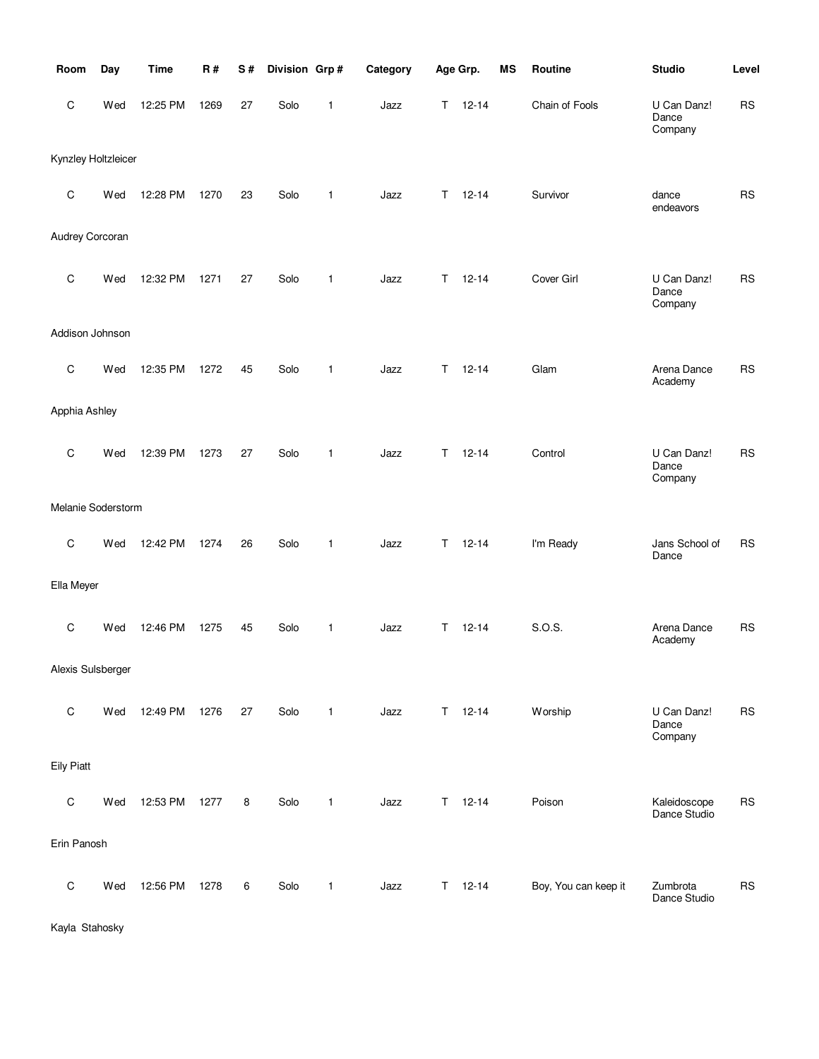| Room                | Day | <b>Time</b> | <b>R#</b> | S# | Division Grp# |              | Category |    | Age Grp.      | <b>MS</b> | Routine              | <b>Studio</b>                   | Level     |
|---------------------|-----|-------------|-----------|----|---------------|--------------|----------|----|---------------|-----------|----------------------|---------------------------------|-----------|
| C                   | Wed | 12:25 PM    | 1269      | 27 | Solo          | $\mathbf{1}$ | Jazz     | т  | $12 - 14$     |           | Chain of Fools       | U Can Danz!<br>Dance<br>Company | <b>RS</b> |
| Kynzley Holtzleicer |     |             |           |    |               |              |          |    |               |           |                      |                                 |           |
| $\mathbf C$         | Wed | 12:28 PM    | 1270      | 23 | Solo          | 1            | Jazz     | т  | $12 - 14$     |           | Survivor             | dance<br>endeavors              | <b>RS</b> |
| Audrey Corcoran     |     |             |           |    |               |              |          |    |               |           |                      |                                 |           |
| C                   | Wed | 12:32 PM    | 1271      | 27 | Solo          | $\mathbf{1}$ | Jazz     | т  | $12 - 14$     |           | Cover Girl           | U Can Danz!<br>Dance<br>Company | <b>RS</b> |
| Addison Johnson     |     |             |           |    |               |              |          |    |               |           |                      |                                 |           |
| $\mathbf C$         | Wed | 12:35 PM    | 1272      | 45 | Solo          | $\mathbf{1}$ | Jazz     | т  | $12 - 14$     |           | Glam                 | Arena Dance<br>Academy          | <b>RS</b> |
| Apphia Ashley       |     |             |           |    |               |              |          |    |               |           |                      |                                 |           |
| $\mathbf C$         | Wed | 12:39 PM    | 1273      | 27 | Solo          | $\mathbf{1}$ | Jazz     | т  | $12 - 14$     |           | Control              | U Can Danz!<br>Dance<br>Company | <b>RS</b> |
| Melanie Soderstorm  |     |             |           |    |               |              |          |    |               |           |                      |                                 |           |
| C                   | Wed | 12:42 PM    | 1274      | 26 | Solo          | $\mathbf{1}$ | Jazz     | T  | $12 - 14$     |           | I'm Ready            | Jans School of<br>Dance         | <b>RS</b> |
| Ella Meyer          |     |             |           |    |               |              |          |    |               |           |                      |                                 |           |
| $\mathbf C$         | Wed | 12:46 PM    | 1275      | 45 | Solo          | $\mathbf{1}$ | Jazz     | Τ  | $12 - 14$     |           | S.O.S.               | Arena Dance<br>Academy          | <b>RS</b> |
| Alexis Sulsberger   |     |             |           |    |               |              |          |    |               |           |                      |                                 |           |
| $\mathsf C$         | Wed | 12:49 PM    | 1276      | 27 | Solo          | $\mathbf{1}$ | Jazz     |    | $T = 12 - 14$ |           | Worship              | U Can Danz!<br>Dance<br>Company | <b>RS</b> |
| <b>Eily Piatt</b>   |     |             |           |    |               |              |          |    |               |           |                      |                                 |           |
| $\mathsf C$         | Wed | 12:53 PM    | 1277      | 8  | Solo          | $\mathbf{1}$ | Jazz     | T. | $12 - 14$     |           | Poison               | Kaleidoscope<br>Dance Studio    | <b>RS</b> |
| Erin Panosh         |     |             |           |    |               |              |          |    |               |           |                      |                                 |           |
| $\mathsf C$         | Wed | 12:56 PM    | 1278      | 6  | Solo          | $\mathbf{1}$ | Jazz     | Τ  | $12 - 14$     |           | Boy, You can keep it | Zumbrota<br>Dance Studio        | <b>RS</b> |

Kayla Stahosky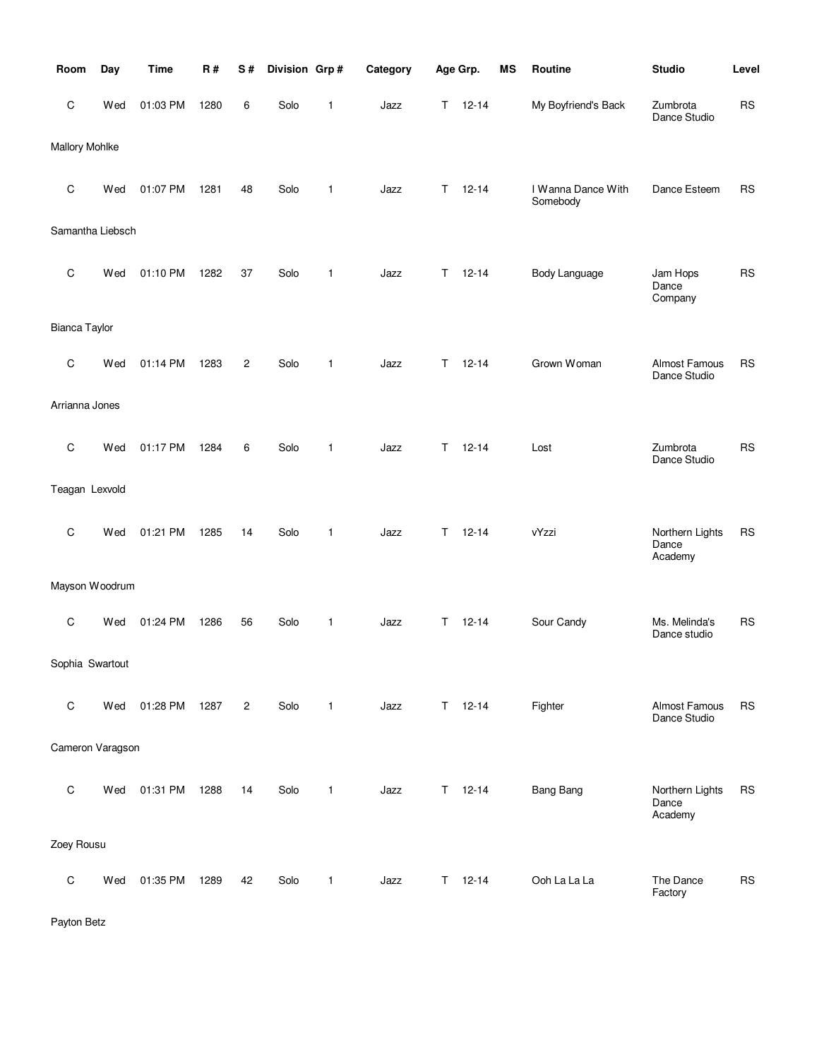| Room             | Day | <b>Time</b> | R#   | S#             | Division Grp# |              | Category |   | Age Grp.  | MS | Routine                        | <b>Studio</b>                       | Level     |
|------------------|-----|-------------|------|----------------|---------------|--------------|----------|---|-----------|----|--------------------------------|-------------------------------------|-----------|
| C                | Wed | 01:03 PM    | 1280 | 6              | Solo          | 1            | Jazz     | Τ | $12 - 14$ |    | My Boyfriend's Back            | Zumbrota<br>Dance Studio            | <b>RS</b> |
| Mallory Mohlke   |     |             |      |                |               |              |          |   |           |    |                                |                                     |           |
| C                | Wed | 01:07 PM    | 1281 | 48             | Solo          | 1            | Jazz     | Τ | $12 - 14$ |    | I Wanna Dance With<br>Somebody | Dance Esteem                        | <b>RS</b> |
| Samantha Liebsch |     |             |      |                |               |              |          |   |           |    |                                |                                     |           |
| C                | Wed | 01:10 PM    | 1282 | 37             | Solo          | 1            | Jazz     | T | $12 - 14$ |    | <b>Body Language</b>           | Jam Hops<br>Dance<br>Company        | <b>RS</b> |
| Bianca Taylor    |     |             |      |                |               |              |          |   |           |    |                                |                                     |           |
| C                | Wed | 01:14 PM    | 1283 | $\overline{c}$ | Solo          | 1            | Jazz     | т | $12 - 14$ |    | Grown Woman                    | Almost Famous<br>Dance Studio       | <b>RS</b> |
| Arrianna Jones   |     |             |      |                |               |              |          |   |           |    |                                |                                     |           |
| C                | Wed | 01:17 PM    | 1284 | 6              | Solo          | $\mathbf{1}$ | Jazz     | Τ | $12 - 14$ |    | Lost                           | Zumbrota<br>Dance Studio            | <b>RS</b> |
| Teagan Lexvold   |     |             |      |                |               |              |          |   |           |    |                                |                                     |           |
| $\mathsf C$      | Wed | 01:21 PM    | 1285 | 14             | Solo          | 1            | Jazz     | т | $12 - 14$ |    | vYzzi                          | Northern Lights<br>Dance<br>Academy | <b>RS</b> |
| Mayson Woodrum   |     |             |      |                |               |              |          |   |           |    |                                |                                     |           |
| C                | Wed | 01:24 PM    | 1286 | 56             | Solo          | 1            | Jazz     | т | $12 - 14$ |    | Sour Candy                     | Ms. Melinda's<br>Dance studio       | <b>RS</b> |
| Sophia Swartout  |     |             |      |                |               |              |          |   |           |    |                                |                                     |           |
| C                | Wed | 01:28 PM    | 1287 | $\overline{2}$ | Solo          | 1            | Jazz     | Τ | $12 - 14$ |    | Fighter                        | Almost Famous<br>Dance Studio       | <b>RS</b> |
| Cameron Varagson |     |             |      |                |               |              |          |   |           |    |                                |                                     |           |
| $\mathsf C$      | Wed | 01:31 PM    | 1288 | 14             | Solo          | 1            | Jazz     | Τ | $12 - 14$ |    | <b>Bang Bang</b>               | Northern Lights<br>Dance<br>Academy | <b>RS</b> |
| Zoey Rousu       |     |             |      |                |               |              |          |   |           |    |                                |                                     |           |
| $\mathsf C$      | Wed | 01:35 PM    | 1289 | 42             | Solo          | 1            | Jazz     | Τ | $12 - 14$ |    | Ooh La La La                   | The Dance<br>Factory                | <b>RS</b> |

Payton Betz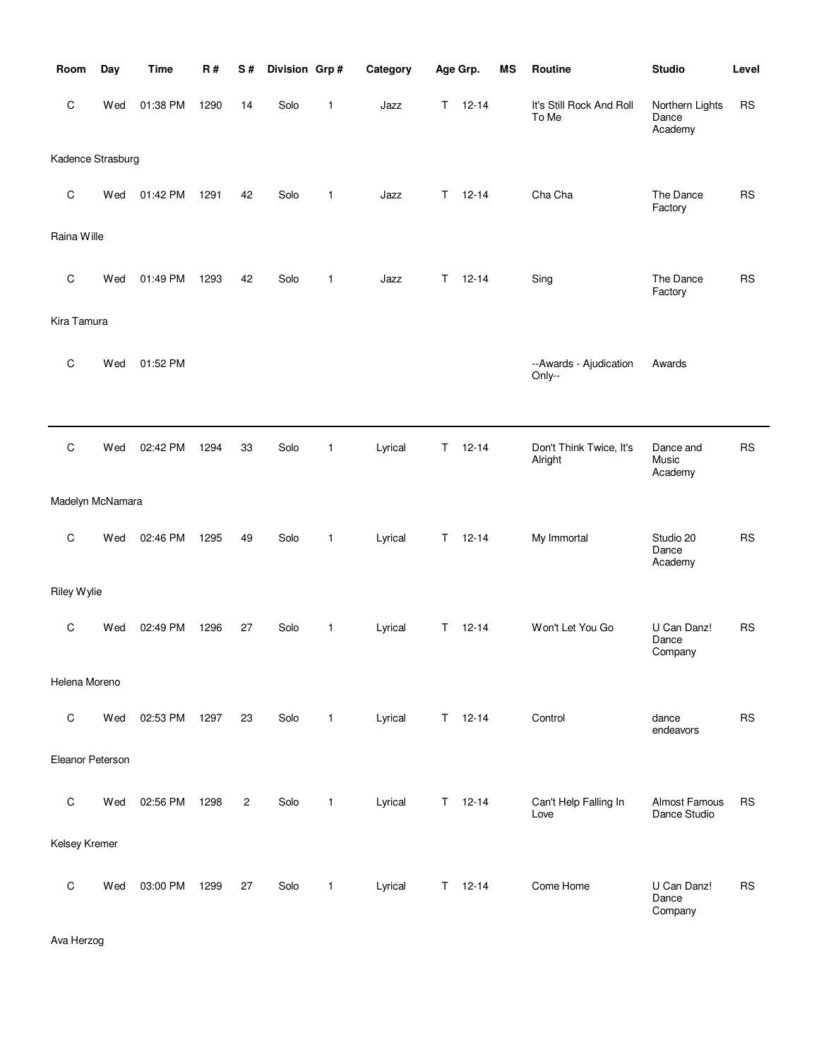| Room              | Day | <b>Time</b> | R#   | S#             | Division Grp# |              | Category |    | Age Grp.      | <b>MS</b> | Routine                            | <b>Studio</b>                       | Level     |
|-------------------|-----|-------------|------|----------------|---------------|--------------|----------|----|---------------|-----------|------------------------------------|-------------------------------------|-----------|
| C                 | Wed | 01:38 PM    | 1290 | 14             | Solo          | $\mathbf{1}$ | Jazz     | T. | $12 - 14$     |           | It's Still Rock And Roll<br>To Me  | Northern Lights<br>Dance<br>Academy | <b>RS</b> |
| Kadence Strasburg |     |             |      |                |               |              |          |    |               |           |                                    |                                     |           |
| $\mathbf C$       | Wed | 01:42 PM    | 1291 | 42             | Solo          | $\mathbf{1}$ | Jazz     | T. | $12 - 14$     |           | Cha Cha                            | The Dance<br>Factory                | <b>RS</b> |
| Raina Wille       |     |             |      |                |               |              |          |    |               |           |                                    |                                     |           |
| C                 | Wed | 01:49 PM    | 1293 | 42             | Solo          | $\mathbf{1}$ | Jazz     | T. | $12 - 14$     |           | Sing                               | The Dance<br>Factory                | <b>RS</b> |
| Kira Tamura       |     |             |      |                |               |              |          |    |               |           |                                    |                                     |           |
| C                 | Wed | 01:52 PM    |      |                |               |              |          |    |               |           | --Awards - Ajudication<br>Only--   | Awards                              |           |
|                   |     |             |      |                |               |              |          |    |               |           |                                    |                                     |           |
| C                 | Wed | 02:42 PM    | 1294 | 33             | Solo          | $\mathbf{1}$ | Lyrical  | T. | $12 - 14$     |           | Don't Think Twice, It's<br>Alright | Dance and<br>Music<br>Academy       | <b>RS</b> |
| Madelyn McNamara  |     |             |      |                |               |              |          |    |               |           |                                    |                                     |           |
| C                 | Wed | 02:46 PM    | 1295 | 49             | Solo          | 1            | Lyrical  | T. | $12 - 14$     |           | My Immortal                        | Studio 20<br>Dance<br>Academy       | <b>RS</b> |
| Riley Wylie       |     |             |      |                |               |              |          |    |               |           |                                    |                                     |           |
| C                 | Wed | 02:49 PM    | 1296 | 27             | Solo          | $\mathbf{1}$ | Lyrical  | T. | $12 - 14$     |           | Won't Let You Go                   | U Can Danz!<br>Dance<br>Company     | <b>RS</b> |
| Helena Moreno     |     |             |      |                |               |              |          |    |               |           |                                    |                                     |           |
| $\mathsf C$       | Wed | 02:53 PM    | 1297 | 23             | Solo          | 1            | Lyrical  | T. | $12 - 14$     |           | Control                            | dance<br>endeavors                  | <b>RS</b> |
| Eleanor Peterson  |     |             |      |                |               |              |          |    |               |           |                                    |                                     |           |
| $\mathsf C$       | Wed | 02:56 PM    | 1298 | $\overline{c}$ | Solo          | 1            | Lyrical  |    | $T = 12 - 14$ |           | Can't Help Falling In<br>Love      | Almost Famous<br>Dance Studio       | <b>RS</b> |
| Kelsey Kremer     |     |             |      |                |               |              |          |    |               |           |                                    |                                     |           |
| $\mathbf C$       | Wed | 03:00 PM    | 1299 | 27             | Solo          | 1            | Lyrical  | T. | $12 - 14$     |           | Come Home                          | U Can Danz!<br>Dance<br>Company     | <b>RS</b> |

Ava Herzog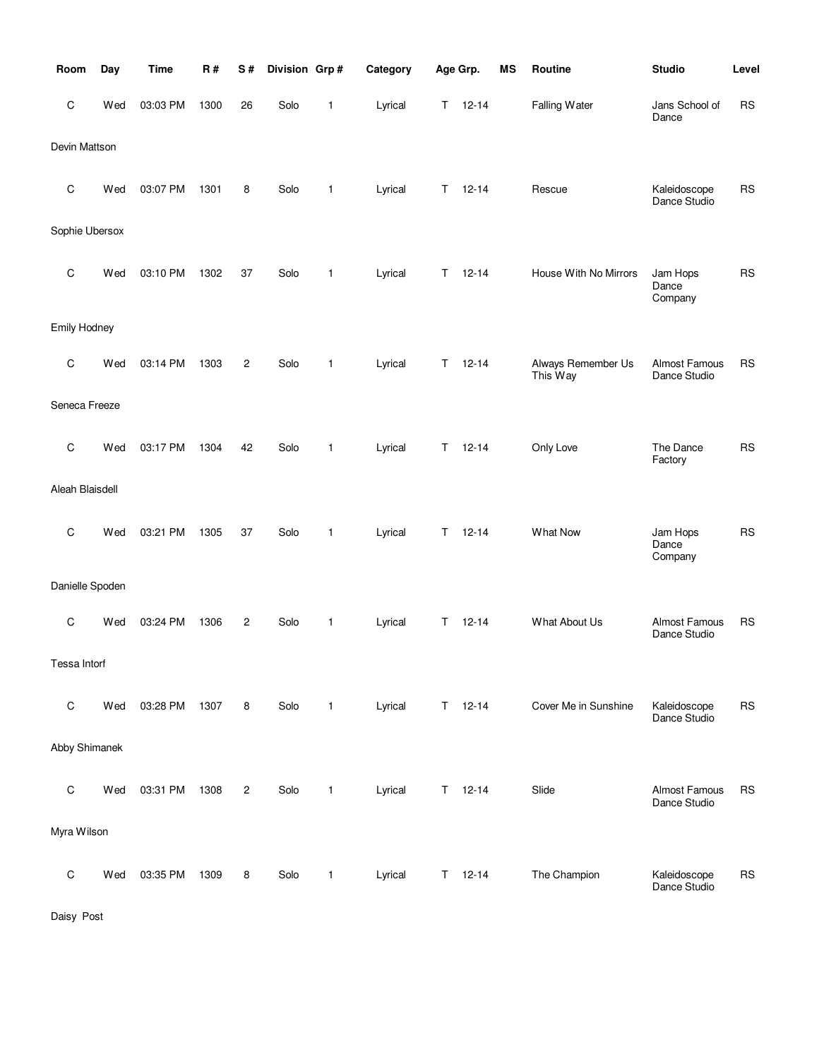| Room                | Day | <b>Time</b> | R#   | S#             | Division Grp# |              | Category |    | Age Grp.  | <b>MS</b> | Routine                        | <b>Studio</b>                 | Level     |
|---------------------|-----|-------------|------|----------------|---------------|--------------|----------|----|-----------|-----------|--------------------------------|-------------------------------|-----------|
| С                   | Wed | 03:03 PM    | 1300 | 26             | Solo          | 1            | Lyrical  | T. | $12 - 14$ |           | Falling Water                  | Jans School of<br>Dance       | <b>RS</b> |
| Devin Mattson       |     |             |      |                |               |              |          |    |           |           |                                |                               |           |
| С                   | Wed | 03:07 PM    | 1301 | 8              | Solo          | 1            | Lyrical  | Т  | $12 - 14$ |           | Rescue                         | Kaleidoscope<br>Dance Studio  | <b>RS</b> |
| Sophie Ubersox      |     |             |      |                |               |              |          |    |           |           |                                |                               |           |
| C                   | Wed | 03:10 PM    | 1302 | 37             | Solo          | 1            | Lyrical  | Τ  | $12 - 14$ |           | House With No Mirrors          | Jam Hops<br>Dance<br>Company  | <b>RS</b> |
| <b>Emily Hodney</b> |     |             |      |                |               |              |          |    |           |           |                                |                               |           |
| С                   | Wed | 03:14 PM    | 1303 | 2              | Solo          | 1            | Lyrical  | T  | $12 - 14$ |           | Always Remember Us<br>This Way | Almost Famous<br>Dance Studio | <b>RS</b> |
| Seneca Freeze       |     |             |      |                |               |              |          |    |           |           |                                |                               |           |
| С                   | Wed | 03:17 PM    | 1304 | 42             | Solo          | 1            | Lyrical  | Т  | $12 - 14$ |           | Only Love                      | The Dance<br>Factory          | <b>RS</b> |
| Aleah Blaisdell     |     |             |      |                |               |              |          |    |           |           |                                |                               |           |
| C                   | Wed | 03:21 PM    | 1305 | 37             | Solo          | 1            | Lyrical  | T  | $12 - 14$ |           | What Now                       | Jam Hops<br>Dance<br>Company  | <b>RS</b> |
| Danielle Spoden     |     |             |      |                |               |              |          |    |           |           |                                |                               |           |
| С                   | Wed | 03:24 PM    | 1306 | 2              | Solo          | 1            | Lyrical  | Т  | $12 - 14$ |           | What About Us                  | Almost Famous<br>Dance Studio | <b>RS</b> |
| Tessa Intorf        |     |             |      |                |               |              |          |    |           |           |                                |                               |           |
| С                   | Wed | 03:28 PM    | 1307 | 8              | Solo          | 1            | Lyrical  | T. | $12 - 14$ |           | Cover Me in Sunshine           | Kaleidoscope<br>Dance Studio  | <b>RS</b> |
| Abby Shimanek       |     |             |      |                |               |              |          |    |           |           |                                |                               |           |
| С                   | Wed | 03:31 PM    | 1308 | $\overline{c}$ | Solo          | $\mathbf{1}$ | Lyrical  | Τ  | $12 - 14$ |           | Slide                          | Almost Famous<br>Dance Studio | <b>RS</b> |
| Myra Wilson         |     |             |      |                |               |              |          |    |           |           |                                |                               |           |
| С                   | Wed | 03:35 PM    | 1309 | 8              | Solo          | 1            | Lyrical  | Τ  | $12 - 14$ |           | The Champion                   | Kaleidoscope<br>Dance Studio  | <b>RS</b> |

Daisy Post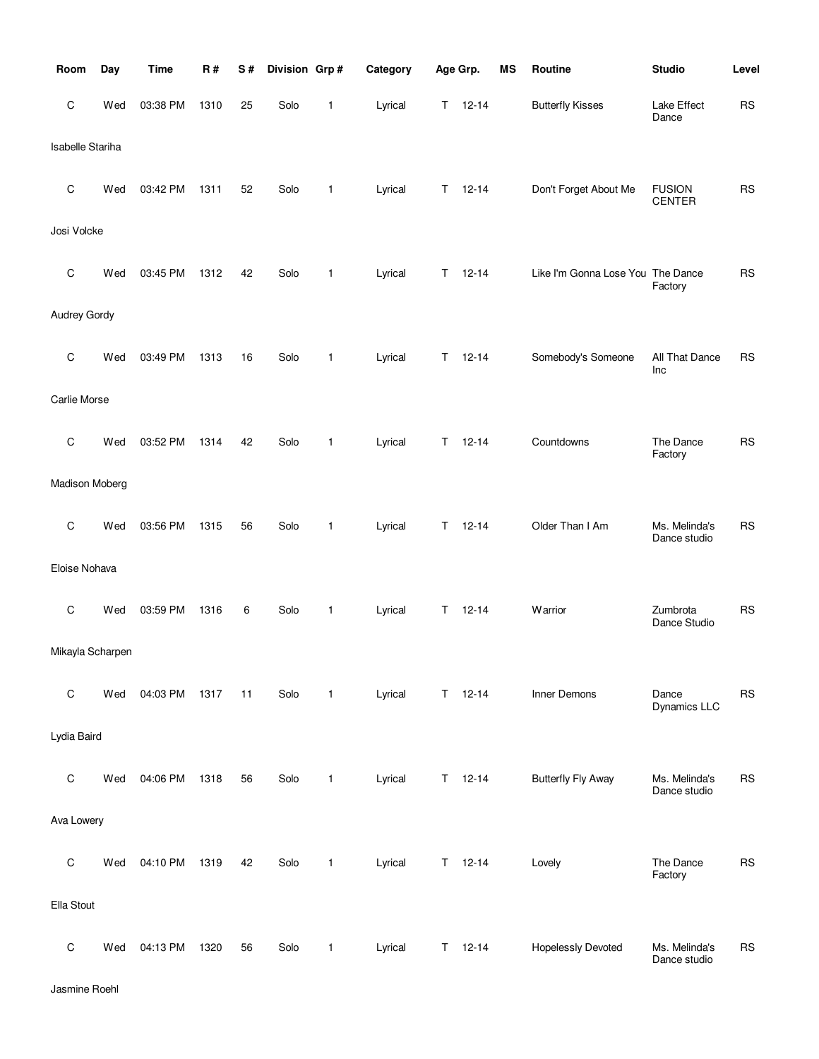| Room                | Day | <b>Time</b> | R#   | S# | Division Grp# |   | Category |             | Age Grp.  | <b>MS</b> | Routine                           | <b>Studio</b>                  | Level      |
|---------------------|-----|-------------|------|----|---------------|---|----------|-------------|-----------|-----------|-----------------------------------|--------------------------------|------------|
| C                   | Wed | 03:38 PM    | 1310 | 25 | Solo          | 1 | Lyrical  | Τ           | $12 - 14$ |           | <b>Butterfly Kisses</b>           | Lake Effect<br>Dance           | ${\sf RS}$ |
| Isabelle Stariha    |     |             |      |    |               |   |          |             |           |           |                                   |                                |            |
| C                   | Wed | 03:42 PM    | 1311 | 52 | Solo          | 1 | Lyrical  | Τ           | $12 - 14$ |           | Don't Forget About Me             | <b>FUSION</b><br><b>CENTER</b> | <b>RS</b>  |
| Josi Volcke         |     |             |      |    |               |   |          |             |           |           |                                   |                                |            |
| C                   | Wed | 03:45 PM    | 1312 | 42 | Solo          | 1 | Lyrical  | Τ           | $12 - 14$ |           | Like I'm Gonna Lose You The Dance | Factory                        | <b>RS</b>  |
| <b>Audrey Gordy</b> |     |             |      |    |               |   |          |             |           |           |                                   |                                |            |
| C                   | Wed | 03:49 PM    | 1313 | 16 | Solo          | 1 | Lyrical  | Τ           | $12 - 14$ |           | Somebody's Someone                | All That Dance<br>Inc          | <b>RS</b>  |
| Carlie Morse        |     |             |      |    |               |   |          |             |           |           |                                   |                                |            |
| C                   | Wed | 03:52 PM    | 1314 | 42 | Solo          | 1 | Lyrical  | Τ           | $12 - 14$ |           | Countdowns                        | The Dance<br>Factory           | <b>RS</b>  |
| Madison Moberg      |     |             |      |    |               |   |          |             |           |           |                                   |                                |            |
| C                   | Wed | 03:56 PM    | 1315 | 56 | Solo          | 1 | Lyrical  | $\mathsf T$ | $12 - 14$ |           | Older Than I Am                   | Ms. Melinda's<br>Dance studio  | <b>RS</b>  |
| Eloise Nohava       |     |             |      |    |               |   |          |             |           |           |                                   |                                |            |
| C                   | Wed | 03:59 PM    | 1316 | 6  | Solo          | 1 | Lyrical  | Τ           | $12 - 14$ |           | Warrior                           | Zumbrota<br>Dance Studio       | <b>RS</b>  |
| Mikayla Scharpen    |     |             |      |    |               |   |          |             |           |           |                                   |                                |            |
| $\mathsf C$         | Wed | 04:03 PM    | 1317 | 11 | Solo          | 1 | Lyrical  | Τ           | $12 - 14$ |           | Inner Demons                      | Dance<br>Dynamics LLC          | <b>RS</b>  |
| Lydia Baird         |     |             |      |    |               |   |          |             |           |           |                                   |                                |            |
| $\mathsf C$         | Wed | 04:06 PM    | 1318 | 56 | Solo          | 1 | Lyrical  | Τ           | $12 - 14$ |           | <b>Butterfly Fly Away</b>         | Ms. Melinda's<br>Dance studio  | <b>RS</b>  |
| Ava Lowery          |     |             |      |    |               |   |          |             |           |           |                                   |                                |            |
| $\mathsf C$         | Wed | 04:10 PM    | 1319 | 42 | Solo          | 1 | Lyrical  | Τ           | $12 - 14$ |           | Lovely                            | The Dance<br>Factory           | <b>RS</b>  |
| Ella Stout          |     |             |      |    |               |   |          |             |           |           |                                   |                                |            |
| $\mathsf C$         | Wed | 04:13 PM    | 1320 | 56 | Solo          | 1 | Lyrical  | Τ           | $12 - 14$ |           | <b>Hopelessly Devoted</b>         | Ms. Melinda's<br>Dance studio  | <b>RS</b>  |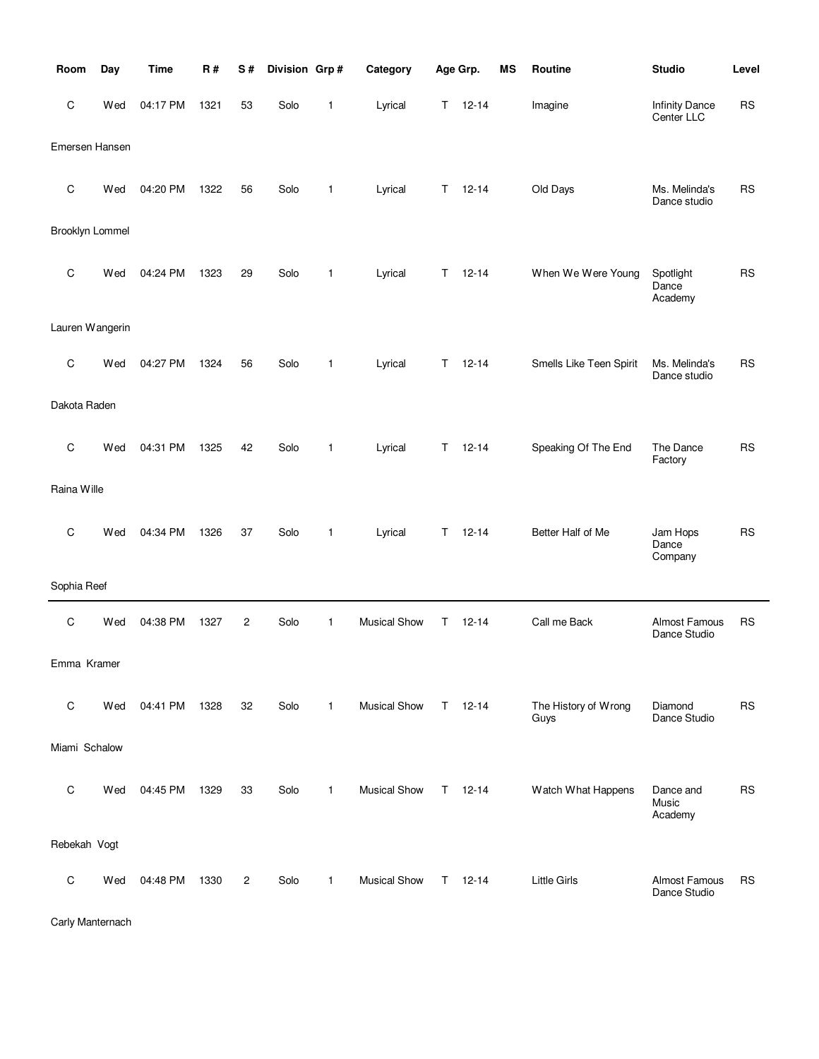| Room            | Day | <b>Time</b> | R#   | S#             | Division Grp# |   | Category            |    | Age Grp.      | <b>MS</b> | Routine                      | <b>Studio</b>                        | Level     |
|-----------------|-----|-------------|------|----------------|---------------|---|---------------------|----|---------------|-----------|------------------------------|--------------------------------------|-----------|
| C               | Wed | 04:17 PM    | 1321 | 53             | Solo          | 1 | Lyrical             | Τ  | $12 - 14$     |           | Imagine                      | <b>Infinity Dance</b><br>Center LLC  | <b>RS</b> |
| Emersen Hansen  |     |             |      |                |               |   |                     |    |               |           |                              |                                      |           |
| C               | Wed | 04:20 PM    | 1322 | 56             | Solo          | 1 | Lyrical             | Τ  | $12 - 14$     |           | Old Days                     | Ms. Melinda's<br>Dance studio        | <b>RS</b> |
| Brooklyn Lommel |     |             |      |                |               |   |                     |    |               |           |                              |                                      |           |
| C               | Wed | 04:24 PM    | 1323 | 29             | Solo          | 1 | Lyrical             | T. | $12 - 14$     |           | When We Were Young           | Spotlight<br>Dance<br>Academy        | <b>RS</b> |
| Lauren Wangerin |     |             |      |                |               |   |                     |    |               |           |                              |                                      |           |
| C               | Wed | 04:27 PM    | 1324 | 56             | Solo          | 1 | Lyrical             | T. | $12 - 14$     |           | Smells Like Teen Spirit      | Ms. Melinda's<br>Dance studio        | <b>RS</b> |
| Dakota Raden    |     |             |      |                |               |   |                     |    |               |           |                              |                                      |           |
| C               | Wed | 04:31 PM    | 1325 | 42             | Solo          | 1 | Lyrical             | T. | $12 - 14$     |           | Speaking Of The End          | The Dance<br>Factory                 | <b>RS</b> |
| Raina Wille     |     |             |      |                |               |   |                     |    |               |           |                              |                                      |           |
| C               | Wed | 04:34 PM    | 1326 | 37             | Solo          | 1 | Lyrical             | Τ  | $12 - 14$     |           | Better Half of Me            | Jam Hops<br>Dance<br>Company         | <b>RS</b> |
| Sophia Reef     |     |             |      |                |               |   |                     |    |               |           |                              |                                      |           |
| C               | Wed | 04:38 PM    | 1327 | 2              | Solo          | 1 | <b>Musical Show</b> | T  | $12 - 14$     |           | Call me Back                 | <b>Almost Famous</b><br>Dance Studio | <b>RS</b> |
| Emma Kramer     |     |             |      |                |               |   |                     |    |               |           |                              |                                      |           |
| C               | Wed | 04:41 PM    | 1328 | 32             | Solo          | 1 | <b>Musical Show</b> |    | $T = 12 - 14$ |           | The History of Wrong<br>Guys | Diamond<br>Dance Studio              | <b>RS</b> |
| Miami Schalow   |     |             |      |                |               |   |                     |    |               |           |                              |                                      |           |
| C               | Wed | 04:45 PM    | 1329 | 33             | Solo          | 1 | <b>Musical Show</b> |    | $T = 12 - 14$ |           | Watch What Happens           | Dance and<br>Music<br>Academy        | <b>RS</b> |
| Rebekah Vogt    |     |             |      |                |               |   |                     |    |               |           |                              |                                      |           |
| C               | Wed | 04:48 PM    | 1330 | $\overline{c}$ | Solo          | 1 | <b>Musical Show</b> |    | $T = 12 - 14$ |           | <b>Little Girls</b>          | Almost Famous<br>Dance Studio        | <b>RS</b> |

Carly Manternach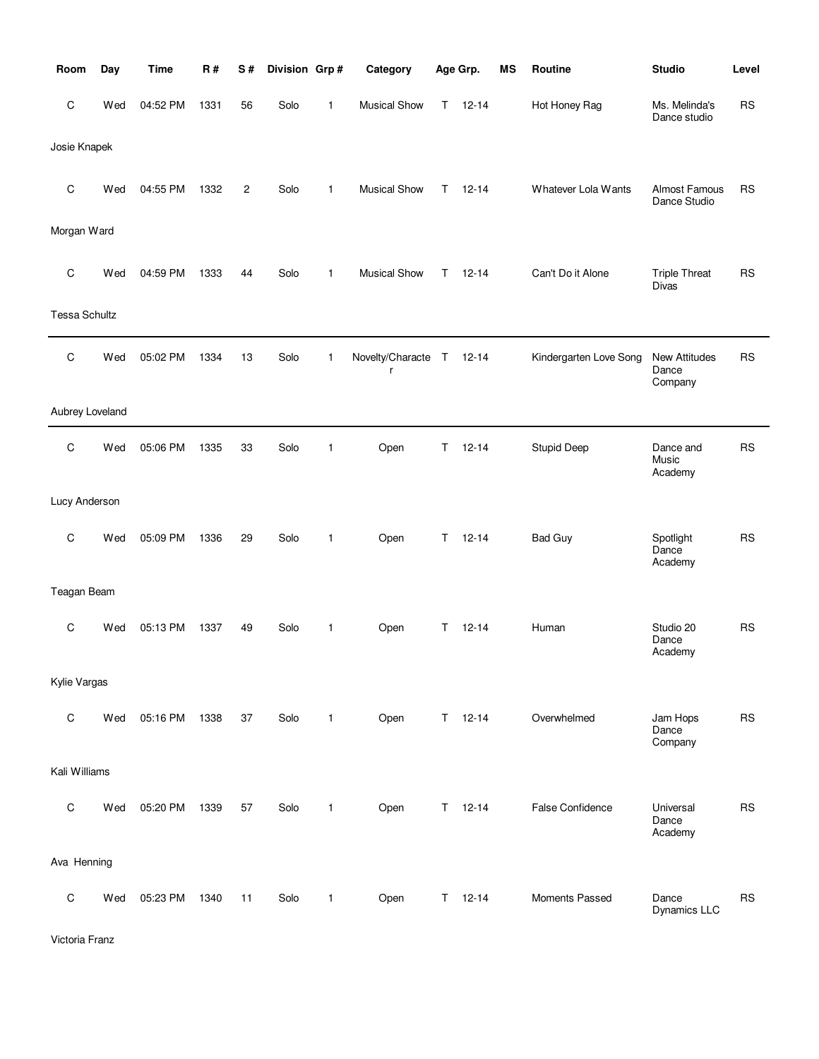| Room                 | Day | <b>Time</b> | R#   | S#             | Division Grp# |              | Category              |        | Age Grp.      | MS | Routine                 | <b>Studio</b>                            | Level     |
|----------------------|-----|-------------|------|----------------|---------------|--------------|-----------------------|--------|---------------|----|-------------------------|------------------------------------------|-----------|
| C                    | Wed | 04:52 PM    | 1331 | 56             | Solo          | 1            | <b>Musical Show</b>   | T      | $12 - 14$     |    | Hot Honey Rag           | Ms. Melinda's<br>Dance studio            | <b>RS</b> |
| Josie Knapek         |     |             |      |                |               |              |                       |        |               |    |                         |                                          |           |
| C                    | Wed | 04:55 PM    | 1332 | $\overline{c}$ | Solo          | $\mathbf{1}$ | <b>Musical Show</b>   | T.     | $12 - 14$     |    | Whatever Lola Wants     | Almost Famous<br>Dance Studio            | <b>RS</b> |
| Morgan Ward          |     |             |      |                |               |              |                       |        |               |    |                         |                                          |           |
| $\mathbf C$          | Wed | 04:59 PM    | 1333 | 44             | Solo          | $\mathbf{1}$ | <b>Musical Show</b>   | Τ      | $12 - 14$     |    | Can't Do it Alone       | <b>Triple Threat</b><br><b>Divas</b>     | RS        |
| <b>Tessa Schultz</b> |     |             |      |                |               |              |                       |        |               |    |                         |                                          |           |
| $\mathsf C$          | Wed | 05:02 PM    | 1334 | 13             | Solo          | 1            | Novelty/Characte<br>r | $\top$ | $12 - 14$     |    | Kindergarten Love Song  | <b>New Attitudes</b><br>Dance<br>Company | <b>RS</b> |
| Aubrey Loveland      |     |             |      |                |               |              |                       |        |               |    |                         |                                          |           |
| C                    | Wed | 05:06 PM    | 1335 | 33             | Solo          | $\mathbf{1}$ | Open                  | Τ      | $12 - 14$     |    | <b>Stupid Deep</b>      | Dance and<br>Music<br>Academy            | <b>RS</b> |
| Lucy Anderson        |     |             |      |                |               |              |                       |        |               |    |                         |                                          |           |
| C                    | Wed | 05:09 PM    | 1336 | 29             | Solo          | 1            | Open                  | T.     | $12 - 14$     |    | <b>Bad Guy</b>          | Spotlight<br>Dance<br>Academy            | <b>RS</b> |
| Teagan Beam          |     |             |      |                |               |              |                       |        |               |    |                         |                                          |           |
| C                    | Wed | 05:13 PM    | 1337 | 49             | Solo          | $\mathbf{1}$ | Open                  | T.     | $12 - 14$     |    | Human                   | Studio 20<br>Dance<br>Academy            | <b>RS</b> |
| Kylie Vargas         |     |             |      |                |               |              |                       |        |               |    |                         |                                          |           |
| $\mathbf C$          | Wed | 05:16 PM    | 1338 | 37             | Solo          | $\mathbf{1}$ | Open                  | T.     | $12 - 14$     |    | Overwhelmed             | Jam Hops<br>Dance<br>Company             | <b>RS</b> |
| Kali Williams        |     |             |      |                |               |              |                       |        |               |    |                         |                                          |           |
| $\mathsf C$          | Wed | 05:20 PM    | 1339 | 57             | Solo          | $\mathbf{1}$ | Open                  |        | $T = 12 - 14$ |    | <b>False Confidence</b> | Universal<br>Dance<br>Academy            | <b>RS</b> |
| Ava Henning          |     |             |      |                |               |              |                       |        |               |    |                         |                                          |           |
| $\mathsf C$          | Wed | 05:23 PM    | 1340 | 11             | Solo          | 1            | Open                  | T.     | $12 - 14$     |    | Moments Passed          | Dance<br><b>Dynamics LLC</b>             | <b>RS</b> |

Victoria Franz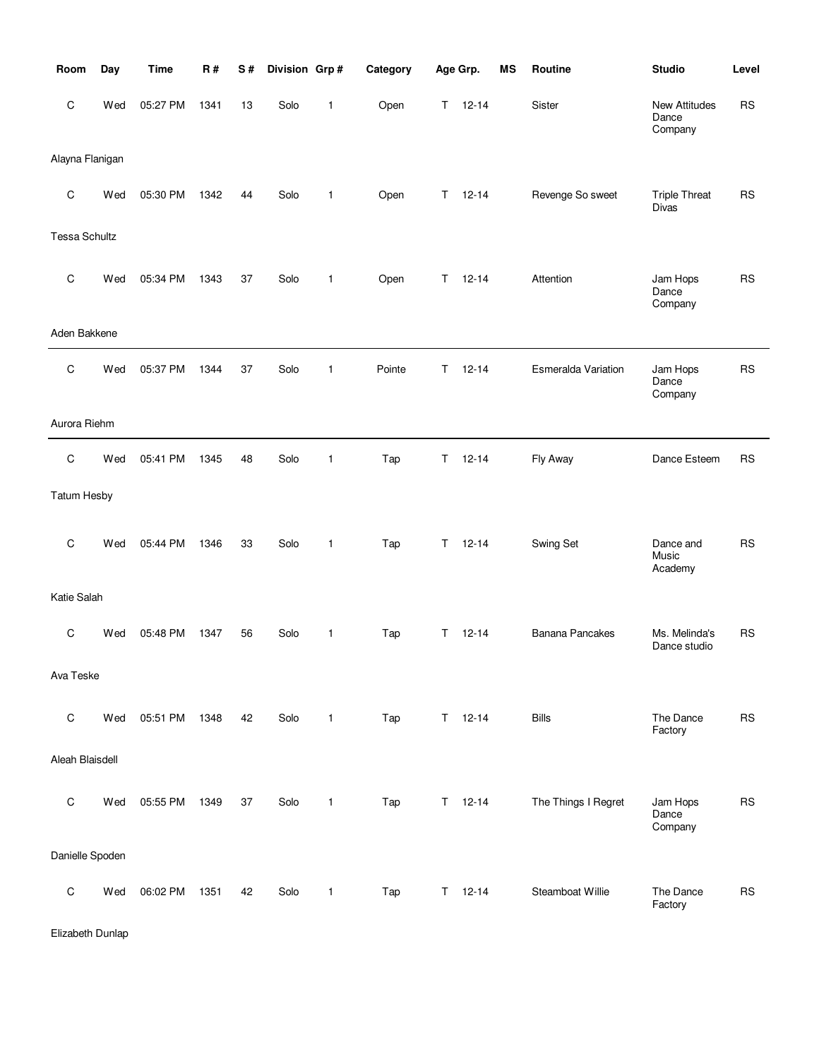| Room                 | Day | <b>Time</b> | <b>R#</b> | S# | Division Grp# |              | Category |    | Age Grp.      | <b>MS</b> | Routine                    | <b>Studio</b>                        | Level     |
|----------------------|-----|-------------|-----------|----|---------------|--------------|----------|----|---------------|-----------|----------------------------|--------------------------------------|-----------|
| $\mathsf C$          | Wed | 05:27 PM    | 1341      | 13 | Solo          | 1            | Open     | Τ  | $12 - 14$     |           | Sister                     | New Attitudes<br>Dance<br>Company    | <b>RS</b> |
| Alayna Flanigan      |     |             |           |    |               |              |          |    |               |           |                            |                                      |           |
| C                    | Wed | 05:30 PM    | 1342      | 44 | Solo          | $\mathbf{1}$ | Open     | Τ  | $12 - 14$     |           | Revenge So sweet           | <b>Triple Threat</b><br><b>Divas</b> | <b>RS</b> |
| <b>Tessa Schultz</b> |     |             |           |    |               |              |          |    |               |           |                            |                                      |           |
| $\mathbf C$          | Wed | 05:34 PM    | 1343      | 37 | Solo          | $\mathbf{1}$ | Open     | T. | $12 - 14$     |           | Attention                  | Jam Hops<br>Dance<br>Company         | <b>RS</b> |
| Aden Bakkene         |     |             |           |    |               |              |          |    |               |           |                            |                                      |           |
| $\mathbf C$          | Wed | 05:37 PM    | 1344      | 37 | Solo          | $\mathbf{1}$ | Pointe   | T. | $12 - 14$     |           | <b>Esmeralda Variation</b> | Jam Hops<br>Dance<br>Company         | <b>RS</b> |
| Aurora Riehm         |     |             |           |    |               |              |          |    |               |           |                            |                                      |           |
| $\mathsf C$          | Wed | 05:41 PM    | 1345      | 48 | Solo          | $\mathbf{1}$ | Tap      | Τ  | $12 - 14$     |           | Fly Away                   | Dance Esteem                         | <b>RS</b> |
| <b>Tatum Hesby</b>   |     |             |           |    |               |              |          |    |               |           |                            |                                      |           |
| $\mathbf C$          | Wed | 05:44 PM    | 1346      | 33 | Solo          | $\mathbf{1}$ | Tap      | T. | $12 - 14$     |           | Swing Set                  | Dance and<br>Music<br>Academy        | <b>RS</b> |
| Katie Salah          |     |             |           |    |               |              |          |    |               |           |                            |                                      |           |
| C                    | Wed | 05:48 PM    | 1347      | 56 | Solo          | 1            | Tap      | Τ  | $12 - 14$     |           | <b>Banana Pancakes</b>     | Ms. Melinda's<br>Dance studio        | <b>RS</b> |
| Ava Teske            |     |             |           |    |               |              |          |    |               |           |                            |                                      |           |
| $\mathsf C$          | Wed | 05:51 PM    | 1348      | 42 | Solo          | $\mathbf{1}$ | Tap      |    | $T = 12 - 14$ |           | <b>Bills</b>               | The Dance<br>Factory                 | <b>RS</b> |
| Aleah Blaisdell      |     |             |           |    |               |              |          |    |               |           |                            |                                      |           |
| $\mathsf C$          | Wed | 05:55 PM    | 1349      | 37 | Solo          | 1            | Tap      | T. | $12 - 14$     |           | The Things I Regret        | Jam Hops<br>Dance<br>Company         | <b>RS</b> |
| Danielle Spoden      |     |             |           |    |               |              |          |    |               |           |                            |                                      |           |
| $\mathsf C$          | Wed | 06:02 PM    | 1351      | 42 | Solo          | $\mathbf{1}$ | Tap      | T. | $12 - 14$     |           | Steamboat Willie           | The Dance<br>Factory                 | <b>RS</b> |

Elizabeth Dunlap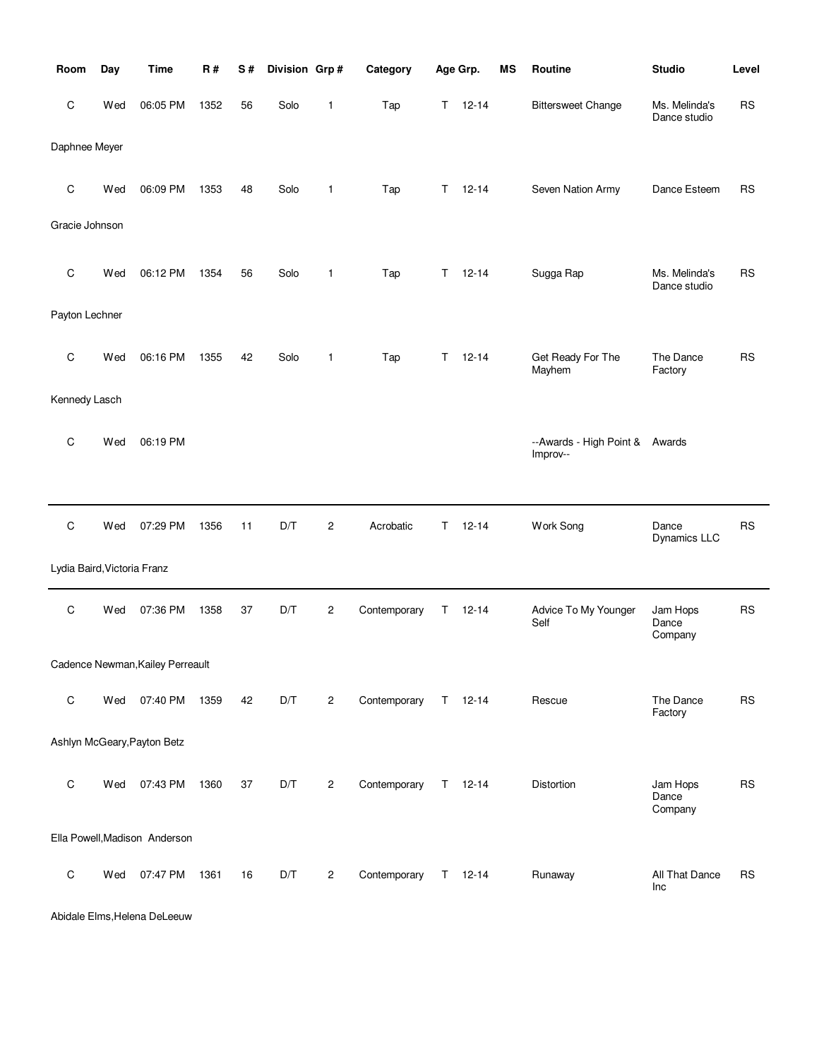| Room                        | Day | <b>Time</b>                      | R#   | S# | Division Grp# |                | Category     |   | Age Grp.      | MS | Routine                             | <b>Studio</b>                 | Level     |
|-----------------------------|-----|----------------------------------|------|----|---------------|----------------|--------------|---|---------------|----|-------------------------------------|-------------------------------|-----------|
| C                           | Wed | 06:05 PM                         | 1352 | 56 | Solo          | 1              | Tap          | Τ | $12 - 14$     |    | <b>Bittersweet Change</b>           | Ms. Melinda's<br>Dance studio | <b>RS</b> |
| Daphnee Meyer               |     |                                  |      |    |               |                |              |   |               |    |                                     |                               |           |
| C                           | Wed | 06:09 PM                         | 1353 | 48 | Solo          | 1              | Tap          | Τ | $12 - 14$     |    | Seven Nation Army                   | Dance Esteem                  | <b>RS</b> |
| Gracie Johnson              |     |                                  |      |    |               |                |              |   |               |    |                                     |                               |           |
| C                           | Wed | 06:12 PM                         | 1354 | 56 | Solo          | 1              | Tap          | Τ | $12 - 14$     |    | Sugga Rap                           | Ms. Melinda's<br>Dance studio | <b>RS</b> |
| Payton Lechner              |     |                                  |      |    |               |                |              |   |               |    |                                     |                               |           |
| C                           | Wed | 06:16 PM                         | 1355 | 42 | Solo          | 1              | Tap          | Τ | $12 - 14$     |    | Get Ready For The<br>Mayhem         | The Dance<br>Factory          | <b>RS</b> |
| Kennedy Lasch               |     |                                  |      |    |               |                |              |   |               |    |                                     |                               |           |
| C                           | Wed | 06:19 PM                         |      |    |               |                |              |   |               |    | --Awards - High Point &<br>Improv-- | Awards                        |           |
|                             |     |                                  |      |    |               |                |              |   |               |    |                                     |                               |           |
| C                           | Wed | 07:29 PM                         | 1356 | 11 | D/T           | 2              | Acrobatic    | Τ | $12 - 14$     |    | Work Song                           | Dance<br>Dynamics LLC         | <b>RS</b> |
| Lydia Baird, Victoria Franz |     |                                  |      |    |               |                |              |   |               |    |                                     |                               |           |
| C                           | Wed | 07:36 PM                         | 1358 | 37 | D/T           | 2              | Contemporary | Τ | $12 - 14$     |    | Advice To My Younger<br>Self        | Jam Hops<br>Dance<br>Company  | <b>RS</b> |
|                             |     | Cadence Newman, Kailey Perreault |      |    |               |                |              |   |               |    |                                     |                               |           |
| $\mathsf C$                 | Wed | 07:40 PM                         | 1359 | 42 | D/T           | $\overline{2}$ | Contemporary |   | $T = 12-14$   |    | Rescue                              | The Dance<br>Factory          | <b>RS</b> |
|                             |     | Ashlyn McGeary, Payton Betz      |      |    |               |                |              |   |               |    |                                     |                               |           |
| C                           | Wed | 07:43 PM                         | 1360 | 37 | D/T           | $\overline{2}$ | Contemporary |   | $T = 12 - 14$ |    | Distortion                          | Jam Hops<br>Dance<br>Company  | <b>RS</b> |
|                             |     | Ella Powell, Madison Anderson    |      |    |               |                |              |   |               |    |                                     |                               |           |
| $\mathsf C$                 | Wed | 07:47 PM                         | 1361 | 16 | D/T           | $\overline{c}$ | Contemporary |   | $T = 12 - 14$ |    | Runaway                             | All That Dance<br>Inc         | <b>RS</b> |

Abidale Elms,Helena DeLeeuw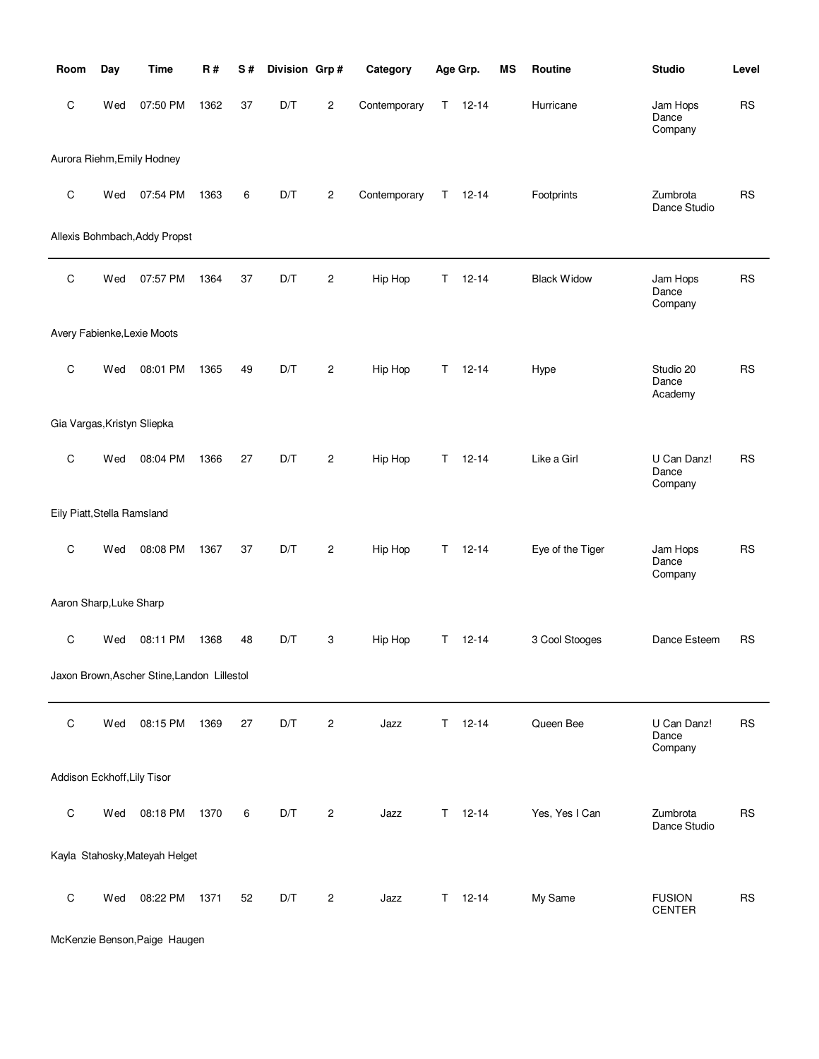| Room                        | Day | <b>Time</b>                                 | R#   | S# | Division Grp# |                | Category     |    | Age Grp.      | <b>MS</b> | Routine            | <b>Studio</b>                   | Level     |
|-----------------------------|-----|---------------------------------------------|------|----|---------------|----------------|--------------|----|---------------|-----------|--------------------|---------------------------------|-----------|
| C                           | Wed | 07:50 PM                                    | 1362 | 37 | D/T           | $\overline{c}$ | Contemporary | T. | $12 - 14$     |           | Hurricane          | Jam Hops<br>Dance<br>Company    | <b>RS</b> |
|                             |     | Aurora Riehm, Emily Hodney                  |      |    |               |                |              |    |               |           |                    |                                 |           |
| $\mathsf C$                 | Wed | 07:54 PM                                    | 1363 | 6  | D/T           | $\overline{c}$ | Contemporary | T  | $12 - 14$     |           | Footprints         | Zumbrota<br>Dance Studio        | <b>RS</b> |
|                             |     | Allexis Bohmbach, Addy Propst               |      |    |               |                |              |    |               |           |                    |                                 |           |
| C                           | Wed | 07:57 PM                                    | 1364 | 37 | D/T           | $\overline{c}$ | Hip Hop      | Τ  | $12 - 14$     |           | <b>Black Widow</b> | Jam Hops<br>Dance<br>Company    | <b>RS</b> |
|                             |     | Avery Fabienke, Lexie Moots                 |      |    |               |                |              |    |               |           |                    |                                 |           |
| C                           | Wed | 08:01 PM                                    | 1365 | 49 | D/T           | $\overline{c}$ | Hip Hop      | T. | $12 - 14$     |           | Hype               | Studio 20<br>Dance<br>Academy   | <b>RS</b> |
| Gia Vargas, Kristyn Sliepka |     |                                             |      |    |               |                |              |    |               |           |                    |                                 |           |
| C                           | Wed | 08:04 PM                                    | 1366 | 27 | D/T           | $\overline{c}$ | Hip Hop      | T. | $12 - 14$     |           | Like a Girl        | U Can Danz!<br>Dance<br>Company | <b>RS</b> |
| Eily Piatt, Stella Ramsland |     |                                             |      |    |               |                |              |    |               |           |                    |                                 |           |
| $\mathsf C$                 | Wed | 08:08 PM                                    | 1367 | 37 | D/T           | $\overline{c}$ | Hip Hop      | T. | $12 - 14$     |           | Eye of the Tiger   | Jam Hops<br>Dance<br>Company    | <b>RS</b> |
| Aaron Sharp, Luke Sharp     |     |                                             |      |    |               |                |              |    |               |           |                    |                                 |           |
| C                           | Wed | 08:11 PM                                    | 1368 | 48 | D/T           | 3              | Hip Hop      |    | $T = 12 - 14$ |           | 3 Cool Stooges     | Dance Esteem                    | <b>RS</b> |
|                             |     | Jaxon Brown, Ascher Stine, Landon Lillestol |      |    |               |                |              |    |               |           |                    |                                 |           |
| $\mathsf C$                 | Wed | 08:15 PM                                    | 1369 | 27 | D/T           | 2              | Jazz         |    | $T = 12 - 14$ |           | Queen Bee          | U Can Danz!<br>Dance<br>Company | <b>RS</b> |
| Addison Eckhoff, Lily Tisor |     |                                             |      |    |               |                |              |    |               |           |                    |                                 |           |
| $\mathsf C$                 | Wed | 08:18 PM                                    | 1370 | 6  | D/T           | $\overline{c}$ | Jazz         | T  | $12 - 14$     |           | Yes, Yes I Can     | Zumbrota<br>Dance Studio        | <b>RS</b> |
|                             |     | Kayla Stahosky, Mateyah Helget              |      |    |               |                |              |    |               |           |                    |                                 |           |
| $\mathsf C$                 | Wed | 08:22 PM                                    | 1371 | 52 | D/T           | 2              | Jazz         | Τ  | $12 - 14$     |           | My Same            | <b>FUSION</b><br>CENTER         | <b>RS</b> |

McKenzie Benson,Paige Haugen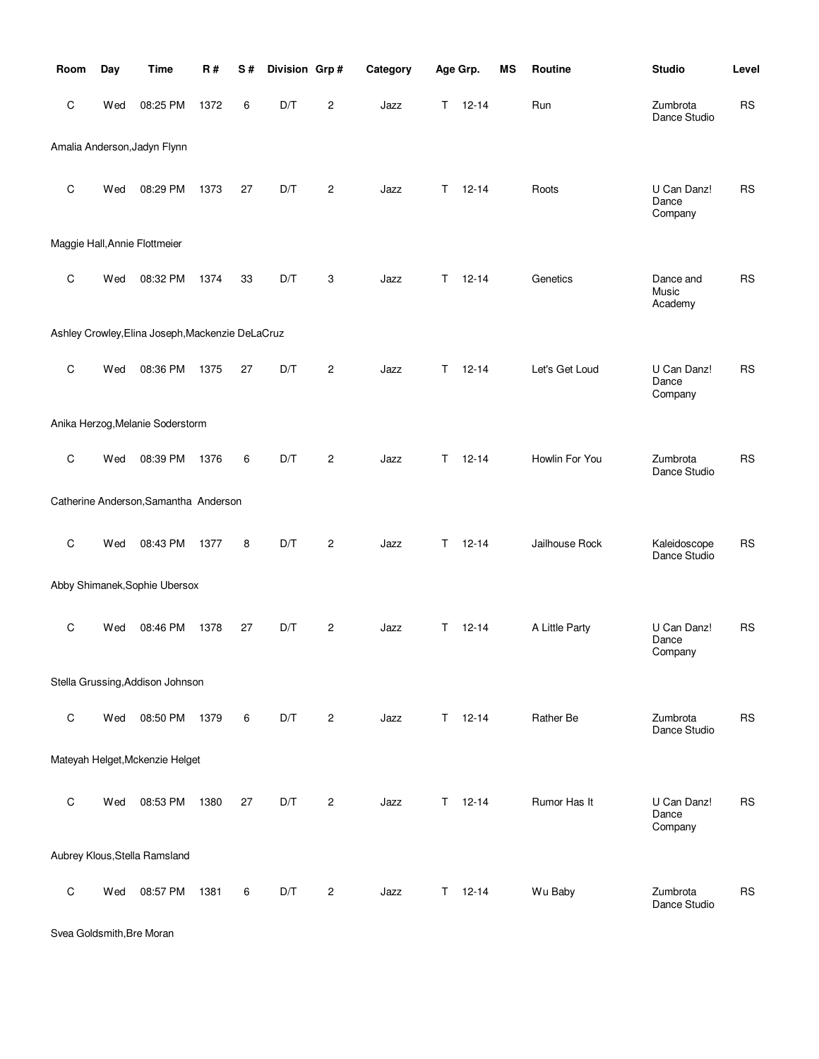| Room         | Day | <b>Time</b>                                      | <b>R#</b> | S# | Division Grp# |                | Category |   | Age Grp.  | MS | Routine        | <b>Studio</b>                   | Level     |
|--------------|-----|--------------------------------------------------|-----------|----|---------------|----------------|----------|---|-----------|----|----------------|---------------------------------|-----------|
| С            | Wed | 08:25 PM                                         | 1372      | 6  | D/T           | $\overline{c}$ | Jazz     | T | $12 - 14$ |    | Run            | Zumbrota<br>Dance Studio        | <b>RS</b> |
|              |     | Amalia Anderson, Jadyn Flynn                     |           |    |               |                |          |   |           |    |                |                                 |           |
| C            | Wed | 08:29 PM                                         | 1373      | 27 | D/T           | $\mathbf{2}$   | Jazz     | т | $12 - 14$ |    | Roots          | U Can Danz!<br>Dance<br>Company | <b>RS</b> |
|              |     | Maggie Hall, Annie Flottmeier                    |           |    |               |                |          |   |           |    |                |                                 |           |
| $\mathsf{C}$ | Wed | 08:32 PM                                         | 1374      | 33 | D/T           | 3              | Jazz     | т | $12 - 14$ |    | Genetics       | Dance and<br>Music<br>Academy   | <b>RS</b> |
|              |     | Ashley Crowley, Elina Joseph, Mackenzie DeLaCruz |           |    |               |                |          |   |           |    |                |                                 |           |
| C            | Wed | 08:36 PM                                         | 1375      | 27 | D/T           | $\overline{2}$ | Jazz     | T | $12 - 14$ |    | Let's Get Loud | U Can Danz!<br>Dance<br>Company | <b>RS</b> |
|              |     | Anika Herzog, Melanie Soderstorm                 |           |    |               |                |          |   |           |    |                |                                 |           |
| C            | Wed | 08:39 PM                                         | 1376      | 6  | D/T           | $\overline{c}$ | Jazz     | т | $12 - 14$ |    | Howlin For You | Zumbrota<br>Dance Studio        | <b>RS</b> |
|              |     | Catherine Anderson, Samantha Anderson            |           |    |               |                |          |   |           |    |                |                                 |           |
| $\mathsf C$  | Wed | 08:43 PM                                         | 1377      | 8  | D/T           | $\mathbf{2}$   | Jazz     | т | $12 - 14$ |    | Jailhouse Rock | Kaleidoscope<br>Dance Studio    | <b>RS</b> |
|              |     | Abby Shimanek, Sophie Ubersox                    |           |    |               |                |          |   |           |    |                |                                 |           |
| $\mathsf C$  | Wed | 08:46 PM                                         | 1378      | 27 | D/T           | $\overline{2}$ | Jazz     | Τ | $12 - 14$ |    | A Little Party | U Can Danz!<br>Dance<br>Company | <b>RS</b> |
|              |     | Stella Grussing, Addison Johnson                 |           |    |               |                |          |   |           |    |                |                                 |           |
| $\mathsf C$  | Wed | 08:50 PM                                         | 1379      | 6  | D/T           | $\overline{c}$ | Jazz     | Τ | $12 - 14$ |    | Rather Be      | Zumbrota<br>Dance Studio        | <b>RS</b> |
|              |     | Mateyah Helget, Mckenzie Helget                  |           |    |               |                |          |   |           |    |                |                                 |           |
| $\mathsf C$  | Wed | 08:53 PM                                         | 1380      | 27 | D/T           | $\overline{2}$ | Jazz     | Τ | $12 - 14$ |    | Rumor Has It   | U Can Danz!<br>Dance<br>Company | <b>RS</b> |
|              |     | Aubrey Klous, Stella Ramsland                    |           |    |               |                |          |   |           |    |                |                                 |           |
| $\mathsf C$  | Wed | 08:57 PM                                         | 1381      | 6  | D/T           | $\overline{c}$ | Jazz     | Τ | $12 - 14$ |    | Wu Baby        | Zumbrota<br>Dance Studio        | <b>RS</b> |

Svea Goldsmith,Bre Moran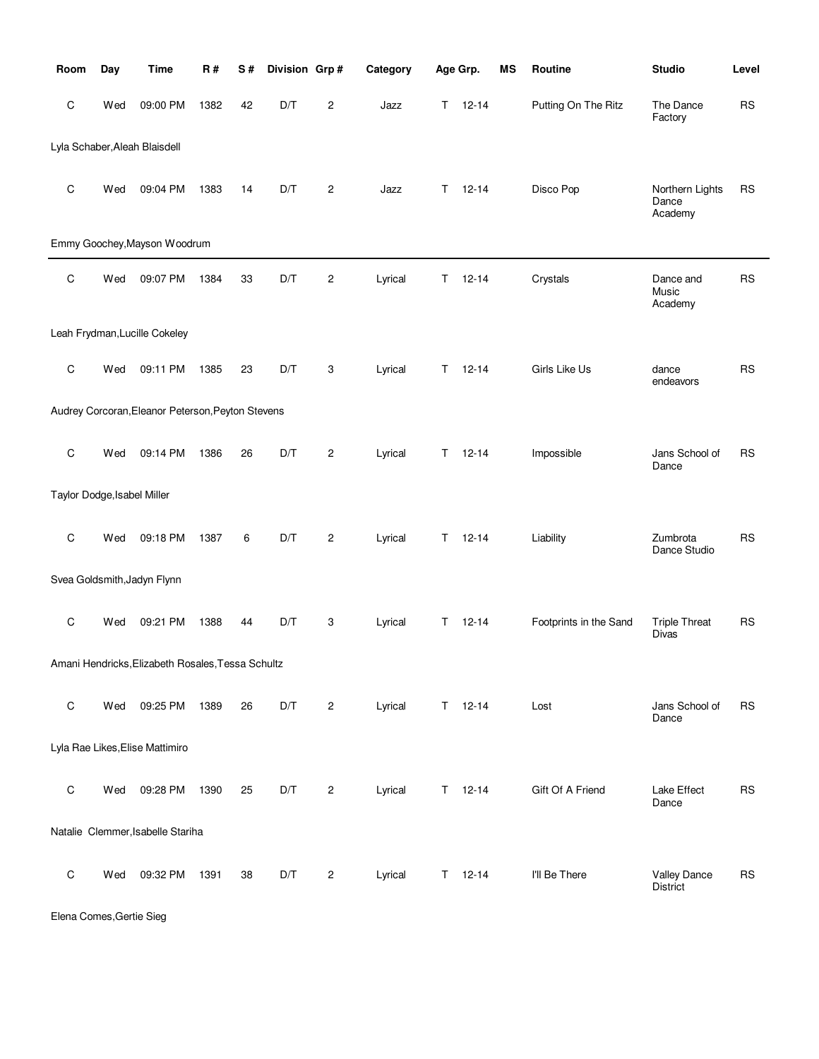| Room         | Day                         | <b>Time</b>                                       | R#   | S# | Division Grp# |                | Category |    | Age Grp.      | ΜS | Routine                | <b>Studio</b>                       | Level     |
|--------------|-----------------------------|---------------------------------------------------|------|----|---------------|----------------|----------|----|---------------|----|------------------------|-------------------------------------|-----------|
| C            | Wed                         | 09:00 PM                                          | 1382 | 42 | D/T           | $\overline{c}$ | Jazz     | T. | $12 - 14$     |    | Putting On The Ritz    | The Dance<br>Factory                | <b>RS</b> |
|              |                             | Lyla Schaber, Aleah Blaisdell                     |      |    |               |                |          |    |               |    |                        |                                     |           |
| C            | Wed                         | 09:04 PM                                          | 1383 | 14 | D/T           | $\overline{c}$ | Jazz     | T. | $12 - 14$     |    | Disco Pop              | Northern Lights<br>Dance<br>Academy | <b>RS</b> |
|              |                             | Emmy Goochey, Mayson Woodrum                      |      |    |               |                |          |    |               |    |                        |                                     |           |
| $\mathsf C$  | Wed                         | 09:07 PM                                          | 1384 | 33 | D/T           | $\overline{c}$ | Lyrical  | Τ  | $12 - 14$     |    | Crystals               | Dance and<br>Music<br>Academy       | <b>RS</b> |
|              |                             | Leah Frydman, Lucille Cokeley                     |      |    |               |                |          |    |               |    |                        |                                     |           |
| C            | Wed                         | 09:11 PM                                          | 1385 | 23 | D/T           | 3              | Lyrical  | T. | $12 - 14$     |    | Girls Like Us          | dance<br>endeavors                  | <b>RS</b> |
|              |                             | Audrey Corcoran, Eleanor Peterson, Peyton Stevens |      |    |               |                |          |    |               |    |                        |                                     |           |
| $\mathsf{C}$ | Wed                         | 09:14 PM                                          | 1386 | 26 | D/T           | $\mathbf{2}$   | Lyrical  | T. | $12 - 14$     |    | Impossible             | Jans School of<br>Dance             | <b>RS</b> |
|              | Taylor Dodge, Isabel Miller |                                                   |      |    |               |                |          |    |               |    |                        |                                     |           |
| C            | Wed                         | 09:18 PM                                          | 1387 | 6  | D/T           | $\overline{c}$ | Lyrical  | T. | $12 - 14$     |    | Liability              | Zumbrota<br>Dance Studio            | <b>RS</b> |
|              |                             | Svea Goldsmith, Jadyn Flynn                       |      |    |               |                |          |    |               |    |                        |                                     |           |
| C            | Wed                         | 09:21 PM                                          | 1388 | 44 | D/T           | 3              | Lyrical  | T. | $12 - 14$     |    | Footprints in the Sand | <b>Triple Threat</b><br>Divas       | <b>RS</b> |
|              |                             | Amani Hendricks, Elizabeth Rosales, Tessa Schultz |      |    |               |                |          |    |               |    |                        |                                     |           |
| C            | Wed                         | 09:25 PM                                          | 1389 | 26 | D/T           | 2              | Lyrical  |    | $T = 12 - 14$ |    | Lost                   | Jans School of<br>Dance             | <b>RS</b> |
|              |                             | Lyla Rae Likes, Elise Mattimiro                   |      |    |               |                |          |    |               |    |                        |                                     |           |
| $\mathsf C$  | Wed                         | 09:28 PM                                          | 1390 | 25 | D/T           | 2              | Lyrical  |    | $T = 12 - 14$ |    | Gift Of A Friend       | Lake Effect<br>Dance                | <b>RS</b> |
|              |                             | Natalie Clemmer, Isabelle Stariha                 |      |    |               |                |          |    |               |    |                        |                                     |           |
| $\mathsf C$  | Wed                         | 09:32 PM                                          | 1391 | 38 | D/T           | 2              | Lyrical  |    | $T = 12 - 14$ |    | I'll Be There          | <b>Valley Dance</b><br>District     | <b>RS</b> |

Elena Comes,Gertie Sieg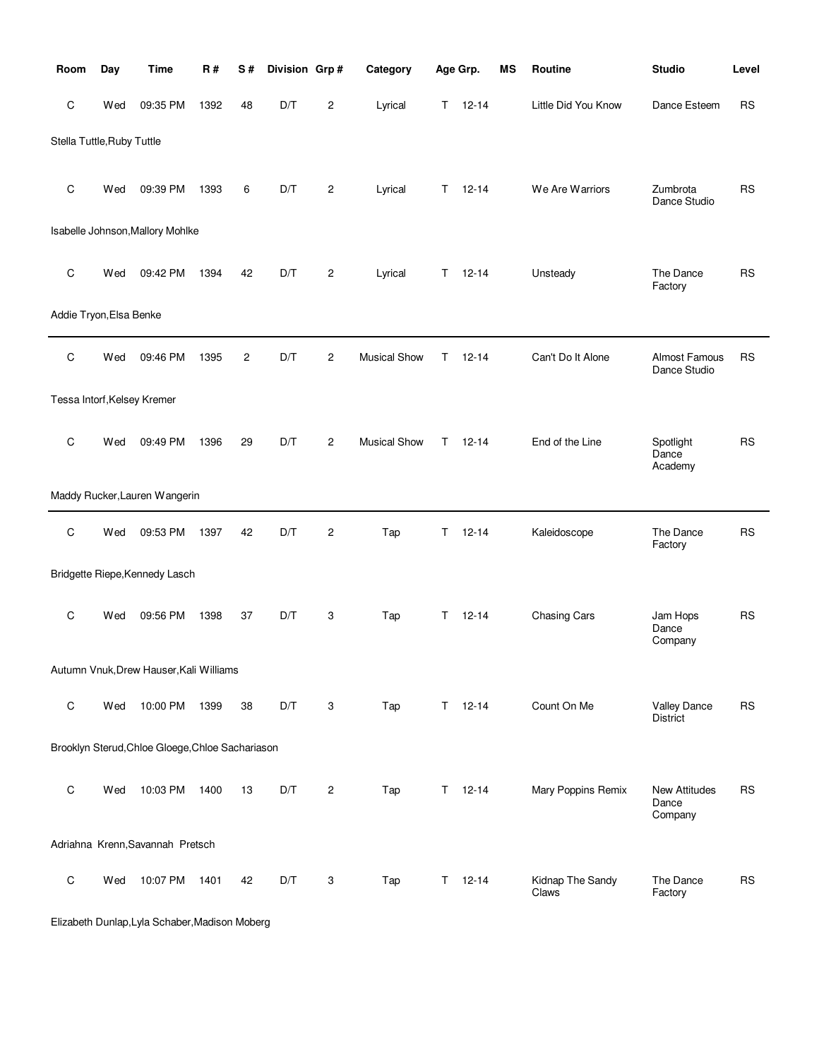| Room                        | Day | Time                                             | R#   | S# | Division Grp# |                | Category            |    | Age Grp.  | MS | Routine                   | <b>Studio</b>                     | Level     |
|-----------------------------|-----|--------------------------------------------------|------|----|---------------|----------------|---------------------|----|-----------|----|---------------------------|-----------------------------------|-----------|
| C                           | Wed | 09:35 PM                                         | 1392 | 48 | D/T           | 2              | Lyrical             | Τ  | $12 - 14$ |    | Little Did You Know       | Dance Esteem                      | <b>RS</b> |
| Stella Tuttle, Ruby Tuttle  |     |                                                  |      |    |               |                |                     |    |           |    |                           |                                   |           |
| C                           | Wed | 09:39 PM                                         | 1393 | 6  | D/T           | 2              | Lyrical             | T  | $12 - 14$ |    | We Are Warriors           | Zumbrota<br>Dance Studio          | <b>RS</b> |
|                             |     | Isabelle Johnson, Mallory Mohlke                 |      |    |               |                |                     |    |           |    |                           |                                   |           |
| C                           | Wed | 09:42 PM                                         | 1394 | 42 | D/T           | $\overline{c}$ | Lyrical             | Τ  | $12 - 14$ |    | Unsteady                  | The Dance<br>Factory              | <b>RS</b> |
| Addie Tryon, Elsa Benke     |     |                                                  |      |    |               |                |                     |    |           |    |                           |                                   |           |
| $\mathsf C$                 | Wed | 09:46 PM                                         | 1395 | 2  | D/T           | $\overline{2}$ | <b>Musical Show</b> | т  | $12 - 14$ |    | Can't Do It Alone         | Almost Famous<br>Dance Studio     | <b>RS</b> |
| Tessa Intorf, Kelsey Kremer |     |                                                  |      |    |               |                |                     |    |           |    |                           |                                   |           |
| C                           | Wed | 09:49 PM                                         | 1396 | 29 | D/T           | $\overline{2}$ | <b>Musical Show</b> | T  | $12 - 14$ |    | End of the Line           | Spotlight<br>Dance<br>Academy     | <b>RS</b> |
|                             |     | Maddy Rucker, Lauren Wangerin                    |      |    |               |                |                     |    |           |    |                           |                                   |           |
| $\mathbf C$                 | Wed | 09:53 PM                                         | 1397 | 42 | D/T           | $\overline{c}$ | Tap                 | T  | $12 - 14$ |    | Kaleidoscope              | The Dance<br>Factory              | <b>RS</b> |
|                             |     | Bridgette Riepe, Kennedy Lasch                   |      |    |               |                |                     |    |           |    |                           |                                   |           |
| C                           | Wed | 09:56 PM                                         | 1398 | 37 | D/T           | 3              | Tap                 | T. | $12 - 14$ |    | Chasing Cars              | Jam Hops<br>Dance<br>Company      | <b>RS</b> |
|                             |     | Autumn Vnuk, Drew Hauser, Kali Williams          |      |    |               |                |                     |    |           |    |                           |                                   |           |
| C                           | Wed | 10:00 PM                                         | 1399 | 38 | D/T           | 3              | Tap                 | T. | $12 - 14$ |    | Count On Me               | <b>Valley Dance</b><br>District   | <b>RS</b> |
|                             |     | Brooklyn Sterud, Chloe Gloege, Chloe Sachariason |      |    |               |                |                     |    |           |    |                           |                                   |           |
| C                           | Wed | 10:03 PM                                         | 1400 | 13 | D/T           | $\overline{c}$ | Tap                 | Τ  | $12 - 14$ |    | Mary Poppins Remix        | New Attitudes<br>Dance<br>Company | <b>RS</b> |
|                             |     | Adriahna Krenn, Savannah Pretsch                 |      |    |               |                |                     |    |           |    |                           |                                   |           |
| C                           | Wed | 10:07 PM                                         | 1401 | 42 | D/T           | 3              | Tap                 | T. | $12 - 14$ |    | Kidnap The Sandy<br>Claws | The Dance<br>Factory              | <b>RS</b> |

Elizabeth Dunlap,Lyla Schaber,Madison Moberg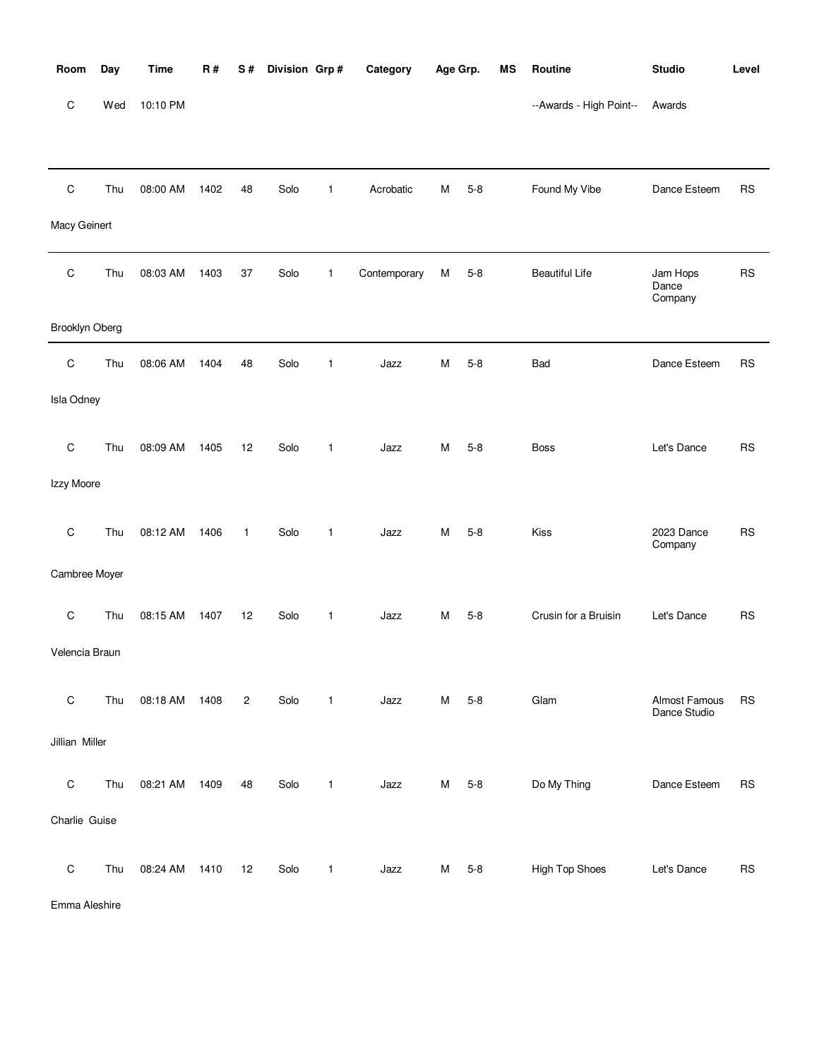| Room           | Day | <b>Time</b> | <b>R#</b> | S# | Division Grp# |              | Category     | Age Grp. |         | <b>MS</b> | Routine                 | <b>Studio</b>                 | Level     |
|----------------|-----|-------------|-----------|----|---------------|--------------|--------------|----------|---------|-----------|-------------------------|-------------------------------|-----------|
| $\mathsf C$    | Wed | 10:10 PM    |           |    |               |              |              |          |         |           | --Awards - High Point-- | Awards                        |           |
|                |     |             |           |    |               |              |              |          |         |           |                         |                               |           |
| $\mathsf C$    | Thu | 08:00 AM    | 1402      | 48 | Solo          | $\mathbf{1}$ | Acrobatic    | M        | $5 - 8$ |           | Found My Vibe           | Dance Esteem                  | <b>RS</b> |
| Macy Geinert   |     |             |           |    |               |              |              |          |         |           |                         |                               |           |
| $\mathsf C$    | Thu | 08:03 AM    | 1403      | 37 | Solo          | $\mathbf{1}$ | Contemporary | М        | $5 - 8$ |           | <b>Beautiful Life</b>   | Jam Hops<br>Dance<br>Company  | RS        |
| Brooklyn Oberg |     |             |           |    |               |              |              |          |         |           |                         |                               |           |
| $\mathsf C$    | Thu | 08:06 AM    | 1404      | 48 | Solo          | $\mathbf{1}$ | Jazz         | M        | $5 - 8$ |           | Bad                     | Dance Esteem                  | <b>RS</b> |
| Isla Odney     |     |             |           |    |               |              |              |          |         |           |                         |                               |           |
| $\mathsf C$    | Thu | 08:09 AM    | 1405      | 12 | Solo          | $\mathbf{1}$ | Jazz         | M        | $5 - 8$ |           | <b>Boss</b>             | Let's Dance                   | <b>RS</b> |
| Izzy Moore     |     |             |           |    |               |              |              |          |         |           |                         |                               |           |
| $\mathbf C$    | Thu | 08:12 AM    | 1406      | 1  | Solo          | $\mathbf{1}$ | Jazz         | м        | $5 - 8$ |           | Kiss                    | 2023 Dance<br>Company         | <b>RS</b> |
| Cambree Moyer  |     |             |           |    |               |              |              |          |         |           |                         |                               |           |
| $\mathsf C$    | Thu | 08:15 AM    | 1407      | 12 | Solo          | $\mathbf{1}$ | Jazz         | м        | $5 - 8$ |           | Crusin for a Bruisin    | Let's Dance                   | <b>RS</b> |
| Velencia Braun |     |             |           |    |               |              |              |          |         |           |                         |                               |           |
| $\mathsf C$    | Thu | 08:18 AM    | 1408      | 2  | Solo          | $\mathbf{1}$ | Jazz         | M        | $5 - 8$ |           | Glam                    | Almost Famous<br>Dance Studio | <b>RS</b> |
| Jillian Miller |     |             |           |    |               |              |              |          |         |           |                         |                               |           |
| $\mathsf C$    | Thu | 08:21 AM    | 1409      | 48 | Solo          | $\mathbf{1}$ | Jazz         | М        | $5 - 8$ |           | Do My Thing             | Dance Esteem                  | <b>RS</b> |
| Charlie Guise  |     |             |           |    |               |              |              |          |         |           |                         |                               |           |
| $\mathsf C$    | Thu | 08:24 AM    | 1410      | 12 | Solo          | $\mathbf{1}$ | Jazz         | М        | $5 - 8$ |           | High Top Shoes          | Let's Dance                   | <b>RS</b> |

Emma Aleshire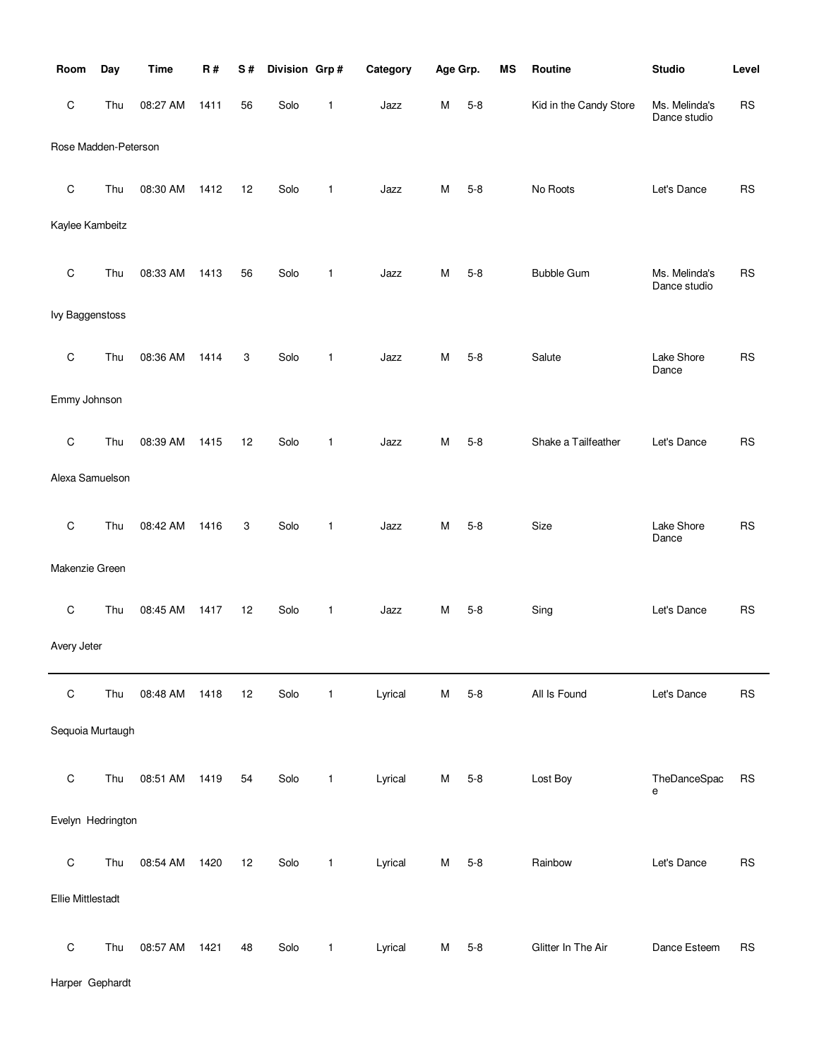| Room                     | Day | <b>Time</b> | R#   | S# | Division Grp# |              | Category | Age Grp. |         | MS | Routine                | <b>Studio</b>                 | Level     |
|--------------------------|-----|-------------|------|----|---------------|--------------|----------|----------|---------|----|------------------------|-------------------------------|-----------|
| C                        | Thu | 08:27 AM    | 1411 | 56 | Solo          | 1            | Jazz     | M        | $5 - 8$ |    | Kid in the Candy Store | Ms. Melinda's<br>Dance studio | <b>RS</b> |
| Rose Madden-Peterson     |     |             |      |    |               |              |          |          |         |    |                        |                               |           |
| C                        | Thu | 08:30 AM    | 1412 | 12 | Solo          | 1            | Jazz     | M        | $5 - 8$ |    | No Roots               | Let's Dance                   | <b>RS</b> |
| Kaylee Kambeitz          |     |             |      |    |               |              |          |          |         |    |                        |                               |           |
| C                        | Thu | 08:33 AM    | 1413 | 56 | Solo          | 1            | Jazz     | M        | $5 - 8$ |    | <b>Bubble Gum</b>      | Ms. Melinda's<br>Dance studio | <b>RS</b> |
| <b>lvy Baggenstoss</b>   |     |             |      |    |               |              |          |          |         |    |                        |                               |           |
| C                        | Thu | 08:36 AM    | 1414 | 3  | Solo          | 1            | Jazz     | M        | $5 - 8$ |    | Salute                 | Lake Shore<br>Dance           | <b>RS</b> |
| Emmy Johnson             |     |             |      |    |               |              |          |          |         |    |                        |                               |           |
| C                        | Thu | 08:39 AM    | 1415 | 12 | Solo          | 1            | Jazz     | M        | $5 - 8$ |    | Shake a Tailfeather    | Let's Dance                   | <b>RS</b> |
| Alexa Samuelson          |     |             |      |    |               |              |          |          |         |    |                        |                               |           |
| C                        | Thu | 08:42 AM    | 1416 | 3  | Solo          | 1            | Jazz     | M        | $5 - 8$ |    | Size                   | Lake Shore<br>Dance           | <b>RS</b> |
| Makenzie Green           |     |             |      |    |               |              |          |          |         |    |                        |                               |           |
| C                        | Thu | 08:45 AM    | 1417 | 12 | Solo          | 1            | Jazz     | M        | $5 - 8$ |    | Sing                   | Let's Dance                   | <b>RS</b> |
| Avery Jeter              |     |             |      |    |               |              |          |          |         |    |                        |                               |           |
| C                        | Thu | 08:48 AM    | 1418 | 12 | Solo          | $\mathbf{1}$ | Lyrical  | M        | $5 - 8$ |    | All Is Found           | Let's Dance                   | <b>RS</b> |
| Sequoia Murtaugh         |     |             |      |    |               |              |          |          |         |    |                        |                               |           |
| $\mathsf C$              | Thu | 08:51 AM    | 1419 | 54 | Solo          | $\mathbf{1}$ | Lyrical  | M        | $5 - 8$ |    | Lost Boy               | TheDanceSpac<br>е             | <b>RS</b> |
| Evelyn Hedrington        |     |             |      |    |               |              |          |          |         |    |                        |                               |           |
| $\mathsf C$              | Thu | 08:54 AM    | 1420 | 12 | Solo          | $\mathbf{1}$ | Lyrical  | M        | $5 - 8$ |    | Rainbow                | Let's Dance                   | <b>RS</b> |
| <b>Ellie Mittlestadt</b> |     |             |      |    |               |              |          |          |         |    |                        |                               |           |
| $\mathsf C$              | Thu | 08:57 AM    | 1421 | 48 | Solo          | 1            | Lyrical  | M        | $5 - 8$ |    | Glitter In The Air     | Dance Esteem                  | <b>RS</b> |

Harper Gephardt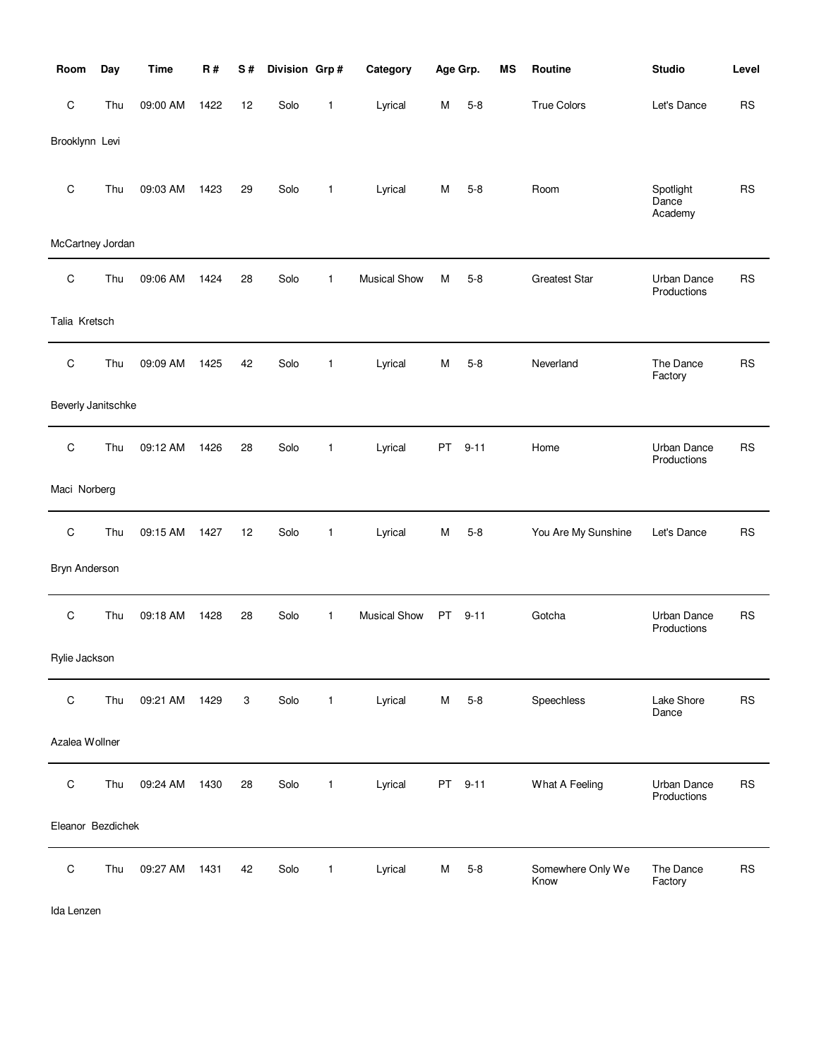| Room               | Day | Time     | R#   | S# | Division Grp# |              | Category            | Age Grp. |          | <b>MS</b> | Routine                   | <b>Studio</b>                 | Level     |
|--------------------|-----|----------|------|----|---------------|--------------|---------------------|----------|----------|-----------|---------------------------|-------------------------------|-----------|
| $\mathsf C$        | Thu | 09:00 AM | 1422 | 12 | Solo          | 1            | Lyrical             | M        | $5 - 8$  |           | <b>True Colors</b>        | Let's Dance                   | <b>RS</b> |
| Brooklynn Levi     |     |          |      |    |               |              |                     |          |          |           |                           |                               |           |
| $\mathsf C$        | Thu | 09:03 AM | 1423 | 29 | Solo          | 1            | Lyrical             | M        | $5 - 8$  |           | Room                      | Spotlight<br>Dance<br>Academy | <b>RS</b> |
| McCartney Jordan   |     |          |      |    |               |              |                     |          |          |           |                           |                               |           |
| C                  | Thu | 09:06 AM | 1424 | 28 | Solo          | 1            | <b>Musical Show</b> | М        | $5 - 8$  |           | <b>Greatest Star</b>      | Urban Dance<br>Productions    | <b>RS</b> |
| Talia Kretsch      |     |          |      |    |               |              |                     |          |          |           |                           |                               |           |
| $\mathsf C$        | Thu | 09:09 AM | 1425 | 42 | Solo          | 1            | Lyrical             | M        | $5 - 8$  |           | Neverland                 | The Dance<br>Factory          | <b>RS</b> |
| Beverly Janitschke |     |          |      |    |               |              |                     |          |          |           |                           |                               |           |
| $\mathsf C$        | Thu | 09:12 AM | 1426 | 28 | Solo          | 1            | Lyrical             | PT       | $9 - 11$ |           | Home                      | Urban Dance<br>Productions    | <b>RS</b> |
| Maci Norberg       |     |          |      |    |               |              |                     |          |          |           |                           |                               |           |
| $\mathsf C$        | Thu | 09:15 AM | 1427 | 12 | Solo          | 1            | Lyrical             | М        | $5 - 8$  |           | You Are My Sunshine       | Let's Dance                   | <b>RS</b> |
| Bryn Anderson      |     |          |      |    |               |              |                     |          |          |           |                           |                               |           |
| $\mathsf C$        | Thu | 09:18 AM | 1428 | 28 | Solo          | 1            | <b>Musical Show</b> | PT       | $9 - 11$ |           | Gotcha                    | Urban Dance<br>Productions    | <b>RS</b> |
| Rylie Jackson      |     |          |      |    |               |              |                     |          |          |           |                           |                               |           |
| $\mathsf C$        | Thu | 09:21 AM | 1429 | 3  | Solo          | $\mathbf{1}$ | Lyrical             | M        | $5 - 8$  |           | Speechless                | Lake Shore<br>Dance           | <b>RS</b> |
| Azalea Wollner     |     |          |      |    |               |              |                     |          |          |           |                           |                               |           |
| $\mathsf C$        | Thu | 09:24 AM | 1430 | 28 | Solo          | 1            | Lyrical             | PT       | $9 - 11$ |           | What A Feeling            | Urban Dance<br>Productions    | <b>RS</b> |
| Eleanor Bezdichek  |     |          |      |    |               |              |                     |          |          |           |                           |                               |           |
| $\mathsf C$        | Thu | 09:27 AM | 1431 | 42 | Solo          | 1            | Lyrical             | М        | $5 - 8$  |           | Somewhere Only We<br>Know | The Dance<br>Factory          | <b>RS</b> |

Ida Lenzen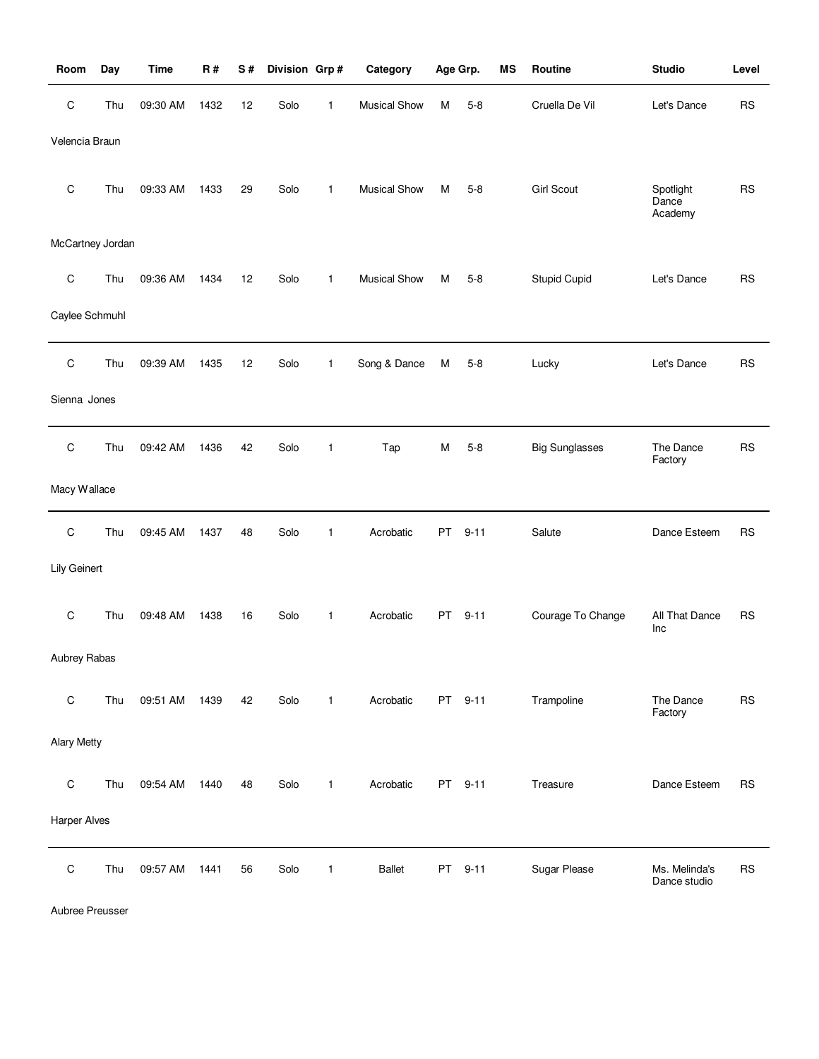| Room                | Day | <b>Time</b> | R#   | S# | Division Grp# |   | Category            |    | Age Grp. | ΜS | Routine               | <b>Studio</b>                 | Level     |
|---------------------|-----|-------------|------|----|---------------|---|---------------------|----|----------|----|-----------------------|-------------------------------|-----------|
| $\mathsf C$         | Thu | 09:30 AM    | 1432 | 12 | Solo          | 1 | <b>Musical Show</b> | M  | $5 - 8$  |    | Cruella De Vil        | Let's Dance                   | <b>RS</b> |
| Velencia Braun      |     |             |      |    |               |   |                     |    |          |    |                       |                               |           |
| $\mathsf C$         | Thu | 09:33 AM    | 1433 | 29 | Solo          | 1 | <b>Musical Show</b> | М  | $5 - 8$  |    | <b>Girl Scout</b>     | Spotlight<br>Dance<br>Academy | <b>RS</b> |
| McCartney Jordan    |     |             |      |    |               |   |                     |    |          |    |                       |                               |           |
| $\mathsf C$         | Thu | 09:36 AM    | 1434 | 12 | Solo          | 1 | <b>Musical Show</b> | М  | $5 - 8$  |    | Stupid Cupid          | Let's Dance                   | <b>RS</b> |
| Caylee Schmuhl      |     |             |      |    |               |   |                     |    |          |    |                       |                               |           |
| $\mathsf C$         | Thu | 09:39 AM    | 1435 | 12 | Solo          | 1 | Song & Dance        | M  | $5 - 8$  |    | Lucky                 | Let's Dance                   | <b>RS</b> |
| Sienna Jones        |     |             |      |    |               |   |                     |    |          |    |                       |                               |           |
| $\mathsf C$         | Thu | 09:42 AM    | 1436 | 42 | Solo          | 1 | Tap                 | M  | $5 - 8$  |    | <b>Big Sunglasses</b> | The Dance<br>Factory          | <b>RS</b> |
| Macy Wallace        |     |             |      |    |               |   |                     |    |          |    |                       |                               |           |
| $\mathsf C$         | Thu | 09:45 AM    | 1437 | 48 | Solo          | 1 | Acrobatic           | PT | $9 - 11$ |    | Salute                | Dance Esteem                  | <b>RS</b> |
| Lily Geinert        |     |             |      |    |               |   |                     |    |          |    |                       |                               |           |
| $\mathsf C$         | Thu | 09:48 AM    | 1438 | 16 | Solo          | 1 | Acrobatic           | PT | $9 - 11$ |    | Courage To Change     | All That Dance<br>Inc         | <b>RS</b> |
| Aubrey Rabas        |     |             |      |    |               |   |                     |    |          |    |                       |                               |           |
| $\mathsf C$         | Thu | 09:51 AM    | 1439 | 42 | Solo          | 1 | Acrobatic           |    | PT 9-11  |    | Trampoline            | The Dance<br>Factory          | <b>RS</b> |
| <b>Alary Metty</b>  |     |             |      |    |               |   |                     |    |          |    |                       |                               |           |
| $\mathsf C$         | Thu | 09:54 AM    | 1440 | 48 | Solo          | 1 | Acrobatic           | PT | $9 - 11$ |    | Treasure              | Dance Esteem                  | <b>RS</b> |
| <b>Harper Alves</b> |     |             |      |    |               |   |                     |    |          |    |                       |                               |           |
| $\mathsf C$         | Thu | 09:57 AM    | 1441 | 56 | Solo          | 1 | <b>Ballet</b>       | PT | $9 - 11$ |    | Sugar Please          | Ms. Melinda's<br>Dance studio | <b>RS</b> |

Aubree Preusser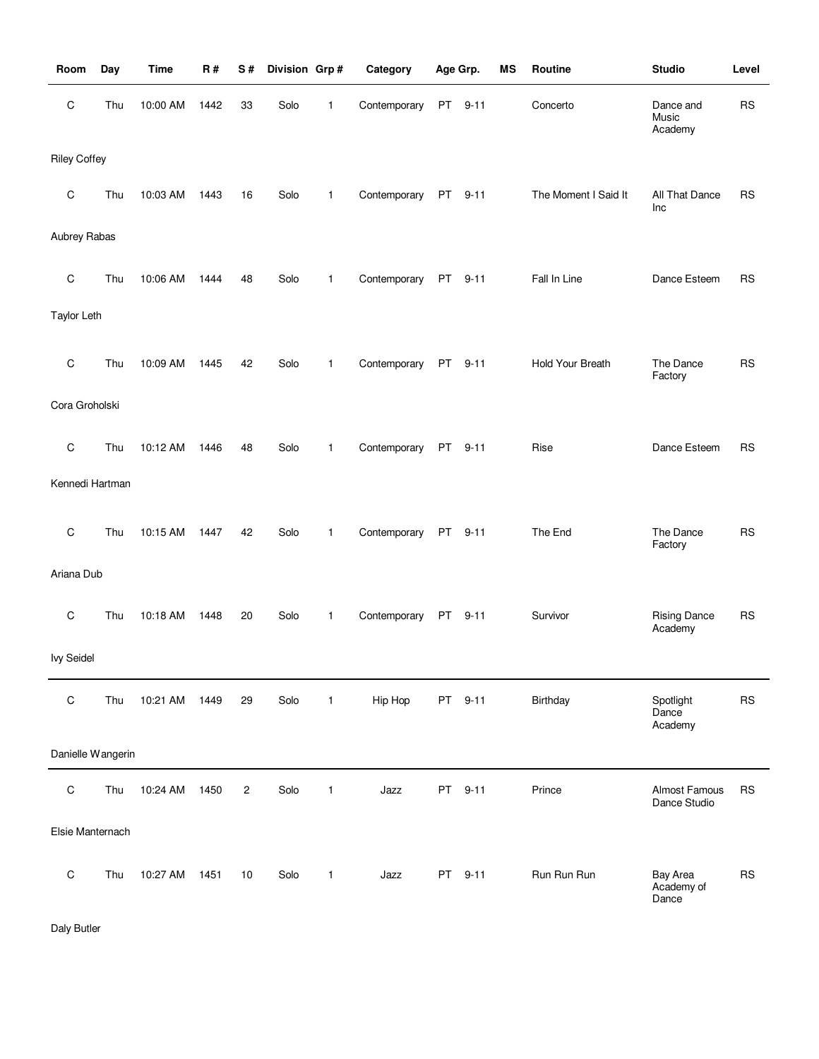| Room                | Day | <b>Time</b> | <b>R#</b> | S#             | Division Grp# |              | Category     |    | Age Grp. | MS | Routine                 | <b>Studio</b>                   | Level     |
|---------------------|-----|-------------|-----------|----------------|---------------|--------------|--------------|----|----------|----|-------------------------|---------------------------------|-----------|
| $\mathsf C$         | Thu | 10:00 AM    | 1442      | 33             | Solo          | 1            | Contemporary | PT | $9 - 11$ |    | Concerto                | Dance and<br>Music<br>Academy   | <b>RS</b> |
| <b>Riley Coffey</b> |     |             |           |                |               |              |              |    |          |    |                         |                                 |           |
| $\mathbf C$         | Thu | 10:03 AM    | 1443      | 16             | Solo          | $\mathbf{1}$ | Contemporary | PT | $9 - 11$ |    | The Moment I Said It    | All That Dance<br>Inc           | <b>RS</b> |
| Aubrey Rabas        |     |             |           |                |               |              |              |    |          |    |                         |                                 |           |
| $\mathsf C$         | Thu | 10:06 AM    | 1444      | 48             | Solo          | $\mathbf{1}$ | Contemporary |    | PT 9-11  |    | Fall In Line            | Dance Esteem                    | <b>RS</b> |
| <b>Taylor Leth</b>  |     |             |           |                |               |              |              |    |          |    |                         |                                 |           |
| $\mathsf C$         | Thu | 10:09 AM    | 1445      | 42             | Solo          | $\mathbf{1}$ | Contemporary |    | PT 9-11  |    | <b>Hold Your Breath</b> | The Dance<br>Factory            | <b>RS</b> |
| Cora Groholski      |     |             |           |                |               |              |              |    |          |    |                         |                                 |           |
| $\mathsf C$         | Thu | 10:12 AM    | 1446      | 48             | Solo          | $\mathbf{1}$ | Contemporary |    | PT 9-11  |    | Rise                    | Dance Esteem                    | <b>RS</b> |
| Kennedi Hartman     |     |             |           |                |               |              |              |    |          |    |                         |                                 |           |
| $\mathsf C$         | Thu | 10:15 AM    | 1447      | 42             | Solo          | $\mathbf{1}$ | Contemporary | PT | $9 - 11$ |    | The End                 | The Dance<br>Factory            | <b>RS</b> |
| Ariana Dub          |     |             |           |                |               |              |              |    |          |    |                         |                                 |           |
| C                   | Thu | 10:18 AM    | 1448      | 20             | Solo          | 1            | Contemporary |    | PT 9-11  |    | Survivor                | <b>Rising Dance</b><br>Academy  | <b>RS</b> |
| <b>Ivy Seidel</b>   |     |             |           |                |               |              |              |    |          |    |                         |                                 |           |
| $\mathsf C$         | Thu | 10:21 AM    | 1449      | 29             | Solo          | $\mathbf{1}$ | Hip Hop      |    | PT 9-11  |    | Birthday                | Spotlight<br>Dance<br>Academy   | <b>RS</b> |
| Danielle Wangerin   |     |             |           |                |               |              |              |    |          |    |                         |                                 |           |
| $\mathsf C$         | Thu | 10:24 AM    | 1450      | $\overline{c}$ | Solo          | $\mathbf{1}$ | Jazz         | PT | $9 - 11$ |    | Prince                  | Almost Famous<br>Dance Studio   | <b>RS</b> |
| Elsie Manternach    |     |             |           |                |               |              |              |    |          |    |                         |                                 |           |
| $\mathsf C$         | Thu | 10:27 AM    | 1451      | 10             | Solo          | $\mathbf{1}$ | Jazz         |    | PT 9-11  |    | Run Run Run             | Bay Area<br>Academy of<br>Dance | <b>RS</b> |

Daly Butler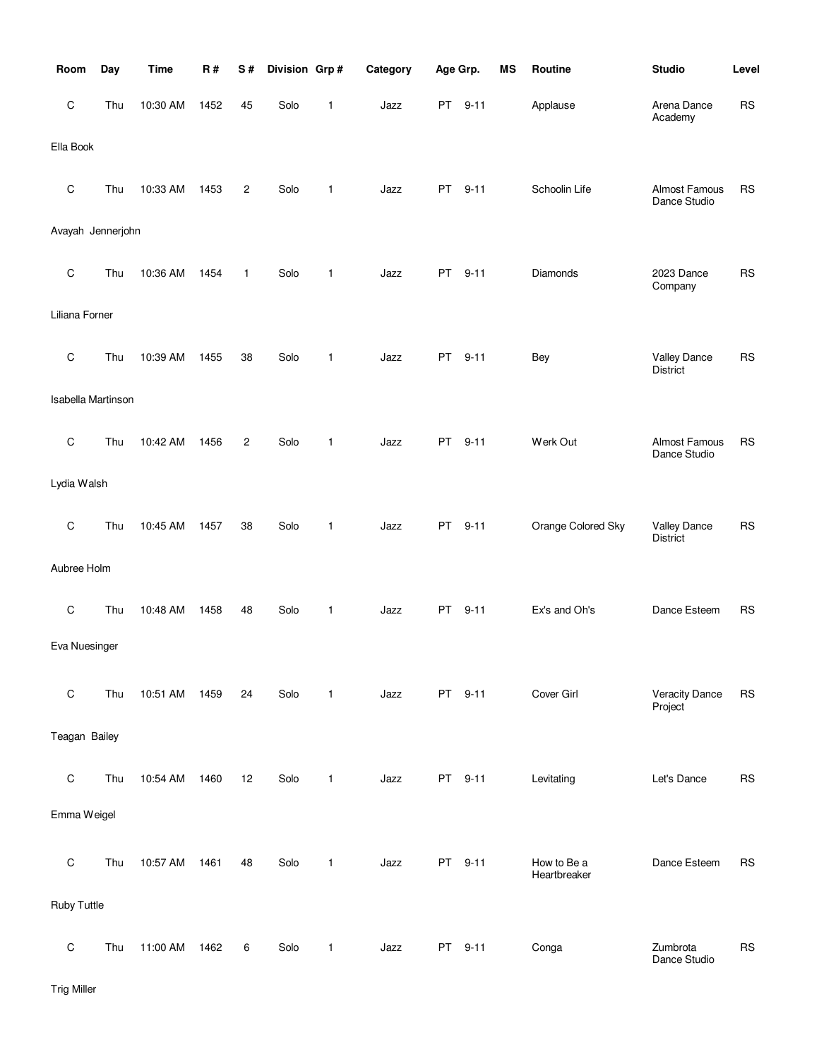| Room               | Day | <b>Time</b> | R#   | S#             | Division Grp# |   | Category | Age Grp.  |          | <b>MS</b> | Routine                     | <b>Studio</b>                          | Level     |
|--------------------|-----|-------------|------|----------------|---------------|---|----------|-----------|----------|-----------|-----------------------------|----------------------------------------|-----------|
| $\mathsf C$        | Thu | 10:30 AM    | 1452 | 45             | Solo          | 1 | Jazz     | PT        | $9 - 11$ |           | Applause                    | Arena Dance<br>Academy                 | <b>RS</b> |
| Ella Book          |     |             |      |                |               |   |          |           |          |           |                             |                                        |           |
| $\mathsf C$        | Thu | 10:33 AM    | 1453 | $\overline{c}$ | Solo          | 1 | Jazz     | PT        | $9 - 11$ |           | Schoolin Life               | Almost Famous<br>Dance Studio          | <b>RS</b> |
| Avayah Jennerjohn  |     |             |      |                |               |   |          |           |          |           |                             |                                        |           |
| $\mathsf C$        | Thu | 10:36 AM    | 1454 | $\mathbf{1}$   | Solo          | 1 | Jazz     | <b>PT</b> | $9 - 11$ |           | Diamonds                    | 2023 Dance<br>Company                  | <b>RS</b> |
| Liliana Forner     |     |             |      |                |               |   |          |           |          |           |                             |                                        |           |
| C                  | Thu | 10:39 AM    | 1455 | 38             | Solo          | 1 | Jazz     | PT.       | $9 - 11$ |           | <b>Bey</b>                  | <b>Valley Dance</b><br><b>District</b> | <b>RS</b> |
| Isabella Martinson |     |             |      |                |               |   |          |           |          |           |                             |                                        |           |
| C                  | Thu | 10:42 AM    | 1456 | $\overline{c}$ | Solo          | 1 | Jazz     | <b>PT</b> | $9 - 11$ |           | Werk Out                    | Almost Famous<br>Dance Studio          | <b>RS</b> |
| Lydia Walsh        |     |             |      |                |               |   |          |           |          |           |                             |                                        |           |
| $\mathsf C$        | Thu | 10:45 AM    | 1457 | 38             | Solo          | 1 | Jazz     | PT        | $9 - 11$ |           | Orange Colored Sky          | Valley Dance<br><b>District</b>        | <b>RS</b> |
| Aubree Holm        |     |             |      |                |               |   |          |           |          |           |                             |                                        |           |
| $\mathsf C$        | Thu | 10:48 AM    | 1458 | 48             | Solo          | 1 | Jazz     | PT        | $9 - 11$ |           | Ex's and Oh's               | Dance Esteem                           | <b>RS</b> |
| Eva Nuesinger      |     |             |      |                |               |   |          |           |          |           |                             |                                        |           |
| $\mathsf C$        | Thu | 10:51 AM    | 1459 | 24             | Solo          | 1 | Jazz     | PT        | $9 - 11$ |           | Cover Girl                  | <b>Veracity Dance</b><br>Project       | <b>RS</b> |
| Teagan Bailey      |     |             |      |                |               |   |          |           |          |           |                             |                                        |           |
| $\mathbf C$        | Thu | 10:54 AM    | 1460 | 12             | Solo          | 1 | Jazz     |           | PT 9-11  |           | Levitating                  | Let's Dance                            | <b>RS</b> |
| Emma Weigel        |     |             |      |                |               |   |          |           |          |           |                             |                                        |           |
| $\mathsf C$        | Thu | 10:57 AM    | 1461 | 48             | Solo          | 1 | Jazz     | PT        | $9 - 11$ |           | How to Be a<br>Heartbreaker | Dance Esteem                           | <b>RS</b> |
| Ruby Tuttle        |     |             |      |                |               |   |          |           |          |           |                             |                                        |           |
| $\mathsf C$        | Thu | 11:00 AM    | 1462 | 6              | Solo          | 1 | Jazz     |           | PT 9-11  |           | Conga                       | Zumbrota<br>Dance Studio               | <b>RS</b> |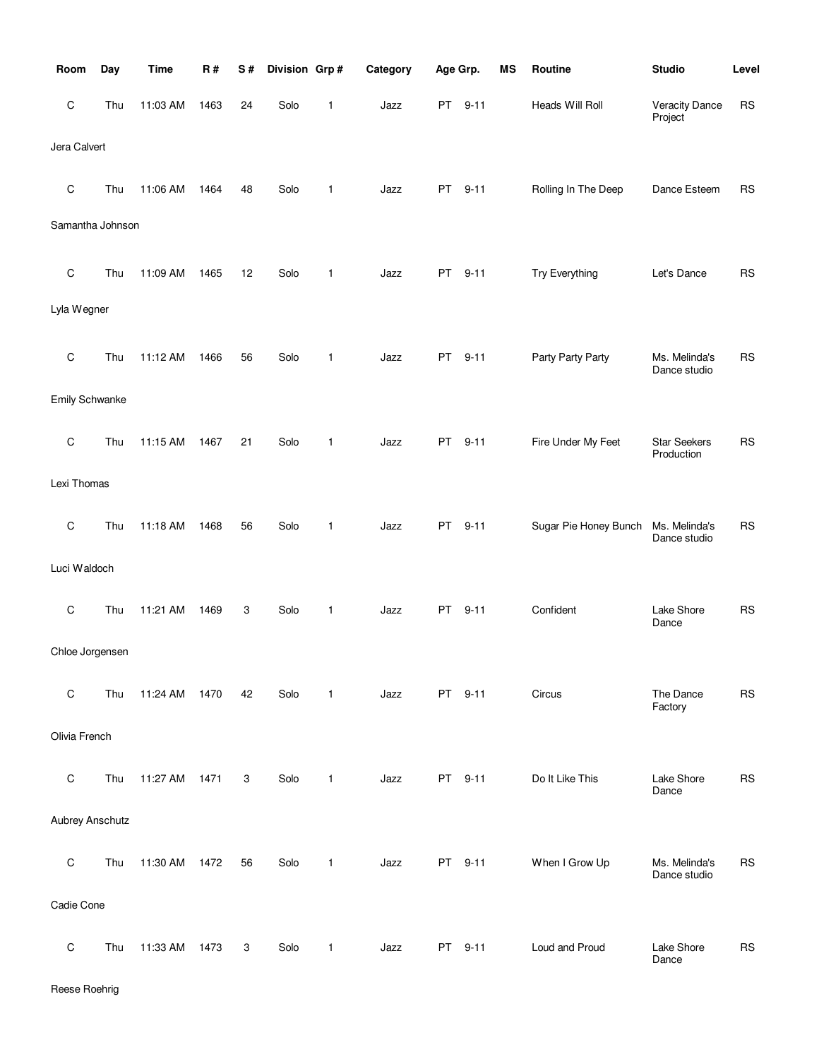| Room                   | Day | <b>Time</b> | R#   | S# | Division Grp# |   | Category | Age Grp.  |          | MS | Routine               | <b>Studio</b>                     | Level      |
|------------------------|-----|-------------|------|----|---------------|---|----------|-----------|----------|----|-----------------------|-----------------------------------|------------|
| $\mathsf C$            | Thu | 11:03 AM    | 1463 | 24 | Solo          | 1 | Jazz     | PT        | $9 - 11$ |    | Heads Will Roll       | <b>Veracity Dance</b><br>Project  | <b>RS</b>  |
| Jera Calvert           |     |             |      |    |               |   |          |           |          |    |                       |                                   |            |
| $\mathsf C$            | Thu | 11:06 AM    | 1464 | 48 | Solo          | 1 | Jazz     | PT        | $9 - 11$ |    | Rolling In The Deep   | Dance Esteem                      | <b>RS</b>  |
| Samantha Johnson       |     |             |      |    |               |   |          |           |          |    |                       |                                   |            |
| $\mathsf C$            | Thu | 11:09 AM    | 1465 | 12 | Solo          | 1 | Jazz     | PT        | $9 - 11$ |    | Try Everything        | Let's Dance                       | ${\sf RS}$ |
| Lyla Wegner            |     |             |      |    |               |   |          |           |          |    |                       |                                   |            |
| $\mathsf C$            | Thu | 11:12 AM    | 1466 | 56 | Solo          | 1 | Jazz     | PT        | $9 - 11$ |    | Party Party Party     | Ms. Melinda's<br>Dance studio     | <b>RS</b>  |
| <b>Emily Schwanke</b>  |     |             |      |    |               |   |          |           |          |    |                       |                                   |            |
| $\mathsf C$            | Thu | 11:15 AM    | 1467 | 21 | Solo          | 1 | Jazz     | <b>PT</b> | $9 - 11$ |    | Fire Under My Feet    | <b>Star Seekers</b><br>Production | <b>RS</b>  |
| Lexi Thomas            |     |             |      |    |               |   |          |           |          |    |                       |                                   |            |
| $\mathsf C$            | Thu | 11:18 AM    | 1468 | 56 | Solo          | 1 | Jazz     | PT        | $9 - 11$ |    | Sugar Pie Honey Bunch | Ms. Melinda's<br>Dance studio     | <b>RS</b>  |
| Luci Waldoch           |     |             |      |    |               |   |          |           |          |    |                       |                                   |            |
| $\mathsf C$            | Thu | 11:21 AM    | 1469 | 3  | Solo          | 1 | Jazz     | <b>PT</b> | $9 - 11$ |    | Confident             | Lake Shore<br>Dance               | <b>RS</b>  |
| Chloe Jorgensen        |     |             |      |    |               |   |          |           |          |    |                       |                                   |            |
| $\mathsf C$            | Thu | 11:24 AM    | 1470 | 42 | Solo          | 1 | Jazz     | PT        | $9 - 11$ |    | Circus                | The Dance<br>Factory              | <b>RS</b>  |
| Olivia French          |     |             |      |    |               |   |          |           |          |    |                       |                                   |            |
| $\mathsf C$            | Thu | 11:27 AM    | 1471 | 3  | Solo          | 1 | Jazz     | PT        | $9 - 11$ |    | Do It Like This       | Lake Shore<br>Dance               | RS         |
| <b>Aubrey Anschutz</b> |     |             |      |    |               |   |          |           |          |    |                       |                                   |            |
| $\mathsf C$            | Thu | 11:30 AM    | 1472 | 56 | Solo          | 1 | Jazz     | PT        | $9 - 11$ |    | When I Grow Up        | Ms. Melinda's<br>Dance studio     | <b>RS</b>  |
| Cadie Cone             |     |             |      |    |               |   |          |           |          |    |                       |                                   |            |
| $\mathsf C$            | Thu | 11:33 AM    | 1473 | 3  | Solo          | 1 | Jazz     | PT        | $9 - 11$ |    | Loud and Proud        | Lake Shore<br>Dance               | <b>RS</b>  |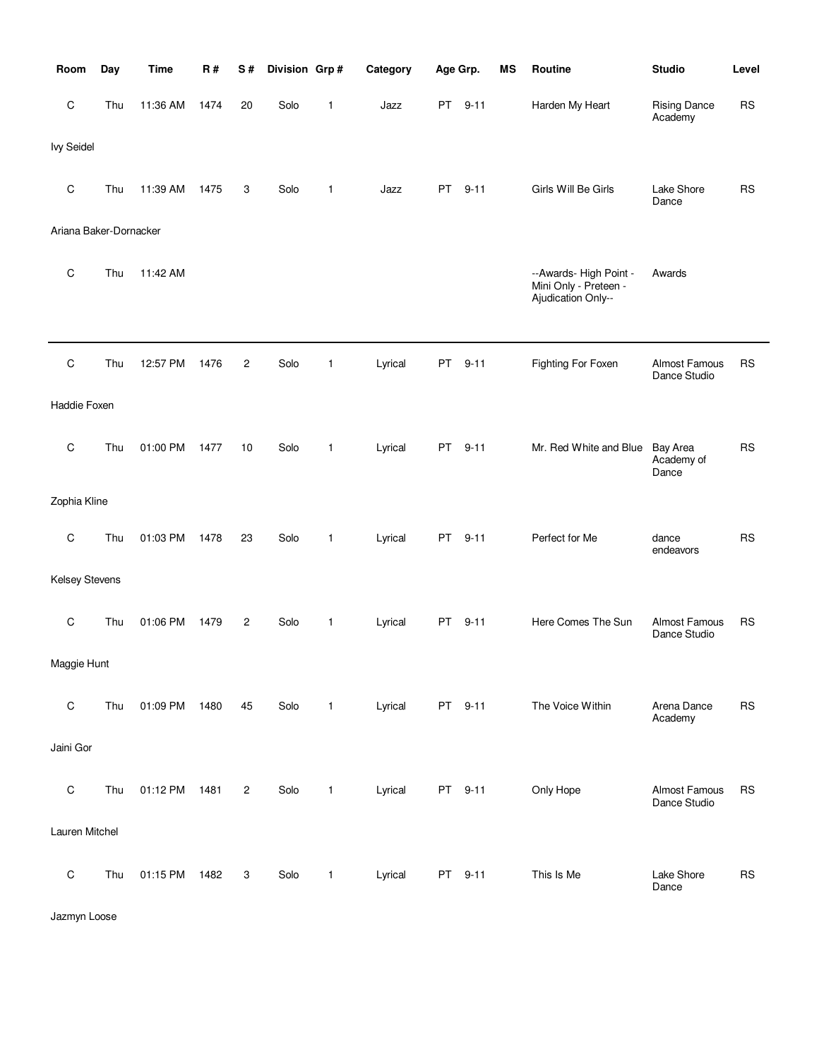| Room                   | Day | <b>Time</b> | R#   | S#             | Division Grp# |              | Category | Age Grp. |          | <b>MS</b> | <b>Routine</b>                                                        | <b>Studio</b>                          | Level     |
|------------------------|-----|-------------|------|----------------|---------------|--------------|----------|----------|----------|-----------|-----------------------------------------------------------------------|----------------------------------------|-----------|
| С                      | Thu | 11:36 AM    | 1474 | 20             | Solo          | 1            | Jazz     | PT       | $9 - 11$ |           | Harden My Heart                                                       | <b>Rising Dance</b><br>Academy         | <b>RS</b> |
| <b>Ivy Seidel</b>      |     |             |      |                |               |              |          |          |          |           |                                                                       |                                        |           |
| С                      | Thu | 11:39 AM    | 1475 | 3              | Solo          | $\mathbf{1}$ | Jazz     | PT       | $9 - 11$ |           | Girls Will Be Girls                                                   | Lake Shore<br>Dance                    | <b>RS</b> |
| Ariana Baker-Dornacker |     |             |      |                |               |              |          |          |          |           |                                                                       |                                        |           |
| С                      | Thu | 11:42 AM    |      |                |               |              |          |          |          |           | --Awards- High Point -<br>Mini Only - Preteen -<br>Ajudication Only-- | Awards                                 |           |
|                        |     |             |      |                |               |              |          |          |          |           |                                                                       |                                        |           |
| C                      | Thu | 12:57 PM    | 1476 | $\overline{c}$ | Solo          | 1            | Lyrical  | PT       | $9 - 11$ |           | Fighting For Foxen                                                    | Almost Famous<br>Dance Studio          | RS        |
| Haddie Foxen           |     |             |      |                |               |              |          |          |          |           |                                                                       |                                        |           |
| C                      | Thu | 01:00 PM    | 1477 | 10             | Solo          | $\mathbf{1}$ | Lyrical  | PT       | $9 - 11$ |           | Mr. Red White and Blue                                                | <b>Bay Area</b><br>Academy of<br>Dance | <b>RS</b> |
| Zophia Kline           |     |             |      |                |               |              |          |          |          |           |                                                                       |                                        |           |
| С                      | Thu | 01:03 PM    | 1478 | 23             | Solo          | 1            | Lyrical  | PT       | $9 - 11$ |           | Perfect for Me                                                        | dance<br>endeavors                     | <b>RS</b> |
| Kelsey Stevens         |     |             |      |                |               |              |          |          |          |           |                                                                       |                                        |           |
| С                      | Thu | 01:06 PM    | 1479 | $\overline{c}$ | Solo          | $\mathbf{1}$ | Lyrical  | PT       | $9 - 11$ |           | Here Comes The Sun                                                    | <b>Almost Famous</b><br>Dance Studio   | <b>RS</b> |
| Maggie Hunt            |     |             |      |                |               |              |          |          |          |           |                                                                       |                                        |           |
| C                      | Thu | 01:09 PM    | 1480 | 45             | Solo          | $\mathbf{1}$ | Lyrical  |          | PT 9-11  |           | The Voice Within                                                      | Arena Dance<br>Academy                 | <b>RS</b> |
| Jaini Gor              |     |             |      |                |               |              |          |          |          |           |                                                                       |                                        |           |
| $\mathsf C$            | Thu | 01:12 PM    | 1481 | $\overline{c}$ | Solo          | $\mathbf{1}$ | Lyrical  |          | PT 9-11  |           | Only Hope                                                             | Almost Famous<br>Dance Studio          | <b>RS</b> |
| Lauren Mitchel         |     |             |      |                |               |              |          |          |          |           |                                                                       |                                        |           |
| C                      | Thu | 01:15 PM    | 1482 | 3              | Solo          | 1            | Lyrical  |          | PT 9-11  |           | This Is Me                                                            | Lake Shore<br>Dance                    | <b>RS</b> |

Jazmyn Loose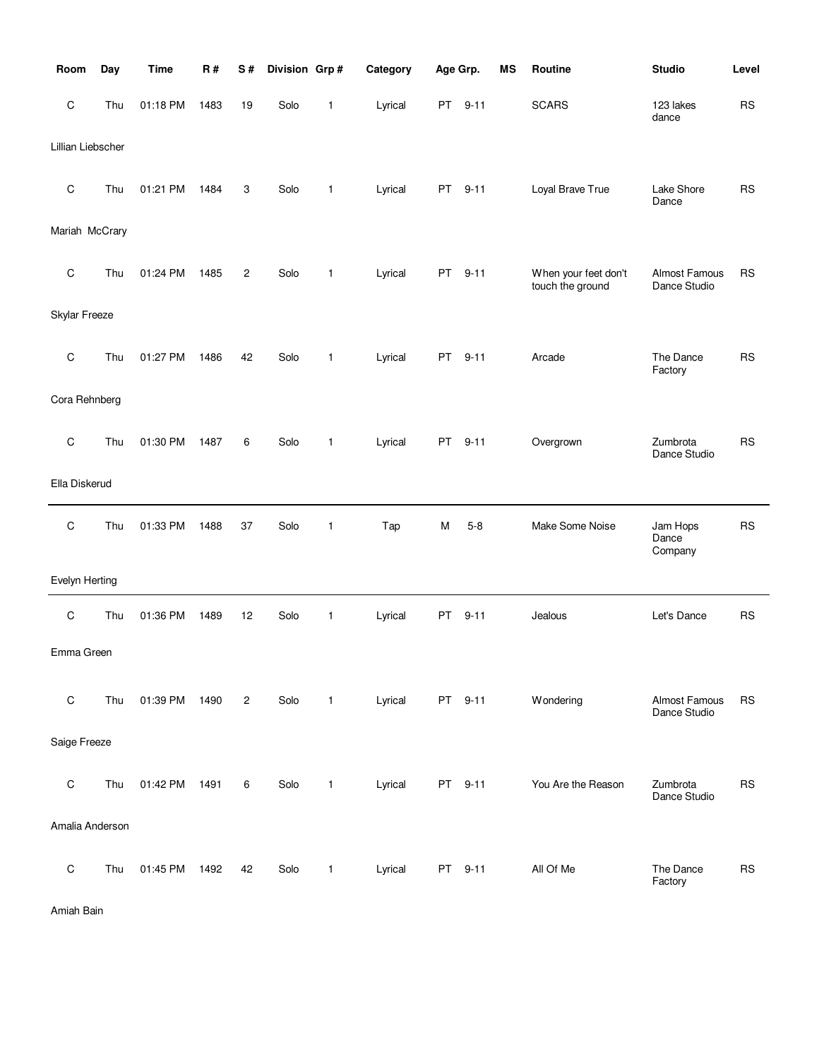| Room              | Day | <b>Time</b> | R#   | S#             | Division Grp# |              | Category | Age Grp.  |          | MS | Routine                                  | <b>Studio</b>                        | Level     |
|-------------------|-----|-------------|------|----------------|---------------|--------------|----------|-----------|----------|----|------------------------------------------|--------------------------------------|-----------|
| C                 | Thu | 01:18 PM    | 1483 | 19             | Solo          | 1            | Lyrical  | <b>PT</b> | $9 - 11$ |    | <b>SCARS</b>                             | 123 lakes<br>dance                   | <b>RS</b> |
| Lillian Liebscher |     |             |      |                |               |              |          |           |          |    |                                          |                                      |           |
| $\mathsf C$       | Thu | 01:21 PM    | 1484 | 3              | Solo          | 1            | Lyrical  | PT        | $9 - 11$ |    | Loyal Brave True                         | Lake Shore<br>Dance                  | <b>RS</b> |
| Mariah McCrary    |     |             |      |                |               |              |          |           |          |    |                                          |                                      |           |
| C                 | Thu | 01:24 PM    | 1485 | 2              | Solo          | 1            | Lyrical  | <b>PT</b> | $9 - 11$ |    | When your feet don't<br>touch the ground | Almost Famous<br>Dance Studio        | <b>RS</b> |
| Skylar Freeze     |     |             |      |                |               |              |          |           |          |    |                                          |                                      |           |
| $\mathsf C$       | Thu | 01:27 PM    | 1486 | 42             | Solo          | 1            | Lyrical  | PT        | $9 - 11$ |    | Arcade                                   | The Dance<br>Factory                 | <b>RS</b> |
| Cora Rehnberg     |     |             |      |                |               |              |          |           |          |    |                                          |                                      |           |
| C                 | Thu | 01:30 PM    | 1487 | 6              | Solo          | 1            | Lyrical  | <b>PT</b> | $9 - 11$ |    | Overgrown                                | Zumbrota<br>Dance Studio             | <b>RS</b> |
| Ella Diskerud     |     |             |      |                |               |              |          |           |          |    |                                          |                                      |           |
| C                 | Thu | 01:33 PM    | 1488 | 37             | Solo          | $\mathbf{1}$ | Tap      | M         | $5 - 8$  |    | Make Some Noise                          | Jam Hops<br>Dance<br>Company         | <b>RS</b> |
| Evelyn Herting    |     |             |      |                |               |              |          |           |          |    |                                          |                                      |           |
| C                 | Thu | 01:36 PM    | 1489 | 12             | Solo          | 1            | Lyrical  | PT        | $9 - 11$ |    | Jealous                                  | Let's Dance                          | <b>RS</b> |
| Emma Green        |     |             |      |                |               |              |          |           |          |    |                                          |                                      |           |
| $\mathsf C$       | Thu | 01:39 PM    | 1490 | $\overline{c}$ | Solo          | $\mathbf{1}$ | Lyrical  |           | PT 9-11  |    | Wondering                                | <b>Almost Famous</b><br>Dance Studio | <b>RS</b> |
| Saige Freeze      |     |             |      |                |               |              |          |           |          |    |                                          |                                      |           |
| C                 | Thu | 01:42 PM    | 1491 | 6              | Solo          | $\mathbf{1}$ | Lyrical  |           | PT 9-11  |    | You Are the Reason                       | Zumbrota<br>Dance Studio             | <b>RS</b> |
| Amalia Anderson   |     |             |      |                |               |              |          |           |          |    |                                          |                                      |           |
| $\mathsf C$       | Thu | 01:45 PM    | 1492 | 42             | Solo          | $\mathbf{1}$ | Lyrical  | PT        | $9 - 11$ |    | All Of Me                                | The Dance<br>Factory                 | <b>RS</b> |

Amiah Bain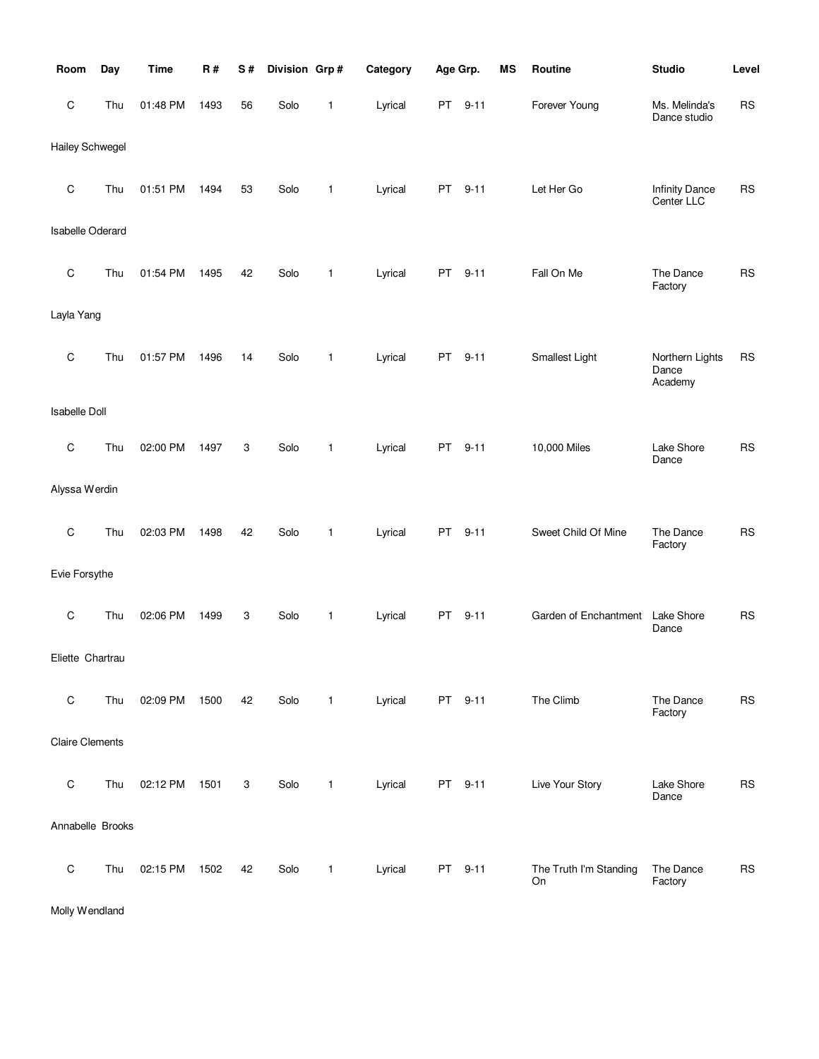| Room                    | Day | <b>Time</b> | <b>R#</b> | S# | Division Grp# |              | Category | Age Grp.  |          | MS | Routine                      | <b>Studio</b>                       | Level      |
|-------------------------|-----|-------------|-----------|----|---------------|--------------|----------|-----------|----------|----|------------------------------|-------------------------------------|------------|
| $\mathsf C$             | Thu | 01:48 PM    | 1493      | 56 | Solo          | 1            | Lyrical  | PT        | $9 - 11$ |    | Forever Young                | Ms. Melinda's<br>Dance studio       | <b>RS</b>  |
| <b>Hailey Schwegel</b>  |     |             |           |    |               |              |          |           |          |    |                              |                                     |            |
| $\mathsf C$             | Thu | 01:51 PM    | 1494      | 53 | Solo          | 1            | Lyrical  | <b>PT</b> | $9 - 11$ |    | Let Her Go                   | <b>Infinity Dance</b><br>Center LLC | <b>RS</b>  |
| <b>Isabelle Oderard</b> |     |             |           |    |               |              |          |           |          |    |                              |                                     |            |
| $\mathsf C$             | Thu | 01:54 PM    | 1495      | 42 | Solo          | 1            | Lyrical  | PT        | $9 - 11$ |    | Fall On Me                   | The Dance<br>Factory                | <b>RS</b>  |
| Layla Yang              |     |             |           |    |               |              |          |           |          |    |                              |                                     |            |
| $\mathsf C$             | Thu | 01:57 PM    | 1496      | 14 | Solo          | 1            | Lyrical  | PT        | $9 - 11$ |    | Smallest Light               | Northern Lights<br>Dance<br>Academy | <b>RS</b>  |
| <b>Isabelle Doll</b>    |     |             |           |    |               |              |          |           |          |    |                              |                                     |            |
| C                       | Thu | 02:00 PM    | 1497      | 3  | Solo          | 1            | Lyrical  | PT        | $9 - 11$ |    | 10,000 Miles                 | Lake Shore<br>Dance                 | <b>RS</b>  |
| Alyssa Werdin           |     |             |           |    |               |              |          |           |          |    |                              |                                     |            |
| $\mathsf C$             | Thu | 02:03 PM    | 1498      | 42 | Solo          | 1            | Lyrical  | PT        | $9 - 11$ |    | Sweet Child Of Mine          | The Dance<br>Factory                | <b>RS</b>  |
| Evie Forsythe           |     |             |           |    |               |              |          |           |          |    |                              |                                     |            |
| C                       | Thu | 02:06 PM    | 1499      | 3  | Solo          | 1            | Lyrical  | PT        | $9 - 11$ |    | Garden of Enchantment        | Lake Shore<br>Dance                 | <b>RS</b>  |
| Eliette Chartrau        |     |             |           |    |               |              |          |           |          |    |                              |                                     |            |
| $\mathsf C$             | Thu | 02:09 PM    | 1500      | 42 | Solo          | $\mathbf{1}$ | Lyrical  |           | PT 9-11  |    | The Climb                    | The Dance<br>Factory                | ${\sf RS}$ |
| <b>Claire Clements</b>  |     |             |           |    |               |              |          |           |          |    |                              |                                     |            |
| $\mathsf C$             | Thu | 02:12 PM    | 1501      | 3  | Solo          | 1            | Lyrical  |           | PT 9-11  |    | Live Your Story              | Lake Shore<br>Dance                 | <b>RS</b>  |
| Annabelle Brooks        |     |             |           |    |               |              |          |           |          |    |                              |                                     |            |
| $\mathsf C$             | Thu | 02:15 PM    | 1502      | 42 | Solo          | 1            | Lyrical  |           | PT 9-11  |    | The Truth I'm Standing<br>On | The Dance<br>Factory                | <b>RS</b>  |

Molly Wendland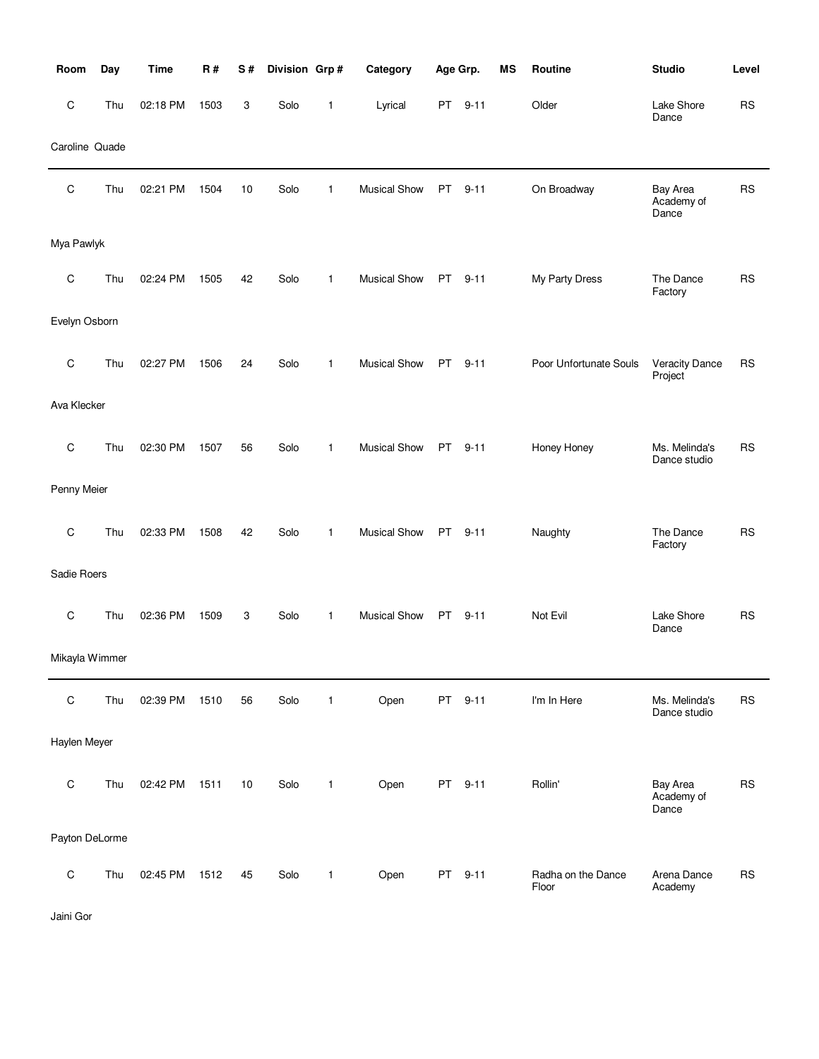| Room           | Day | <b>Time</b> | R#   | S# | Division Grp# |              | Category            | Age Grp. |          | <b>MS</b> | Routine                     | <b>Studio</b>                    | Level     |
|----------------|-----|-------------|------|----|---------------|--------------|---------------------|----------|----------|-----------|-----------------------------|----------------------------------|-----------|
| $\mathsf C$    | Thu | 02:18 PM    | 1503 | 3  | Solo          | 1            | Lyrical             | PT .     | $9 - 11$ |           | Older                       | Lake Shore<br>Dance              | <b>RS</b> |
| Caroline Quade |     |             |      |    |               |              |                     |          |          |           |                             |                                  |           |
| $\mathsf C$    | Thu | 02:21 PM    | 1504 | 10 | Solo          | 1            | <b>Musical Show</b> | PT       | $9 - 11$ |           | On Broadway                 | Bay Area<br>Academy of<br>Dance  | <b>RS</b> |
| Mya Pawlyk     |     |             |      |    |               |              |                     |          |          |           |                             |                                  |           |
| C              | Thu | 02:24 PM    | 1505 | 42 | Solo          | $\mathbf{1}$ | <b>Musical Show</b> | PT       | $9 - 11$ |           | My Party Dress              | The Dance<br>Factory             | <b>RS</b> |
| Evelyn Osborn  |     |             |      |    |               |              |                     |          |          |           |                             |                                  |           |
| C              | Thu | 02:27 PM    | 1506 | 24 | Solo          | $\mathbf{1}$ | <b>Musical Show</b> | PT.      | $9 - 11$ |           | Poor Unfortunate Souls      | <b>Veracity Dance</b><br>Project | <b>RS</b> |
| Ava Klecker    |     |             |      |    |               |              |                     |          |          |           |                             |                                  |           |
| C              | Thu | 02:30 PM    | 1507 | 56 | Solo          | $\mathbf{1}$ | <b>Musical Show</b> | PT       | $9 - 11$ |           | Honey Honey                 | Ms. Melinda's<br>Dance studio    | <b>RS</b> |
| Penny Meier    |     |             |      |    |               |              |                     |          |          |           |                             |                                  |           |
| $\mathsf C$    | Thu | 02:33 PM    | 1508 | 42 | Solo          | $\mathbf{1}$ | <b>Musical Show</b> | PT       | $9 - 11$ |           | Naughty                     | The Dance<br>Factory             | <b>RS</b> |
| Sadie Roers    |     |             |      |    |               |              |                     |          |          |           |                             |                                  |           |
| $\mathsf C$    | Thu | 02:36 PM    | 1509 | 3  | Solo          | $\mathbf{1}$ | <b>Musical Show</b> | PT       | $9 - 11$ |           | Not Evil                    | Lake Shore<br>Dance              | <b>RS</b> |
| Mikayla Wimmer |     |             |      |    |               |              |                     |          |          |           |                             |                                  |           |
| $\mathsf C$    | Thu | 02:39 PM    | 1510 | 56 | Solo          | $\mathbf{1}$ | Open                |          | PT 9-11  |           | I'm In Here                 | Ms. Melinda's<br>Dance studio    | <b>RS</b> |
| Haylen Meyer   |     |             |      |    |               |              |                     |          |          |           |                             |                                  |           |
| $\mathsf C$    | Thu | 02:42 PM    | 1511 | 10 | Solo          | $\mathbf{1}$ | Open                |          | PT 9-11  |           | Rollin'                     | Bay Area<br>Academy of<br>Dance  | <b>RS</b> |
| Payton DeLorme |     |             |      |    |               |              |                     |          |          |           |                             |                                  |           |
| ${\rm C}$      | Thu | 02:45 PM    | 1512 | 45 | Solo          | $\mathbf{1}$ | Open                |          | PT 9-11  |           | Radha on the Dance<br>Floor | Arena Dance<br>Academy           | <b>RS</b> |

Jaini Gor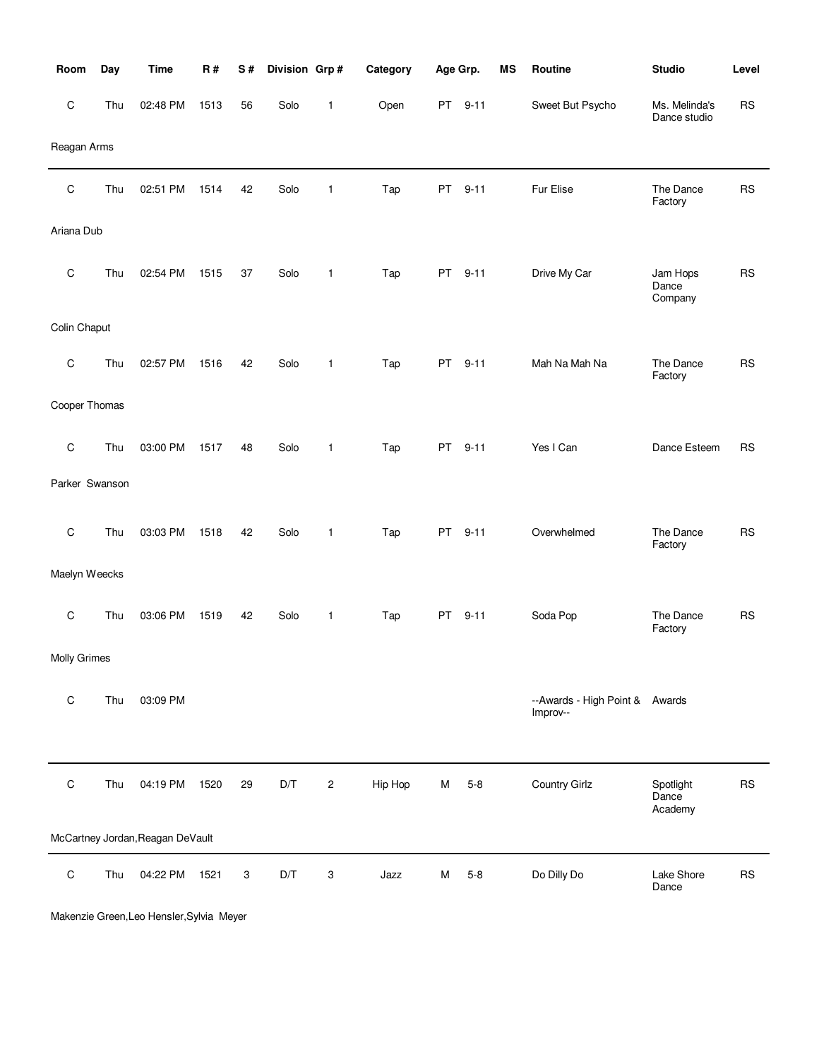| Room           | Day | <b>Time</b>                      | R#   | S# | Division Grp#           |              | Category |           | Age Grp. | MS | Routine                                    | <b>Studio</b>                 | Level     |
|----------------|-----|----------------------------------|------|----|-------------------------|--------------|----------|-----------|----------|----|--------------------------------------------|-------------------------------|-----------|
| $\mathsf C$    | Thu | 02:48 PM                         | 1513 | 56 | Solo                    | $\mathbf{1}$ | Open     |           | PT 9-11  |    | Sweet But Psycho                           | Ms. Melinda's<br>Dance studio | <b>RS</b> |
| Reagan Arms    |     |                                  |      |    |                         |              |          |           |          |    |                                            |                               |           |
| $\mathsf C$    | Thu | 02:51 PM                         | 1514 | 42 | Solo                    | 1            | Tap      | PT        | $9 - 11$ |    | Fur Elise                                  | The Dance<br>Factory          | <b>RS</b> |
| Ariana Dub     |     |                                  |      |    |                         |              |          |           |          |    |                                            |                               |           |
| $\mathsf C$    | Thu | 02:54 PM                         | 1515 | 37 | Solo                    | $\mathbf{1}$ | Tap      | PT        | $9 - 11$ |    | Drive My Car                               | Jam Hops<br>Dance<br>Company  | <b>RS</b> |
| Colin Chaput   |     |                                  |      |    |                         |              |          |           |          |    |                                            |                               |           |
| $\mathsf C$    | Thu | 02:57 PM                         | 1516 | 42 | Solo                    | $\mathbf{1}$ | Tap      | <b>PT</b> | $9 - 11$ |    | Mah Na Mah Na                              | The Dance<br>Factory          | <b>RS</b> |
| Cooper Thomas  |     |                                  |      |    |                         |              |          |           |          |    |                                            |                               |           |
| $\mathbf C$    | Thu | 03:00 PM                         | 1517 | 48 | Solo                    | $\mathbf{1}$ | Tap      | PT        | $9 - 11$ |    | Yes I Can                                  | Dance Esteem                  | <b>RS</b> |
| Parker Swanson |     |                                  |      |    |                         |              |          |           |          |    |                                            |                               |           |
| $\mathsf C$    | Thu | 03:03 PM                         | 1518 | 42 | Solo                    | $\mathbf{1}$ | Tap      | <b>PT</b> | $9 - 11$ |    | Overwhelmed                                | The Dance<br>Factory          | <b>RS</b> |
| Maelyn Weecks  |     |                                  |      |    |                         |              |          |           |          |    |                                            |                               |           |
| $\mathbf C$    | Thu | 03:06 PM                         | 1519 | 42 | Solo                    | $\mathbf{1}$ | Tap      | PT        | $9 - 11$ |    | Soda Pop                                   | The Dance<br>Factory          | <b>RS</b> |
| Molly Grimes   |     |                                  |      |    |                         |              |          |           |          |    |                                            |                               |           |
| $\mathsf C$    | Thu | 03:09 PM                         |      |    |                         |              |          |           |          |    | --Awards - High Point & Awards<br>Improv-- |                               |           |
|                |     |                                  |      |    |                         |              |          |           |          |    |                                            |                               |           |
| $\mathsf C$    | Thu | 04:19 PM                         | 1520 | 29 | $\mathsf{D}/\mathsf{T}$ | 2            | Hip Hop  | M         | $5 - 8$  |    | Country Girlz                              | Spotlight<br>Dance<br>Academy | <b>RS</b> |
|                |     | McCartney Jordan, Reagan DeVault |      |    |                         |              |          |           |          |    |                                            |                               |           |
| $\mathsf C$    | Thu | 04:22 PM                         | 1521 | 3  | D/T                     | 3            | Jazz     | M         | $5 - 8$  |    | Do Dilly Do                                | Lake Shore<br>Dance           | <b>RS</b> |

Makenzie Green,Leo Hensler,Sylvia Meyer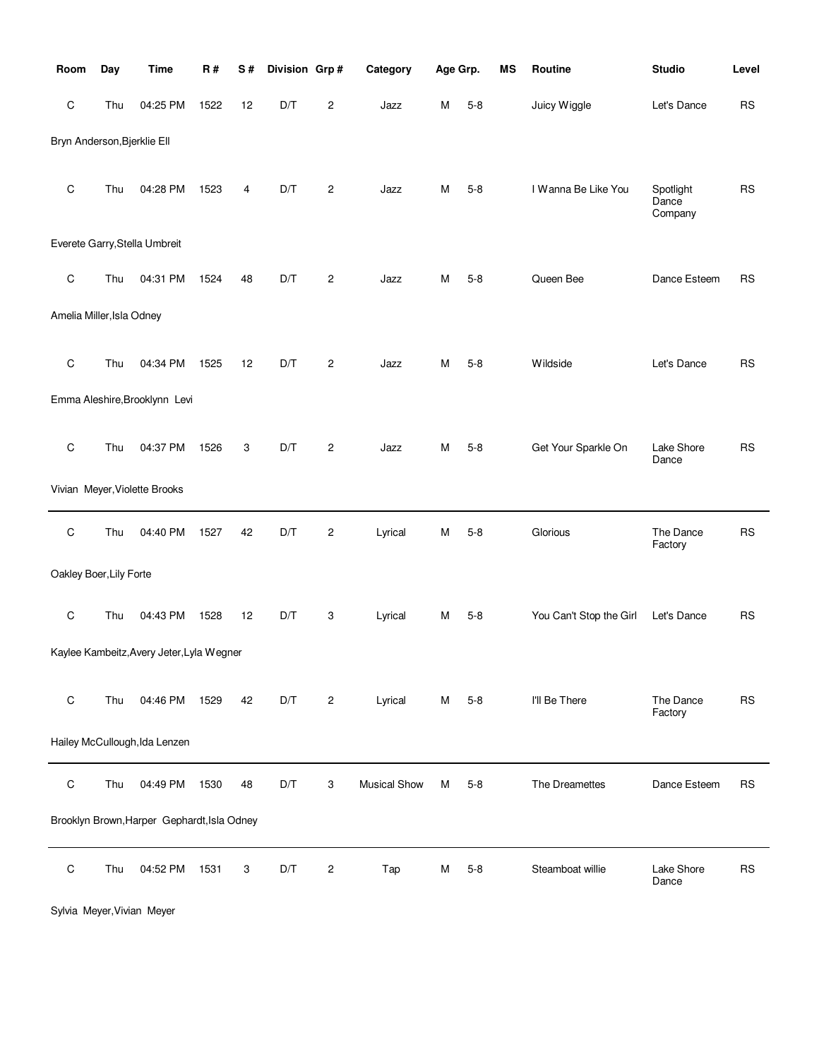| Room                        | Day | <b>Time</b>                                 | R#   | S# | Division Grp# |                         | Category            | Age Grp. |         | MS | Routine                 | <b>Studio</b>                 | Level     |
|-----------------------------|-----|---------------------------------------------|------|----|---------------|-------------------------|---------------------|----------|---------|----|-------------------------|-------------------------------|-----------|
| C                           | Thu | 04:25 PM                                    | 1522 | 12 | D/T           | $\overline{c}$          | Jazz                | М        | $5 - 8$ |    | Juicy Wiggle            | Let's Dance                   | <b>RS</b> |
| Bryn Anderson, Bjerklie Ell |     |                                             |      |    |               |                         |                     |          |         |    |                         |                               |           |
|                             |     |                                             |      |    |               |                         |                     |          |         |    |                         |                               |           |
| $\mathsf C$                 | Thu | 04:28 PM                                    | 1523 | 4  | D/T           | $\overline{\mathbf{c}}$ | Jazz                | M        | $5 - 8$ |    | I Wanna Be Like You     | Spotlight<br>Dance<br>Company | <b>RS</b> |
|                             |     | Everete Garry, Stella Umbreit               |      |    |               |                         |                     |          |         |    |                         |                               |           |
| $\mathsf C$                 | Thu | 04:31 PM                                    | 1524 | 48 | D/T           | $\overline{c}$          | Jazz                | М        | $5 - 8$ |    | Queen Bee               | Dance Esteem                  | <b>RS</b> |
|                             |     |                                             |      |    |               |                         |                     |          |         |    |                         |                               |           |
| Amelia Miller, Isla Odney   |     |                                             |      |    |               |                         |                     |          |         |    |                         |                               |           |
| $\mathsf C$                 | Thu | 04:34 PM                                    |      |    | D/T           |                         |                     | M        | $5 - 8$ |    | Wildside                |                               |           |
|                             |     |                                             | 1525 | 12 |               | $\overline{c}$          | Jazz                |          |         |    |                         | Let's Dance                   | <b>RS</b> |
|                             |     | Emma Aleshire, Brooklynn Levi               |      |    |               |                         |                     |          |         |    |                         |                               |           |
|                             |     |                                             |      |    |               |                         |                     |          |         |    |                         |                               |           |
| $\mathsf C$                 | Thu | 04:37 PM                                    | 1526 | 3  | D/T           | $\overline{c}$          | Jazz                | M        | $5 - 8$ |    | Get Your Sparkle On     | Lake Shore<br>Dance           | <b>RS</b> |
|                             |     | Vivian Meyer, Violette Brooks               |      |    |               |                         |                     |          |         |    |                         |                               |           |
| $\mathsf C$                 | Thu | 04:40 PM                                    | 1527 | 42 | D/T           | $\overline{\mathbf{c}}$ | Lyrical             | M        | $5 - 8$ |    | Glorious                | The Dance                     | RS        |
|                             |     |                                             |      |    |               |                         |                     |          |         |    |                         | Factory                       |           |
| Oakley Boer, Lily Forte     |     |                                             |      |    |               |                         |                     |          |         |    |                         |                               |           |
| $\mathsf C$                 | Thu | 04:43 PM                                    | 1528 | 12 | D/T           | 3                       | Lyrical             | M        | $5 - 8$ |    | You Can't Stop the Girl | Let's Dance                   | <b>RS</b> |
|                             |     |                                             |      |    |               |                         |                     |          |         |    |                         |                               |           |
|                             |     | Kaylee Kambeitz, Avery Jeter, Lyla Wegner   |      |    |               |                         |                     |          |         |    |                         |                               |           |
| $\mathsf C$                 | Thu | 04:46 PM                                    | 1529 | 42 | D/T           | $\overline{c}$          | Lyrical             | м        | $5 - 8$ |    | I'll Be There           | The Dance                     | <b>RS</b> |
|                             |     |                                             |      |    |               |                         |                     |          |         |    |                         | Factory                       |           |
|                             |     | Hailey McCullough, Ida Lenzen               |      |    |               |                         |                     |          |         |    |                         |                               |           |
| $\mathsf C$                 | Thu | 04:49 PM                                    | 1530 | 48 | D/T           | 3                       | <b>Musical Show</b> | М        | $5 - 8$ |    | The Dreamettes          | Dance Esteem                  | <b>RS</b> |
|                             |     |                                             |      |    |               |                         |                     |          |         |    |                         |                               |           |
|                             |     | Brooklyn Brown, Harper Gephardt, Isla Odney |      |    |               |                         |                     |          |         |    |                         |                               |           |
| С                           | Thu | 04:52 PM                                    | 1531 | 3  | D/T           | 2                       | Tap                 | M        | $5 - 8$ |    | Steamboat willie        | Lake Shore                    | <b>RS</b> |
|                             |     |                                             |      |    |               |                         |                     |          |         |    |                         | Dance                         |           |

Sylvia Meyer,Vivian Meyer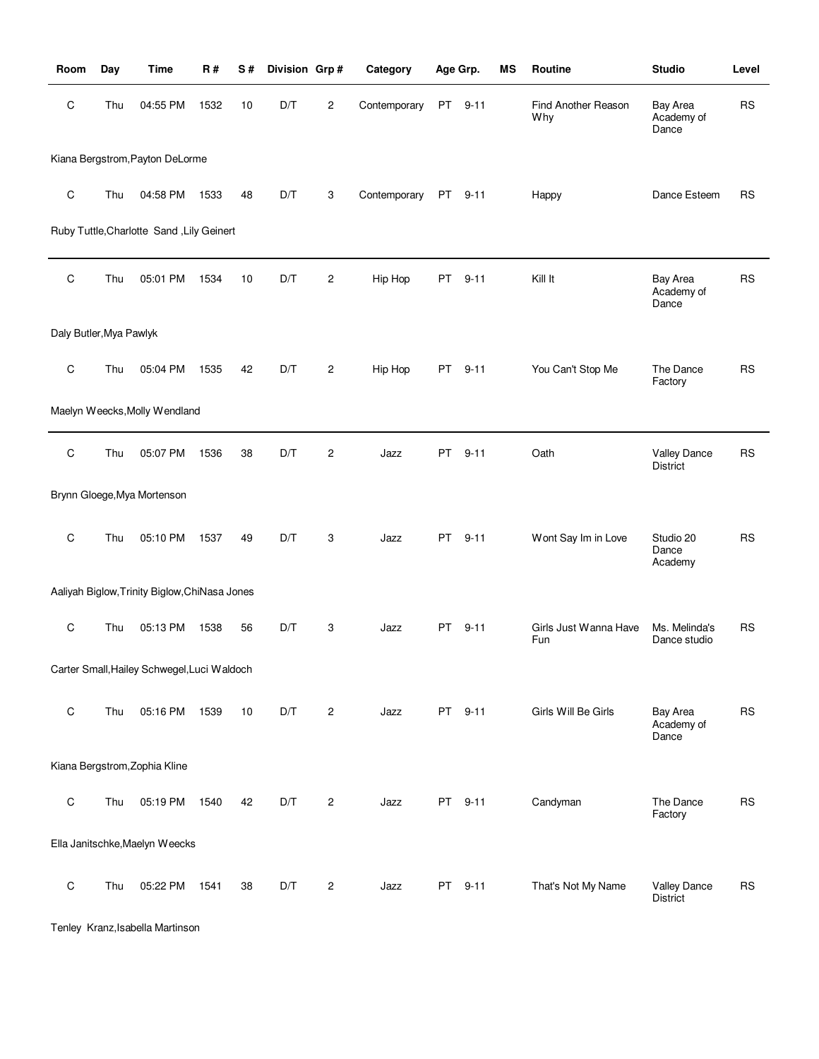| Room                    | Day | Time                                          | <b>R#</b> | S# | Division Grp# |                | Category     | Age Grp. |          | MS | Routine                      | <b>Studio</b>                          | Level     |
|-------------------------|-----|-----------------------------------------------|-----------|----|---------------|----------------|--------------|----------|----------|----|------------------------------|----------------------------------------|-----------|
| C                       | Thu | 04:55 PM                                      | 1532      | 10 | D/T           | $\mathbf{2}$   | Contemporary | PT       | $9 - 11$ |    | Find Another Reason<br>Why   | Bay Area<br>Academy of<br>Dance        | <b>RS</b> |
|                         |     | Kiana Bergstrom, Payton DeLorme               |           |    |               |                |              |          |          |    |                              |                                        |           |
| $\mathsf C$             | Thu | 04:58 PM                                      | 1533      | 48 | D/T           | 3              | Contemporary | PT       | $9 - 11$ |    | Happy                        | Dance Esteem                           | <b>RS</b> |
|                         |     | Ruby Tuttle, Charlotte Sand, Lily Geinert     |           |    |               |                |              |          |          |    |                              |                                        |           |
| C                       | Thu | 05:01 PM                                      | 1534      | 10 | D/T           | 2              | Hip Hop      | PT       | $9 - 11$ |    | Kill It                      | Bay Area<br>Academy of<br>Dance        | <b>RS</b> |
| Daly Butler, Mya Pawlyk |     |                                               |           |    |               |                |              |          |          |    |                              |                                        |           |
| C                       | Thu | 05:04 PM                                      | 1535      | 42 | D/T           | $\mathbf{2}$   | Hip Hop      | PT       | $9 - 11$ |    | You Can't Stop Me            | The Dance<br>Factory                   | <b>RS</b> |
|                         |     | Maelyn Weecks, Molly Wendland                 |           |    |               |                |              |          |          |    |                              |                                        |           |
| C                       | Thu | 05:07 PM                                      | 1536      | 38 | D/T           | $\mathbf{2}$   | Jazz         | PT.      | $9 - 11$ |    | Oath                         | <b>Valley Dance</b><br><b>District</b> | RS        |
|                         |     | Brynn Gloege, Mya Mortenson                   |           |    |               |                |              |          |          |    |                              |                                        |           |
| C                       | Thu | 05:10 PM                                      | 1537      | 49 | D/T           | 3              | Jazz         | PT       | $9 - 11$ |    | Wont Say Im in Love          | Studio 20<br>Dance<br>Academy          | <b>RS</b> |
|                         |     | Aaliyah Biglow, Trinity Biglow, ChiNasa Jones |           |    |               |                |              |          |          |    |                              |                                        |           |
| C                       | Thu | 05:13 PM                                      | 1538      | 56 | D/T           | 3              | Jazz         | PT.      | $9 - 11$ |    | Girls Just Wanna Have<br>Fun | Ms. Melinda's<br>Dance studio          | <b>RS</b> |
|                         |     | Carter Small, Hailey Schwegel, Luci Waldoch   |           |    |               |                |              |          |          |    |                              |                                        |           |
| C                       | Thu | 05:16 PM                                      | 1539      | 10 | D/T           | $\overline{c}$ | Jazz         | PT       | $9 - 11$ |    | Girls Will Be Girls          | Bay Area<br>Academy of<br>Dance        | <b>RS</b> |
|                         |     | Kiana Bergstrom, Zophia Kline                 |           |    |               |                |              |          |          |    |                              |                                        |           |
| C                       | Thu | 05:19 PM                                      | 1540      | 42 | D/T           | $\overline{c}$ | Jazz         |          | PT 9-11  |    | Candyman                     | The Dance<br>Factory                   | <b>RS</b> |
|                         |     | Ella Janitschke, Maelyn Weecks                |           |    |               |                |              |          |          |    |                              |                                        |           |
| C                       | Thu | 05:22 PM                                      | 1541      | 38 | D/T           | 2              | Jazz         | PT       | $9 - 11$ |    | That's Not My Name           | <b>Valley Dance</b><br>District        | <b>RS</b> |

Tenley Kranz,Isabella Martinson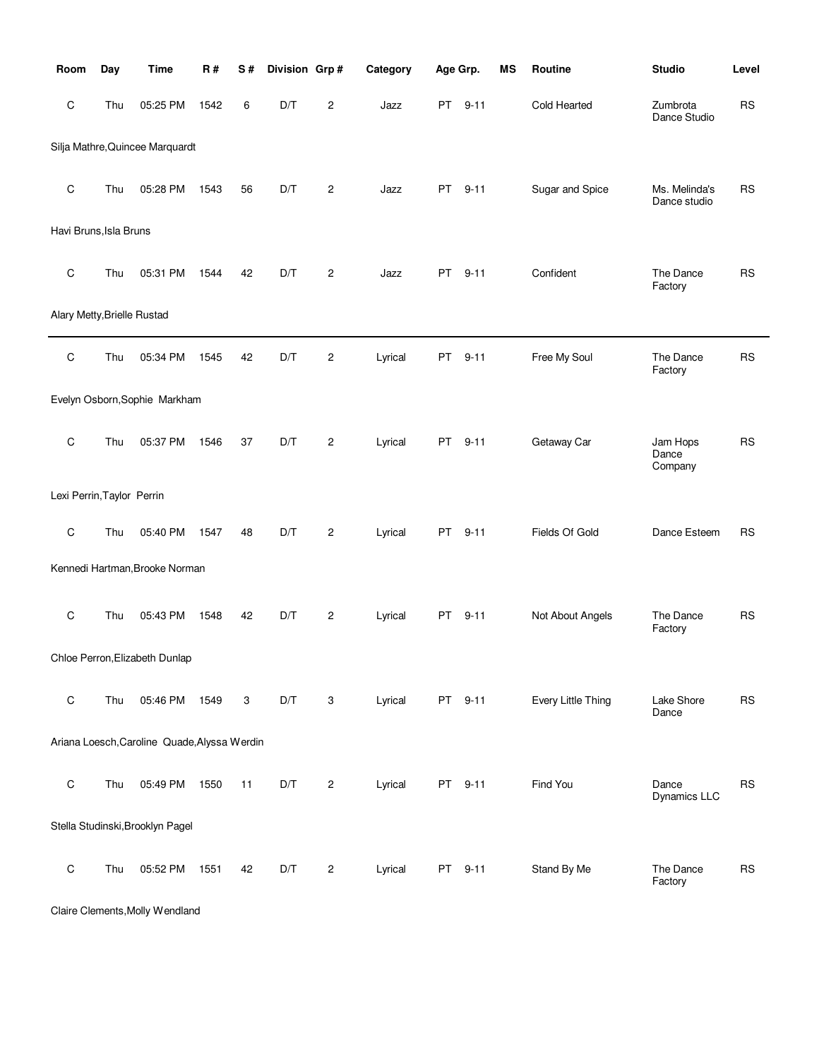| Room                        | Day | <b>Time</b>                                  | R#   | S# | Division Grp# |                         | Category | Age Grp. |          | <b>MS</b> | Routine            | <b>Studio</b>                 | Level     |
|-----------------------------|-----|----------------------------------------------|------|----|---------------|-------------------------|----------|----------|----------|-----------|--------------------|-------------------------------|-----------|
| С                           | Thu | 05:25 PM                                     | 1542 | 6  | D/T           | 2                       | Jazz     | PT       | $9 - 11$ |           | Cold Hearted       | Zumbrota<br>Dance Studio      | RS        |
|                             |     | Silja Mathre, Quincee Marquardt              |      |    |               |                         |          |          |          |           |                    |                               |           |
| С                           | Thu | 05:28 PM                                     | 1543 | 56 | D/T           | 2                       | Jazz     | PT.      | $9 - 11$ |           | Sugar and Spice    | Ms. Melinda's<br>Dance studio | <b>RS</b> |
| Havi Bruns, Isla Bruns      |     |                                              |      |    |               |                         |          |          |          |           |                    |                               |           |
| C                           | Thu | 05:31 PM                                     | 1544 | 42 | D/T           | $\overline{\mathbf{c}}$ | Jazz     | PT.      | $9 - 11$ |           | Confident          | The Dance<br>Factory          | <b>RS</b> |
| Alary Metty, Brielle Rustad |     |                                              |      |    |               |                         |          |          |          |           |                    |                               |           |
| С                           | Thu | 05:34 PM                                     | 1545 | 42 | D/T           | 2                       | Lyrical  | PT.      | $9 - 11$ |           | Free My Soul       | The Dance<br>Factory          | <b>RS</b> |
|                             |     | Evelyn Osborn, Sophie Markham                |      |    |               |                         |          |          |          |           |                    |                               |           |
| С                           | Thu | 05:37 PM                                     | 1546 | 37 | D/T           | 2                       | Lyrical  | PT       | $9 - 11$ |           | Getaway Car        | Jam Hops<br>Dance<br>Company  | <b>RS</b> |
| Lexi Perrin, Taylor Perrin  |     |                                              |      |    |               |                         |          |          |          |           |                    |                               |           |
| С                           | Thu | 05:40 PM                                     | 1547 | 48 | D/T           | 2                       | Lyrical  | PT       | $9 - 11$ |           | Fields Of Gold     | Dance Esteem                  | RS        |
|                             |     | Kennedi Hartman, Brooke Norman               |      |    |               |                         |          |          |          |           |                    |                               |           |
| С                           | Thu | 05:43 PM                                     | 1548 | 42 | D/T           | 2                       | Lyrical  | PT       | $9 - 11$ |           | Not About Angels   | The Dance<br>Factory          | <b>RS</b> |
|                             |     | Chloe Perron, Elizabeth Dunlap               |      |    |               |                         |          |          |          |           |                    |                               |           |
| $\mathsf C$                 | Thu | 05:46 PM                                     | 1549 | 3  | D/T           | 3                       | Lyrical  |          | PT 9-11  |           | Every Little Thing | Lake Shore<br>Dance           | <b>RS</b> |
|                             |     | Ariana Loesch, Caroline Quade, Alyssa Werdin |      |    |               |                         |          |          |          |           |                    |                               |           |
| C                           | Thu | 05:49 PM                                     | 1550 | 11 | D/T           | 2                       | Lyrical  |          | PT 9-11  |           | Find You           | Dance<br><b>Dynamics LLC</b>  | <b>RS</b> |
|                             |     | Stella Studinski, Brooklyn Pagel             |      |    |               |                         |          |          |          |           |                    |                               |           |
| $\mathsf C$                 | Thu | 05:52 PM                                     | 1551 | 42 | D/T           | 2                       | Lyrical  | PT       | $9 - 11$ |           | Stand By Me        | The Dance<br>Factory          | <b>RS</b> |

Claire Clements,Molly Wendland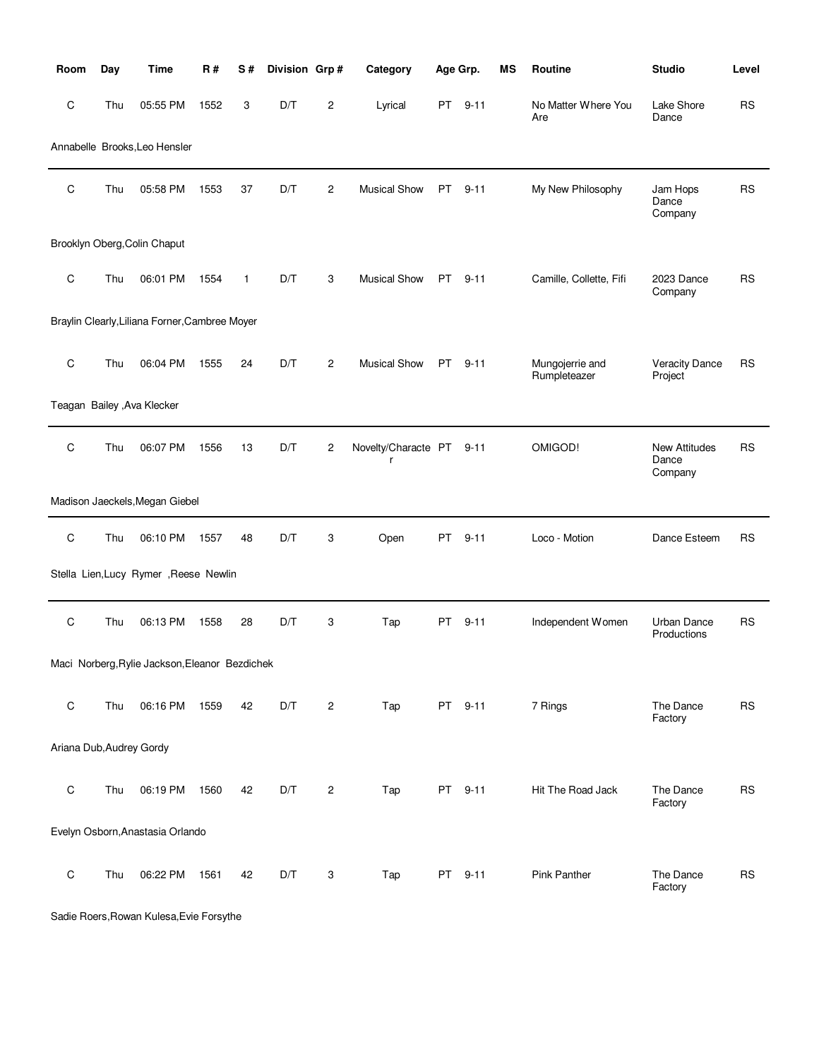| Room                     | Day | <b>Time</b>                                    | <b>R#</b> | S#           | Division Grp# |   | Category                 | Age Grp.  |          | <b>MS</b> | Routine                         | <b>Studio</b>                            | Level     |
|--------------------------|-----|------------------------------------------------|-----------|--------------|---------------|---|--------------------------|-----------|----------|-----------|---------------------------------|------------------------------------------|-----------|
| C                        | Thu | 05:55 PM                                       | 1552      | 3            | D/T           | 2 | Lyrical                  | PT        | $9 - 11$ |           | No Matter Where You<br>Are      | Lake Shore<br>Dance                      | <b>RS</b> |
|                          |     | Annabelle Brooks, Leo Hensler                  |           |              |               |   |                          |           |          |           |                                 |                                          |           |
| C                        | Thu | 05:58 PM                                       | 1553      | 37           | D/T           | 2 | <b>Musical Show</b>      | PT        | $9 - 11$ |           | My New Philosophy               | Jam Hops<br>Dance<br>Company             | <b>RS</b> |
|                          |     | Brooklyn Oberg, Colin Chaput                   |           |              |               |   |                          |           |          |           |                                 |                                          |           |
| $\mathbf C$              | Thu | 06:01 PM                                       | 1554      | $\mathbf{1}$ | D/T           | 3 | <b>Musical Show</b>      | PT        | $9 - 11$ |           | Camille, Collette, Fifi         | 2023 Dance<br>Company                    | <b>RS</b> |
|                          |     | Braylin Clearly, Liliana Forner, Cambree Moyer |           |              |               |   |                          |           |          |           |                                 |                                          |           |
| C                        | Thu | 06:04 PM                                       | 1555      | 24           | D/T           | 2 | <b>Musical Show</b>      | PT.       | $9 - 11$ |           | Mungojerrie and<br>Rumpleteazer | <b>Veracity Dance</b><br>Project         | RS        |
|                          |     | Teagan Bailey , Ava Klecker                    |           |              |               |   |                          |           |          |           |                                 |                                          |           |
| C                        | Thu | 06:07 PM                                       | 1556      | 13           | D/T           | 2 | Novelty/Characte PT<br>r |           | $9 - 11$ |           | OMIGOD!                         | <b>New Attitudes</b><br>Dance<br>Company | <b>RS</b> |
|                          |     | Madison Jaeckels, Megan Giebel                 |           |              |               |   |                          |           |          |           |                                 |                                          |           |
| $\mathsf C$              | Thu | 06:10 PM                                       | 1557      | 48           | D/T           | 3 | Open                     | PT        | $9 - 11$ |           | Loco - Motion                   | Dance Esteem                             | RS        |
|                          |     | Stella Lien, Lucy Rymer , Reese Newlin         |           |              |               |   |                          |           |          |           |                                 |                                          |           |
| $\mathsf C$              | Thu | 06:13 PM                                       | 1558      | 28           | D/T           | 3 | Tap                      | PT        | $9 - 11$ |           | Independent Women               | <b>Urban Dance</b><br>Productions        | <b>RS</b> |
|                          |     | Maci Norberg, Rylie Jackson, Eleanor Bezdichek |           |              |               |   |                          |           |          |           |                                 |                                          |           |
| $\mathsf C$              | Thu | 06:16 PM                                       | 1559      | 42           | D/T           | 2 | Tap                      |           | PT 9-11  |           | 7 Rings                         | The Dance<br>Factory                     | <b>RS</b> |
| Ariana Dub, Audrey Gordy |     |                                                |           |              |               |   |                          |           |          |           |                                 |                                          |           |
| $\mathsf C$              | Thu | 06:19 PM                                       | 1560      | 42           | D/T           | 2 | Tap                      | PT        | $9 - 11$ |           | Hit The Road Jack               | The Dance<br>Factory                     | <b>RS</b> |
|                          |     | Evelyn Osborn, Anastasia Orlando               |           |              |               |   |                          |           |          |           |                                 |                                          |           |
| $\mathsf C$              | Thu | 06:22 PM                                       | 1561      | 42           | D/T           | 3 | Tap                      | <b>PT</b> | $9 - 11$ |           | Pink Panther                    | The Dance<br>Factory                     | <b>RS</b> |

Sadie Roers,Rowan Kulesa,Evie Forsythe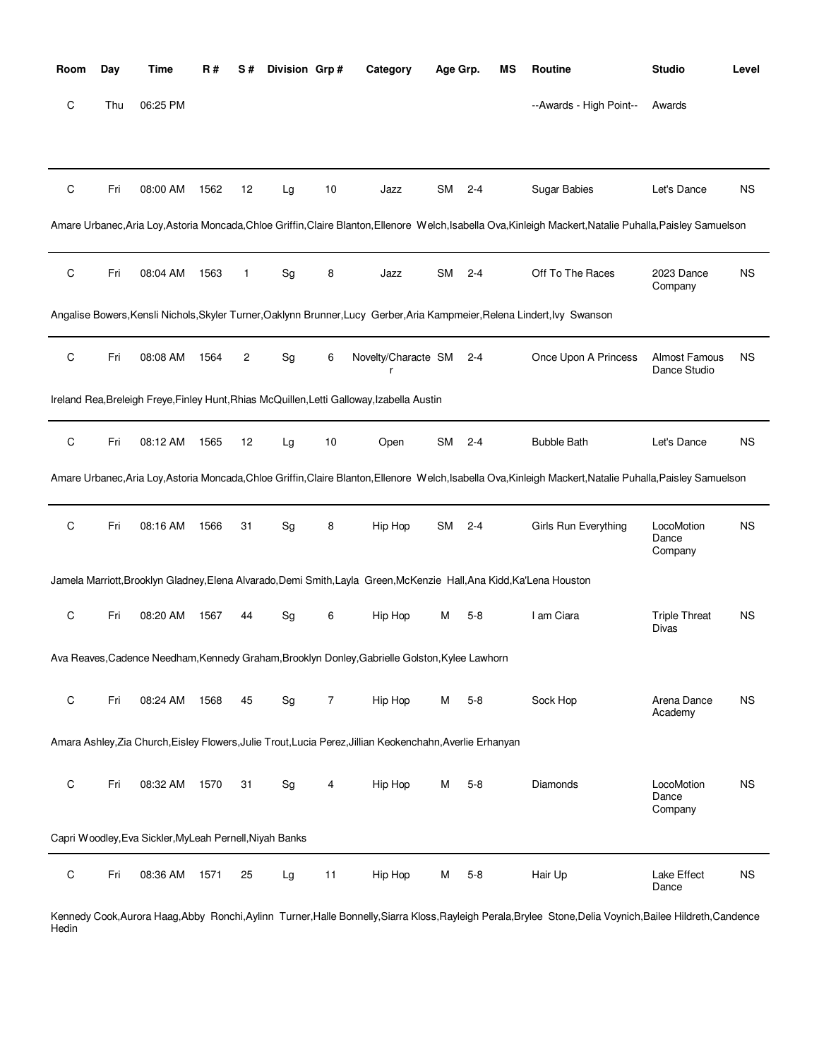| Room        | Day | <b>Time</b>                                             | <b>R#</b> | S#             | Division Grp#                |                | Category                                                                                                             | Age Grp.  |         | MS | Routine                                                                                                                                                     | <b>Studio</b>                        | Level     |
|-------------|-----|---------------------------------------------------------|-----------|----------------|------------------------------|----------------|----------------------------------------------------------------------------------------------------------------------|-----------|---------|----|-------------------------------------------------------------------------------------------------------------------------------------------------------------|--------------------------------------|-----------|
| С           | Thu | 06:25 PM                                                |           |                |                              |                |                                                                                                                      |           |         |    | --Awards - High Point--                                                                                                                                     | Awards                               |           |
|             |     |                                                         |           |                |                              |                |                                                                                                                      |           |         |    |                                                                                                                                                             |                                      |           |
| С           | Fri | 08:00 AM                                                | 1562      | 12             | Lg                           | 10             | Jazz                                                                                                                 | <b>SM</b> | $2 - 4$ |    | Sugar Babies                                                                                                                                                | Let's Dance                          | <b>NS</b> |
|             |     |                                                         |           |                |                              |                |                                                                                                                      |           |         |    | Amare Urbanec, Aria Loy, Astoria Moncada, Chloe Griffin, Claire Blanton, Ellenore Welch, Isabella Ova, Kinleigh Mackert, Natalie Puhalla, Paisley Samuelson |                                      |           |
| $\mathsf C$ | Fri | 08:04 AM                                                | 1563      | $\mathbf{1}$   | Sg                           | 8              | Jazz                                                                                                                 | <b>SM</b> | $2 - 4$ |    | Off To The Races                                                                                                                                            | 2023 Dance<br>Company                | <b>NS</b> |
|             |     |                                                         |           |                |                              |                |                                                                                                                      |           |         |    | Angalise Bowers, Kensli Nichols, Skyler Turner, Oaklynn Brunner, Lucy Gerber, Aria Kampmeier, Relena Lindert, Ivy Swanson                                   |                                      |           |
| С           | Fri | 08:08 AM                                                | 1564      | $\overline{c}$ | Sg                           | 6              | Novelty/Characte SM                                                                                                  |           | $2 - 4$ |    | Once Upon A Princess                                                                                                                                        | Almost Famous<br>Dance Studio        | <b>NS</b> |
|             |     |                                                         |           |                |                              |                | Ireland Rea, Breleigh Freye, Finley Hunt, Rhias McQuillen, Letti Galloway, Izabella Austin                           |           |         |    |                                                                                                                                                             |                                      |           |
| $\mathsf C$ | Fri | 08:12 AM                                                | 1565      | 12             | Lg                           | 10             | Open                                                                                                                 | <b>SM</b> | $2 - 4$ |    | <b>Bubble Bath</b>                                                                                                                                          | Let's Dance                          | <b>NS</b> |
|             |     |                                                         |           |                |                              |                |                                                                                                                      |           |         |    | Amare Urbanec, Aria Loy, Astoria Moncada, Chloe Griffin, Claire Blanton, Ellenore Welch, Isabella Ova, Kinleigh Mackert, Natalie Puhalla, Paisley Samuelson |                                      |           |
| С           | Fri | 08:16 AM                                                | 1566      | 31             | Sg                           | 8              | Hip Hop                                                                                                              | <b>SM</b> | $2 - 4$ |    | Girls Run Everything                                                                                                                                        | LocoMotion<br>Dance<br>Company       | <b>NS</b> |
|             |     |                                                         |           |                |                              |                | Jamela Marriott, Brooklyn Gladney, Elena Alvarado, Demi Smith, Layla Green, McKenzie Hall, Ana Kidd, Ka'Lena Houston |           |         |    |                                                                                                                                                             |                                      |           |
| С           | Fri | 08:20 AM                                                | 1567      | 44             | $\operatorname{\mathsf{Sg}}$ | 6              | Hip Hop                                                                                                              | M         | $5 - 8$ |    | I am Ciara                                                                                                                                                  | <b>Triple Threat</b><br><b>Divas</b> | <b>NS</b> |
|             |     |                                                         |           |                |                              |                | Ava Reaves, Cadence Needham, Kennedy Graham, Brooklyn Donley, Gabrielle Golston, Kylee Lawhorn                       |           |         |    |                                                                                                                                                             |                                      |           |
| $\mathsf C$ | Fri | 08:24 AM                                                | 1568      | 45             | Sg                           | $\overline{7}$ | Hip Hop                                                                                                              | м         | $5-8$   |    | Sock Hop                                                                                                                                                    | Arena Dance<br>Academy               | <b>NS</b> |
|             |     |                                                         |           |                |                              |                | Amara Ashley, Zia Church, Eisley Flowers, Julie Trout, Lucia Perez, Jillian Keokenchahn, Averlie Erhanyan            |           |         |    |                                                                                                                                                             |                                      |           |
| С           | Fri | 08:32 AM                                                | 1570      | 31             | Sg                           | 4              | Hip Hop                                                                                                              | м         | $5 - 8$ |    | Diamonds                                                                                                                                                    | LocoMotion<br>Dance<br>Company       | <b>NS</b> |
|             |     | Capri Woodley, Eva Sickler, MyLeah Pernell, Niyah Banks |           |                |                              |                |                                                                                                                      |           |         |    |                                                                                                                                                             |                                      |           |
| $\mathsf C$ | Fri | 08:36 AM                                                | 1571      | 25             | Lg                           | 11             | Hip Hop                                                                                                              | M         | $5 - 8$ |    | Hair Up                                                                                                                                                     | Lake Effect<br>Dance                 | <b>NS</b> |

Kennedy Cook,Aurora Haag,Abby Ronchi,Aylinn Turner,Halle Bonnelly,Siarra Kloss,Rayleigh Perala,Brylee Stone,Delia Voynich,Bailee Hildreth,Candence Hedin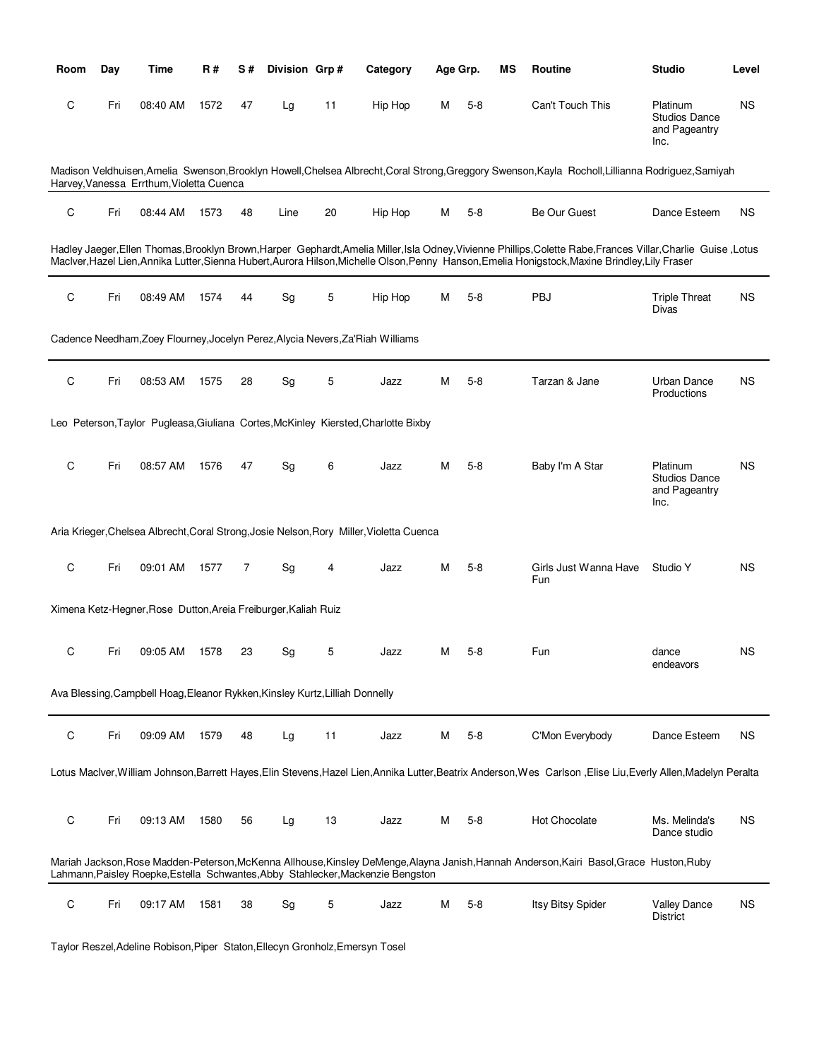| Room        | Day | Time                                                                         | R#   | S# | Division Grp#                |    | Category                                                                                 | Age Grp. |         | ΜS | Routine                                                                                                                                                                                                                                                                                                           | <b>Studio</b>                                             | Level     |
|-------------|-----|------------------------------------------------------------------------------|------|----|------------------------------|----|------------------------------------------------------------------------------------------|----------|---------|----|-------------------------------------------------------------------------------------------------------------------------------------------------------------------------------------------------------------------------------------------------------------------------------------------------------------------|-----------------------------------------------------------|-----------|
| C           | Fri | 08:40 AM                                                                     | 1572 | 47 | Lg                           | 11 | Hip Hop                                                                                  | М        | $5-8$   |    | Can't Touch This                                                                                                                                                                                                                                                                                                  | Platinum<br><b>Studios Dance</b><br>and Pageantry<br>Inc. | <b>NS</b> |
|             |     | Harvey, Vanessa Errthum, Violetta Cuenca                                     |      |    |                              |    |                                                                                          |          |         |    | Madison Veldhuisen, Amelia Swenson, Brooklyn Howell, Chelsea Albrecht, Coral Strong, Greggory Swenson, Kayla Rocholl, Lillianna Rodriguez, Samiyah                                                                                                                                                                |                                                           |           |
| C           | Fri | 08:44 AM                                                                     | 1573 | 48 | Line                         | 20 | Hip Hop                                                                                  | M        | $5-8$   |    | Be Our Guest                                                                                                                                                                                                                                                                                                      | Dance Esteem                                              | <b>NS</b> |
|             |     |                                                                              |      |    |                              |    |                                                                                          |          |         |    | Hadley Jaeger, Ellen Thomas, Brooklyn Brown, Harper Gephardt, Amelia Miller, Isla Odney, Vivienne Phillips, Colette Rabe, Frances Villar, Charlie Guise, Lotus<br>MacIver, Hazel Lien, Annika Lutter, Sienna Hubert, Aurora Hilson, Michelle Olson, Penny Hanson, Emelia Honigstock, Maxine Brindley, Lily Fraser |                                                           |           |
| C           | Fri | 08:49 AM                                                                     | 1574 | 44 | Sg                           | 5  | Hip Hop                                                                                  | M        | $5 - 8$ |    | PBJ                                                                                                                                                                                                                                                                                                               | <b>Triple Threat</b><br>Divas                             | <b>NS</b> |
|             |     |                                                                              |      |    |                              |    | Cadence Needham, Zoey Flourney, Jocelyn Perez, Alycia Nevers, Za'Riah Williams           |          |         |    |                                                                                                                                                                                                                                                                                                                   |                                                           |           |
| C           | Fri | 08:53 AM                                                                     | 1575 | 28 | Sg                           | 5  | Jazz                                                                                     | М        | $5 - 8$ |    | Tarzan & Jane                                                                                                                                                                                                                                                                                                     | Urban Dance<br>Productions                                | <b>NS</b> |
|             |     |                                                                              |      |    |                              |    | Leo Peterson, Taylor Pugleasa, Giuliana Cortes, McKinley Kiersted, Charlotte Bixby       |          |         |    |                                                                                                                                                                                                                                                                                                                   |                                                           |           |
| C           | Fri | 08:57 AM                                                                     | 1576 | 47 | Sg                           | 6  | Jazz                                                                                     | M        | $5 - 8$ |    | Baby I'm A Star                                                                                                                                                                                                                                                                                                   | Platinum<br><b>Studios Dance</b><br>and Pageantry<br>Inc. | <b>NS</b> |
|             |     |                                                                              |      |    |                              |    | Aria Krieger, Chelsea Albrecht, Coral Strong, Josie Nelson, Rory Miller, Violetta Cuenca |          |         |    |                                                                                                                                                                                                                                                                                                                   |                                                           |           |
| $\mathsf C$ | Fri | 09:01 AM                                                                     | 1577 | 7  | $\operatorname{\mathsf{Sg}}$ | 4  | Jazz                                                                                     | M        | $5 - 8$ |    | Girls Just Wanna Have<br>Fun                                                                                                                                                                                                                                                                                      | Studio Y                                                  | <b>NS</b> |
|             |     | Ximena Ketz-Hegner, Rose Dutton, Areia Freiburger, Kaliah Ruiz               |      |    |                              |    |                                                                                          |          |         |    |                                                                                                                                                                                                                                                                                                                   |                                                           |           |
| C           | Fri | 09:05 AM                                                                     | 1578 | 23 | Sg                           | 5  | Jazz                                                                                     | М        | $5 - 8$ |    | Fun                                                                                                                                                                                                                                                                                                               | dance<br>endeavors                                        | <b>NS</b> |
|             |     | Ava Blessing, Campbell Hoag, Eleanor Rykken, Kinsley Kurtz, Lilliah Donnelly |      |    |                              |    |                                                                                          |          |         |    |                                                                                                                                                                                                                                                                                                                   |                                                           |           |
| C           | Fri | 09:09 AM                                                                     | 1579 | 48 | Lg                           | 11 | Jazz                                                                                     | M        | $5 - 8$ |    | C'Mon Everybody                                                                                                                                                                                                                                                                                                   | Dance Esteem                                              | <b>NS</b> |
|             |     |                                                                              |      |    |                              |    |                                                                                          |          |         |    | Lotus Maclver, William Johnson, Barrett Hayes, Elin Stevens, Hazel Lien, Annika Lutter, Beatrix Anderson, Wes Carlson, Elise Liu, Everly Allen, Madelyn Peralta                                                                                                                                                   |                                                           |           |
| C           | Fri | 09:13 AM                                                                     | 1580 | 56 | Lg                           | 13 | Jazz                                                                                     | M        | $5-8$   |    | Hot Chocolate                                                                                                                                                                                                                                                                                                     | Ms. Melinda's<br>Dance studio                             | ΝS        |
|             |     |                                                                              |      |    |                              |    | Lahmann, Paisley Roepke, Estella Schwantes, Abby Stahlecker, Mackenzie Bengston          |          |         |    | Mariah Jackson, Rose Madden-Peterson, McKenna Allhouse, Kinsley DeMenge, Alayna Janish, Hannah Anderson, Kairi Basol, Grace Huston, Ruby                                                                                                                                                                          |                                                           |           |
| C           | Fri | 09:17 AM                                                                     | 1581 | 38 | Sg                           | 5  | Jazz                                                                                     | M        | $5 - 8$ |    | Itsy Bitsy Spider                                                                                                                                                                                                                                                                                                 | <b>Valley Dance</b><br>District                           | <b>NS</b> |

Taylor Reszel,Adeline Robison,Piper Staton,Ellecyn Gronholz,Emersyn Tosel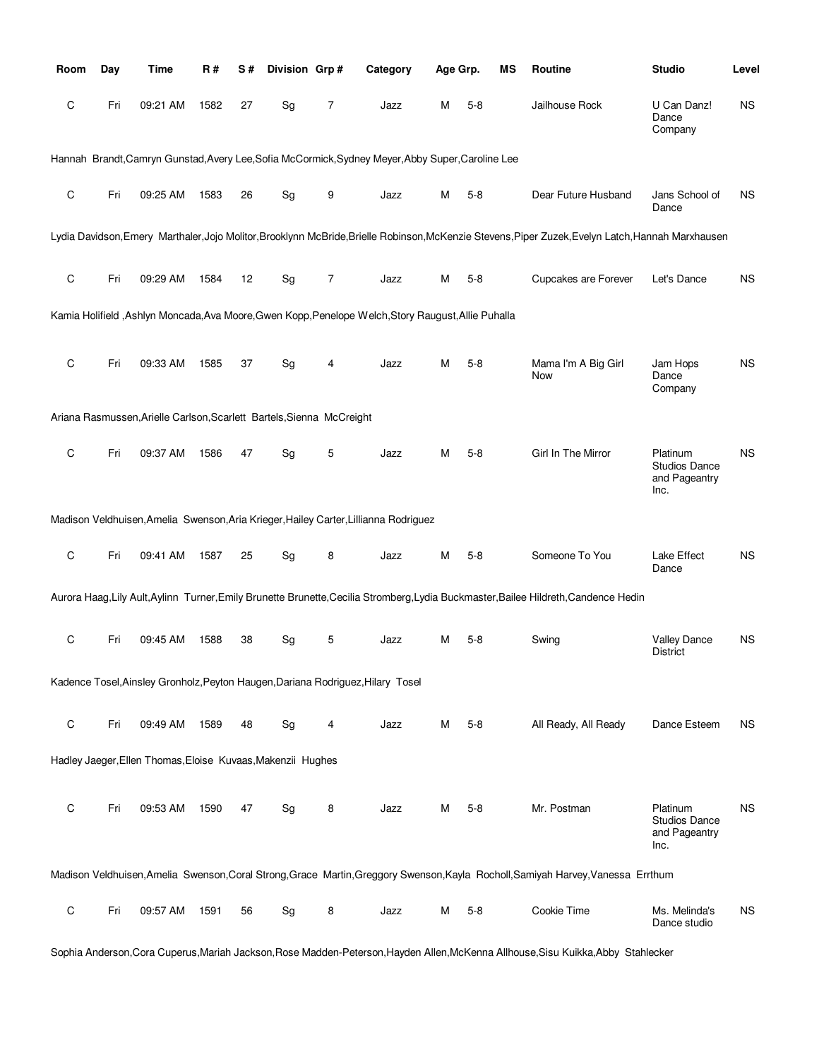| Room        | Day | Time                                                                  | R#   | S# | Division Grp# |   | Category                                                                                             | Age Grp. |         | ΜS | Routine                                                                                                                                            | <b>Studio</b>                                             | Level     |
|-------------|-----|-----------------------------------------------------------------------|------|----|---------------|---|------------------------------------------------------------------------------------------------------|----------|---------|----|----------------------------------------------------------------------------------------------------------------------------------------------------|-----------------------------------------------------------|-----------|
| С           | Fri | 09:21 AM                                                              | 1582 | 27 | Sg            | 7 | Jazz                                                                                                 | М        | $5-8$   |    | Jailhouse Rock                                                                                                                                     | U Can Danz!<br>Dance<br>Company                           | <b>NS</b> |
|             |     |                                                                       |      |    |               |   | Hannah Brandt, Camryn Gunstad, Avery Lee, Sofia McCormick, Sydney Meyer, Abby Super, Caroline Lee    |          |         |    |                                                                                                                                                    |                                                           |           |
| $\mathsf C$ | Fri | 09:25 AM                                                              | 1583 | 26 | Sg            | 9 | Jazz                                                                                                 | М        | $5-8$   |    | Dear Future Husband                                                                                                                                | Jans School of<br>Dance                                   | <b>NS</b> |
|             |     |                                                                       |      |    |               |   |                                                                                                      |          |         |    | Lydia Davidson, Emery Marthaler, Jojo Molitor, Brooklynn McBride, Brielle Robinson, McKenzie Stevens, Piper Zuzek, Evelyn Latch, Hannah Marxhausen |                                                           |           |
| $\mathsf C$ | Fri | 09:29 AM                                                              | 1584 | 12 | Sg            | 7 | Jazz                                                                                                 | М        | $5 - 8$ |    | Cupcakes are Forever                                                                                                                               | Let's Dance                                               | <b>NS</b> |
|             |     |                                                                       |      |    |               |   | Kamia Holifield , Ashlyn Moncada, Ava Moore, Gwen Kopp, Penelope Welch, Story Raugust, Allie Puhalla |          |         |    |                                                                                                                                                    |                                                           |           |
| C           | Fri | 09:33 AM                                                              | 1585 | 37 | Sg            | 4 | Jazz                                                                                                 | М        | $5-8$   |    | Mama I'm A Big Girl<br>Now                                                                                                                         | Jam Hops<br>Dance<br>Company                              | <b>NS</b> |
|             |     | Ariana Rasmussen, Arielle Carlson, Scarlett Bartels, Sienna McCreight |      |    |               |   |                                                                                                      |          |         |    |                                                                                                                                                    |                                                           |           |
| $\mathsf C$ | Fri | 09:37 AM                                                              | 1586 | 47 | Sg            | 5 | Jazz                                                                                                 | м        | $5-8$   |    | Girl In The Mirror                                                                                                                                 | Platinum<br><b>Studios Dance</b><br>and Pageantry<br>Inc. | NS        |
|             |     |                                                                       |      |    |               |   | Madison Veldhuisen, Amelia Swenson, Aria Krieger, Hailey Carter, Lillianna Rodriguez                 |          |         |    |                                                                                                                                                    |                                                           |           |
| C           | Fri | 09:41 AM                                                              | 1587 | 25 | Sg            | 8 | Jazz                                                                                                 | М        | $5-8$   |    | Someone To You                                                                                                                                     | Lake Effect<br>Dance                                      | <b>NS</b> |
|             |     |                                                                       |      |    |               |   |                                                                                                      |          |         |    | Aurora Haag, Lily Ault, Aylinn Turner, Emily Brunette Brunette, Cecilia Stromberg, Lydia Buckmaster, Bailee Hildreth, Candence Hedin               |                                                           |           |
| C           | Fri | 09:45 AM                                                              | 1588 | 38 | Sg            | 5 | Jazz                                                                                                 | М        | $5-8$   |    | Swing                                                                                                                                              | <b>Valley Dance</b><br><b>District</b>                    | <b>NS</b> |
|             |     |                                                                       |      |    |               |   | Kadence Tosel, Ainsley Gronholz, Peyton Haugen, Dariana Rodriguez, Hilary Tosel                      |          |         |    |                                                                                                                                                    |                                                           |           |
| $\mathsf C$ | Fri | 09:49 AM                                                              | 1589 | 48 | Sg            | 4 | Jazz                                                                                                 | М        | $5 - 8$ |    | All Ready, All Ready                                                                                                                               | Dance Esteem                                              | <b>NS</b> |
|             |     | Hadley Jaeger, Ellen Thomas, Eloise Kuvaas, Makenzii Hughes           |      |    |               |   |                                                                                                      |          |         |    |                                                                                                                                                    |                                                           |           |
| $\mathsf C$ | Fri | 09:53 AM                                                              | 1590 | 47 | Sg            | 8 | Jazz                                                                                                 | М        | $5 - 8$ |    | Mr. Postman                                                                                                                                        | Platinum<br><b>Studios Dance</b><br>and Pageantry<br>Inc. | <b>NS</b> |
|             |     |                                                                       |      |    |               |   |                                                                                                      |          |         |    | Madison Veldhuisen, Amelia Swenson, Coral Strong, Grace Martin, Greggory Swenson, Kayla Rocholl, Samiyah Harvey, Vanessa Errthum                   |                                                           |           |
| $\mathsf C$ | Fri | 09:57 AM                                                              | 1591 | 56 | Sg            | 8 | Jazz                                                                                                 | М        | $5 - 8$ |    | Cookie Time                                                                                                                                        | Ms. Melinda's<br>Dance studio                             | <b>NS</b> |

Sophia Anderson,Cora Cuperus,Mariah Jackson,Rose Madden-Peterson,Hayden Allen,McKenna Allhouse,Sisu Kuikka,Abby Stahlecker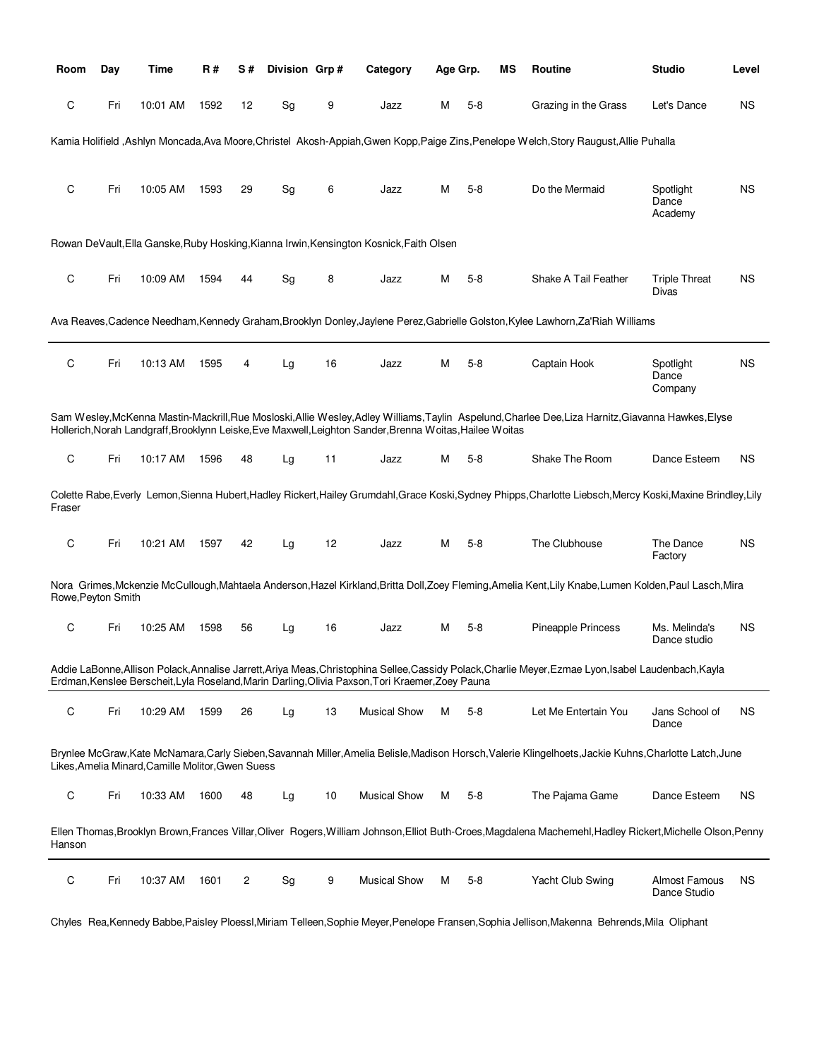| Room               | Day | Time                                              | R#   | S# | Division Grp# |    | Category                                                                                                 | Age Grp. |         | ΜS | Routine                                                                                                                                                       | <b>Studio</b>                        | Level     |
|--------------------|-----|---------------------------------------------------|------|----|---------------|----|----------------------------------------------------------------------------------------------------------|----------|---------|----|---------------------------------------------------------------------------------------------------------------------------------------------------------------|--------------------------------------|-----------|
| С                  | Fri | 10:01 AM                                          | 1592 | 12 | Sg            | 9  | Jazz                                                                                                     | М        | $5 - 8$ |    | Grazing in the Grass                                                                                                                                          | Let's Dance                          | <b>NS</b> |
|                    |     |                                                   |      |    |               |    |                                                                                                          |          |         |    | Kamia Holifield ,Ashlyn Moncada,Ava Moore,Christel Akosh-Appiah,Gwen Kopp,Paige Zins,Penelope Welch,Story Raugust,Allie Puhalla                               |                                      |           |
|                    |     |                                                   |      |    |               |    |                                                                                                          |          |         |    |                                                                                                                                                               |                                      |           |
| C                  | Fri | 10:05 AM                                          | 1593 | 29 | Sg            | 6  | Jazz                                                                                                     | м        | $5-8$   |    | Do the Mermaid                                                                                                                                                | Spotlight<br>Dance<br>Academy        | <b>NS</b> |
|                    |     |                                                   |      |    |               |    | Rowan DeVault, Ella Ganske, Ruby Hosking, Kianna Irwin, Kensington Kosnick, Faith Olsen                  |          |         |    |                                                                                                                                                               |                                      |           |
|                    |     |                                                   |      |    |               |    |                                                                                                          |          |         |    |                                                                                                                                                               |                                      |           |
| C                  | Fri | 10:09 AM                                          | 1594 | 44 | Sg            | 8  | Jazz                                                                                                     | М        | $5 - 8$ |    | Shake A Tail Feather                                                                                                                                          | <b>Triple Threat</b><br>Divas        | <b>NS</b> |
|                    |     |                                                   |      |    |               |    |                                                                                                          |          |         |    | Ava Reaves, Cadence Needham, Kennedy Graham, Brooklyn Donley, Jaylene Perez, Gabrielle Golston, Kylee Lawhorn, Za'Riah Williams                               |                                      |           |
|                    |     |                                                   |      |    |               |    |                                                                                                          |          |         |    |                                                                                                                                                               |                                      |           |
| C                  | Fri | 10:13 AM                                          | 1595 | 4  | Lg            | 16 | Jazz                                                                                                     | м        | $5 - 8$ |    | Captain Hook                                                                                                                                                  | Spotlight<br>Dance<br>Company        | <b>NS</b> |
|                    |     |                                                   |      |    |               |    | Hollerich, Norah Landgraff, Brooklynn Leiske, Eve Maxwell, Leighton Sander, Brenna Woitas, Hailee Woitas |          |         |    | Sam Wesley, McKenna Mastin-Mackrill, Rue Mosloski, Allie Wesley, Adley Williams, Taylin Aspelund, Charlee Dee, Liza Harnitz, Giavanna Hawkes, Elyse           |                                      |           |
| C                  | Fri | 10:17 AM                                          | 1596 | 48 | Lg            | 11 | Jazz                                                                                                     | М        | $5 - 8$ |    | Shake The Room                                                                                                                                                | Dance Esteem                         | <b>NS</b> |
| Fraser             |     |                                                   |      |    |               |    |                                                                                                          |          |         |    | Colette Rabe, Everly Lemon, Sienna Hubert, Hadley Rickert, Hailey Grumdahl, Grace Koski, Sydney Phipps, Charlotte Liebsch, Mercy Koski, Maxine Brindley, Lily |                                      |           |
| C                  | Fri | 10:21 AM                                          | 1597 | 42 | Lg            | 12 | Jazz                                                                                                     | M        | $5 - 8$ |    | The Clubhouse                                                                                                                                                 | The Dance<br>Factory                 | <b>NS</b> |
| Rowe, Peyton Smith |     |                                                   |      |    |               |    |                                                                                                          |          |         |    | Nora Grimes, Mckenzie McCullough, Mahtaela Anderson, Hazel Kirkland, Britta Doll, Zoey Fleming, Amelia Kent, Lily Knabe, Lumen Kolden, Paul Lasch, Mira       |                                      |           |
| C                  | Fri | 10:25 AM                                          | 1598 | 56 | Lg            | 16 | Jazz                                                                                                     | М        | $5 - 8$ |    | <b>Pineapple Princess</b>                                                                                                                                     | Ms. Melinda's<br>Dance studio        | <b>NS</b> |
|                    |     |                                                   |      |    |               |    |                                                                                                          |          |         |    | Addie LaBonne, Allison Polack, Annalise Jarrett, Ariya Meas, Christophina Sellee, Cassidy Polack, Charlie Meyer, Ezmae Lyon, Isabel Laudenbach, Kayla         |                                      |           |
|                    |     |                                                   |      |    |               |    | Erdman, Kenslee Berscheit, Lyla Roseland, Marin Darling, Olivia Paxson, Tori Kraemer, Zoey Pauna         |          |         |    |                                                                                                                                                               |                                      |           |
| C                  | Fri | 10:29 AM                                          | 1599 | 26 | Lg            | 13 | <b>Musical Show</b>                                                                                      | M        | $5-8$   |    | Let Me Entertain You                                                                                                                                          | Jans School of<br>Dance              | <b>NS</b> |
|                    |     | Likes, Amelia Minard, Camille Molitor, Gwen Suess |      |    |               |    |                                                                                                          |          |         |    | Brynlee McGraw,Kate McNamara,Carly Sieben,Savannah Miller,Amelia Belisle,Madison Horsch,Valerie Klingelhoets,Jackie Kuhns,Charlotte Latch,June                |                                      |           |
| $\mathsf C$        | Fri | 10:33 AM                                          | 1600 | 48 | Lg            | 10 | <b>Musical Show</b>                                                                                      | М        | $5-8$   |    | The Pajama Game                                                                                                                                               | Dance Esteem                         | <b>NS</b> |
| Hanson             |     |                                                   |      |    |               |    |                                                                                                          |          |         |    | Ellen Thomas,Brooklyn Brown,Frances Villar,Oliver Rogers,William Johnson,Elliot Buth-Croes,Magdalena Machemehl,Hadley Rickert,Michelle Olson,Penny            |                                      |           |
| C                  | Fri | 10:37 AM                                          | 1601 | 2  | Sg            | 9  | <b>Musical Show</b>                                                                                      | M        | $5-8$   |    | Yacht Club Swing                                                                                                                                              | <b>Almost Famous</b><br>Dance Studio | ΝS        |

Chyles Rea,Kennedy Babbe,Paisley Ploessl,Miriam Telleen,Sophie Meyer,Penelope Fransen,Sophia Jellison,Makenna Behrends,Mila Oliphant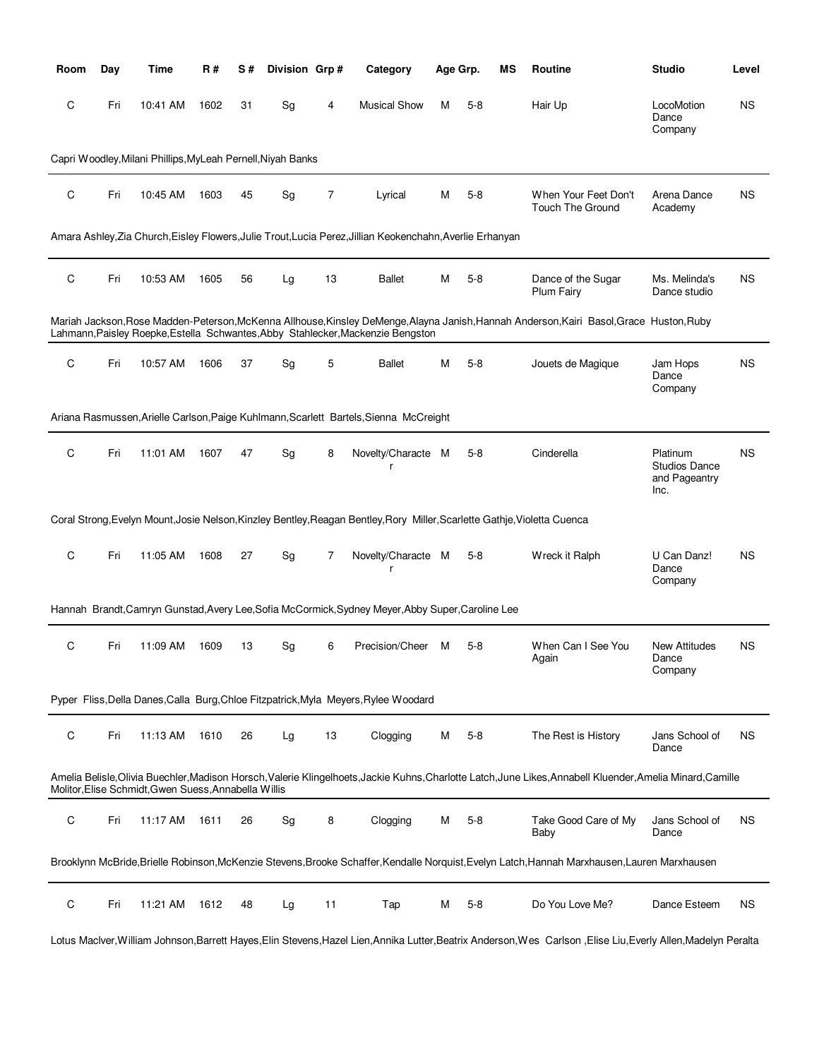| Room | Day | Time                                                        | R#   | S# | Division Grp# |    | Category                                                                                                                  |   | Age Grp. | МS | <b>Routine</b>                                                                                                                                     | <b>Studio</b>                                             | Level     |
|------|-----|-------------------------------------------------------------|------|----|---------------|----|---------------------------------------------------------------------------------------------------------------------------|---|----------|----|----------------------------------------------------------------------------------------------------------------------------------------------------|-----------------------------------------------------------|-----------|
| С    | Fri | 10:41 AM                                                    | 1602 | 31 | Sg            | 4  | <b>Musical Show</b>                                                                                                       | М | $5 - 8$  |    | Hair Up                                                                                                                                            | LocoMotion<br>Dance<br>Company                            | <b>NS</b> |
|      |     | Capri Woodley, Milani Phillips, MyLeah Pernell, Niyah Banks |      |    |               |    |                                                                                                                           |   |          |    |                                                                                                                                                    |                                                           |           |
| C    | Fri | 10:45 AM                                                    | 1603 | 45 | Sg            | 7  | Lyrical                                                                                                                   | М | $5 - 8$  |    | When Your Feet Don't<br><b>Touch The Ground</b>                                                                                                    | Arena Dance<br>Academy                                    | <b>NS</b> |
|      |     |                                                             |      |    |               |    | Amara Ashley, Zia Church, Eisley Flowers, Julie Trout, Lucia Perez, Jillian Keokenchahn, Averlie Erhanyan                 |   |          |    |                                                                                                                                                    |                                                           |           |
| C    | Fri | 10:53 AM                                                    | 1605 | 56 | Lg            | 13 | <b>Ballet</b>                                                                                                             | М | $5 - 8$  |    | Dance of the Sugar<br>Plum Fairy                                                                                                                   | Ms. Melinda's<br>Dance studio                             | <b>NS</b> |
|      |     |                                                             |      |    |               |    | Lahmann, Paisley Roepke, Estella Schwantes, Abby Stahlecker, Mackenzie Bengston                                           |   |          |    | Mariah Jackson, Rose Madden-Peterson, McKenna Allhouse, Kinsley DeMenge, Alayna Janish, Hannah Anderson, Kairi Basol, Grace Huston, Ruby           |                                                           |           |
| С    | Fri | 10:57 AM                                                    | 1606 | 37 | Sg            | 5  | <b>Ballet</b>                                                                                                             | М | $5 - 8$  |    | Jouets de Magique                                                                                                                                  | Jam Hops<br>Dance<br>Company                              | <b>NS</b> |
|      |     |                                                             |      |    |               |    | Ariana Rasmussen, Arielle Carlson, Paige Kuhlmann, Scarlett Bartels, Sienna McCreight                                     |   |          |    |                                                                                                                                                    |                                                           |           |
| C    | Fri | 11:01 AM                                                    | 1607 | 47 | Sg            | 8  | Novelty/Characte M<br>r                                                                                                   |   | $5 - 8$  |    | Cinderella                                                                                                                                         | Platinum<br><b>Studios Dance</b><br>and Pageantry<br>Inc. | <b>NS</b> |
|      |     |                                                             |      |    |               |    | Coral Strong, Evelyn Mount, Josie Nelson, Kinzley Bentley, Reagan Bentley, Rory Miller, Scarlette Gathje, Violetta Cuenca |   |          |    |                                                                                                                                                    |                                                           |           |
| C    | Fri | 11:05 AM                                                    | 1608 | 27 | Sg            | 7  | Novelty/Characte M<br>r                                                                                                   |   | $5 - 8$  |    | Wreck it Ralph                                                                                                                                     | U Can Danz!<br>Dance<br>Company                           | <b>NS</b> |
|      |     |                                                             |      |    |               |    | Hannah Brandt, Camryn Gunstad, Avery Lee, Sofia McCormick, Sydney Meyer, Abby Super, Caroline Lee                         |   |          |    |                                                                                                                                                    |                                                           |           |
| С    | Fri | 11:09 AM                                                    | 1609 | 13 | Sg            | 6  | Precision/Cheer                                                                                                           | м | $5-8$    |    | When Can I See You<br>Again                                                                                                                        | <b>New Attitudes</b><br>Dance<br>Company                  | <b>NS</b> |
|      |     |                                                             |      |    |               |    | Pyper Fliss, Della Danes, Calla Burg, Chloe Fitzpatrick, Myla Meyers, Rylee Woodard                                       |   |          |    |                                                                                                                                                    |                                                           |           |
| C    | Fri | 11:13 AM                                                    | 1610 | 26 | Lg            | 13 | Clogging                                                                                                                  | М | $5 - 8$  |    | The Rest is History                                                                                                                                | Jans School of<br>Dance                                   | <b>NS</b> |
|      |     | Molitor, Elise Schmidt, Gwen Suess, Annabella Willis        |      |    |               |    |                                                                                                                           |   |          |    | Amelia Belisle,Olivia Buechler,Madison Horsch,Valerie Klingelhoets,Jackie Kuhns,Charlotte Latch,June Likes,Annabell Kluender,Amelia Minard,Camille |                                                           |           |
| С    | Fri | 11:17 AM                                                    | 1611 | 26 | Sg            | 8  | Clogging                                                                                                                  | М | $5-8$    |    | Take Good Care of My<br>Baby                                                                                                                       | Jans School of<br>Dance                                   | <b>NS</b> |
|      |     |                                                             |      |    |               |    |                                                                                                                           |   |          |    | Brooklynn McBride, Brielle Robinson, McKenzie Stevens, Brooke Schaffer, Kendalle Norquist, Evelyn Latch, Hannah Marxhausen, Lauren Marxhausen      |                                                           |           |
| С    | Fri | 11:21 AM                                                    | 1612 | 48 | Lg            | 11 | Tap                                                                                                                       | М | $5-8$    |    | Do You Love Me?                                                                                                                                    | Dance Esteem                                              | <b>NS</b> |

Lotus Maclver,William Johnson,Barrett Hayes,Elin Stevens,Hazel Lien,Annika Lutter,Beatrix Anderson,Wes Carlson ,Elise Liu,Everly Allen,Madelyn Peralta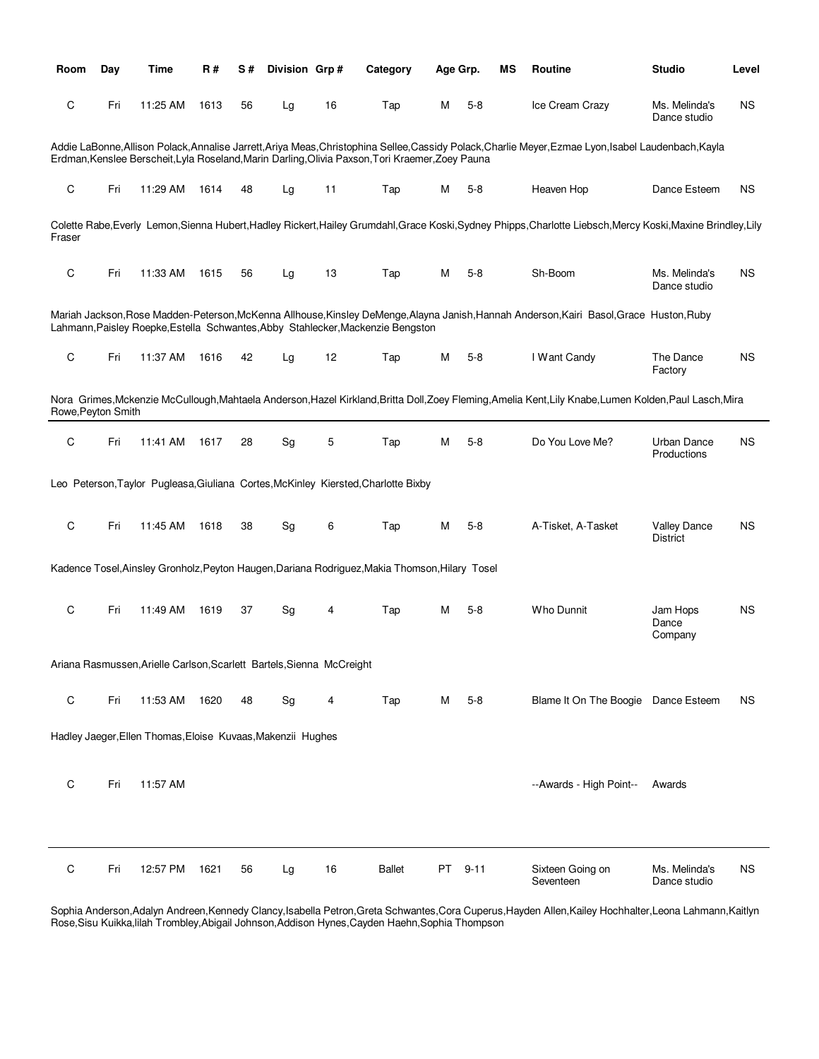| Room               | Day | Time                                                                  | <b>R#</b> | S# | Division Grp# |    | Category                                                                                         | Age Grp. |          | ΜS | Routine                                                                                                                                                       | <b>Studio</b>                          | Level |
|--------------------|-----|-----------------------------------------------------------------------|-----------|----|---------------|----|--------------------------------------------------------------------------------------------------|----------|----------|----|---------------------------------------------------------------------------------------------------------------------------------------------------------------|----------------------------------------|-------|
| С                  | Fri | 11:25 AM                                                              | 1613      | 56 | Lg            | 16 | Tap                                                                                              | м        | $5-8$    |    | Ice Cream Crazy                                                                                                                                               | Ms. Melinda's<br>Dance studio          | ΝS    |
|                    |     |                                                                       |           |    |               |    | Erdman, Kenslee Berscheit, Lyla Roseland, Marin Darling, Olivia Paxson, Tori Kraemer, Zoey Pauna |          |          |    | Addie LaBonne, Allison Polack, Annalise Jarrett, Ariya Meas, Christophina Sellee, Cassidy Polack, Charlie Meyer, Ezmae Lyon, Isabel Laudenbach, Kayla         |                                        |       |
| С                  | Fri | 11:29 AM                                                              | 1614      | 48 | Lg            | 11 | Tap                                                                                              | м        | $5-8$    |    | Heaven Hop                                                                                                                                                    | Dance Esteem                           | ΝS    |
| Fraser             |     |                                                                       |           |    |               |    |                                                                                                  |          |          |    | Colette Rabe, Everly Lemon, Sienna Hubert, Hadley Rickert, Hailey Grumdahl, Grace Koski, Sydney Phipps, Charlotte Liebsch, Mercy Koski, Maxine Brindley, Lily |                                        |       |
| С                  | Fri | 11:33 AM                                                              | 1615      | 56 | Lg            | 13 | Tap                                                                                              | м        | $5-8$    |    | Sh-Boom                                                                                                                                                       | Ms. Melinda's<br>Dance studio          | ΝS    |
|                    |     |                                                                       |           |    |               |    | Lahmann, Paisley Roepke, Estella Schwantes, Abby Stahlecker, Mackenzie Bengston                  |          |          |    | Mariah Jackson, Rose Madden-Peterson, McKenna Allhouse, Kinsley DeMenge, Alayna Janish, Hannah Anderson, Kairi Basol, Grace Huston, Ruby                      |                                        |       |
| C                  | Fri | 11:37 AM                                                              | 1616      | 42 | Lg            | 12 | Tap                                                                                              | м        | $5-8$    |    | I Want Candy                                                                                                                                                  | The Dance<br>Factory                   | ΝS    |
| Rowe, Peyton Smith |     |                                                                       |           |    |               |    |                                                                                                  |          |          |    | Nora Grimes, Mckenzie McCullough, Mahtaela Anderson, Hazel Kirkland, Britta Doll, Zoey Fleming, Amelia Kent, Lily Knabe, Lumen Kolden, Paul Lasch, Mira       |                                        |       |
| С                  | Fri | 11:41 AM                                                              | 1617      | 28 | Sg            | 5  | Tap                                                                                              | М        | $5 - 8$  |    | Do You Love Me?                                                                                                                                               | <b>Urban Dance</b><br>Productions      | ΝS    |
|                    |     |                                                                       |           |    |               |    | Leo Peterson, Taylor Pugleasa, Giuliana Cortes, McKinley Kiersted, Charlotte Bixby               |          |          |    |                                                                                                                                                               |                                        |       |
| C                  | Fri | 11:45 AM                                                              | 1618      | 38 | Sg            | 6  | Tap                                                                                              | м        | $5-8$    |    | A-Tisket, A-Tasket                                                                                                                                            | <b>Valley Dance</b><br><b>District</b> | ΝS    |
|                    |     |                                                                       |           |    |               |    | Kadence Tosel, Ainsley Gronholz, Peyton Haugen, Dariana Rodriguez, Makia Thomson, Hilary Tosel   |          |          |    |                                                                                                                                                               |                                        |       |
| C                  | Fri | 11:49 AM                                                              | 1619      | 37 | Sg            | 4  | Tap                                                                                              | м        | $5 - 8$  |    | Who Dunnit                                                                                                                                                    | Jam Hops<br>Dance<br>Company           | ΝS    |
|                    |     | Ariana Rasmussen, Arielle Carlson, Scarlett Bartels, Sienna McCreight |           |    |               |    |                                                                                                  |          |          |    |                                                                                                                                                               |                                        |       |
| C                  | Fri | 11:53 AM                                                              | 1620      | 48 | Sg            | 4  | Tap                                                                                              | М        | $5 - 8$  |    | Blame It On The Boogie Dance Esteem                                                                                                                           |                                        | ΝS    |
|                    |     | Hadley Jaeger, Ellen Thomas, Eloise Kuvaas, Makenzii Hughes           |           |    |               |    |                                                                                                  |          |          |    |                                                                                                                                                               |                                        |       |
| C                  | Fri | 11:57 AM                                                              |           |    |               |    |                                                                                                  |          |          |    | --Awards - High Point--                                                                                                                                       | Awards                                 |       |
|                    |     |                                                                       |           |    |               |    |                                                                                                  |          |          |    |                                                                                                                                                               |                                        |       |
| С                  | Fri | 12:57 PM                                                              | 1621      | 56 | Lg            | 16 | <b>Ballet</b>                                                                                    | PT       | $9 - 11$ |    | Sixteen Going on<br>Seventeen                                                                                                                                 | Ms. Melinda's<br>Dance studio          | ΝS    |

Sophia Anderson,Adalyn Andreen,Kennedy Clancy,Isabella Petron,Greta Schwantes,Cora Cuperus,Hayden Allen,Kailey Hochhalter,Leona Lahmann,Kaitlyn Rose,Sisu Kuikka,lilah Trombley,Abigail Johnson,Addison Hynes,Cayden Haehn,Sophia Thompson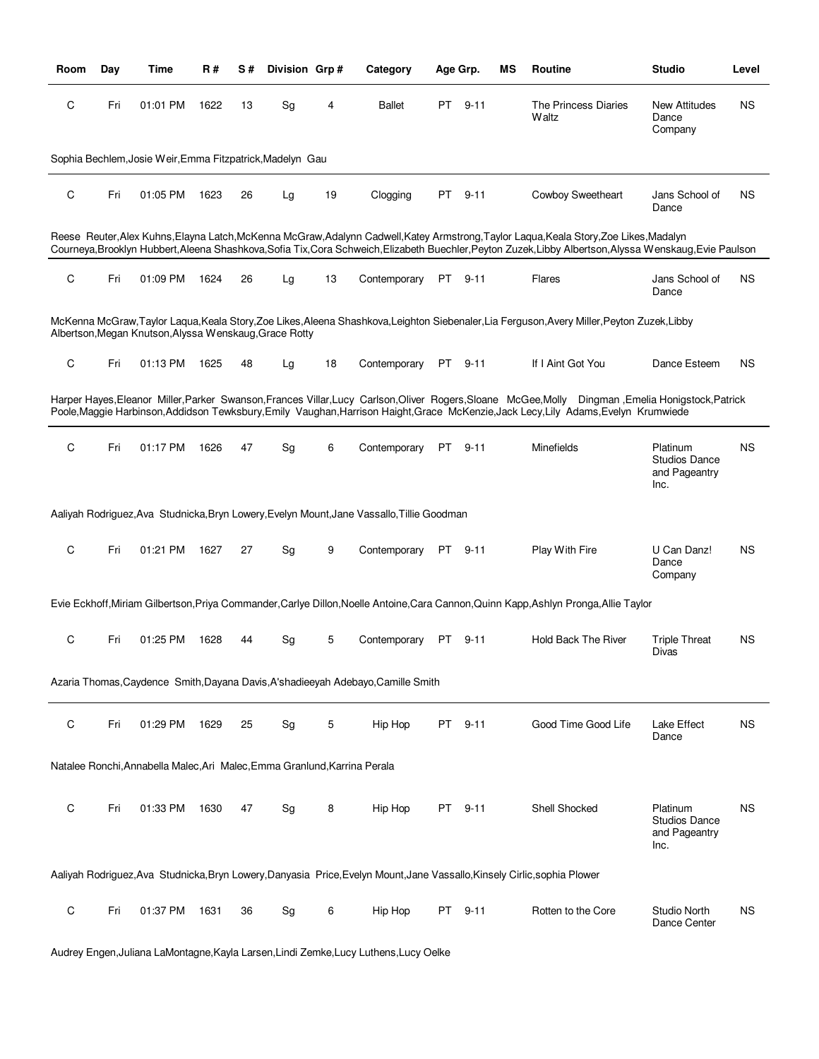| Room | Day | Time                                                                      | R#   | S# | Division Grp# |    | Category                                                                                                                  |     | Age Grp. | ΜS | Routine                                                                                                                                                                                                                                                                                             | <b>Studio</b>                                             | Level     |
|------|-----|---------------------------------------------------------------------------|------|----|---------------|----|---------------------------------------------------------------------------------------------------------------------------|-----|----------|----|-----------------------------------------------------------------------------------------------------------------------------------------------------------------------------------------------------------------------------------------------------------------------------------------------------|-----------------------------------------------------------|-----------|
| С    | Fri | 01:01 PM                                                                  | 1622 | 13 | Sg            | 4  | Ballet                                                                                                                    | PT. | $9 - 11$ |    | The Princess Diaries<br>Waltz                                                                                                                                                                                                                                                                       | <b>New Attitudes</b><br>Dance<br>Company                  | <b>NS</b> |
|      |     | Sophia Bechlem, Josie Weir, Emma Fitzpatrick, Madelyn Gau                 |      |    |               |    |                                                                                                                           |     |          |    |                                                                                                                                                                                                                                                                                                     |                                                           |           |
| С    | Fri | 01:05 PM                                                                  | 1623 | 26 | Lg            | 19 | Clogging                                                                                                                  | PT  | $9 - 11$ |    | Cowboy Sweetheart                                                                                                                                                                                                                                                                                   | Jans School of<br>Dance                                   | <b>NS</b> |
|      |     |                                                                           |      |    |               |    |                                                                                                                           |     |          |    | Reese Reuter, Alex Kuhns, Elayna Latch, McKenna McGraw, Adalynn Cadwell, Katey Armstrong, Taylor Laqua, Keala Story, Zoe Likes, Madalyn<br>Courneya, Brooklyn Hubbert, Aleena Shashkova, Sofia Tix, Cora Schweich, Elizabeth Buechler, Peyton Zuzek, Libby Albertson, Alyssa Wenskaug, Evie Paulson |                                                           |           |
| C    | Fri | 01:09 PM                                                                  | 1624 | 26 | Lg            | 13 | Contemporary                                                                                                              |     | PT 9-11  |    | Flares                                                                                                                                                                                                                                                                                              | Jans School of<br>Dance                                   | <b>NS</b> |
|      |     | Albertson, Megan Knutson, Alyssa Wenskaug, Grace Rotty                    |      |    |               |    |                                                                                                                           |     |          |    | McKenna McGraw,Taylor Laqua,Keala Story,Zoe Likes,Aleena Shashkova,Leighton Siebenaler,Lia Ferguson,Avery Miller,Peyton Zuzek,Libby                                                                                                                                                                 |                                                           |           |
| С    | Fri | 01:13 PM                                                                  | 1625 | 48 | Lg            | 18 | Contemporary                                                                                                              |     | PT 9-11  |    | If I Aint Got You                                                                                                                                                                                                                                                                                   | Dance Esteem                                              | <b>NS</b> |
|      |     |                                                                           |      |    |               |    |                                                                                                                           |     |          |    | Harper Hayes, Eleanor Miller, Parker Swanson, Frances Villar, Lucy Carlson, Oliver Rogers, Sloane McGee, Molly Dingman, Emelia Honigstock, Patrick<br>Poole, Maggie Harbinson, Addidson Tewksbury, Emily Vaughan, Harrison Haight, Grace McKenzie, Jack Lecy, Lily Adams, Evelyn Krumwiede          |                                                           |           |
| С    | Fri | 01:17 PM                                                                  | 1626 | 47 | Sg            | 6  | Contemporary                                                                                                              | PT  | $9 - 11$ |    | Minefields                                                                                                                                                                                                                                                                                          | Platinum<br><b>Studios Dance</b><br>and Pageantry<br>Inc. | <b>NS</b> |
|      |     |                                                                           |      |    |               |    | Aaliyah Rodriguez, Ava Studnicka, Bryn Lowery, Evelyn Mount, Jane Vassallo, Tillie Goodman                                |     |          |    |                                                                                                                                                                                                                                                                                                     |                                                           |           |
| C    | Fri | 01:21 PM                                                                  | 1627 | 27 | Sg            | 9  | Contemporary                                                                                                              |     | PT 9-11  |    | Play With Fire                                                                                                                                                                                                                                                                                      | U Can Danz!<br>Dance<br>Company                           | <b>NS</b> |
|      |     |                                                                           |      |    |               |    |                                                                                                                           |     |          |    | Evie Eckhoff, Miriam Gilbertson, Priya Commander, Carlye Dillon, Noelle Antoine, Cara Cannon, Quinn Kapp, Ashlyn Pronga, Allie Taylor                                                                                                                                                               |                                                           |           |
| С    | Fri | 01:25 PM                                                                  | 1628 | 44 | Sg            | 5  | Contemporary                                                                                                              | PT  | $9 - 11$ |    | <b>Hold Back The River</b>                                                                                                                                                                                                                                                                          | <b>Triple Threat</b><br>Divas                             | <b>NS</b> |
|      |     |                                                                           |      |    |               |    | Azaria Thomas, Caydence Smith, Dayana Davis, A'shadieeyah Adebayo, Camille Smith                                          |     |          |    |                                                                                                                                                                                                                                                                                                     |                                                           |           |
| С    | Fri | 01:29 PM                                                                  | 1629 | 25 | Sg            | 5  | Hip Hop                                                                                                                   | PT  | $9 - 11$ |    | Good Time Good Life                                                                                                                                                                                                                                                                                 | Lake Effect<br>Dance                                      | <b>NS</b> |
|      |     | Natalee Ronchi, Annabella Malec, Ari Malec, Emma Granlund, Karrina Perala |      |    |               |    |                                                                                                                           |     |          |    |                                                                                                                                                                                                                                                                                                     |                                                           |           |
| С    | Fri | 01:33 PM                                                                  | 1630 | 47 | Sg            | 8  | Hip Hop                                                                                                                   | PT  | $9 - 11$ |    | Shell Shocked                                                                                                                                                                                                                                                                                       | Platinum<br><b>Studios Dance</b><br>and Pageantry<br>Inc. | <b>NS</b> |
|      |     |                                                                           |      |    |               |    | Aaliyah Rodriguez, Ava Studnicka, Bryn Lowery, Danyasia Price, Evelyn Mount, Jane Vassallo, Kinsely Cirlic, sophia Plower |     |          |    |                                                                                                                                                                                                                                                                                                     |                                                           |           |
| C    | Fri | 01:37 PM                                                                  | 1631 | 36 | Sg            | 6  | Hip Hop                                                                                                                   |     | PT 9-11  |    | Rotten to the Core                                                                                                                                                                                                                                                                                  | <b>Studio North</b><br>Dance Center                       | <b>NS</b> |

Audrey Engen,Juliana LaMontagne,Kayla Larsen,Lindi Zemke,Lucy Luthens,Lucy Oelke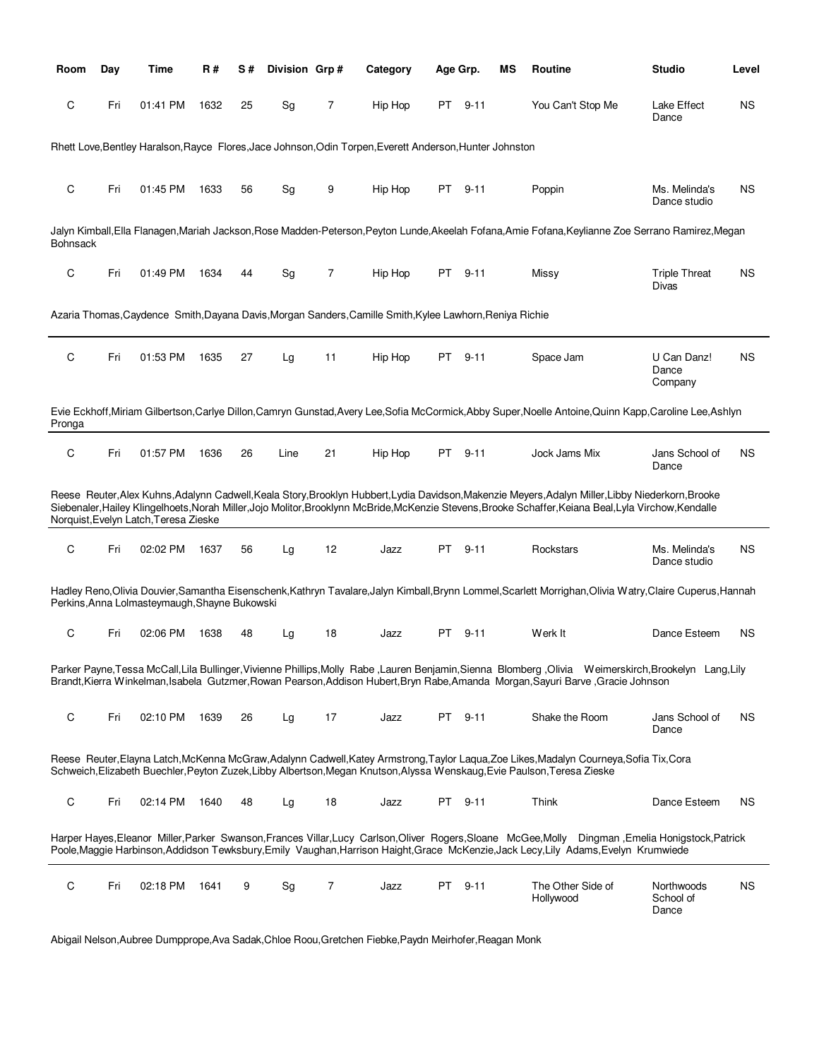| Room            | Day | Time                                          | R#   | S# | Division Grp# |                | Category                                                                                                 | Age Grp.                                                                                                                                                                                                                      |          | ΜS | <b>Routine</b>                                                                                                                                                                                                                                                                                               | <b>Studio</b>                    | Level     |
|-----------------|-----|-----------------------------------------------|------|----|---------------|----------------|----------------------------------------------------------------------------------------------------------|-------------------------------------------------------------------------------------------------------------------------------------------------------------------------------------------------------------------------------|----------|----|--------------------------------------------------------------------------------------------------------------------------------------------------------------------------------------------------------------------------------------------------------------------------------------------------------------|----------------------------------|-----------|
| C               | Fri | 01:41 PM                                      | 1632 | 25 | Sg            | 7              | Hip Hop                                                                                                  | PT                                                                                                                                                                                                                            | $9 - 11$ |    | You Can't Stop Me                                                                                                                                                                                                                                                                                            | Lake Effect<br>Dance             | <b>NS</b> |
|                 |     |                                               |      |    |               |                | Rhett Love.Bentley Haralson, Rayce Flores, Jace Johnson, Odin Torpen, Everett Anderson, Hunter Johnston  |                                                                                                                                                                                                                               |          |    |                                                                                                                                                                                                                                                                                                              |                                  |           |
| C               | Fri | 01:45 PM                                      | 1633 | 56 | Sg            | 9              | Hip Hop                                                                                                  | PT                                                                                                                                                                                                                            | $9 - 11$ |    | Poppin                                                                                                                                                                                                                                                                                                       | Ms. Melinda's<br>Dance studio    | <b>NS</b> |
| <b>Bohnsack</b> |     |                                               |      |    |               |                |                                                                                                          |                                                                                                                                                                                                                               |          |    | Jalyn Kimball,Ella Flanagen,Mariah Jackson,Rose Madden-Peterson,Peyton Lunde,Akeelah Fofana,Amie Fofana,Keylianne Zoe Serrano Ramirez,Megan                                                                                                                                                                  |                                  |           |
| C               | Fri | 01:49 PM                                      | 1634 | 44 | Sg            | $\overline{7}$ | Hip Hop                                                                                                  | PT.                                                                                                                                                                                                                           | $9 - 11$ |    | Missy                                                                                                                                                                                                                                                                                                        | <b>Triple Threat</b><br>Divas    | <b>NS</b> |
|                 |     |                                               |      |    |               |                | Azaria Thomas, Caydence Smith, Dayana Davis, Morgan Sanders, Camille Smith, Kylee Lawhorn, Reniya Richie |                                                                                                                                                                                                                               |          |    |                                                                                                                                                                                                                                                                                                              |                                  |           |
| C               | Fri | 01:53 PM                                      | 1635 | 27 | Lg            | 11             | Hip Hop                                                                                                  | PT                                                                                                                                                                                                                            | $9 - 11$ |    | Space Jam                                                                                                                                                                                                                                                                                                    | U Can Danz!<br>Dance<br>Company  | <b>NS</b> |
| Pronga          |     |                                               |      |    |               |                |                                                                                                          |                                                                                                                                                                                                                               |          |    | Evie Eckhoff, Miriam Gilbertson, Carlye Dillon, Camryn Gunstad, Avery Lee, Sofia McCormick, Abby Super, Noelle Antoine, Quinn Kapp, Caroline Lee, Ashlyn                                                                                                                                                     |                                  |           |
| C               | Fri | 01:57 PM                                      | 1636 | 26 | Line          | 21             | Hip Hop                                                                                                  | PT and the position of the content of the content of the content of the content of the content of the content of the content of the content of the content of the content of the content of the content of the content of the | $9 - 11$ |    | Jock Jams Mix                                                                                                                                                                                                                                                                                                | Jans School of<br>Dance          | <b>NS</b> |
|                 |     | Norquist, Evelyn Latch, Teresa Zieske         |      |    |               |                |                                                                                                          |                                                                                                                                                                                                                               |          |    | Reese Reuter, Alex Kuhns, Adalynn Cadwell, Keala Story, Brooklyn Hubbert, Lydia Davidson, Makenzie Meyers, Adalyn Miller, Libby Niederkorn, Brooke<br>Siebenaler, Hailey Klingelhoets, Norah Miller, Jojo Molitor, Brooklynn McBride, McKenzie Stevens, Brooke Schaffer, Keiana Beal, Lyla Virchow, Kendalle |                                  |           |
| C               | Fri | 02:02 PM                                      | 1637 | 56 | Lg            | 12             | Jazz                                                                                                     | PT.                                                                                                                                                                                                                           | $9 - 11$ |    | Rockstars                                                                                                                                                                                                                                                                                                    | Ms. Melinda's<br>Dance studio    | <b>NS</b> |
|                 |     | Perkins, Anna Lolmasteymaugh, Shayne Bukowski |      |    |               |                |                                                                                                          |                                                                                                                                                                                                                               |          |    | Hadley Reno,Olivia Douvier,Samantha Eisenschenk,Kathryn Tavalare,Jalyn Kimball,Brynn Lommel,Scarlett Morrighan,Olivia Watry,Claire Cuperus,Hannah                                                                                                                                                            |                                  |           |
| C               | Fri | 02:06 PM                                      | 1638 | 48 | Lg            | 18             | Jazz                                                                                                     | PT.                                                                                                                                                                                                                           | $9 - 11$ |    | Werk It                                                                                                                                                                                                                                                                                                      | Dance Esteem                     | <b>NS</b> |
|                 |     |                                               |      |    |               |                |                                                                                                          |                                                                                                                                                                                                                               |          |    | Parker Payne, Tessa McCall, Lila Bullinger, Vivienne Phillips, Molly Rabe, Lauren Benjamin, Sienna Blomberg, Olivia Weimerskirch, Brookelyn Lang, Lily<br>Brandt, Kierra Winkelman, Isabela Gutzmer, Rowan Pearson, Addison Hubert, Bryn Rabe, Amanda Morgan, Sayuri Barve, Gracie Johnson                   |                                  |           |
| C               | Fri | 02:10 PM                                      | 1639 | 26 | Lg            | 17             | Jazz                                                                                                     |                                                                                                                                                                                                                               | PT 9-11  |    | Shake the Room                                                                                                                                                                                                                                                                                               | Jans School of<br>Dance          | <b>NS</b> |
|                 |     |                                               |      |    |               |                |                                                                                                          |                                                                                                                                                                                                                               |          |    | Reese Reuter, Elayna Latch, McKenna McGraw, Adalynn Cadwell, Katey Armstrong, Taylor Lagua, Zoe Likes, Madalyn Courneya, Sofia Tix, Cora<br>Schweich, Elizabeth Buechler, Peyton Zuzek, Libby Albertson, Megan Knutson, Alyssa Wenskaug, Evie Paulson, Teresa Zieske                                         |                                  |           |
| C               | Fri | 02:14 PM                                      | 1640 | 48 | Lg            | 18             | Jazz                                                                                                     |                                                                                                                                                                                                                               | PT 9-11  |    | Think                                                                                                                                                                                                                                                                                                        | Dance Esteem                     | <b>NS</b> |
|                 |     |                                               |      |    |               |                |                                                                                                          |                                                                                                                                                                                                                               |          |    | Harper Hayes, Eleanor Miller, Parker Swanson, Frances Villar, Lucy Carlson, Oliver Rogers, Sloane McGee, Molly Dingman, Emelia Honigstock, Patrick<br>Poole, Maggie Harbinson, Addidson Tewksbury, Emily Vaughan, Harrison Haight, Grace McKenzie, Jack Lecy, Lily Adams, Evelyn Krumwiede                   |                                  |           |
| C               | Fri | 02:18 PM                                      | 1641 | 9  | Sg            | 7              | Jazz                                                                                                     |                                                                                                                                                                                                                               | PT 9-11  |    | The Other Side of<br>Hollywood                                                                                                                                                                                                                                                                               | Northwoods<br>School of<br>Dance | <b>NS</b> |

Abigail Nelson,Aubree Dumpprope,Ava Sadak,Chloe Roou,Gretchen Fiebke,Paydn Meirhofer,Reagan Monk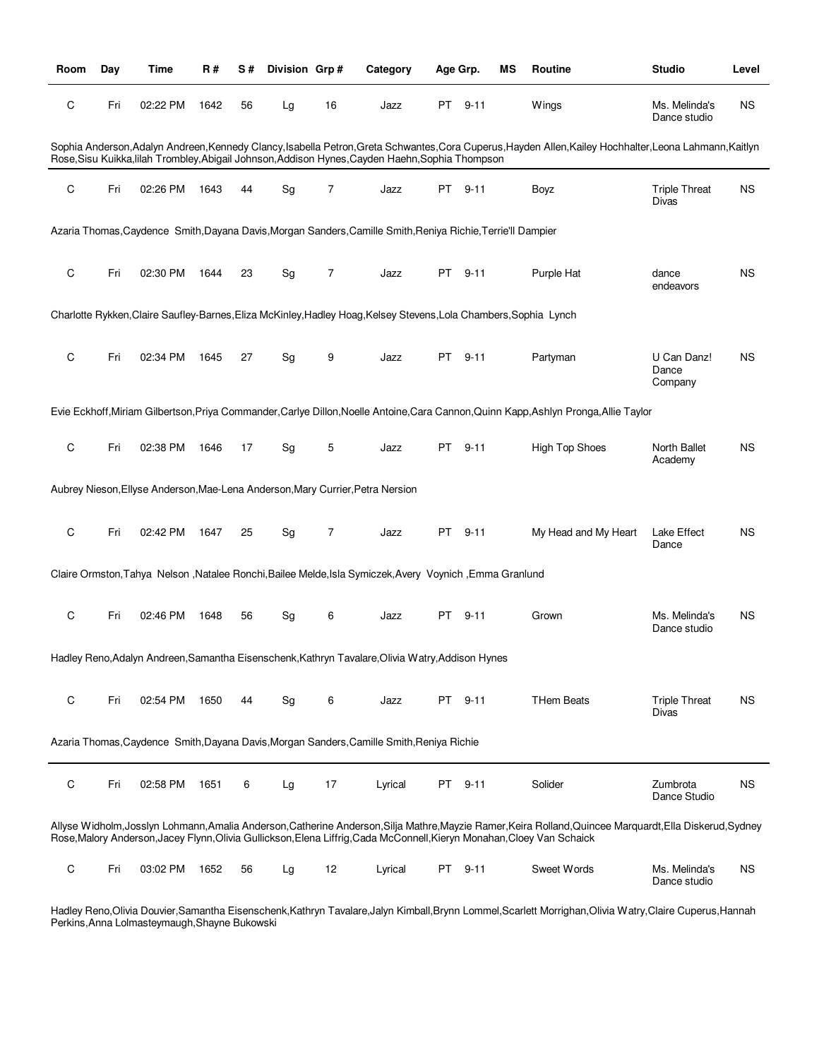| Room        | Day | <b>Time</b> | R#   | S# | Division Grp# |                | Category                                                                                                                | Age Grp. |          | ΜS | Routine                                                                                                                                                  | <b>Studio</b>                   | Level     |
|-------------|-----|-------------|------|----|---------------|----------------|-------------------------------------------------------------------------------------------------------------------------|----------|----------|----|----------------------------------------------------------------------------------------------------------------------------------------------------------|---------------------------------|-----------|
| $\mathsf C$ | Fri | 02:22 PM    | 1642 | 56 | Lg            | 16             | Jazz                                                                                                                    |          | PT 9-11  |    | Wings                                                                                                                                                    | Ms. Melinda's<br>Dance studio   | <b>NS</b> |
|             |     |             |      |    |               |                | Rose, Sisu Kuikka, lilah Trombley, Abigail Johnson, Addison Hynes, Cayden Haehn, Sophia Thompson                        |          |          |    | Sophia Anderson, Adalyn Andreen, Kennedy Clancy, Isabella Petron, Greta Schwantes, Cora Cuperus, Hayden Allen, Kailey Hochhalter, Leona Lahmann, Kaitlyn |                                 |           |
| C           | Fri | 02:26 PM    | 1643 | 44 | Sg            | 7              | Jazz                                                                                                                    |          | PT 9-11  |    | Boyz                                                                                                                                                     | <b>Triple Threat</b><br>Divas   | <b>NS</b> |
|             |     |             |      |    |               |                | Azaria Thomas, Caydence Smith, Dayana Davis, Morgan Sanders, Camille Smith, Reniya Richie, Terrie'll Dampier            |          |          |    |                                                                                                                                                          |                                 |           |
| C           | Fri | 02:30 PM    | 1644 | 23 | Sg            | $\overline{7}$ | Jazz                                                                                                                    |          | PT 9-11  |    | Purple Hat                                                                                                                                               | dance<br>endeavors              | <b>NS</b> |
|             |     |             |      |    |               |                | Charlotte Rykken, Claire Saufley-Barnes, Eliza McKinley, Hadley Hoag, Kelsey Stevens, Lola Chambers, Sophia Lynch       |          |          |    |                                                                                                                                                          |                                 |           |
| C           | Fri | 02:34 PM    | 1645 | 27 | Sg            | 9              | Jazz                                                                                                                    |          | PT 9-11  |    | Partyman                                                                                                                                                 | U Can Danz!<br>Dance<br>Company | <b>NS</b> |
|             |     |             |      |    |               |                |                                                                                                                         |          |          |    | Evie Eckhoff, Miriam Gilbertson, Priya Commander, Carlye Dillon, Noelle Antoine, Cara Cannon, Quinn Kapp, Ashlyn Pronga, Allie Taylor                    |                                 |           |
| C           | Fri | 02:38 PM    | 1646 | 17 | Sg            | 5              | Jazz                                                                                                                    | PT       | $9 - 11$ |    | <b>High Top Shoes</b>                                                                                                                                    | North Ballet<br>Academy         | <b>NS</b> |
|             |     |             |      |    |               |                | Aubrey Nieson, Ellyse Anderson, Mae-Lena Anderson, Mary Currier, Petra Nersion                                          |          |          |    |                                                                                                                                                          |                                 |           |
| C           | Fri | 02:42 PM    | 1647 | 25 | Sg            | 7              | Jazz                                                                                                                    | PT       | $9 - 11$ |    | My Head and My Heart                                                                                                                                     | Lake Effect<br>Dance            | <b>NS</b> |
|             |     |             |      |    |               |                | Claire Ormston, Tahya Nelson , Natalee Ronchi, Bailee Melde, Isla Symiczek, Avery Voynich, Emma Granlund                |          |          |    |                                                                                                                                                          |                                 |           |
| C           | Fri | 02:46 PM    | 1648 | 56 | Sg            | 6              | Jazz                                                                                                                    |          | PT 9-11  |    | Grown                                                                                                                                                    | Ms. Melinda's<br>Dance studio   | <b>NS</b> |
|             |     |             |      |    |               |                | Hadley Reno, Adalyn Andreen, Samantha Eisenschenk, Kathryn Tavalare, Olivia Watry, Addison Hynes                        |          |          |    |                                                                                                                                                          |                                 |           |
| C           | Fri | 02:54 PM    | 1650 | 44 | Sg            | 6              | Jazz                                                                                                                    |          | PT 9-11  |    | <b>THem Beats</b>                                                                                                                                        | <b>Triple Threat</b><br>Divas   | <b>NS</b> |
|             |     |             |      |    |               |                | Azaria Thomas, Caydence Smith, Dayana Davis, Morgan Sanders, Camille Smith, Reniya Richie                               |          |          |    |                                                                                                                                                          |                                 |           |
| C           | Fri | 02:58 PM    | 1651 | 6  | Lg            | 17             | Lyrical                                                                                                                 |          | PT 9-11  |    | Solider                                                                                                                                                  | Zumbrota<br>Dance Studio        | <b>NS</b> |
|             |     |             |      |    |               |                | Rose, Malory Anderson, Jacey Flynn, Olivia Gullickson, Elena Liffrig, Cada McConnell, Kieryn Monahan, Cloey Van Schaick |          |          |    | Allyse Widholm,Josslyn Lohmann,Amalia Anderson,Catherine Anderson,Silja Mathre,Mayzie Ramer,Keira Rolland,Quincee Marquardt,Ella Diskerud,Sydney         |                                 |           |
| C           | Fri | 03:02 PM    | 1652 | 56 | Lg            | 12             | Lyrical                                                                                                                 | PT       | $9 - 11$ |    | Sweet Words                                                                                                                                              | Ms. Melinda's<br>Dance studio   | ΝS        |

Hadley Reno,Olivia Douvier,Samantha Eisenschenk,Kathryn Tavalare,Jalyn Kimball,Brynn Lommel,Scarlett Morrighan,Olivia Watry,Claire Cuperus,Hannah Perkins,Anna Lolmasteymaugh,Shayne Bukowski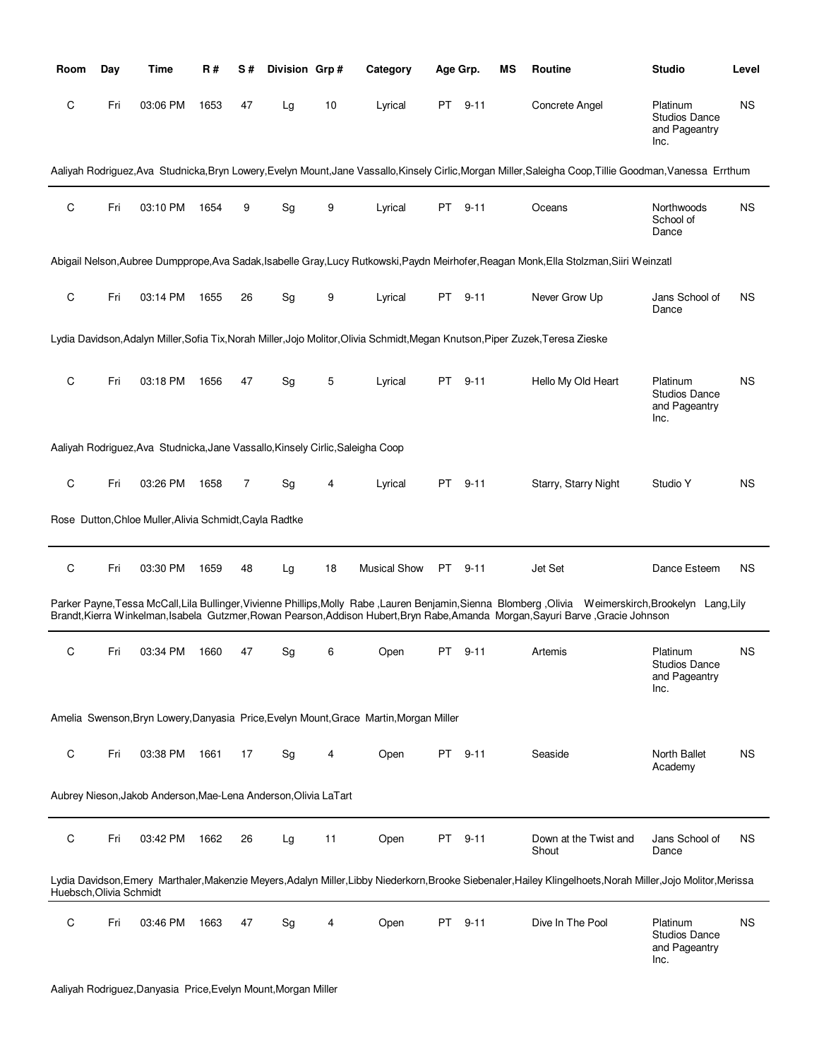| Room                    | Day | Time                                                                           | <b>R#</b> | S# | Division Grp# |    | Category                                                                               |     | Age Grp. | ΜS | <b>Routine</b>                                                                                                                                                                                                                                                                             | <b>Studio</b>                                             | Level     |
|-------------------------|-----|--------------------------------------------------------------------------------|-----------|----|---------------|----|----------------------------------------------------------------------------------------|-----|----------|----|--------------------------------------------------------------------------------------------------------------------------------------------------------------------------------------------------------------------------------------------------------------------------------------------|-----------------------------------------------------------|-----------|
| C                       | Fri | 03:06 PM                                                                       | 1653      | 47 | Lg            | 10 | Lyrical                                                                                | PT  | $9 - 11$ |    | Concrete Angel                                                                                                                                                                                                                                                                             | Platinum<br><b>Studios Dance</b><br>and Pageantry<br>Inc. | <b>NS</b> |
|                         |     |                                                                                |           |    |               |    |                                                                                        |     |          |    | Aaliyah Rodriguez, Ava Studnicka, Bryn Lowery, Evelyn Mount, Jane Vassallo, Kinsely Cirlic, Morgan Miller, Saleigha Coop, Tillie Goodman, Vanessa Errthum                                                                                                                                  |                                                           |           |
| C                       | Fri | 03:10 PM                                                                       | 1654      | 9  | Sg            | 9  | Lyrical                                                                                | PT  | $9 - 11$ |    | Oceans                                                                                                                                                                                                                                                                                     | Northwoods<br>School of<br>Dance                          | <b>NS</b> |
|                         |     |                                                                                |           |    |               |    |                                                                                        |     |          |    | Abigail Nelson, Aubree Dumpprope, Ava Sadak, Isabelle Gray, Lucy Rutkowski, Paydn Meirhofer, Reagan Monk, Ella Stolzman, Siiri Weinzatl                                                                                                                                                    |                                                           |           |
| C                       | Fri | 03:14 PM                                                                       | 1655      | 26 | Sg            | 9  | Lyrical                                                                                | PT  | $9 - 11$ |    | Never Grow Up                                                                                                                                                                                                                                                                              | Jans School of<br>Dance                                   | <b>NS</b> |
|                         |     |                                                                                |           |    |               |    |                                                                                        |     |          |    | Lydia Davidson, Adalyn Miller, Sofia Tix, Norah Miller, Jojo Molitor, Olivia Schmidt, Megan Knutson, Piper Zuzek, Teresa Zieske                                                                                                                                                            |                                                           |           |
| C                       | Fri | 03:18 PM                                                                       | 1656      | 47 | Sg            | 5  | Lyrical                                                                                | PT  | $9 - 11$ |    | Hello My Old Heart                                                                                                                                                                                                                                                                         | Platinum<br><b>Studios Dance</b><br>and Pageantry<br>Inc. | ΝS        |
|                         |     | Aaliyah Rodriguez, Ava Studnicka, Jane Vassallo, Kinsely Cirlic, Saleigha Coop |           |    |               |    |                                                                                        |     |          |    |                                                                                                                                                                                                                                                                                            |                                                           |           |
| C                       | Fri | 03:26 PM                                                                       | 1658      | 7  | Sg            | 4  | Lyrical                                                                                | PT  | $9 - 11$ |    | Starry, Starry Night                                                                                                                                                                                                                                                                       | Studio Y                                                  | <b>NS</b> |
|                         |     | Rose Dutton, Chloe Muller, Alivia Schmidt, Cayla Radtke                        |           |    |               |    |                                                                                        |     |          |    |                                                                                                                                                                                                                                                                                            |                                                           |           |
| C                       | Fri | 03:30 PM                                                                       | 1659      | 48 | Lg            | 18 | <b>Musical Show</b>                                                                    | PT  | $9 - 11$ |    | Jet Set                                                                                                                                                                                                                                                                                    | Dance Esteem                                              | ΝS        |
|                         |     |                                                                                |           |    |               |    |                                                                                        |     |          |    | Parker Payne, Tessa McCall, Lila Bullinger, Vivienne Phillips, Molly Rabe, Lauren Benjamin, Sienna Blomberg, Olivia Weimerskirch, Brookelyn Lang, Lily<br>Brandt, Kierra Winkelman, Isabela Gutzmer, Rowan Pearson, Addison Hubert, Bryn Rabe, Amanda Morgan, Sayuri Barve, Gracie Johnson |                                                           |           |
| C                       | Fri | 03:34 PM                                                                       | 1660      | 47 | Sg            | 6  | Open                                                                                   | PT  | $9 - 11$ |    | Artemis                                                                                                                                                                                                                                                                                    | Platinum<br><b>Studios Dance</b><br>and Pageantry<br>Inc. | <b>NS</b> |
|                         |     |                                                                                |           |    |               |    | Amelia Swenson, Bryn Lowery, Danyasia Price, Evelyn Mount, Grace Martin, Morgan Miller |     |          |    |                                                                                                                                                                                                                                                                                            |                                                           |           |
| C                       | Fri | 03:38 PM                                                                       | 1661      | 17 | Sg            | 4  | Open                                                                                   | PT  | $9 - 11$ |    | Seaside                                                                                                                                                                                                                                                                                    | North Ballet<br>Academy                                   | ΝS        |
|                         |     | Aubrey Nieson, Jakob Anderson, Mae-Lena Anderson, Olivia LaTart                |           |    |               |    |                                                                                        |     |          |    |                                                                                                                                                                                                                                                                                            |                                                           |           |
| C                       | Fri | 03:42 PM                                                                       | 1662      | 26 | Lg            | 11 | Open                                                                                   | PT  | $9 - 11$ |    | Down at the Twist and<br>Shout                                                                                                                                                                                                                                                             | Jans School of<br>Dance                                   | ΝS        |
| Huebsch, Olivia Schmidt |     |                                                                                |           |    |               |    |                                                                                        |     |          |    | Lydia Davidson, Emery Marthaler, Makenzie Meyers, Adalyn Miller, Libby Niederkorn, Brooke Siebenaler, Hailey Klingelhoets, Norah Miller, Jojo Molitor, Merissa                                                                                                                             |                                                           |           |
| C                       | Fri | 03:46 PM                                                                       | 1663      | 47 | Sg            | 4  | Open                                                                                   | PT. | $9 - 11$ |    | Dive In The Pool                                                                                                                                                                                                                                                                           | Platinum<br><b>Studios Dance</b><br>and Pageantry<br>Inc. | ΝS        |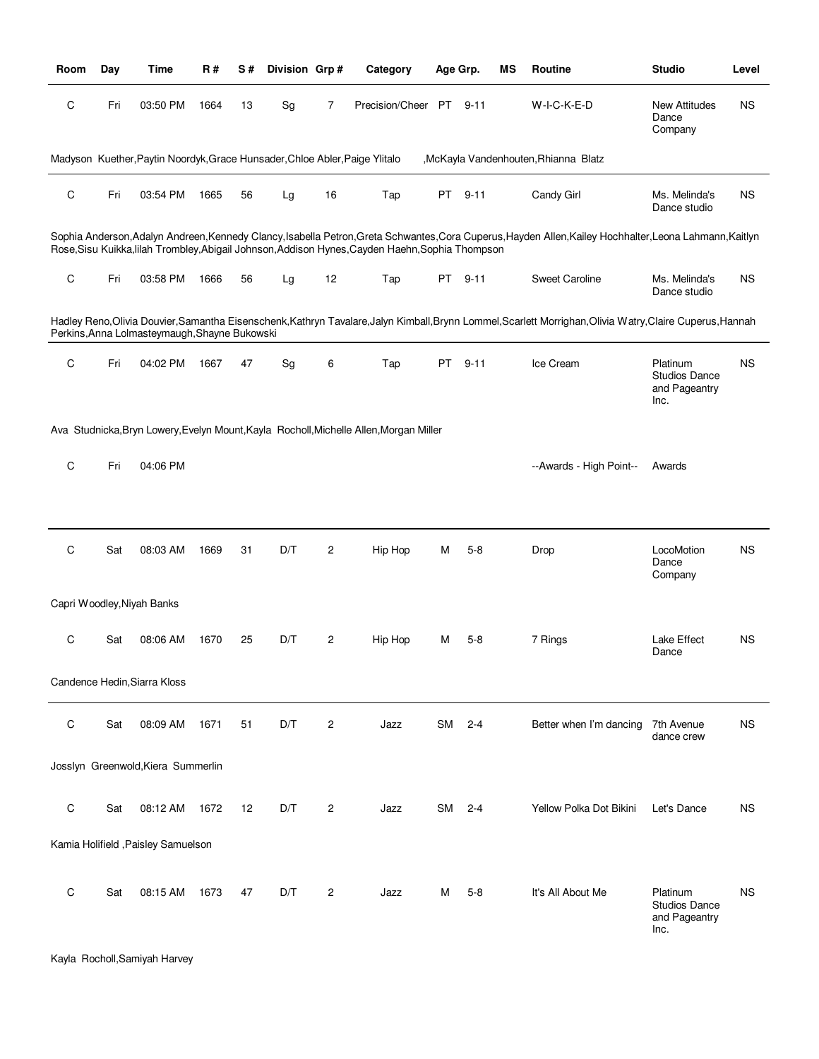| Room        | Day | Time                                                                        | R#   | <b>S#</b> | Division Grp# |                | Category                                                                                         |           | Age Grp. | ΜS | Routine                                                                                                                                                  | <b>Studio</b>                                             | Level     |
|-------------|-----|-----------------------------------------------------------------------------|------|-----------|---------------|----------------|--------------------------------------------------------------------------------------------------|-----------|----------|----|----------------------------------------------------------------------------------------------------------------------------------------------------------|-----------------------------------------------------------|-----------|
| C           | Fri | 03:50 PM                                                                    | 1664 | 13        | Sg            | 7              | Precision/Cheer PT 9-11                                                                          |           |          |    | W-I-C-K-E-D                                                                                                                                              | <b>New Attitudes</b><br>Dance<br>Company                  | <b>NS</b> |
|             |     | Madyson Kuether, Paytin Noordyk, Grace Hunsader, Chloe Abler, Paige Ylitalo |      |           |               |                |                                                                                                  |           |          |    | ,McKayla Vandenhouten, Rhianna Blatz                                                                                                                     |                                                           |           |
| $\mathsf C$ | Fri | 03:54 PM                                                                    | 1665 | 56        | Lg            | 16             | Tap                                                                                              |           | PT 9-11  |    | Candy Girl                                                                                                                                               | Ms. Melinda's<br>Dance studio                             | <b>NS</b> |
|             |     |                                                                             |      |           |               |                | Rose, Sisu Kuikka, lilah Trombley, Abigail Johnson, Addison Hynes, Cayden Haehn, Sophia Thompson |           |          |    | Sophia Anderson, Adalyn Andreen, Kennedy Clancy, Isabella Petron, Greta Schwantes, Cora Cuperus, Hayden Allen, Kailey Hochhalter, Leona Lahmann, Kaitlyn |                                                           |           |
| $\mathsf C$ | Fri | 03:58 PM                                                                    | 1666 | 56        | Lg            | 12             | Tap                                                                                              |           | PT 9-11  |    | Sweet Caroline                                                                                                                                           | Ms. Melinda's<br>Dance studio                             | <b>NS</b> |
|             |     | Perkins, Anna Lolmasteymaugh, Shayne Bukowski                               |      |           |               |                |                                                                                                  |           |          |    | Hadley Reno,Olivia Douvier,Samantha Eisenschenk,Kathryn Tavalare,Jalyn Kimball,Brynn Lommel,Scarlett Morrighan,Olivia Watry,Claire Cuperus,Hannah        |                                                           |           |
| C           | Fri | 04:02 PM                                                                    | 1667 | 47        | Sg            | 6              | Tap                                                                                              | PT        | $9 - 11$ |    | Ice Cream                                                                                                                                                | Platinum<br>Studios Dance<br>and Pageantry<br>Inc.        | <b>NS</b> |
|             |     |                                                                             |      |           |               |                | Ava Studnicka, Bryn Lowery, Evelyn Mount, Kayla Rocholl, Michelle Allen, Morgan Miller           |           |          |    |                                                                                                                                                          |                                                           |           |
| C           | Fri | 04:06 PM                                                                    |      |           |               |                |                                                                                                  |           |          |    | --Awards - High Point--                                                                                                                                  | Awards                                                    |           |
|             |     |                                                                             |      |           |               |                |                                                                                                  |           |          |    |                                                                                                                                                          |                                                           |           |
| $\mathsf C$ | Sat | 08:03 AM                                                                    | 1669 | 31        | D/T           | $\overline{c}$ | Hip Hop                                                                                          | М         | $5 - 8$  |    | Drop                                                                                                                                                     | LocoMotion<br>Dance<br>Company                            | <b>NS</b> |
|             |     | Capri Woodley, Niyah Banks                                                  |      |           |               |                |                                                                                                  |           |          |    |                                                                                                                                                          |                                                           |           |
| C           | Sat | 08:06 AM                                                                    | 1670 | 25        | D/T           | 2              | Hip Hop                                                                                          | M         | $5-8$    |    | 7 Rings                                                                                                                                                  | Lake Effect<br>Dance                                      | <b>NS</b> |
|             |     | Candence Hedin, Siarra Kloss                                                |      |           |               |                |                                                                                                  |           |          |    |                                                                                                                                                          |                                                           |           |
| C           | Sat | 08:09 AM                                                                    | 1671 | 51        | D/T           | $\overline{c}$ | Jazz                                                                                             | <b>SM</b> | $2 - 4$  |    | Better when I'm dancing                                                                                                                                  | 7th Avenue<br>dance crew                                  | <b>NS</b> |
|             |     | Josslyn Greenwold, Kiera Summerlin                                          |      |           |               |                |                                                                                                  |           |          |    |                                                                                                                                                          |                                                           |           |
| C           | Sat | 08:12 AM                                                                    | 1672 | 12        | D/T           | 2              | Jazz                                                                                             | SM        | $2 - 4$  |    | Yellow Polka Dot Bikini                                                                                                                                  | Let's Dance                                               | <b>NS</b> |
|             |     | Kamia Holifield , Paisley Samuelson                                         |      |           |               |                |                                                                                                  |           |          |    |                                                                                                                                                          |                                                           |           |
| C           | Sat | 08:15 AM                                                                    | 1673 | 47        | D/T           | 2              | Jazz                                                                                             | M         | $5 - 8$  |    | It's All About Me                                                                                                                                        | Platinum<br><b>Studios Dance</b><br>and Pageantry<br>Inc. | <b>NS</b> |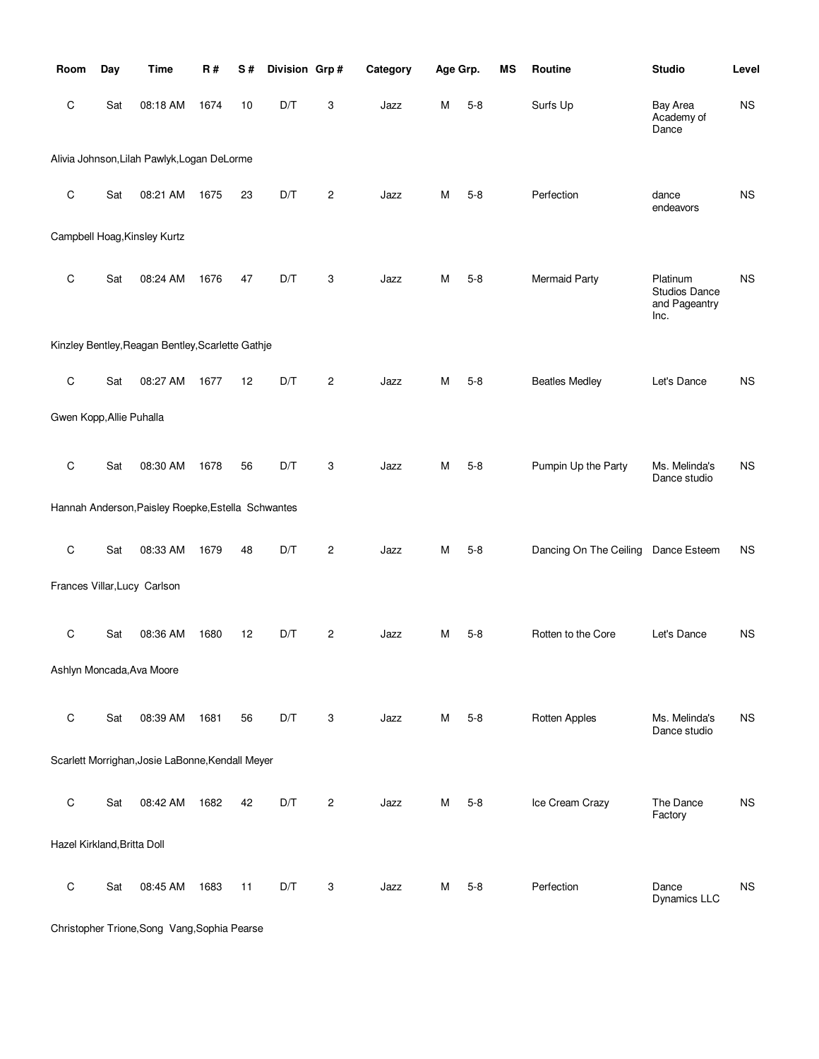| Room                        | Day | <b>Time</b>                                        | <b>R#</b> | S# | Division Grp# |                | Category | Age Grp. |         | MS | Routine                | <b>Studio</b>                                      | Level     |
|-----------------------------|-----|----------------------------------------------------|-----------|----|---------------|----------------|----------|----------|---------|----|------------------------|----------------------------------------------------|-----------|
| С                           | Sat | 08:18 AM                                           | 1674      | 10 | D/T           | 3              | Jazz     | Μ        | $5 - 8$ |    | Surfs Up               | Bay Area<br>Academy of<br>Dance                    | NS        |
|                             |     | Alivia Johnson, Lilah Pawlyk, Logan DeLorme        |           |    |               |                |          |          |         |    |                        |                                                    |           |
| $\mathsf C$                 | Sat | 08:21 AM                                           | 1675      | 23 | D/T           | $\overline{2}$ | Jazz     | М        | $5-8$   |    | Perfection             | dance<br>endeavors                                 | <b>NS</b> |
|                             |     | Campbell Hoag, Kinsley Kurtz                       |           |    |               |                |          |          |         |    |                        |                                                    |           |
| C                           | Sat | 08:24 AM                                           | 1676      | 47 | D/T           | 3              | Jazz     | М        | $5-8$   |    | <b>Mermaid Party</b>   | Platinum<br>Studios Dance<br>and Pageantry<br>Inc. | <b>NS</b> |
|                             |     | Kinzley Bentley, Reagan Bentley, Scarlette Gathje  |           |    |               |                |          |          |         |    |                        |                                                    |           |
| $\mathsf C$                 | Sat | 08:27 AM                                           | 1677      | 12 | D/T           | $\overline{2}$ | Jazz     | М        | $5-8$   |    | <b>Beatles Medley</b>  | Let's Dance                                        | <b>NS</b> |
| Gwen Kopp, Allie Puhalla    |     |                                                    |           |    |               |                |          |          |         |    |                        |                                                    |           |
| $\mathsf C$                 | Sat | 08:30 AM                                           | 1678      | 56 | D/T           | 3              | Jazz     | Μ        | $5 - 8$ |    | Pumpin Up the Party    | Ms. Melinda's<br>Dance studio                      | <b>NS</b> |
|                             |     | Hannah Anderson, Paisley Roepke, Estella Schwantes |           |    |               |                |          |          |         |    |                        |                                                    |           |
| $\mathsf C$                 | Sat | 08:33 AM                                           | 1679      | 48 | D/T           | $\overline{c}$ | Jazz     | М        | $5-8$   |    | Dancing On The Ceiling | Dance Esteem                                       | <b>NS</b> |
|                             |     | Frances Villar, Lucy Carlson                       |           |    |               |                |          |          |         |    |                        |                                                    |           |
| C                           | Sat | 08:36 AM                                           | 1680      | 12 | D/T           | 2              | Jazz     | М        | $5-8$   |    | Rotten to the Core     | Let's Dance                                        | <b>NS</b> |
|                             |     | Ashlyn Moncada, Ava Moore                          |           |    |               |                |          |          |         |    |                        |                                                    |           |
| $\mathsf C$                 | Sat | 08:39 AM                                           | 1681      | 56 | D/T           | 3              | Jazz     | М        | $5 - 8$ |    | Rotten Apples          | Ms. Melinda's<br>Dance studio                      | <b>NS</b> |
|                             |     | Scarlett Morrighan, Josie LaBonne, Kendall Meyer   |           |    |               |                |          |          |         |    |                        |                                                    |           |
| $\mathsf C$                 | Sat | 08:42 AM                                           | 1682      | 42 | D/T           | $\overline{2}$ | Jazz     | М        | $5 - 8$ |    | Ice Cream Crazy        | The Dance<br>Factory                               | <b>NS</b> |
| Hazel Kirkland, Britta Doll |     |                                                    |           |    |               |                |          |          |         |    |                        |                                                    |           |
| $\mathsf C$                 | Sat | 08:45 AM                                           | 1683      | 11 | D/T           | 3              | Jazz     | Μ        | $5 - 8$ |    | Perfection             | Dance<br>Dynamics LLC                              | <b>NS</b> |

Christopher Trione,Song Vang,Sophia Pearse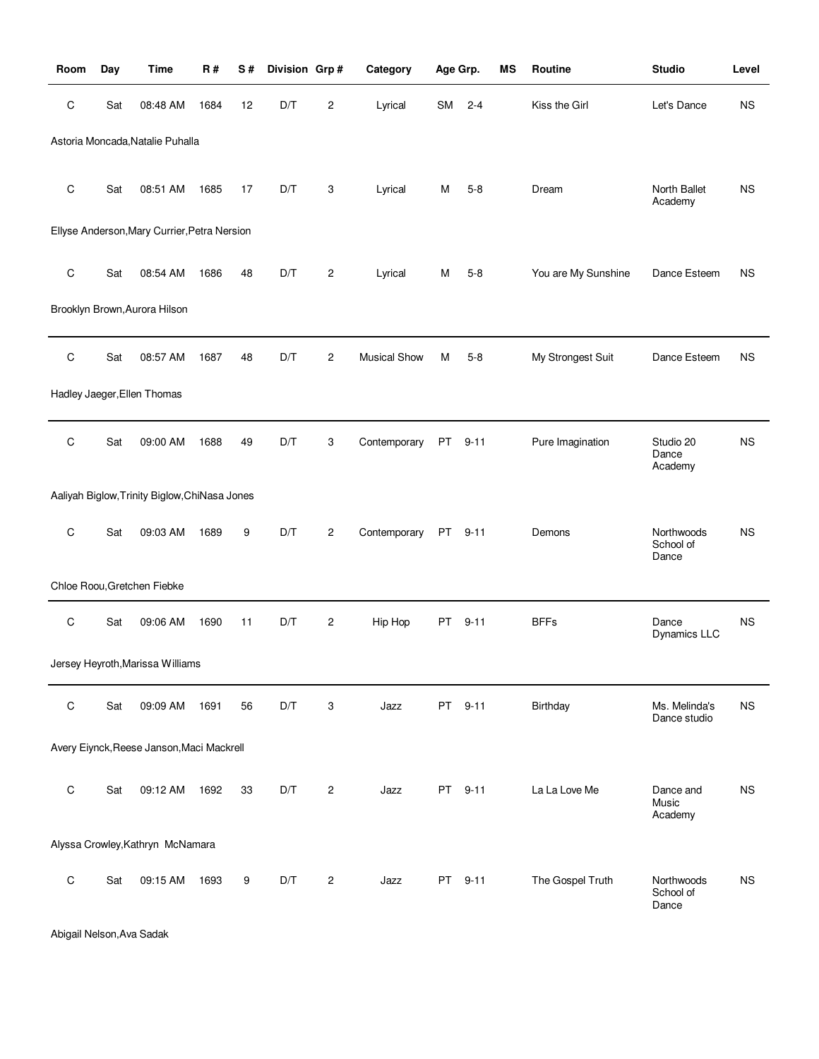| Room        | Day | <b>Time</b>                                   | R#   | S# | Division Grp# |                | Category            |           | Age Grp. | MS | Routine             | <b>Studio</b>                    | Level     |
|-------------|-----|-----------------------------------------------|------|----|---------------|----------------|---------------------|-----------|----------|----|---------------------|----------------------------------|-----------|
| C           | Sat | 08:48 AM                                      | 1684 | 12 | D/T           | 2              | Lyrical             | <b>SM</b> | $2 - 4$  |    | Kiss the Girl       | Let's Dance                      | <b>NS</b> |
|             |     | Astoria Moncada, Natalie Puhalla              |      |    |               |                |                     |           |          |    |                     |                                  |           |
| C           | Sat | 08:51 AM                                      | 1685 | 17 | D/T           | 3              | Lyrical             | М         | $5-8$    |    | Dream               | North Ballet<br>Academy          | <b>NS</b> |
|             |     | Ellyse Anderson, Mary Currier, Petra Nersion  |      |    |               |                |                     |           |          |    |                     |                                  |           |
| C           | Sat | 08:54 AM                                      | 1686 | 48 | D/T           | $\overline{c}$ | Lyrical             | м         | $5-8$    |    | You are My Sunshine | Dance Esteem                     | <b>NS</b> |
|             |     | Brooklyn Brown, Aurora Hilson                 |      |    |               |                |                     |           |          |    |                     |                                  |           |
| C           | Sat | 08:57 AM                                      | 1687 | 48 | D/T           | 2              | <b>Musical Show</b> | M         | $5-8$    |    | My Strongest Suit   | Dance Esteem                     | <b>NS</b> |
|             |     | Hadley Jaeger, Ellen Thomas                   |      |    |               |                |                     |           |          |    |                     |                                  |           |
| C           | Sat | 09:00 AM                                      | 1688 | 49 | D/T           | 3              | Contemporary        | PT        | $9 - 11$ |    | Pure Imagination    | Studio 20<br>Dance<br>Academy    | <b>NS</b> |
|             |     | Aaliyah Biglow, Trinity Biglow, ChiNasa Jones |      |    |               |                |                     |           |          |    |                     |                                  |           |
| C           | Sat | 09:03 AM                                      | 1689 | 9  | D/T           | $\overline{c}$ | Contemporary        | PT        | $9 - 11$ |    | Demons              | Northwoods<br>School of<br>Dance | <b>NS</b> |
|             |     | Chloe Roou, Gretchen Fiebke                   |      |    |               |                |                     |           |          |    |                     |                                  |           |
| C           | Sat | 09:06 AM                                      | 1690 | 11 | D/T           | 2              | Hip Hop             | PT        | $9 - 11$ |    | <b>BFFs</b>         | Dance<br><b>Dynamics LLC</b>     | <b>NS</b> |
|             |     | Jersey Heyroth, Marissa Williams              |      |    |               |                |                     |           |          |    |                     |                                  |           |
| $\mathsf C$ | Sat | 09:09 AM                                      | 1691 | 56 | D/T           | 3              | Jazz                |           | PT 9-11  |    | Birthday            | Ms. Melinda's<br>Dance studio    | <b>NS</b> |
|             |     | Avery Eiynck, Reese Janson, Maci Mackrell     |      |    |               |                |                     |           |          |    |                     |                                  |           |
| $\mathsf C$ | Sat | 09:12 AM                                      | 1692 | 33 | D/T           | $\overline{c}$ | Jazz                | PT        | $9 - 11$ |    | La La Love Me       | Dance and<br>Music<br>Academy    | <b>NS</b> |
|             |     | Alyssa Crowley, Kathryn McNamara              |      |    |               |                |                     |           |          |    |                     |                                  |           |
| C           | Sat | 09:15 AM                                      | 1693 | 9  | D/T           | $\overline{c}$ | Jazz                |           | PT 9-11  |    | The Gospel Truth    | Northwoods<br>School of<br>Dance | <b>NS</b> |

Abigail Nelson,Ava Sadak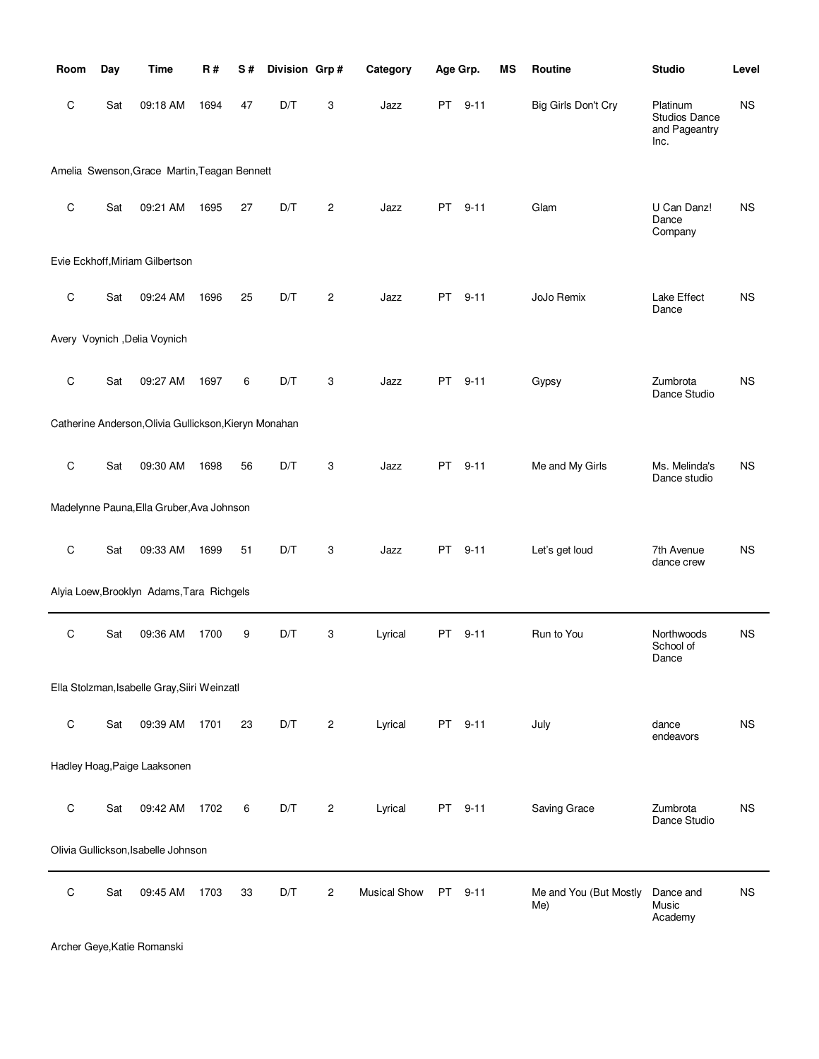| Room        | Day | <b>Time</b>                                           | R#   | S# | Division Grp# |                | Category            | Age Grp.                                                                                                                                                                                                                       |          | MS | Routine                       | <b>Studio</b>                                      | Level     |
|-------------|-----|-------------------------------------------------------|------|----|---------------|----------------|---------------------|--------------------------------------------------------------------------------------------------------------------------------------------------------------------------------------------------------------------------------|----------|----|-------------------------------|----------------------------------------------------|-----------|
| C           | Sat | 09:18 AM                                              | 1694 | 47 | D/T           | 3              | Jazz                | PT and the post of the content of the content of the content of the content of the content of the content of the content of the content of the content of the content of the content of the content of the content of the cont | $9 - 11$ |    | Big Girls Don't Cry           | Platinum<br>Studios Dance<br>and Pageantry<br>Inc. | <b>NS</b> |
|             |     | Amelia Swenson, Grace Martin, Teagan Bennett          |      |    |               |                |                     |                                                                                                                                                                                                                                |          |    |                               |                                                    |           |
| C           | Sat | 09:21 AM                                              | 1695 | 27 | D/T           | $\overline{c}$ | Jazz                |                                                                                                                                                                                                                                | PT 9-11  |    | Glam                          | U Can Danz!<br>Dance<br>Company                    | <b>NS</b> |
|             |     | Evie Eckhoff, Miriam Gilbertson                       |      |    |               |                |                     |                                                                                                                                                                                                                                |          |    |                               |                                                    |           |
| C           | Sat | 09:24 AM                                              | 1696 | 25 | D/T           | 2              | Jazz                | PT                                                                                                                                                                                                                             | $9 - 11$ |    | JoJo Remix                    | Lake Effect<br>Dance                               | ΝS        |
|             |     | Avery Voynich , Delia Voynich                         |      |    |               |                |                     |                                                                                                                                                                                                                                |          |    |                               |                                                    |           |
| C           | Sat | 09:27 AM                                              | 1697 | 6  | D/T           | 3              | Jazz                | PT                                                                                                                                                                                                                             | $9 - 11$ |    | Gypsy                         | Zumbrota<br>Dance Studio                           | <b>NS</b> |
|             |     | Catherine Anderson, Olivia Gullickson, Kieryn Monahan |      |    |               |                |                     |                                                                                                                                                                                                                                |          |    |                               |                                                    |           |
| $\mathsf C$ | Sat | 09:30 AM                                              | 1698 | 56 | D/T           | 3              | Jazz                | PT and the post of the content of the content of the content of the content of the content of the content of the content of the content of the content of the content of the content of the content of the content of the cont | $9 - 11$ |    | Me and My Girls               | Ms. Melinda's<br>Dance studio                      | ΝS        |
|             |     | Madelynne Pauna, Ella Gruber, Ava Johnson             |      |    |               |                |                     |                                                                                                                                                                                                                                |          |    |                               |                                                    |           |
| C           | Sat | 09:33 AM                                              | 1699 | 51 | D/T           | 3              | Jazz                | PT                                                                                                                                                                                                                             | $9 - 11$ |    | Let's get loud                | 7th Avenue<br>dance crew                           | <b>NS</b> |
|             |     | Alyia Loew, Brooklyn Adams, Tara Richgels             |      |    |               |                |                     |                                                                                                                                                                                                                                |          |    |                               |                                                    |           |
| C           | Sat | 09:36 AM                                              | 1700 | 9  | D/T           | 3              | Lyrical             | PT                                                                                                                                                                                                                             | $9 - 11$ |    | Run to You                    | Northwoods<br>School of<br>Dance                   | <b>NS</b> |
|             |     | Ella Stolzman, Isabelle Gray, Siiri Weinzatl          |      |    |               |                |                     |                                                                                                                                                                                                                                |          |    |                               |                                                    |           |
| $\mathsf C$ | Sat | 09:39 AM                                              | 1701 | 23 | D/T           | 2              | Lyrical             |                                                                                                                                                                                                                                | PT 9-11  |    | July                          | dance<br>endeavors                                 | <b>NS</b> |
|             |     | Hadley Hoag, Paige Laaksonen                          |      |    |               |                |                     |                                                                                                                                                                                                                                |          |    |                               |                                                    |           |
| $\mathsf C$ | Sat | 09:42 AM                                              | 1702 | 6  | D/T           | 2              | Lyrical             |                                                                                                                                                                                                                                | PT 9-11  |    | Saving Grace                  | Zumbrota<br>Dance Studio                           | <b>NS</b> |
|             |     | Olivia Gullickson, Isabelle Johnson                   |      |    |               |                |                     |                                                                                                                                                                                                                                |          |    |                               |                                                    |           |
| $\mathsf C$ | Sat | 09:45 AM                                              | 1703 | 33 | D/T           | 2              | <b>Musical Show</b> | <b>PT</b>                                                                                                                                                                                                                      | $9 - 11$ |    | Me and You (But Mostly<br>Me) | Dance and<br>Music<br>Academy                      | <b>NS</b> |

Archer Geye,Katie Romanski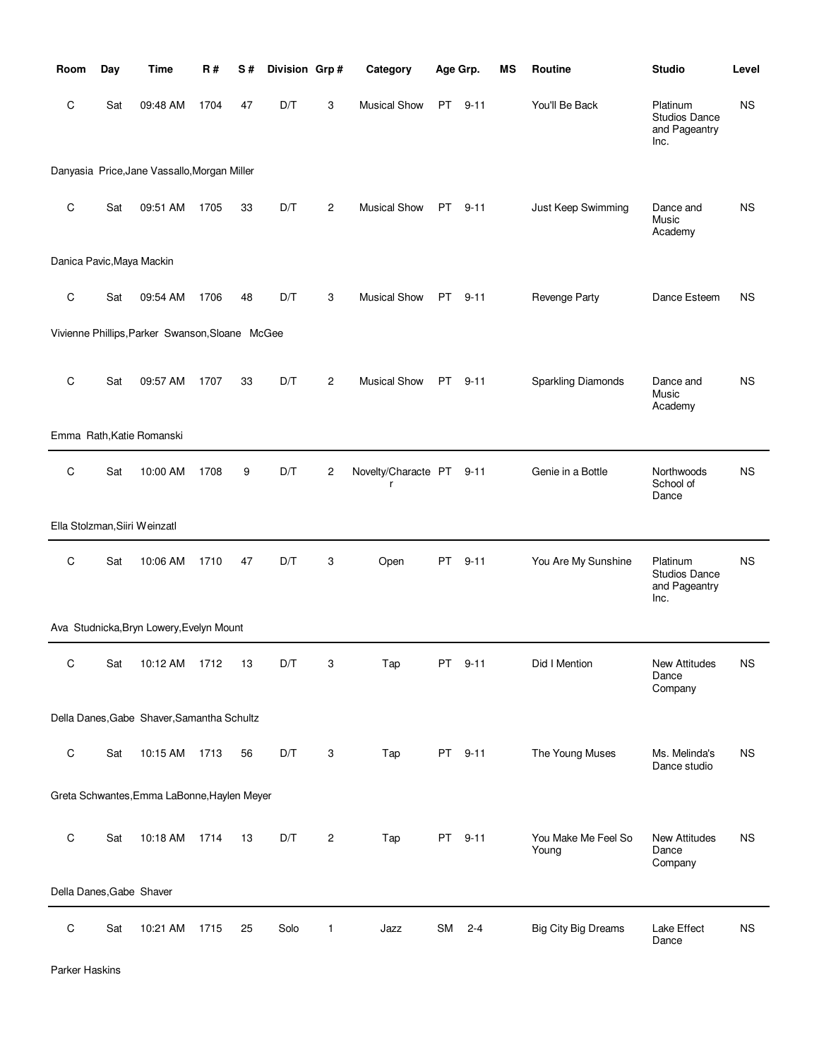| Room                      | Day | Time                                            | R#   | S# | Division Grp# |                | Category                 | Age Grp.  |          | ΜS | Routine                      | <b>Studio</b>                                             | Level     |
|---------------------------|-----|-------------------------------------------------|------|----|---------------|----------------|--------------------------|-----------|----------|----|------------------------------|-----------------------------------------------------------|-----------|
| C                         | Sat | 09:48 AM                                        | 1704 | 47 | D/T           | 3              | <b>Musical Show</b>      | PT -      | $9 - 11$ |    | You'll Be Back               | Platinum<br>Studios Dance<br>and Pageantry<br>Inc.        | <b>NS</b> |
|                           |     | Danyasia Price, Jane Vassallo, Morgan Miller    |      |    |               |                |                          |           |          |    |                              |                                                           |           |
| C                         | Sat | 09:51 AM                                        | 1705 | 33 | D/T           | $\overline{2}$ | <b>Musical Show</b>      | PT        | $9 - 11$ |    | Just Keep Swimming           | Dance and<br>Music<br>Academy                             | <b>NS</b> |
| Danica Pavic, Maya Mackin |     |                                                 |      |    |               |                |                          |           |          |    |                              |                                                           |           |
| C                         | Sat | 09:54 AM                                        | 1706 | 48 | D/T           | 3              | <b>Musical Show</b>      | PT        | $9 - 11$ |    | Revenge Party                | Dance Esteem                                              | ΝS        |
|                           |     | Vivienne Phillips, Parker Swanson, Sloane McGee |      |    |               |                |                          |           |          |    |                              |                                                           |           |
| C                         | Sat | 09:57 AM                                        | 1707 | 33 | D/T           | $\overline{c}$ | <b>Musical Show</b>      | PT        | $9 - 11$ |    | <b>Sparkling Diamonds</b>    | Dance and<br>Music<br>Academy                             | <b>NS</b> |
|                           |     | Emma Rath, Katie Romanski                       |      |    |               |                |                          |           |          |    |                              |                                                           |           |
| C                         | Sat | 10:00 AM                                        | 1708 | 9  | D/T           | 2              | Novelty/Characte PT<br>r |           | $9 - 11$ |    | Genie in a Bottle            | Northwoods<br>School of<br>Dance                          | <b>NS</b> |
|                           |     | Ella Stolzman, Siiri Weinzatl                   |      |    |               |                |                          |           |          |    |                              |                                                           |           |
| $\mathbf C$               | Sat | 10:06 AM                                        | 1710 | 47 | D/T           | 3              | Open                     | PT        | $9 - 11$ |    | You Are My Sunshine          | Platinum<br><b>Studios Dance</b><br>and Pageantry<br>Inc. | <b>NS</b> |
|                           |     | Ava Studnicka, Bryn Lowery, Evelyn Mount        |      |    |               |                |                          |           |          |    |                              |                                                           |           |
| С                         | Sat | 10:12 AM                                        | 1712 | 13 | D/T           | 3              | Tap                      | PT        | $9 - 11$ |    | Did I Mention                | <b>New Attitudes</b><br>Dance<br>Company                  | <b>NS</b> |
|                           |     | Della Danes, Gabe Shaver, Samantha Schultz      |      |    |               |                |                          |           |          |    |                              |                                                           |           |
| $\mathsf C$               | Sat | 10:15 AM                                        | 1713 | 56 | D/T           | 3              | Tap                      | <b>PT</b> | $9 - 11$ |    | The Young Muses              | Ms. Melinda's<br>Dance studio                             | <b>NS</b> |
|                           |     | Greta Schwantes, Emma LaBonne, Haylen Meyer     |      |    |               |                |                          |           |          |    |                              |                                                           |           |
| C                         | Sat | 10:18 AM                                        | 1714 | 13 | D/T           | $\overline{c}$ | Tap                      | <b>PT</b> | $9 - 11$ |    | You Make Me Feel So<br>Young | <b>New Attitudes</b><br>Dance<br>Company                  | <b>NS</b> |
| Della Danes, Gabe Shaver  |     |                                                 |      |    |               |                |                          |           |          |    |                              |                                                           |           |
| $\mathsf C$               | Sat | 10:21 AM                                        | 1715 | 25 | Solo          | 1              | Jazz                     | <b>SM</b> | $2 - 4$  |    | <b>Big City Big Dreams</b>   | Lake Effect<br>Dance                                      | <b>NS</b> |

Parker Haskins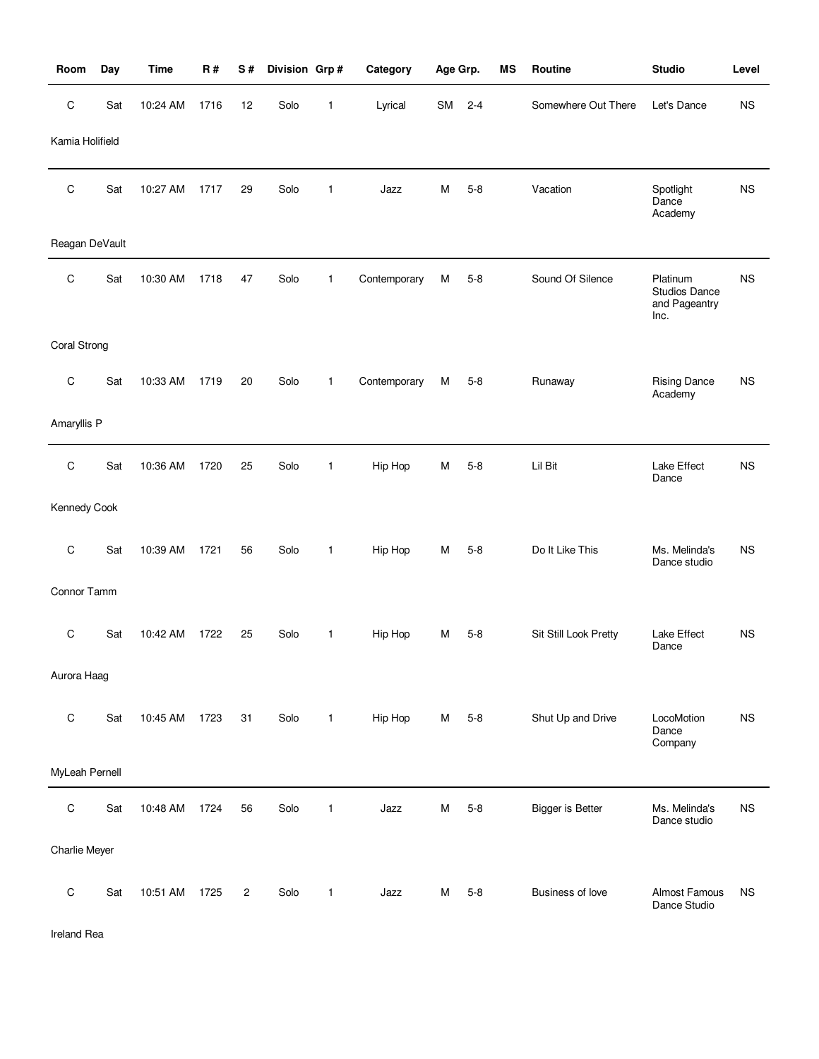| Room            | Day | <b>Time</b>   | R#   | S#             | Division Grp# |              | Category     | Age Grp. |         | ΜS | Routine                 | <b>Studio</b>                                             | Level       |
|-----------------|-----|---------------|------|----------------|---------------|--------------|--------------|----------|---------|----|-------------------------|-----------------------------------------------------------|-------------|
| C               | Sat | 10:24 AM      | 1716 | 12             | Solo          | 1            | Lyrical      | SM       | $2 - 4$ |    | Somewhere Out There     | Let's Dance                                               | <b>NS</b>   |
| Kamia Holifield |     |               |      |                |               |              |              |          |         |    |                         |                                                           |             |
| C               | Sat | 10:27 AM      | 1717 | 29             | Solo          | 1            | Jazz         | M        | $5 - 8$ |    | Vacation                | Spotlight<br>Dance<br>Academy                             | $_{\rm NS}$ |
| Reagan DeVault  |     |               |      |                |               |              |              |          |         |    |                         |                                                           |             |
| C               | Sat | 10:30 AM      | 1718 | 47             | Solo          | $\mathbf{1}$ | Contemporary | M        | $5 - 8$ |    | Sound Of Silence        | Platinum<br><b>Studios Dance</b><br>and Pageantry<br>Inc. | <b>NS</b>   |
| Coral Strong    |     |               |      |                |               |              |              |          |         |    |                         |                                                           |             |
| C               | Sat | 10:33 AM      | 1719 | 20             | Solo          | $\mathbf{1}$ | Contemporary | М        | $5 - 8$ |    | Runaway                 | <b>Rising Dance</b><br>Academy                            | <b>NS</b>   |
| Amaryllis P     |     |               |      |                |               |              |              |          |         |    |                         |                                                           |             |
| C               | Sat | 10:36 AM      | 1720 | 25             | Solo          | $\mathbf{1}$ | Hip Hop      | M        | $5 - 8$ |    | Lil Bit                 | Lake Effect<br>Dance                                      | <b>NS</b>   |
| Kennedy Cook    |     |               |      |                |               |              |              |          |         |    |                         |                                                           |             |
| $\mathsf C$     | Sat | 10:39 AM      | 1721 | 56             | Solo          | $\mathbf{1}$ | Hip Hop      | м        | $5 - 8$ |    | Do It Like This         | Ms. Melinda's<br>Dance studio                             | <b>NS</b>   |
| Connor Tamm     |     |               |      |                |               |              |              |          |         |    |                         |                                                           |             |
| C               | Sat | 10:42 AM      | 1722 | 25             | Solo          | 1            | Hip Hop      | м        | $5 - 8$ |    | Sit Still Look Pretty   | Lake Effect<br>Dance                                      | <b>NS</b>   |
| Aurora Haag     |     |               |      |                |               |              |              |          |         |    |                         |                                                           |             |
| $\mathsf C$     | Sat | 10:45 AM 1723 |      | 31             | Solo          | $\mathbf{1}$ | Hip Hop      | М        | $5 - 8$ |    | Shut Up and Drive       | LocoMotion<br>Dance<br>Company                            | <b>NS</b>   |
| MyLeah Pernell  |     |               |      |                |               |              |              |          |         |    |                         |                                                           |             |
| C               | Sat | 10:48 AM      | 1724 | 56             | Solo          | $\mathbf{1}$ | Jazz         | M        | $5 - 8$ |    | <b>Bigger is Better</b> | Ms. Melinda's<br>Dance studio                             | <b>NS</b>   |
| Charlie Meyer   |     |               |      |                |               |              |              |          |         |    |                         |                                                           |             |
| $\mathsf C$     | Sat | 10:51 AM      | 1725 | $\overline{c}$ | Solo          | 1            | Jazz         | М        | $5 - 8$ |    | Business of love        | Almost Famous<br>Dance Studio                             | <b>NS</b>   |

Ireland Rea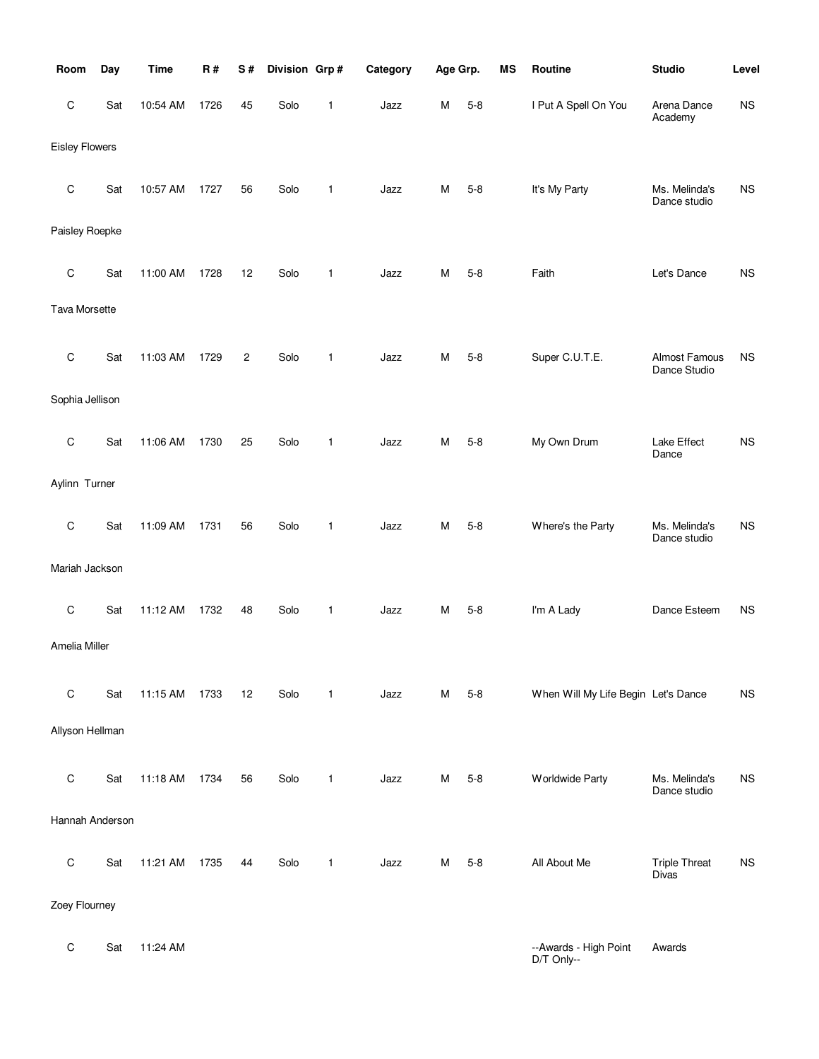| Room                  | Day | <b>Time</b> | R#   | S# | Division Grp# |              | Category | Age Grp. |         | MS | Routine                             | <b>Studio</b>                        | Level     |
|-----------------------|-----|-------------|------|----|---------------|--------------|----------|----------|---------|----|-------------------------------------|--------------------------------------|-----------|
| С                     | Sat | 10:54 AM    | 1726 | 45 | Solo          | 1            | Jazz     | M        | $5 - 8$ |    | I Put A Spell On You                | Arena Dance<br>Academy               | <b>NS</b> |
| <b>Eisley Flowers</b> |     |             |      |    |               |              |          |          |         |    |                                     |                                      |           |
| С                     | Sat | 10:57 AM    | 1727 | 56 | Solo          | $\mathbf{1}$ | Jazz     | M        | $5 - 8$ |    | It's My Party                       | Ms. Melinda's<br>Dance studio        | <b>NS</b> |
| Paisley Roepke        |     |             |      |    |               |              |          |          |         |    |                                     |                                      |           |
| С                     | Sat | 11:00 AM    | 1728 | 12 | Solo          | 1            | Jazz     | M        | $5 - 8$ |    | Faith                               | Let's Dance                          | <b>NS</b> |
| Tava Morsette         |     |             |      |    |               |              |          |          |         |    |                                     |                                      |           |
| $\mathsf C$           | Sat | 11:03 AM    | 1729 | 2  | Solo          | 1            | Jazz     | M        | $5 - 8$ |    | Super C.U.T.E.                      | Almost Famous<br>Dance Studio        | <b>NS</b> |
| Sophia Jellison       |     |             |      |    |               |              |          |          |         |    |                                     |                                      |           |
| С                     | Sat | 11:06 AM    | 1730 | 25 | Solo          | 1            | Jazz     | M        | $5 - 8$ |    | My Own Drum                         | Lake Effect<br>Dance                 | <b>NS</b> |
| Aylinn Turner         |     |             |      |    |               |              |          |          |         |    |                                     |                                      |           |
| $\mathsf C$           | Sat | 11:09 AM    | 1731 | 56 | Solo          | 1            | Jazz     | M        | $5 - 8$ |    | Where's the Party                   | Ms. Melinda's<br>Dance studio        | <b>NS</b> |
| Mariah Jackson        |     |             |      |    |               |              |          |          |         |    |                                     |                                      |           |
| C                     | Sat | 11:12 AM    | 1732 | 48 | Solo          | 1            | Jazz     | M        | $5 - 8$ |    | I'm A Lady                          | Dance Esteem                         | <b>NS</b> |
| Amelia Miller         |     |             |      |    |               |              |          |          |         |    |                                     |                                      |           |
| $\mathsf C$           | Sat | 11:15 AM    | 1733 | 12 | Solo          | 1            | Jazz     | M        | $5 - 8$ |    | When Will My Life Begin Let's Dance |                                      | <b>NS</b> |
| Allyson Hellman       |     |             |      |    |               |              |          |          |         |    |                                     |                                      |           |
| C                     | Sat | 11:18 AM    | 1734 | 56 | Solo          | $\mathbf{1}$ | Jazz     | M        | $5 - 8$ |    | <b>Worldwide Party</b>              | Ms. Melinda's<br>Dance studio        | <b>NS</b> |
| Hannah Anderson       |     |             |      |    |               |              |          |          |         |    |                                     |                                      |           |
| $\mathsf C$           | Sat | 11:21 AM    | 1735 | 44 | Solo          | $\mathbf{1}$ | Jazz     | M        | $5 - 8$ |    | All About Me                        | <b>Triple Threat</b><br><b>Divas</b> | <b>NS</b> |
| Zoey Flourney         |     |             |      |    |               |              |          |          |         |    |                                     |                                      |           |
| С                     | Sat | 11:24 AM    |      |    |               |              |          |          |         |    | --Awards - High Point<br>D/T Only-- | Awards                               |           |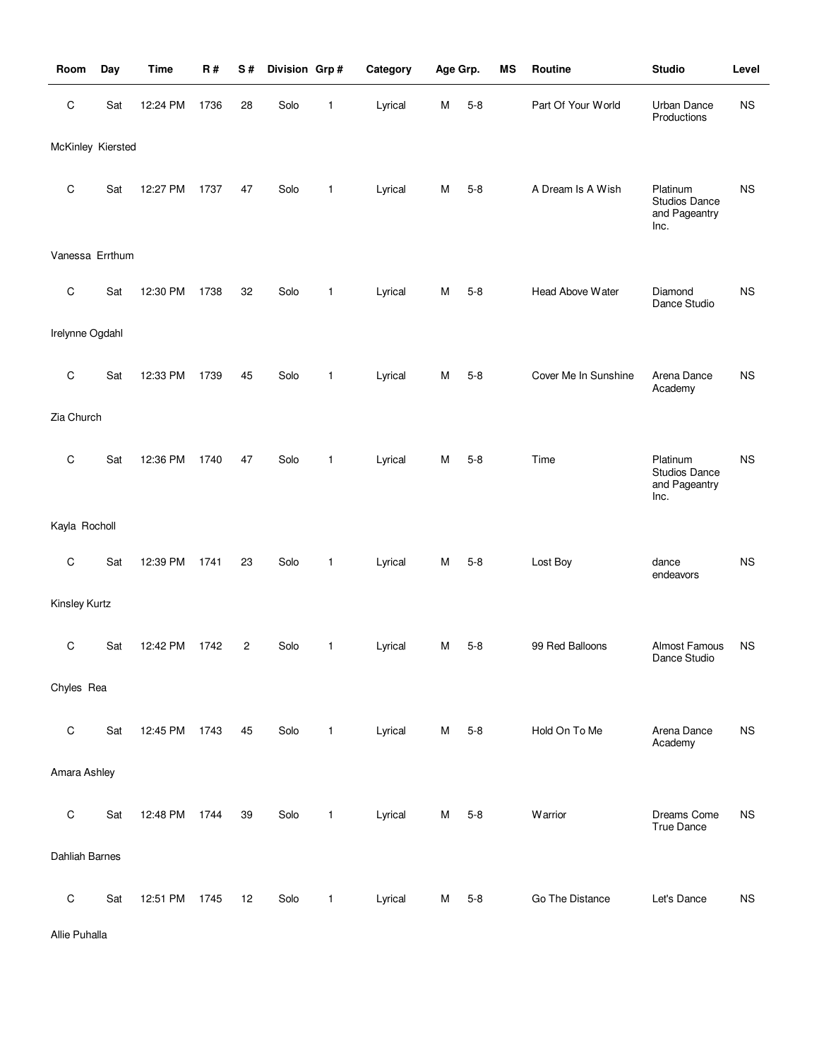| Room              | Day | <b>Time</b> | <b>R#</b> | S#             | Division Grp# |              | Category | Age Grp. |         | MS | Routine              | <b>Studio</b>                                      | Level     |
|-------------------|-----|-------------|-----------|----------------|---------------|--------------|----------|----------|---------|----|----------------------|----------------------------------------------------|-----------|
| $\mathsf C$       | Sat | 12:24 PM    | 1736      | 28             | Solo          | 1            | Lyrical  | M        | $5 - 8$ |    | Part Of Your World   | <b>Urban Dance</b><br>Productions                  | <b>NS</b> |
| McKinley Kiersted |     |             |           |                |               |              |          |          |         |    |                      |                                                    |           |
| $\mathsf C$       | Sat | 12:27 PM    | 1737      | 47             | Solo          | $\mathbf{1}$ | Lyrical  | M        | $5 - 8$ |    | A Dream Is A Wish    | Platinum<br>Studios Dance<br>and Pageantry<br>Inc. | <b>NS</b> |
| Vanessa Errthum   |     |             |           |                |               |              |          |          |         |    |                      |                                                    |           |
| $\mathbf C$       | Sat | 12:30 PM    | 1738      | 32             | Solo          | $\mathbf{1}$ | Lyrical  | м        | $5 - 8$ |    | Head Above Water     | Diamond<br>Dance Studio                            | <b>NS</b> |
| Irelynne Ogdahl   |     |             |           |                |               |              |          |          |         |    |                      |                                                    |           |
| $\mathsf C$       | Sat | 12:33 PM    | 1739      | 45             | Solo          | $\mathbf{1}$ | Lyrical  | М        | $5 - 8$ |    | Cover Me In Sunshine | Arena Dance<br>Academy                             | <b>NS</b> |
| Zia Church        |     |             |           |                |               |              |          |          |         |    |                      |                                                    |           |
| $\mathbf C$       | Sat | 12:36 PM    | 1740      | 47             | Solo          | $\mathbf{1}$ | Lyrical  | м        | $5 - 8$ |    | Time                 | Platinum<br>Studios Dance<br>and Pageantry<br>Inc. | <b>NS</b> |
| Kayla Rocholl     |     |             |           |                |               |              |          |          |         |    |                      |                                                    |           |
| $\mathbf C$       | Sat | 12:39 PM    | 1741      | 23             | Solo          | $\mathbf{1}$ | Lyrical  | M        | $5 - 8$ |    | Lost Boy             | dance<br>endeavors                                 | <b>NS</b> |
| Kinsley Kurtz     |     |             |           |                |               |              |          |          |         |    |                      |                                                    |           |
| $\mathbf C$       | Sat | 12:42 PM    | 1742      | $\overline{2}$ | Solo          | 1            | Lyrical  | М        | $5 - 8$ |    | 99 Red Balloons      | Almost Famous<br>Dance Studio                      | <b>NS</b> |
| Chyles Rea        |     |             |           |                |               |              |          |          |         |    |                      |                                                    |           |
| $\mathsf C$       | Sat | 12:45 PM    | 1743      | 45             | Solo          | $\mathbf{1}$ | Lyrical  | M        | $5 - 8$ |    | Hold On To Me        | Arena Dance<br>Academy                             | <b>NS</b> |
| Amara Ashley      |     |             |           |                |               |              |          |          |         |    |                      |                                                    |           |
| $\mathsf C$       | Sat | 12:48 PM    | 1744      | 39             | Solo          | $\mathbf{1}$ | Lyrical  | M        | $5 - 8$ |    | Warrior              | Dreams Come<br><b>True Dance</b>                   | <b>NS</b> |
| Dahliah Barnes    |     |             |           |                |               |              |          |          |         |    |                      |                                                    |           |
| $\mathsf C$       | Sat | 12:51 PM    | 1745      | 12             | Solo          | $\mathbf{1}$ | Lyrical  | м        | $5 - 8$ |    | Go The Distance      | Let's Dance                                        | <b>NS</b> |

Allie Puhalla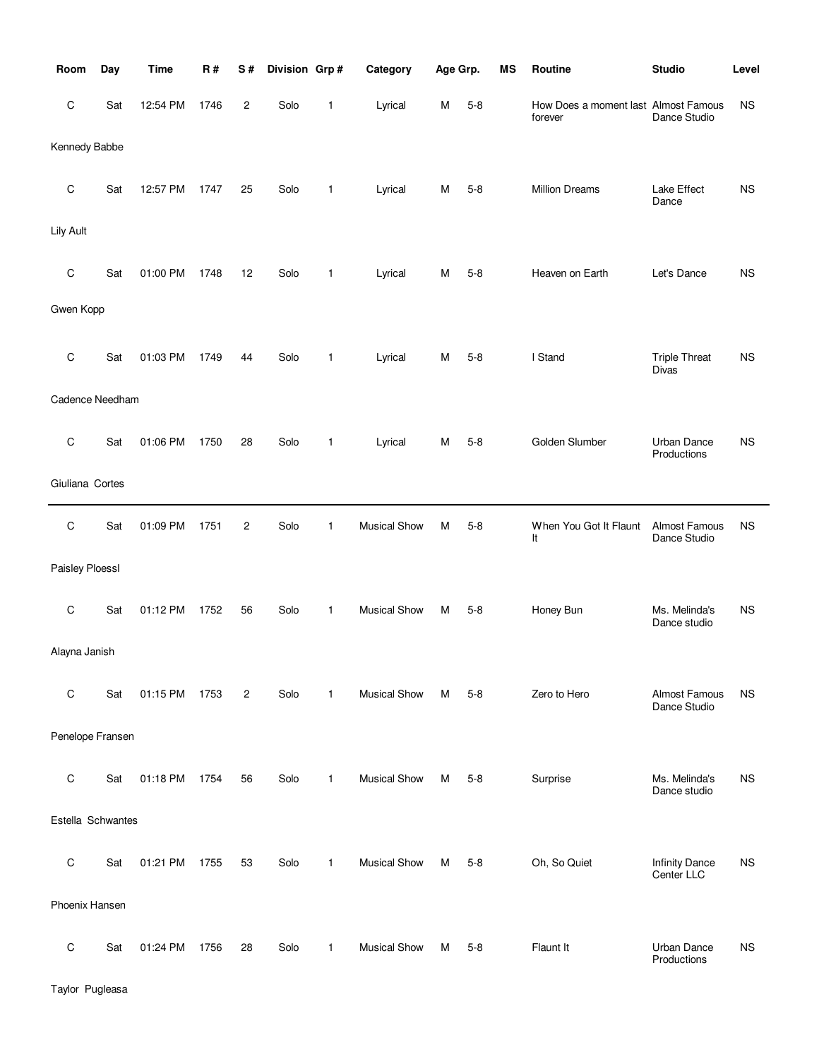| Room              | Day | <b>Time</b> | R#   | S#             | Division Grp# |              | Category            | Age Grp. |         | MS | Routine                                         | <b>Studio</b>                       | Level     |
|-------------------|-----|-------------|------|----------------|---------------|--------------|---------------------|----------|---------|----|-------------------------------------------------|-------------------------------------|-----------|
| C                 | Sat | 12:54 PM    | 1746 | $\overline{c}$ | Solo          | 1            | Lyrical             | M        | $5 - 8$ |    | How Does a moment last Almost Famous<br>forever | Dance Studio                        | <b>NS</b> |
| Kennedy Babbe     |     |             |      |                |               |              |                     |          |         |    |                                                 |                                     |           |
| C                 | Sat | 12:57 PM    | 1747 | 25             | Solo          | 1            | Lyrical             | M        | $5 - 8$ |    | <b>Million Dreams</b>                           | Lake Effect<br>Dance                | <b>NS</b> |
| Lily Ault         |     |             |      |                |               |              |                     |          |         |    |                                                 |                                     |           |
| $\mathsf C$       | Sat | 01:00 PM    | 1748 | 12             | Solo          | 1            | Lyrical             | M        | $5 - 8$ |    | Heaven on Earth                                 | Let's Dance                         | <b>NS</b> |
| Gwen Kopp         |     |             |      |                |               |              |                     |          |         |    |                                                 |                                     |           |
| $\mathsf C$       | Sat | 01:03 PM    | 1749 | 44             | Solo          | 1            | Lyrical             | M        | $5 - 8$ |    | I Stand                                         | <b>Triple Threat</b><br>Divas       | <b>NS</b> |
| Cadence Needham   |     |             |      |                |               |              |                     |          |         |    |                                                 |                                     |           |
| C                 | Sat | 01:06 PM    | 1750 | 28             | Solo          | 1            | Lyrical             | M        | $5 - 8$ |    | Golden Slumber                                  | Urban Dance<br>Productions          | <b>NS</b> |
| Giuliana Cortes   |     |             |      |                |               |              |                     |          |         |    |                                                 |                                     |           |
| C                 | Sat | 01:09 PM    | 1751 | $\overline{c}$ | Solo          | 1            | <b>Musical Show</b> | M        | $5 - 8$ |    | When You Got It Flaunt<br>It                    | Almost Famous<br>Dance Studio       | <b>NS</b> |
| Paisley Ploessl   |     |             |      |                |               |              |                     |          |         |    |                                                 |                                     |           |
| C                 | Sat | 01:12 PM    | 1752 | 56             | Solo          | 1            | <b>Musical Show</b> | M        | $5 - 8$ |    | Honey Bun                                       | Ms. Melinda's<br>Dance studio       | <b>NS</b> |
| Alayna Janish     |     |             |      |                |               |              |                     |          |         |    |                                                 |                                     |           |
| $\mathsf C$       | Sat | 01:15 PM    | 1753 | $\overline{2}$ | Solo          | $\mathbf{1}$ | <b>Musical Show</b> | м        | $5 - 8$ |    | Zero to Hero                                    | Almost Famous<br>Dance Studio       | <b>NS</b> |
| Penelope Fransen  |     |             |      |                |               |              |                     |          |         |    |                                                 |                                     |           |
| $\mathsf C$       | Sat | 01:18 PM    | 1754 | 56             | Solo          | $\mathbf{1}$ | <b>Musical Show</b> | M        | $5 - 8$ |    | Surprise                                        | Ms. Melinda's<br>Dance studio       | <b>NS</b> |
| Estella Schwantes |     |             |      |                |               |              |                     |          |         |    |                                                 |                                     |           |
| $\mathsf C$       | Sat | 01:21 PM    | 1755 | 53             | Solo          | $\mathbf{1}$ | <b>Musical Show</b> | М        | $5 - 8$ |    | Oh, So Quiet                                    | <b>Infinity Dance</b><br>Center LLC | ΝS        |
| Phoenix Hansen    |     |             |      |                |               |              |                     |          |         |    |                                                 |                                     |           |
| С                 | Sat | 01:24 PM    | 1756 | 28             | Solo          | 1            | <b>Musical Show</b> | M        | $5 - 8$ |    | Flaunt It                                       | <b>Urban Dance</b><br>Productions   | <b>NS</b> |

Taylor Pugleasa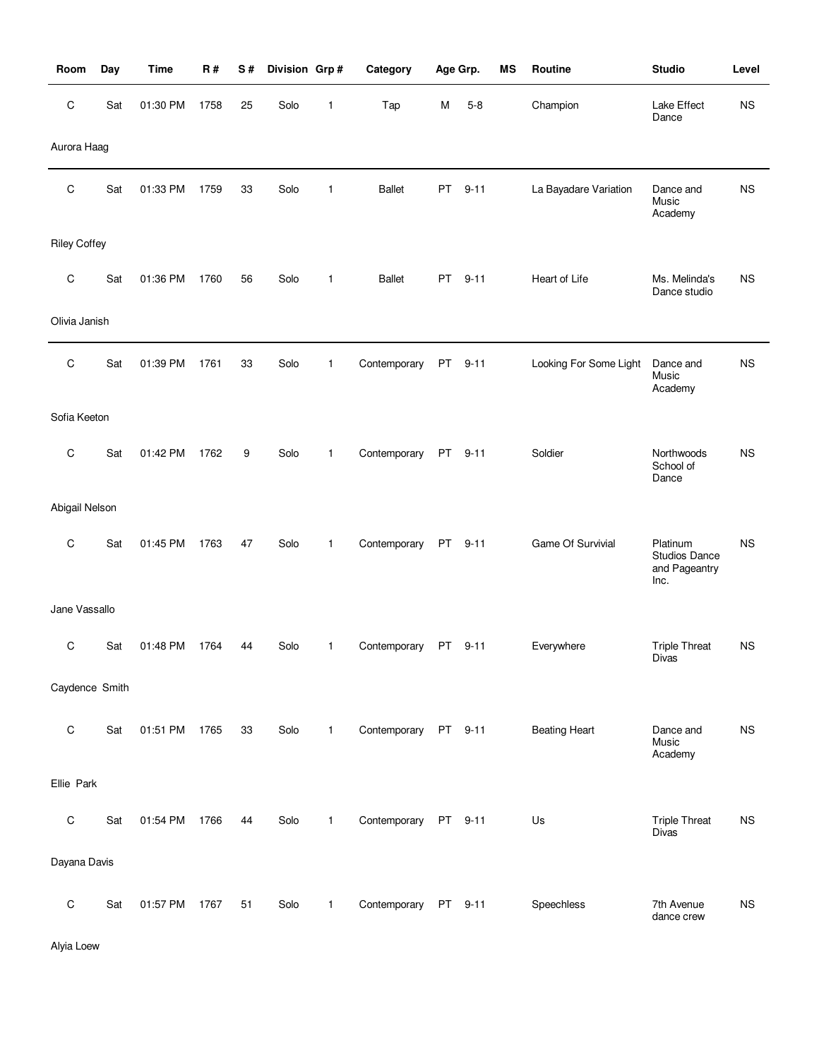| Room                | Day | <b>Time</b> | <b>R#</b> | S# | Division Grp# |              | Category             |    | Age Grp. | <b>MS</b> | Routine                | <b>Studio</b>                                      | Level       |
|---------------------|-----|-------------|-----------|----|---------------|--------------|----------------------|----|----------|-----------|------------------------|----------------------------------------------------|-------------|
| C                   | Sat | 01:30 PM    | 1758      | 25 | Solo          | 1            | Tap                  | M  | $5 - 8$  |           | Champion               | Lake Effect<br>Dance                               | <b>NS</b>   |
| Aurora Haag         |     |             |           |    |               |              |                      |    |          |           |                        |                                                    |             |
| C                   | Sat | 01:33 PM    | 1759      | 33 | Solo          | 1            | <b>Ballet</b>        | PT | $9 - 11$ |           | La Bayadare Variation  | Dance and<br>Music<br>Academy                      | <b>NS</b>   |
| <b>Riley Coffey</b> |     |             |           |    |               |              |                      |    |          |           |                        |                                                    |             |
| C                   | Sat | 01:36 PM    | 1760      | 56 | Solo          | 1            | <b>Ballet</b>        | PT | $9 - 11$ |           | Heart of Life          | Ms. Melinda's<br>Dance studio                      | <b>NS</b>   |
| Olivia Janish       |     |             |           |    |               |              |                      |    |          |           |                        |                                                    |             |
| C                   | Sat | 01:39 PM    | 1761      | 33 | Solo          | $\mathbf{1}$ | Contemporary         | PT | $9 - 11$ |           | Looking For Some Light | Dance and<br>Music<br>Academy                      | <b>NS</b>   |
| Sofia Keeton        |     |             |           |    |               |              |                      |    |          |           |                        |                                                    |             |
| C                   | Sat | 01:42 PM    | 1762      | 9  | Solo          | $\mathbf{1}$ | Contemporary         | PT | $9 - 11$ |           | Soldier                | Northwoods<br>School of<br>Dance                   | <b>NS</b>   |
| Abigail Nelson      |     |             |           |    |               |              |                      |    |          |           |                        |                                                    |             |
| C                   | Sat | 01:45 PM    | 1763      | 47 | Solo          | $\mathbf{1}$ | Contemporary         |    | PT 9-11  |           | Game Of Survivial      | Platinum<br>Studios Dance<br>and Pageantry<br>Inc. | <b>NS</b>   |
| Jane Vassallo       |     |             |           |    |               |              |                      |    |          |           |                        |                                                    |             |
| C                   | Sat | 01:48 PM    | 1764      | 44 | Solo          | 1            | Contemporary         |    | PT 9-11  |           | Everywhere             | <b>Triple Threat</b><br>Divas                      | <b>NS</b>   |
| Caydence Smith      |     |             |           |    |               |              |                      |    |          |           |                        |                                                    |             |
| $\mathsf C$         | Sat | 01:51 PM    | 1765      | 33 | Solo          | $\mathbf{1}$ | Contemporary PT 9-11 |    |          |           | <b>Beating Heart</b>   | Dance and<br>Music<br>Academy                      | <b>NS</b>   |
| Ellie Park          |     |             |           |    |               |              |                      |    |          |           |                        |                                                    |             |
| $\mathsf C$         | Sat | 01:54 PM    | 1766      | 44 | Solo          | $\mathbf{1}$ | Contemporary         | PT | $9 - 11$ |           | Us                     | <b>Triple Threat</b><br><b>Divas</b>               | <b>NS</b>   |
| Dayana Davis        |     |             |           |    |               |              |                      |    |          |           |                        |                                                    |             |
| $\mathsf C$         | Sat | 01:57 PM    | 1767      | 51 | Solo          | $\mathbf{1}$ | Contemporary         |    | PT 9-11  |           | Speechless             | 7th Avenue<br>dance crew                           | $_{\rm NS}$ |

Alyia Loew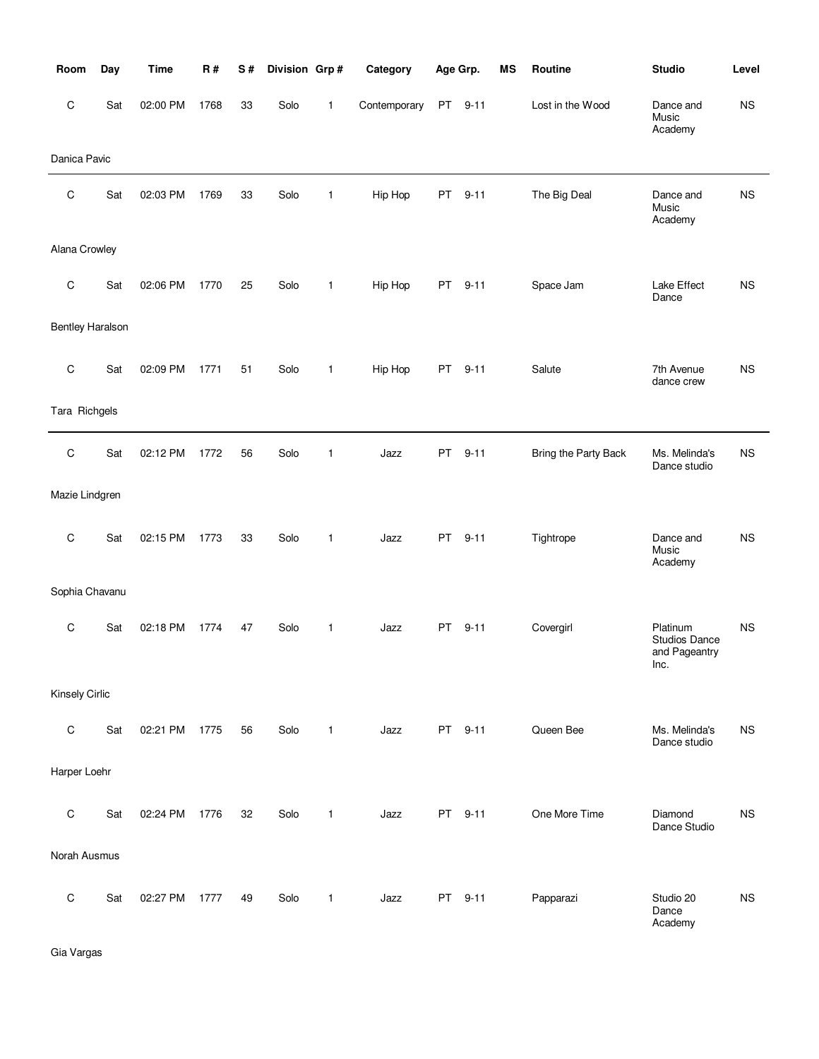| Room                    | Day | <b>Time</b> | R#   | S# | Division Grp# |              | Category     |     | Age Grp. | <b>MS</b> | Routine              | <b>Studio</b>                                             | Level     |
|-------------------------|-----|-------------|------|----|---------------|--------------|--------------|-----|----------|-----------|----------------------|-----------------------------------------------------------|-----------|
| C                       | Sat | 02:00 PM    | 1768 | 33 | Solo          | 1            | Contemporary | PT  | $9 - 11$ |           | Lost in the Wood     | Dance and<br>Music<br>Academy                             | <b>NS</b> |
| Danica Pavic            |     |             |      |    |               |              |              |     |          |           |                      |                                                           |           |
| C                       | Sat | 02:03 PM    | 1769 | 33 | Solo          | 1            | Hip Hop      | PT  | $9 - 11$ |           | The Big Deal         | Dance and<br>Music<br>Academy                             | <b>NS</b> |
| Alana Crowley           |     |             |      |    |               |              |              |     |          |           |                      |                                                           |           |
| C                       | Sat | 02:06 PM    | 1770 | 25 | Solo          | 1            | Hip Hop      | PT  | $9 - 11$ |           | Space Jam            | Lake Effect<br>Dance                                      | <b>NS</b> |
| <b>Bentley Haralson</b> |     |             |      |    |               |              |              |     |          |           |                      |                                                           |           |
| $\mathsf C$             | Sat | 02:09 PM    | 1771 | 51 | Solo          | $\mathbf{1}$ | Hip Hop      | PT  | $9 - 11$ |           | Salute               | 7th Avenue<br>dance crew                                  | <b>NS</b> |
| Tara Richgels           |     |             |      |    |               |              |              |     |          |           |                      |                                                           |           |
| $\mathsf C$             | Sat | 02:12 PM    | 1772 | 56 | Solo          | $\mathbf{1}$ | Jazz         | PT  | $9 - 11$ |           | Bring the Party Back | Ms. Melinda's<br>Dance studio                             | <b>NS</b> |
| Mazie Lindgren          |     |             |      |    |               |              |              |     |          |           |                      |                                                           |           |
| C                       | Sat | 02:15 PM    | 1773 | 33 | Solo          | $\mathbf{1}$ | Jazz         | PT. | $9 - 11$ |           | Tightrope            | Dance and<br>Music<br>Academy                             | <b>NS</b> |
| Sophia Chavanu          |     |             |      |    |               |              |              |     |          |           |                      |                                                           |           |
| C                       | Sat | 02:18 PM    | 1774 | 47 | Solo          | 1            | Jazz         | PT  | $9 - 11$ |           | Covergirl            | Platinum<br><b>Studios Dance</b><br>and Pageantry<br>Inc. | <b>NS</b> |
| Kinsely Cirlic          |     |             |      |    |               |              |              |     |          |           |                      |                                                           |           |
| $\mathbf C$             | Sat | 02:21 PM    | 1775 | 56 | Solo          | 1            | Jazz         |     | PT 9-11  |           | Queen Bee            | Ms. Melinda's<br>Dance studio                             | <b>NS</b> |
| Harper Loehr            |     |             |      |    |               |              |              |     |          |           |                      |                                                           |           |
| $\mathsf C$             | Sat | 02:24 PM    | 1776 | 32 | Solo          | 1            | Jazz         | PT  | $9 - 11$ |           | One More Time        | Diamond<br>Dance Studio                                   | <b>NS</b> |
| Norah Ausmus            |     |             |      |    |               |              |              |     |          |           |                      |                                                           |           |
| C                       | Sat | 02:27 PM    | 1777 | 49 | Solo          | 1            | Jazz         | PT  | $9 - 11$ |           | Papparazi            | Studio 20<br>Dance<br>Academy                             | <b>NS</b> |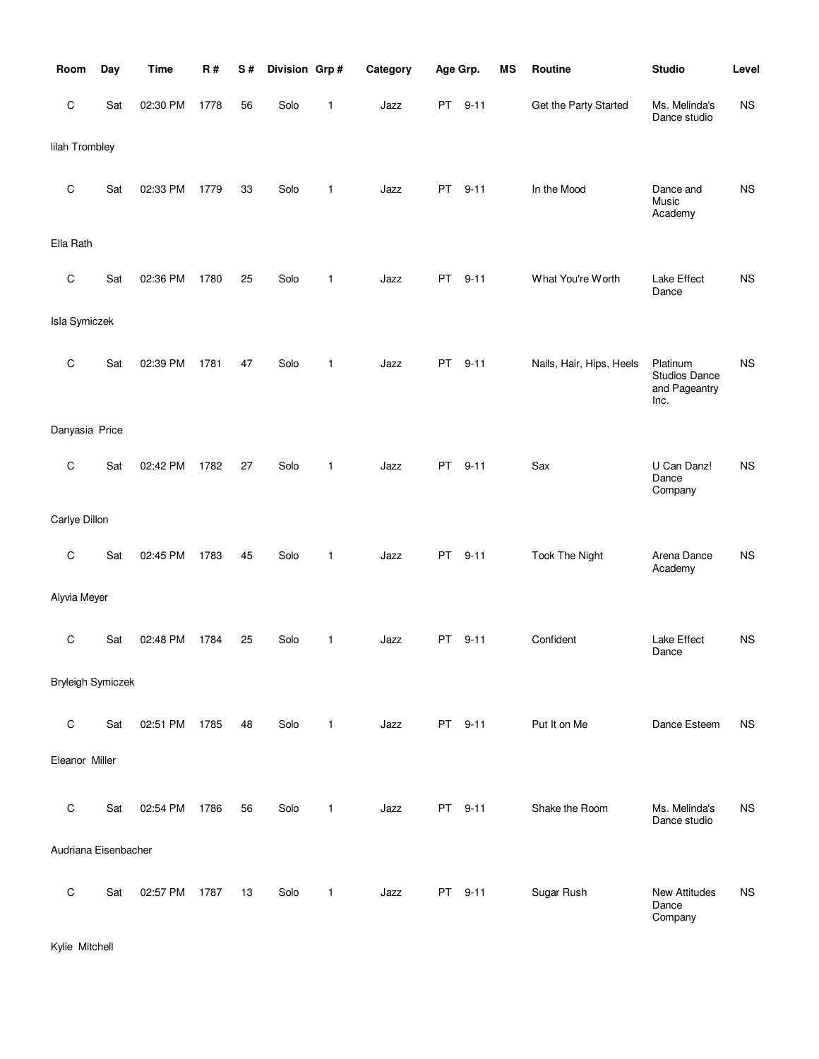| Room                     | Day | <b>Time</b> | <b>R#</b> | S# | Division Grp# |              | Category | Age Grp.  |          | MS | Routine                  | <b>Studio</b>                                      | Level       |
|--------------------------|-----|-------------|-----------|----|---------------|--------------|----------|-----------|----------|----|--------------------------|----------------------------------------------------|-------------|
| $\mathsf C$              | Sat | 02:30 PM    | 1778      | 56 | Solo          | 1            | Jazz     | PT        | $9 - 11$ |    | Get the Party Started    | Ms. Melinda's<br>Dance studio                      | NS          |
| lilah Trombley           |     |             |           |    |               |              |          |           |          |    |                          |                                                    |             |
| $\mathsf C$              | Sat | 02:33 PM    | 1779      | 33 | Solo          | 1            | Jazz     | PT        | $9 - 11$ |    | In the Mood              | Dance and<br>Music<br>Academy                      | $_{\rm NS}$ |
| Ella Rath                |     |             |           |    |               |              |          |           |          |    |                          |                                                    |             |
| C                        | Sat | 02:36 PM    | 1780      | 25 | Solo          | 1            | Jazz     | PT        | $9 - 11$ |    | What You're Worth        | Lake Effect<br>Dance                               | <b>NS</b>   |
| <b>Isla Symiczek</b>     |     |             |           |    |               |              |          |           |          |    |                          |                                                    |             |
| C                        | Sat | 02:39 PM    | 1781      | 47 | Solo          | 1            | Jazz     | <b>PT</b> | $9 - 11$ |    | Nails, Hair, Hips, Heels | Platinum<br>Studios Dance<br>and Pageantry<br>Inc. | <b>NS</b>   |
| Danyasia Price           |     |             |           |    |               |              |          |           |          |    |                          |                                                    |             |
| $\mathsf C$              | Sat | 02:42 PM    | 1782      | 27 | Solo          | 1            | Jazz     | PT        | $9 - 11$ |    | Sax                      | U Can Danz!<br>Dance<br>Company                    | <b>NS</b>   |
| Carlye Dillon            |     |             |           |    |               |              |          |           |          |    |                          |                                                    |             |
| $\mathsf C$              | Sat | 02:45 PM    | 1783      | 45 | Solo          | 1            | Jazz     | <b>PT</b> | $9 - 11$ |    | <b>Took The Night</b>    | Arena Dance<br>Academy                             | <b>NS</b>   |
| Alyvia Meyer             |     |             |           |    |               |              |          |           |          |    |                          |                                                    |             |
| C                        | Sat | 02:48 PM    | 1784      | 25 | Solo          | 1            | Jazz     | PT.       | $9 - 11$ |    | Confident                | Lake Effect<br>Dance                               | <b>NS</b>   |
| <b>Bryleigh Symiczek</b> |     |             |           |    |               |              |          |           |          |    |                          |                                                    |             |
| $\mathsf C$              | Sat | 02:51 PM    | 1785      | 48 | Solo          | $\mathbf{1}$ | Jazz     |           | PT 9-11  |    | Put It on Me             | Dance Esteem                                       | <b>NS</b>   |
| Eleanor Miller           |     |             |           |    |               |              |          |           |          |    |                          |                                                    |             |
| $\mathsf C$              | Sat | 02:54 PM    | 1786      | 56 | Solo          | $\mathbf{1}$ | Jazz     |           | PT 9-11  |    | Shake the Room           | Ms. Melinda's<br>Dance studio                      | <b>NS</b>   |
| Audriana Eisenbacher     |     |             |           |    |               |              |          |           |          |    |                          |                                                    |             |
| $\mathsf C$              | Sat | 02:57 PM    | 1787      | 13 | Solo          | 1            | Jazz     |           | PT 9-11  |    | Sugar Rush               | <b>New Attitudes</b><br>Dance<br>Company           | <b>NS</b>   |

Kylie Mitchell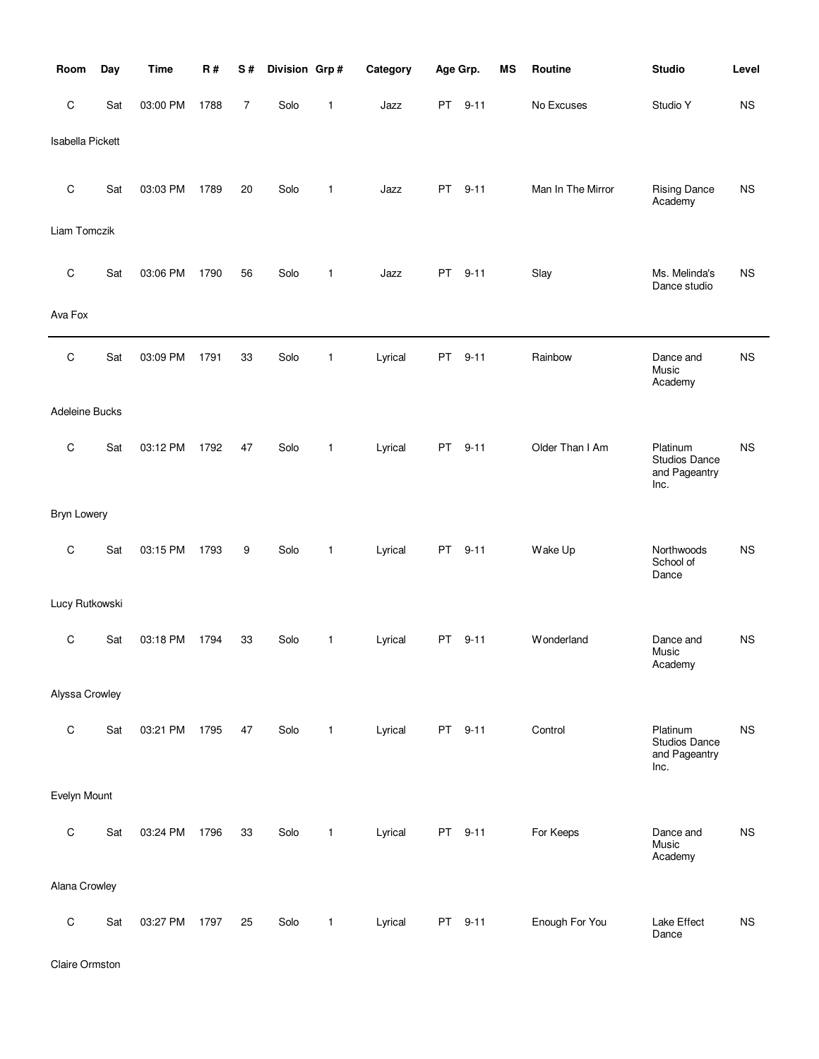| Room                    | Day | <b>Time</b> | <b>R#</b> | S# | Division Grp# |              | Category | Age Grp.  |          | MS | Routine           | <b>Studio</b>                                      | Level     |
|-------------------------|-----|-------------|-----------|----|---------------|--------------|----------|-----------|----------|----|-------------------|----------------------------------------------------|-----------|
| $\mathsf C$             | Sat | 03:00 PM    | 1788      | 7  | Solo          | 1            | Jazz     | <b>PT</b> | $9 - 11$ |    | No Excuses        | Studio Y                                           | <b>NS</b> |
| <b>Isabella Pickett</b> |     |             |           |    |               |              |          |           |          |    |                   |                                                    |           |
| $\mathsf C$             | Sat | 03:03 PM    | 1789      | 20 | Solo          | 1            | Jazz     | <b>PT</b> | $9 - 11$ |    | Man In The Mirror | <b>Rising Dance</b><br>Academy                     | <b>NS</b> |
| Liam Tomczik            |     |             |           |    |               |              |          |           |          |    |                   |                                                    |           |
| $\mathsf C$             | Sat | 03:06 PM    | 1790      | 56 | Solo          | 1            | Jazz     | PT .      | $9 - 11$ |    | Slay              | Ms. Melinda's<br>Dance studio                      | <b>NS</b> |
| Ava Fox                 |     |             |           |    |               |              |          |           |          |    |                   |                                                    |           |
| C                       | Sat | 03:09 PM    | 1791      | 33 | Solo          | 1            | Lyrical  | PT        | $9 - 11$ |    | Rainbow           | Dance and<br>Music<br>Academy                      | <b>NS</b> |
| Adeleine Bucks          |     |             |           |    |               |              |          |           |          |    |                   |                                                    |           |
| $\mathsf C$             | Sat | 03:12 PM    | 1792      | 47 | Solo          | $\mathbf{1}$ | Lyrical  | <b>PT</b> | $9 - 11$ |    | Older Than I Am   | Platinum<br>Studios Dance<br>and Pageantry<br>Inc. | <b>NS</b> |
| <b>Bryn Lowery</b>      |     |             |           |    |               |              |          |           |          |    |                   |                                                    |           |
| C                       | Sat | 03:15 PM    | 1793      | 9  | Solo          | 1            | Lyrical  | PT        | $9 - 11$ |    | Wake Up           | Northwoods<br>School of<br>Dance                   | <b>NS</b> |
| Lucy Rutkowski          |     |             |           |    |               |              |          |           |          |    |                   |                                                    |           |
| C                       | Sat | 03:18 PM    | 1794      | 33 | Solo          | 1            | Lyrical  | <b>PT</b> | $9 - 11$ |    | Wonderland        | Dance and<br>Music<br>Academy                      | <b>NS</b> |
| Alyssa Crowley          |     |             |           |    |               |              |          |           |          |    |                   |                                                    |           |
| ${\rm C}$               | Sat | 03:21 PM    | 1795      | 47 | Solo          | $\mathbf{1}$ | Lyrical  |           | PT 9-11  |    | Control           | Platinum<br>Studios Dance<br>and Pageantry<br>Inc. | <b>NS</b> |
| Evelyn Mount            |     |             |           |    |               |              |          |           |          |    |                   |                                                    |           |
| $\mathsf C$             | Sat | 03:24 PM    | 1796      | 33 | Solo          | $\mathbf{1}$ | Lyrical  |           | PT 9-11  |    | For Keeps         | Dance and<br>Music<br>Academy                      | NS        |
| Alana Crowley           |     |             |           |    |               |              |          |           |          |    |                   |                                                    |           |
| $\mathsf C$             | Sat | 03:27 PM    | 1797      | 25 | Solo          | $\mathbf{1}$ | Lyrical  |           | PT 9-11  |    | Enough For You    | Lake Effect<br>Dance                               | <b>NS</b> |

Claire Ormston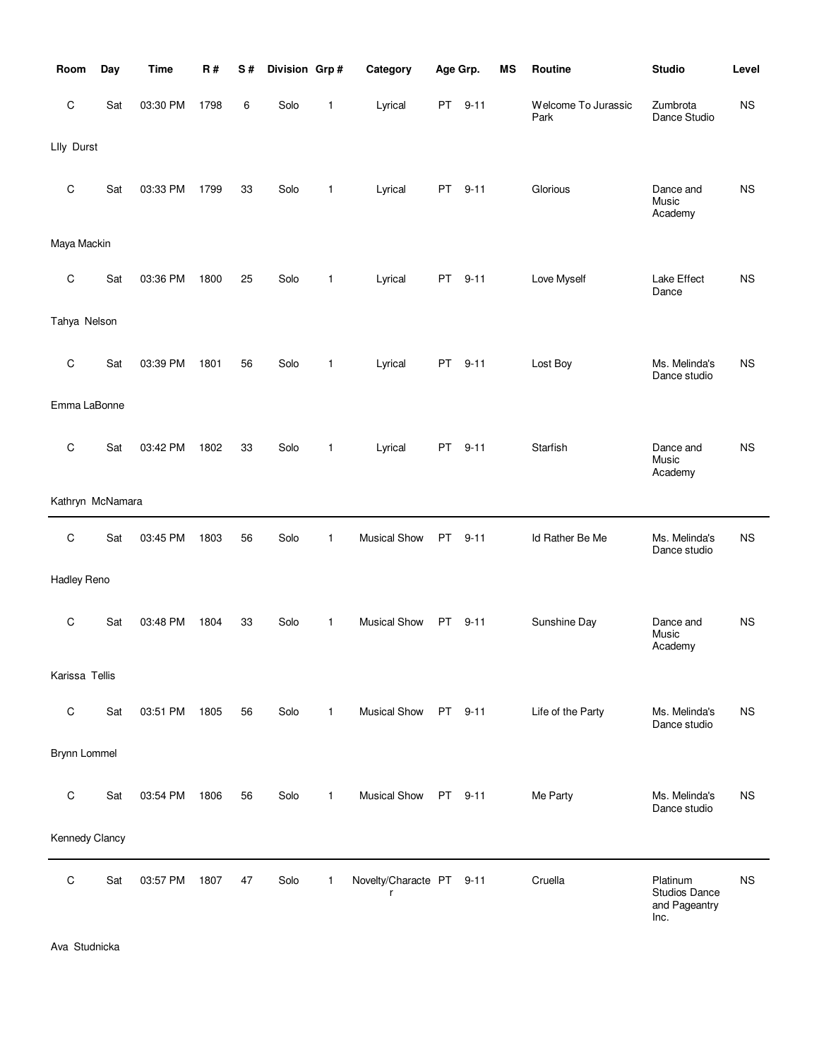| Room               | Day | <b>Time</b> | R#   | S# | Division Grp# |              | Category                      | Age Grp. |          | <b>MS</b> | Routine                     | <b>Studio</b>                                      | Level     |
|--------------------|-----|-------------|------|----|---------------|--------------|-------------------------------|----------|----------|-----------|-----------------------------|----------------------------------------------------|-----------|
| C                  | Sat | 03:30 PM    | 1798 | 6  | Solo          | 1            | Lyrical                       | PT       | $9 - 11$ |           | Welcome To Jurassic<br>Park | Zumbrota<br>Dance Studio                           | <b>NS</b> |
| Llly Durst         |     |             |      |    |               |              |                               |          |          |           |                             |                                                    |           |
| C                  | Sat | 03:33 PM    | 1799 | 33 | Solo          | 1            | Lyrical                       | PT.      | $9 - 11$ |           | Glorious                    | Dance and<br>Music<br>Academy                      | <b>NS</b> |
| Maya Mackin        |     |             |      |    |               |              |                               |          |          |           |                             |                                                    |           |
| C                  | Sat | 03:36 PM    | 1800 | 25 | Solo          | 1            | Lyrical                       | PT.      | $9 - 11$ |           | Love Myself                 | Lake Effect<br>Dance                               | <b>NS</b> |
| Tahya Nelson       |     |             |      |    |               |              |                               |          |          |           |                             |                                                    |           |
| C                  | Sat | 03:39 PM    | 1801 | 56 | Solo          | 1            | Lyrical                       | PT       | $9 - 11$ |           | Lost Boy                    | Ms. Melinda's<br>Dance studio                      | <b>NS</b> |
| Emma LaBonne       |     |             |      |    |               |              |                               |          |          |           |                             |                                                    |           |
| C                  | Sat | 03:42 PM    | 1802 | 33 | Solo          | 1            | Lyrical                       | PT       | $9 - 11$ |           | Starfish                    | Dance and<br>Music<br>Academy                      | <b>NS</b> |
| Kathryn McNamara   |     |             |      |    |               |              |                               |          |          |           |                             |                                                    |           |
| $\mathsf C$        | Sat | 03:45 PM    | 1803 | 56 | Solo          | 1            | <b>Musical Show</b>           | PT       | $9 - 11$ |           | Id Rather Be Me             | Ms. Melinda's<br>Dance studio                      | <b>NS</b> |
| <b>Hadley Reno</b> |     |             |      |    |               |              |                               |          |          |           |                             |                                                    |           |
| $\mathsf C$        | Sat | 03:48 PM    | 1804 | 33 | Solo          | 1            | <b>Musical Show</b>           | PT.      | $9 - 11$ |           | Sunshine Day                | Dance and<br>Music<br>Academy                      | <b>NS</b> |
| Karissa Tellis     |     |             |      |    |               |              |                               |          |          |           |                             |                                                    |           |
| C                  | Sat | 03:51 PM    | 1805 | 56 | Solo          | $\mathbf{1}$ | <b>Musical Show</b>           |          | PT 9-11  |           | Life of the Party           | Ms. Melinda's<br>Dance studio                      | ΝS        |
| Brynn Lommel       |     |             |      |    |               |              |                               |          |          |           |                             |                                                    |           |
| $\mathsf C$        | Sat | 03:54 PM    | 1806 | 56 | Solo          | $\mathbf{1}$ | <b>Musical Show</b>           |          | PT 9-11  |           | Me Party                    | Ms. Melinda's<br>Dance studio                      | <b>NS</b> |
| Kennedy Clancy     |     |             |      |    |               |              |                               |          |          |           |                             |                                                    |           |
| C                  | Sat | 03:57 PM    | 1807 | 47 | Solo          | $\mathbf{1}$ | Novelty/Characte PT 9-11<br>r |          |          |           | Cruella                     | Platinum<br>Studios Dance<br>and Pageantry<br>Inc. | <b>NS</b> |

Ava Studnicka